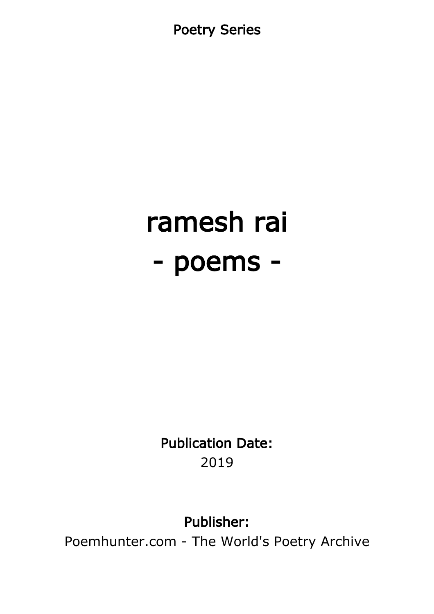Poetry Series

# ramesh rai - poems -

Publication Date: 2019

Publisher:

Poemhunter.com - The World's Poetry Archive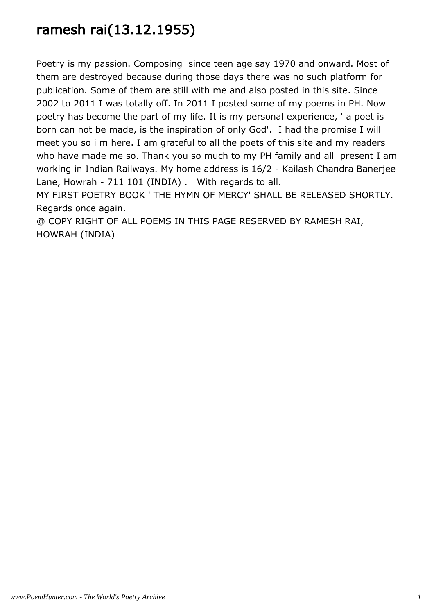# ramesh rai(13.12.1955)

Poetry is my passion. Composing since teen age say 1970 and onward. Most of them are destroyed because during those days there was no such platform for publication. Some of them are still with me and also posted in this site. Since 2002 to 2011 I was totally off. In 2011 I posted some of my poems in PH. Now poetry has become the part of my life. It is my personal experience, ' a poet is born can not be made, is the inspiration of only God'. I had the promise I will meet you so i m here. I am grateful to all the poets of this site and my readers who have made me so. Thank you so much to my PH family and all present I am working in Indian Railways. My home address is 16/2 - Kailash Chandra Banerjee Lane, Howrah - 711 101 (INDIA) . With regards to all.

MY FIRST POETRY BOOK ' THE HYMN OF MERCY' SHALL BE RELEASED SHORTLY. Regards once again.

@ COPY RIGHT OF ALL POEMS IN THIS PAGE RESERVED BY RAMESH RAI, HOWRAH (INDIA)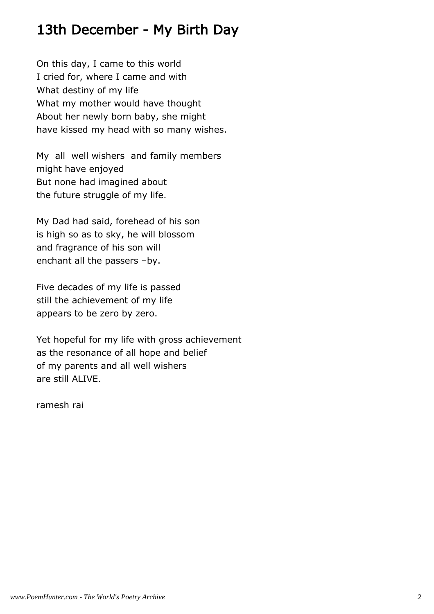# 13th December - My Birth Day

On this day, I came to this world I cried for, where I came and with What destiny of my life What my mother would have thought About her newly born baby, she might have kissed my head with so many wishes.

My all well wishers and family members might have enjoyed But none had imagined about the future struggle of my life.

My Dad had said, forehead of his son is high so as to sky, he will blossom and fragrance of his son will enchant all the passers –by.

Five decades of my life is passed still the achievement of my life appears to be zero by zero.

Yet hopeful for my life with gross achievement as the resonance of all hope and belief of my parents and all well wishers are still ALIVE.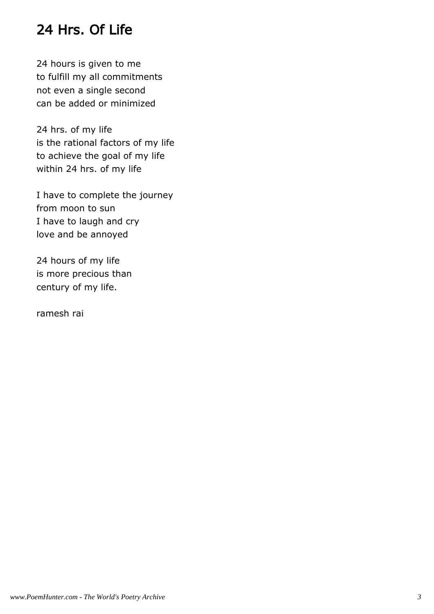# 24 Hrs. Of Life

24 hours is given to me to fulfill my all commitments not even a single second can be added or minimized

24 hrs. of my life is the rational factors of my life to achieve the goal of my life within 24 hrs. of my life

I have to complete the journey from moon to sun I have to laugh and cry love and be annoyed

24 hours of my life is more precious than century of my life.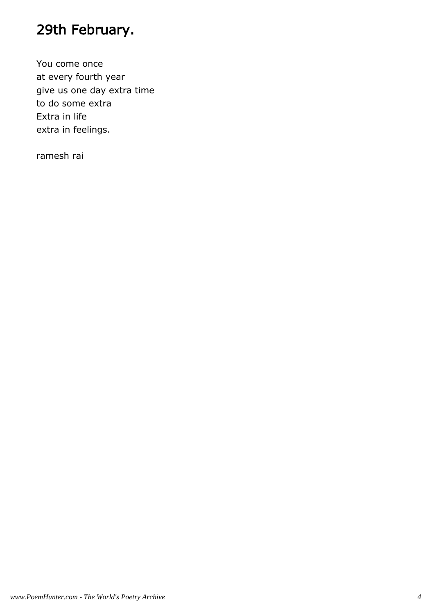# 29th February.

You come once at every fourth year give us one day extra time to do some extra Extra in life extra in feelings.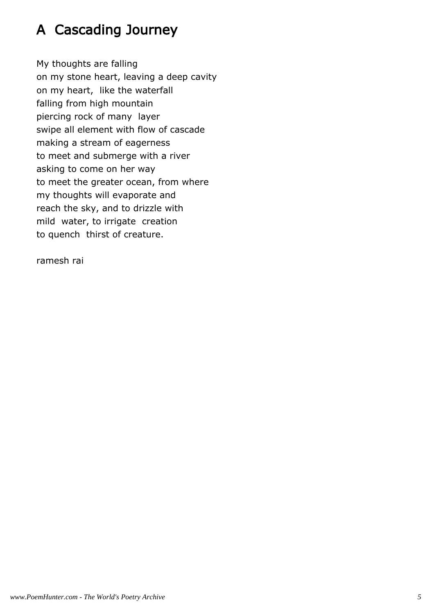# A Cascading Journey

My thoughts are falling on my stone heart, leaving a deep cavity on my heart, like the waterfall falling from high mountain piercing rock of many layer swipe all element with flow of cascade making a stream of eagerness to meet and submerge with a river asking to come on her way to meet the greater ocean, from where my thoughts will evaporate and reach the sky, and to drizzle with mild water, to irrigate creation to quench thirst of creature.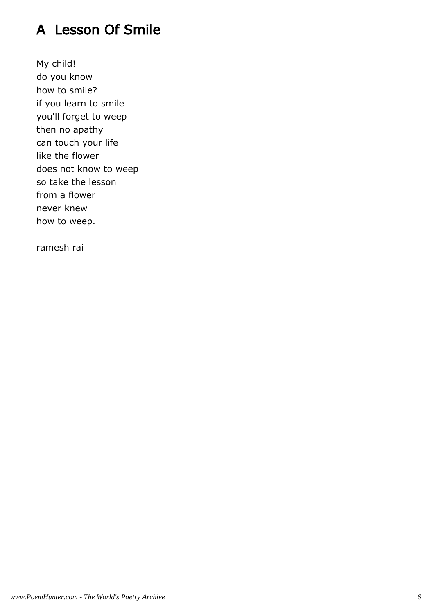# A Lesson Of Smile

My child! do you know how to smile? if you learn to smile you'll forget to weep then no apathy can touch your life like the flower does not know to weep so take the lesson from a flower never knew how to weep.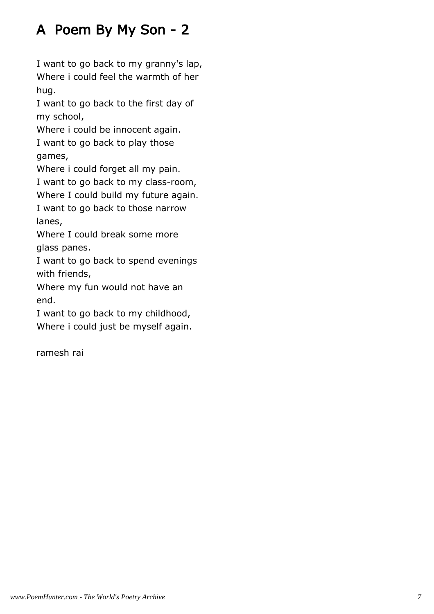# A Poem By My Son - 2

I want to go back to my granny's lap, Where i could feel the warmth of her hug.

I want to go back to the first day of my school,

Where i could be innocent again.

I want to go back to play those games,

Where i could forget all my pain.

I want to go back to my class-room,

Where I could build my future again.

I want to go back to those narrow lanes,

Where I could break some more glass panes.

I want to go back to spend evenings with friends,

Where my fun would not have an end.

I want to go back to my childhood, Where i could just be myself again.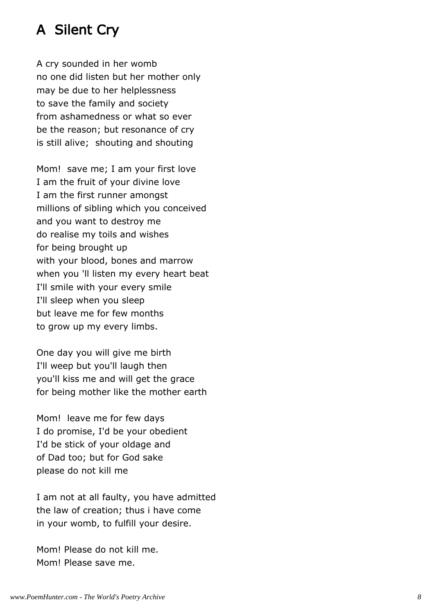#### A Silent Cry

A cry sounded in her womb no one did listen but her mother only may be due to her helplessness to save the family and society from ashamedness or what so ever be the reason; but resonance of cry is still alive; shouting and shouting

Mom! save me; I am your first love I am the fruit of your divine love I am the first runner amongst millions of sibling which you conceived and you want to destroy me do realise my toils and wishes for being brought up with your blood, bones and marrow when you 'll listen my every heart beat I'll smile with your every smile I'll sleep when you sleep but leave me for few months to grow up my every limbs.

One day you will give me birth I'll weep but you'll laugh then you'll kiss me and will get the grace for being mother like the mother earth

Mom! leave me for few days I do promise, I'd be your obedient I'd be stick of your oldage and of Dad too; but for God sake please do not kill me

I am not at all faulty, you have admitted the law of creation; thus i have come in your womb, to fulfill your desire.

Mom! Please do not kill me. Mom! Please save me.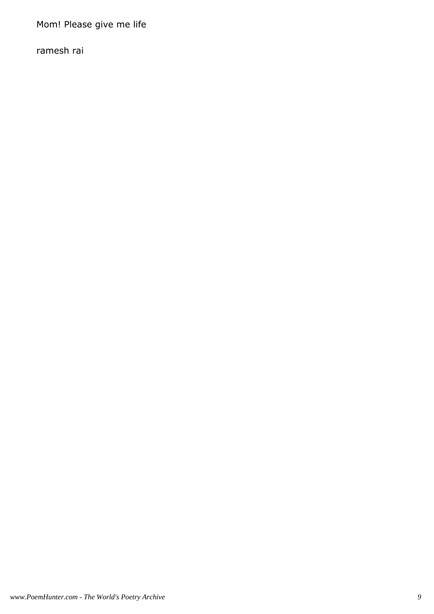Mom! Please give me life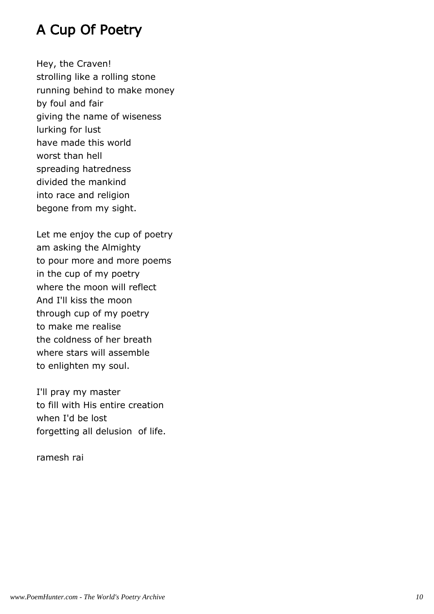## A Cup Of Poetry

Hey, the Craven! strolling like a rolling stone running behind to make money by foul and fair giving the name of wiseness lurking for lust have made this world worst than hell spreading hatredness divided the mankind into race and religion begone from my sight.

Let me enjoy the cup of poetry am asking the Almighty to pour more and more poems in the cup of my poetry where the moon will reflect And I'll kiss the moon through cup of my poetry to make me realise the coldness of her breath where stars will assemble to enlighten my soul.

I'll pray my master to fill with His entire creation when I'd be lost forgetting all delusion of life.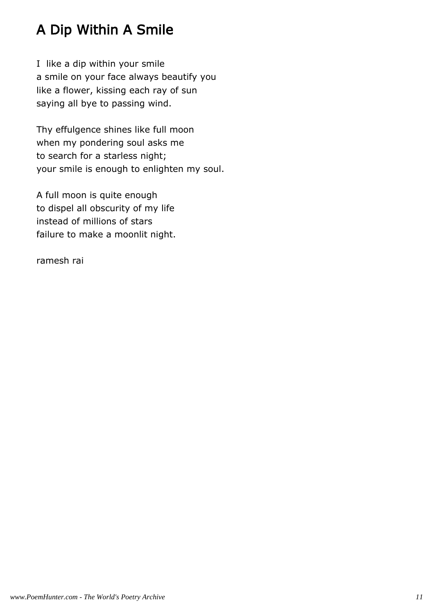# A Dip Within A Smile

I like a dip within your smile a smile on your face always beautify you like a flower, kissing each ray of sun saying all bye to passing wind.

Thy effulgence shines like full moon when my pondering soul asks me to search for a starless night; your smile is enough to enlighten my soul.

A full moon is quite enough to dispel all obscurity of my life instead of millions of stars failure to make a moonlit night.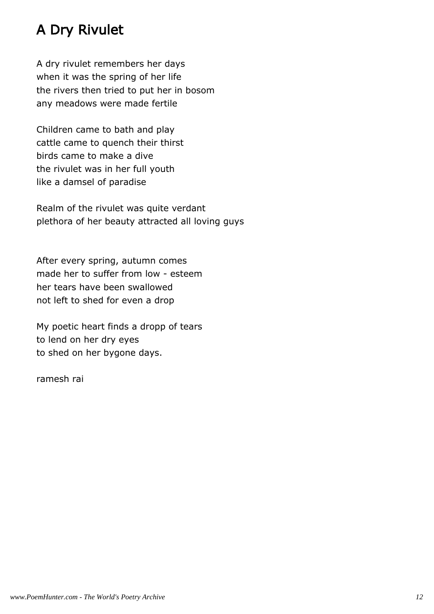# A Dry Rivulet

A dry rivulet remembers her days when it was the spring of her life the rivers then tried to put her in bosom any meadows were made fertile

Children came to bath and play cattle came to quench their thirst birds came to make a dive the rivulet was in her full youth like a damsel of paradise

Realm of the rivulet was quite verdant plethora of her beauty attracted all loving guys

After every spring, autumn comes made her to suffer from low - esteem her tears have been swallowed not left to shed for even a drop

My poetic heart finds a dropp of tears to lend on her dry eyes to shed on her bygone days.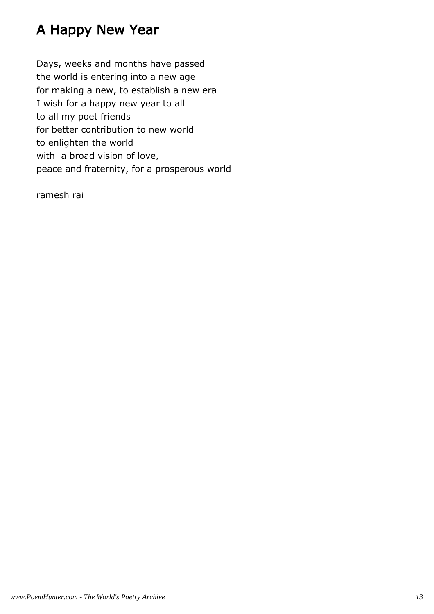# A Happy New Year

Days, weeks and months have passed the world is entering into a new age for making a new, to establish a new era I wish for a happy new year to all to all my poet friends for better contribution to new world to enlighten the world with a broad vision of love, peace and fraternity, for a prosperous world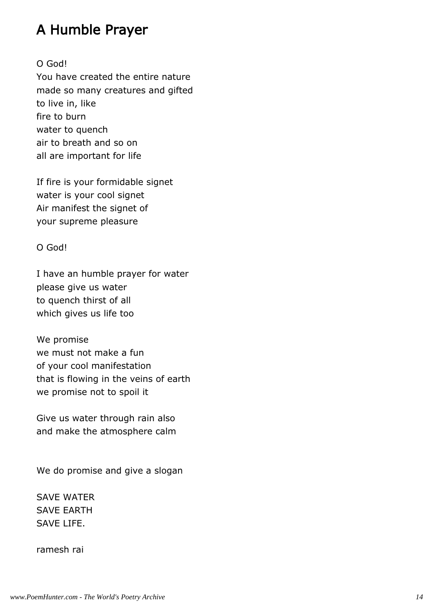# A Humble Prayer

#### O God!

You have created the entire nature made so many creatures and gifted to live in, like fire to burn water to quench air to breath and so on all are important for life

If fire is your formidable signet water is your cool signet Air manifest the signet of your supreme pleasure

#### O God!

I have an humble prayer for water please give us water to quench thirst of all which gives us life too

We promise we must not make a fun of your cool manifestation that is flowing in the veins of earth we promise not to spoil it

Give us water through rain also and make the atmosphere calm

We do promise and give a slogan

SAVE WATER SAVE EARTH SAVE LIFE.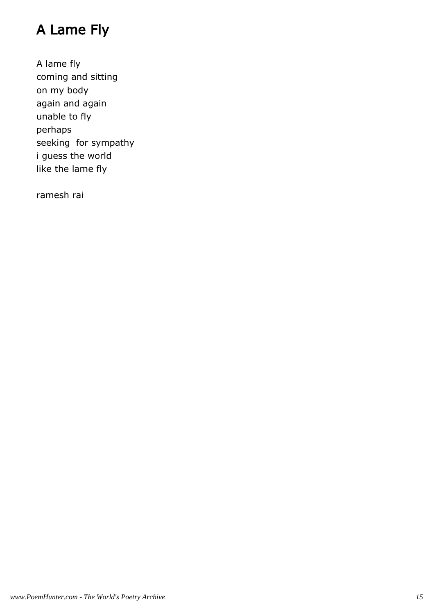# A Lame Fly

A lame fly coming and sitting on my body again and again unable to fly perhaps seeking for sympathy i guess the world like the lame fly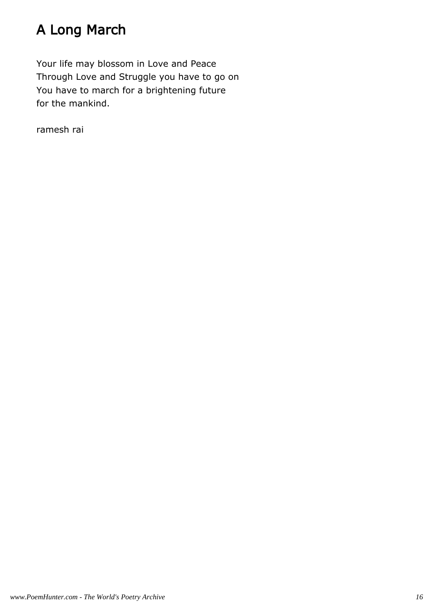# A Long March

Your life may blossom in Love and Peace Through Love and Struggle you have to go on You have to march for a brightening future for the mankind.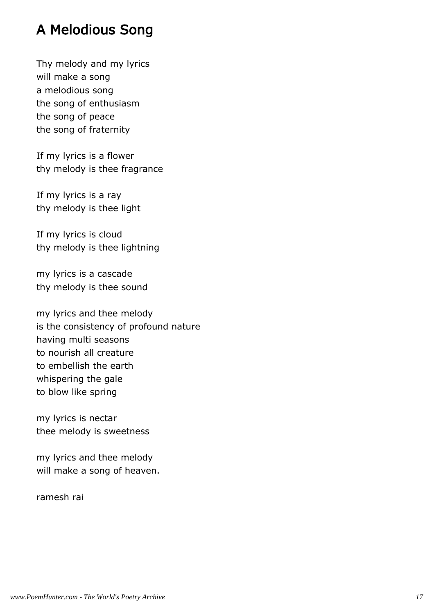#### A Melodious Song

Thy melody and my lyrics will make a song a melodious song the song of enthusiasm the song of peace the song of fraternity

If my lyrics is a flower thy melody is thee fragrance

If my lyrics is a ray thy melody is thee light

If my lyrics is cloud thy melody is thee lightning

my lyrics is a cascade thy melody is thee sound

my lyrics and thee melody is the consistency of profound nature having multi seasons to nourish all creature to embellish the earth whispering the gale to blow like spring

my lyrics is nectar thee melody is sweetness

my lyrics and thee melody will make a song of heaven.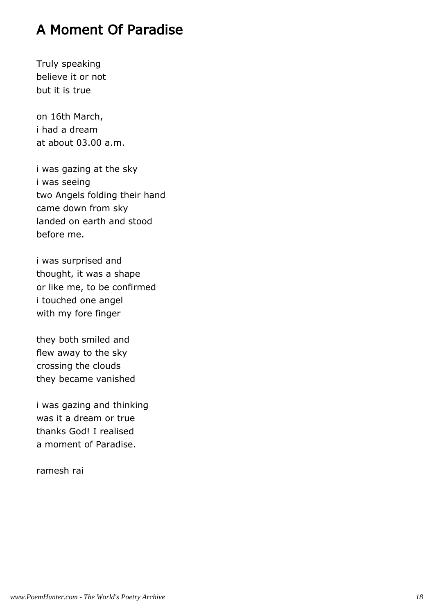## A Moment Of Paradise

Truly speaking believe it or not but it is true

on 16th March, i had a dream at about 03.00 a.m.

i was gazing at the sky i was seeing two Angels folding their hand came down from sky landed on earth and stood before me.

i was surprised and thought, it was a shape or like me, to be confirmed i touched one angel with my fore finger

they both smiled and flew away to the sky crossing the clouds they became vanished

i was gazing and thinking was it a dream or true thanks God! I realised a moment of Paradise.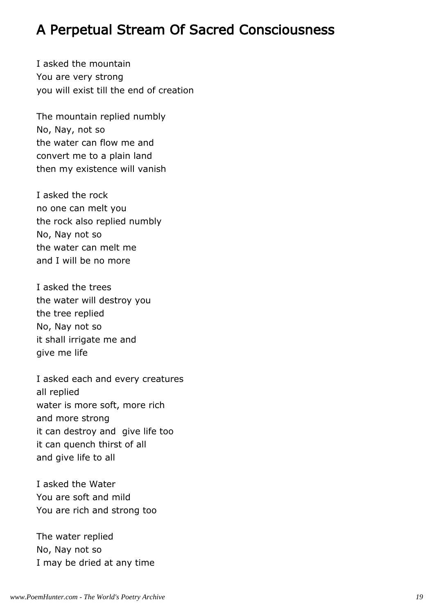#### A Perpetual Stream Of Sacred Consciousness

I asked the mountain You are very strong you will exist till the end of creation

The mountain replied numbly No, Nay, not so the water can flow me and convert me to a plain land then my existence will vanish

I asked the rock no one can melt you the rock also replied numbly No, Nay not so the water can melt me and I will be no more

I asked the trees the water will destroy you the tree replied No, Nay not so it shall irrigate me and give me life

I asked each and every creatures all replied water is more soft, more rich and more strong it can destroy and give life too it can quench thirst of all and give life to all

I asked the Water You are soft and mild You are rich and strong too

The water replied No, Nay not so I may be dried at any time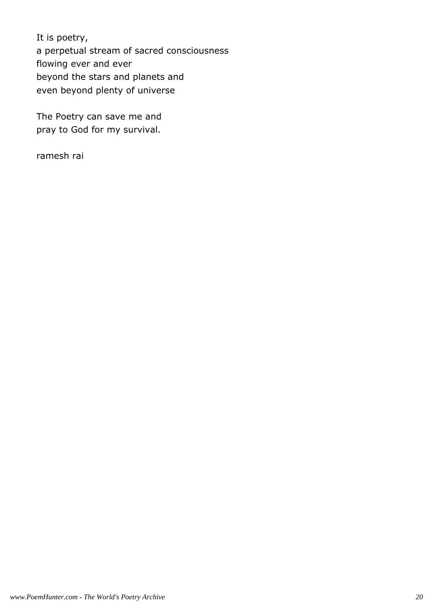It is poetry, a perpetual stream of sacred consciousness flowing ever and ever beyond the stars and planets and even beyond plenty of universe

The Poetry can save me and pray to God for my survival.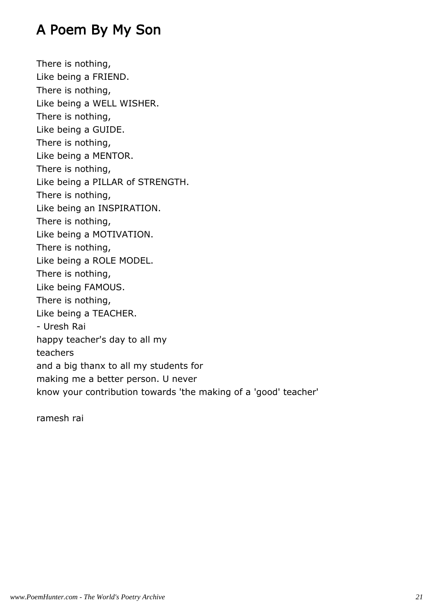## A Poem By My Son

There is nothing, Like being a FRIEND. There is nothing, Like being a WELL WISHER. There is nothing, Like being a GUIDE. There is nothing, Like being a MENTOR. There is nothing, Like being a PILLAR of STRENGTH. There is nothing, Like being an INSPIRATION. There is nothing, Like being a MOTIVATION. There is nothing, Like being a ROLE MODEL. There is nothing, Like being FAMOUS. There is nothing, Like being a TEACHER. - Uresh Rai happy teacher's day to all my teachers and a big thanx to all my students for making me a better person. U never know your contribution towards 'the making of a 'good' teacher'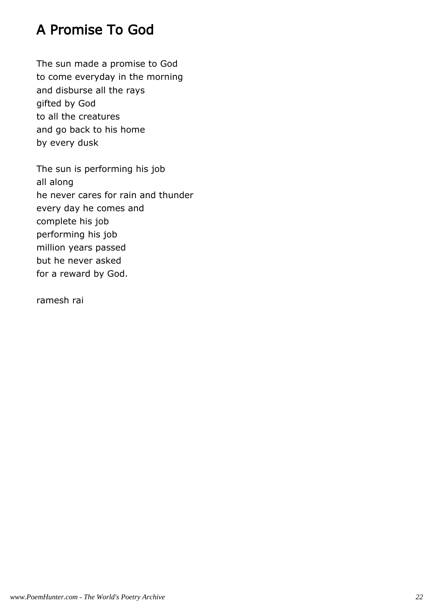# A Promise To God

The sun made a promise to God to come everyday in the morning and disburse all the rays gifted by God to all the creatures and go back to his home by every dusk

The sun is performing his job all along he never cares for rain and thunder every day he comes and complete his job performing his job million years passed but he never asked for a reward by God.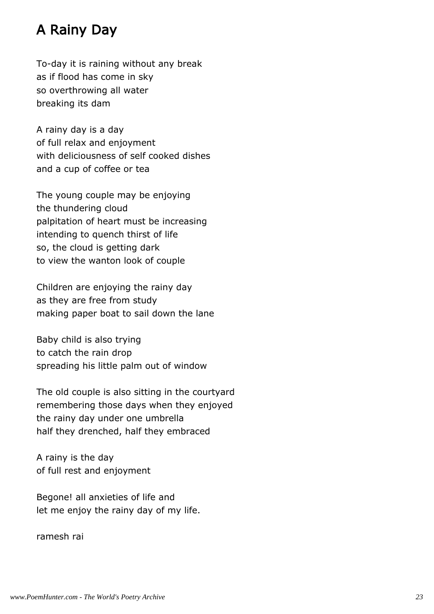# A Rainy Day

To-day it is raining without any break as if flood has come in sky so overthrowing all water breaking its dam

A rainy day is a day of full relax and enjoyment with deliciousness of self cooked dishes and a cup of coffee or tea

The young couple may be enjoying the thundering cloud palpitation of heart must be increasing intending to quench thirst of life so, the cloud is getting dark to view the wanton look of couple

Children are enjoying the rainy day as they are free from study making paper boat to sail down the lane

Baby child is also trying to catch the rain drop spreading his little palm out of window

The old couple is also sitting in the courtyard remembering those days when they enjoyed the rainy day under one umbrella half they drenched, half they embraced

A rainy is the day of full rest and enjoyment

Begone! all anxieties of life and let me enjoy the rainy day of my life.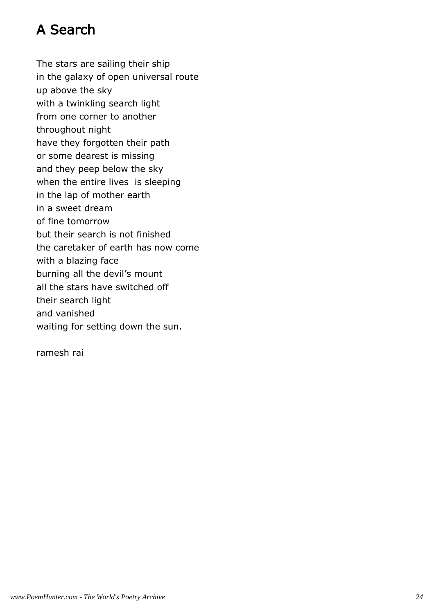# A Search

The stars are sailing their ship in the galaxy of open universal route up above the sky with a twinkling search light from one corner to another throughout night have they forgotten their path or some dearest is missing and they peep below the sky when the entire lives is sleeping in the lap of mother earth in a sweet dream of fine tomorrow but their search is not finished the caretaker of earth has now come with a blazing face burning all the devil's mount all the stars have switched off their search light and vanished waiting for setting down the sun.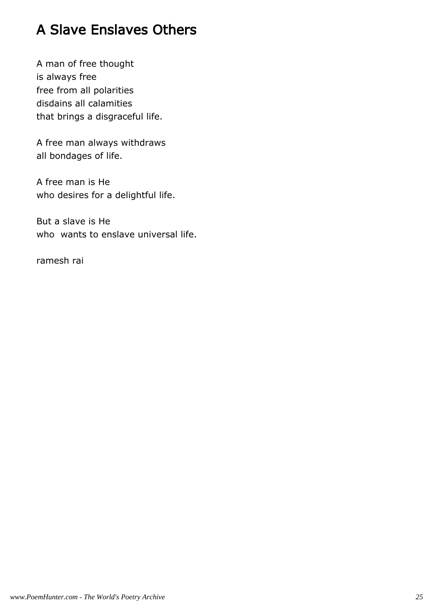# A Slave Enslaves Others

A man of free thought is always free free from all polarities disdains all calamities that brings a disgraceful life.

A free man always withdraws all bondages of life.

A free man is He who desires for a delightful life.

But a slave is He who wants to enslave universal life.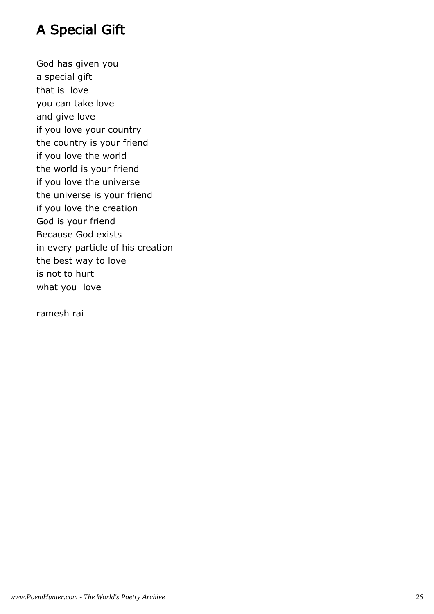# A Special Gift

God has given you a special gift that is love you can take love and give love if you love your country the country is your friend if you love the world the world is your friend if you love the universe the universe is your friend if you love the creation God is your friend Because God exists in every particle of his creation the best way to love is not to hurt what you love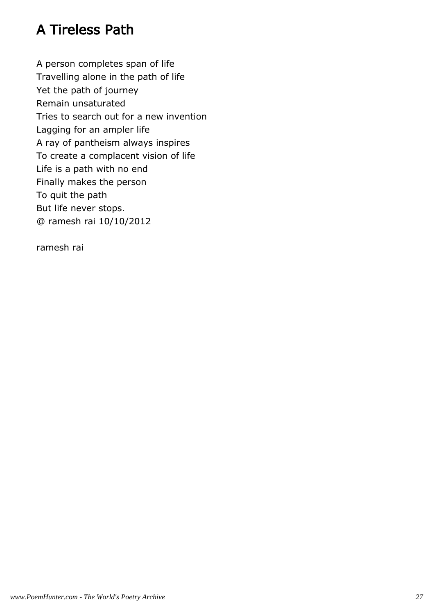# A Tireless Path

A person completes span of life Travelling alone in the path of life Yet the path of journey Remain unsaturated Tries to search out for a new invention Lagging for an ampler life A ray of pantheism always inspires To create a complacent vision of life Life is a path with no end Finally makes the person To quit the path But life never stops. @ ramesh rai 10/10/2012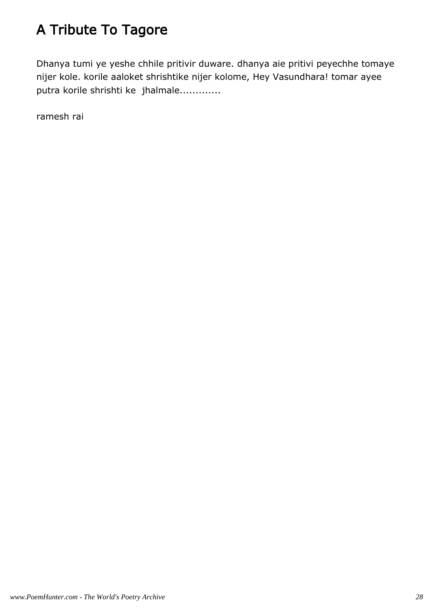# A Tribute To Tagore

Dhanya tumi ye yeshe chhile pritivir duware. dhanya aie pritivi peyechhe tomaye nijer kole. korile aaloket shrishtike nijer kolome, Hey Vasundhara! tomar ayee putra korile shrishti ke jhalmale.............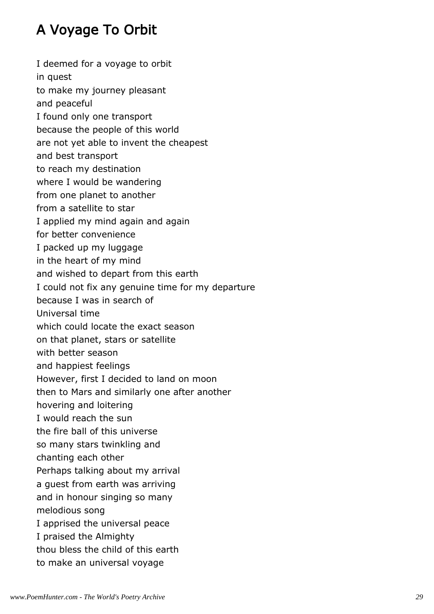# A Voyage To Orbit

I deemed for a voyage to orbit in quest to make my journey pleasant and peaceful I found only one transport because the people of this world are not yet able to invent the cheapest and best transport to reach my destination where I would be wandering from one planet to another from a satellite to star I applied my mind again and again for better convenience I packed up my luggage in the heart of my mind and wished to depart from this earth I could not fix any genuine time for my departure because I was in search of Universal time which could locate the exact season on that planet, stars or satellite with better season and happiest feelings However, first I decided to land on moon then to Mars and similarly one after another hovering and loitering I would reach the sun the fire ball of this universe so many stars twinkling and chanting each other Perhaps talking about my arrival a guest from earth was arriving and in honour singing so many melodious song I apprised the universal peace I praised the Almighty thou bless the child of this earth to make an universal voyage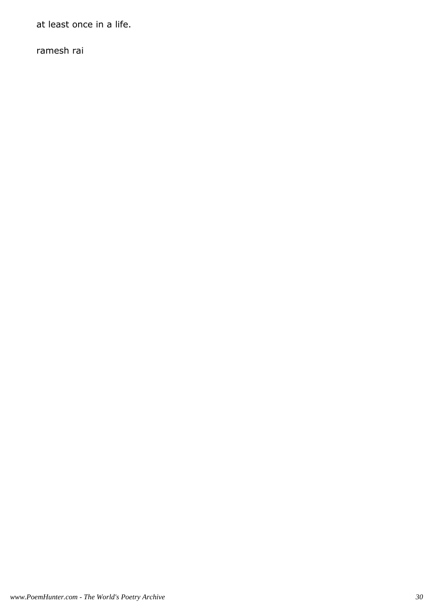at least once in a life.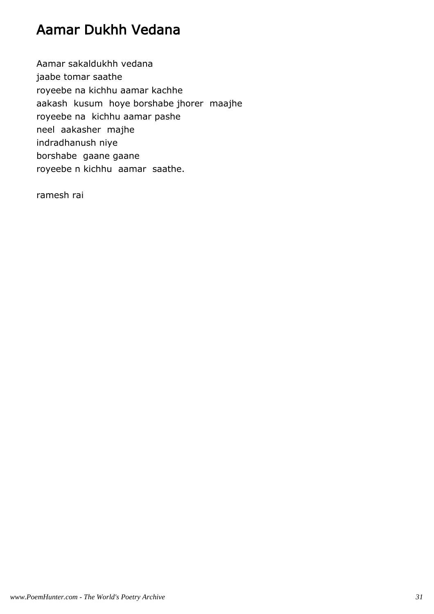### Aamar Dukhh Vedana

Aamar sakaldukhh vedana jaabe tomar saathe royeebe na kichhu aamar kachhe aakash kusum hoye borshabe jhorer maajhe royeebe na kichhu aamar pashe neel aakasher majhe indradhanush niye borshabe gaane gaane royeebe n kichhu aamar saathe.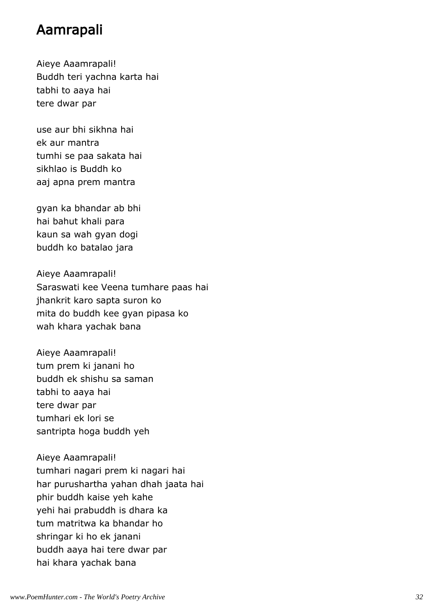#### Aamrapali

Aieye Aaamrapali! Buddh teri yachna karta hai tabhi to aaya hai tere dwar par

use aur bhi sikhna hai ek aur mantra tumhi se paa sakata hai sikhlao is Buddh ko aaj apna prem mantra

gyan ka bhandar ab bhi hai bahut khali para kaun sa wah gyan dogi buddh ko batalao jara

Aieye Aaamrapali! Saraswati kee Veena tumhare paas hai jhankrit karo sapta suron ko mita do buddh kee gyan pipasa ko wah khara yachak bana

Aieye Aaamrapali! tum prem ki janani ho buddh ek shishu sa saman tabhi to aaya hai tere dwar par tumhari ek lori se santripta hoga buddh yeh

Aieye Aaamrapali! tumhari nagari prem ki nagari hai har purushartha yahan dhah jaata hai phir buddh kaise yeh kahe yehi hai prabuddh is dhara ka tum matritwa ka bhandar ho shringar ki ho ek janani buddh aaya hai tere dwar par hai khara yachak bana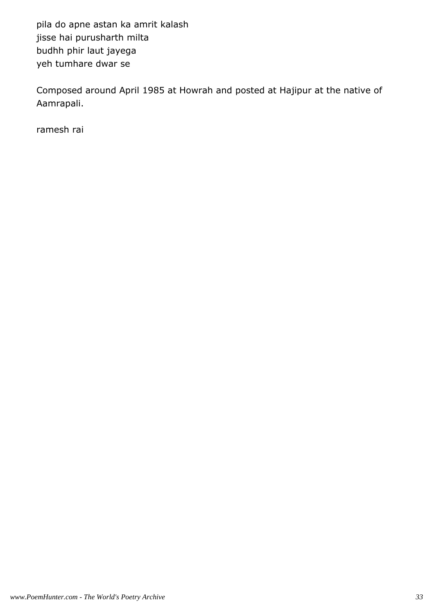pila do apne astan ka amrit kalash jisse hai purusharth milta budhh phir laut jayega yeh tumhare dwar se

Composed around April 1985 at Howrah and posted at Hajipur at the native of Aamrapali.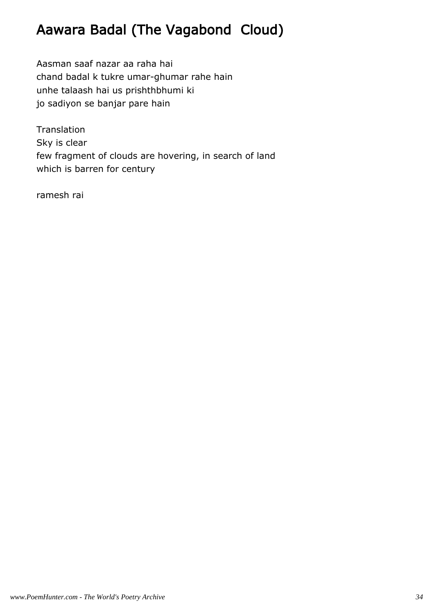# Aawara Badal (The Vagabond Cloud)

Aasman saaf nazar aa raha hai chand badal k tukre umar-ghumar rahe hain unhe talaash hai us prishthbhumi ki jo sadiyon se banjar pare hain

**Translation** Sky is clear few fragment of clouds are hovering, in search of land which is barren for century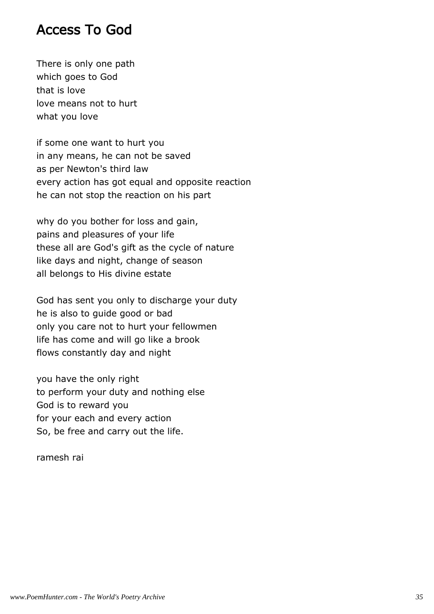#### Access To God

There is only one path which goes to God that is love love means not to hurt what you love

if some one want to hurt you in any means, he can not be saved as per Newton's third law every action has got equal and opposite reaction he can not stop the reaction on his part

why do you bother for loss and gain, pains and pleasures of your life these all are God's gift as the cycle of nature like days and night, change of season all belongs to His divine estate

God has sent you only to discharge your duty he is also to guide good or bad only you care not to hurt your fellowmen life has come and will go like a brook flows constantly day and night

you have the only right to perform your duty and nothing else God is to reward you for your each and every action So, be free and carry out the life.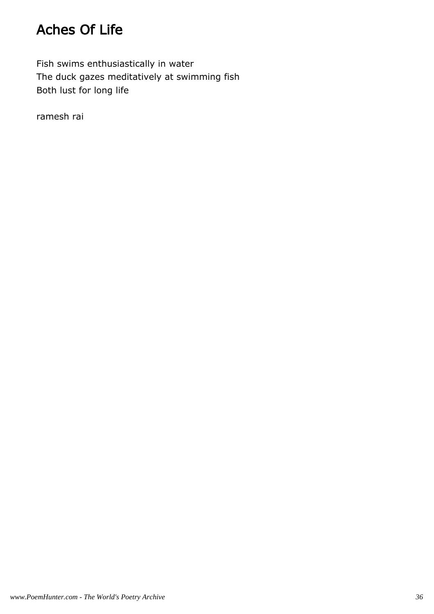# Aches Of Life

Fish swims enthusiastically in water The duck gazes meditatively at swimming fish Both lust for long life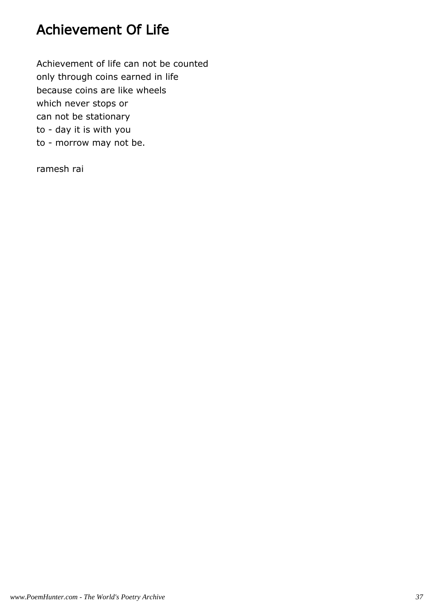# Achievement Of Life

Achievement of life can not be counted only through coins earned in life because coins are like wheels which never stops or can not be stationary to - day it is with you to - morrow may not be.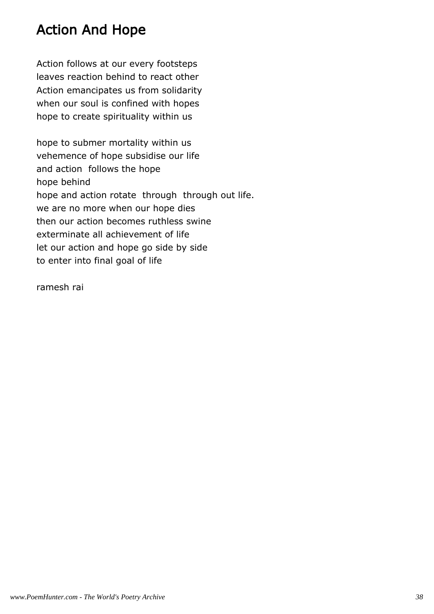# Action And Hope

Action follows at our every footsteps leaves reaction behind to react other Action emancipates us from solidarity when our soul is confined with hopes hope to create spirituality within us

hope to submer mortality within us vehemence of hope subsidise our life and action follows the hope hope behind hope and action rotate through through out life. we are no more when our hope dies then our action becomes ruthless swine exterminate all achievement of life let our action and hope go side by side to enter into final goal of life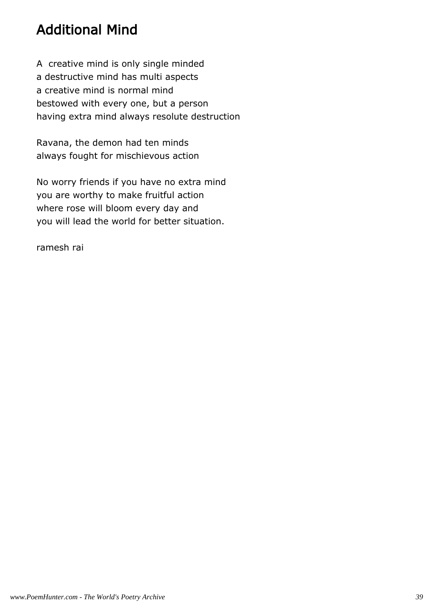# Additional Mind

A creative mind is only single minded a destructive mind has multi aspects a creative mind is normal mind bestowed with every one, but a person having extra mind always resolute destruction

Ravana, the demon had ten minds always fought for mischievous action

No worry friends if you have no extra mind you are worthy to make fruitful action where rose will bloom every day and you will lead the world for better situation.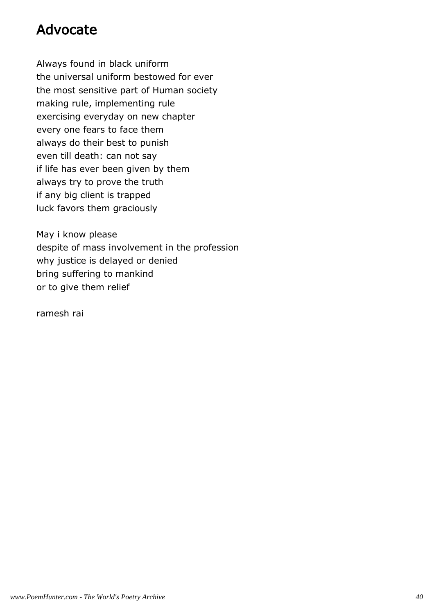### Advocate

Always found in black uniform the universal uniform bestowed for ever the most sensitive part of Human society making rule, implementing rule exercising everyday on new chapter every one fears to face them always do their best to punish even till death: can not say if life has ever been given by them always try to prove the truth if any big client is trapped luck favors them graciously

May i know please despite of mass involvement in the profession why justice is delayed or denied bring suffering to mankind or to give them relief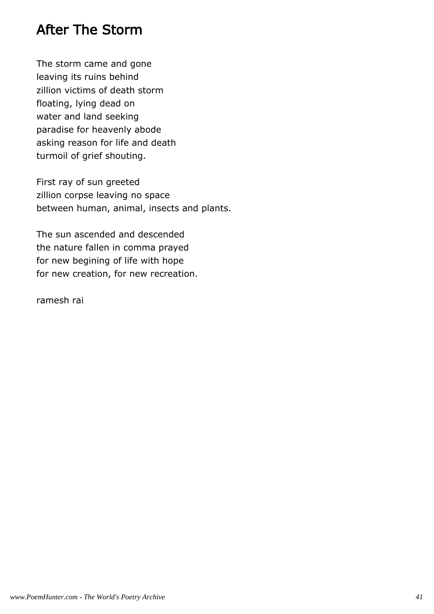### After The Storm

The storm came and gone leaving its ruins behind zillion victims of death storm floating, lying dead on water and land seeking paradise for heavenly abode asking reason for life and death turmoil of grief shouting.

First ray of sun greeted zillion corpse leaving no space between human, animal, insects and plants.

The sun ascended and descended the nature fallen in comma prayed for new begining of life with hope for new creation, for new recreation.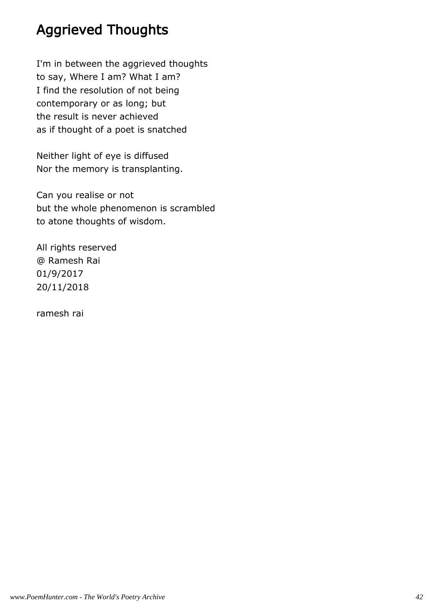# Aggrieved Thoughts

I'm in between the aggrieved thoughts to say, Where I am? What I am? I find the resolution of not being contemporary or as long; but the result is never achieved as if thought of a poet is snatched

Neither light of eye is diffused Nor the memory is transplanting.

Can you realise or not but the whole phenomenon is scrambled to atone thoughts of wisdom.

All rights reserved @ Ramesh Rai 01/9/2017 20/11/2018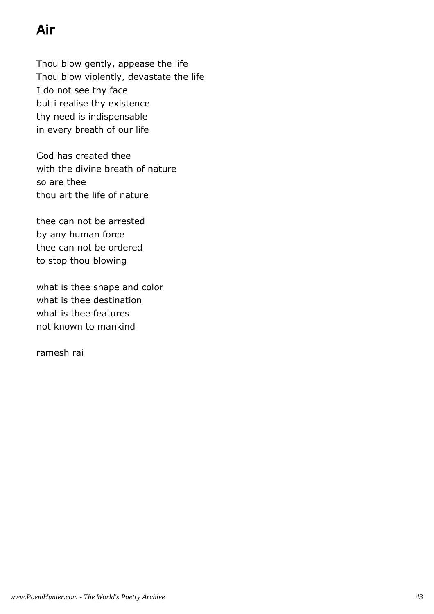# Air

Thou blow gently, appease the life Thou blow violently, devastate the life I do not see thy face but i realise thy existence thy need is indispensable in every breath of our life

God has created thee with the divine breath of nature so are thee thou art the life of nature

thee can not be arrested by any human force thee can not be ordered to stop thou blowing

what is thee shape and color what is thee destination what is thee features not known to mankind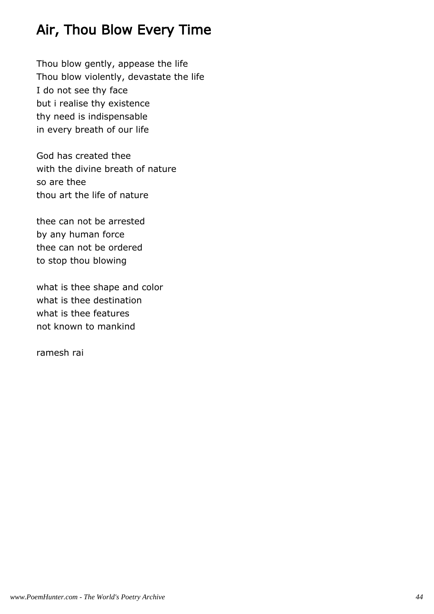# Air, Thou Blow Every Time

Thou blow gently, appease the life Thou blow violently, devastate the life I do not see thy face but i realise thy existence thy need is indispensable in every breath of our life

God has created thee with the divine breath of nature so are thee thou art the life of nature

thee can not be arrested by any human force thee can not be ordered to stop thou blowing

what is thee shape and color what is thee destination what is thee features not known to mankind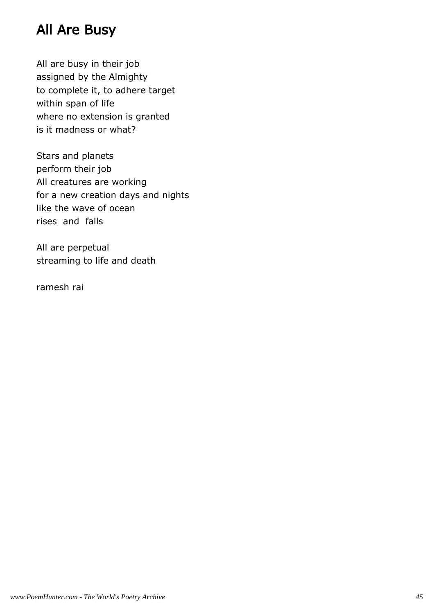# All Are Busy

All are busy in their job assigned by the Almighty to complete it, to adhere target within span of life where no extension is granted is it madness or what?

Stars and planets perform their job All creatures are working for a new creation days and nights like the wave of ocean rises and falls

All are perpetual streaming to life and death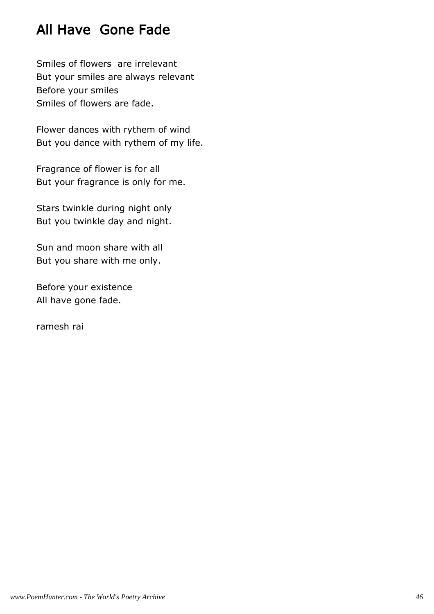# All Have Gone Fade

Smiles of flowers are irrelevant But your smiles are always relevant Before your smiles Smiles of flowers are fade.

Flower dances with rythem of wind But you dance with rythem of my life.

Fragrance of flower is for all But your fragrance is only for me.

Stars twinkle during night only But you twinkle day and night.

Sun and moon share with all But you share with me only.

Before your existence All have gone fade.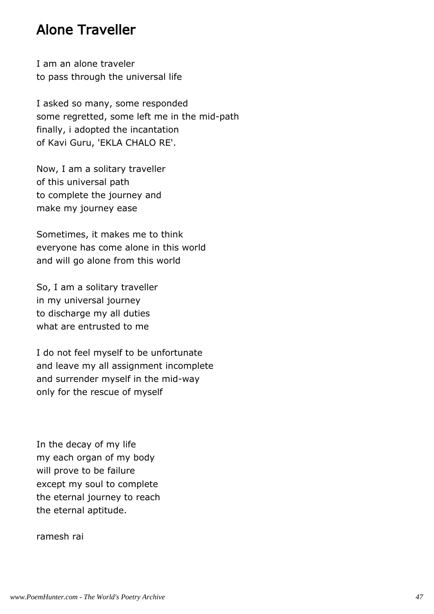#### Alone Traveller

I am an alone traveler to pass through the universal life

I asked so many, some responded some regretted, some left me in the mid-path finally, i adopted the incantation of Kavi Guru, 'EKLA CHALO RE'.

Now, I am a solitary traveller of this universal path to complete the journey and make my journey ease

Sometimes, it makes me to think everyone has come alone in this world and will go alone from this world

So, I am a solitary traveller in my universal journey to discharge my all duties what are entrusted to me

I do not feel myself to be unfortunate and leave my all assignment incomplete and surrender myself in the mid-way only for the rescue of myself

In the decay of my life my each organ of my body will prove to be failure except my soul to complete the eternal journey to reach the eternal aptitude.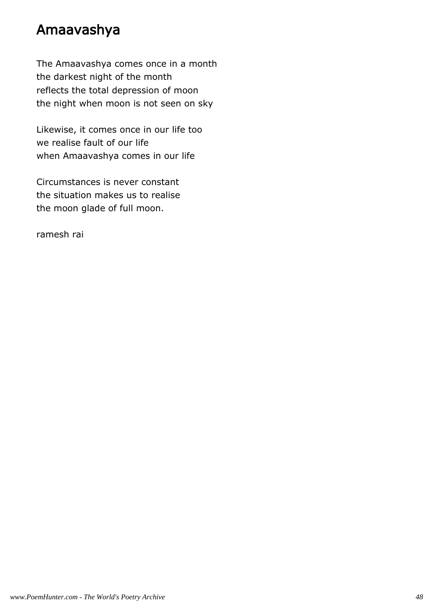### Amaavashya

The Amaavashya comes once in a month the darkest night of the month reflects the total depression of moon the night when moon is not seen on sky

Likewise, it comes once in our life too we realise fault of our life when Amaavashya comes in our life

Circumstances is never constant the situation makes us to realise the moon glade of full moon.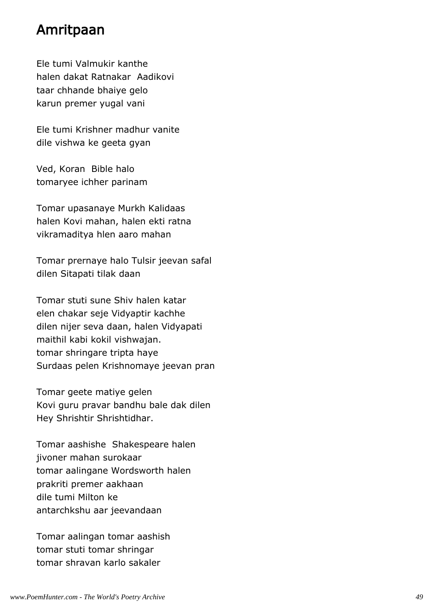#### Amritpaan

Ele tumi Valmukir kanthe halen dakat Ratnakar Aadikovi taar chhande bhaiye gelo karun premer yugal vani

Ele tumi Krishner madhur vanite dile vishwa ke geeta gyan

Ved, Koran Bible halo tomaryee ichher parinam

Tomar upasanaye Murkh Kalidaas halen Kovi mahan, halen ekti ratna vikramaditya hlen aaro mahan

Tomar prernaye halo Tulsir jeevan safal dilen Sitapati tilak daan

Tomar stuti sune Shiv halen katar elen chakar seje Vidyaptir kachhe dilen nijer seva daan, halen Vidyapati maithil kabi kokil vishwajan. tomar shringare tripta haye Surdaas pelen Krishnomaye jeevan pran

Tomar geete matiye gelen Kovi guru pravar bandhu bale dak dilen Hey Shrishtir Shrishtidhar.

Tomar aashishe Shakespeare halen jivoner mahan surokaar tomar aalingane Wordsworth halen prakriti premer aakhaan dile tumi Milton ke antarchkshu aar jeevandaan

Tomar aalingan tomar aashish tomar stuti tomar shringar tomar shravan karlo sakaler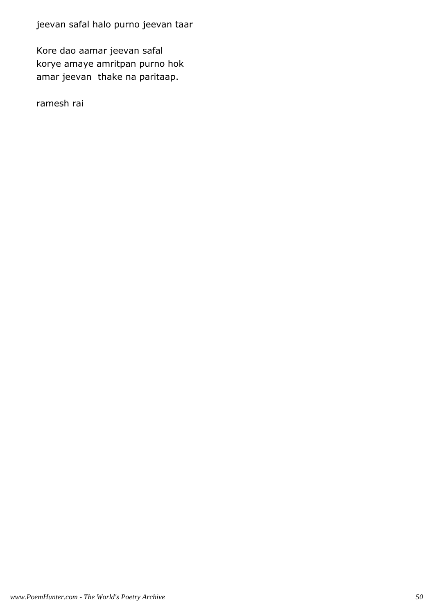jeevan safal halo purno jeevan taar

Kore dao aamar jeevan safal korye amaye amritpan purno hok amar jeevan thake na paritaap.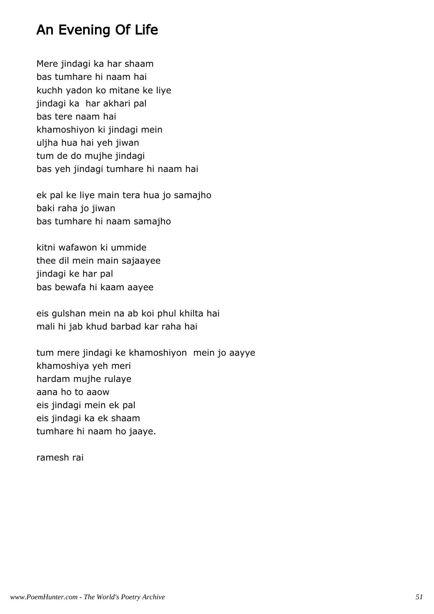# An Evening Of Life

Mere jindagi ka har shaam bas tumhare hi naam hai kuchh yadon ko mitane ke liye jindagi ka har akhari pal bas tere naam hai khamoshiyon ki jindagi mein uljha hua hai yeh jiwan tum de do mujhe jindagi bas yeh jindagi tumhare hi naam hai

ek pal ke liye main tera hua jo samajho baki raha jo jiwan bas tumhare hi naam samajho

kitni wafawon ki ummide thee dil mein main sajaayee jindagi ke har pal bas bewafa hi kaam aayee

eis gulshan mein na ab koi phul khilta hai mali hi jab khud barbad kar raha hai

tum mere jindagi ke khamoshiyon mein jo aayye khamoshiya yeh meri hardam mujhe rulaye aana ho to aaow eis jindagi mein ek pal eis jindagi ka ek shaam tumhare hi naam ho jaaye.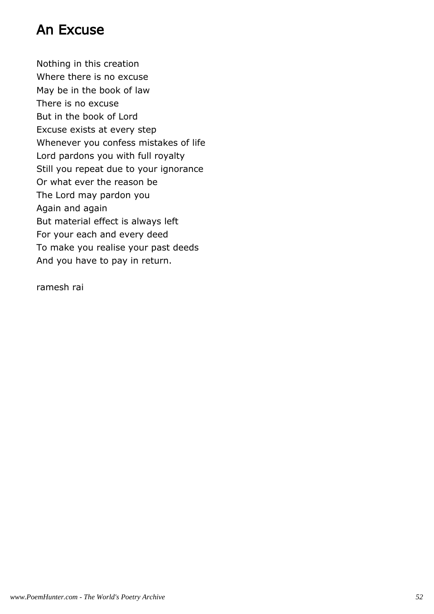#### An Excuse

Nothing in this creation Where there is no excuse May be in the book of law There is no excuse But in the book of Lord Excuse exists at every step Whenever you confess mistakes of life Lord pardons you with full royalty Still you repeat due to your ignorance Or what ever the reason be The Lord may pardon you Again and again But material effect is always left For your each and every deed To make you realise your past deeds And you have to pay in return.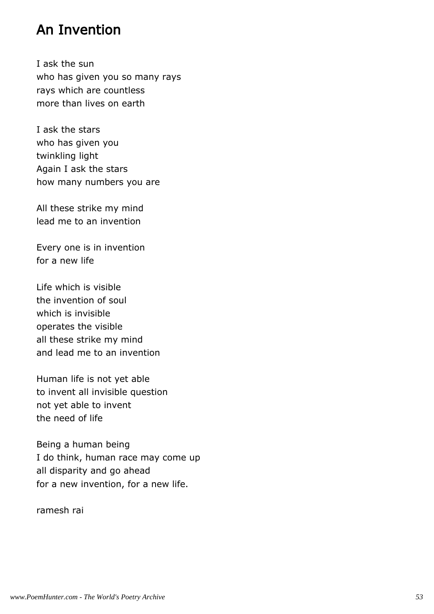#### An Invention

I ask the sun who has given you so many rays rays which are countless more than lives on earth

I ask the stars who has given you twinkling light Again I ask the stars how many numbers you are

All these strike my mind lead me to an invention

Every one is in invention for a new life

Life which is visible the invention of soul which is invisible operates the visible all these strike my mind and lead me to an invention

Human life is not yet able to invent all invisible question not yet able to invent the need of life

Being a human being I do think, human race may come up all disparity and go ahead for a new invention, for a new life.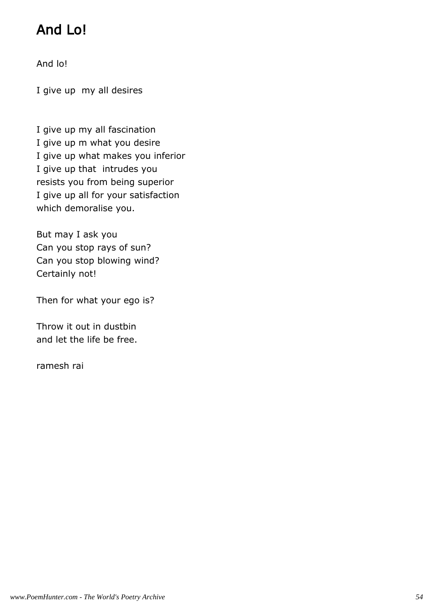# And Lo!

#### And lo!

I give up my all desires

I give up my all fascination I give up m what you desire I give up what makes you inferior I give up that intrudes you resists you from being superior I give up all for your satisfaction which demoralise you.

But may I ask you Can you stop rays of sun? Can you stop blowing wind? Certainly not!

Then for what your ego is?

Throw it out in dustbin and let the life be free.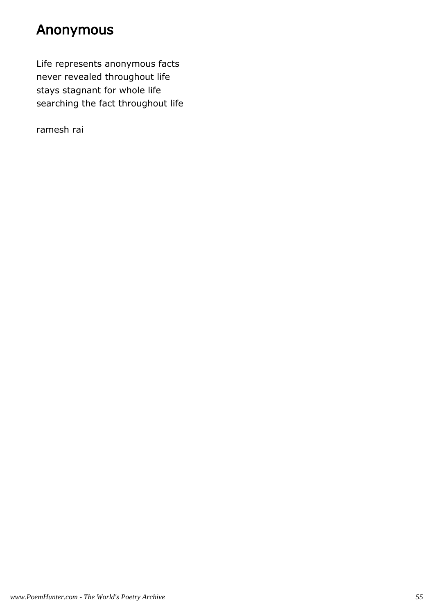#### Anonymous

Life represents anonymous facts never revealed throughout life stays stagnant for whole life searching the fact throughout life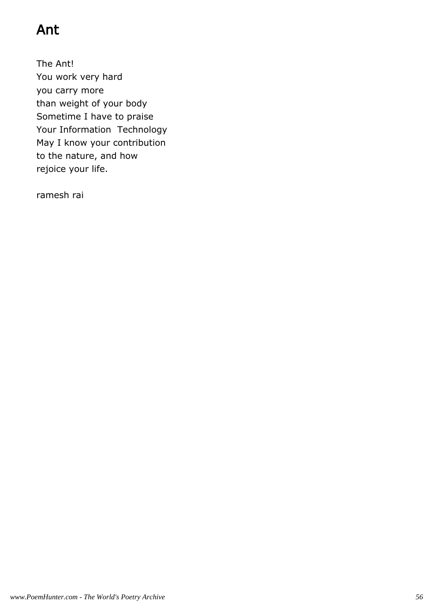# Ant

The Ant! You work very hard you carry more than weight of your body Sometime I have to praise Your Information Technology May I know your contribution to the nature, and how rejoice your life.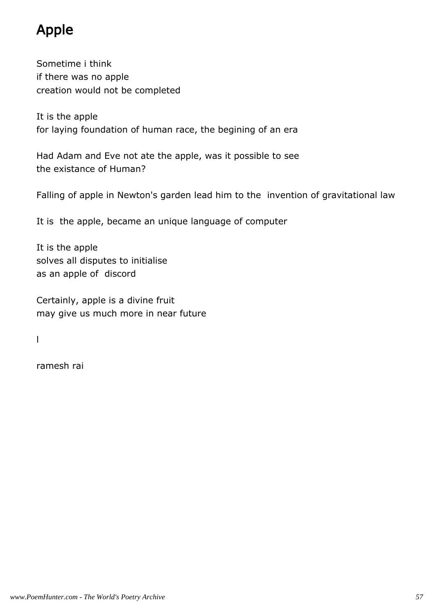# Apple

Sometime i think if there was no apple creation would not be completed

It is the apple for laying foundation of human race, the begining of an era

Had Adam and Eve not ate the apple, was it possible to see the existance of Human?

Falling of apple in Newton's garden lead him to the invention of gravitational law

It is the apple, became an unique language of computer

It is the apple solves all disputes to initialise as an apple of discord

Certainly, apple is a divine fruit may give us much more in near future

l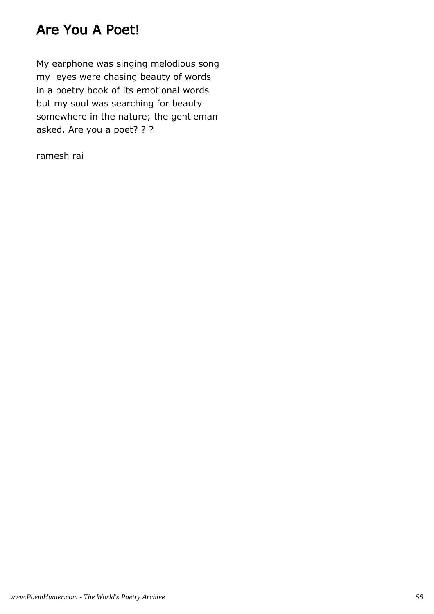### Are You A Poet!

My earphone was singing melodious song my eyes were chasing beauty of words in a poetry book of its emotional words but my soul was searching for beauty somewhere in the nature; the gentleman asked. Are you a poet? ? ?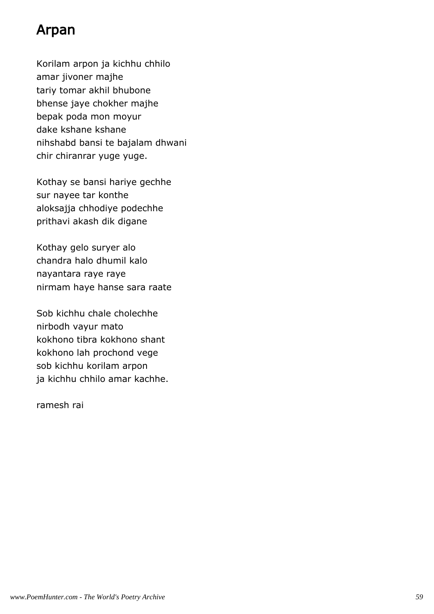### Arpan

Korilam arpon ja kichhu chhilo amar jivoner majhe tariy tomar akhil bhubone bhense jaye chokher majhe bepak poda mon moyur dake kshane kshane nihshabd bansi te bajalam dhwani chir chiranrar yuge yuge.

Kothay se bansi hariye gechhe sur nayee tar konthe aloksajja chhodiye podechhe prithavi akash dik digane

Kothay gelo suryer alo chandra halo dhumil kalo nayantara raye raye nirmam haye hanse sara raate

Sob kichhu chale cholechhe nirbodh vayur mato kokhono tibra kokhono shant kokhono lah prochond vege sob kichhu korilam arpon ja kichhu chhilo amar kachhe.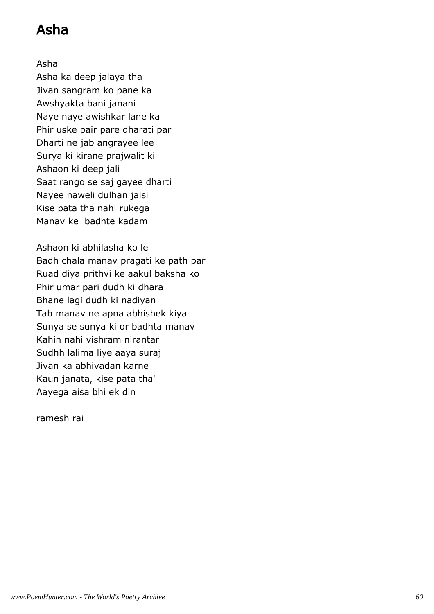### Asha

Asha

Asha ka deep jalaya tha Jivan sangram ko pane ka Awshyakta bani janani Naye naye awishkar lane ka Phir uske pair pare dharati par Dharti ne jab angrayee lee Surya ki kirane prajwalit ki Ashaon ki deep jali Saat rango se saj gayee dharti Nayee naweli dulhan jaisi Kise pata tha nahi rukega Manav ke badhte kadam

Ashaon ki abhilasha ko le Badh chala manav pragati ke path par Ruad diya prithvi ke aakul baksha ko Phir umar pari dudh ki dhara Bhane lagi dudh ki nadiyan Tab manav ne apna abhishek kiya Sunya se sunya ki or badhta manav Kahin nahi vishram nirantar Sudhh lalima liye aaya suraj Jivan ka abhivadan karne Kaun janata, kise pata tha' Aayega aisa bhi ek din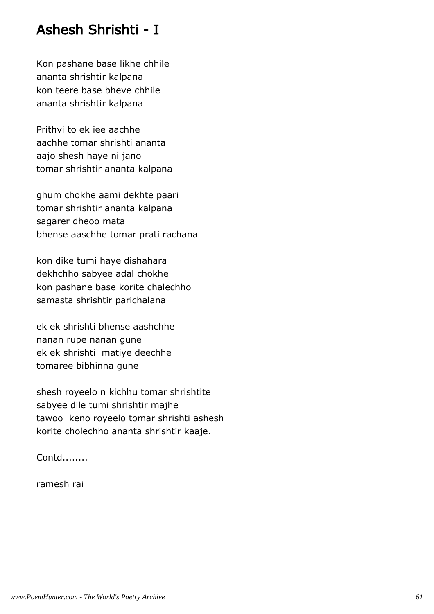#### Ashesh Shrishti - I

Kon pashane base likhe chhile ananta shrishtir kalpana kon teere base bheve chhile ananta shrishtir kalpana

Prithvi to ek iee aachhe aachhe tomar shrishti ananta aajo shesh haye ni jano tomar shrishtir ananta kalpana

ghum chokhe aami dekhte paari tomar shrishtir ananta kalpana sagarer dheoo mata bhense aaschhe tomar prati rachana

kon dike tumi haye dishahara dekhchho sabyee adal chokhe kon pashane base korite chalechho samasta shrishtir parichalana

ek ek shrishti bhense aashchhe nanan rupe nanan gune ek ek shrishti matiye deechhe tomaree bibhinna gune

shesh royeelo n kichhu tomar shrishtite sabyee dile tumi shrishtir majhe tawoo keno royeelo tomar shrishti ashesh korite cholechho ananta shrishtir kaaje.

Contd........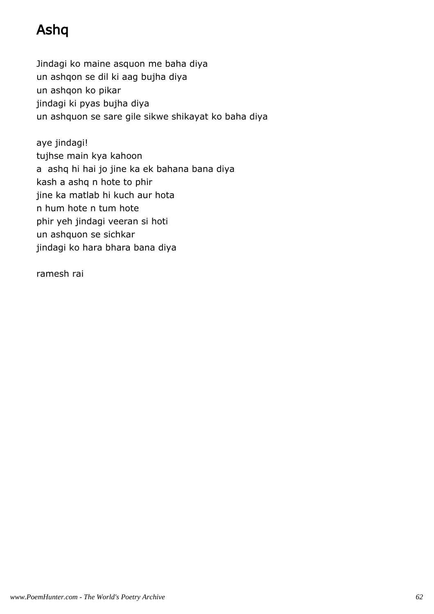# Ashq

Jindagi ko maine asquon me baha diya un ashqon se dil ki aag bujha diya un ashqon ko pikar jindagi ki pyas bujha diya un ashquon se sare gile sikwe shikayat ko baha diya

aye jindagi! tujhse main kya kahoon a ashq hi hai jo jine ka ek bahana bana diya kash a ashq n hote to phir jine ka matlab hi kuch aur hota n hum hote n tum hote phir yeh jindagi veeran si hoti un ashquon se sichkar jindagi ko hara bhara bana diya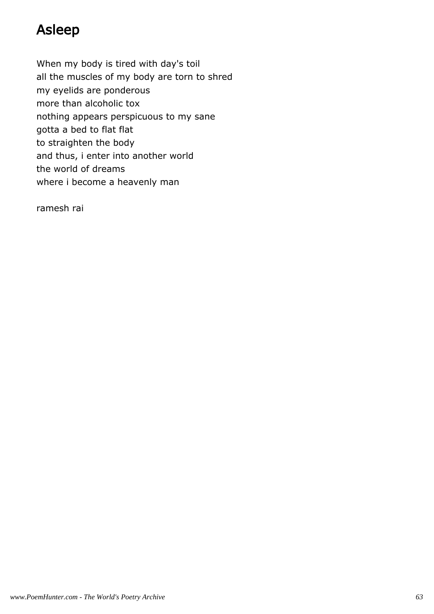# Asleep

When my body is tired with day's toil all the muscles of my body are torn to shred my eyelids are ponderous more than alcoholic tox nothing appears perspicuous to my sane gotta a bed to flat flat to straighten the body and thus, i enter into another world the world of dreams where i become a heavenly man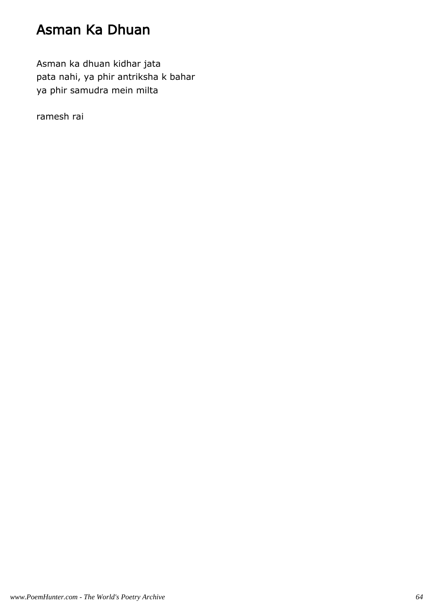# Asman Ka Dhuan

Asman ka dhuan kidhar jata pata nahi, ya phir antriksha k bahar ya phir samudra mein milta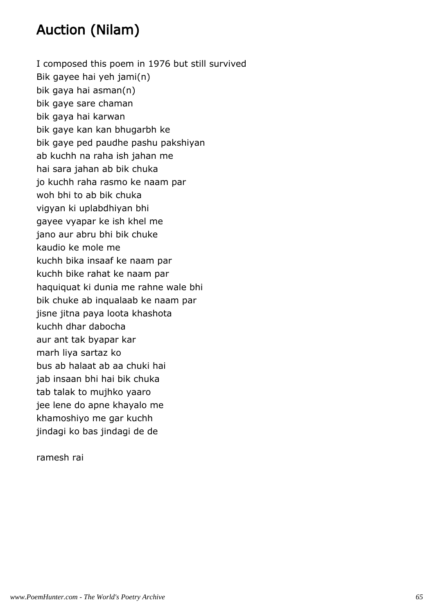# Auction (Nilam)

I composed this poem in 1976 but still survived Bik gayee hai yeh jami(n) bik gaya hai asman(n) bik gaye sare chaman bik gaya hai karwan bik gaye kan kan bhugarbh ke bik gaye ped paudhe pashu pakshiyan ab kuchh na raha ish jahan me hai sara jahan ab bik chuka jo kuchh raha rasmo ke naam par woh bhi to ab bik chuka vigyan ki uplabdhiyan bhi gayee vyapar ke ish khel me jano aur abru bhi bik chuke kaudio ke mole me kuchh bika insaaf ke naam par kuchh bike rahat ke naam par haquiquat ki dunia me rahne wale bhi bik chuke ab inqualaab ke naam par jisne jitna paya loota khashota kuchh dhar dabocha aur ant tak byapar kar marh liya sartaz ko bus ab halaat ab aa chuki hai jab insaan bhi hai bik chuka tab talak to mujhko yaaro jee lene do apne khayalo me khamoshiyo me gar kuchh jindagi ko bas jindagi de de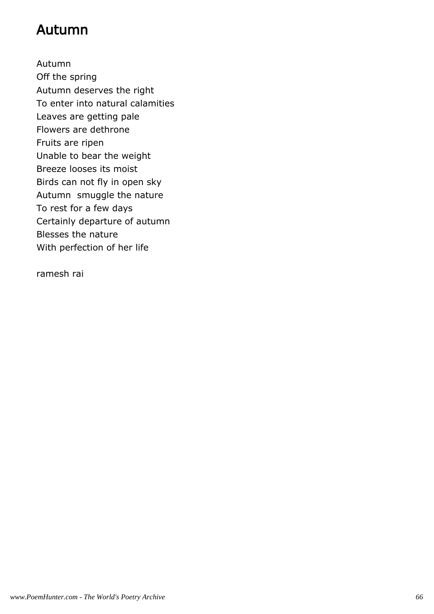# Autumn

Autumn Off the spring Autumn deserves the right To enter into natural calamities Leaves are getting pale Flowers are dethrone Fruits are ripen Unable to bear the weight Breeze looses its moist Birds can not fly in open sky Autumn smuggle the nature To rest for a few days Certainly departure of autumn Blesses the nature With perfection of her life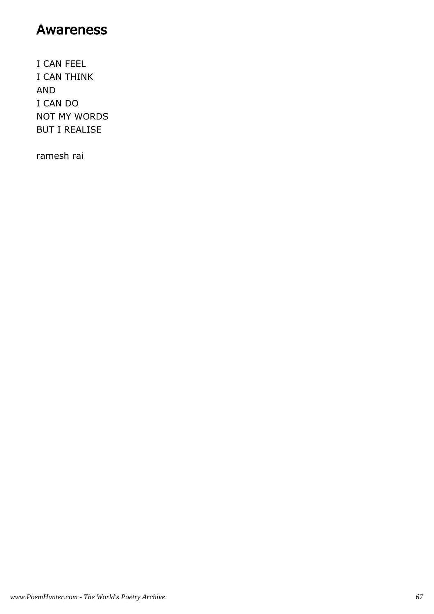#### Awareness

I CAN FEEL I CAN THINK AND I CAN DO NOT MY WORDS BUT I REALISE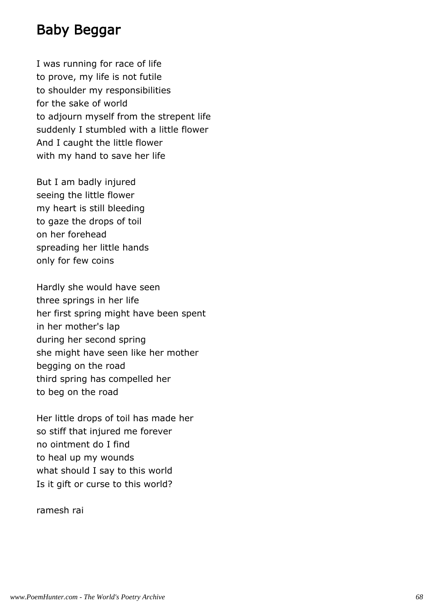### Baby Beggar

I was running for race of life to prove, my life is not futile to shoulder my responsibilities for the sake of world to adjourn myself from the strepent life suddenly I stumbled with a little flower And I caught the little flower with my hand to save her life

But I am badly injured seeing the little flower my heart is still bleeding to gaze the drops of toil on her forehead spreading her little hands only for few coins

Hardly she would have seen three springs in her life her first spring might have been spent in her mother's lap during her second spring she might have seen like her mother begging on the road third spring has compelled her to beg on the road

Her little drops of toil has made her so stiff that injured me forever no ointment do I find to heal up my wounds what should I say to this world Is it gift or curse to this world?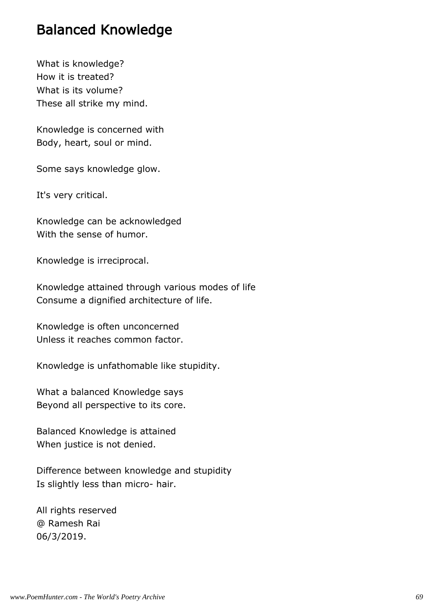#### Balanced Knowledge

What is knowledge? How it is treated? What is its volume? These all strike my mind.

Knowledge is concerned with Body, heart, soul or mind.

Some says knowledge glow.

It's very critical.

Knowledge can be acknowledged With the sense of humor.

Knowledge is irreciprocal.

Knowledge attained through various modes of life Consume a dignified architecture of life.

Knowledge is often unconcerned Unless it reaches common factor.

Knowledge is unfathomable like stupidity.

What a balanced Knowledge says Beyond all perspective to its core.

Balanced Knowledge is attained When justice is not denied.

Difference between knowledge and stupidity Is slightly less than micro- hair.

All rights reserved @ Ramesh Rai 06/3/2019.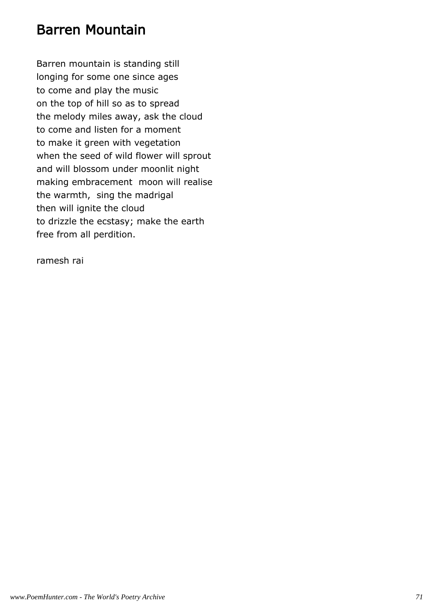#### Barren Mountain

Barren mountain is standing still longing for some one since ages to come and play the music on the top of hill so as to spread the melody miles away, ask the cloud to come and listen for a moment to make it green with vegetation when the seed of wild flower will sprout and will blossom under moonlit night making embracement moon will realise the warmth, sing the madrigal then will ignite the cloud to drizzle the ecstasy; make the earth free from all perdition.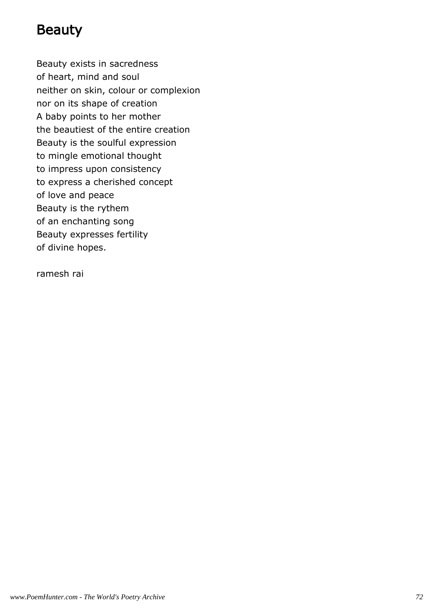## Beauty

Beauty exists in sacredness of heart, mind and soul neither on skin, colour or complexion nor on its shape of creation A baby points to her mother the beautiest of the entire creation Beauty is the soulful expression to mingle emotional thought to impress upon consistency to express a cherished concept of love and peace Beauty is the rythem of an enchanting song Beauty expresses fertility of divine hopes.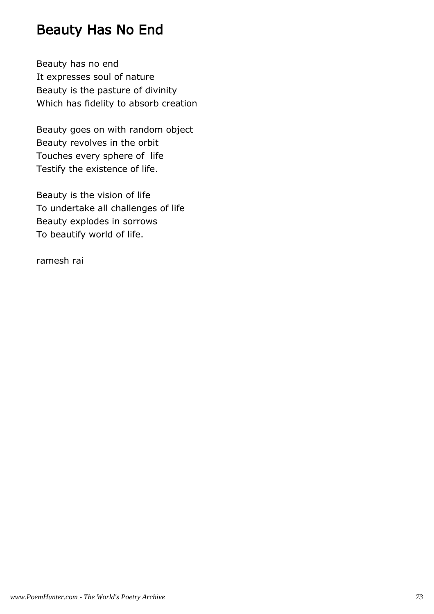# Beauty Has No End

Beauty has no end It expresses soul of nature Beauty is the pasture of divinity Which has fidelity to absorb creation

Beauty goes on with random object Beauty revolves in the orbit Touches every sphere of life Testify the existence of life.

Beauty is the vision of life To undertake all challenges of life Beauty explodes in sorrows To beautify world of life.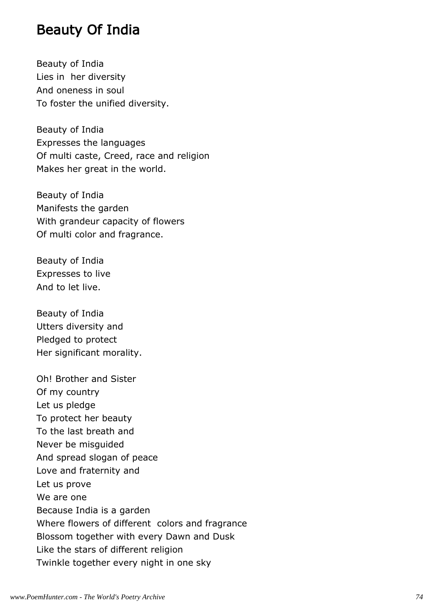#### Beauty Of India

Beauty of India Lies in her diversity And oneness in soul To foster the unified diversity.

Beauty of India Expresses the languages Of multi caste, Creed, race and religion Makes her great in the world.

Beauty of India Manifests the garden With grandeur capacity of flowers Of multi color and fragrance.

Beauty of India Expresses to live And to let live.

Beauty of India Utters diversity and Pledged to protect Her significant morality.

Oh! Brother and Sister Of my country Let us pledge To protect her beauty To the last breath and Never be misguided And spread slogan of peace Love and fraternity and Let us prove We are one Because India is a garden Where flowers of different colors and fragrance Blossom together with every Dawn and Dusk Like the stars of different religion Twinkle together every night in one sky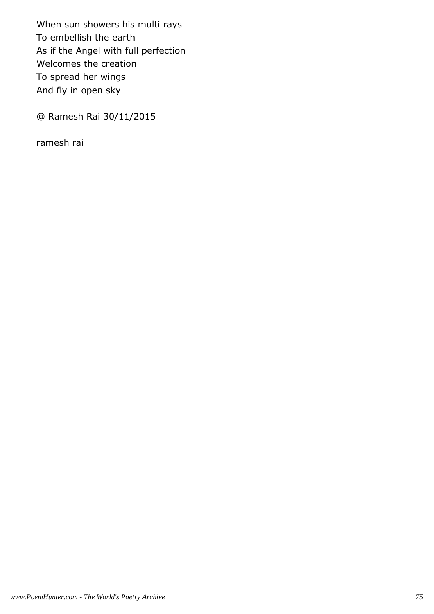When sun showers his multi rays To embellish the earth As if the Angel with full perfection Welcomes the creation To spread her wings And fly in open sky

@ Ramesh Rai 30/11/2015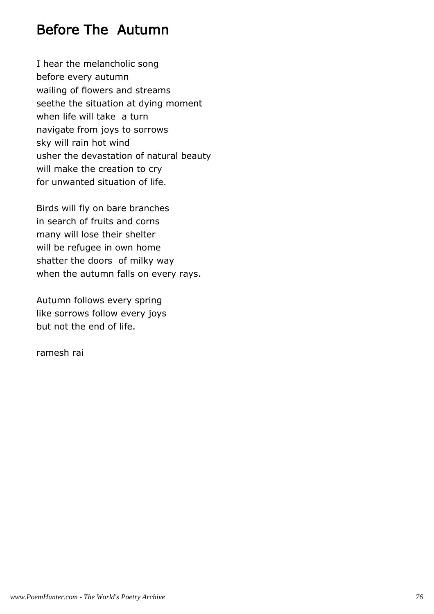### Before The Autumn

I hear the melancholic song before every autumn wailing of flowers and streams seethe the situation at dying moment when life will take a turn navigate from joys to sorrows sky will rain hot wind usher the devastation of natural beauty will make the creation to cry for unwanted situation of life.

Birds will fly on bare branches in search of fruits and corns many will lose their shelter will be refugee in own home shatter the doors of milky way when the autumn falls on every rays.

Autumn follows every spring like sorrows follow every joys but not the end of life.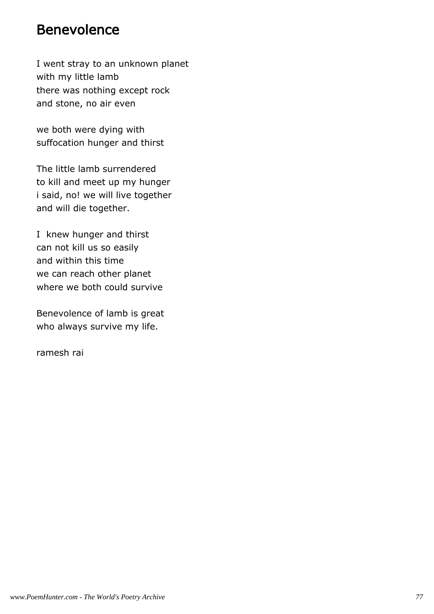#### Benevolence

I went stray to an unknown planet with my little lamb there was nothing except rock and stone, no air even

we both were dying with suffocation hunger and thirst

The little lamb surrendered to kill and meet up my hunger i said, no! we will live together and will die together.

I knew hunger and thirst can not kill us so easily and within this time we can reach other planet where we both could survive

Benevolence of lamb is great who always survive my life.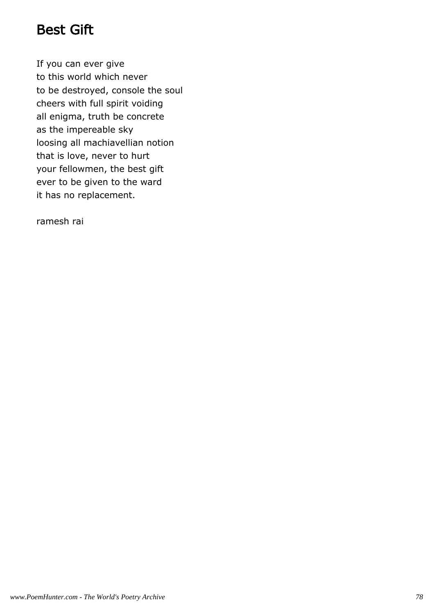# Best Gift

If you can ever give to this world which never to be destroyed, console the soul cheers with full spirit voiding all enigma, truth be concrete as the impereable sky loosing all machiavellian notion that is love, never to hurt your fellowmen, the best gift ever to be given to the ward it has no replacement.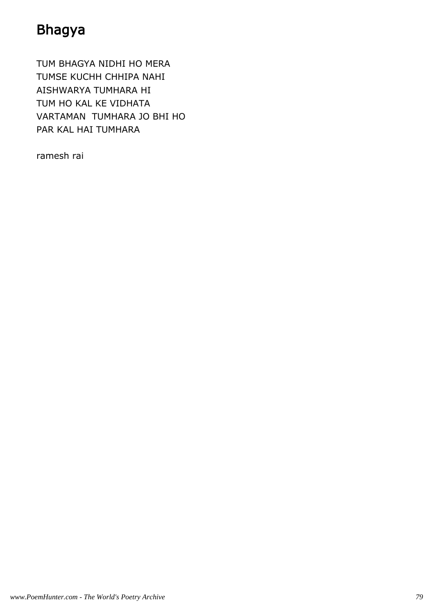# Bhagya

TUM BHAGYA NIDHI HO MERA TUMSE KUCHH CHHIPA NAHI AISHWARYA TUMHARA HI TUM HO KAL KE VIDHATA VARTAMAN TUMHARA JO BHI HO PAR KAL HAI TUMHARA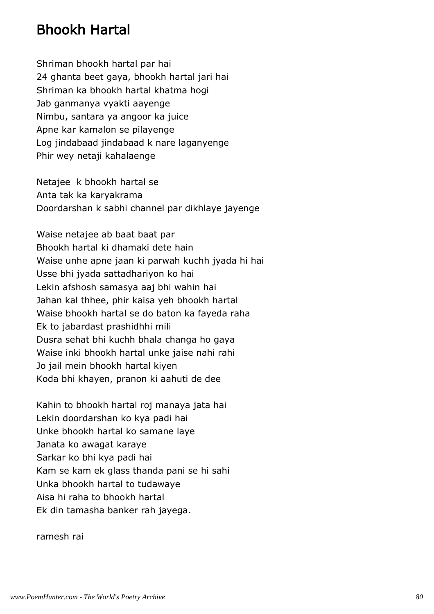## Bhookh Hartal

Shriman bhookh hartal par hai 24 ghanta beet gaya, bhookh hartal jari hai Shriman ka bhookh hartal khatma hogi Jab ganmanya vyakti aayenge Nimbu, santara ya angoor ka juice Apne kar kamalon se pilayenge Log jindabaad jindabaad k nare laganyenge Phir wey netaji kahalaenge

Netajee k bhookh hartal se Anta tak ka karyakrama Doordarshan k sabhi channel par dikhlaye jayenge

Waise netajee ab baat baat par Bhookh hartal ki dhamaki dete hain Waise unhe apne jaan ki parwah kuchh jyada hi hai Usse bhi jyada sattadhariyon ko hai Lekin afshosh samasya aaj bhi wahin hai Jahan kal thhee, phir kaisa yeh bhookh hartal Waise bhookh hartal se do baton ka fayeda raha Ek to jabardast prashidhhi mili Dusra sehat bhi kuchh bhala changa ho gaya Waise inki bhookh hartal unke jaise nahi rahi Jo jail mein bhookh hartal kiyen Koda bhi khayen, pranon ki aahuti de dee

Kahin to bhookh hartal roj manaya jata hai Lekin doordarshan ko kya padi hai Unke bhookh hartal ko samane laye Janata ko awagat karaye Sarkar ko bhi kya padi hai Kam se kam ek glass thanda pani se hi sahi Unka bhookh hartal to tudawaye Aisa hi raha to bhookh hartal Ek din tamasha banker rah jayega.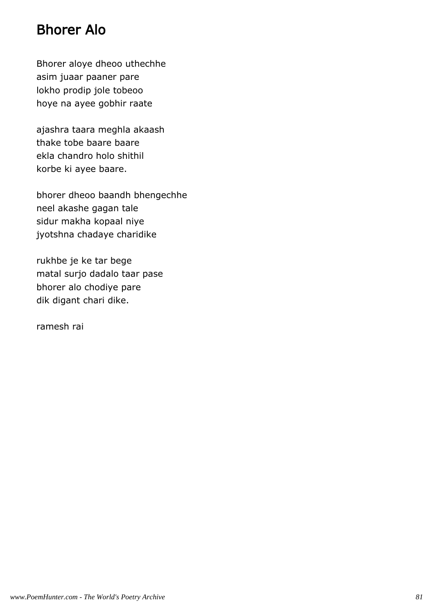# Bhorer Alo

Bhorer aloye dheoo uthechhe asim juaar paaner pare lokho prodip jole tobeoo hoye na ayee gobhir raate

ajashra taara meghla akaash thake tobe baare baare ekla chandro holo shithil korbe ki ayee baare.

bhorer dheoo baandh bhengechhe neel akashe gagan tale sidur makha kopaal niye jyotshna chadaye charidike

rukhbe je ke tar bege matal surjo dadalo taar pase bhorer alo chodiye pare dik digant chari dike.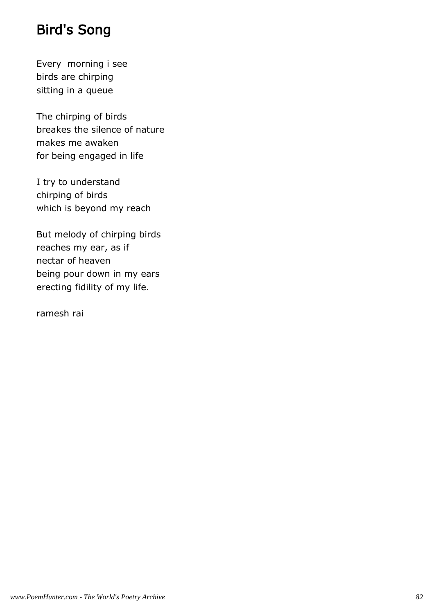# Bird's Song

Every morning i see birds are chirping sitting in a queue

The chirping of birds breakes the silence of nature makes me awaken for being engaged in life

I try to understand chirping of birds which is beyond my reach

But melody of chirping birds reaches my ear, as if nectar of heaven being pour down in my ears erecting fidility of my life.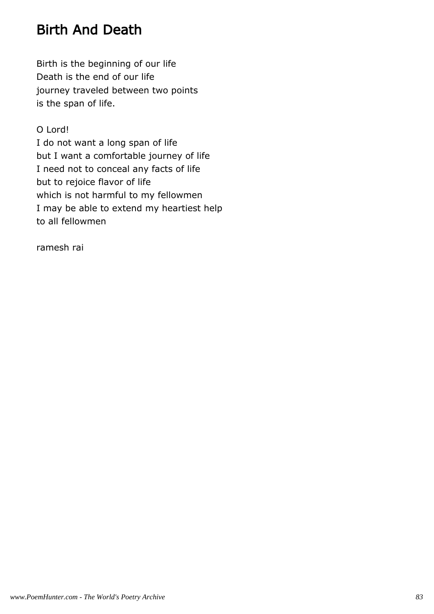# Birth And Death

Birth is the beginning of our life Death is the end of our life journey traveled between two points is the span of life.

#### O Lord!

I do not want a long span of life but I want a comfortable journey of life I need not to conceal any facts of life but to rejoice flavor of life which is not harmful to my fellowmen I may be able to extend my heartiest help to all fellowmen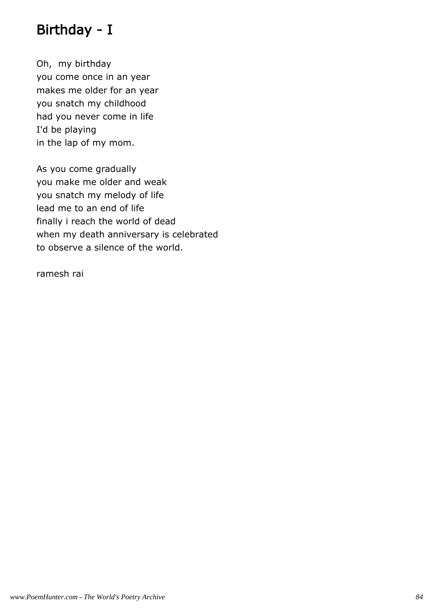## Birthday - I

Oh, my birthday you come once in an year makes me older for an year you snatch my childhood had you never come in life I'd be playing in the lap of my mom.

As you come gradually you make me older and weak you snatch my melody of life lead me to an end of life finally i reach the world of dead when my death anniversary is celebrated to observe a silence of the world.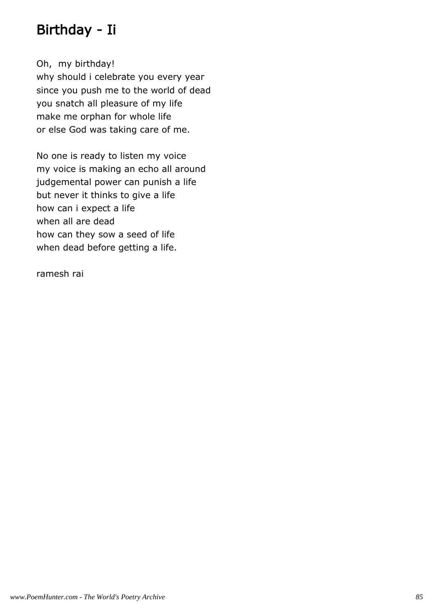# Birthday - Ii

Oh, my birthday!

why should i celebrate you every year since you push me to the world of dead you snatch all pleasure of my life make me orphan for whole life or else God was taking care of me.

No one is ready to listen my voice my voice is making an echo all around judgemental power can punish a life but never it thinks to give a life how can i expect a life when all are dead how can they sow a seed of life when dead before getting a life.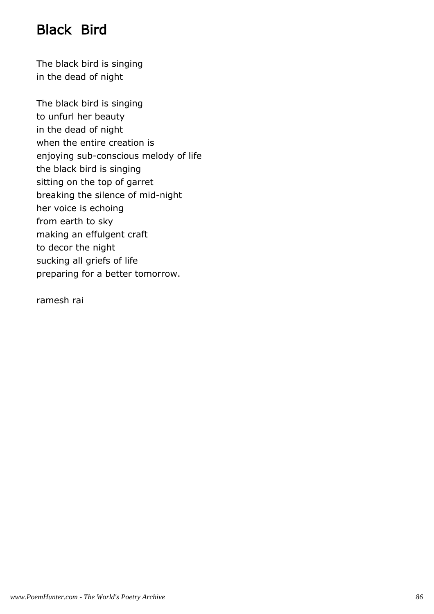# Black Bird

The black bird is singing in the dead of night

The black bird is singing to unfurl her beauty in the dead of night when the entire creation is enjoying sub-conscious melody of life the black bird is singing sitting on the top of garret breaking the silence of mid-night her voice is echoing from earth to sky making an effulgent craft to decor the night sucking all griefs of life preparing for a better tomorrow.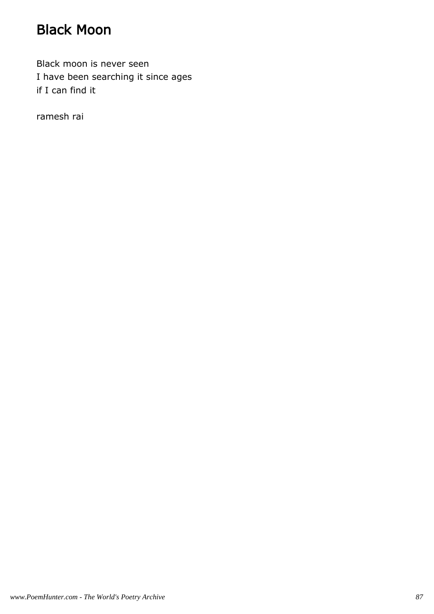# Black Moon

Black moon is never seen I have been searching it since ages if I can find it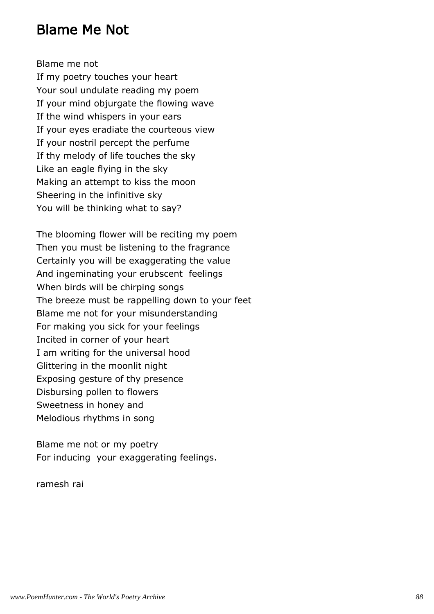### Blame Me Not

#### Blame me not

If my poetry touches your heart Your soul undulate reading my poem If your mind objurgate the flowing wave If the wind whispers in your ears If your eyes eradiate the courteous view If your nostril percept the perfume If thy melody of life touches the sky Like an eagle flying in the sky Making an attempt to kiss the moon Sheering in the infinitive sky You will be thinking what to say?

The blooming flower will be reciting my poem Then you must be listening to the fragrance Certainly you will be exaggerating the value And ingeminating your erubscent feelings When birds will be chirping songs The breeze must be rappelling down to your feet Blame me not for your misunderstanding For making you sick for your feelings Incited in corner of your heart I am writing for the universal hood Glittering in the moonlit night Exposing gesture of thy presence Disbursing pollen to flowers Sweetness in honey and Melodious rhythms in song

Blame me not or my poetry For inducing your exaggerating feelings.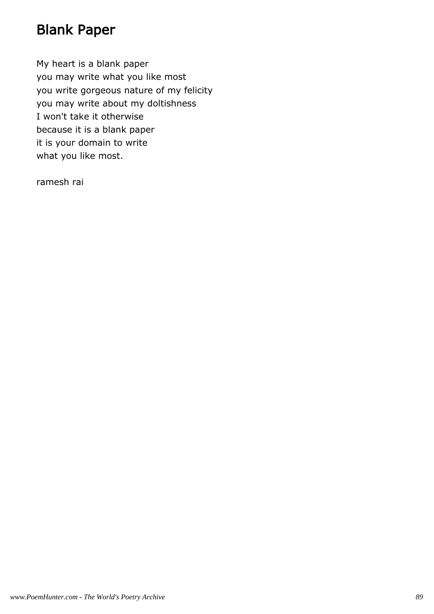## Blank Paper

My heart is a blank paper you may write what you like most you write gorgeous nature of my felicity you may write about my doltishness I won't take it otherwise because it is a blank paper it is your domain to write what you like most.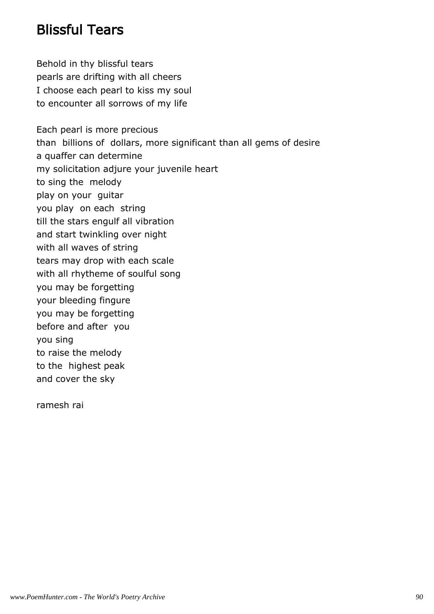## Blissful Tears

Behold in thy blissful tears pearls are drifting with all cheers I choose each pearl to kiss my soul to encounter all sorrows of my life Each pearl is more precious than billions of dollars, more significant than all gems of desire a quaffer can determine my solicitation adjure your juvenile heart to sing the melody play on your guitar you play on each string till the stars engulf all vibration and start twinkling over night with all waves of string tears may drop with each scale with all rhytheme of soulful song you may be forgetting your bleeding fingure you may be forgetting before and after you you sing to raise the melody to the highest peak and cover the sky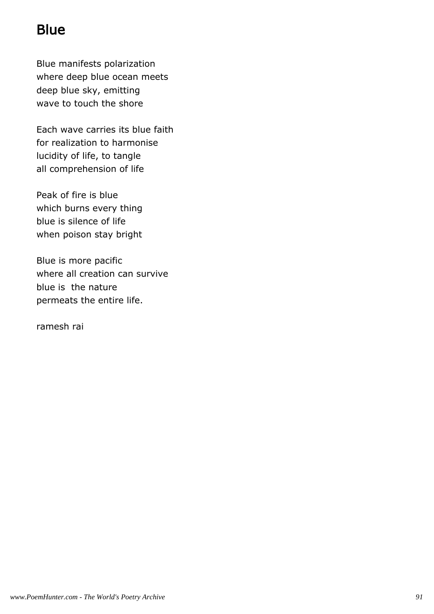# Blue

Blue manifests polarization where deep blue ocean meets deep blue sky, emitting wave to touch the shore

Each wave carries its blue faith for realization to harmonise lucidity of life, to tangle all comprehension of life

Peak of fire is blue which burns every thing blue is silence of life when poison stay bright

Blue is more pacific where all creation can survive blue is the nature permeats the entire life.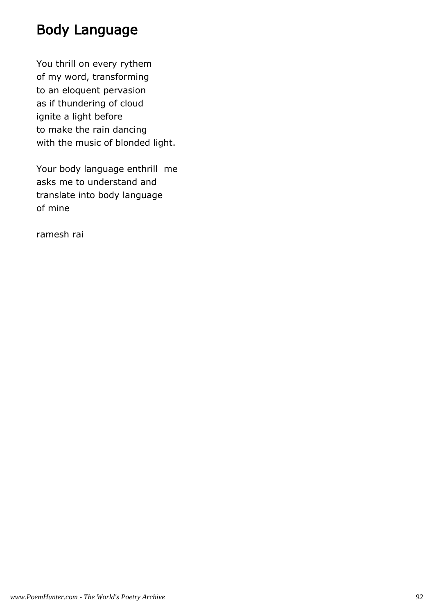# Body Language

You thrill on every rythem of my word, transforming to an eloquent pervasion as if thundering of cloud ignite a light before to make the rain dancing with the music of blonded light.

Your body language enthrill me asks me to understand and translate into body language of mine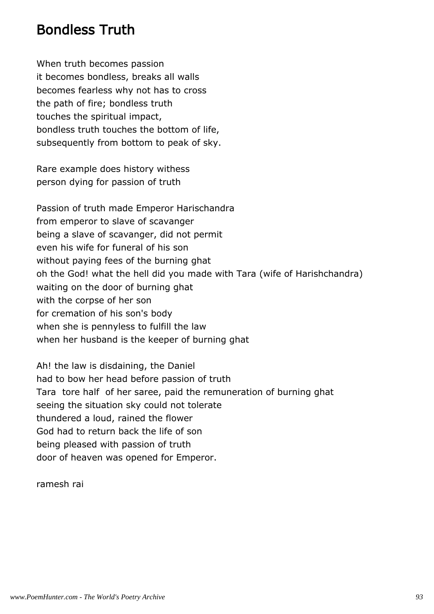### Bondless Truth

When truth becomes passion it becomes bondless, breaks all walls becomes fearless why not has to cross the path of fire; bondless truth touches the spiritual impact, bondless truth touches the bottom of life, subsequently from bottom to peak of sky.

Rare example does history withess person dying for passion of truth

Passion of truth made Emperor Harischandra from emperor to slave of scavanger being a slave of scavanger, did not permit even his wife for funeral of his son without paying fees of the burning ghat oh the God! what the hell did you made with Tara (wife of Harishchandra) waiting on the door of burning ghat with the corpse of her son for cremation of his son's body when she is pennyless to fulfill the law when her husband is the keeper of burning ghat

Ah! the law is disdaining, the Daniel had to bow her head before passion of truth Tara tore half of her saree, paid the remuneration of burning ghat seeing the situation sky could not tolerate thundered a loud, rained the flower God had to return back the life of son being pleased with passion of truth door of heaven was opened for Emperor.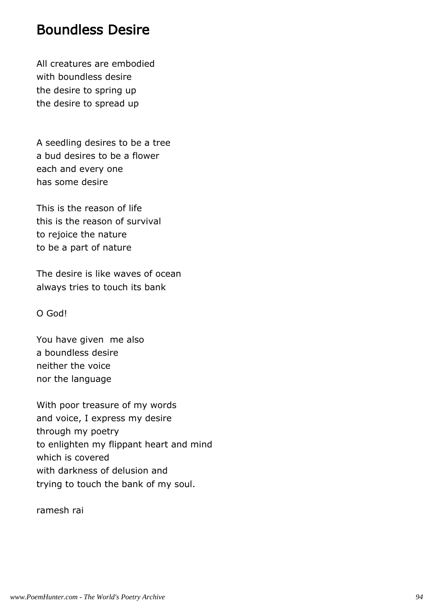#### Boundless Desire

All creatures are embodied with boundless desire the desire to spring up the desire to spread up

A seedling desires to be a tree a bud desires to be a flower each and every one has some desire

This is the reason of life this is the reason of survival to rejoice the nature to be a part of nature

The desire is like waves of ocean always tries to touch its bank

O God!

You have given me also a boundless desire neither the voice nor the language

With poor treasure of my words and voice, I express my desire through my poetry to enlighten my flippant heart and mind which is covered with darkness of delusion and trying to touch the bank of my soul.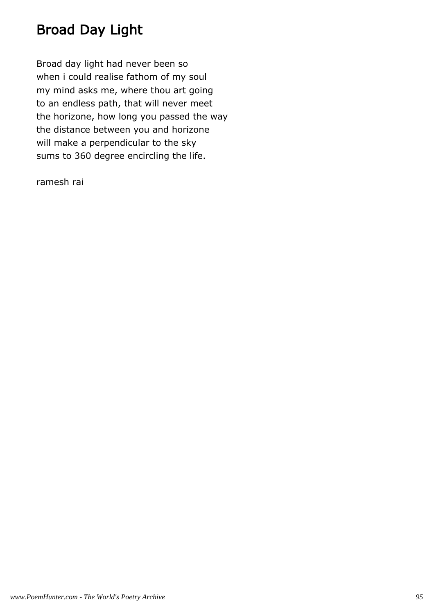# Broad Day Light

Broad day light had never been so when i could realise fathom of my soul my mind asks me, where thou art going to an endless path, that will never meet the horizone, how long you passed the way the distance between you and horizone will make a perpendicular to the sky sums to 360 degree encircling the life.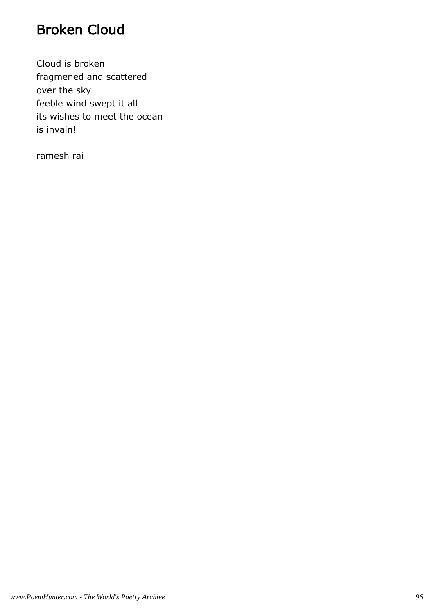# Broken Cloud

Cloud is broken fragmened and scattered over the sky feeble wind swept it all its wishes to meet the ocean is invain!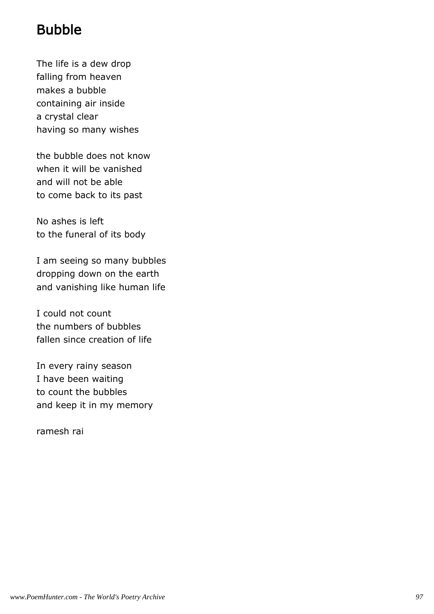## Bubble

The life is a dew drop falling from heaven makes a bubble containing air inside a crystal clear having so many wishes

the bubble does not know when it will be vanished and will not be able to come back to its past

No ashes is left to the funeral of its body

I am seeing so many bubbles dropping down on the earth and vanishing like human life

I could not count the numbers of bubbles fallen since creation of life

In every rainy season I have been waiting to count the bubbles and keep it in my memory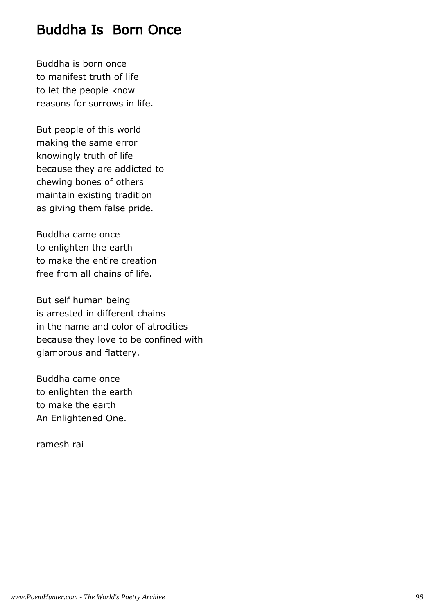### Buddha Is Born Once

Buddha is born once to manifest truth of life to let the people know reasons for sorrows in life.

But people of this world making the same error knowingly truth of life because they are addicted to chewing bones of others maintain existing tradition as giving them false pride.

Buddha came once to enlighten the earth to make the entire creation free from all chains of life.

But self human being is arrested in different chains in the name and color of atrocities because they love to be confined with glamorous and flattery.

Buddha came once to enlighten the earth to make the earth An Enlightened One.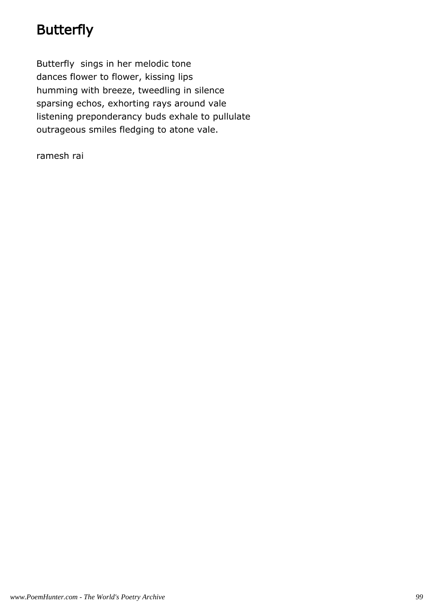# **Butterfly**

Butterfly sings in her melodic tone dances flower to flower, kissing lips humming with breeze, tweedling in silence sparsing echos, exhorting rays around vale listening preponderancy buds exhale to pullulate outrageous smiles fledging to atone vale.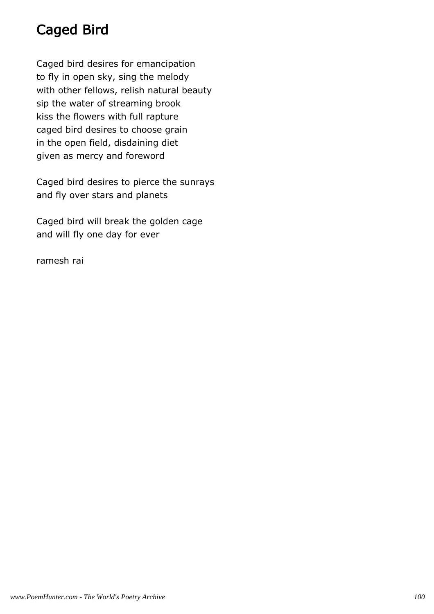# Caged Bird

Caged bird desires for emancipation to fly in open sky, sing the melody with other fellows, relish natural beauty sip the water of streaming brook kiss the flowers with full rapture caged bird desires to choose grain in the open field, disdaining diet given as mercy and foreword

Caged bird desires to pierce the sunrays and fly over stars and planets

Caged bird will break the golden cage and will fly one day for ever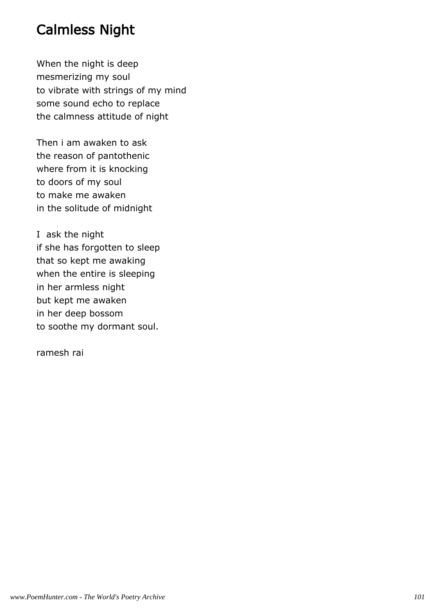## Calmless Night

When the night is deep mesmerizing my soul to vibrate with strings of my mind some sound echo to replace the calmness attitude of night

Then i am awaken to ask the reason of pantothenic where from it is knocking to doors of my soul to make me awaken in the solitude of midnight

I ask the night if she has forgotten to sleep that so kept me awaking when the entire is sleeping in her armless night but kept me awaken in her deep bossom to soothe my dormant soul.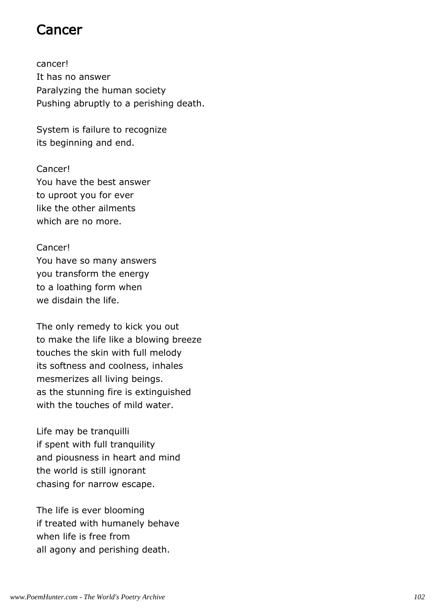#### Cancer

cancer! It has no answer Paralyzing the human society Pushing abruptly to a perishing death.

System is failure to recognize its beginning and end.

Cancer! You have the best answer to uproot you for ever like the other ailments which are no more.

#### Cancer!

You have so many answers you transform the energy to a loathing form when we disdain the life.

The only remedy to kick you out to make the life like a blowing breeze touches the skin with full melody its softness and coolness, inhales mesmerizes all living beings. as the stunning fire is extinguished with the touches of mild water.

Life may be tranquilli if spent with full tranquility and piousness in heart and mind the world is still ignorant chasing for narrow escape.

The life is ever blooming if treated with humanely behave when life is free from all agony and perishing death.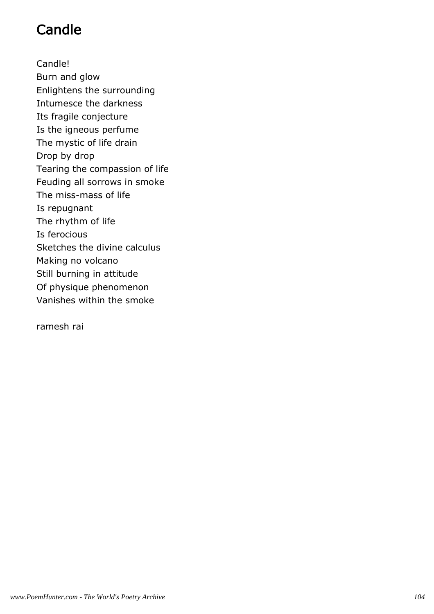# Candle

Candle! Burn and glow Enlightens the surrounding Intumesce the darkness Its fragile conjecture Is the igneous perfume The mystic of life drain Drop by drop Tearing the compassion of life Feuding all sorrows in smoke The miss-mass of life Is repugnant The rhythm of life Is ferocious Sketches the divine calculus Making no volcano Still burning in attitude Of physique phenomenon Vanishes within the smoke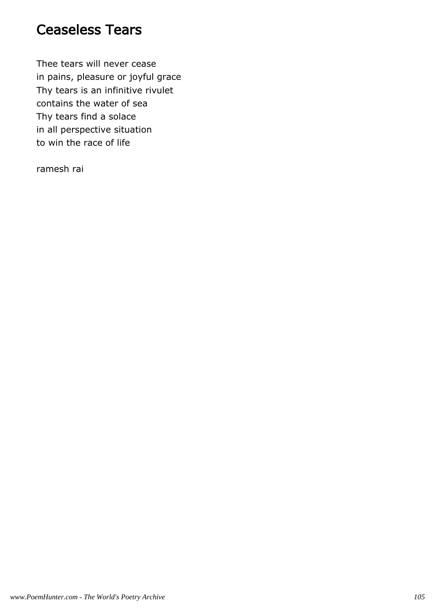### Ceaseless Tears

Thee tears will never cease in pains, pleasure or joyful grace Thy tears is an infinitive rivulet contains the water of sea Thy tears find a solace in all perspective situation to win the race of life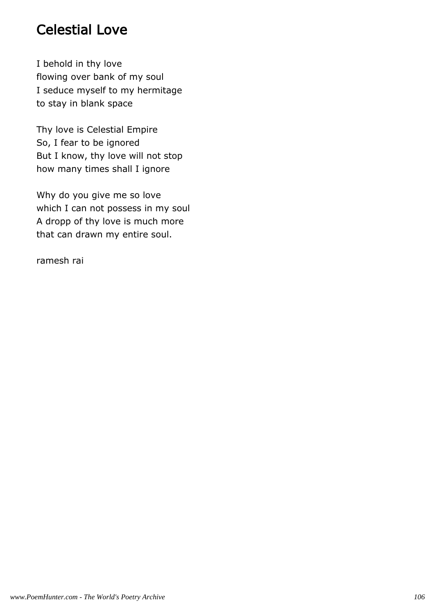## Celestial Love

I behold in thy love flowing over bank of my soul I seduce myself to my hermitage to stay in blank space

Thy love is Celestial Empire So, I fear to be ignored But I know, thy love will not stop how many times shall I ignore

Why do you give me so love which I can not possess in my soul A dropp of thy love is much more that can drawn my entire soul.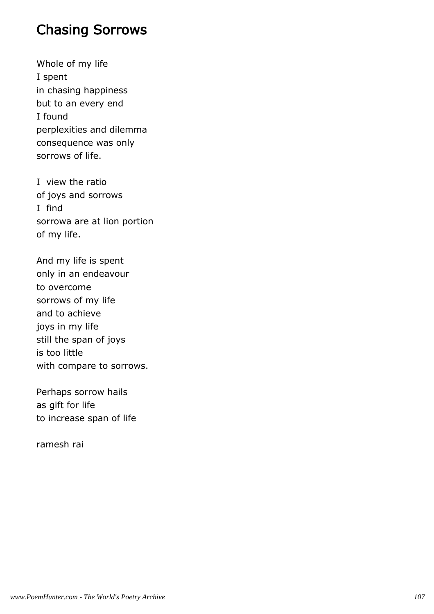### Chasing Sorrows

Whole of my life I spent in chasing happiness but to an every end I found perplexities and dilemma consequence was only sorrows of life.

I view the ratio of joys and sorrows I find sorrowa are at lion portion of my life.

And my life is spent only in an endeavour to overcome sorrows of my life and to achieve joys in my life still the span of joys is too little with compare to sorrows.

Perhaps sorrow hails as gift for life to increase span of life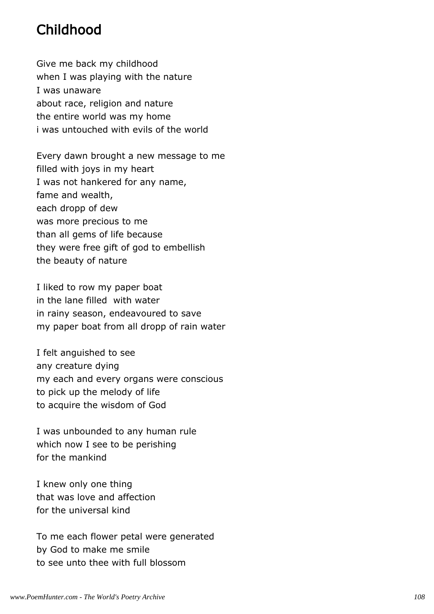### Childhood

Give me back my childhood when I was playing with the nature I was unaware about race, religion and nature the entire world was my home i was untouched with evils of the world

Every dawn brought a new message to me filled with joys in my heart I was not hankered for any name, fame and wealth, each dropp of dew was more precious to me than all gems of life because they were free gift of god to embellish the beauty of nature

I liked to row my paper boat in the lane filled with water in rainy season, endeavoured to save my paper boat from all dropp of rain water

I felt anguished to see any creature dying my each and every organs were conscious to pick up the melody of life to acquire the wisdom of God

I was unbounded to any human rule which now I see to be perishing for the mankind

I knew only one thing that was love and affection for the universal kind

To me each flower petal were generated by God to make me smile to see unto thee with full blossom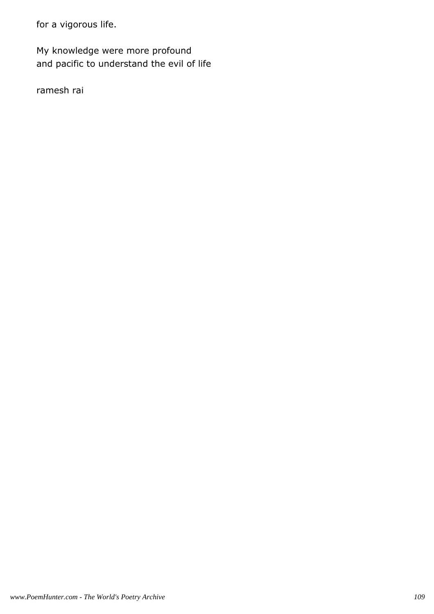for a vigorous life.

My knowledge were more profound and pacific to understand the evil of life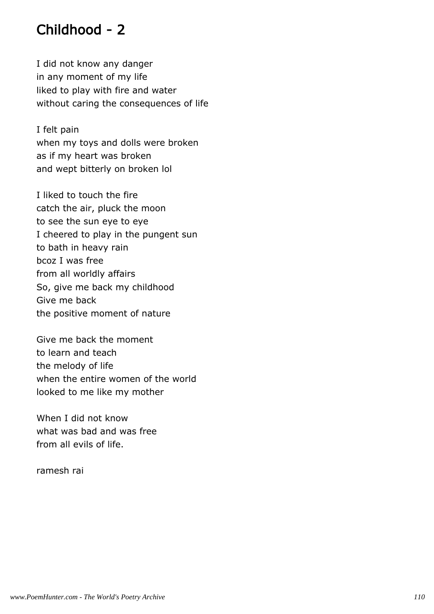## Childhood - 2

I did not know any danger in any moment of my life liked to play with fire and water without caring the consequences of life

I felt pain when my toys and dolls were broken as if my heart was broken and wept bitterly on broken lol

I liked to touch the fire catch the air, pluck the moon to see the sun eye to eye I cheered to play in the pungent sun to bath in heavy rain bcoz I was free from all worldly affairs So, give me back my childhood Give me back the positive moment of nature

Give me back the moment to learn and teach the melody of life when the entire women of the world looked to me like my mother

When I did not know what was bad and was free from all evils of life.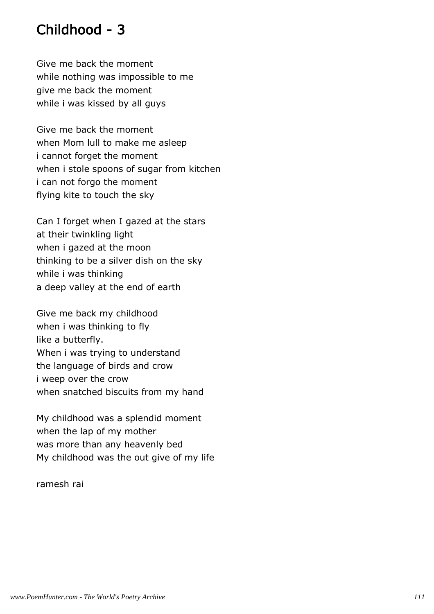### Childhood - 3

Give me back the moment while nothing was impossible to me give me back the moment while i was kissed by all guys

Give me back the moment when Mom lull to make me asleep i cannot forget the moment when i stole spoons of sugar from kitchen i can not forgo the moment flying kite to touch the sky

Can I forget when I gazed at the stars at their twinkling light when i gazed at the moon thinking to be a silver dish on the sky while i was thinking a deep valley at the end of earth

Give me back my childhood when i was thinking to fly like a butterfly. When i was trying to understand the language of birds and crow i weep over the crow when snatched biscuits from my hand

My childhood was a splendid moment when the lap of my mother was more than any heavenly bed My childhood was the out give of my life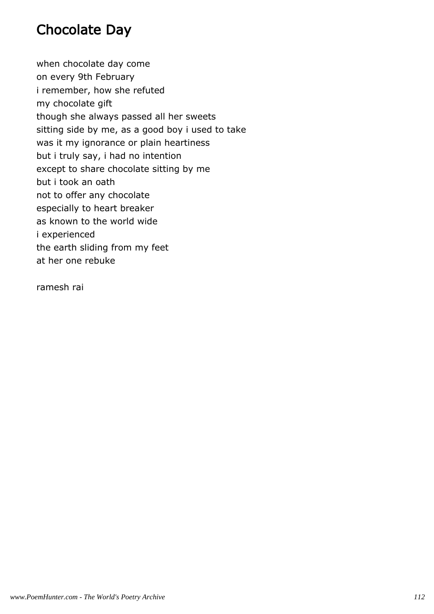# Chocolate Day

when chocolate day come on every 9th February i remember, how she refuted my chocolate gift though she always passed all her sweets sitting side by me, as a good boy i used to take was it my ignorance or plain heartiness but i truly say, i had no intention except to share chocolate sitting by me but i took an oath not to offer any chocolate especially to heart breaker as known to the world wide i experienced the earth sliding from my feet at her one rebuke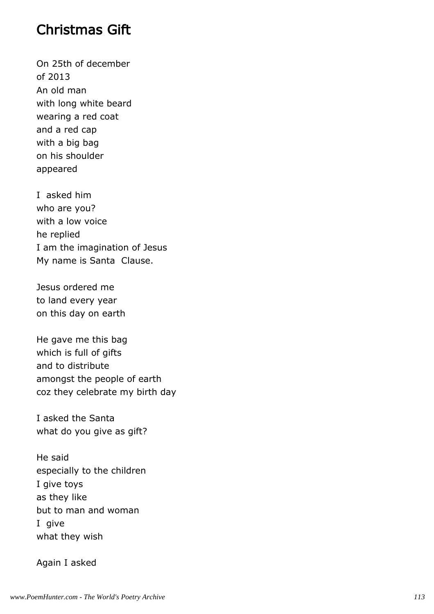### Christmas Gift

On 25th of december of 2013 An old man with long white beard wearing a red coat and a red cap with a big bag on his shoulder appeared

I asked him who are you? with a low voice he replied I am the imagination of Jesus My name is Santa Clause.

Jesus ordered me to land every year on this day on earth

He gave me this bag which is full of gifts and to distribute amongst the people of earth coz they celebrate my birth day

I asked the Santa what do you give as gift?

He said especially to the children I give toys as they like but to man and woman I give what they wish

Again I asked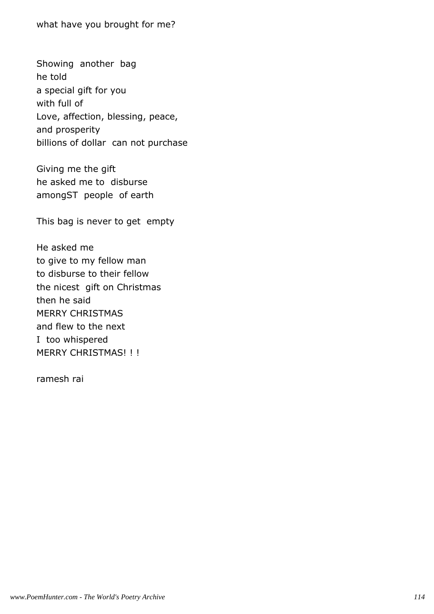what have you brought for me?

Showing another bag he told a special gift for you with full of Love, affection, blessing, peace, and prosperity billions of dollar can not purchase

Giving me the gift he asked me to disburse amongST people of earth

This bag is never to get empty

He asked me to give to my fellow man to disburse to their fellow the nicest gift on Christmas then he said MERRY CHRISTMAS and flew to the next I too whispered MERRY CHRISTMAS! ! !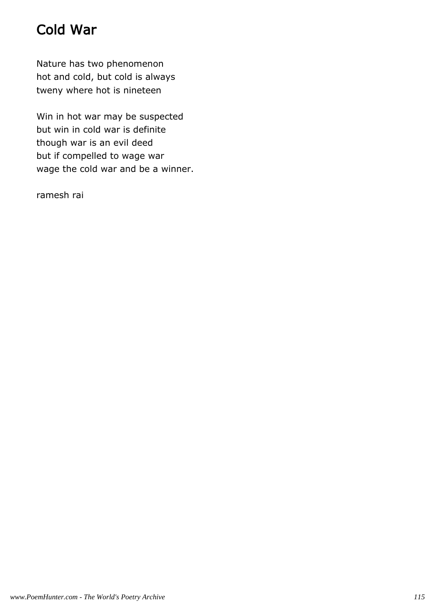# Cold War

Nature has two phenomenon hot and cold, but cold is always tweny where hot is nineteen

Win in hot war may be suspected but win in cold war is definite though war is an evil deed but if compelled to wage war wage the cold war and be a winner.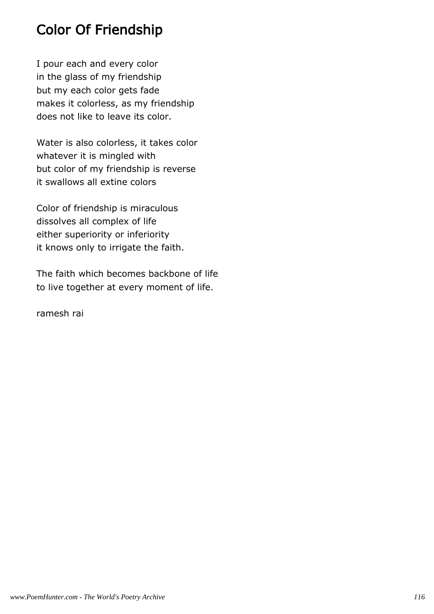# Color Of Friendship

I pour each and every color in the glass of my friendship but my each color gets fade makes it colorless, as my friendship does not like to leave its color.

Water is also colorless, it takes color whatever it is mingled with but color of my friendship is reverse it swallows all extine colors

Color of friendship is miraculous dissolves all complex of life either superiority or inferiority it knows only to irrigate the faith.

The faith which becomes backbone of life to live together at every moment of life.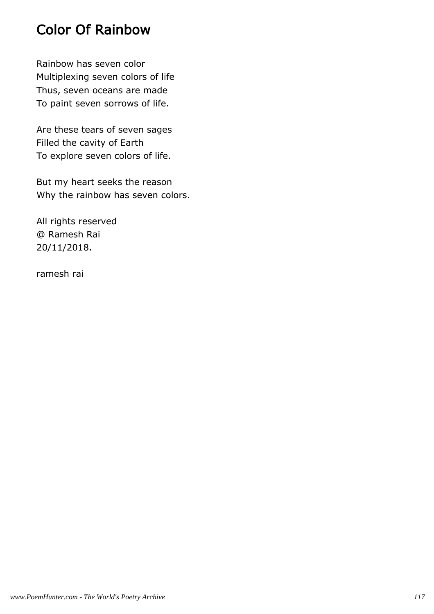### Color Of Rainbow

Rainbow has seven color Multiplexing seven colors of life Thus, seven oceans are made To paint seven sorrows of life.

Are these tears of seven sages Filled the cavity of Earth To explore seven colors of life.

But my heart seeks the reason Why the rainbow has seven colors.

All rights reserved @ Ramesh Rai 20/11/2018.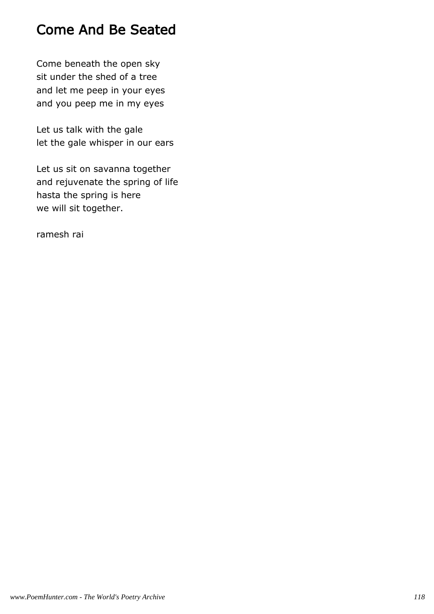## Come And Be Seated

Come beneath the open sky sit under the shed of a tree and let me peep in your eyes and you peep me in my eyes

Let us talk with the gale let the gale whisper in our ears

Let us sit on savanna together and rejuvenate the spring of life hasta the spring is here we will sit together.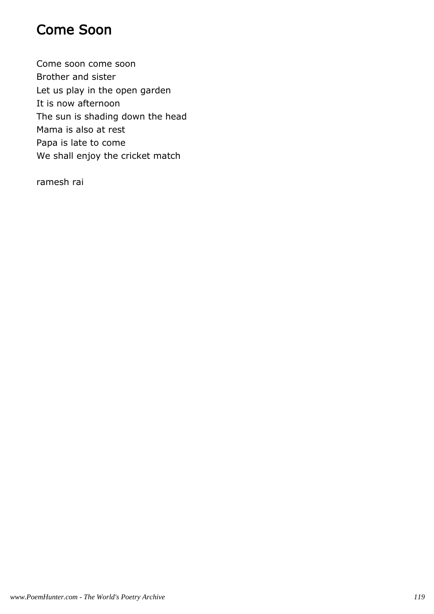### Come Soon

Come soon come soon Brother and sister Let us play in the open garden It is now afternoon The sun is shading down the head Mama is also at rest Papa is late to come We shall enjoy the cricket match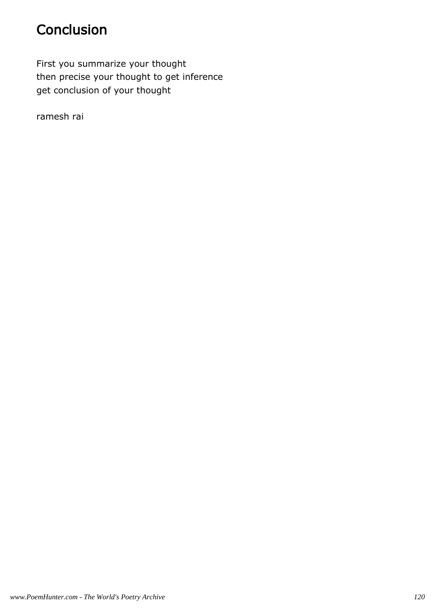# **Conclusion**

First you summarize your thought then precise your thought to get inference get conclusion of your thought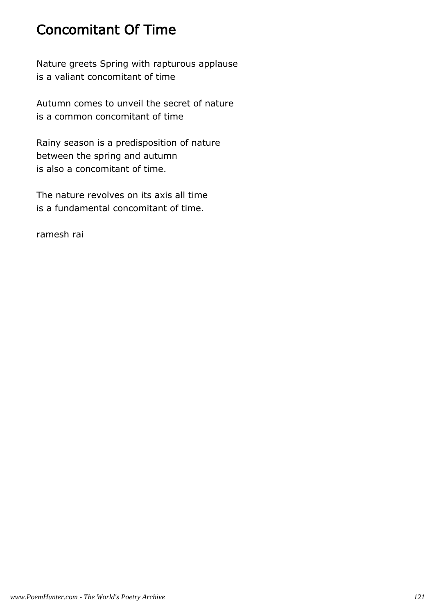## Concomitant Of Time

Nature greets Spring with rapturous applause is a valiant concomitant of time

Autumn comes to unveil the secret of nature is a common concomitant of time

Rainy season is a predisposition of nature between the spring and autumn is also a concomitant of time.

The nature revolves on its axis all time is a fundamental concomitant of time.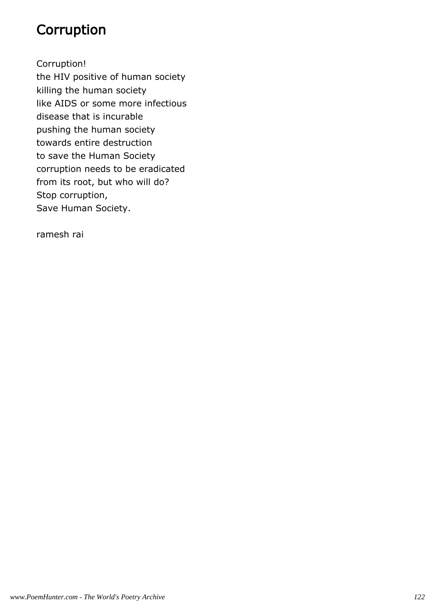# **Corruption**

Corruption! the HIV positive of human society killing the human society like AIDS or some more infectious disease that is incurable pushing the human society towards entire destruction to save the Human Society corruption needs to be eradicated from its root, but who will do? Stop corruption, Save Human Society.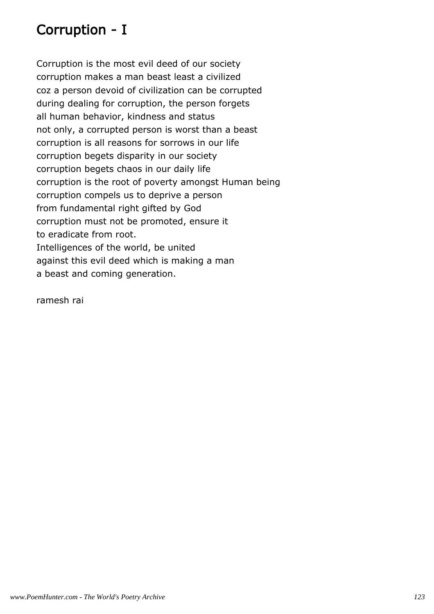# Corruption - I

Corruption is the most evil deed of our society corruption makes a man beast least a civilized coz a person devoid of civilization can be corrupted during dealing for corruption, the person forgets all human behavior, kindness and status not only, a corrupted person is worst than a beast corruption is all reasons for sorrows in our life corruption begets disparity in our society corruption begets chaos in our daily life corruption is the root of poverty amongst Human being corruption compels us to deprive a person from fundamental right gifted by God corruption must not be promoted, ensure it to eradicate from root. Intelligences of the world, be united against this evil deed which is making a man a beast and coming generation.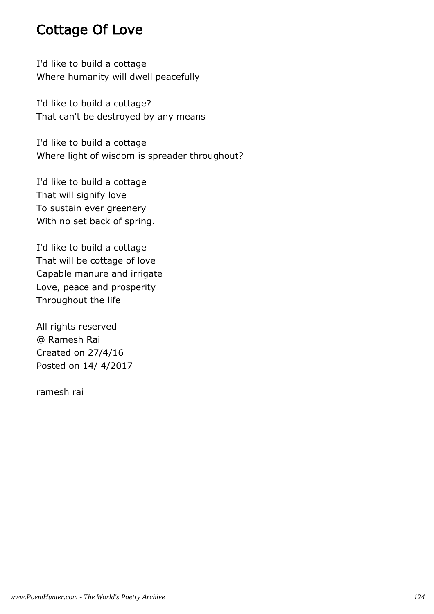### Cottage Of Love

I'd like to build a cottage Where humanity will dwell peacefully

I'd like to build a cottage? That can't be destroyed by any means

I'd like to build a cottage Where light of wisdom is spreader throughout?

I'd like to build a cottage That will signify love To sustain ever greenery With no set back of spring.

I'd like to build a cottage That will be cottage of love Capable manure and irrigate Love, peace and prosperity Throughout the life

All rights reserved @ Ramesh Rai Created on 27/4/16 Posted on 14/ 4/2017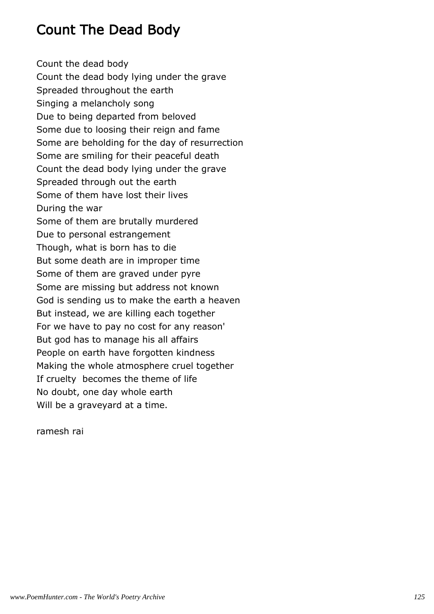## Count The Dead Body

Count the dead body Count the dead body lying under the grave Spreaded throughout the earth Singing a melancholy song Due to being departed from beloved Some due to loosing their reign and fame Some are beholding for the day of resurrection Some are smiling for their peaceful death Count the dead body lying under the grave Spreaded through out the earth Some of them have lost their lives During the war Some of them are brutally murdered Due to personal estrangement Though, what is born has to die But some death are in improper time Some of them are graved under pyre Some are missing but address not known God is sending us to make the earth a heaven But instead, we are killing each together For we have to pay no cost for any reason' But god has to manage his all affairs People on earth have forgotten kindness Making the whole atmosphere cruel together If cruelty becomes the theme of life No doubt, one day whole earth Will be a graveyard at a time.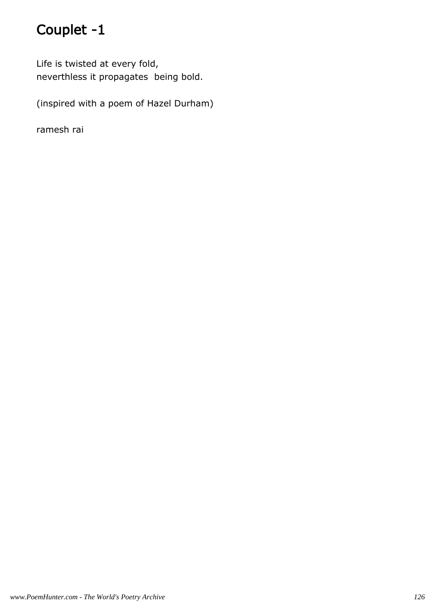# Couplet -1

Life is twisted at every fold, neverthless it propagates being bold.

(inspired with a poem of Hazel Durham)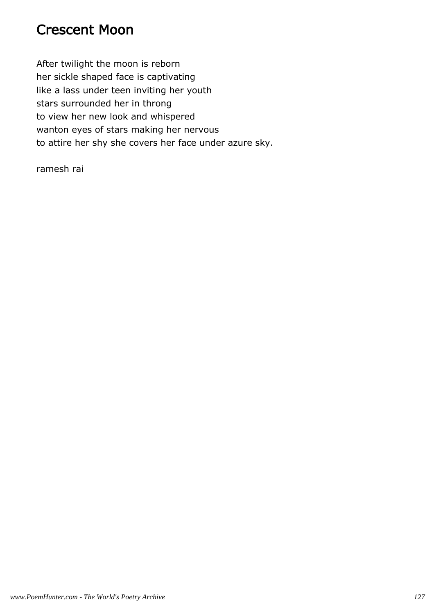### Crescent Moon

After twilight the moon is reborn her sickle shaped face is captivating like a lass under teen inviting her youth stars surrounded her in throng to view her new look and whispered wanton eyes of stars making her nervous to attire her shy she covers her face under azure sky.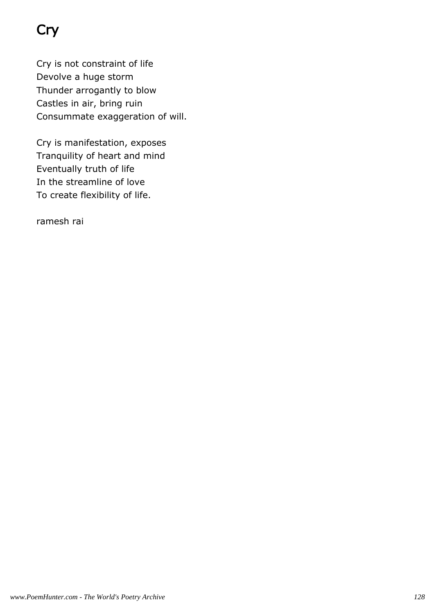# Cry

Cry is not constraint of life Devolve a huge storm Thunder arrogantly to blow Castles in air, bring ruin Consummate exaggeration of will.

Cry is manifestation, exposes Tranquility of heart and mind Eventually truth of life In the streamline of love To create flexibility of life.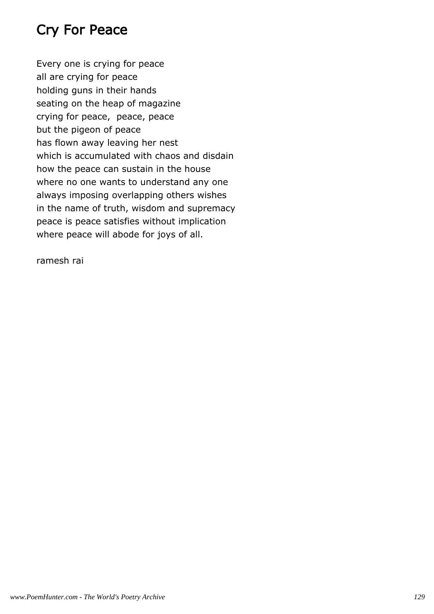# Cry For Peace

Every one is crying for peace all are crying for peace holding guns in their hands seating on the heap of magazine crying for peace, peace, peace but the pigeon of peace has flown away leaving her nest which is accumulated with chaos and disdain how the peace can sustain in the house where no one wants to understand any one always imposing overlapping others wishes in the name of truth, wisdom and supremacy peace is peace satisfies without implication where peace will abode for joys of all.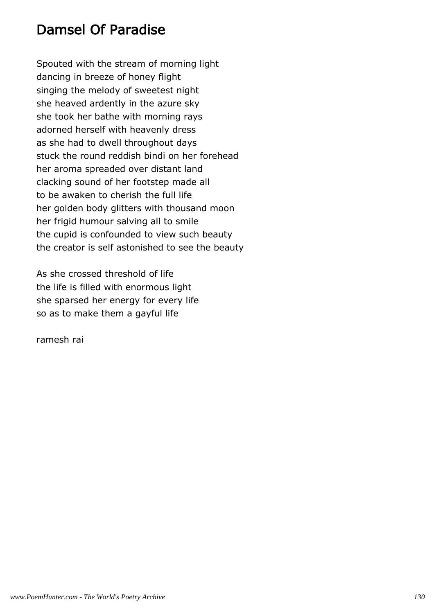# Damsel Of Paradise

Spouted with the stream of morning light dancing in breeze of honey flight singing the melody of sweetest night she heaved ardently in the azure sky she took her bathe with morning rays adorned herself with heavenly dress as she had to dwell throughout days stuck the round reddish bindi on her forehead her aroma spreaded over distant land clacking sound of her footstep made all to be awaken to cherish the full life her golden body glitters with thousand moon her frigid humour salving all to smile the cupid is confounded to view such beauty the creator is self astonished to see the beauty

As she crossed threshold of life the life is filled with enormous light she sparsed her energy for every life so as to make them a gayful life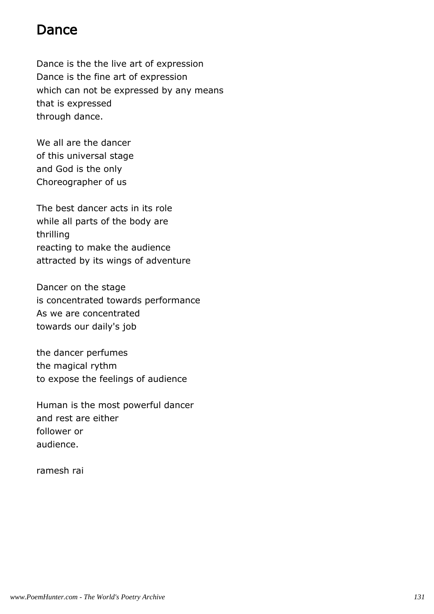### Dance

Dance is the the live art of expression Dance is the fine art of expression which can not be expressed by any means that is expressed through dance.

We all are the dancer of this universal stage and God is the only Choreographer of us

The best dancer acts in its role while all parts of the body are thrilling reacting to make the audience attracted by its wings of adventure

Dancer on the stage is concentrated towards performance As we are concentrated towards our daily's job

the dancer perfumes the magical rythm to expose the feelings of audience

Human is the most powerful dancer and rest are either follower or audience.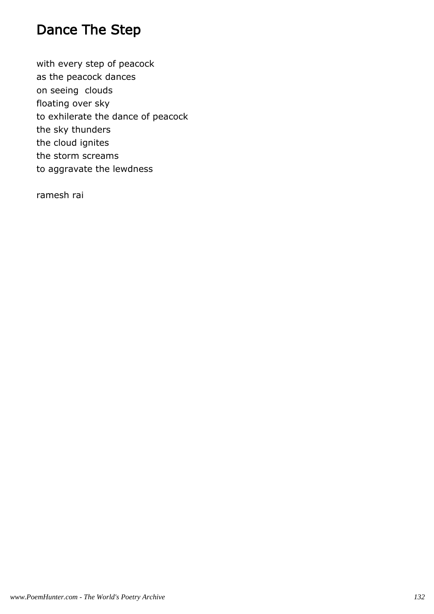## Dance The Step

with every step of peacock as the peacock dances on seeing clouds floating over sky to exhilerate the dance of peacock the sky thunders the cloud ignites the storm screams to aggravate the lewdness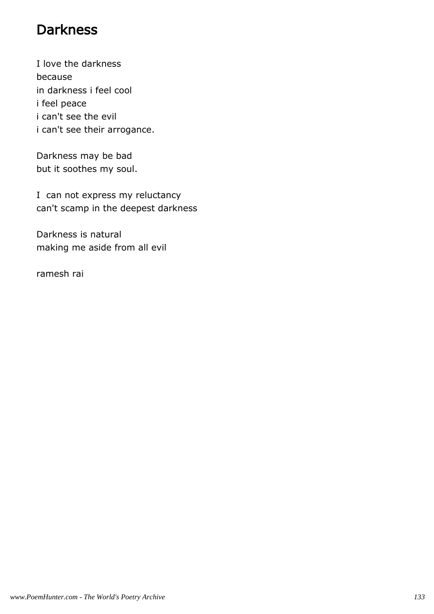### **Darkness**

I love the darkness because in darkness i feel cool i feel peace i can't see the evil i can't see their arrogance.

Darkness may be bad but it soothes my soul.

I can not express my reluctancy can't scamp in the deepest darkness

Darkness is natural making me aside from all evil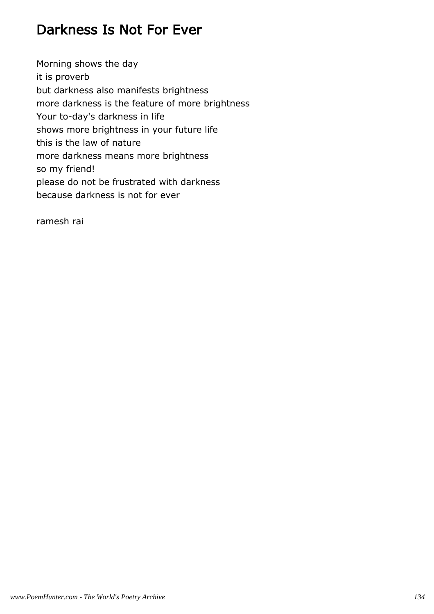## Darkness Is Not For Ever

Morning shows the day it is proverb but darkness also manifests brightness more darkness is the feature of more brightness Your to-day's darkness in life shows more brightness in your future life this is the law of nature more darkness means more brightness so my friend! please do not be frustrated with darkness because darkness is not for ever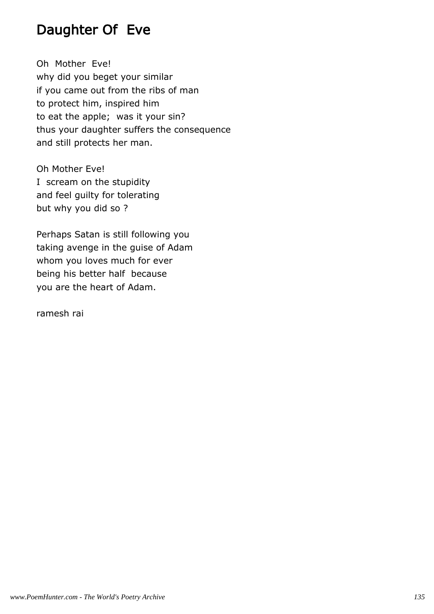## Daughter Of Eve

Oh Mother Eve! why did you beget your similar if you came out from the ribs of man to protect him, inspired him to eat the apple; was it your sin? thus your daughter suffers the consequence and still protects her man.

Oh Mother Eve! I scream on the stupidity and feel guilty for tolerating but why you did so ?

Perhaps Satan is still following you taking avenge in the guise of Adam whom you loves much for ever being his better half because you are the heart of Adam.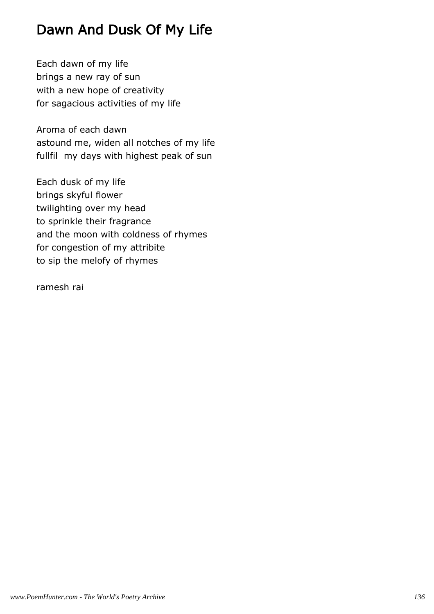## Dawn And Dusk Of My Life

Each dawn of my life brings a new ray of sun with a new hope of creativity for sagacious activities of my life

Aroma of each dawn astound me, widen all notches of my life fullfil my days with highest peak of sun

Each dusk of my life brings skyful flower twilighting over my head to sprinkle their fragrance and the moon with coldness of rhymes for congestion of my attribite to sip the melofy of rhymes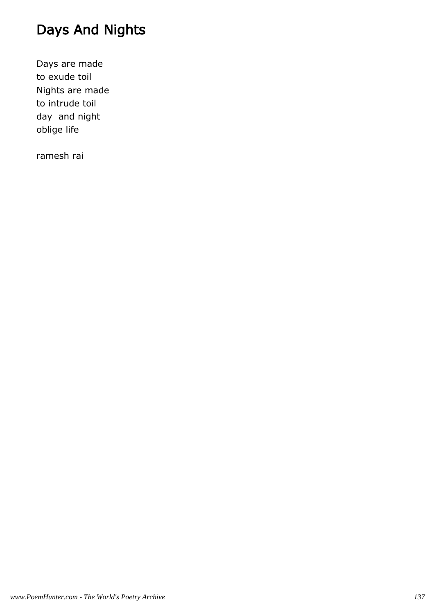# Days And Nights

Days are made to exude toil Nights are made to intrude toil day and night oblige life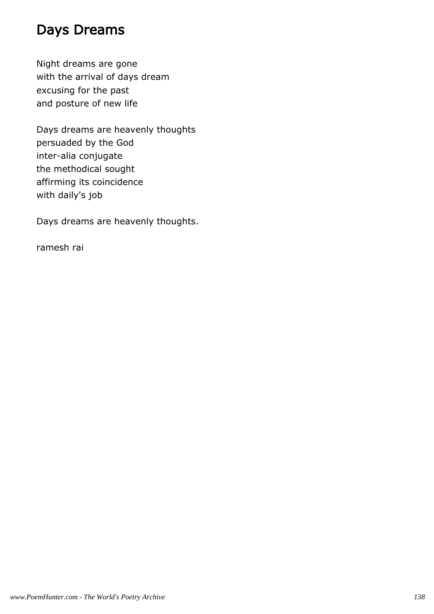## Days Dreams

Night dreams are gone with the arrival of days dream excusing for the past and posture of new life

Days dreams are heavenly thoughts persuaded by the God inter-alia conjugate the methodical sought affirming its coincidence with daily's job

Days dreams are heavenly thoughts.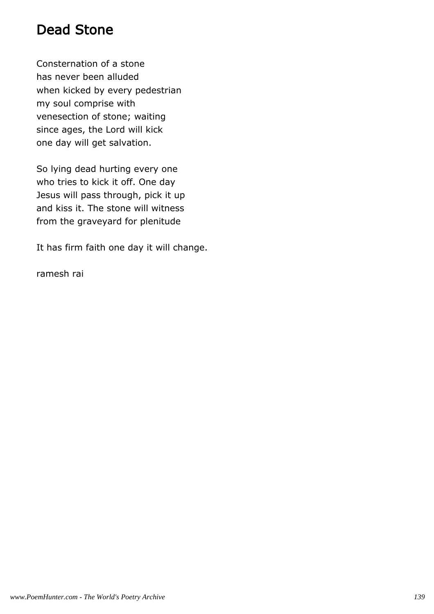## Dead Stone

Consternation of a stone has never been alluded when kicked by every pedestrian my soul comprise with venesection of stone; waiting since ages, the Lord will kick one day will get salvation.

So lying dead hurting every one who tries to kick it off. One day Jesus will pass through, pick it up and kiss it. The stone will witness from the graveyard for plenitude

It has firm faith one day it will change.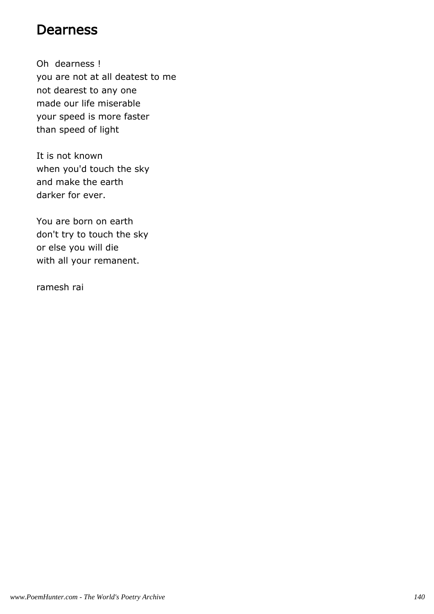#### Dearness

Oh dearness ! you are not at all deatest to me not dearest to any one made our life miserable your speed is more faster than speed of light

It is not known when you'd touch the sky and make the earth darker for ever.

You are born on earth don't try to touch the sky or else you will die with all your remanent.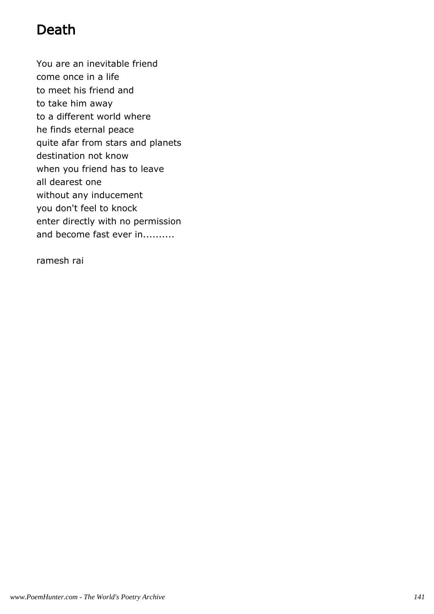## Death

You are an inevitable friend come once in a life

to meet his friend and

to take him away

to a different world where

he finds eternal peace

quite afar from stars and planets

destination not know

when you friend has to leave

all dearest one

without any inducement

you don't feel to knock

enter directly with no permission

and become fast ever in..........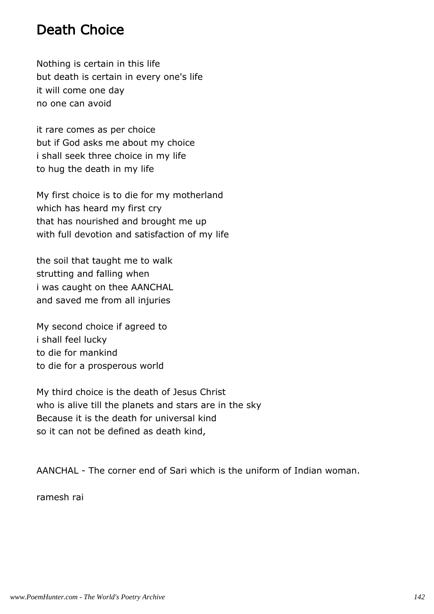### Death Choice

Nothing is certain in this life but death is certain in every one's life it will come one day no one can avoid

it rare comes as per choice but if God asks me about my choice i shall seek three choice in my life to hug the death in my life

My first choice is to die for my motherland which has heard my first cry that has nourished and brought me up with full devotion and satisfaction of my life

the soil that taught me to walk strutting and falling when i was caught on thee AANCHAL and saved me from all injuries

My second choice if agreed to i shall feel lucky to die for mankind to die for a prosperous world

My third choice is the death of Jesus Christ who is alive till the planets and stars are in the sky Because it is the death for universal kind so it can not be defined as death kind,

AANCHAL - The corner end of Sari which is the uniform of Indian woman.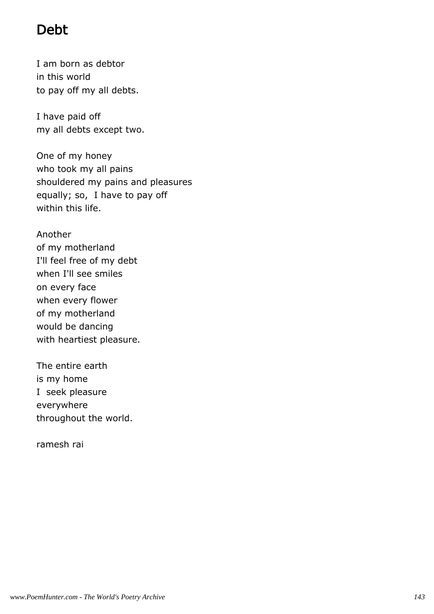## Debt

I am born as debtor in this world to pay off my all debts.

I have paid off my all debts except two.

One of my honey who took my all pains shouldered my pains and pleasures equally; so, I have to pay off within this life.

Another of my motherland I'll feel free of my debt when I'll see smiles on every face when every flower of my motherland would be dancing with heartiest pleasure.

The entire earth is my home I seek pleasure everywhere throughout the world.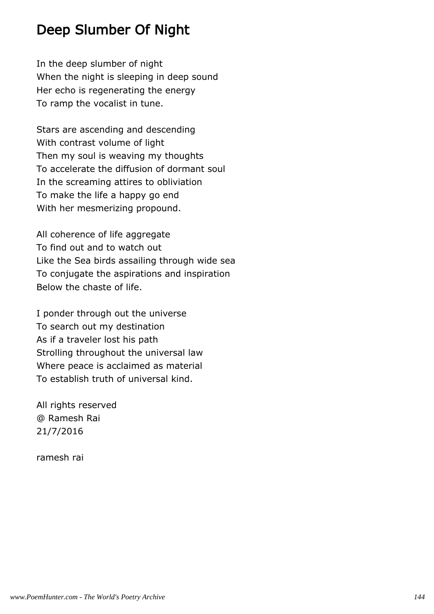## Deep Slumber Of Night

In the deep slumber of night When the night is sleeping in deep sound Her echo is regenerating the energy To ramp the vocalist in tune.

Stars are ascending and descending With contrast volume of light Then my soul is weaving my thoughts To accelerate the diffusion of dormant soul In the screaming attires to obliviation To make the life a happy go end With her mesmerizing propound.

All coherence of life aggregate To find out and to watch out Like the Sea birds assailing through wide sea To conjugate the aspirations and inspiration Below the chaste of life.

I ponder through out the universe To search out my destination As if a traveler lost his path Strolling throughout the universal law Where peace is acclaimed as material To establish truth of universal kind.

All rights reserved @ Ramesh Rai 21/7/2016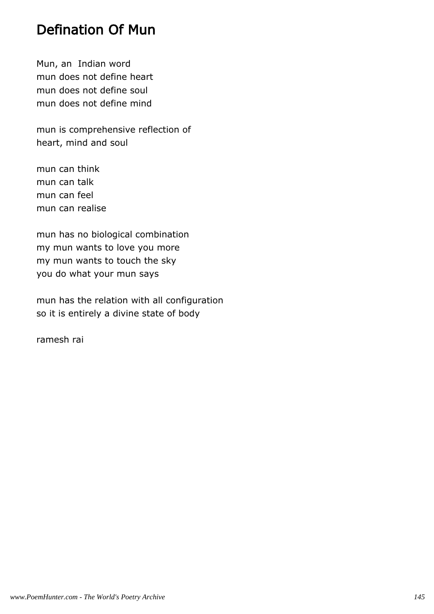## Defination Of Mun

Mun, an Indian word mun does not define heart mun does not define soul mun does not define mind

mun is comprehensive reflection of heart, mind and soul

mun can think mun can talk mun can feel mun can realise

mun has no biological combination my mun wants to love you more my mun wants to touch the sky you do what your mun says

mun has the relation with all configuration so it is entirely a divine state of body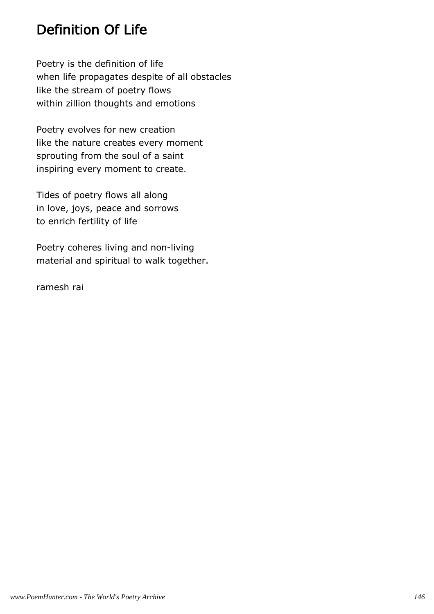# Definition Of Life

Poetry is the definition of life when life propagates despite of all obstacles like the stream of poetry flows within zillion thoughts and emotions

Poetry evolves for new creation like the nature creates every moment sprouting from the soul of a saint inspiring every moment to create.

Tides of poetry flows all along in love, joys, peace and sorrows to enrich fertility of life

Poetry coheres living and non-living material and spiritual to walk together.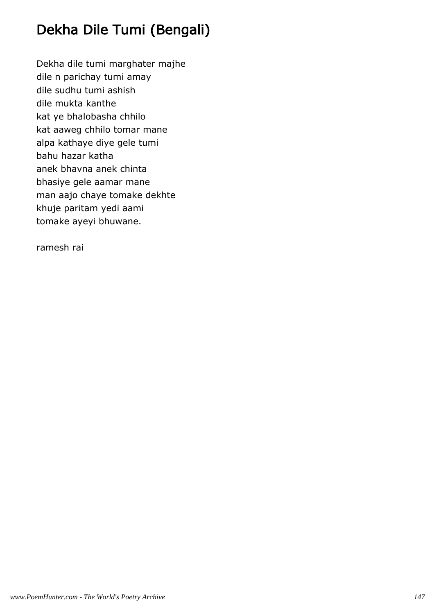# Dekha Dile Tumi (Bengali)

Dekha dile tumi marghater majhe dile n parichay tumi amay dile sudhu tumi ashish dile mukta kanthe kat ye bhalobasha chhilo kat aaweg chhilo tomar mane alpa kathaye diye gele tumi bahu hazar katha anek bhavna anek chinta bhasiye gele aamar mane man aajo chaye tomake dekhte khuje paritam yedi aami tomake ayeyi bhuwane.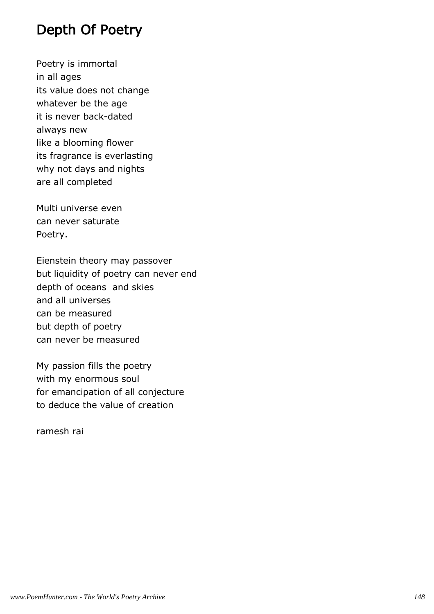#### Depth Of Poetry

Poetry is immortal in all ages its value does not change whatever be the age it is never back-dated always new like a blooming flower its fragrance is everlasting why not days and nights are all completed

Multi universe even can never saturate Poetry.

Eienstein theory may passover but liquidity of poetry can never end depth of oceans and skies and all universes can be measured but depth of poetry can never be measured

My passion fills the poetry with my enormous soul for emancipation of all conjecture to deduce the value of creation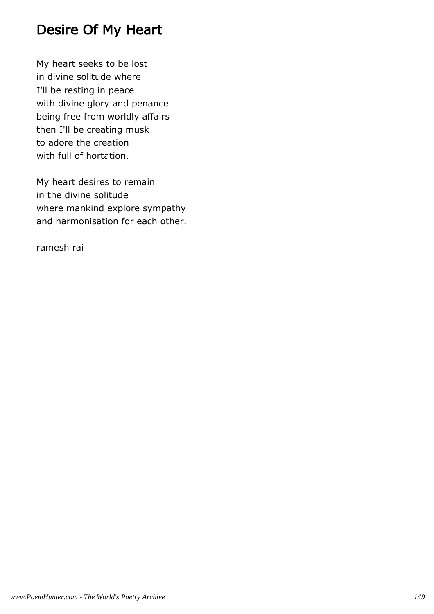# Desire Of My Heart

My heart seeks to be lost in divine solitude where I'll be resting in peace with divine glory and penance being free from worldly affairs then I'll be creating musk to adore the creation with full of hortation.

My heart desires to remain in the divine solitude where mankind explore sympathy and harmonisation for each other.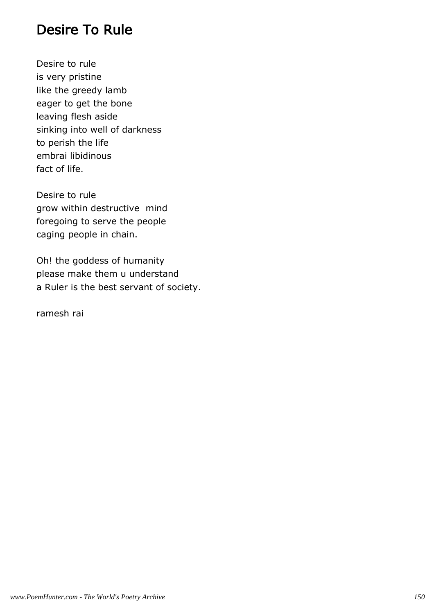### Desire To Rule

Desire to rule is very pristine like the greedy lamb eager to get the bone leaving flesh aside sinking into well of darkness to perish the life embrai libidinous fact of life.

Desire to rule grow within destructive mind foregoing to serve the people caging people in chain.

Oh! the goddess of humanity please make them u understand a Ruler is the best servant of society.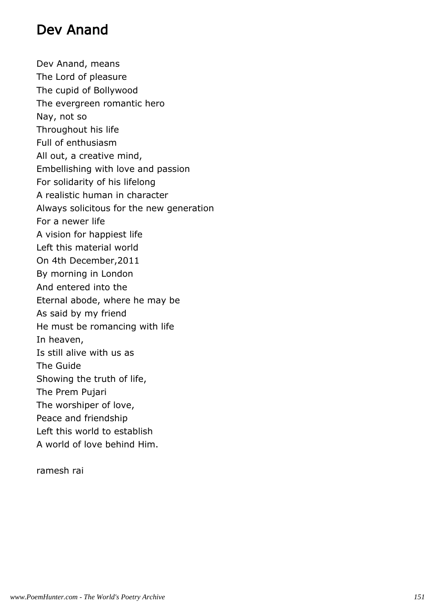## Dev Anand

Dev Anand, means The Lord of pleasure The cupid of Bollywood The evergreen romantic hero Nay, not so Throughout his life Full of enthusiasm All out, a creative mind, Embellishing with love and passion For solidarity of his lifelong A realistic human in character Always solicitous for the new generation For a newer life A vision for happiest life Left this material world On 4th December,2011 By morning in London And entered into the Eternal abode, where he may be As said by my friend He must be romancing with life In heaven, Is still alive with us as The Guide Showing the truth of life, The Prem Pujari The worshiper of love, Peace and friendship Left this world to establish A world of love behind Him.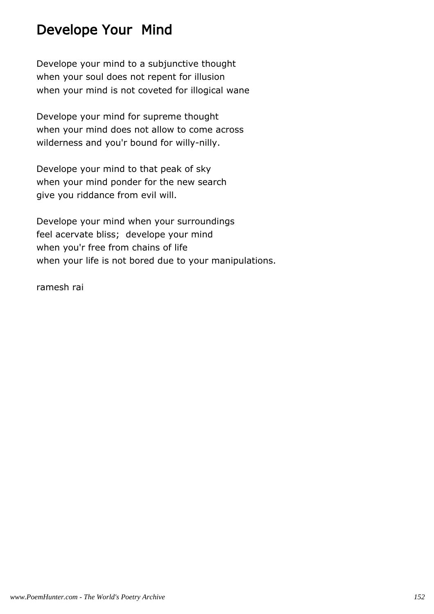## Develope Your Mind

Develope your mind to a subjunctive thought when your soul does not repent for illusion when your mind is not coveted for illogical wane

Develope your mind for supreme thought when your mind does not allow to come across wilderness and you'r bound for willy-nilly.

Develope your mind to that peak of sky when your mind ponder for the new search give you riddance from evil will.

Develope your mind when your surroundings feel acervate bliss; develope your mind when you'r free from chains of life when your life is not bored due to your manipulations.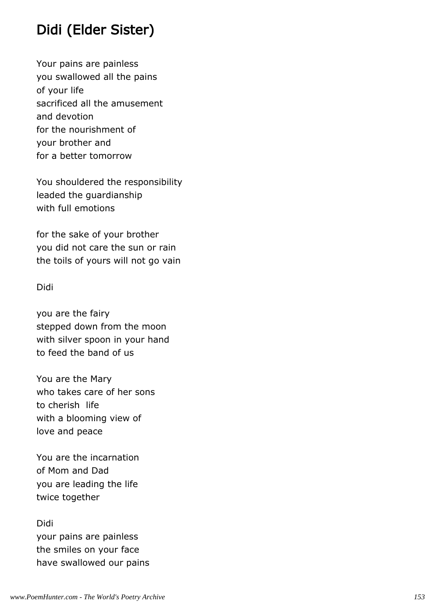# Didi (Elder Sister)

Your pains are painless you swallowed all the pains of your life sacrificed all the amusement and devotion for the nourishment of your brother and for a better tomorrow

You shouldered the responsibility leaded the guardianship with full emotions

for the sake of your brother you did not care the sun or rain the toils of yours will not go vain

#### Didi

you are the fairy stepped down from the moon with silver spoon in your hand to feed the band of us

You are the Mary who takes care of her sons to cherish life with a blooming view of love and peace

You are the incarnation of Mom and Dad you are leading the life twice together

Didi your pains are painless the smiles on your face have swallowed our pains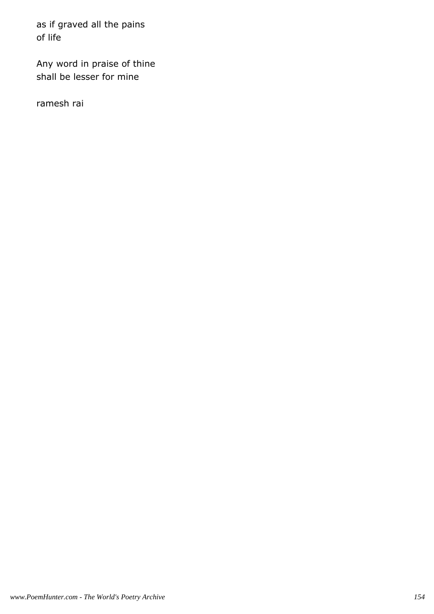as if graved all the pains of life

Any word in praise of thine shall be lesser for mine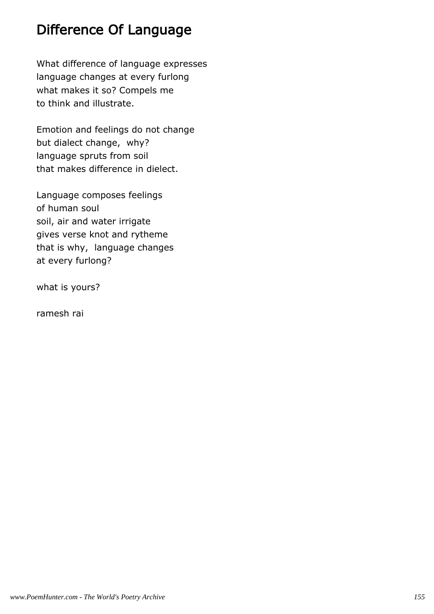# Difference Of Language

What difference of language expresses language changes at every furlong what makes it so? Compels me to think and illustrate.

Emotion and feelings do not change but dialect change, why? language spruts from soil that makes difference in dielect.

Language composes feelings of human soul soil, air and water irrigate gives verse knot and rytheme that is why, language changes at every furlong?

what is yours?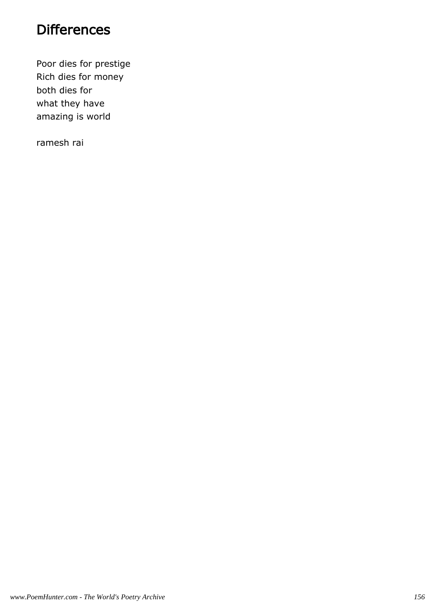## **Differences**

Poor dies for prestige Rich dies for money both dies for what they have amazing is world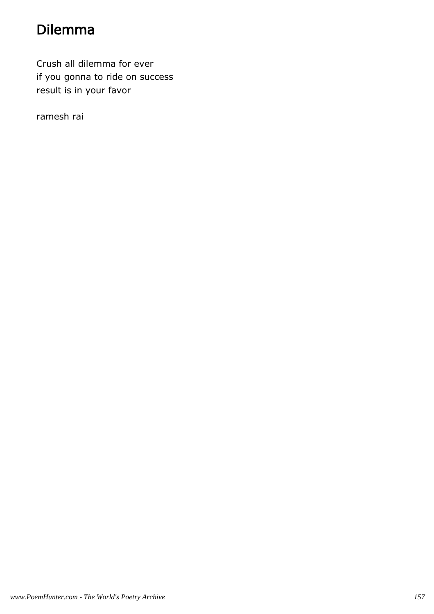# Dilemma

Crush all dilemma for ever if you gonna to ride on success result is in your favor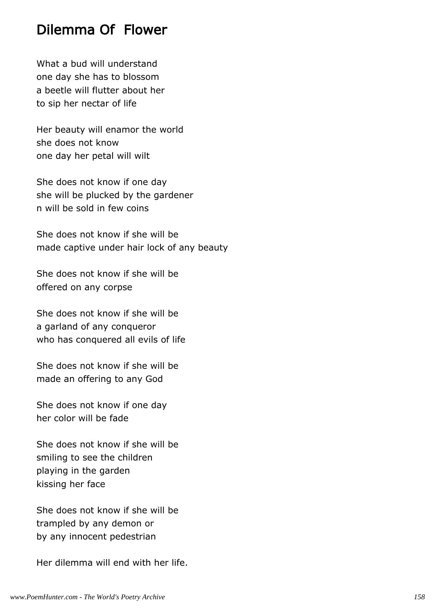### Dilemma Of Flower

What a bud will understand one day she has to blossom a beetle will flutter about her to sip her nectar of life

Her beauty will enamor the world she does not know one day her petal will wilt

She does not know if one day she will be plucked by the gardener n will be sold in few coins

She does not know if she will be made captive under hair lock of any beauty

She does not know if she will be offered on any corpse

She does not know if she will be a garland of any conqueror who has conquered all evils of life

She does not know if she will be made an offering to any God

She does not know if one day her color will be fade

She does not know if she will be smiling to see the children playing in the garden kissing her face

She does not know if she will be trampled by any demon or by any innocent pedestrian

Her dilemma will end with her life.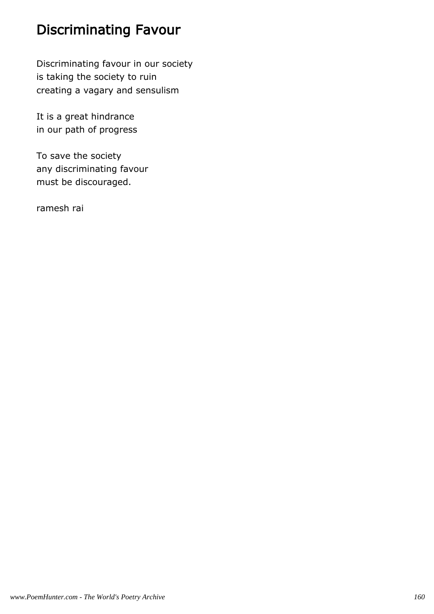# Discriminating Favour

Discriminating favour in our society is taking the society to ruin creating a vagary and sensulism

It is a great hindrance in our path of progress

To save the society any discriminating favour must be discouraged.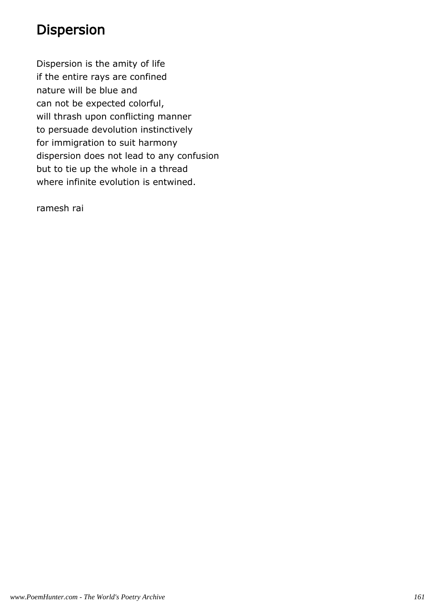## Dispersion

Dispersion is the amity of life if the entire rays are confined nature will be blue and can not be expected colorful, will thrash upon conflicting manner to persuade devolution instinctively for immigration to suit harmony dispersion does not lead to any confusion but to tie up the whole in a thread where infinite evolution is entwined.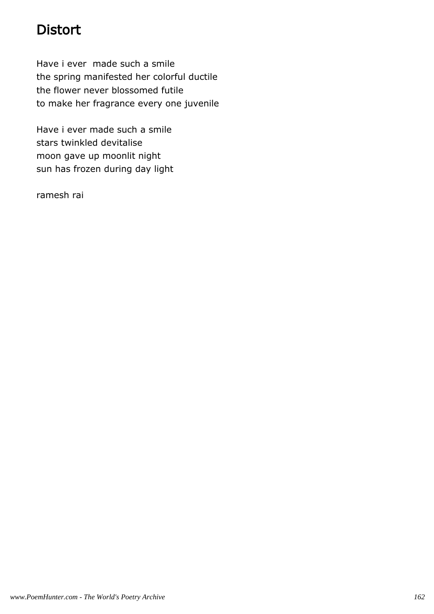# **Distort**

Have i ever made such a smile the spring manifested her colorful ductile the flower never blossomed futile to make her fragrance every one juvenile

Have i ever made such a smile stars twinkled devitalise moon gave up moonlit night sun has frozen during day light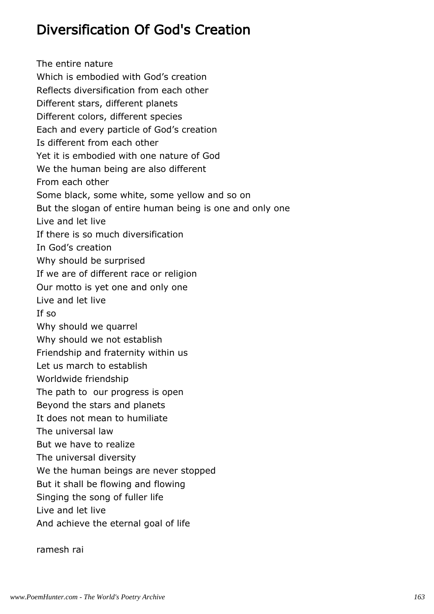# Diversification Of God's Creation

The entire nature Which is embodied with God's creation Reflects diversification from each other Different stars, different planets Different colors, different species Each and every particle of God's creation Is different from each other Yet it is embodied with one nature of God We the human being are also different From each other Some black, some white, some yellow and so on But the slogan of entire human being is one and only one Live and let live If there is so much diversification In God's creation Why should be surprised If we are of different race or religion Our motto is yet one and only one Live and let live If so Why should we quarrel Why should we not establish Friendship and fraternity within us Let us march to establish Worldwide friendship The path to our progress is open Beyond the stars and planets It does not mean to humiliate The universal law But we have to realize The universal diversity We the human beings are never stopped But it shall be flowing and flowing Singing the song of fuller life Live and let live And achieve the eternal goal of life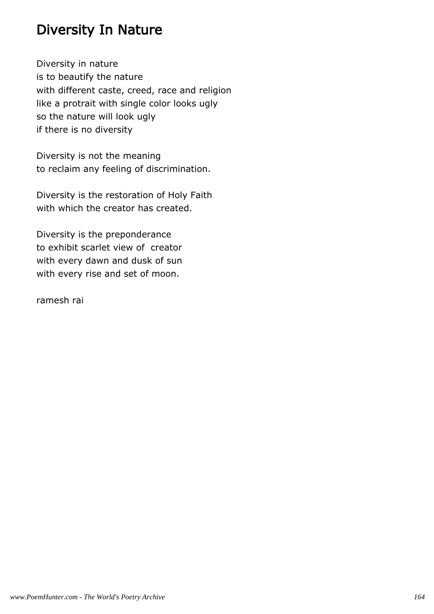# Diversity In Nature

Diversity in nature is to beautify the nature with different caste, creed, race and religion like a protrait with single color looks ugly so the nature will look ugly if there is no diversity

Diversity is not the meaning to reclaim any feeling of discrimination.

Diversity is the restoration of Holy Faith with which the creator has created.

Diversity is the preponderance to exhibit scarlet view of creator with every dawn and dusk of sun with every rise and set of moon.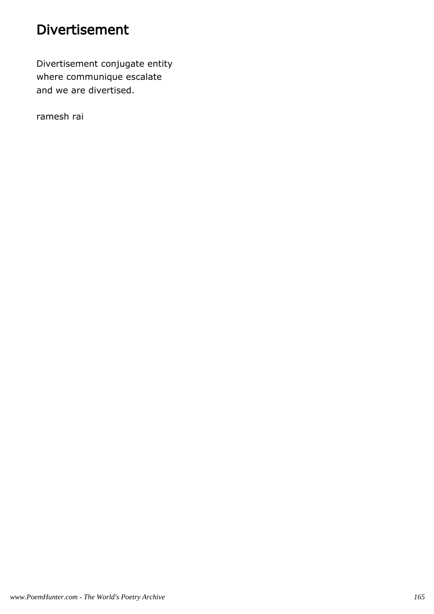# Divertisement

Divertisement conjugate entity where communique escalate and we are divertised.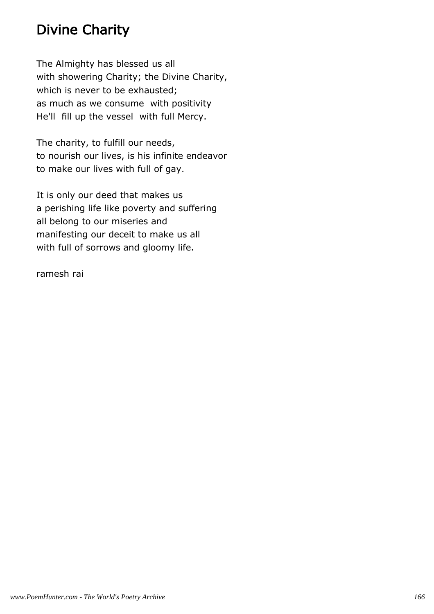# Divine Charity

The Almighty has blessed us all with showering Charity; the Divine Charity, which is never to be exhausted; as much as we consume with positivity He'll fill up the vessel with full Mercy.

The charity, to fulfill our needs, to nourish our lives, is his infinite endeavor to make our lives with full of gay.

It is only our deed that makes us a perishing life like poverty and suffering all belong to our miseries and manifesting our deceit to make us all with full of sorrows and gloomy life.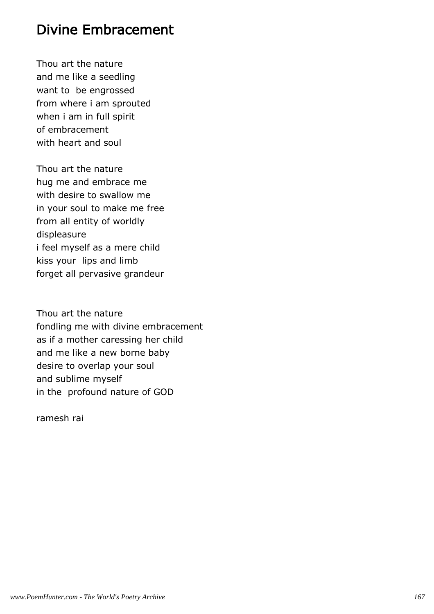#### Divine Embracement

Thou art the nature and me like a seedling want to be engrossed from where i am sprouted when i am in full spirit of embracement with heart and soul

Thou art the nature hug me and embrace me with desire to swallow me in your soul to make me free from all entity of worldly displeasure i feel myself as a mere child kiss your lips and limb forget all pervasive grandeur

Thou art the nature fondling me with divine embracement as if a mother caressing her child and me like a new borne baby desire to overlap your soul and sublime myself in the profound nature of GOD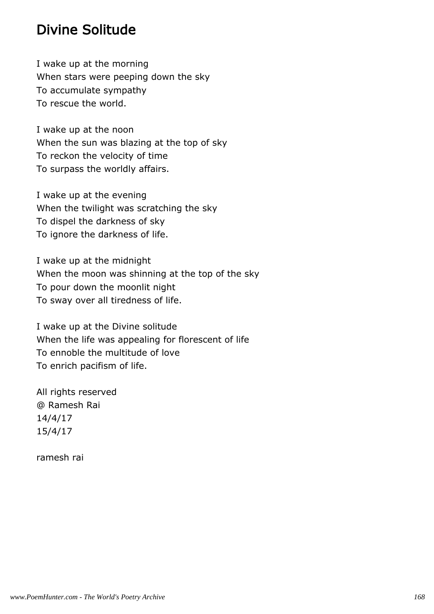## Divine Solitude

I wake up at the morning When stars were peeping down the sky To accumulate sympathy To rescue the world.

I wake up at the noon When the sun was blazing at the top of sky To reckon the velocity of time To surpass the worldly affairs.

I wake up at the evening When the twilight was scratching the sky To dispel the darkness of sky To ignore the darkness of life.

I wake up at the midnight When the moon was shinning at the top of the sky To pour down the moonlit night To sway over all tiredness of life.

I wake up at the Divine solitude When the life was appealing for florescent of life To ennoble the multitude of love To enrich pacifism of life.

All rights reserved @ Ramesh Rai 14/4/17 15/4/17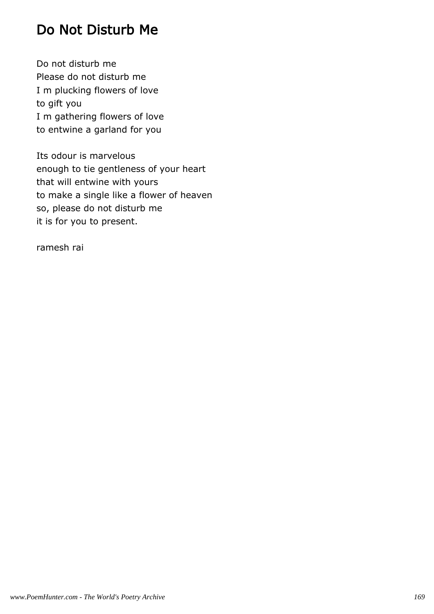# Do Not Disturb Me

Do not disturb me Please do not disturb me I m plucking flowers of love to gift you I m gathering flowers of love to entwine a garland for you

Its odour is marvelous enough to tie gentleness of your heart that will entwine with yours to make a single like a flower of heaven so, please do not disturb me it is for you to present.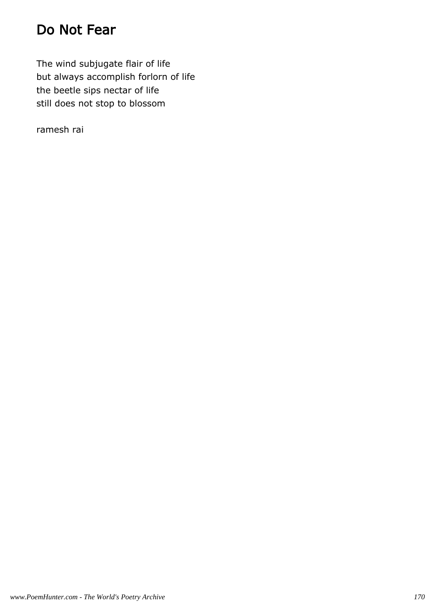# Do Not Fear

The wind subjugate flair of life but always accomplish forlorn of life the beetle sips nectar of life still does not stop to blossom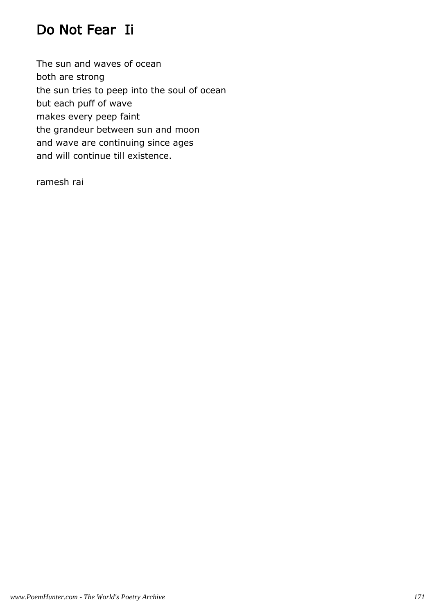# Do Not Fear Ii

The sun and waves of ocean both are strong the sun tries to peep into the soul of ocean but each puff of wave makes every peep faint the grandeur between sun and moon and wave are continuing since ages and will continue till existence.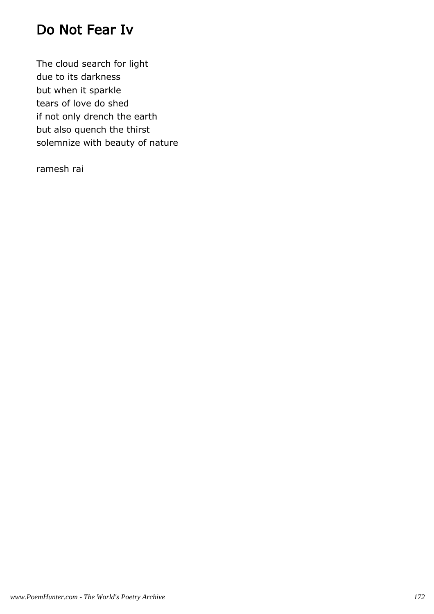## Do Not Fear Iv

The cloud search for light due to its darkness but when it sparkle tears of love do shed if not only drench the earth but also quench the thirst solemnize with beauty of nature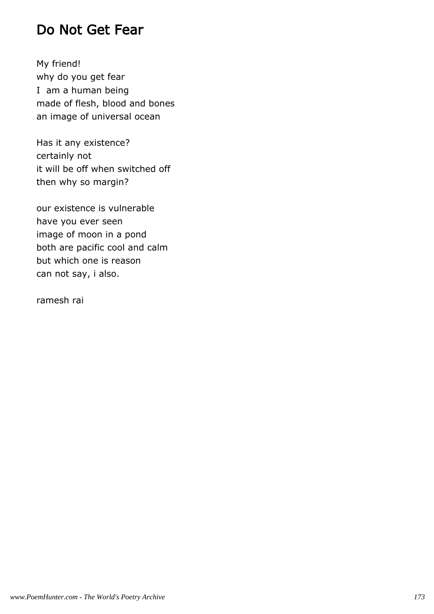## Do Not Get Fear

My friend! why do you get fear I am a human being made of flesh, blood and bones an image of universal ocean

Has it any existence? certainly not it will be off when switched off then why so margin?

our existence is vulnerable have you ever seen image of moon in a pond both are pacific cool and calm but which one is reason can not say, i also.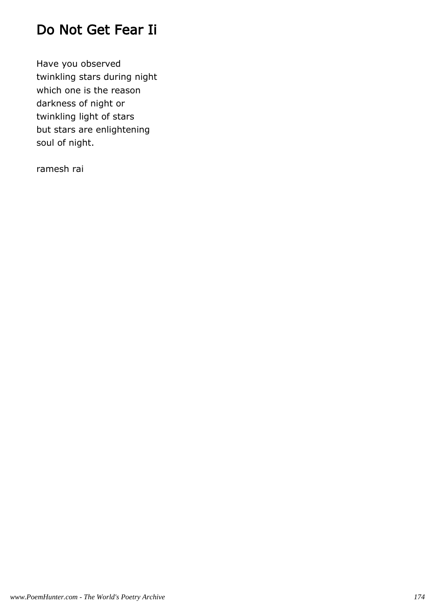## Do Not Get Fear Ii

Have you observed twinkling stars during night which one is the reason darkness of night or twinkling light of stars but stars are enlightening soul of night.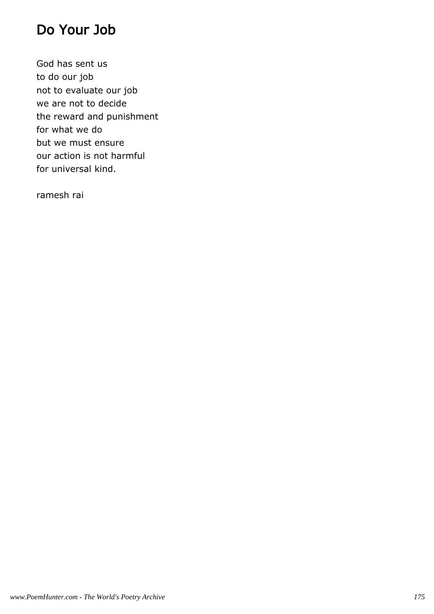# Do Your Job

God has sent us to do our job not to evaluate our job we are not to decide the reward and punishment for what we do but we must ensure our action is not harmful for universal kind.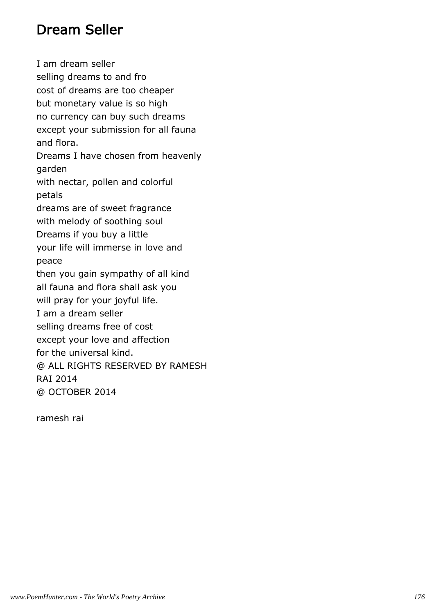#### Dream Seller

I am dream seller selling dreams to and fro cost of dreams are too cheaper but monetary value is so high no currency can buy such dreams except your submission for all fauna and flora. Dreams I have chosen from heavenly garden with nectar, pollen and colorful petals dreams are of sweet fragrance with melody of soothing soul Dreams if you buy a little your life will immerse in love and peace then you gain sympathy of all kind all fauna and flora shall ask you will pray for your joyful life. I am a dream seller selling dreams free of cost except your love and affection for the universal kind. @ ALL RIGHTS RESERVED BY RAMESH RAI 2014 @ OCTOBER 2014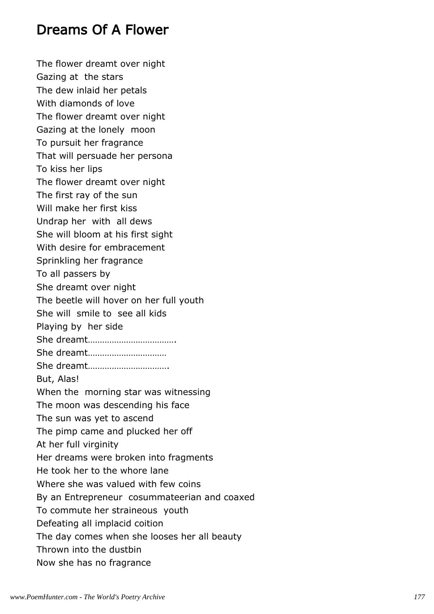## Dreams Of A Flower

The flower dreamt over night Gazing at the stars The dew inlaid her petals With diamonds of love The flower dreamt over night Gazing at the lonely moon To pursuit her fragrance That will persuade her persona To kiss her lips The flower dreamt over night The first ray of the sun Will make her first kiss Undrap her with all dews She will bloom at his first sight With desire for embracement Sprinkling her fragrance To all passers by She dreamt over night The beetle will hover on her full youth She will smile to see all kids Playing by her side She dreamt………………………………. She dreamt…………………………… She dreamt……………………………. But, Alas! When the morning star was witnessing The moon was descending his face The sun was yet to ascend The pimp came and plucked her off At her full virginity Her dreams were broken into fragments He took her to the whore lane Where she was valued with few coins By an Entrepreneur cosummateerian and coaxed To commute her straineous youth Defeating all implacid coition The day comes when she looses her all beauty Thrown into the dustbin Now she has no fragrance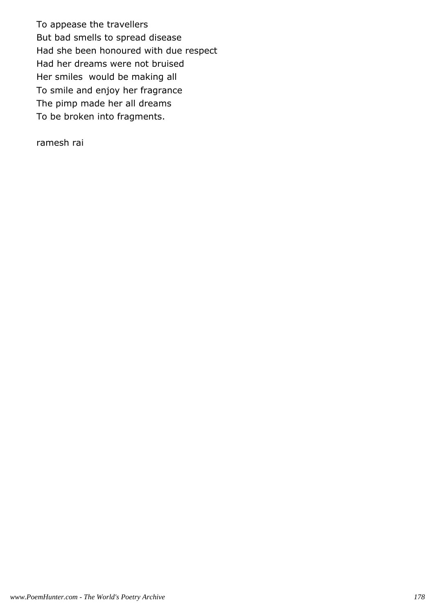To appease the travellers But bad smells to spread disease Had she been honoured with due respect Had her dreams were not bruised Her smiles would be making all To smile and enjoy her fragrance The pimp made her all dreams To be broken into fragments.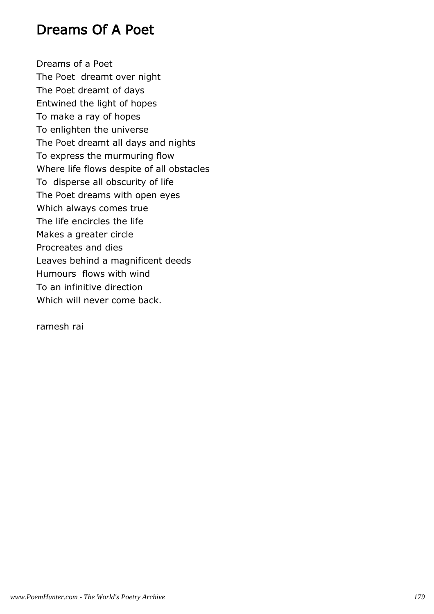#### Dreams Of A Poet

Dreams of a Poet The Poet dreamt over night The Poet dreamt of days Entwined the light of hopes To make a ray of hopes To enlighten the universe The Poet dreamt all days and nights To express the murmuring flow Where life flows despite of all obstacles To disperse all obscurity of life The Poet dreams with open eyes Which always comes true The life encircles the life Makes a greater circle Procreates and dies Leaves behind a magnificent deeds Humours flows with wind To an infinitive direction Which will never come back.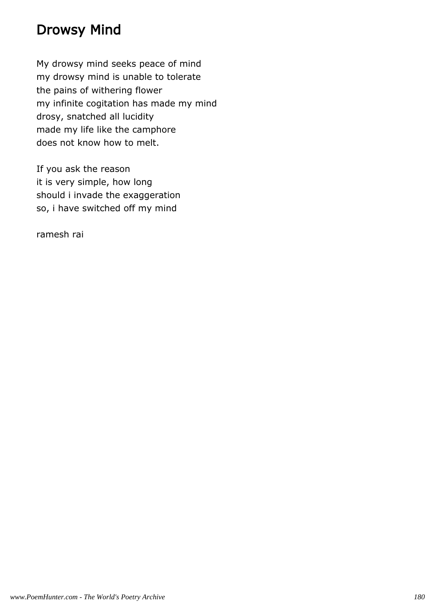# Drowsy Mind

My drowsy mind seeks peace of mind my drowsy mind is unable to tolerate the pains of withering flower my infinite cogitation has made my mind drosy, snatched all lucidity made my life like the camphore does not know how to melt.

If you ask the reason it is very simple, how long should i invade the exaggeration so, i have switched off my mind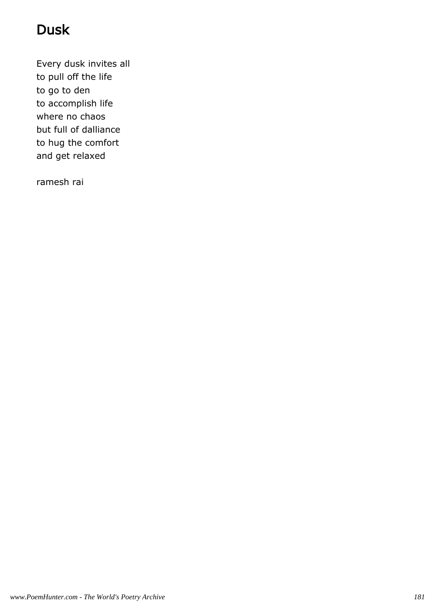# **Dusk**

Every dusk invites all to pull off the life to go to den to accomplish life where no chaos but full of dalliance to hug the comfort and get relaxed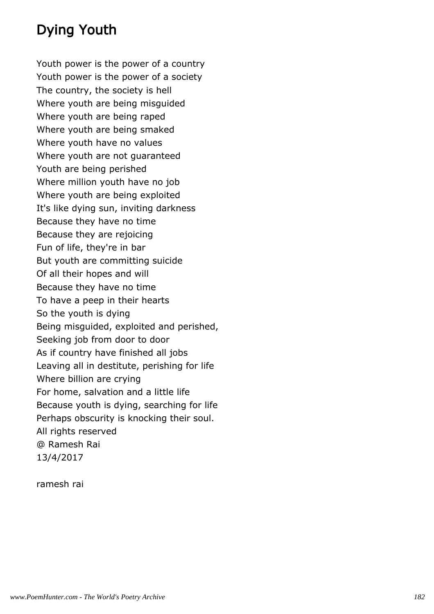# Dying Youth

Youth power is the power of a country Youth power is the power of a society The country, the society is hell Where youth are being misguided Where youth are being raped Where youth are being smaked Where youth have no values Where youth are not guaranteed Youth are being perished Where million youth have no job Where youth are being exploited It's like dying sun, inviting darkness Because they have no time Because they are rejoicing Fun of life, they're in bar But youth are committing suicide Of all their hopes and will Because they have no time To have a peep in their hearts So the youth is dying Being misguided, exploited and perished, Seeking job from door to door As if country have finished all jobs Leaving all in destitute, perishing for life Where billion are crying For home, salvation and a little life Because youth is dying, searching for life Perhaps obscurity is knocking their soul. All rights reserved @ Ramesh Rai 13/4/2017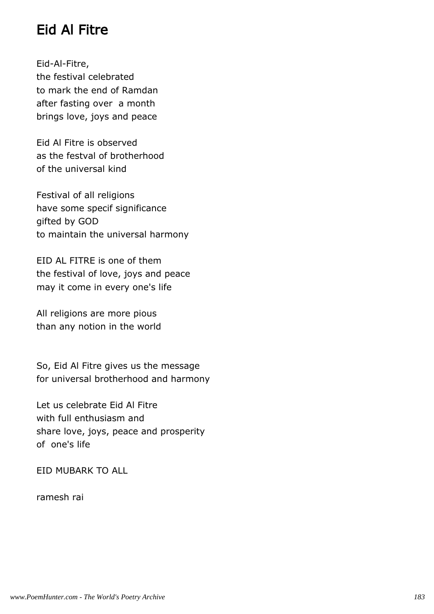## Eid Al Fitre

Eid-Al-Fitre, the festival celebrated to mark the end of Ramdan after fasting over a month brings love, joys and peace

Eid Al Fitre is observed as the festval of brotherhood of the universal kind

Festival of all religions have some specif significance gifted by GOD to maintain the universal harmony

EID AL FITRE is one of them the festival of love, joys and peace may it come in every one's life

All religions are more pious than any notion in the world

So, Eid Al Fitre gives us the message for universal brotherhood and harmony

Let us celebrate Eid Al Fitre with full enthusiasm and share love, joys, peace and prosperity of one's life

EID MUBARK TO ALL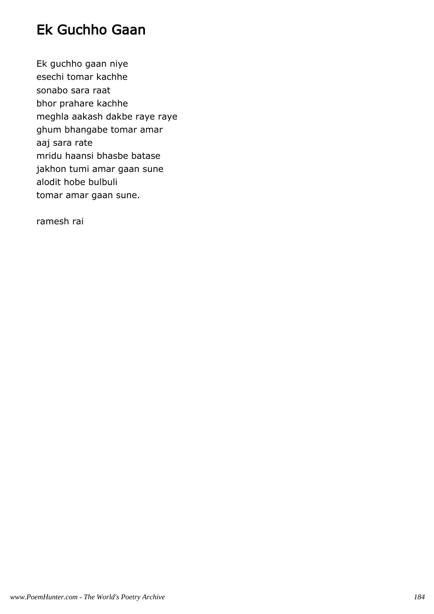# Ek Guchho Gaan

Ek guchho gaan niye esechi tomar kachhe sonabo sara raat bhor prahare kachhe meghla aakash dakbe raye raye ghum bhangabe tomar amar aaj sara rate mridu haansi bhasbe batase jakhon tumi amar gaan sune alodit hobe bulbuli tomar amar gaan sune.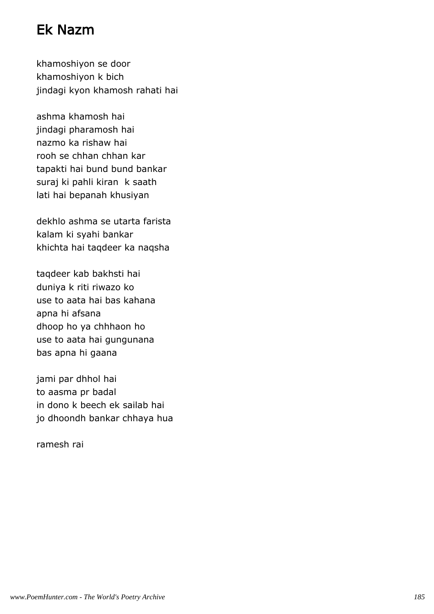# Ek Nazm

khamoshiyon se door khamoshiyon k bich jindagi kyon khamosh rahati hai

ashma khamosh hai jindagi pharamosh hai nazmo ka rishaw hai rooh se chhan chhan kar tapakti hai bund bund bankar suraj ki pahli kiran k saath lati hai bepanah khusiyan

dekhlo ashma se utarta farista kalam ki syahi bankar khichta hai taqdeer ka naqsha

taqdeer kab bakhsti hai duniya k riti riwazo ko use to aata hai bas kahana apna hi afsana dhoop ho ya chhhaon ho use to aata hai gungunana bas apna hi gaana

jami par dhhol hai to aasma pr badal in dono k beech ek sailab hai jo dhoondh bankar chhaya hua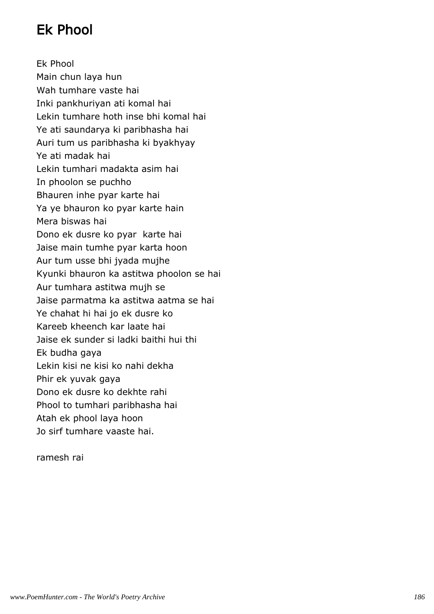# Ek Phool

Ek Phool Main chun laya hun Wah tumhare vaste hai Inki pankhuriyan ati komal hai Lekin tumhare hoth inse bhi komal hai Ye ati saundarya ki paribhasha hai Auri tum us paribhasha ki byakhyay Ye ati madak hai Lekin tumhari madakta asim hai In phoolon se puchho Bhauren inhe pyar karte hai Ya ye bhauron ko pyar karte hain Mera biswas hai Dono ek dusre ko pyar karte hai Jaise main tumhe pyar karta hoon Aur tum usse bhi jyada mujhe Kyunki bhauron ka astitwa phoolon se hai Aur tumhara astitwa mujh se Jaise parmatma ka astitwa aatma se hai Ye chahat hi hai jo ek dusre ko Kareeb kheench kar laate hai Jaise ek sunder si ladki baithi hui thi Ek budha gaya Lekin kisi ne kisi ko nahi dekha Phir ek yuvak gaya Dono ek dusre ko dekhte rahi Phool to tumhari paribhasha hai Atah ek phool laya hoon Jo sirf tumhare vaaste hai.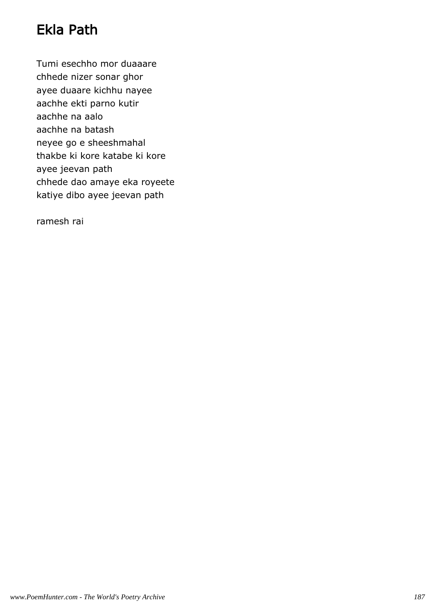# Ekla Path

Tumi esechho mor duaaare chhede nizer sonar ghor ayee duaare kichhu nayee aachhe ekti parno kutir aachhe na aalo aachhe na batash neyee go e sheeshmahal thakbe ki kore katabe ki kore ayee jeevan path chhede dao amaye eka royeete katiye dibo ayee jeevan path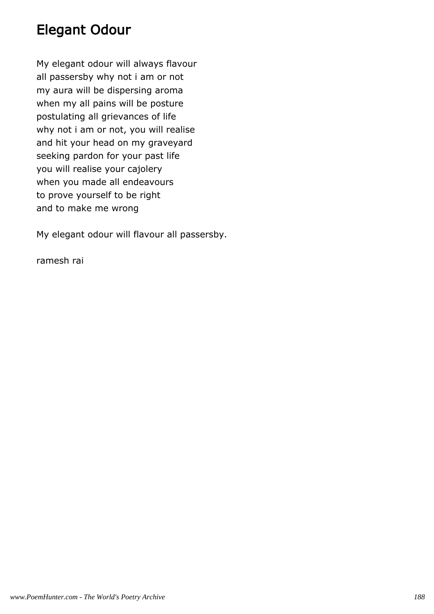## Elegant Odour

My elegant odour will always flavour all passersby why not i am or not my aura will be dispersing aroma when my all pains will be posture postulating all grievances of life why not i am or not, you will realise and hit your head on my graveyard seeking pardon for your past life you will realise your cajolery when you made all endeavours to prove yourself to be right and to make me wrong

My elegant odour will flavour all passersby.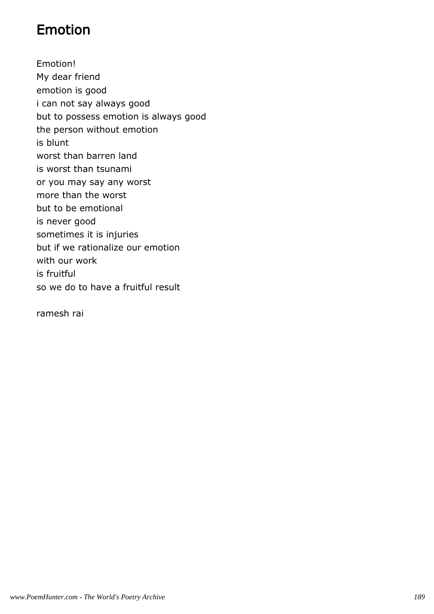# Emotion

Emotion! My dear friend emotion is good i can not say always good but to possess emotion is always good the person without emotion is blunt worst than barren land is worst than tsunami or you may say any worst more than the worst but to be emotional is never good sometimes it is injuries but if we rationalize our emotion with our work is fruitful so we do to have a fruitful result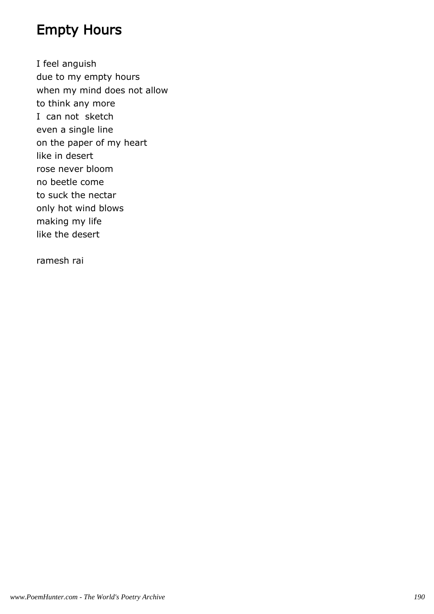### Empty Hours

I feel anguish due to my empty hours when my mind does not allow to think any more I can not sketch even a single line on the paper of my heart like in desert rose never bloom no beetle come to suck the nectar only hot wind blows making my life like the desert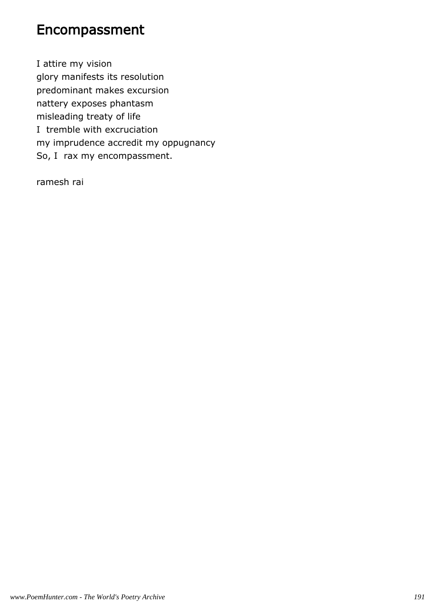#### Encompassment

I attire my vision glory manifests its resolution predominant makes excursion nattery exposes phantasm misleading treaty of life I tremble with excruciation my imprudence accredit my oppugnancy So, I rax my encompassment.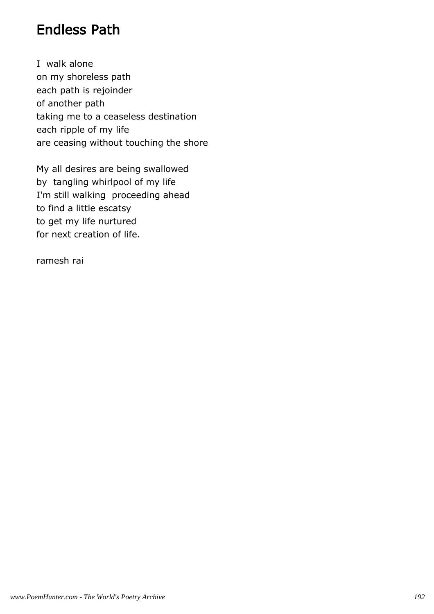### Endless Path

I walk alone on my shoreless path each path is rejoinder of another path taking me to a ceaseless destination each ripple of my life are ceasing without touching the shore

My all desires are being swallowed by tangling whirlpool of my life I'm still walking proceeding ahead to find a little escatsy to get my life nurtured for next creation of life.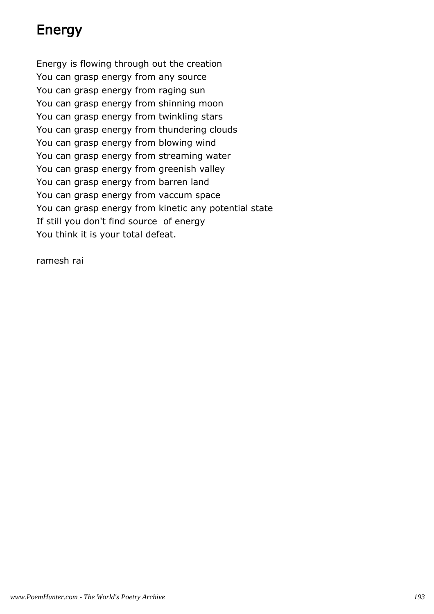## Energy

Energy is flowing through out the creation You can grasp energy from any source You can grasp energy from raging sun You can grasp energy from shinning moon You can grasp energy from twinkling stars You can grasp energy from thundering clouds You can grasp energy from blowing wind You can grasp energy from streaming water You can grasp energy from greenish valley You can grasp energy from barren land You can grasp energy from vaccum space You can grasp energy from kinetic any potential state If still you don't find source of energy You think it is your total defeat.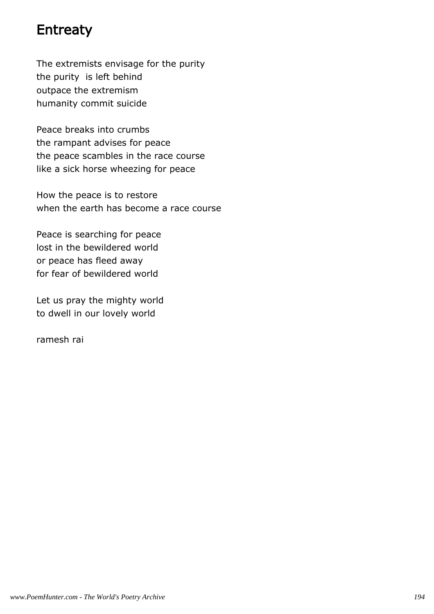### **Entreaty**

The extremists envisage for the purity the purity is left behind outpace the extremism humanity commit suicide

Peace breaks into crumbs the rampant advises for peace the peace scambles in the race course like a sick horse wheezing for peace

How the peace is to restore when the earth has become a race course

Peace is searching for peace lost in the bewildered world or peace has fleed away for fear of bewildered world

Let us pray the mighty world to dwell in our lovely world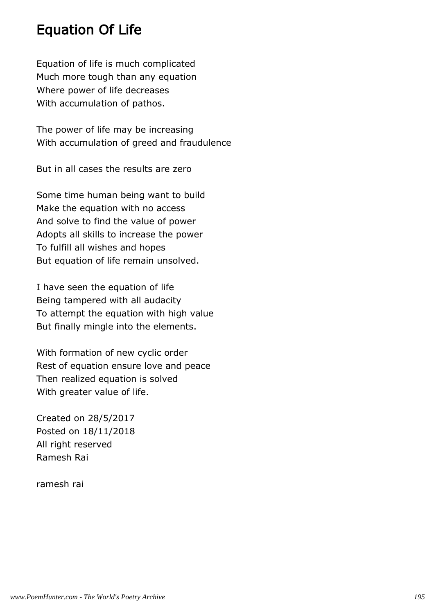### Equation Of Life

Equation of life is much complicated Much more tough than any equation Where power of life decreases With accumulation of pathos.

The power of life may be increasing With accumulation of greed and fraudulence

But in all cases the results are zero

Some time human being want to build Make the equation with no access And solve to find the value of power Adopts all skills to increase the power To fulfill all wishes and hopes But equation of life remain unsolved.

I have seen the equation of life Being tampered with all audacity To attempt the equation with high value But finally mingle into the elements.

With formation of new cyclic order Rest of equation ensure love and peace Then realized equation is solved With greater value of life.

Created on 28/5/2017 Posted on 18/11/2018 All right reserved Ramesh Rai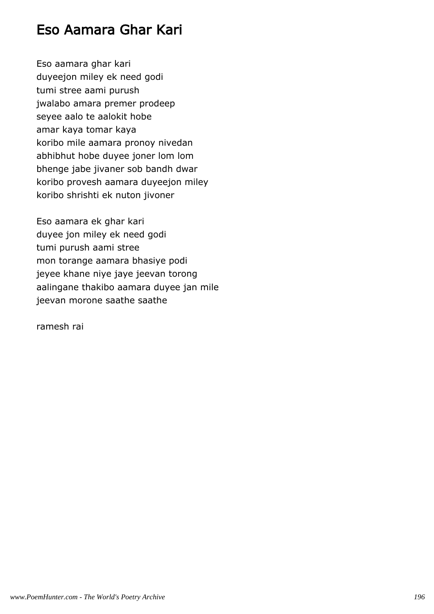### Eso Aamara Ghar Kari

Eso aamara ghar kari duyeejon miley ek need godi tumi stree aami purush jwalabo amara premer prodeep seyee aalo te aalokit hobe amar kaya tomar kaya koribo mile aamara pronoy nivedan abhibhut hobe duyee joner lom lom bhenge jabe jivaner sob bandh dwar koribo provesh aamara duyeejon miley koribo shrishti ek nuton jivoner

Eso aamara ek ghar kari duyee jon miley ek need godi tumi purush aami stree mon torange aamara bhasiye podi jeyee khane niye jaye jeevan torong aalingane thakibo aamara duyee jan mile jeevan morone saathe saathe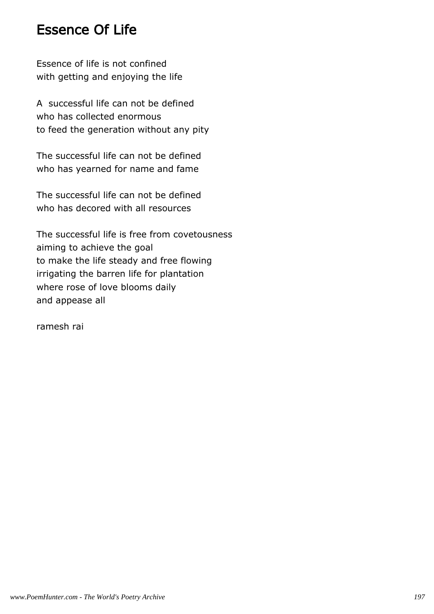### Essence Of Life

Essence of life is not confined with getting and enjoying the life

A successful life can not be defined who has collected enormous to feed the generation without any pity

The successful life can not be defined who has yearned for name and fame

The successful life can not be defined who has decored with all resources

The successful life is free from covetousness aiming to achieve the goal to make the life steady and free flowing irrigating the barren life for plantation where rose of love blooms daily and appease all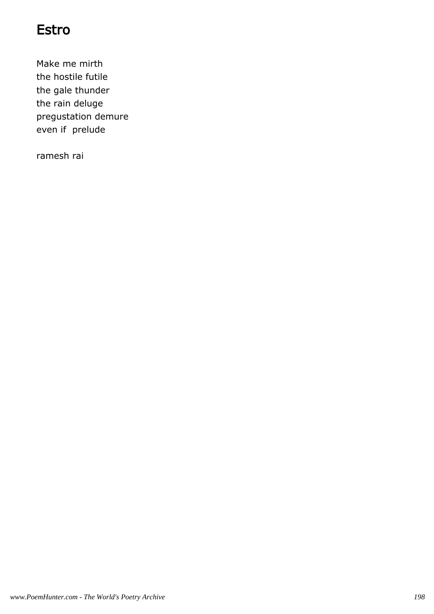### Estro

Make me mirth the hostile futile the gale thunder the rain deluge pregustation demure even if prelude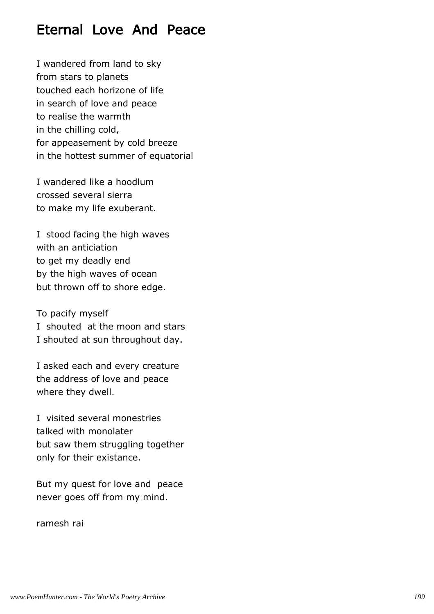### Eternal Love And Peace

I wandered from land to sky from stars to planets touched each horizone of life in search of love and peace to realise the warmth in the chilling cold, for appeasement by cold breeze in the hottest summer of equatorial

I wandered like a hoodlum crossed several sierra to make my life exuberant.

I stood facing the high waves with an anticiation to get my deadly end by the high waves of ocean but thrown off to shore edge.

To pacify myself I shouted at the moon and stars I shouted at sun throughout day.

I asked each and every creature the address of love and peace where they dwell.

I visited several monestries talked with monolater but saw them struggling together only for their existance.

But my quest for love and peace never goes off from my mind.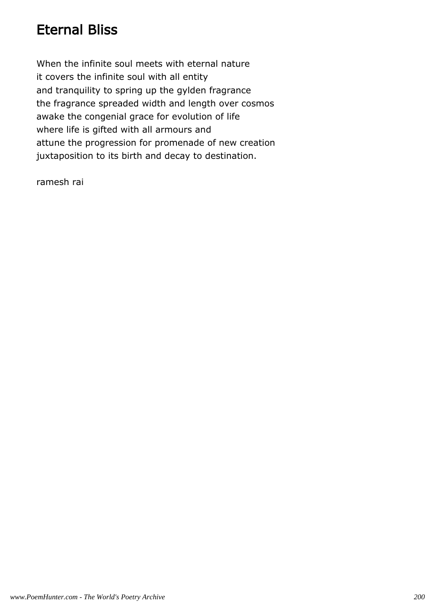# Eternal Bliss

When the infinite soul meets with eternal nature it covers the infinite soul with all entity and tranquility to spring up the gylden fragrance the fragrance spreaded width and length over cosmos awake the congenial grace for evolution of life where life is gifted with all armours and attune the progression for promenade of new creation juxtaposition to its birth and decay to destination.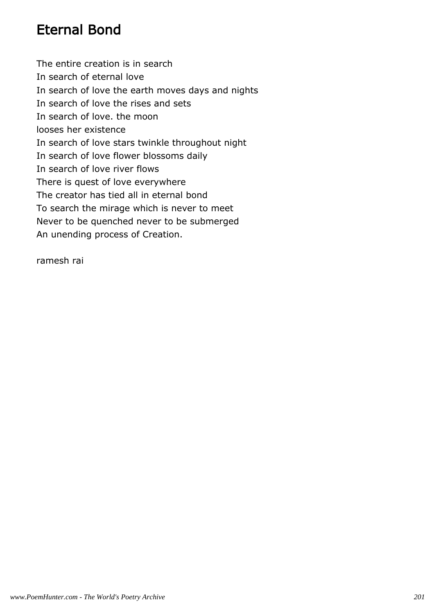# Eternal Bond

The entire creation is in search In search of eternal love In search of love the earth moves days and nights In search of love the rises and sets In search of love. the moon looses her existence In search of love stars twinkle throughout night In search of love flower blossoms daily In search of love river flows There is quest of love everywhere The creator has tied all in eternal bond To search the mirage which is never to meet Never to be quenched never to be submerged An unending process of Creation.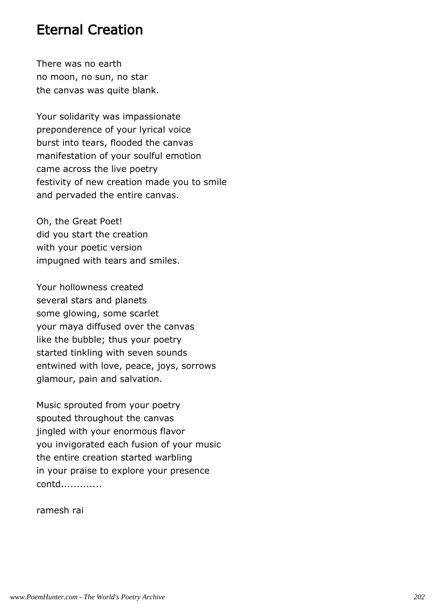#### Eternal Creation

There was no earth no moon, no sun, no star the canvas was quite blank.

Your solidarity was impassionate preponderence of your lyrical voice burst into tears, flooded the canvas manifestation of your soulful emotion came across the live poetry festivity of new creation made you to smile and pervaded the entire canvas.

Oh, the Great Poet! did you start the creation with your poetic version impugned with tears and smiles.

Your hollowness created several stars and planets some glowing, some scarlet your maya diffused over the canvas like the bubble; thus your poetry started tinkling with seven sounds entwined with love, peace, joys, sorrows glamour, pain and salvation.

Music sprouted from your poetry spouted throughout the canvas jingled with your enormous flavor you invigorated each fusion of your music the entire creation started warbling in your praise to explore your presence contd.............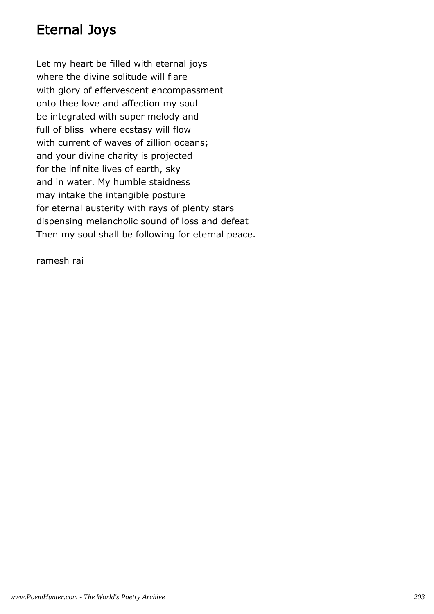# Eternal Joys

Let my heart be filled with eternal joys where the divine solitude will flare with glory of effervescent encompassment onto thee love and affection my soul be integrated with super melody and full of bliss where ecstasy will flow with current of waves of zillion oceans; and your divine charity is projected for the infinite lives of earth, sky and in water. My humble staidness may intake the intangible posture for eternal austerity with rays of plenty stars dispensing melancholic sound of loss and defeat Then my soul shall be following for eternal peace.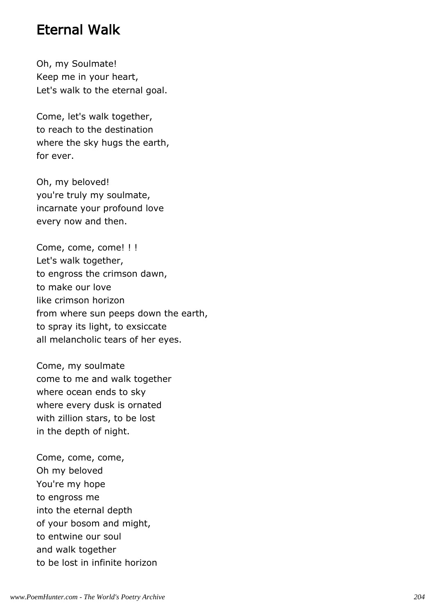#### Eternal Walk

Oh, my Soulmate! Keep me in your heart, Let's walk to the eternal goal.

Come, let's walk together, to reach to the destination where the sky hugs the earth, for ever.

Oh, my beloved! you're truly my soulmate, incarnate your profound love every now and then.

Come, come, come! ! ! Let's walk together, to engross the crimson dawn, to make our love like crimson horizon from where sun peeps down the earth, to spray its light, to exsiccate all melancholic tears of her eyes.

Come, my soulmate come to me and walk together where ocean ends to sky where every dusk is ornated with zillion stars, to be lost in the depth of night.

Come, come, come, Oh my beloved You're my hope to engross me into the eternal depth of your bosom and might, to entwine our soul and walk together to be lost in infinite horizon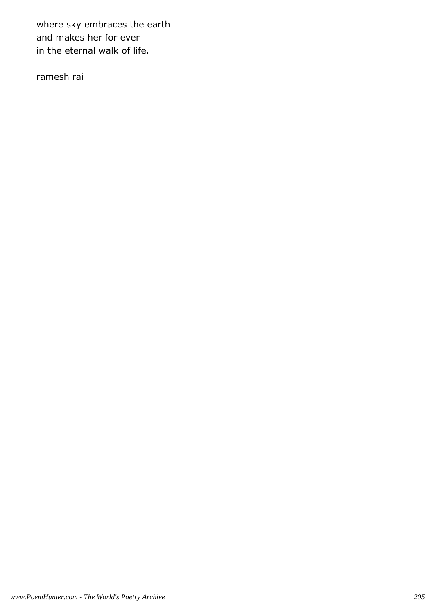where sky embraces the earth and makes her for ever in the eternal walk of life.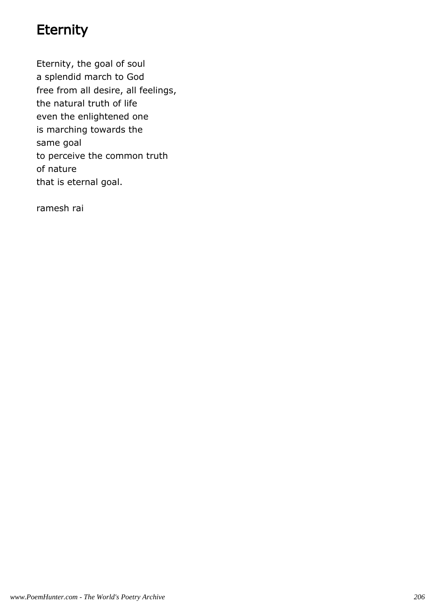# **Eternity**

Eternity, the goal of soul a splendid march to God free from all desire, all feelings, the natural truth of life even the enlightened one is marching towards the same goal to perceive the common truth of nature that is eternal goal.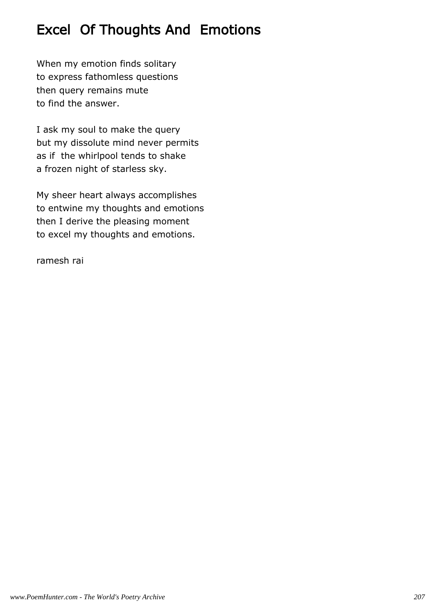# Excel Of Thoughts And Emotions

When my emotion finds solitary to express fathomless questions then query remains mute to find the answer.

I ask my soul to make the query but my dissolute mind never permits as if the whirlpool tends to shake a frozen night of starless sky.

My sheer heart always accomplishes to entwine my thoughts and emotions then I derive the pleasing moment to excel my thoughts and emotions.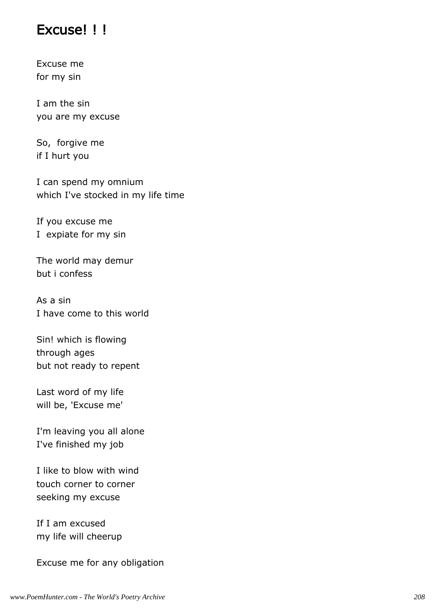#### Excuse! !!

Excuse me for my sin

I am the sin you are my excuse

So, forgive me if I hurt you

I can spend my omnium which I've stocked in my life time

If you excuse me I expiate for my sin

The world may demur but i confess

As a sin I have come to this world

Sin! which is flowing through ages but not ready to repent

Last word of my life will be, 'Excuse me'

I'm leaving you all alone I've finished my job

I like to blow with wind touch corner to corner seeking my excuse

If I am excused my life will cheerup

Excuse me for any obligation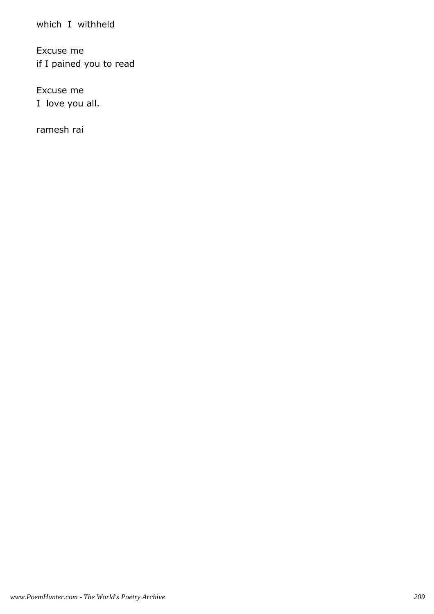which I withheld

Excuse me if I pained you to read

Excuse me I love you all.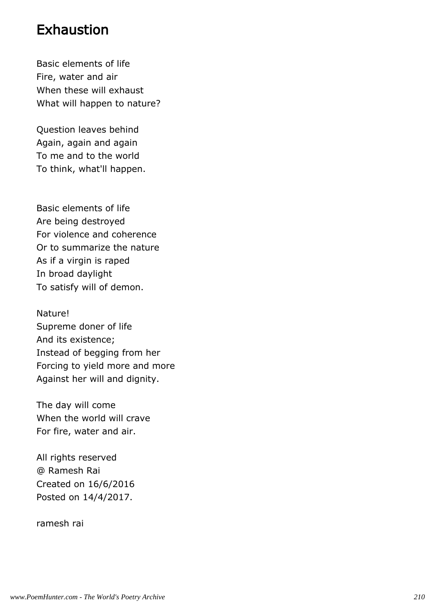#### **Exhaustion**

Basic elements of life Fire, water and air When these will exhaust What will happen to nature?

Question leaves behind Again, again and again To me and to the world To think, what'll happen.

Basic elements of life Are being destroyed For violence and coherence Or to summarize the nature As if a virgin is raped In broad daylight To satisfy will of demon.

Nature! Supreme doner of life And its existence; Instead of begging from her Forcing to yield more and more Against her will and dignity.

The day will come When the world will crave For fire, water and air.

All rights reserved @ Ramesh Rai Created on 16/6/2016 Posted on 14/4/2017.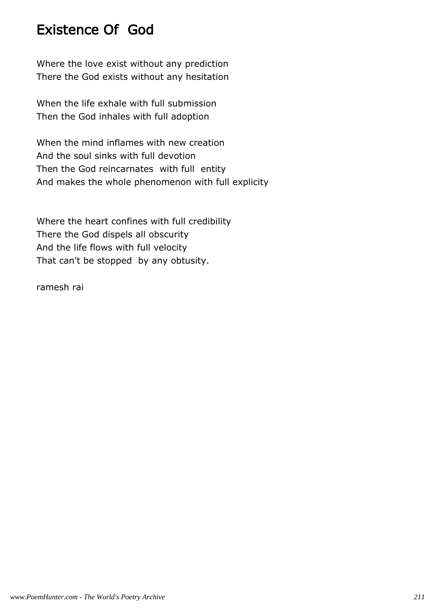### Existence Of God

Where the love exist without any prediction There the God exists without any hesitation

When the life exhale with full submission Then the God inhales with full adoption

When the mind inflames with new creation And the soul sinks with full devotion Then the God reincarnates with full entity And makes the whole phenomenon with full explicity

Where the heart confines with full credibility There the God dispels all obscurity And the life flows with full velocity That can't be stopped by any obtusity.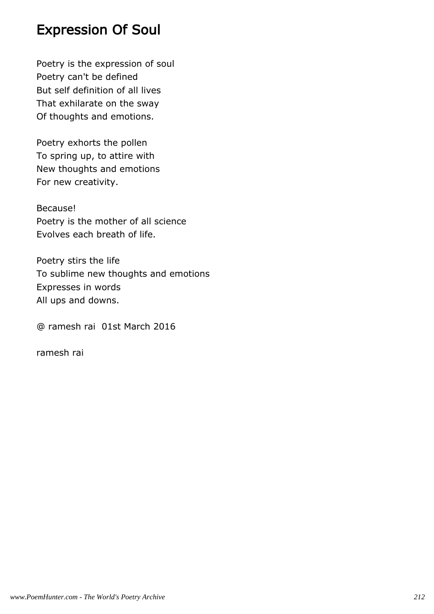### Expression Of Soul

Poetry is the expression of soul Poetry can't be defined But self definition of all lives That exhilarate on the sway Of thoughts and emotions.

Poetry exhorts the pollen To spring up, to attire with New thoughts and emotions For new creativity.

Because! Poetry is the mother of all science Evolves each breath of life.

Poetry stirs the life To sublime new thoughts and emotions Expresses in words All ups and downs.

@ ramesh rai 01st March 2016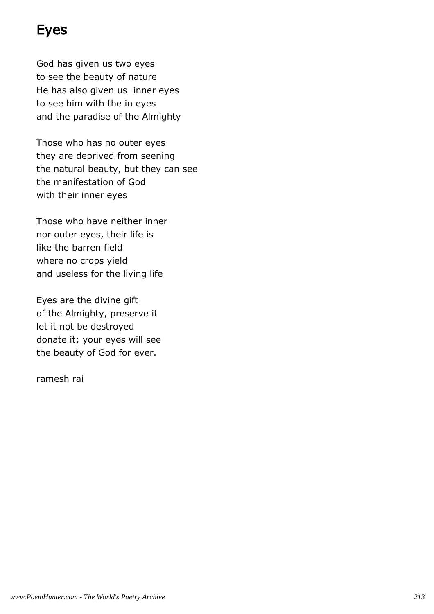# Eyes

God has given us two eyes to see the beauty of nature He has also given us inner eyes to see him with the in eyes and the paradise of the Almighty

Those who has no outer eyes they are deprived from seening the natural beauty, but they can see the manifestation of God with their inner eyes

Those who have neither inner nor outer eyes, their life is like the barren field where no crops yield and useless for the living life

Eyes are the divine gift of the Almighty, preserve it let it not be destroyed donate it; your eyes will see the beauty of God for ever.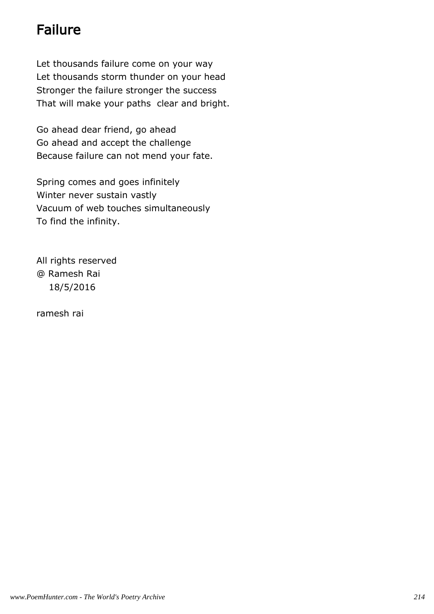# Failure

Let thousands failure come on your way Let thousands storm thunder on your head Stronger the failure stronger the success That will make your paths clear and bright.

Go ahead dear friend, go ahead Go ahead and accept the challenge Because failure can not mend your fate.

Spring comes and goes infinitely Winter never sustain vastly Vacuum of web touches simultaneously To find the infinity.

All rights reserved @ Ramesh Rai 18/5/2016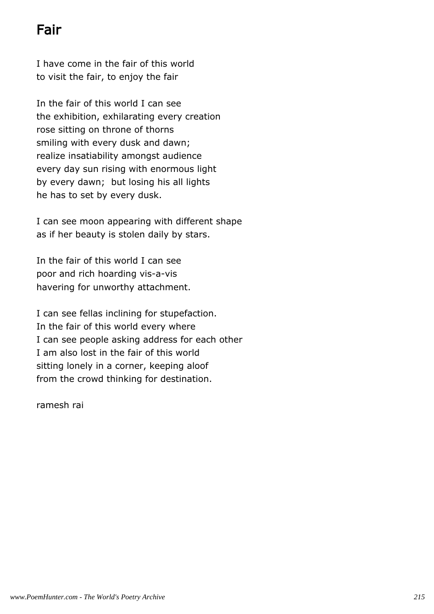# Fair

I have come in the fair of this world to visit the fair, to enjoy the fair

In the fair of this world I can see the exhibition, exhilarating every creation rose sitting on throne of thorns smiling with every dusk and dawn; realize insatiability amongst audience every day sun rising with enormous light by every dawn; but losing his all lights he has to set by every dusk.

I can see moon appearing with different shape as if her beauty is stolen daily by stars.

In the fair of this world I can see poor and rich hoarding vis-a-vis havering for unworthy attachment.

I can see fellas inclining for stupefaction. In the fair of this world every where I can see people asking address for each other I am also lost in the fair of this world sitting lonely in a corner, keeping aloof from the crowd thinking for destination.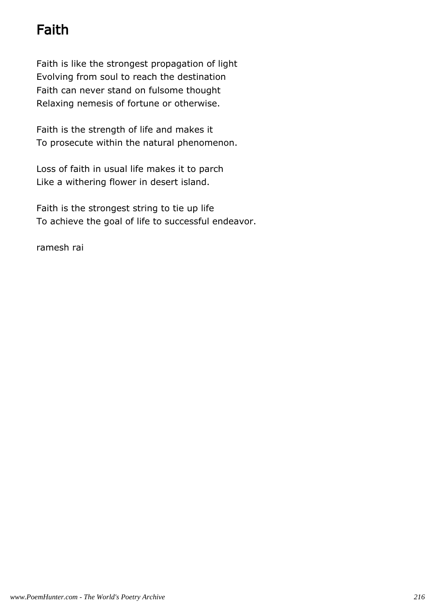# Faith

Faith is like the strongest propagation of light Evolving from soul to reach the destination Faith can never stand on fulsome thought Relaxing nemesis of fortune or otherwise.

Faith is the strength of life and makes it To prosecute within the natural phenomenon.

Loss of faith in usual life makes it to parch Like a withering flower in desert island.

Faith is the strongest string to tie up life To achieve the goal of life to successful endeavor.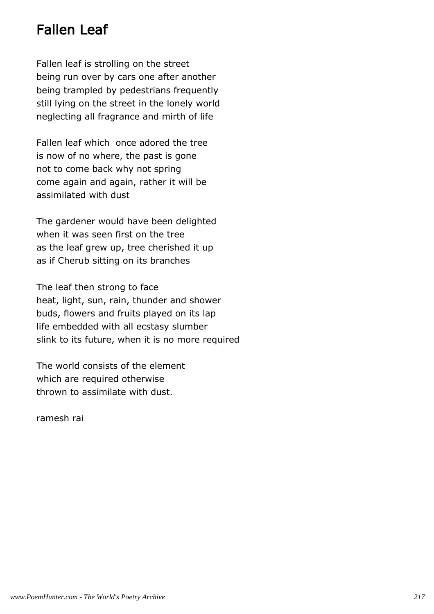## Fallen Leaf

Fallen leaf is strolling on the street being run over by cars one after another being trampled by pedestrians frequently still lying on the street in the lonely world neglecting all fragrance and mirth of life

Fallen leaf which once adored the tree is now of no where, the past is gone not to come back why not spring come again and again, rather it will be assimilated with dust

The gardener would have been delighted when it was seen first on the tree as the leaf grew up, tree cherished it up as if Cherub sitting on its branches

The leaf then strong to face heat, light, sun, rain, thunder and shower buds, flowers and fruits played on its lap life embedded with all ecstasy slumber slink to its future, when it is no more required

The world consists of the element which are required otherwise thrown to assimilate with dust.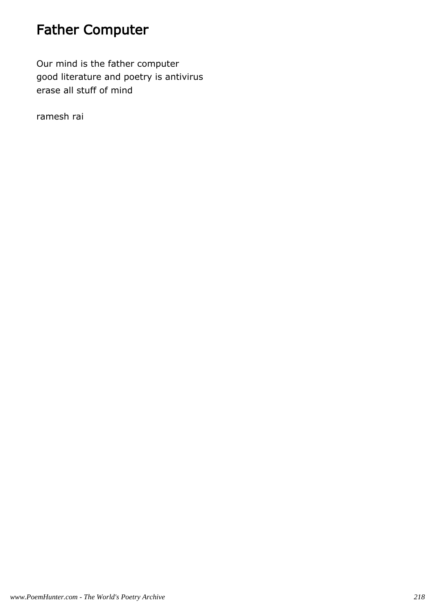# Father Computer

Our mind is the father computer good literature and poetry is antivirus erase all stuff of mind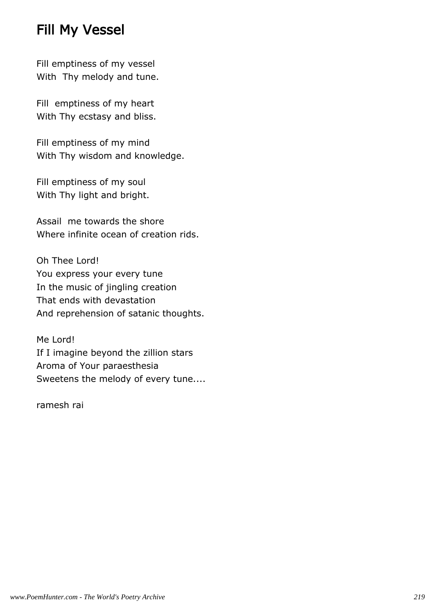#### Fill My Vessel

Fill emptiness of my vessel With Thy melody and tune.

Fill emptiness of my heart With Thy ecstasy and bliss.

Fill emptiness of my mind With Thy wisdom and knowledge.

Fill emptiness of my soul With Thy light and bright.

Assail me towards the shore Where infinite ocean of creation rids.

Oh Thee Lord! You express your every tune In the music of jingling creation That ends with devastation And reprehension of satanic thoughts.

Me Lord! If I imagine beyond the zillion stars Aroma of Your paraesthesia Sweetens the melody of every tune....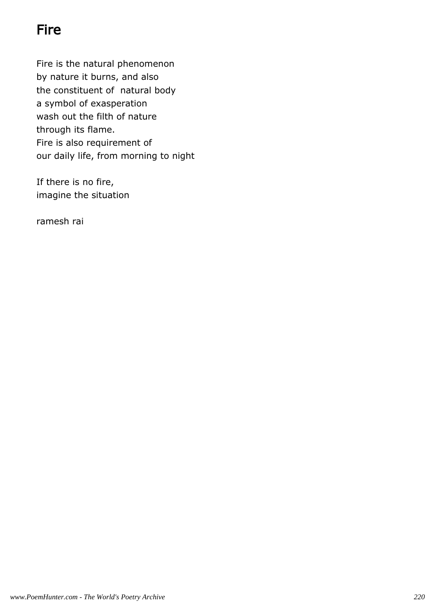# Fire

Fire is the natural phenomenon by nature it burns, and also the constituent of natural body a symbol of exasperation wash out the filth of nature through its flame. Fire is also requirement of our daily life, from morning to night

If there is no fire, imagine the situation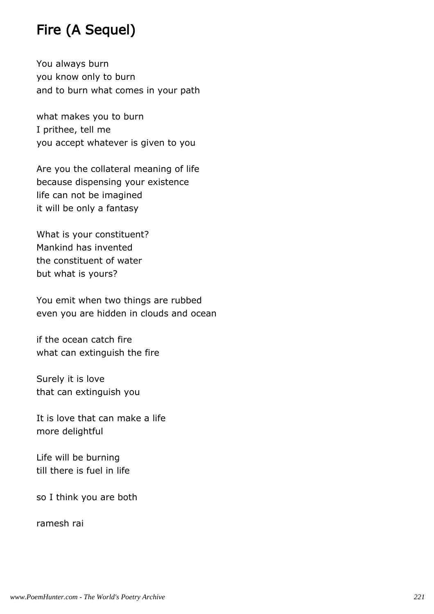# Fire (A Sequel)

You always burn you know only to burn and to burn what comes in your path

what makes you to burn I prithee, tell me you accept whatever is given to you

Are you the collateral meaning of life because dispensing your existence life can not be imagined it will be only a fantasy

What is your constituent? Mankind has invented the constituent of water but what is yours?

You emit when two things are rubbed even you are hidden in clouds and ocean

if the ocean catch fire what can extinguish the fire

Surely it is love that can extinguish you

It is love that can make a life more delightful

Life will be burning till there is fuel in life

so I think you are both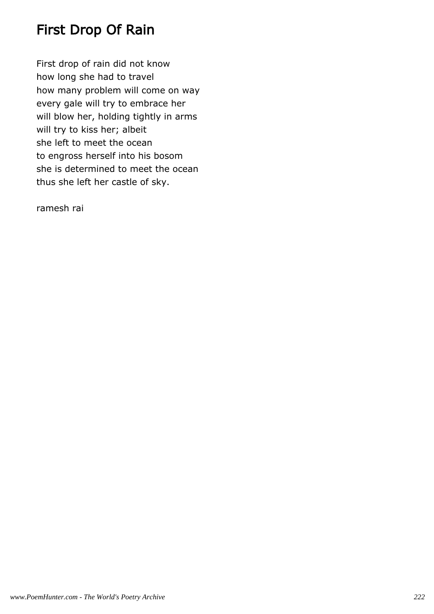# First Drop Of Rain

First drop of rain did not know how long she had to travel how many problem will come on way every gale will try to embrace her will blow her, holding tightly in arms will try to kiss her; albeit she left to meet the ocean to engross herself into his bosom she is determined to meet the ocean thus she left her castle of sky.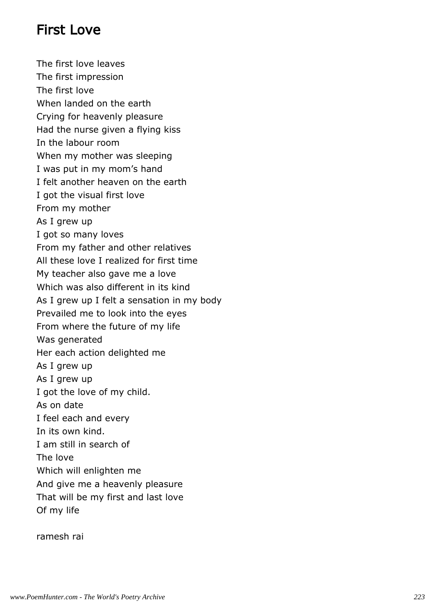## First Love

The first love leaves The first impression The first love When landed on the earth Crying for heavenly pleasure Had the nurse given a flying kiss In the labour room When my mother was sleeping I was put in my mom's hand I felt another heaven on the earth I got the visual first love From my mother As I grew up I got so many loves From my father and other relatives All these love I realized for first time My teacher also gave me a love Which was also different in its kind As I grew up I felt a sensation in my body Prevailed me to look into the eyes From where the future of my life Was generated Her each action delighted me As I grew up As I grew up I got the love of my child. As on date I feel each and every In its own kind. I am still in search of The love Which will enlighten me And give me a heavenly pleasure That will be my first and last love Of my life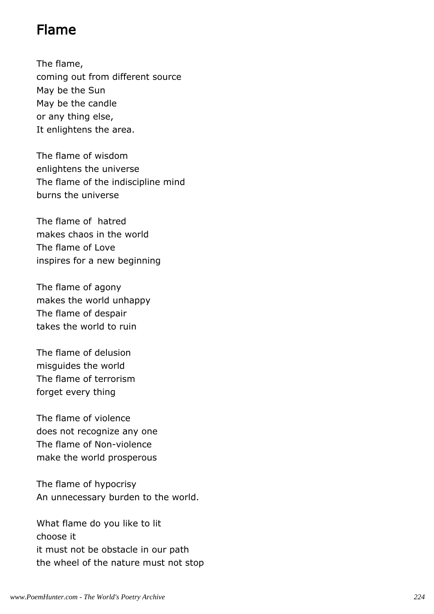#### Flame

The flame, coming out from different source May be the Sun May be the candle or any thing else, It enlightens the area.

The flame of wisdom enlightens the universe The flame of the indiscipline mind burns the universe

The flame of hatred makes chaos in the world The flame of Love inspires for a new beginning

The flame of agony makes the world unhappy The flame of despair takes the world to ruin

The flame of delusion misguides the world The flame of terrorism forget every thing

The flame of violence does not recognize any one The flame of Non-violence make the world prosperous

The flame of hypocrisy An unnecessary burden to the world.

What flame do you like to lit choose it it must not be obstacle in our path the wheel of the nature must not stop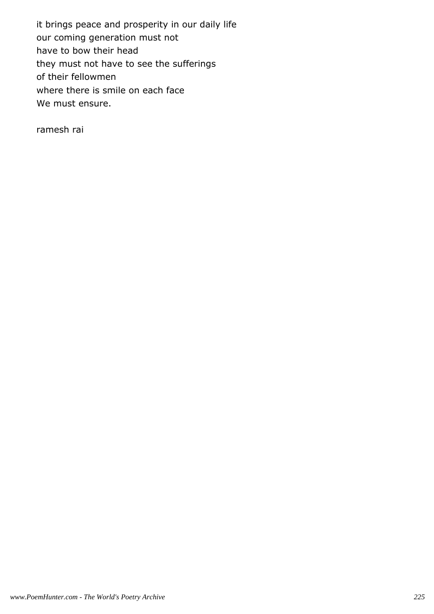it brings peace and prosperity in our daily life our coming generation must not have to bow their head they must not have to see the sufferings of their fellowmen where there is smile on each face We must ensure.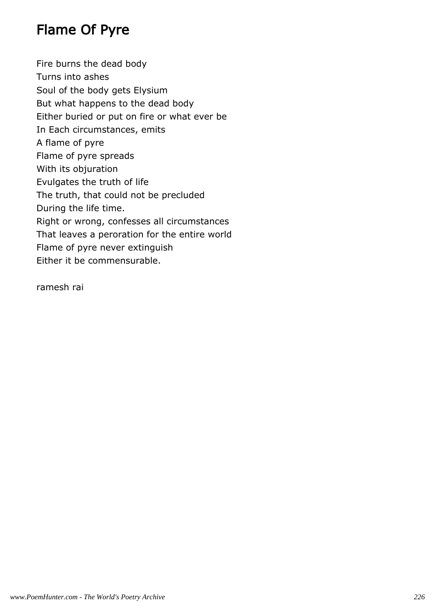## Flame Of Pyre

Fire burns the dead body Turns into ashes Soul of the body gets Elysium But what happens to the dead body Either buried or put on fire or what ever be In Each circumstances, emits A flame of pyre Flame of pyre spreads With its objuration Evulgates the truth of life The truth, that could not be precluded During the life time. Right or wrong, confesses all circumstances That leaves a peroration for the entire world Flame of pyre never extinguish Either it be commensurable.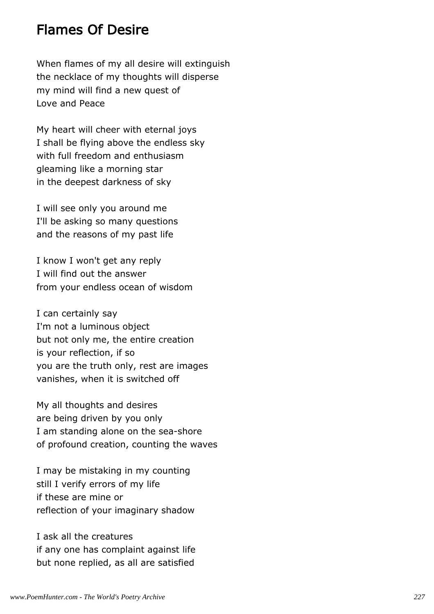#### Flames Of Desire

When flames of my all desire will extinguish the necklace of my thoughts will disperse my mind will find a new quest of Love and Peace

My heart will cheer with eternal joys I shall be flying above the endless sky with full freedom and enthusiasm gleaming like a morning star in the deepest darkness of sky

I will see only you around me I'll be asking so many questions and the reasons of my past life

I know I won't get any reply I will find out the answer from your endless ocean of wisdom

I can certainly say I'm not a luminous object but not only me, the entire creation is your reflection, if so you are the truth only, rest are images vanishes, when it is switched off

My all thoughts and desires are being driven by you only I am standing alone on the sea-shore of profound creation, counting the waves

I may be mistaking in my counting still I verify errors of my life if these are mine or reflection of your imaginary shadow

I ask all the creatures if any one has complaint against life but none replied, as all are satisfied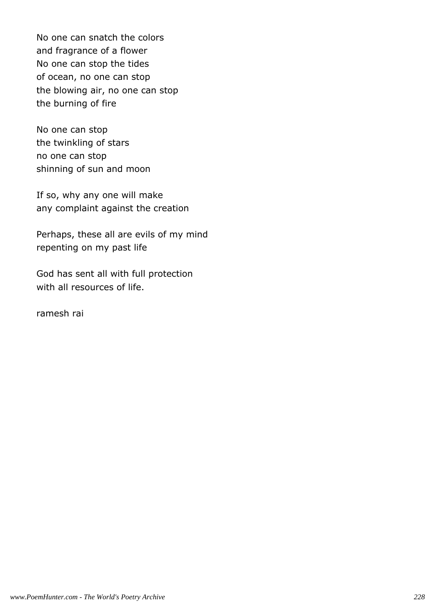No one can snatch the colors and fragrance of a flower No one can stop the tides of ocean, no one can stop the blowing air, no one can stop the burning of fire

No one can stop the twinkling of stars no one can stop shinning of sun and moon

If so, why any one will make any complaint against the creation

Perhaps, these all are evils of my mind repenting on my past life

God has sent all with full protection with all resources of life.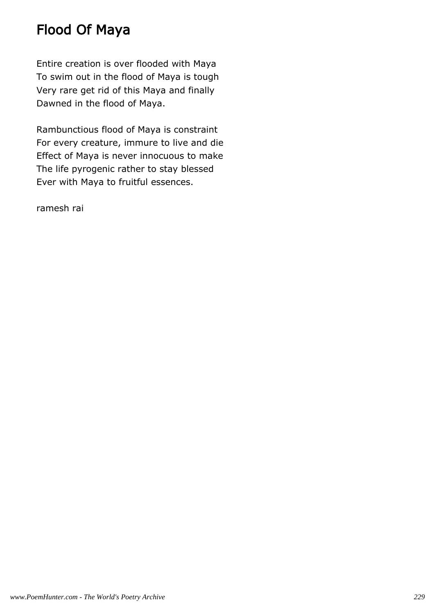# Flood Of Maya

Entire creation is over flooded with Maya To swim out in the flood of Maya is tough Very rare get rid of this Maya and finally Dawned in the flood of Maya.

Rambunctious flood of Maya is constraint For every creature, immure to live and die Effect of Maya is never innocuous to make The life pyrogenic rather to stay blessed Ever with Maya to fruitful essences.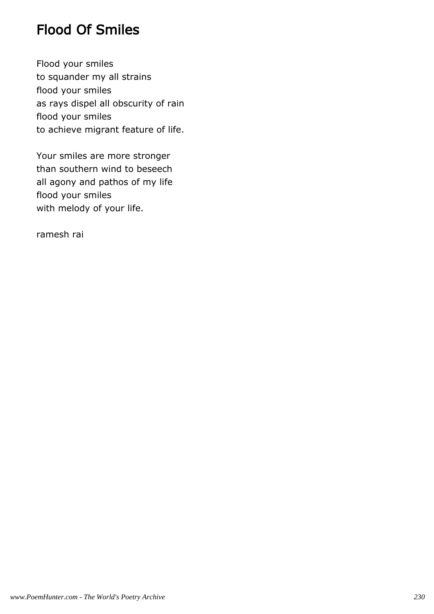# Flood Of Smiles

Flood your smiles to squander my all strains flood your smiles as rays dispel all obscurity of rain flood your smiles to achieve migrant feature of life.

Your smiles are more stronger than southern wind to beseech all agony and pathos of my life flood your smiles with melody of your life.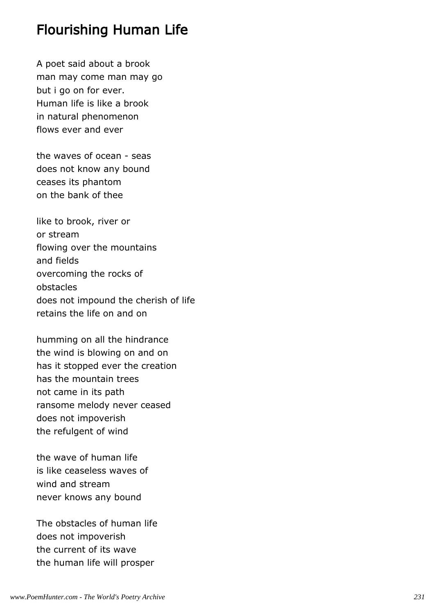## Flourishing Human Life

A poet said about a brook man may come man may go but i go on for ever. Human life is like a brook in natural phenomenon flows ever and ever

the waves of ocean - seas does not know any bound ceases its phantom on the bank of thee

like to brook, river or or stream flowing over the mountains and fields overcoming the rocks of obstacles does not impound the cherish of life retains the life on and on

humming on all the hindrance the wind is blowing on and on has it stopped ever the creation has the mountain trees not came in its path ransome melody never ceased does not impoverish the refulgent of wind

the wave of human life is like ceaseless waves of wind and stream never knows any bound

The obstacles of human life does not impoverish the current of its wave the human life will prosper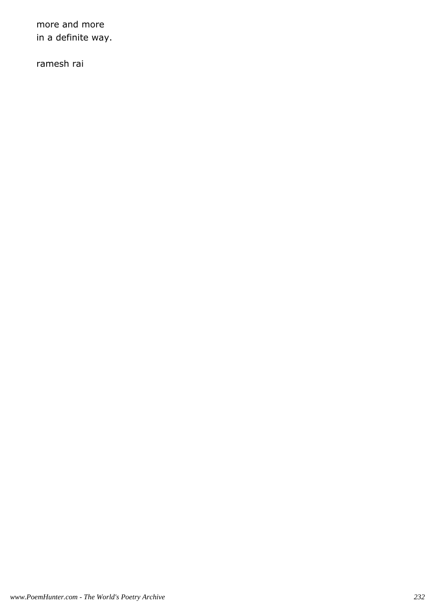more and more in a definite way.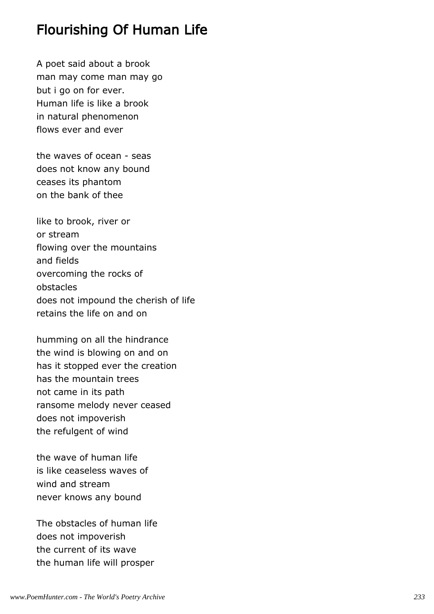# Flourishing Of Human Life

A poet said about a brook man may come man may go but i go on for ever. Human life is like a brook in natural phenomenon flows ever and ever

the waves of ocean - seas does not know any bound ceases its phantom on the bank of thee

like to brook, river or or stream flowing over the mountains and fields overcoming the rocks of obstacles does not impound the cherish of life retains the life on and on

humming on all the hindrance the wind is blowing on and on has it stopped ever the creation has the mountain trees not came in its path ransome melody never ceased does not impoverish the refulgent of wind

the wave of human life is like ceaseless waves of wind and stream never knows any bound

The obstacles of human life does not impoverish the current of its wave the human life will prosper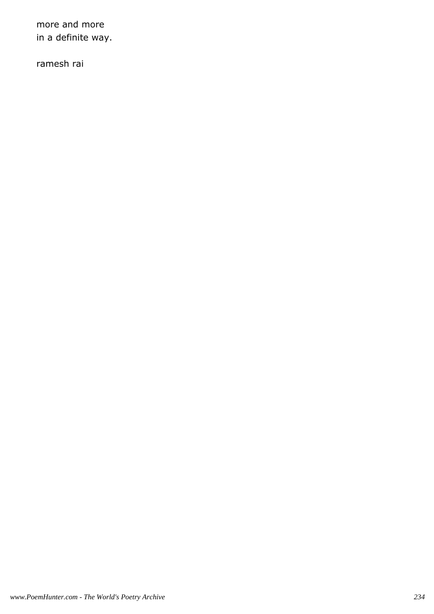more and more in a definite way.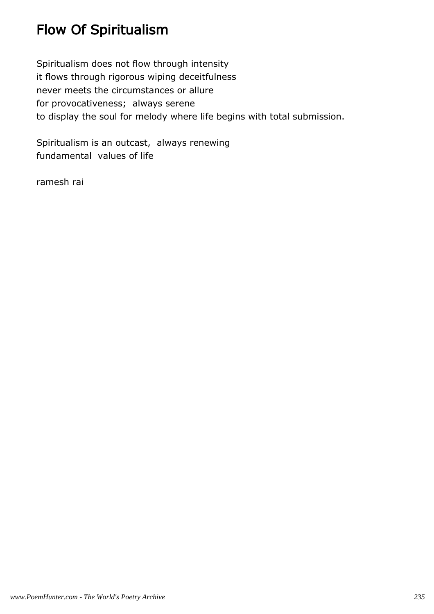# Flow Of Spiritualism

Spiritualism does not flow through intensity it flows through rigorous wiping deceitfulness never meets the circumstances or allure for provocativeness; always serene to display the soul for melody where life begins with total submission.

Spiritualism is an outcast, always renewing fundamental values of life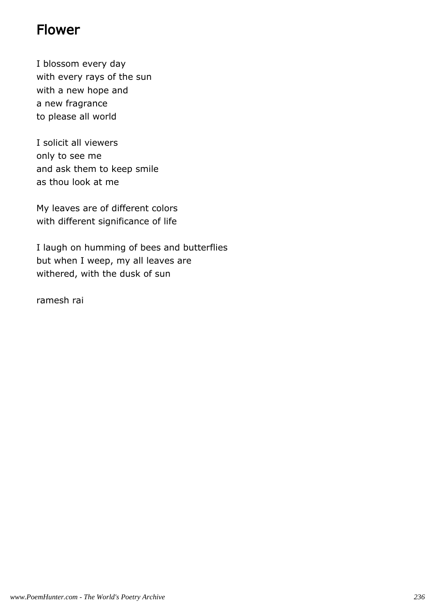## Flower

I blossom every day with every rays of the sun with a new hope and a new fragrance to please all world

I solicit all viewers only to see me and ask them to keep smile as thou look at me

My leaves are of different colors with different significance of life

I laugh on humming of bees and butterflies but when I weep, my all leaves are withered, with the dusk of sun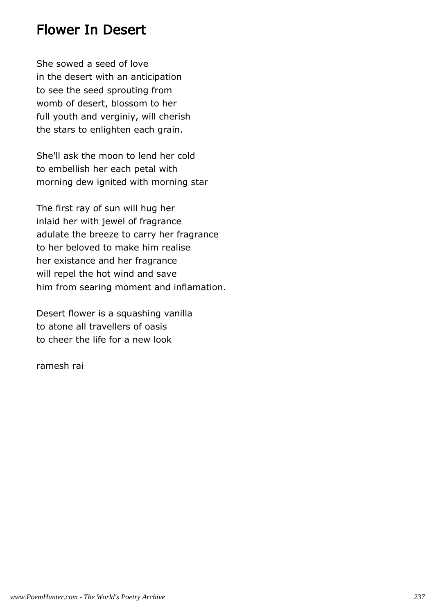#### Flower In Desert

She sowed a seed of love in the desert with an anticipation to see the seed sprouting from womb of desert, blossom to her full youth and verginiy, will cherish the stars to enlighten each grain.

She'll ask the moon to lend her cold to embellish her each petal with morning dew ignited with morning star

The first ray of sun will hug her inlaid her with jewel of fragrance adulate the breeze to carry her fragrance to her beloved to make him realise her existance and her fragrance will repel the hot wind and save him from searing moment and inflamation.

Desert flower is a squashing vanilla to atone all travellers of oasis to cheer the life for a new look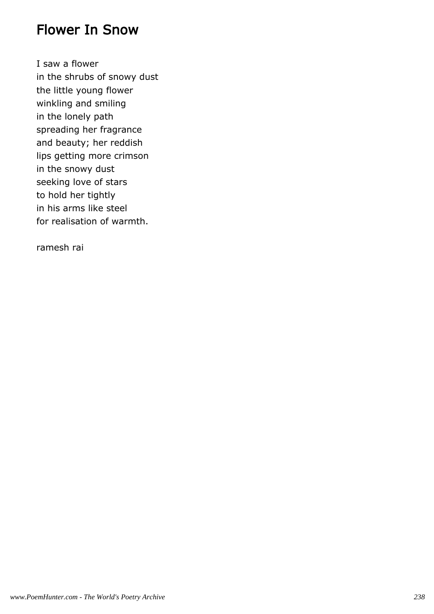#### Flower In Snow

I saw a flower in the shrubs of snowy dust the little young flower winkling and smiling in the lonely path spreading her fragrance and beauty; her reddish lips getting more crimson in the snowy dust seeking love of stars to hold her tightly in his arms like steel for realisation of warmth.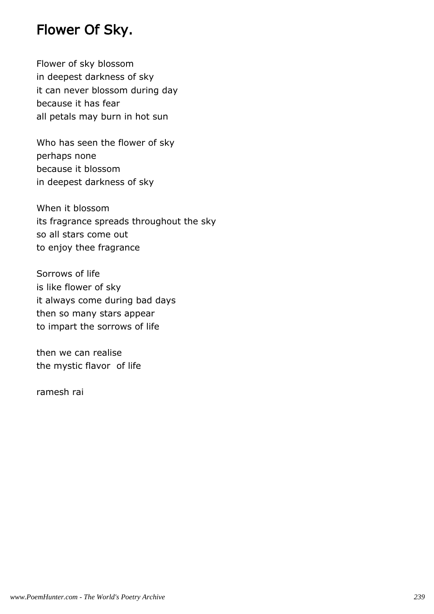### Flower Of Sky.

Flower of sky blossom in deepest darkness of sky it can never blossom during day because it has fear all petals may burn in hot sun

Who has seen the flower of sky perhaps none because it blossom in deepest darkness of sky

When it blossom its fragrance spreads throughout the sky so all stars come out to enjoy thee fragrance

Sorrows of life is like flower of sky it always come during bad days then so many stars appear to impart the sorrows of life

then we can realise the mystic flavor of life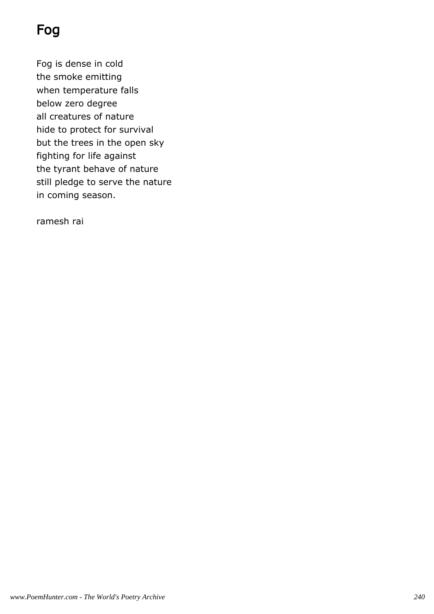# Fog

Fog is dense in cold the smoke emitting when temperature falls below zero degree all creatures of nature hide to protect for survival but the trees in the open sky fighting for life against the tyrant behave of nature still pledge to serve the nature in coming season.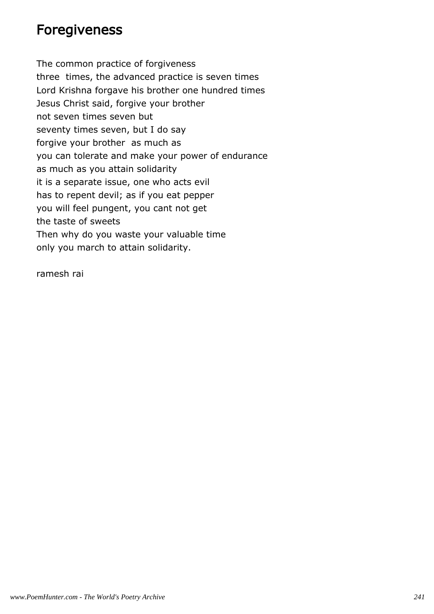## Foregiveness

The common practice of forgiveness three times, the advanced practice is seven times Lord Krishna forgave his brother one hundred times Jesus Christ said, forgive your brother not seven times seven but seventy times seven, but I do say forgive your brother as much as you can tolerate and make your power of endurance as much as you attain solidarity it is a separate issue, one who acts evil has to repent devil; as if you eat pepper you will feel pungent, you cant not get the taste of sweets Then why do you waste your valuable time only you march to attain solidarity.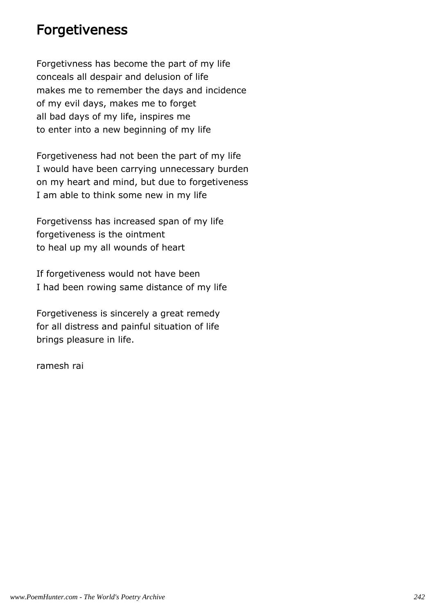### Forgetiveness

Forgetivness has become the part of my life conceals all despair and delusion of life makes me to remember the days and incidence of my evil days, makes me to forget all bad days of my life, inspires me to enter into a new beginning of my life

Forgetiveness had not been the part of my life I would have been carrying unnecessary burden on my heart and mind, but due to forgetiveness I am able to think some new in my life

Forgetivenss has increased span of my life forgetiveness is the ointment to heal up my all wounds of heart

If forgetiveness would not have been I had been rowing same distance of my life

Forgetiveness is sincerely a great remedy for all distress and painful situation of life brings pleasure in life.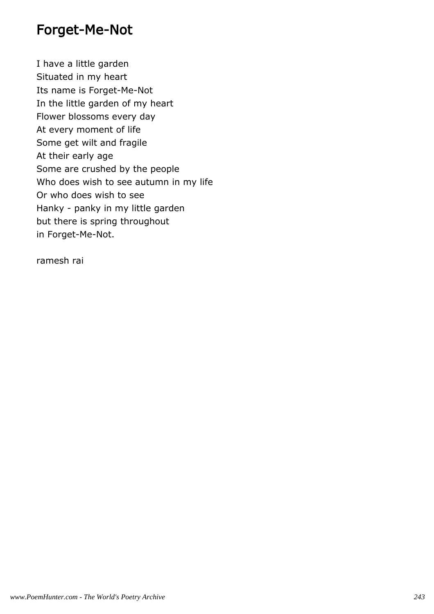### Forget-Me-Not

I have a little garden Situated in my heart Its name is Forget-Me-Not In the little garden of my heart Flower blossoms every day At every moment of life Some get wilt and fragile At their early age Some are crushed by the people Who does wish to see autumn in my life Or who does wish to see Hanky - panky in my little garden but there is spring throughout in Forget-Me-Not.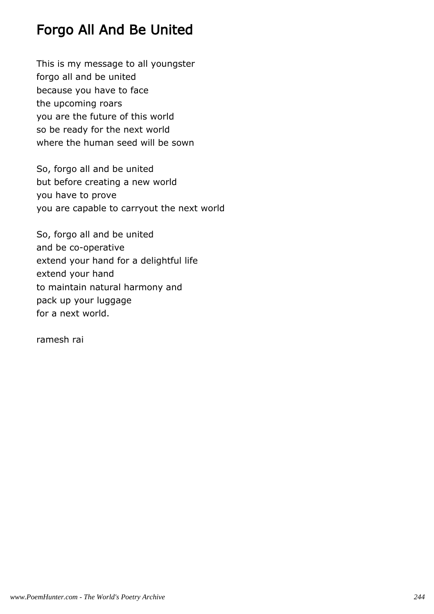# Forgo All And Be United

This is my message to all youngster forgo all and be united because you have to face the upcoming roars you are the future of this world so be ready for the next world where the human seed will be sown

So, forgo all and be united but before creating a new world you have to prove you are capable to carryout the next world

So, forgo all and be united and be co-operative extend your hand for a delightful life extend your hand to maintain natural harmony and pack up your luggage for a next world.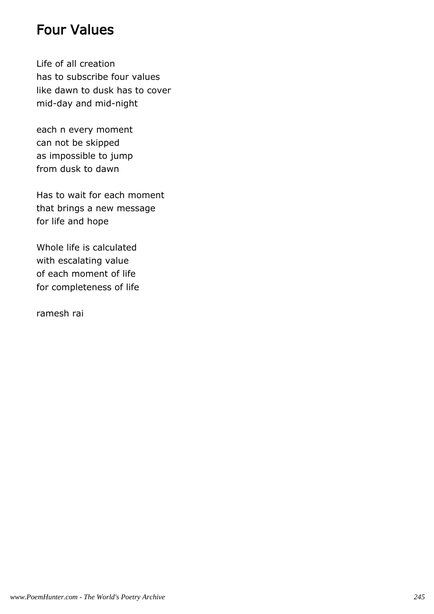## Four Values

Life of all creation has to subscribe four values like dawn to dusk has to cover mid-day and mid-night

each n every moment can not be skipped as impossible to jump from dusk to dawn

Has to wait for each moment that brings a new message for life and hope

Whole life is calculated with escalating value of each moment of life for completeness of life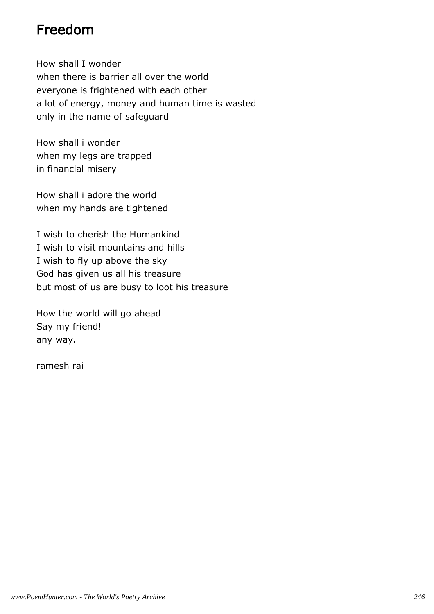## Freedom

How shall I wonder when there is barrier all over the world everyone is frightened with each other a lot of energy, money and human time is wasted only in the name of safeguard

How shall i wonder when my legs are trapped in financial misery

How shall i adore the world when my hands are tightened

I wish to cherish the Humankind I wish to visit mountains and hills I wish to fly up above the sky God has given us all his treasure but most of us are busy to loot his treasure

How the world will go ahead Say my friend! any way.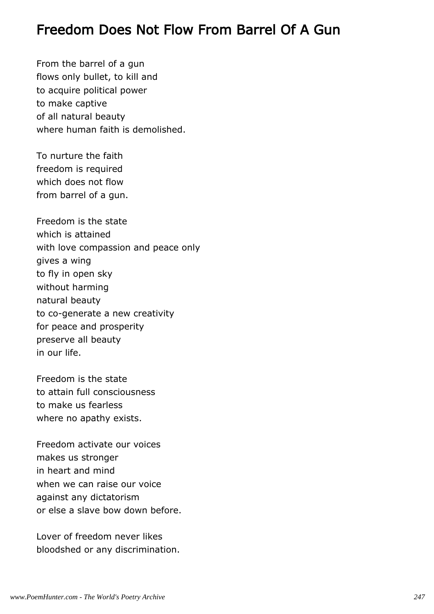#### Freedom Does Not Flow From Barrel Of A Gun

From the barrel of a gun flows only bullet, to kill and to acquire political power to make captive of all natural beauty where human faith is demolished.

To nurture the faith freedom is required which does not flow from barrel of a gun.

Freedom is the state which is attained with love compassion and peace only gives a wing to fly in open sky without harming natural beauty to co-generate a new creativity for peace and prosperity preserve all beauty in our life.

Freedom is the state to attain full consciousness to make us fearless where no apathy exists.

Freedom activate our voices makes us stronger in heart and mind when we can raise our voice against any dictatorism or else a slave bow down before.

Lover of freedom never likes bloodshed or any discrimination.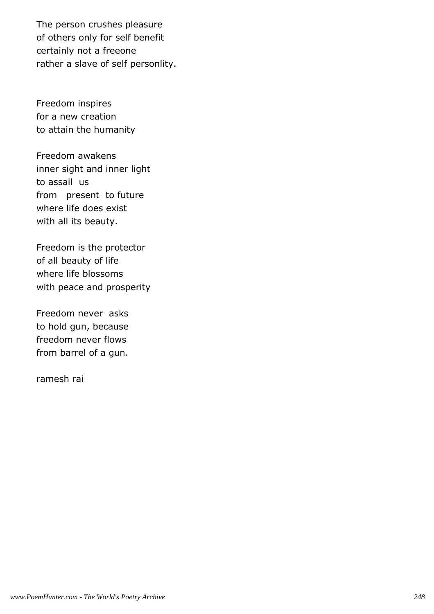The person crushes pleasure of others only for self benefit certainly not a freeone rather a slave of self personlity.

Freedom inspires for a new creation to attain the humanity

Freedom awakens inner sight and inner light to assail us from present to future where life does exist with all its beauty.

Freedom is the protector of all beauty of life where life blossoms with peace and prosperity

Freedom never asks to hold gun, because freedom never flows from barrel of a gun.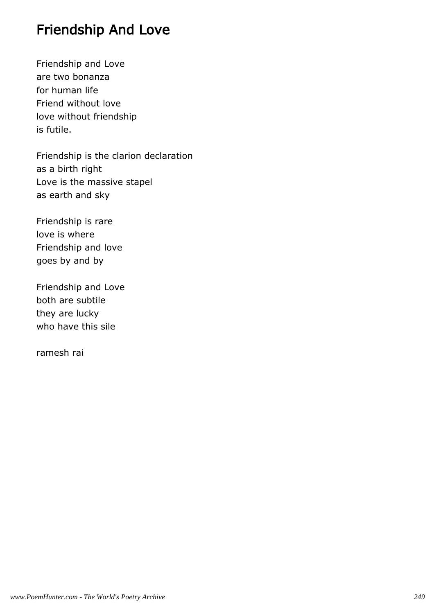## Friendship And Love

Friendship and Love are two bonanza for human life Friend without love love without friendship is futile.

Friendship is the clarion declaration as a birth right Love is the massive stapel as earth and sky

Friendship is rare love is where Friendship and love goes by and by

Friendship and Love both are subtile they are lucky who have this sile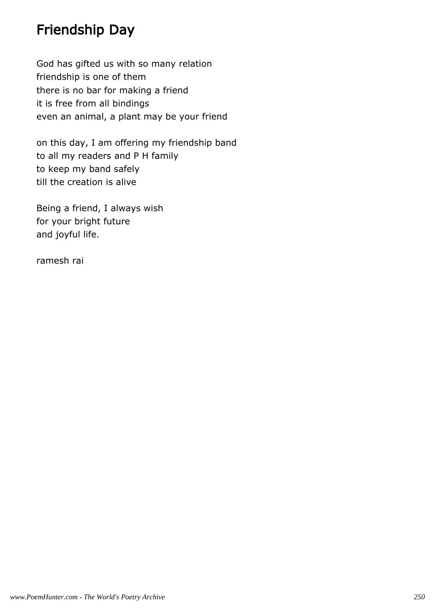# Friendship Day

God has gifted us with so many relation friendship is one of them there is no bar for making a friend it is free from all bindings even an animal, a plant may be your friend

on this day, I am offering my friendship band to all my readers and P H family to keep my band safely till the creation is alive

Being a friend, I always wish for your bright future and joyful life.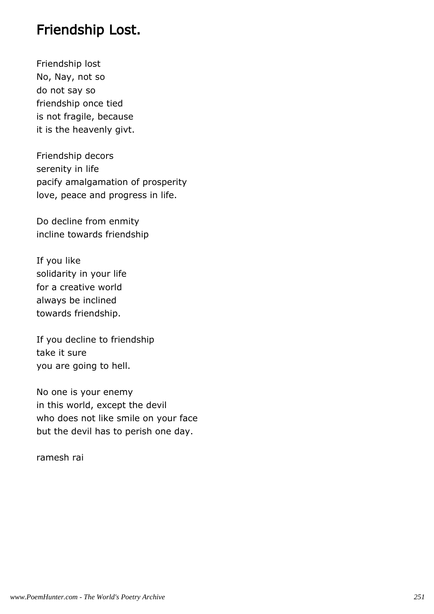## Friendship Lost.

Friendship lost No, Nay, not so do not say so friendship once tied is not fragile, because it is the heavenly givt.

Friendship decors serenity in life pacify amalgamation of prosperity love, peace and progress in life.

Do decline from enmity incline towards friendship

If you like solidarity in your life for a creative world always be inclined towards friendship.

If you decline to friendship take it sure you are going to hell.

No one is your enemy in this world, except the devil who does not like smile on your face but the devil has to perish one day.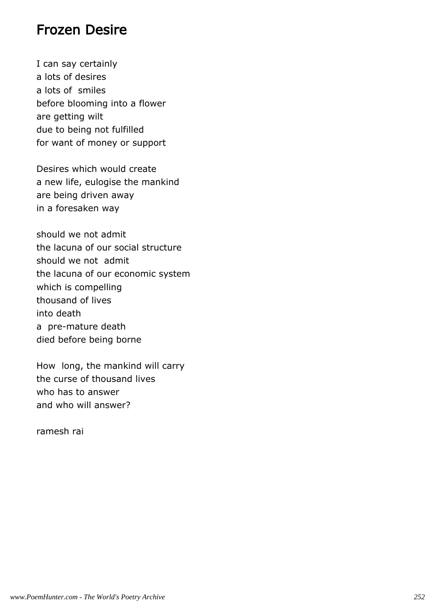#### Frozen Desire

I can say certainly a lots of desires a lots of smiles before blooming into a flower are getting wilt due to being not fulfilled for want of money or support

Desires which would create a new life, eulogise the mankind are being driven away in a foresaken way

should we not admit the lacuna of our social structure should we not admit the lacuna of our economic system which is compelling thousand of lives into death a pre-mature death died before being borne

How long, the mankind will carry the curse of thousand lives who has to answer and who will answer?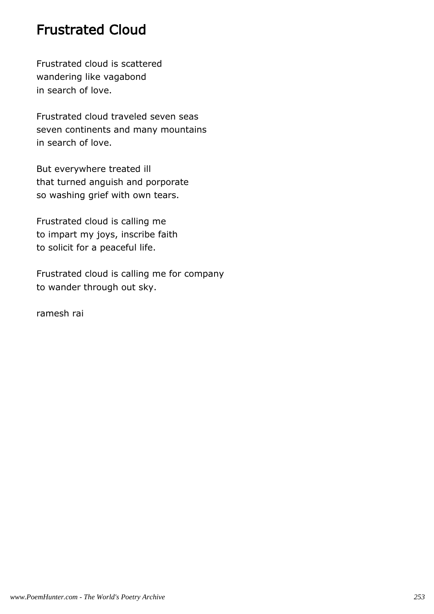## Frustrated Cloud

Frustrated cloud is scattered wandering like vagabond in search of love.

Frustrated cloud traveled seven seas seven continents and many mountains in search of love.

But everywhere treated ill that turned anguish and porporate so washing grief with own tears.

Frustrated cloud is calling me to impart my joys, inscribe faith to solicit for a peaceful life.

Frustrated cloud is calling me for company to wander through out sky.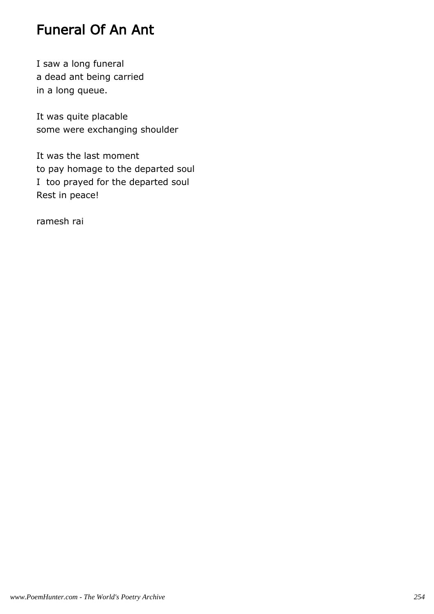## Funeral Of An Ant

I saw a long funeral a dead ant being carried in a long queue.

It was quite placable some were exchanging shoulder

It was the last moment to pay homage to the departed soul I too prayed for the departed soul Rest in peace!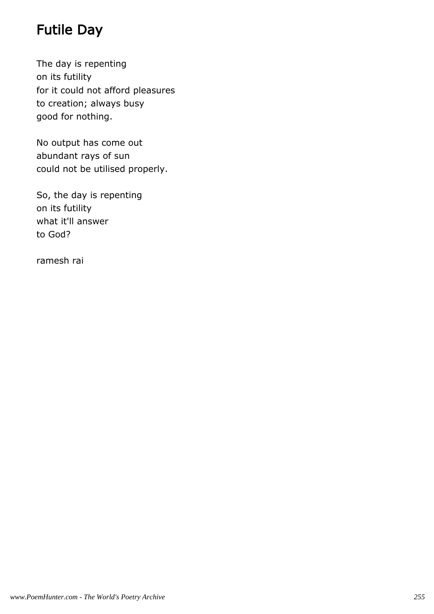## Futile Day

The day is repenting on its futility for it could not afford pleasures to creation; always busy good for nothing.

No output has come out abundant rays of sun could not be utilised properly.

So, the day is repenting on its futility what it'll answer to God?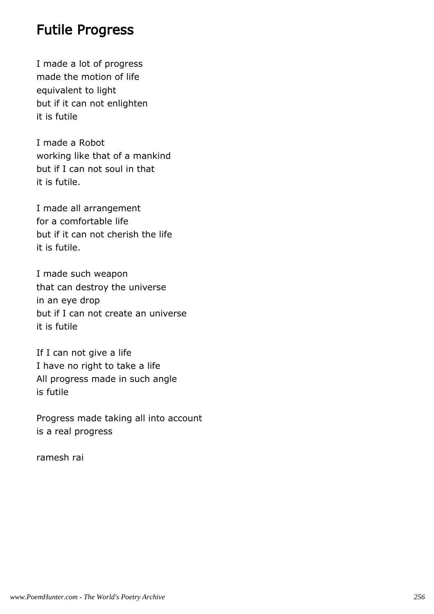#### Futile Progress

I made a lot of progress made the motion of life equivalent to light but if it can not enlighten it is futile

I made a Robot working like that of a mankind but if I can not soul in that it is futile.

I made all arrangement for a comfortable life but if it can not cherish the life it is futile.

I made such weapon that can destroy the universe in an eye drop but if I can not create an universe it is futile

If I can not give a life I have no right to take a life All progress made in such angle is futile

Progress made taking all into account is a real progress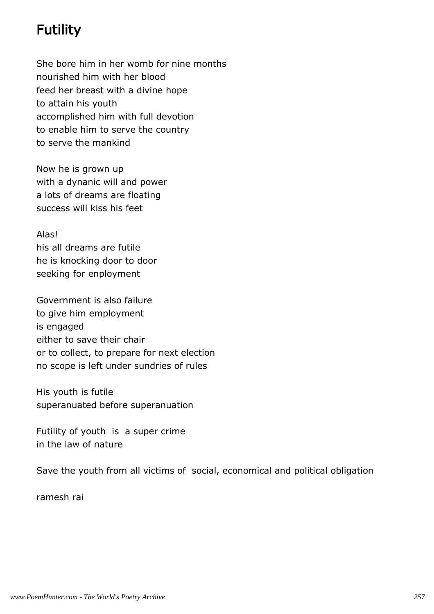## **Futility**

She bore him in her womb for nine months nourished him with her blood feed her breast with a divine hope to attain his youth accomplished him with full devotion to enable him to serve the country to serve the mankind

Now he is grown up with a dynanic will and power a lots of dreams are floating success will kiss his feet

Alas! his all dreams are futile he is knocking door to door seeking for enployment

Government is also failure to give him employment is engaged either to save their chair or to collect, to prepare for next election no scope is left under sundries of rules

His youth is futile superanuated before superanuation

Futility of youth is a super crime in the law of nature

Save the youth from all victims of social, economical and political obligation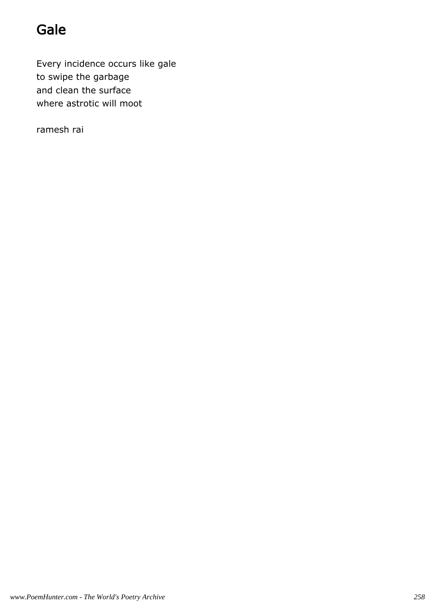# Gale

Every incidence occurs like gale to swipe the garbage and clean the surface where astrotic will moot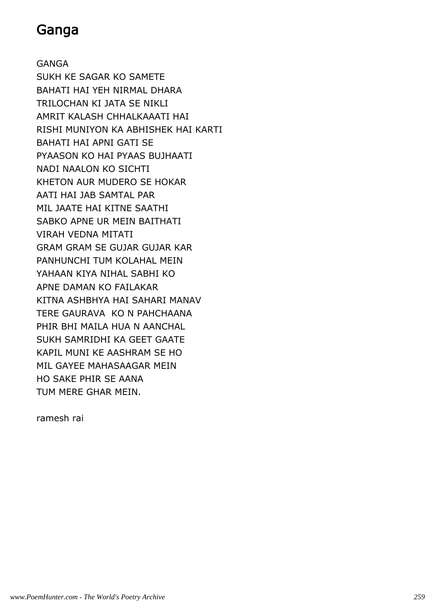#### Ganga

GANGA SUKH KE SAGAR KO SAMETE BAHATI HAI YEH NIRMAL DHARA TRILOCHAN KI JATA SE NIKLI AMRIT KALASH CHHALKAAATI HAI RISHI MUNIYON KA ABHISHEK HAI KARTI BAHATI HAI APNI GATI SE PYAASON KO HAI PYAAS BUJHAATI NADI NAALON KO SICHTI KHETON AUR MUDERO SE HOKAR AATI HAI JAB SAMTAL PAR MIL JAATE HAI KITNE SAATHI SABKO APNE UR MEIN BAITHATI VIRAH VEDNA MITATI GRAM GRAM SE GUJAR GUJAR KAR PANHUNCHI TUM KOLAHAL MEIN YAHAAN KIYA NIHAL SABHI KO APNE DAMAN KO FAILAKAR KITNA ASHBHYA HAI SAHARI MANAV TERE GAURAVA KO N PAHCHAANA PHIR BHI MAILA HUA N AANCHAL SUKH SAMRIDHI KA GEET GAATE KAPIL MUNI KE AASHRAM SE HO MIL GAYEE MAHASAAGAR MEIN HO SAKE PHIR SE AANA TUM MERE GHAR MEIN.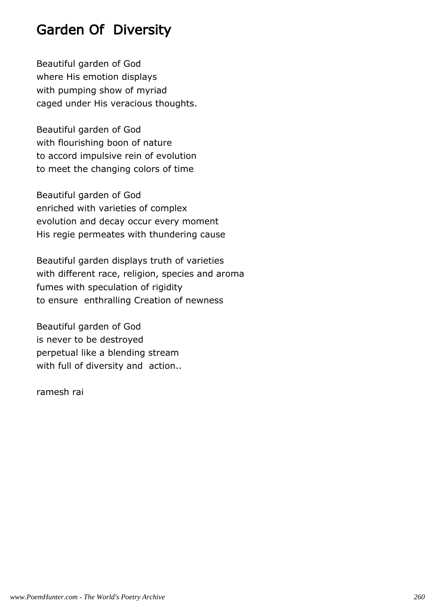#### Garden Of Diversity

Beautiful garden of God where His emotion displays with pumping show of myriad caged under His veracious thoughts.

Beautiful garden of God with flourishing boon of nature to accord impulsive rein of evolution to meet the changing colors of time

Beautiful garden of God enriched with varieties of complex evolution and decay occur every moment His regie permeates with thundering cause

Beautiful garden displays truth of varieties with different race, religion, species and aroma fumes with speculation of rigidity to ensure enthralling Creation of newness

Beautiful garden of God is never to be destroyed perpetual like a blending stream with full of diversity and action..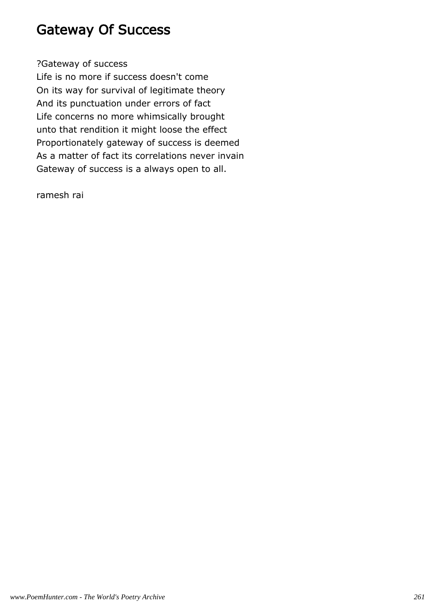#### Gateway Of Success

#### ?Gateway of success

Life is no more if success doesn't come On its way for survival of legitimate theory And its punctuation under errors of fact Life concerns no more whimsically brought unto that rendition it might loose the effect Proportionately gateway of success is deemed As a matter of fact its correlations never invain Gateway of success is a always open to all.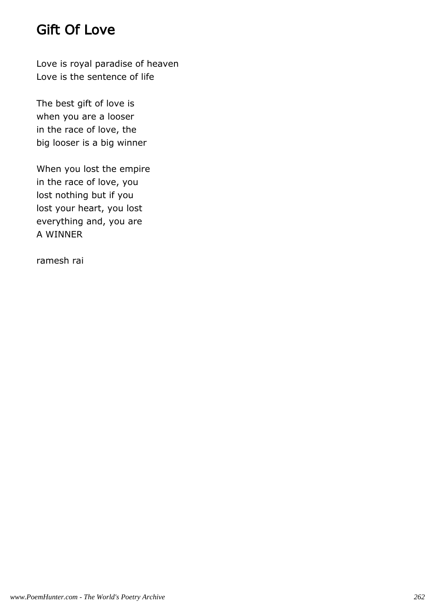## Gift Of Love

Love is royal paradise of heaven Love is the sentence of life

The best gift of love is when you are a looser in the race of love, the big looser is a big winner

When you lost the empire in the race of love, you lost nothing but if you lost your heart, you lost everything and, you are A WINNER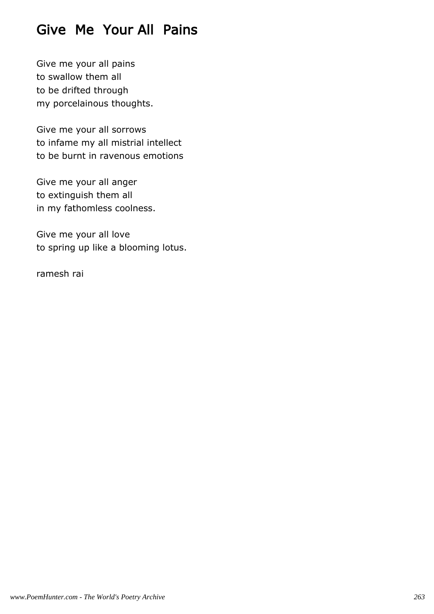### Give Me Your All Pains

Give me your all pains to swallow them all to be drifted through my porcelainous thoughts.

Give me your all sorrows to infame my all mistrial intellect to be burnt in ravenous emotions

Give me your all anger to extinguish them all in my fathomless coolness.

Give me your all love to spring up like a blooming lotus.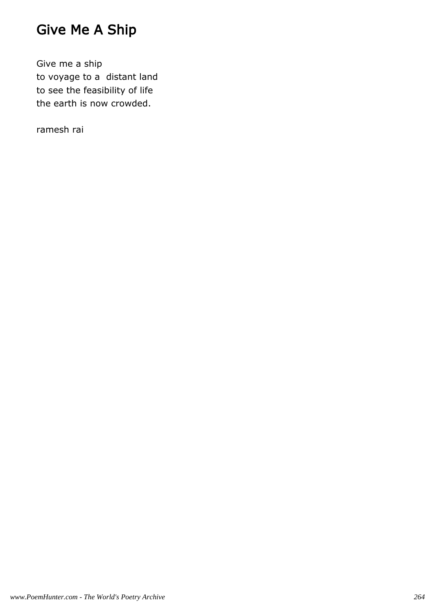# Give Me A Ship

Give me a ship to voyage to a distant land to see the feasibility of life the earth is now crowded.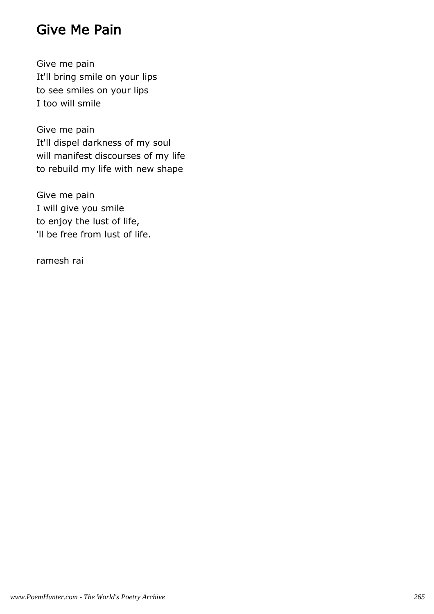#### Give Me Pain

Give me pain It'll bring smile on your lips to see smiles on your lips I too will smile

Give me pain It'll dispel darkness of my soul will manifest discourses of my life to rebuild my life with new shape

Give me pain I will give you smile to enjoy the lust of life, 'll be free from lust of life.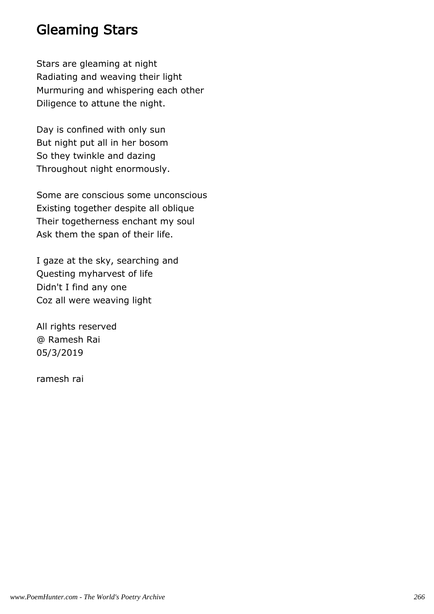#### Gleaming Stars

Stars are gleaming at night Radiating and weaving their light Murmuring and whispering each other Diligence to attune the night.

Day is confined with only sun But night put all in her bosom So they twinkle and dazing Throughout night enormously.

Some are conscious some unconscious Existing together despite all oblique Their togetherness enchant my soul Ask them the span of their life.

I gaze at the sky, searching and Questing myharvest of life Didn't I find any one Coz all were weaving light

All rights reserved @ Ramesh Rai 05/3/2019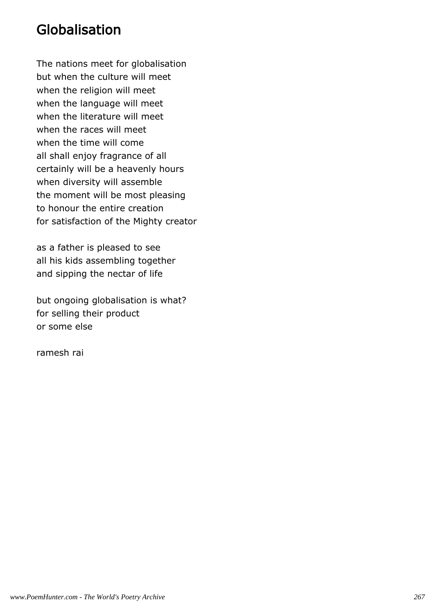#### Globalisation

The nations meet for globalisation but when the culture will meet when the religion will meet when the language will meet when the literature will meet when the races will meet when the time will come all shall enjoy fragrance of all certainly will be a heavenly hours when diversity will assemble the moment will be most pleasing to honour the entire creation for satisfaction of the Mighty creator

as a father is pleased to see all his kids assembling together and sipping the nectar of life

but ongoing globalisation is what? for selling their product or some else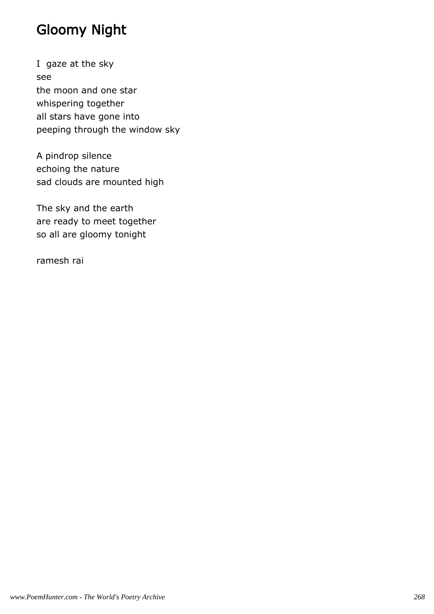## Gloomy Night

I gaze at the sky see the moon and one star whispering together all stars have gone into peeping through the window sky

A pindrop silence echoing the nature sad clouds are mounted high

The sky and the earth are ready to meet together so all are gloomy tonight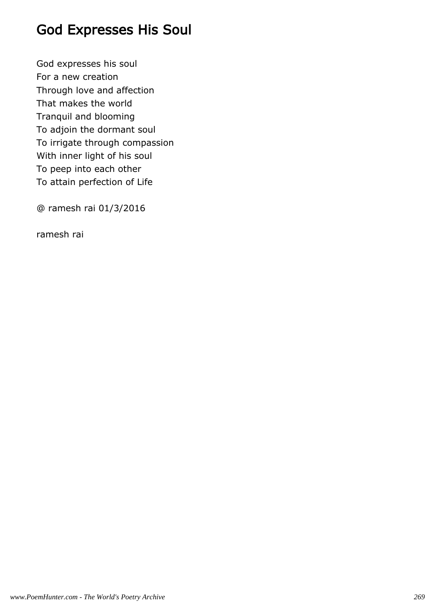## God Expresses His Soul

God expresses his soul For a new creation Through love and affection That makes the world Tranquil and blooming To adjoin the dormant soul To irrigate through compassion With inner light of his soul To peep into each other To attain perfection of Life

@ ramesh rai 01/3/2016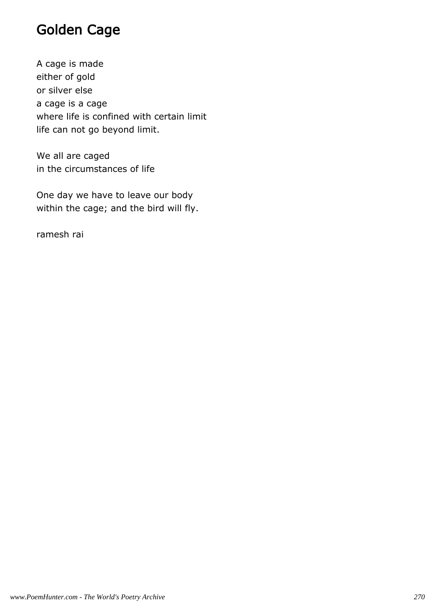## Golden Cage

A cage is made either of gold or silver else a cage is a cage where life is confined with certain limit life can not go beyond limit.

We all are caged in the circumstances of life

One day we have to leave our body within the cage; and the bird will fly.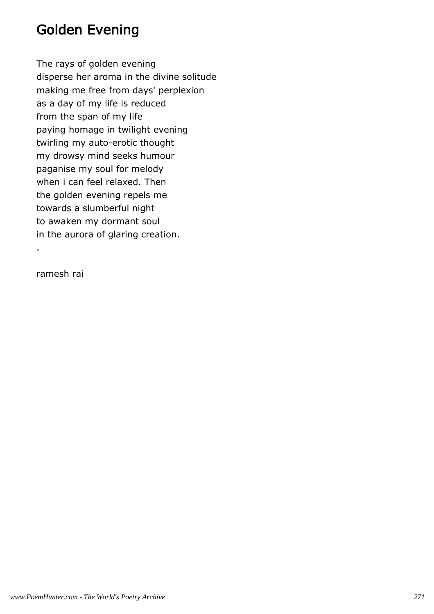### Golden Evening

The rays of golden evening disperse her aroma in the divine solitude making me free from days' perplexion as a day of my life is reduced from the span of my life paying homage in twilight evening twirling my auto-erotic thought my drowsy mind seeks humour paganise my soul for melody when i can feel relaxed. Then the golden evening repels me towards a slumberful night to awaken my dormant soul in the aurora of glaring creation.

ramesh rai

.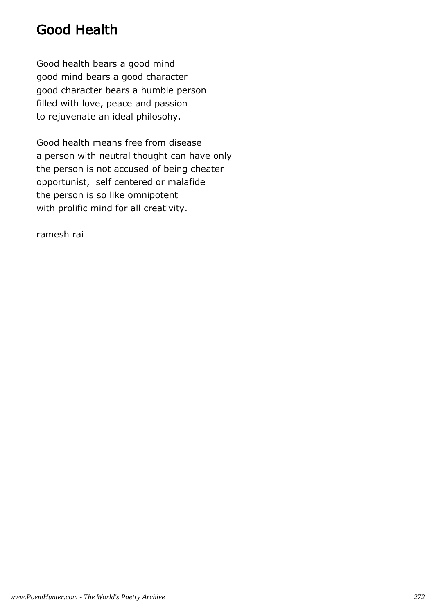## Good Health

Good health bears a good mind good mind bears a good character good character bears a humble person filled with love, peace and passion to rejuvenate an ideal philosohy.

Good health means free from disease a person with neutral thought can have only the person is not accused of being cheater opportunist, self centered or malafide the person is so like omnipotent with prolific mind for all creativity.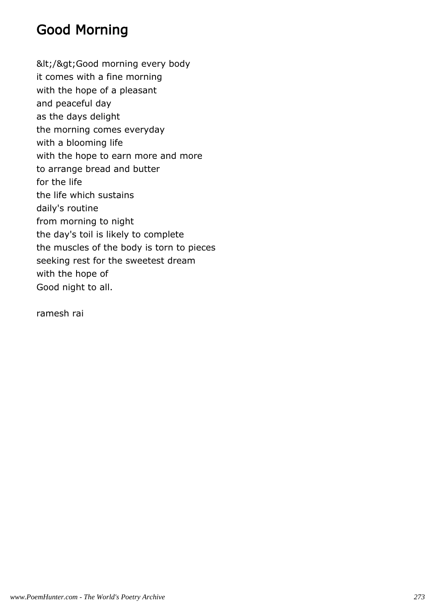## Good Morning

</&gt;Good morning every body it comes with a fine morning with the hope of a pleasant and peaceful day as the days delight the morning comes everyday with a blooming life with the hope to earn more and more to arrange bread and butter for the life the life which sustains daily's routine from morning to night the day's toil is likely to complete the muscles of the body is torn to pieces seeking rest for the sweetest dream with the hope of Good night to all.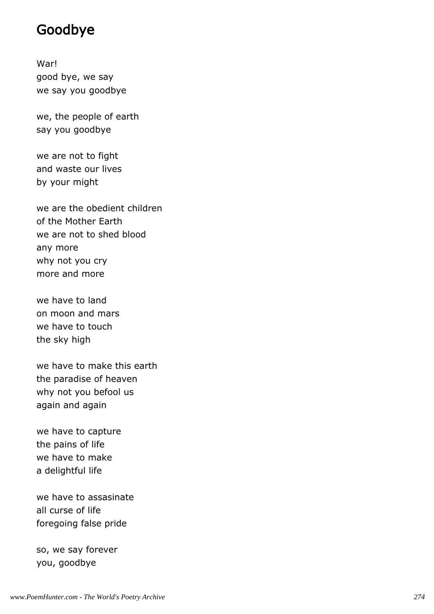#### Goodbye

War! good bye, we say we say you goodbye

we, the people of earth say you goodbye

we are not to fight and waste our lives by your might

we are the obedient children of the Mother Earth we are not to shed blood any more why not you cry more and more

we have to land on moon and mars we have to touch the sky high

we have to make this earth the paradise of heaven why not you befool us again and again

we have to capture the pains of life we have to make a delightful life

we have to assasinate all curse of life foregoing false pride

so, we say forever you, goodbye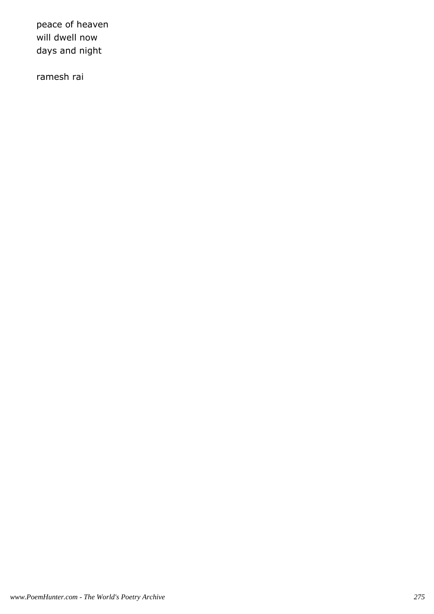peace of heaven will dwell now days and night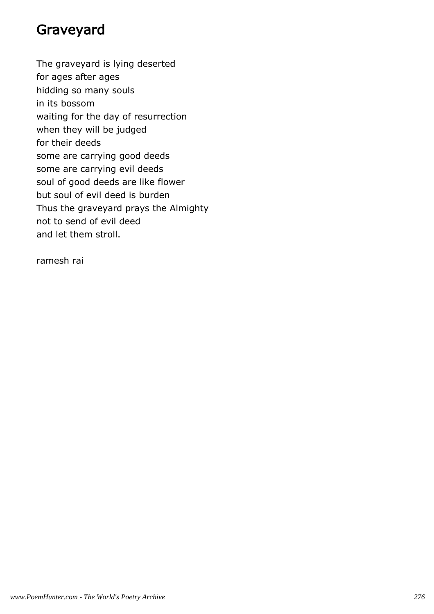#### Graveyard

The graveyard is lying deserted for ages after ages hidding so many souls in its bossom waiting for the day of resurrection when they will be judged for their deeds some are carrying good deeds some are carrying evil deeds soul of good deeds are like flower but soul of evil deed is burden Thus the graveyard prays the Almighty not to send of evil deed and let them stroll.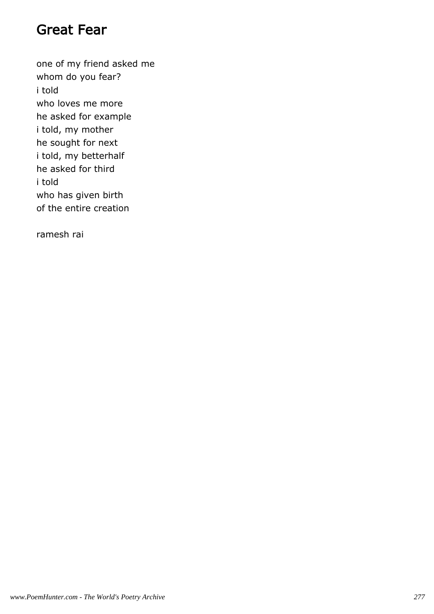#### Great Fear

one of my friend asked me whom do you fear? i told who loves me more he asked for example i told, my mother he sought for next i told, my betterhalf he asked for third i told who has given birth of the entire creation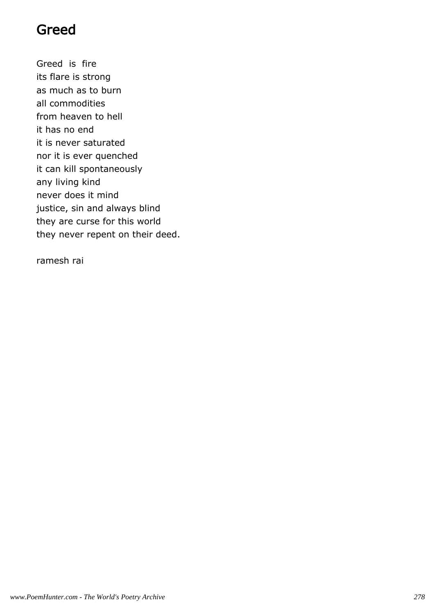#### Greed

Greed is fire its flare is strong as much as to burn all commodities from heaven to hell it has no end it is never saturated nor it is ever quenched it can kill spontaneously any living kind never does it mind justice, sin and always blind they are curse for this world they never repent on their deed.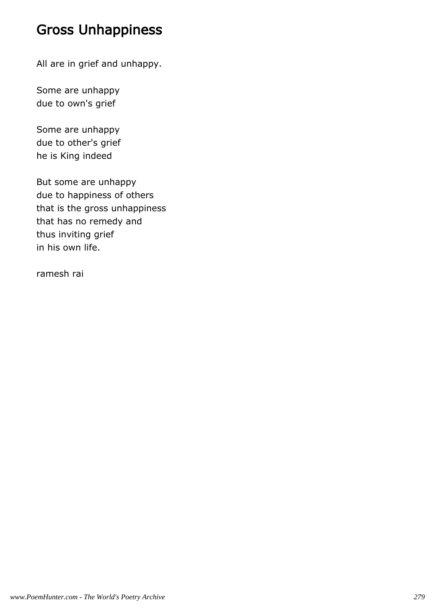## Gross Unhappiness

All are in grief and unhappy.

Some are unhappy due to own's grief

Some are unhappy due to other's grief he is King indeed

But some are unhappy due to happiness of others that is the gross unhappiness that has no remedy and thus inviting grief in his own life.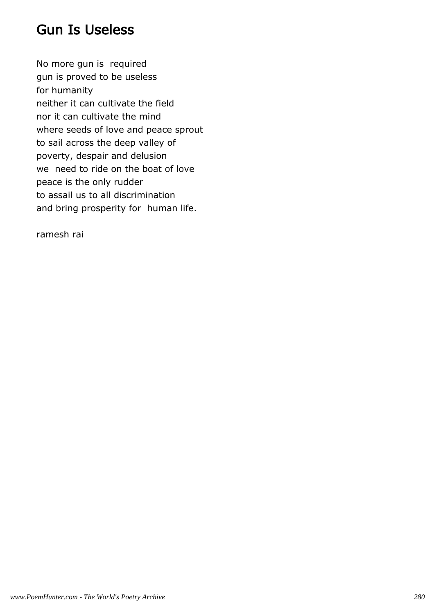#### Gun Is Useless

No more gun is required gun is proved to be useless for humanity neither it can cultivate the field nor it can cultivate the mind where seeds of love and peace sprout to sail across the deep valley of poverty, despair and delusion we need to ride on the boat of love peace is the only rudder to assail us to all discrimination and bring prosperity for human life.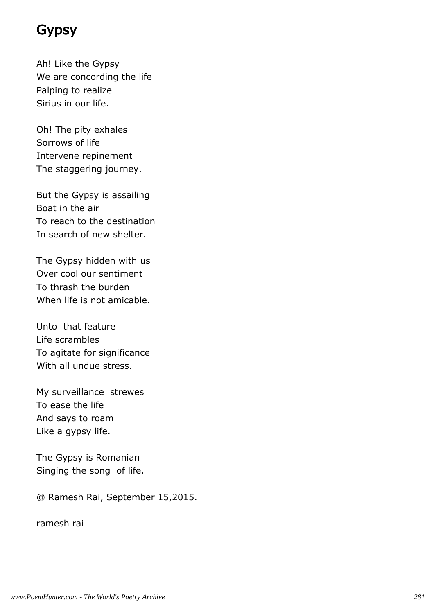## Gypsy

Ah! Like the Gypsy We are concording the life Palping to realize Sirius in our life.

Oh! The pity exhales Sorrows of life Intervene repinement The staggering journey.

But the Gypsy is assailing Boat in the air To reach to the destination In search of new shelter.

The Gypsy hidden with us Over cool our sentiment To thrash the burden When life is not amicable.

Unto that feature Life scrambles To agitate for significance With all undue stress.

My surveillance strewes To ease the life And says to roam Like a gypsy life.

The Gypsy is Romanian Singing the song of life.

@ Ramesh Rai, September 15,2015.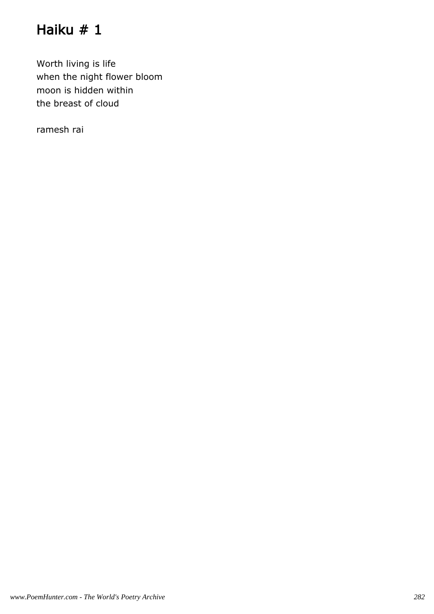## Haiku # 1

Worth living is life when the night flower bloom moon is hidden within the breast of cloud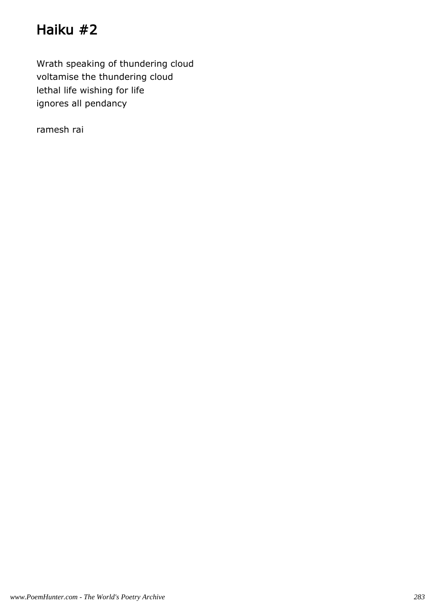## Haiku #2

Wrath speaking of thundering cloud voltamise the thundering cloud lethal life wishing for life ignores all pendancy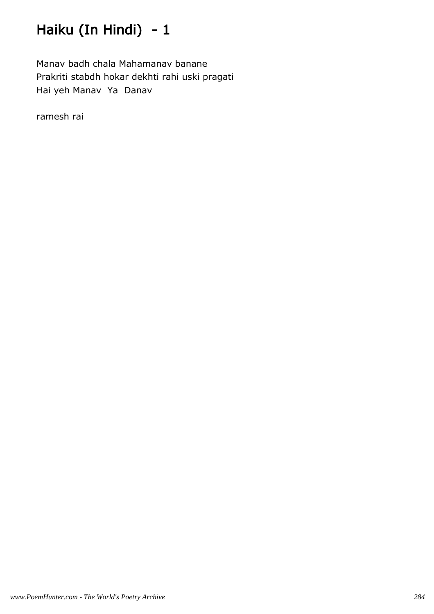# Haiku (In Hindi) - 1

Manav badh chala Mahamanav banane Prakriti stabdh hokar dekhti rahi uski pragati Hai yeh Manav Ya Danav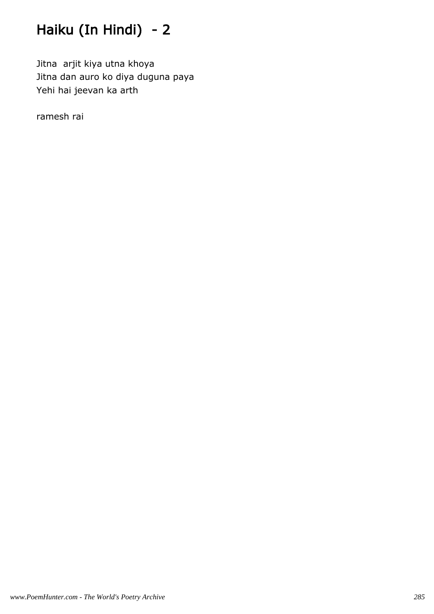# Haiku (In Hindi) - 2

Jitna arjit kiya utna khoya Jitna dan auro ko diya duguna paya Yehi hai jeevan ka arth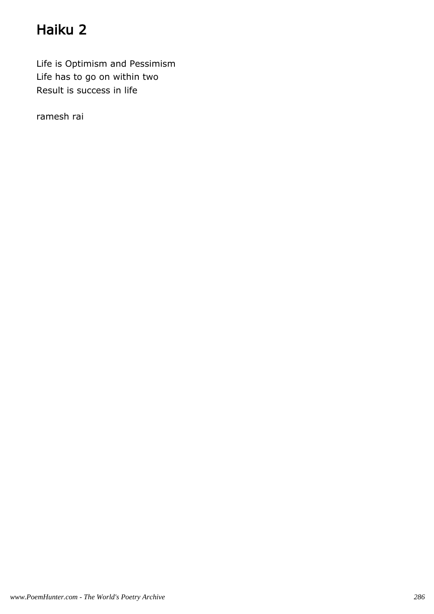# Haiku 2

Life is Optimism and Pessimism Life has to go on within two Result is success in life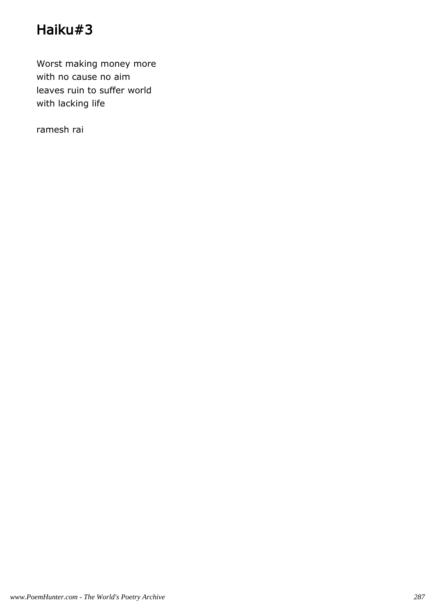# Haiku#3

Worst making money more with no cause no aim leaves ruin to suffer world with lacking life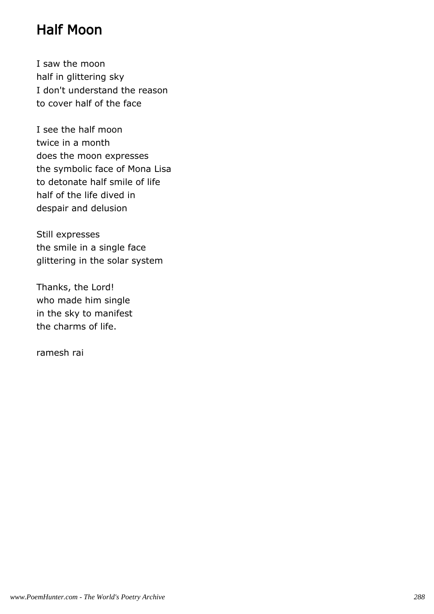### Half Moon

I saw the moon half in glittering sky I don't understand the reason to cover half of the face

I see the half moon twice in a month does the moon expresses the symbolic face of Mona Lisa to detonate half smile of life half of the life dived in despair and delusion

Still expresses the smile in a single face glittering in the solar system

Thanks, the Lord! who made him single in the sky to manifest the charms of life.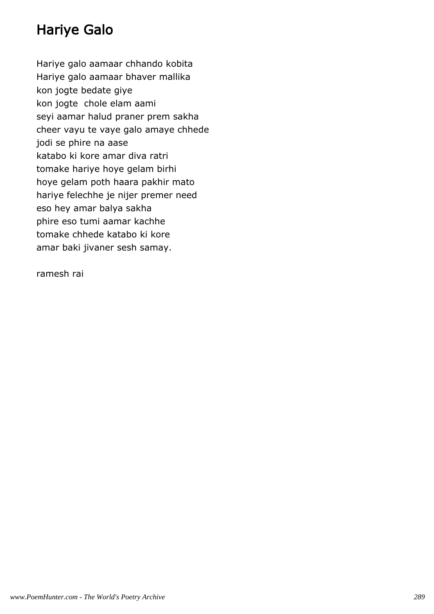### Hariye Galo

Hariye galo aamaar chhando kobita Hariye galo aamaar bhaver mallika kon jogte bedate giye kon jogte chole elam aami seyi aamar halud praner prem sakha cheer vayu te vaye galo amaye chhede jodi se phire na aase katabo ki kore amar diva ratri tomake hariye hoye gelam birhi hoye gelam poth haara pakhir mato hariye felechhe je nijer premer need eso hey amar balya sakha phire eso tumi aamar kachhe tomake chhede katabo ki kore amar baki jivaner sesh samay.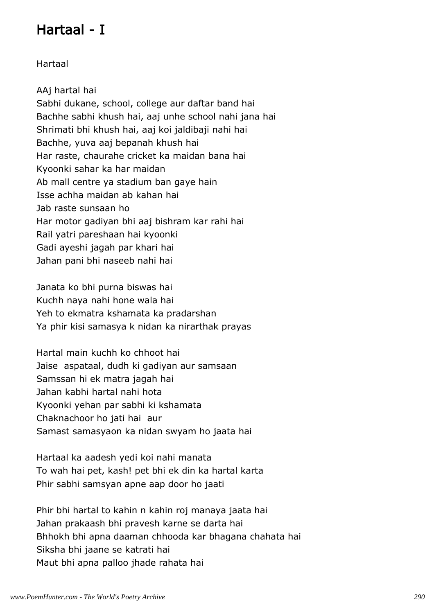### Hartaal - I

#### Hartaal

AAj hartal hai Sabhi dukane, school, college aur daftar band hai Bachhe sabhi khush hai, aaj unhe school nahi jana hai Shrimati bhi khush hai, aaj koi jaldibaji nahi hai Bachhe, yuva aaj bepanah khush hai Har raste, chaurahe cricket ka maidan bana hai Kyoonki sahar ka har maidan Ab mall centre ya stadium ban gaye hain Isse achha maidan ab kahan hai Jab raste sunsaan ho Har motor gadiyan bhi aaj bishram kar rahi hai Rail yatri pareshaan hai kyoonki Gadi ayeshi jagah par khari hai Jahan pani bhi naseeb nahi hai

Janata ko bhi purna biswas hai Kuchh naya nahi hone wala hai Yeh to ekmatra kshamata ka pradarshan Ya phir kisi samasya k nidan ka nirarthak prayas

Hartal main kuchh ko chhoot hai Jaise aspataal, dudh ki gadiyan aur samsaan Samssan hi ek matra jagah hai Jahan kabhi hartal nahi hota Kyoonki yehan par sabhi ki kshamata Chaknachoor ho jati hai aur Samast samasyaon ka nidan swyam ho jaata hai

Hartaal ka aadesh yedi koi nahi manata To wah hai pet, kash! pet bhi ek din ka hartal karta Phir sabhi samsyan apne aap door ho jaati

Phir bhi hartal to kahin n kahin roj manaya jaata hai Jahan prakaash bhi pravesh karne se darta hai Bhhokh bhi apna daaman chhooda kar bhagana chahata hai Siksha bhi jaane se katrati hai Maut bhi apna palloo jhade rahata hai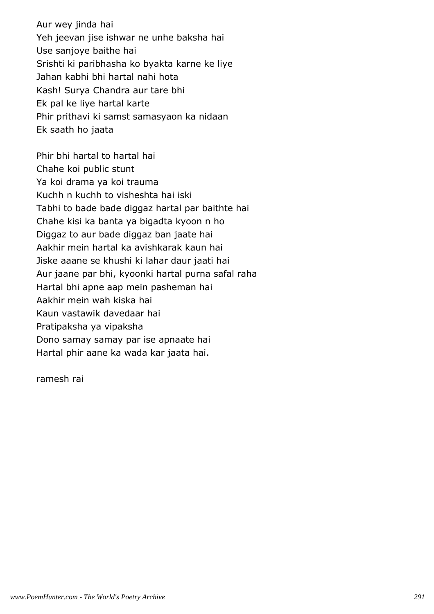Aur wey jinda hai Yeh jeevan jise ishwar ne unhe baksha hai Use sanjoye baithe hai Srishti ki paribhasha ko byakta karne ke liye Jahan kabhi bhi hartal nahi hota Kash! Surya Chandra aur tare bhi Ek pal ke liye hartal karte Phir prithavi ki samst samasyaon ka nidaan Ek saath ho jaata

Phir bhi hartal to hartal hai Chahe koi public stunt Ya koi drama ya koi trauma Kuchh n kuchh to visheshta hai iski Tabhi to bade bade diggaz hartal par baithte hai Chahe kisi ka banta ya bigadta kyoon n ho Diggaz to aur bade diggaz ban jaate hai Aakhir mein hartal ka avishkarak kaun hai Jiske aaane se khushi ki lahar daur jaati hai Aur jaane par bhi, kyoonki hartal purna safal raha Hartal bhi apne aap mein pasheman hai Aakhir mein wah kiska hai Kaun vastawik davedaar hai Pratipaksha ya vipaksha Dono samay samay par ise apnaate hai Hartal phir aane ka wada kar jaata hai.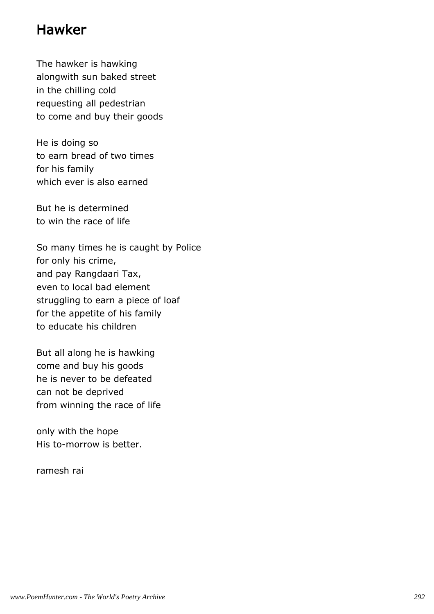#### Hawker

The hawker is hawking alongwith sun baked street in the chilling cold requesting all pedestrian to come and buy their goods

He is doing so to earn bread of two times for his family which ever is also earned

But he is determined to win the race of life

So many times he is caught by Police for only his crime, and pay Rangdaari Tax, even to local bad element struggling to earn a piece of loaf for the appetite of his family to educate his children

But all along he is hawking come and buy his goods he is never to be defeated can not be deprived from winning the race of life

only with the hope His to-morrow is better.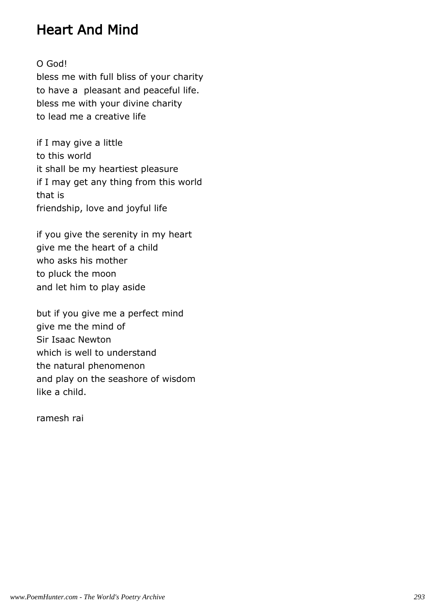### Heart And Mind

#### O God!

bless me with full bliss of your charity to have a pleasant and peaceful life. bless me with your divine charity to lead me a creative life

if I may give a little to this world it shall be my heartiest pleasure if I may get any thing from this world that is friendship, love and joyful life

if you give the serenity in my heart give me the heart of a child who asks his mother to pluck the moon and let him to play aside

but if you give me a perfect mind give me the mind of Sir Isaac Newton which is well to understand the natural phenomenon and play on the seashore of wisdom like a child.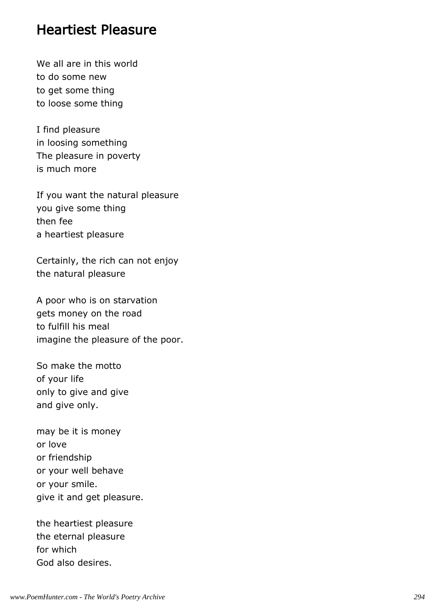#### Heartiest Pleasure

We all are in this world to do some new to get some thing to loose some thing

I find pleasure in loosing something The pleasure in poverty is much more

If you want the natural pleasure you give some thing then fee a heartiest pleasure

Certainly, the rich can not enjoy the natural pleasure

A poor who is on starvation gets money on the road to fulfill his meal imagine the pleasure of the poor.

So make the motto of your life only to give and give and give only.

may be it is money or love or friendship or your well behave or your smile. give it and get pleasure.

the heartiest pleasure the eternal pleasure for which God also desires.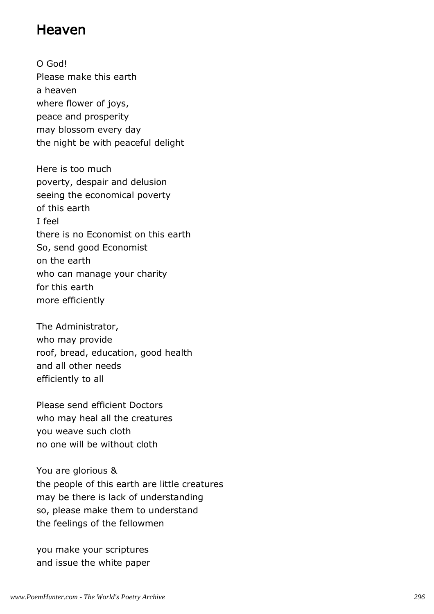#### Heaven

O God! Please make this earth a heaven where flower of joys, peace and prosperity may blossom every day the night be with peaceful delight

Here is too much poverty, despair and delusion seeing the economical poverty of this earth I feel there is no Economist on this earth So, send good Economist on the earth who can manage your charity for this earth more efficiently

The Administrator, who may provide roof, bread, education, good health and all other needs efficiently to all

Please send efficient Doctors who may heal all the creatures you weave such cloth no one will be without cloth

You are glorious & the people of this earth are little creatures may be there is lack of understanding so, please make them to understand the feelings of the fellowmen

you make your scriptures and issue the white paper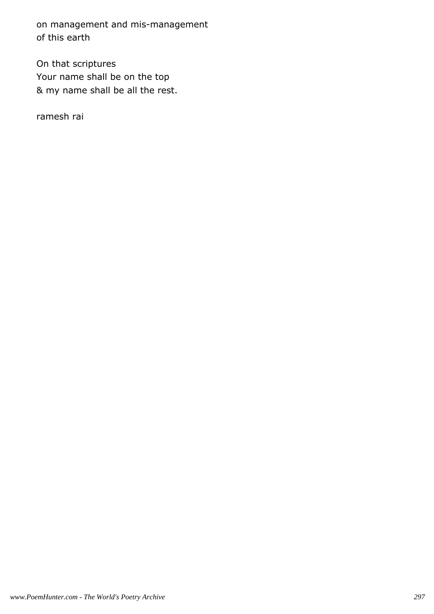on management and mis-management of this earth

On that scriptures Your name shall be on the top & my name shall be all the rest.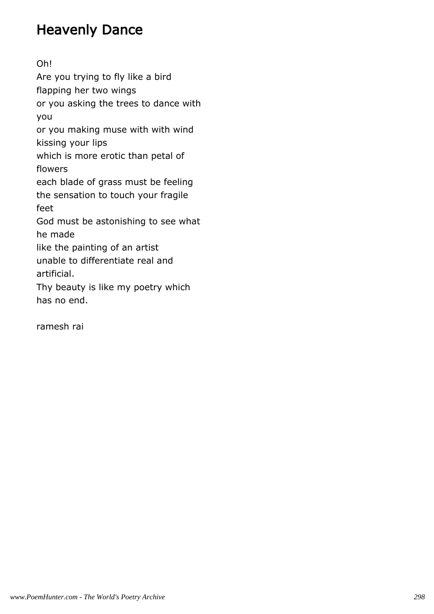## Heavenly Dance

Oh! Are you trying to fly like a bird flapping her two wings or you asking the trees to dance with you or you making muse with with wind kissing your lips which is more erotic than petal of flowers each blade of grass must be feeling the sensation to touch your fragile feet God must be astonishing to see what he made like the painting of an artist unable to differentiate real and artificial. Thy beauty is like my poetry which has no end.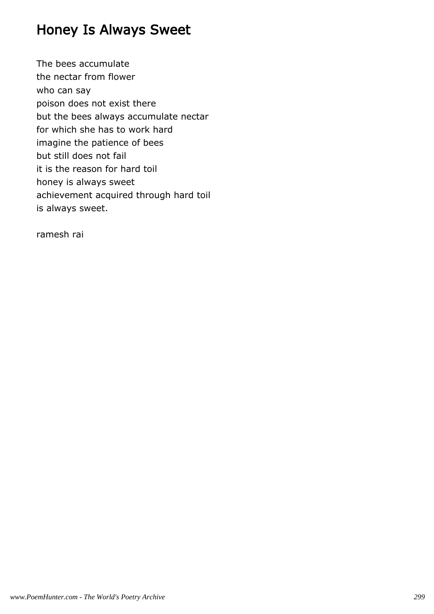#### Honey Is Always Sweet

The bees accumulate the nectar from flower who can say poison does not exist there but the bees always accumulate nectar for which she has to work hard imagine the patience of bees but still does not fail it is the reason for hard toil honey is always sweet achievement acquired through hard toil is always sweet.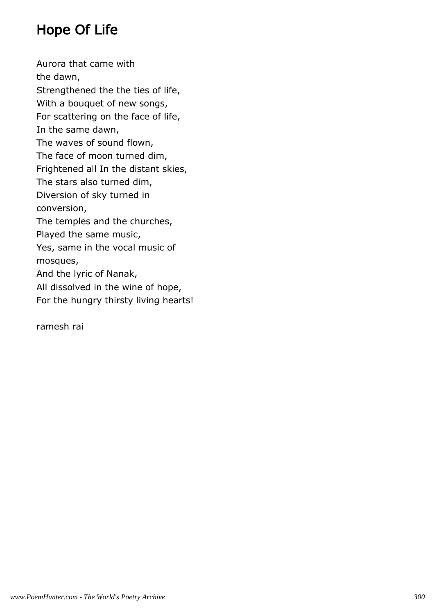## Hope Of Life

Aurora that came with the dawn, Strengthened the the ties of life, With a bouquet of new songs, For scattering on the face of life, In the same dawn, The waves of sound flown, The face of moon turned dim, Frightened all In the distant skies, The stars also turned dim, Diversion of sky turned in conversion, The temples and the churches, Played the same music, Yes, same in the vocal music of mosques, And the lyric of Nanak, All dissolved in the wine of hope, For the hungry thirsty living hearts!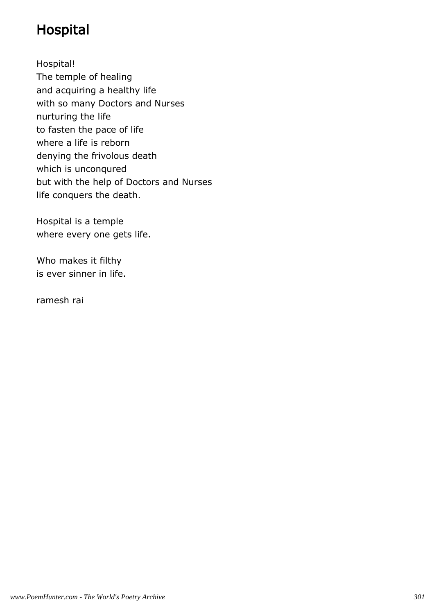# Hospital

Hospital! The temple of healing and acquiring a healthy life with so many Doctors and Nurses nurturing the life to fasten the pace of life where a life is reborn denying the frivolous death which is unconqured but with the help of Doctors and Nurses life conquers the death.

Hospital is a temple where every one gets life.

Who makes it filthy is ever sinner in life.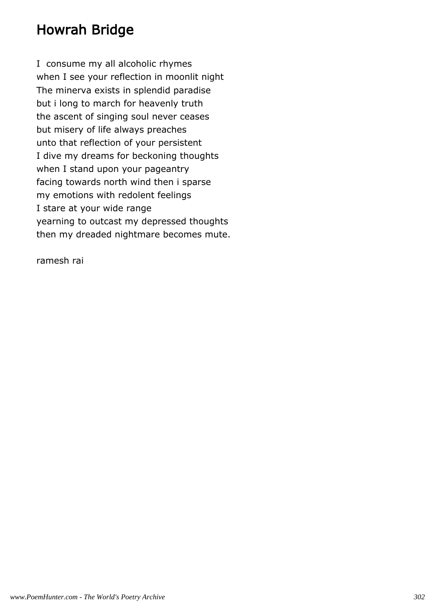### Howrah Bridge

I consume my all alcoholic rhymes when I see your reflection in moonlit night The minerva exists in splendid paradise but i long to march for heavenly truth the ascent of singing soul never ceases but misery of life always preaches unto that reflection of your persistent I dive my dreams for beckoning thoughts when I stand upon your pageantry facing towards north wind then i sparse my emotions with redolent feelings I stare at your wide range yearning to outcast my depressed thoughts then my dreaded nightmare becomes mute.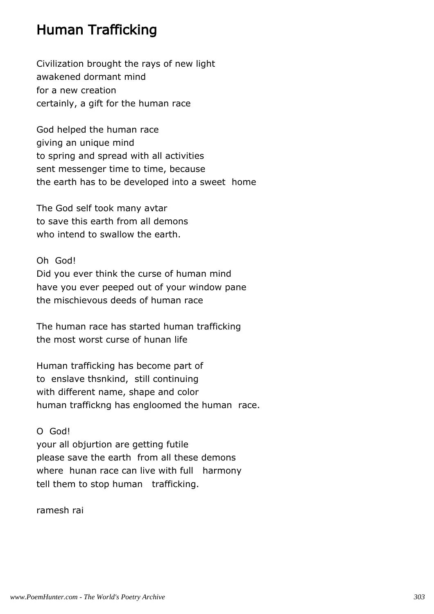#### Human Trafficking

Civilization brought the rays of new light awakened dormant mind for a new creation certainly, a gift for the human race

God helped the human race giving an unique mind to spring and spread with all activities sent messenger time to time, because the earth has to be developed into a sweet home

The God self took many avtar to save this earth from all demons who intend to swallow the earth.

Oh God! Did you ever think the curse of human mind have you ever peeped out of your window pane the mischievous deeds of human race

The human race has started human trafficking the most worst curse of hunan life

Human trafficking has become part of to enslave thsnkind, still continuing with different name, shape and color human traffickng has engloomed the human race.

O God! your all objurtion are getting futile please save the earth from all these demons where hunan race can live with full harmony tell them to stop human trafficking.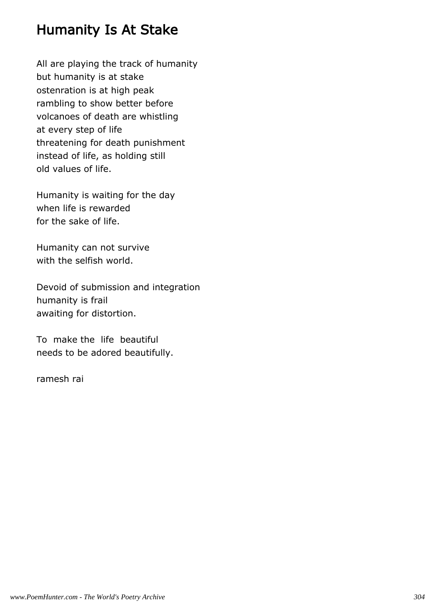### Humanity Is At Stake

All are playing the track of humanity but humanity is at stake ostenration is at high peak rambling to show better before volcanoes of death are whistling at every step of life threatening for death punishment instead of life, as holding still old values of life.

Humanity is waiting for the day when life is rewarded for the sake of life.

Humanity can not survive with the selfish world.

Devoid of submission and integration humanity is frail awaiting for distortion.

To make the life beautiful needs to be adored beautifully.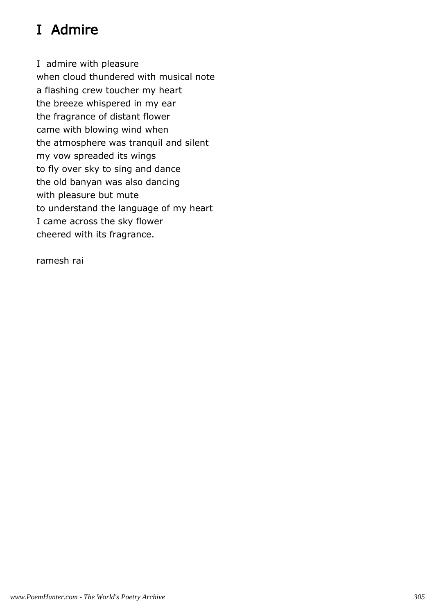# I Admire

I admire with pleasure when cloud thundered with musical note a flashing crew toucher my heart the breeze whispered in my ear the fragrance of distant flower came with blowing wind when the atmosphere was tranquil and silent my vow spreaded its wings to fly over sky to sing and dance the old banyan was also dancing with pleasure but mute to understand the language of my heart I came across the sky flower cheered with its fragrance.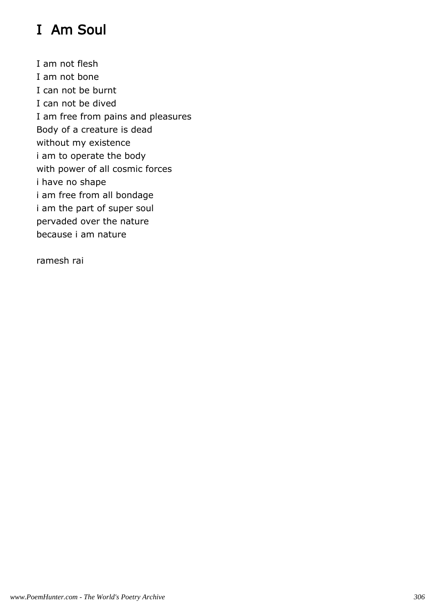# I Am Soul

I am not flesh I am not bone I can not be burnt I can not be dived I am free from pains and pleasures Body of a creature is dead without my existence i am to operate the body with power of all cosmic forces i have no shape i am free from all bondage i am the part of super soul pervaded over the nature because i am nature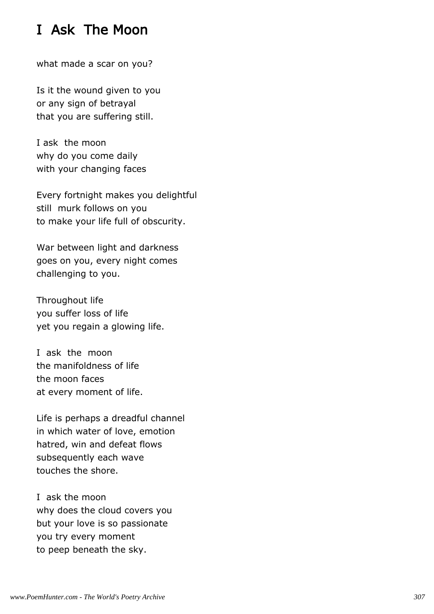#### I Ask The Moon

what made a scar on you?

Is it the wound given to you or any sign of betrayal that you are suffering still.

I ask the moon why do you come daily with your changing faces

Every fortnight makes you delightful still murk follows on you to make your life full of obscurity.

War between light and darkness goes on you, every night comes challenging to you.

Throughout life you suffer loss of life yet you regain a glowing life.

I ask the moon the manifoldness of life the moon faces at every moment of life.

Life is perhaps a dreadful channel in which water of love, emotion hatred, win and defeat flows subsequently each wave touches the shore.

I ask the moon why does the cloud covers you but your love is so passionate you try every moment to peep beneath the sky.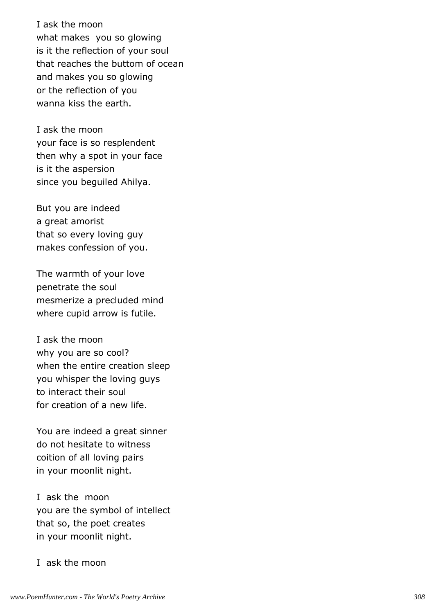I ask the moon what makes you so glowing is it the reflection of your soul that reaches the buttom of ocean and makes you so glowing or the reflection of you wanna kiss the earth.

I ask the moon your face is so resplendent then why a spot in your face is it the aspersion since you beguiled Ahilya.

But you are indeed a great amorist that so every loving guy makes confession of you.

The warmth of your love penetrate the soul mesmerize a precluded mind where cupid arrow is futile.

I ask the moon why you are so cool? when the entire creation sleep you whisper the loving guys to interact their soul for creation of a new life.

You are indeed a great sinner do not hesitate to witness coition of all loving pairs in your moonlit night.

I ask the moon you are the symbol of intellect that so, the poet creates in your moonlit night.

#### I ask the moon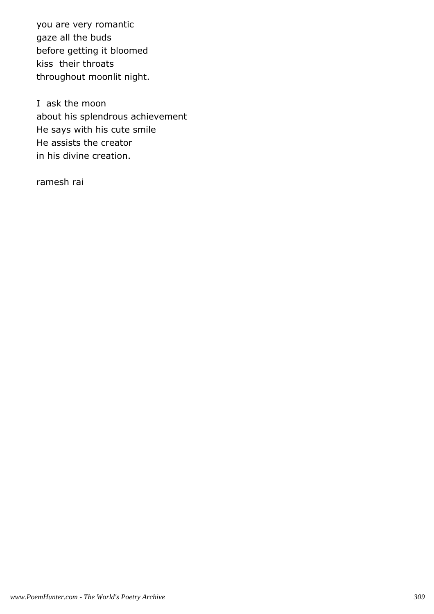you are very romantic gaze all the buds before getting it bloomed kiss their throats throughout moonlit night.

I ask the moon about his splendrous achievement He says with his cute smile He assists the creator in his divine creation.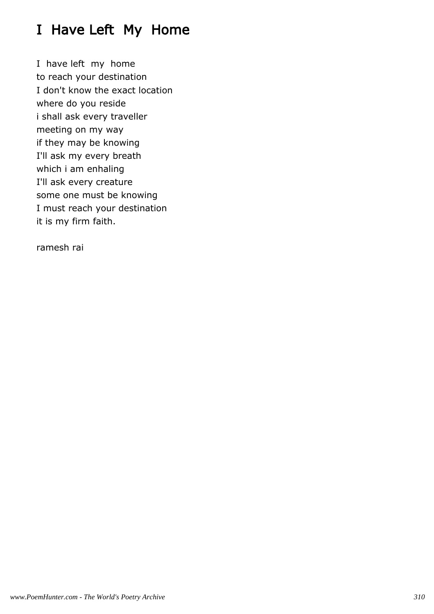# I Have Left My Home

I have left my home to reach your destination I don't know the exact location where do you reside i shall ask every traveller meeting on my way if they may be knowing I'll ask my every breath which i am enhaling I'll ask every creature some one must be knowing I must reach your destination it is my firm faith.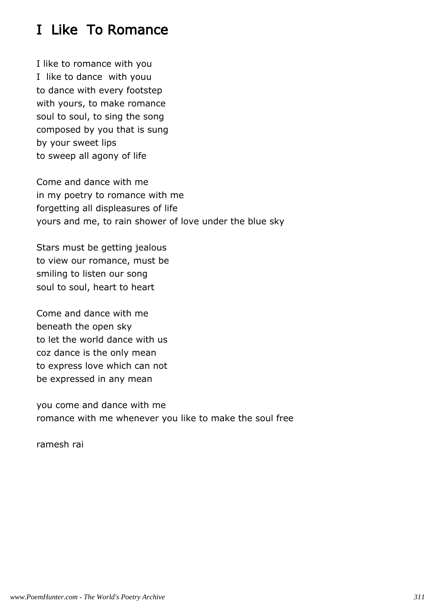## I Like To Romance

I like to romance with you I like to dance with youu to dance with every footstep with yours, to make romance soul to soul, to sing the song composed by you that is sung by your sweet lips to sweep all agony of life

Come and dance with me in my poetry to romance with me forgetting all displeasures of life yours and me, to rain shower of love under the blue sky

Stars must be getting jealous to view our romance, must be smiling to listen our song soul to soul, heart to heart

Come and dance with me beneath the open sky to let the world dance with us coz dance is the only mean to express love which can not be expressed in any mean

you come and dance with me romance with me whenever you like to make the soul free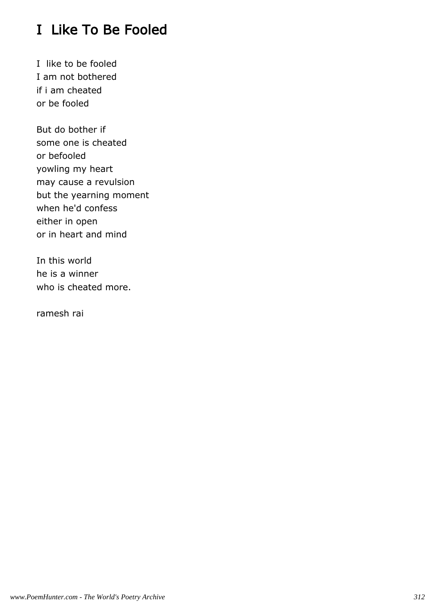# I Like To Be Fooled

I like to be fooled I am not bothered if i am cheated or be fooled

But do bother if some one is cheated or befooled yowling my heart may cause a revulsion but the yearning moment when he'd confess either in open or in heart and mind

In this world he is a winner who is cheated more.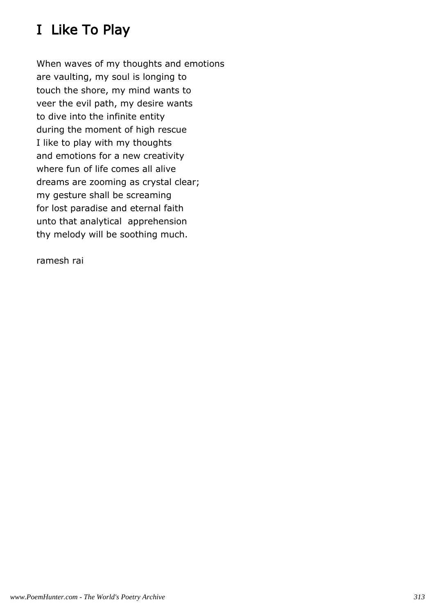# I Like To Play

When waves of my thoughts and emotions are vaulting, my soul is longing to touch the shore, my mind wants to veer the evil path, my desire wants to dive into the infinite entity during the moment of high rescue I like to play with my thoughts and emotions for a new creativity where fun of life comes all alive dreams are zooming as crystal clear; my gesture shall be screaming for lost paradise and eternal faith unto that analytical apprehension thy melody will be soothing much.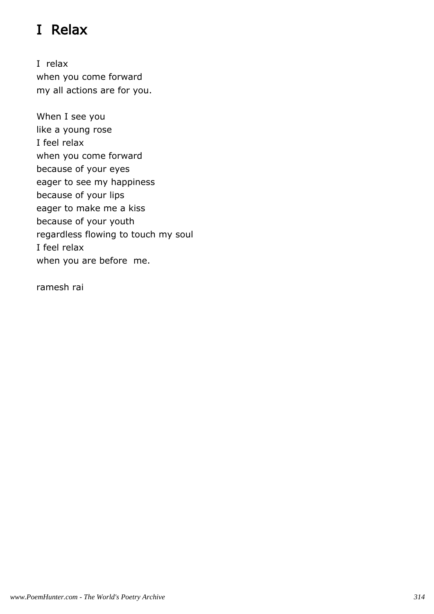# I Relax

I relax when you come forward my all actions are for you.

When I see you like a young rose I feel relax when you come forward because of your eyes eager to see my happiness because of your lips eager to make me a kiss because of your youth regardless flowing to touch my soul I feel relax when you are before me.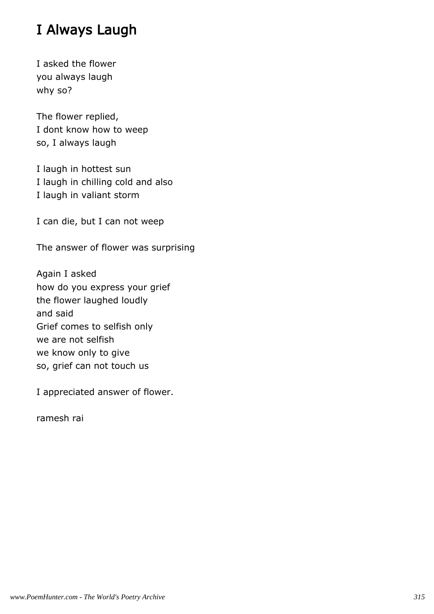## I Always Laugh

I asked the flower you always laugh why so?

The flower replied, I dont know how to weep so, I always laugh

I laugh in hottest sun I laugh in chilling cold and also I laugh in valiant storm

I can die, but I can not weep

The answer of flower was surprising

Again I asked how do you express your grief the flower laughed loudly and said Grief comes to selfish only we are not selfish we know only to give so, grief can not touch us

I appreciated answer of flower.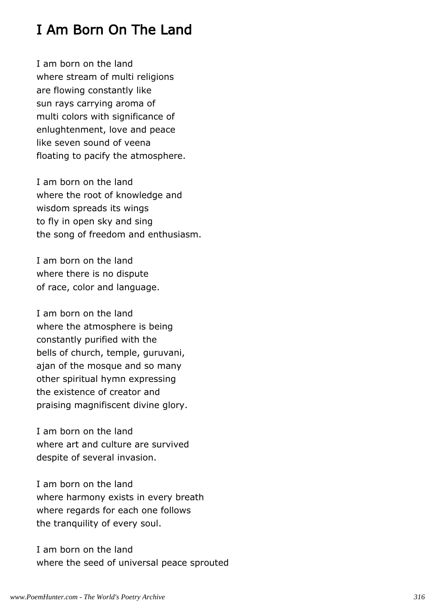# I Am Born On The Land

I am born on the land where stream of multi religions are flowing constantly like sun rays carrying aroma of multi colors with significance of enlughtenment, love and peace like seven sound of veena floating to pacify the atmosphere.

I am born on the land where the root of knowledge and wisdom spreads its wings to fly in open sky and sing the song of freedom and enthusiasm.

I am born on the land where there is no dispute of race, color and language.

I am born on the land where the atmosphere is being constantly purified with the bells of church, temple, guruvani, ajan of the mosque and so many other spiritual hymn expressing the existence of creator and praising magnifiscent divine glory.

I am born on the land where art and culture are survived despite of several invasion.

I am born on the land where harmony exists in every breath where regards for each one follows the tranquility of every soul.

I am born on the land where the seed of universal peace sprouted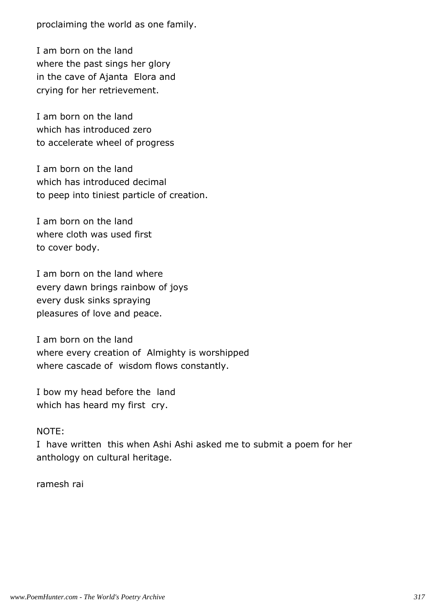proclaiming the world as one family.

I am born on the land where the past sings her glory in the cave of Ajanta Elora and crying for her retrievement.

I am born on the land which has introduced zero to accelerate wheel of progress

I am born on the land which has introduced decimal to peep into tiniest particle of creation.

I am born on the land where cloth was used first to cover body.

I am born on the land where every dawn brings rainbow of joys every dusk sinks spraying pleasures of love and peace.

I am born on the land where every creation of Almighty is worshipped where cascade of wisdom flows constantly.

I bow my head before the land which has heard my first cry.

#### NOTE:

I have written this when Ashi Ashi asked me to submit a poem for her anthology on cultural heritage.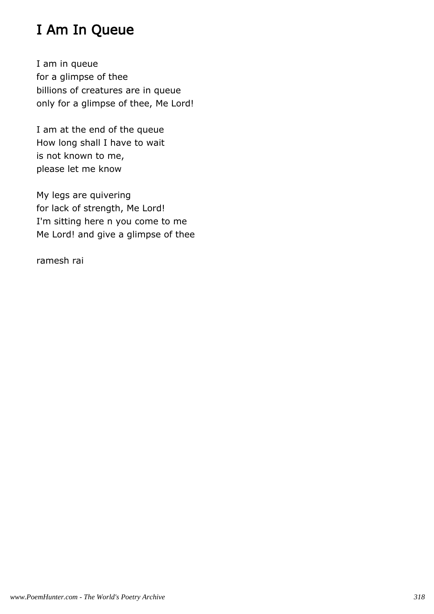# I Am In Queue

I am in queue for a glimpse of thee billions of creatures are in queue only for a glimpse of thee, Me Lord!

I am at the end of the queue How long shall I have to wait is not known to me, please let me know

My legs are quivering for lack of strength, Me Lord! I'm sitting here n you come to me Me Lord! and give a glimpse of thee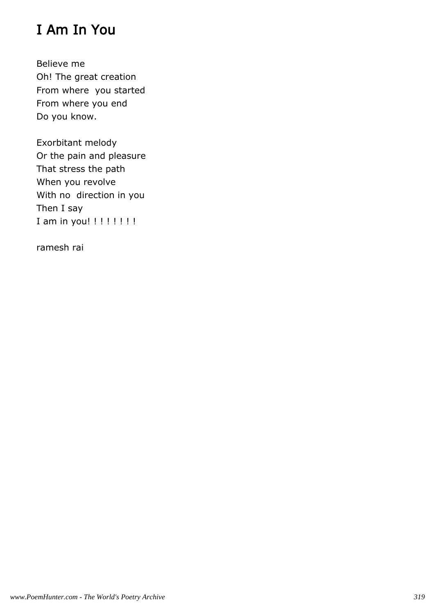# I Am In You

Believe me Oh! The great creation From where you started From where you end Do you know.

Exorbitant melody Or the pain and pleasure That stress the path When you revolve With no direction in you Then I say I am in you! ! ! ! ! ! ! !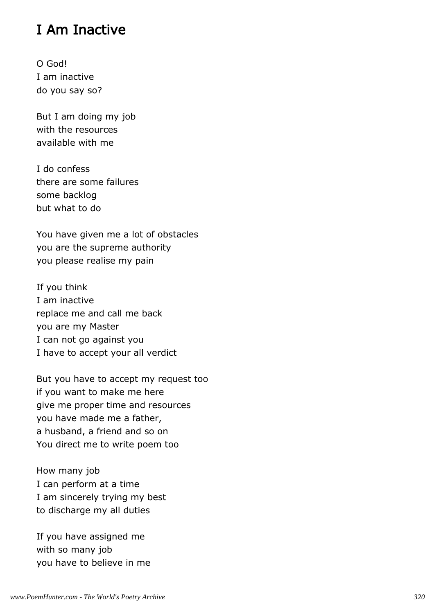### I Am Inactive

O God! I am inactive do you say so?

But I am doing my job with the resources available with me

I do confess there are some failures some backlog but what to do

You have given me a lot of obstacles you are the supreme authority you please realise my pain

If you think I am inactive replace me and call me back you are my Master I can not go against you I have to accept your all verdict

But you have to accept my request too if you want to make me here give me proper time and resources you have made me a father, a husband, a friend and so on You direct me to write poem too

How many job I can perform at a time I am sincerely trying my best to discharge my all duties

If you have assigned me with so many job you have to believe in me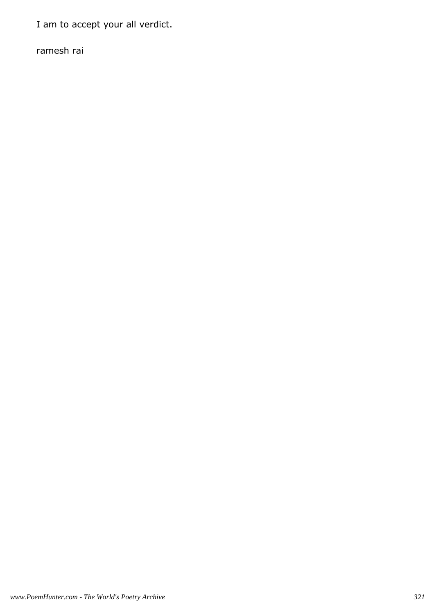I am to accept your all verdict.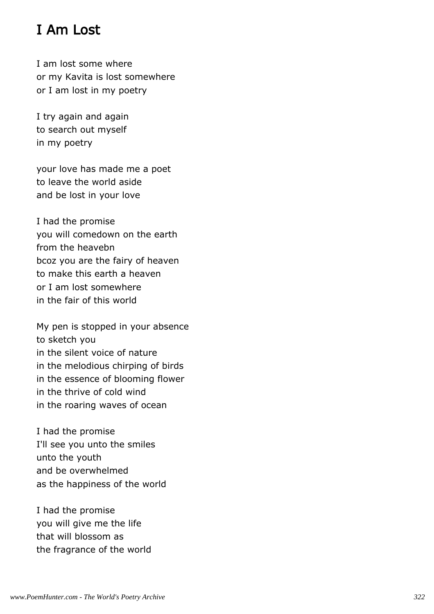### I Am Lost

I am lost some where or my Kavita is lost somewhere or I am lost in my poetry

I try again and again to search out myself in my poetry

your love has made me a poet to leave the world aside and be lost in your love

I had the promise you will comedown on the earth from the heavebn bcoz you are the fairy of heaven to make this earth a heaven or I am lost somewhere in the fair of this world

My pen is stopped in your absence to sketch you in the silent voice of nature in the melodious chirping of birds in the essence of blooming flower in the thrive of cold wind in the roaring waves of ocean

I had the promise I'll see you unto the smiles unto the youth and be overwhelmed as the happiness of the world

I had the promise you will give me the life that will blossom as the fragrance of the world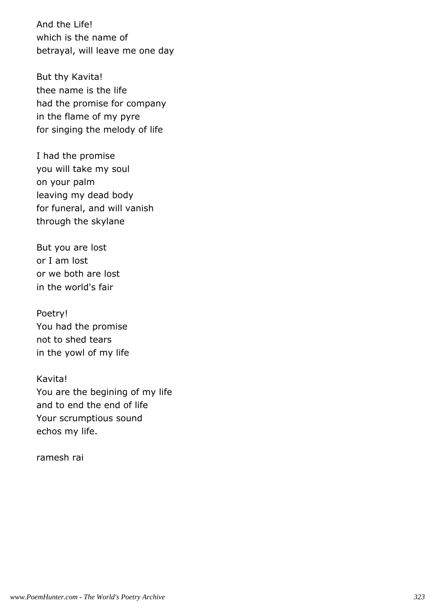And the Life! which is the name of betrayal, will leave me one day

But thy Kavita! thee name is the life had the promise for company in the flame of my pyre for singing the melody of life

I had the promise you will take my soul on your palm leaving my dead body for funeral, and will vanish through the skylane

But you are lost or I am lost or we both are lost in the world's fair

Poetry! You had the promise not to shed tears in the yowl of my life

Kavita! You are the begining of my life and to end the end of life Your scrumptious sound echos my life.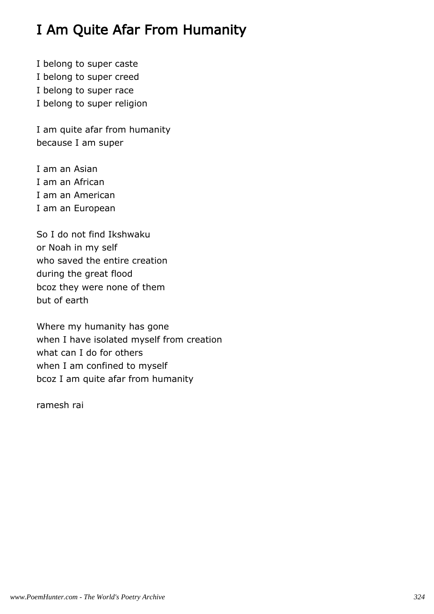# I Am Quite Afar From Humanity

I belong to super caste I belong to super creed I belong to super race I belong to super religion

I am quite afar from humanity because I am super

I am an Asian I am an African I am an American I am an European

So I do not find Ikshwaku or Noah in my self who saved the entire creation during the great flood bcoz they were none of them but of earth

Where my humanity has gone when I have isolated myself from creation what can I do for others when I am confined to myself bcoz I am quite afar from humanity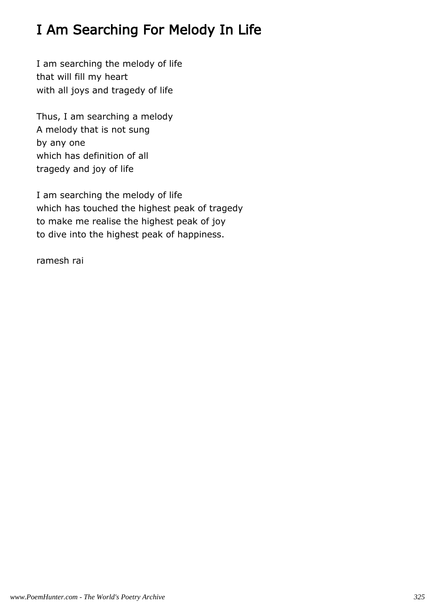# I Am Searching For Melody In Life

I am searching the melody of life that will fill my heart with all joys and tragedy of life

Thus, I am searching a melody A melody that is not sung by any one which has definition of all tragedy and joy of life

I am searching the melody of life which has touched the highest peak of tragedy to make me realise the highest peak of joy to dive into the highest peak of happiness.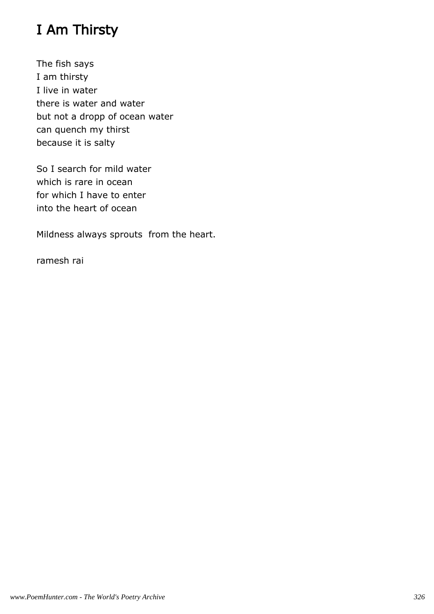# I Am Thirsty

The fish says I am thirsty I live in water there is water and water but not a dropp of ocean water can quench my thirst because it is salty

So I search for mild water which is rare in ocean for which I have to enter into the heart of ocean

Mildness always sprouts from the heart.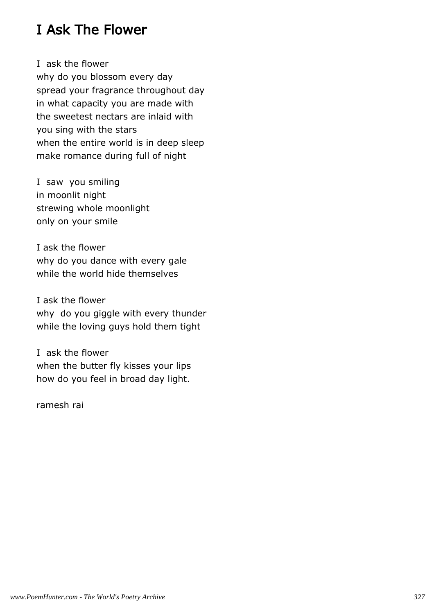#### I Ask The Flower

I ask the flower

why do you blossom every day spread your fragrance throughout day in what capacity you are made with the sweetest nectars are inlaid with you sing with the stars when the entire world is in deep sleep make romance during full of night

I saw you smiling in moonlit night strewing whole moonlight only on your smile

I ask the flower why do you dance with every gale while the world hide themselves

I ask the flower why do you giggle with every thunder while the loving guys hold them tight

I ask the flower when the butter fly kisses your lips how do you feel in broad day light.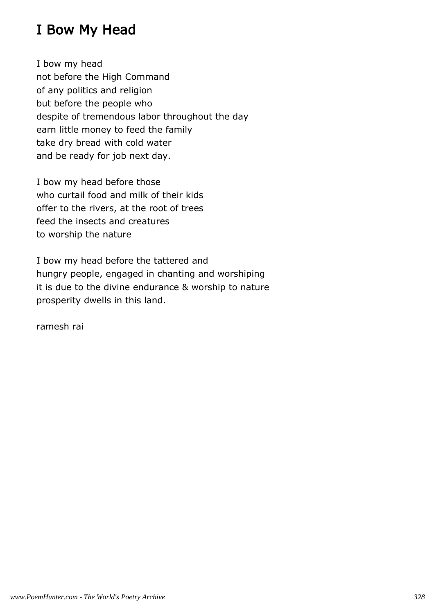### I Bow My Head

I bow my head not before the High Command of any politics and religion but before the people who despite of tremendous labor throughout the day earn little money to feed the family take dry bread with cold water and be ready for job next day.

I bow my head before those who curtail food and milk of their kids offer to the rivers, at the root of trees feed the insects and creatures to worship the nature

I bow my head before the tattered and hungry people, engaged in chanting and worshiping it is due to the divine endurance & worship to nature prosperity dwells in this land.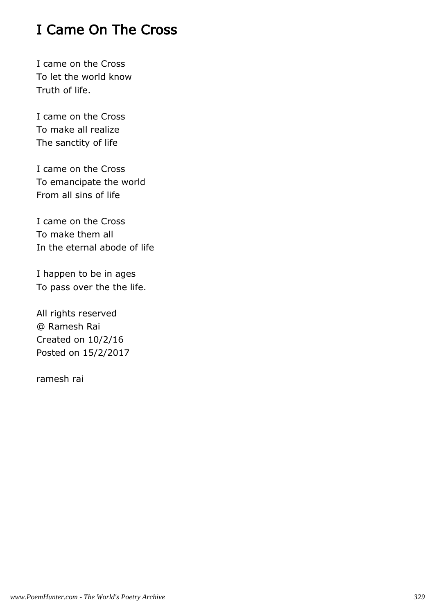### I Came On The Cross

I came on the Cross To let the world know Truth of life.

I came on the Cross To make all realize The sanctity of life

I came on the Cross To emancipate the world From all sins of life

I came on the Cross To make them all In the eternal abode of life

I happen to be in ages To pass over the the life.

All rights reserved @ Ramesh Rai Created on 10/2/16 Posted on 15/2/2017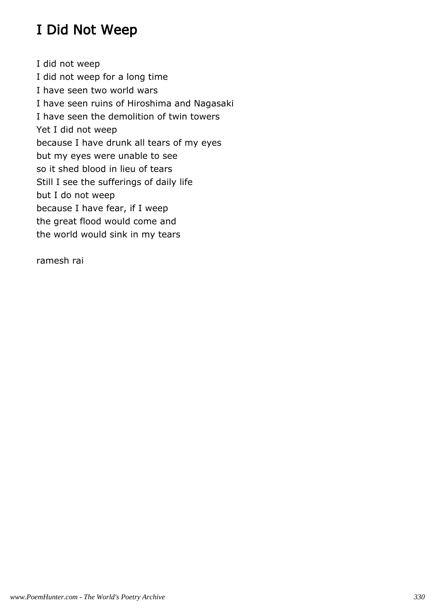# I Did Not Weep

I did not weep I did not weep for a long time I have seen two world wars I have seen ruins of Hiroshima and Nagasaki I have seen the demolition of twin towers Yet I did not weep because I have drunk all tears of my eyes but my eyes were unable to see so it shed blood in lieu of tears Still I see the sufferings of daily life but I do not weep because I have fear, if I weep the great flood would come and the world would sink in my tears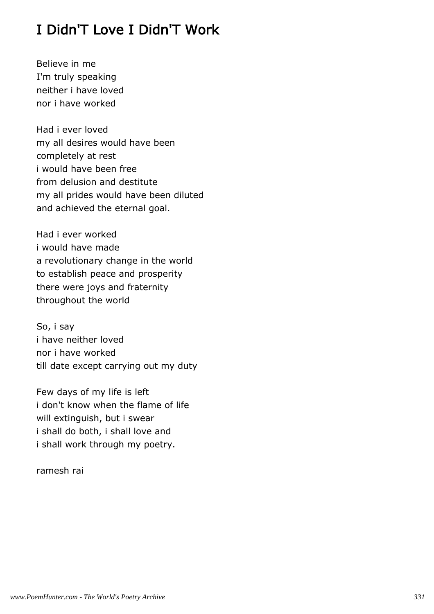## I Didn'T Love I Didn'T Work

Believe in me I'm truly speaking neither i have loved nor i have worked

Had i ever loved my all desires would have been completely at rest i would have been free from delusion and destitute my all prides would have been diluted and achieved the eternal goal.

Had i ever worked i would have made a revolutionary change in the world to establish peace and prosperity there were joys and fraternity throughout the world

So, i say i have neither loved nor i have worked till date except carrying out my duty

Few days of my life is left i don't know when the flame of life will extinguish, but i swear i shall do both, i shall love and i shall work through my poetry.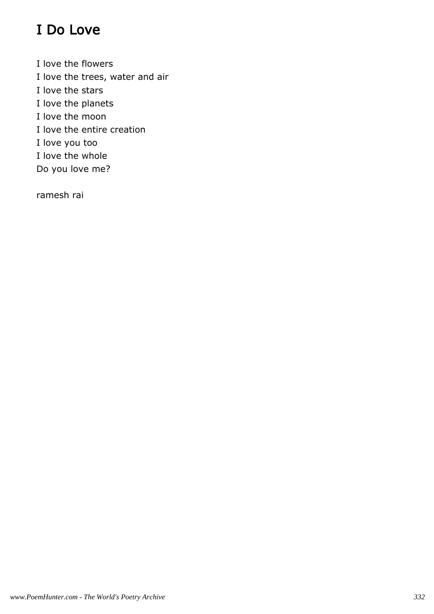## I Do Love

I love the flowers I love the trees, water and air I love the stars I love the planets I love the moon I love the entire creation I love you too I love the whole Do you love me?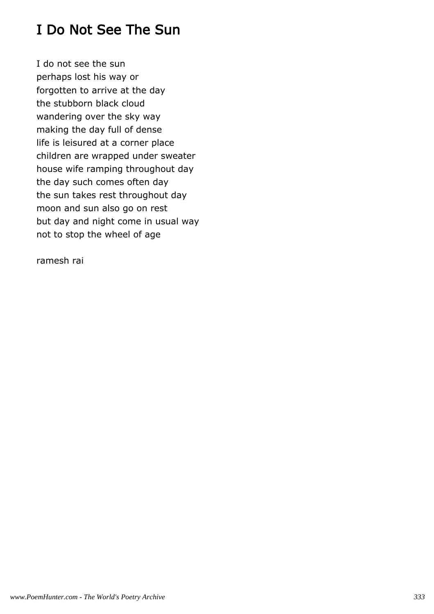# I Do Not See The Sun

I do not see the sun perhaps lost his way or forgotten to arrive at the day the stubborn black cloud wandering over the sky way making the day full of dense life is leisured at a corner place children are wrapped under sweater house wife ramping throughout day the day such comes often day the sun takes rest throughout day moon and sun also go on rest but day and night come in usual way not to stop the wheel of age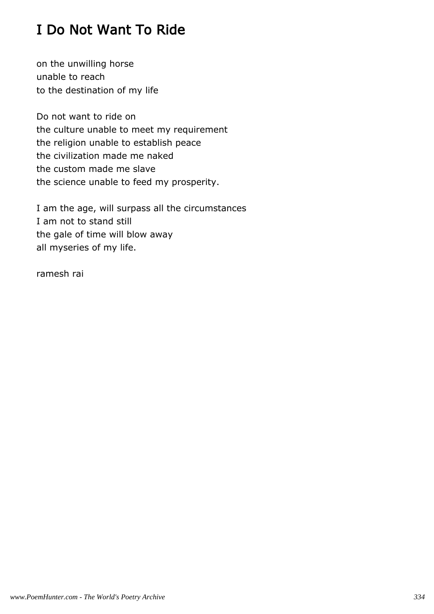# I Do Not Want To Ride

on the unwilling horse unable to reach to the destination of my life

Do not want to ride on the culture unable to meet my requirement the religion unable to establish peace the civilization made me naked the custom made me slave the science unable to feed my prosperity.

I am the age, will surpass all the circumstances I am not to stand still the gale of time will blow away all myseries of my life.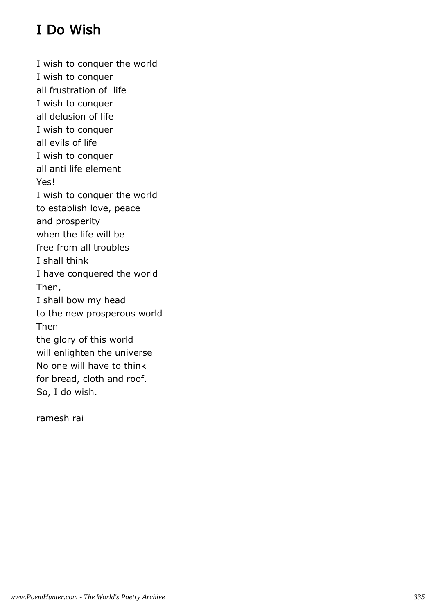# I Do Wish

I wish to conquer the world I wish to conquer all frustration of life I wish to conquer all delusion of life I wish to conquer all evils of life I wish to conquer all anti life element Yes! I wish to conquer the world to establish love, peace and prosperity when the life will be free from all troubles I shall think I have conquered the world Then, I shall bow my head to the new prosperous world Then the glory of this world will enlighten the universe No one will have to think for bread, cloth and roof. So, I do wish.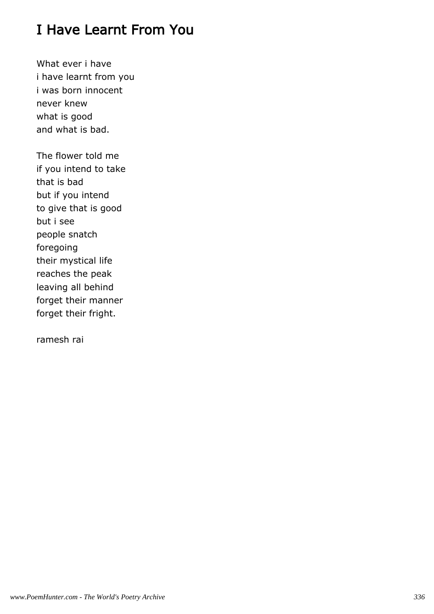# I Have Learnt From You

What ever i have i have learnt from you i was born innocent never knew what is good and what is bad.

The flower told me if you intend to take that is bad but if you intend to give that is good but i see people snatch foregoing their mystical life reaches the peak leaving all behind forget their manner forget their fright.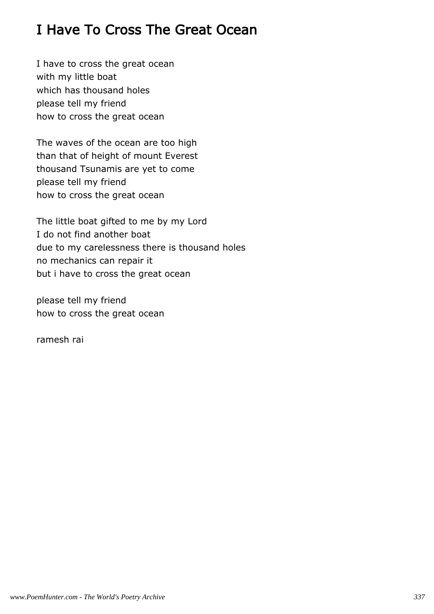#### I Have To Cross The Great Ocean

I have to cross the great ocean with my little boat which has thousand holes please tell my friend how to cross the great ocean

The waves of the ocean are too high than that of height of mount Everest thousand Tsunamis are yet to come please tell my friend how to cross the great ocean

The little boat gifted to me by my Lord I do not find another boat due to my carelessness there is thousand holes no mechanics can repair it but i have to cross the great ocean

please tell my friend how to cross the great ocean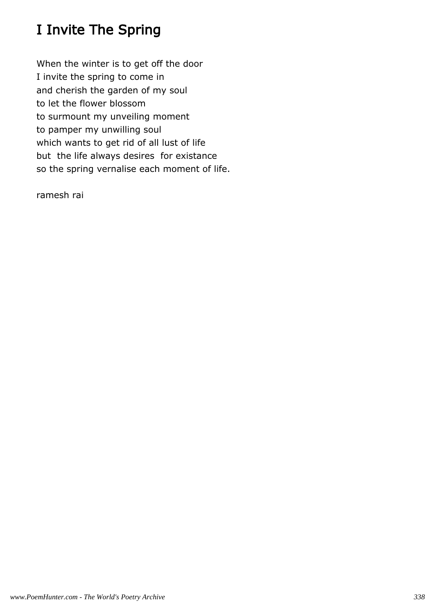# I Invite The Spring

When the winter is to get off the door I invite the spring to come in and cherish the garden of my soul to let the flower blossom to surmount my unveiling moment to pamper my unwilling soul which wants to get rid of all lust of life but the life always desires for existance so the spring vernalise each moment of life.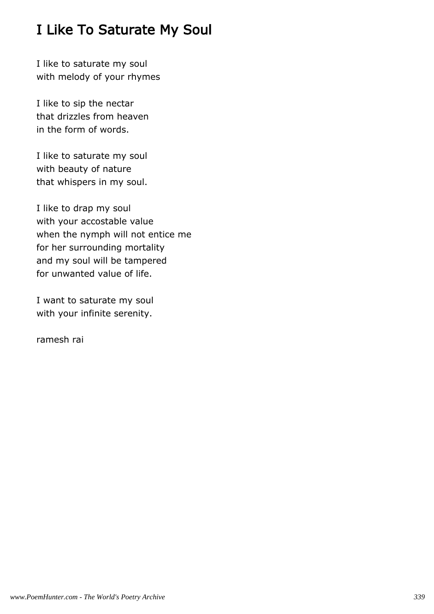# I Like To Saturate My Soul

I like to saturate my soul with melody of your rhymes

I like to sip the nectar that drizzles from heaven in the form of words.

I like to saturate my soul with beauty of nature that whispers in my soul.

I like to drap my soul with your accostable value when the nymph will not entice me for her surrounding mortality and my soul will be tampered for unwanted value of life.

I want to saturate my soul with your infinite serenity.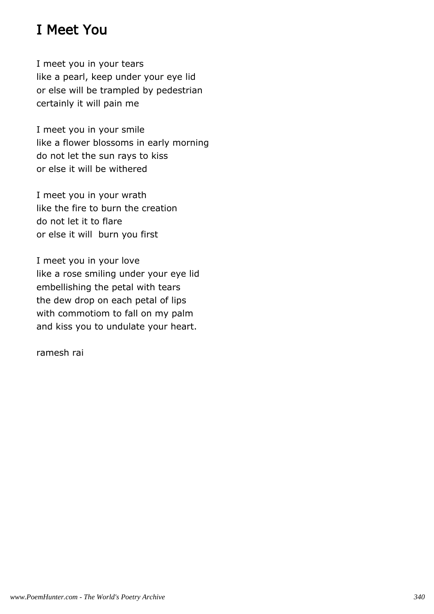## I Meet You

I meet you in your tears like a pearl, keep under your eye lid or else will be trampled by pedestrian certainly it will pain me

I meet you in your smile like a flower blossoms in early morning do not let the sun rays to kiss or else it will be withered

I meet you in your wrath like the fire to burn the creation do not let it to flare or else it will burn you first

I meet you in your love like a rose smiling under your eye lid embellishing the petal with tears the dew drop on each petal of lips with commotiom to fall on my palm and kiss you to undulate your heart.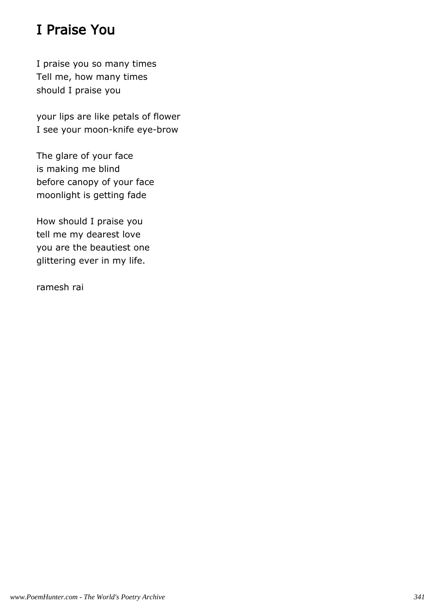## I Praise You

I praise you so many times Tell me, how many times should I praise you

your lips are like petals of flower I see your moon-knife eye-brow

The glare of your face is making me blind before canopy of your face moonlight is getting fade

How should I praise you tell me my dearest love you are the beautiest one glittering ever in my life.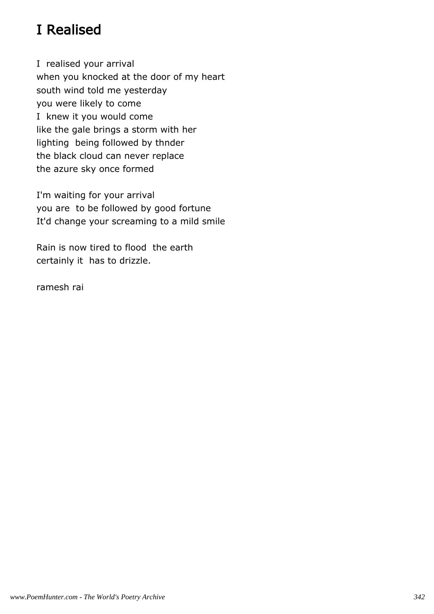# I Realised

I realised your arrival when you knocked at the door of my heart south wind told me yesterday you were likely to come I knew it you would come like the gale brings a storm with her lighting being followed by thnder the black cloud can never replace the azure sky once formed

I'm waiting for your arrival you are to be followed by good fortune It'd change your screaming to a mild smile

Rain is now tired to flood the earth certainly it has to drizzle.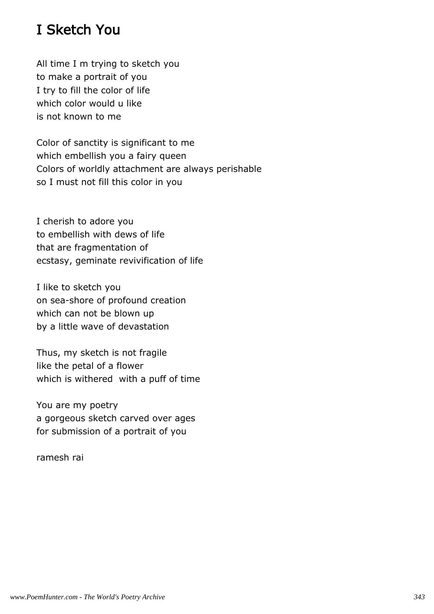### I Sketch You

All time I m trying to sketch you to make a portrait of you I try to fill the color of life which color would u like is not known to me

Color of sanctity is significant to me which embellish you a fairy queen Colors of worldly attachment are always perishable so I must not fill this color in you

I cherish to adore you to embellish with dews of life that are fragmentation of ecstasy, geminate revivification of life

I like to sketch you on sea-shore of profound creation which can not be blown up by a little wave of devastation

Thus, my sketch is not fragile like the petal of a flower which is withered with a puff of time

You are my poetry a gorgeous sketch carved over ages for submission of a portrait of you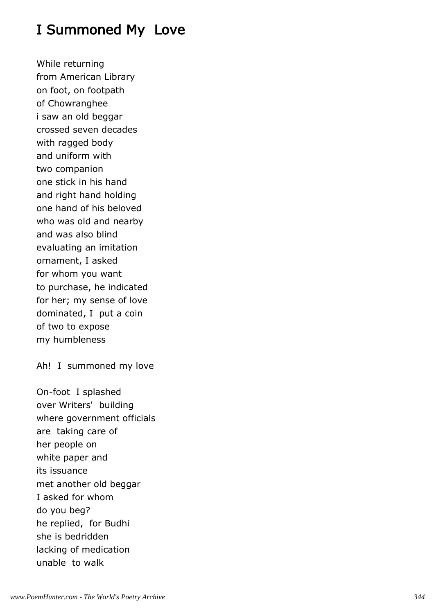### I Summoned My Love

While returning from American Library on foot, on footpath of Chowranghee i saw an old beggar crossed seven decades with ragged body and uniform with two companion one stick in his hand and right hand holding one hand of his beloved who was old and nearby and was also blind evaluating an imitation ornament, I asked for whom you want to purchase, he indicated for her; my sense of love dominated, I put a coin of two to expose my humbleness

Ah! I summoned my love

On-foot I splashed over Writers' building where government officials are taking care of her people on white paper and its issuance met another old beggar I asked for whom do you beg? he replied, for Budhi she is bedridden lacking of medication unable to walk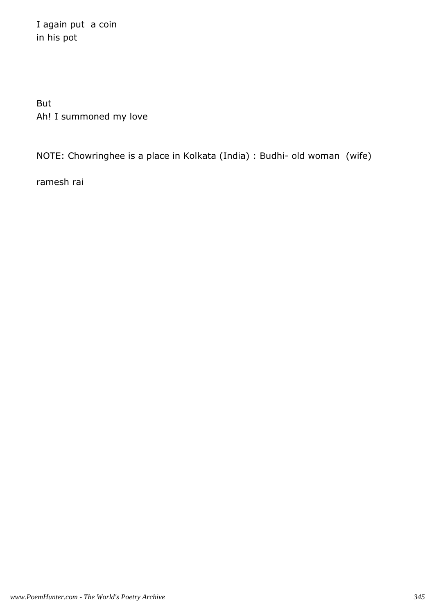I again put a coin in his pot

But Ah! I summoned my love

NOTE: Chowringhee is a place in Kolkata (India) : Budhi- old woman (wife)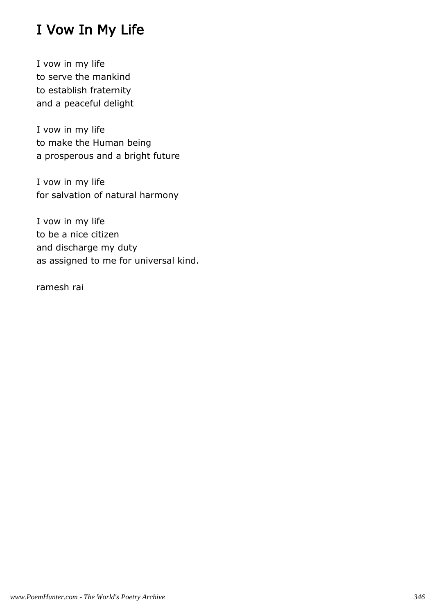# I Vow In My Life

I vow in my life to serve the mankind to establish fraternity and a peaceful delight

I vow in my life to make the Human being a prosperous and a bright future

I vow in my life for salvation of natural harmony

I vow in my life to be a nice citizen and discharge my duty as assigned to me for universal kind.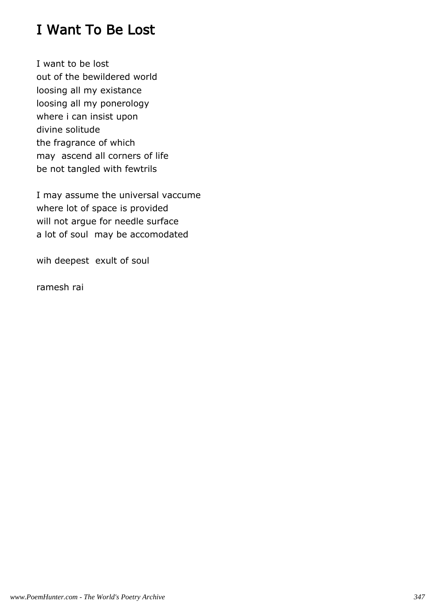### I Want To Be Lost

I want to be lost out of the bewildered world loosing all my existance loosing all my ponerology where i can insist upon divine solitude the fragrance of which may ascend all corners of life be not tangled with fewtrils

I may assume the universal vaccume where lot of space is provided will not argue for needle surface a lot of soul may be accomodated

wih deepest exult of soul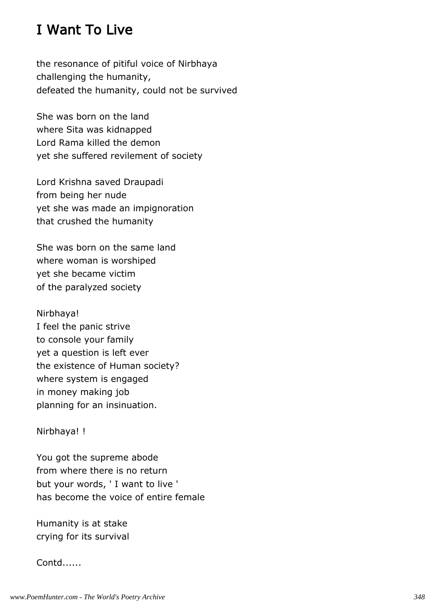### I Want To Live

the resonance of pitiful voice of Nirbhaya challenging the humanity, defeated the humanity, could not be survived

She was born on the land where Sita was kidnapped Lord Rama killed the demon yet she suffered revilement of society

Lord Krishna saved Draupadi from being her nude yet she was made an impignoration that crushed the humanity

She was born on the same land where woman is worshiped yet she became victim of the paralyzed society

Nirbhaya! I feel the panic strive to console your family yet a question is left ever the existence of Human society? where system is engaged in money making job planning for an insinuation.

Nirbhaya! !

You got the supreme abode from where there is no return but your words, ' I want to live ' has become the voice of entire female

Humanity is at stake crying for its survival

Contd......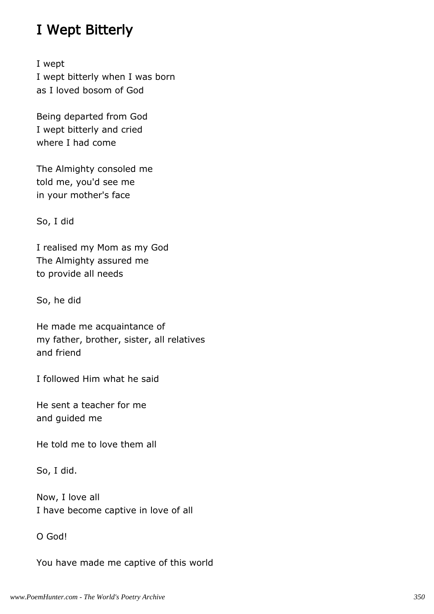#### I Wept Bitterly

I wept I wept bitterly when I was born as I loved bosom of God

Being departed from God I wept bitterly and cried where I had come

The Almighty consoled me told me, you'd see me in your mother's face

So, I did

I realised my Mom as my God The Almighty assured me to provide all needs

So, he did

He made me acquaintance of my father, brother, sister, all relatives and friend

I followed Him what he said

He sent a teacher for me and guided me

He told me to love them all

So, I did.

Now, I love all I have become captive in love of all

O God!

You have made me captive of this world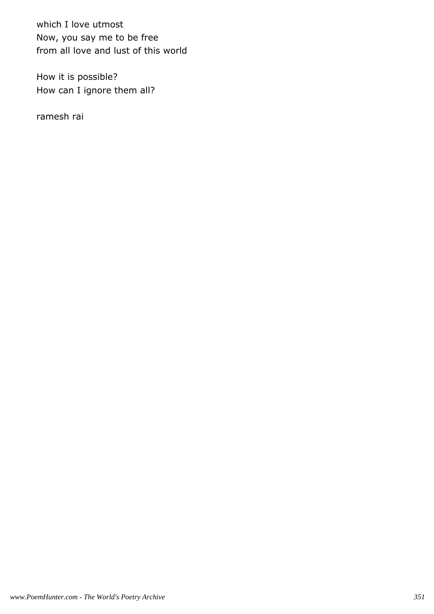which I love utmost Now, you say me to be free from all love and lust of this world

How it is possible? How can I ignore them all?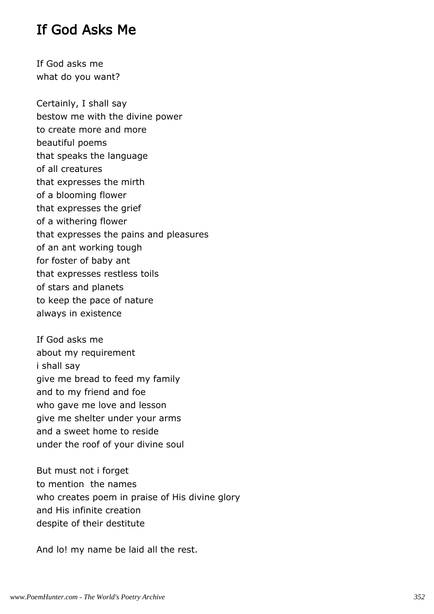#### If God Asks Me

If God asks me what do you want?

Certainly, I shall say bestow me with the divine power to create more and more beautiful poems that speaks the language of all creatures that expresses the mirth of a blooming flower that expresses the grief of a withering flower that expresses the pains and pleasures of an ant working tough for foster of baby ant that expresses restless toils of stars and planets to keep the pace of nature always in existence

If God asks me about my requirement i shall say give me bread to feed my family and to my friend and foe who gave me love and lesson give me shelter under your arms and a sweet home to reside under the roof of your divine soul

But must not i forget to mention the names who creates poem in praise of His divine glory and His infinite creation despite of their destitute

And lo! my name be laid all the rest.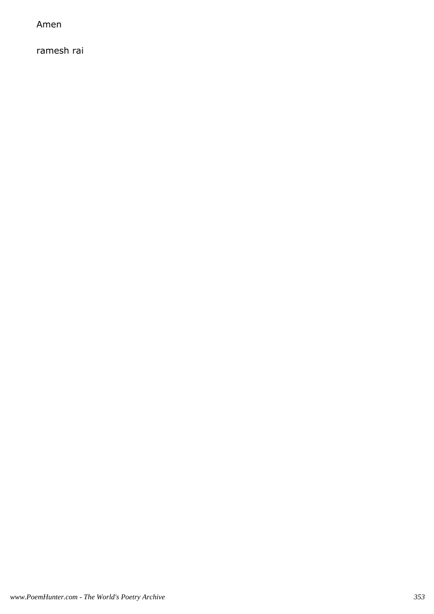Amen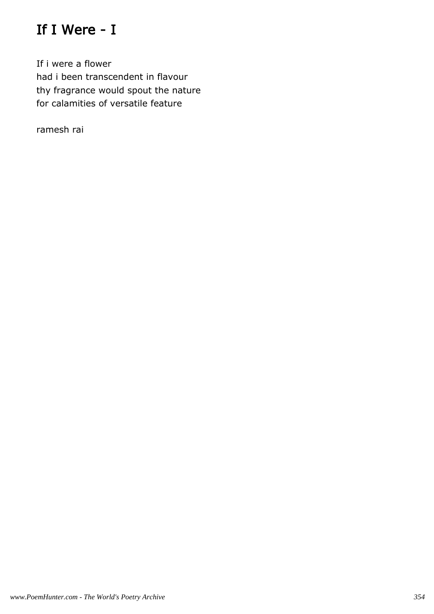# If I Were - I

If i were a flower had i been transcendent in flavour thy fragrance would spout the nature for calamities of versatile feature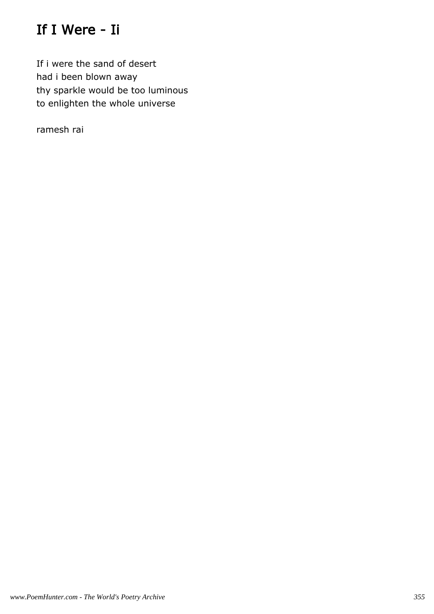# If I Were - Ii

If i were the sand of desert had i been blown away thy sparkle would be too luminous to enlighten the whole universe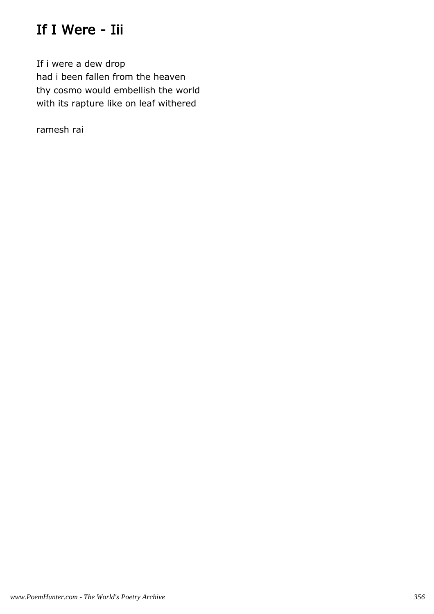## If I Were - Iii

If i were a dew drop had i been fallen from the heaven thy cosmo would embellish the world with its rapture like on leaf withered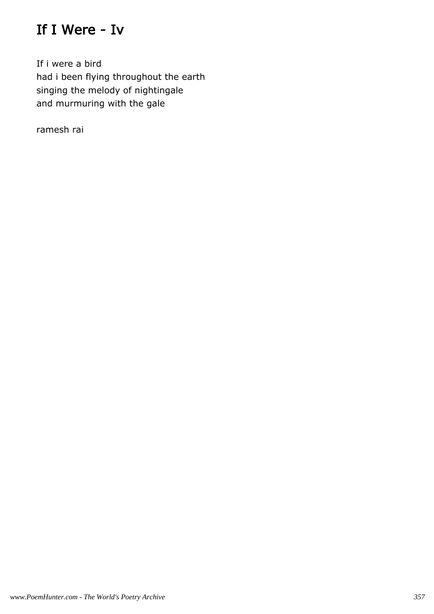### If I Were - Iv

If i were a bird had i been flying throughout the earth singing the melody of nightingale and murmuring with the gale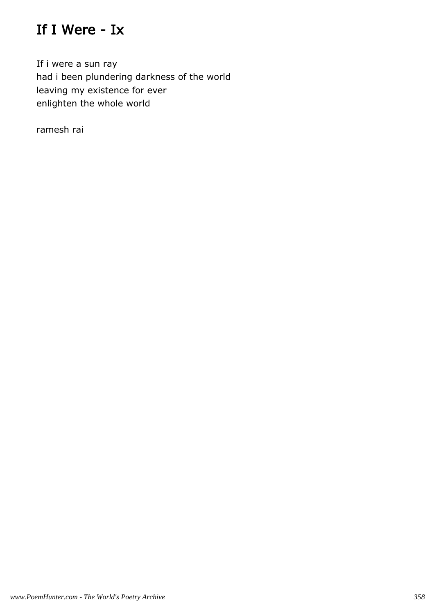## If I Were - Ix

If i were a sun ray had i been plundering darkness of the world leaving my existence for ever enlighten the whole world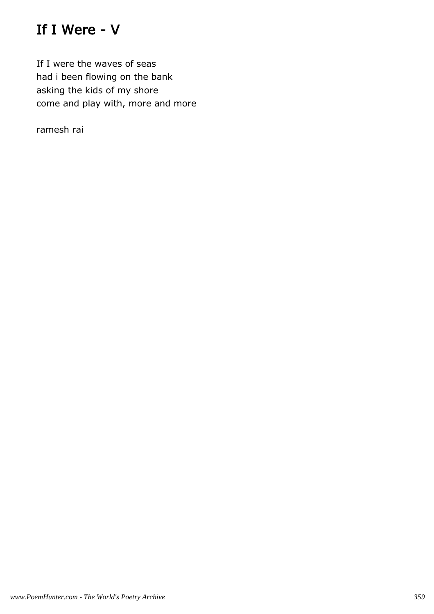#### If I Were - V

If I were the waves of seas had i been flowing on the bank asking the kids of my shore come and play with, more and more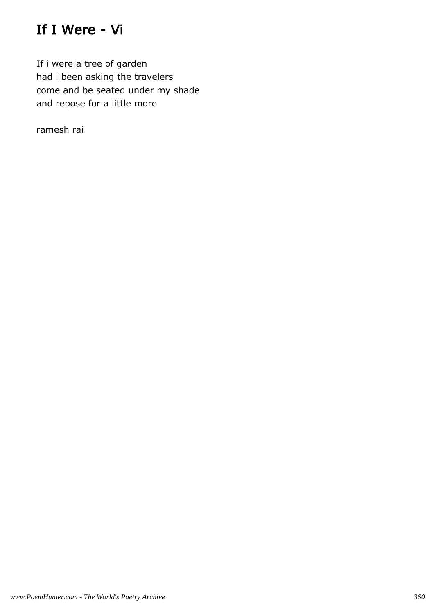## If I Were - Vi

If i were a tree of garden had i been asking the travelers come and be seated under my shade and repose for a little more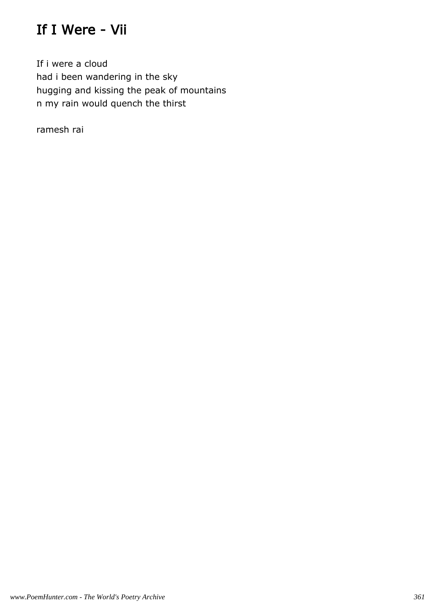## If I Were - Vii

If i were a cloud had i been wandering in the sky hugging and kissing the peak of mountains n my rain would quench the thirst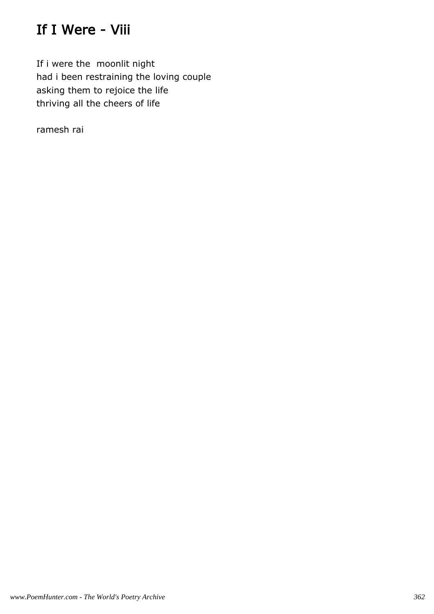## If I Were - Viii

If i were the moonlit night had i been restraining the loving couple asking them to rejoice the life thriving all the cheers of life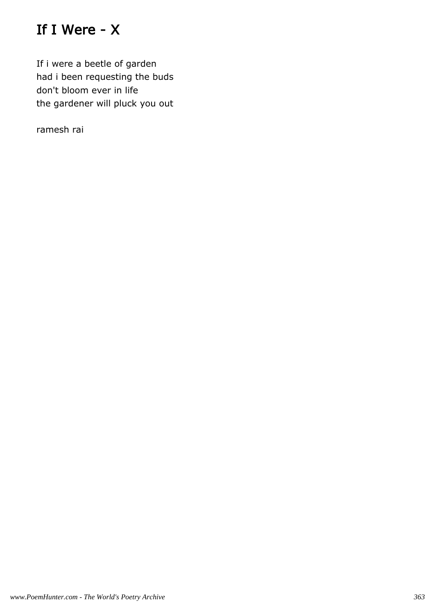## If I Were - X

If i were a beetle of garden had i been requesting the buds don't bloom ever in life the gardener will pluck you out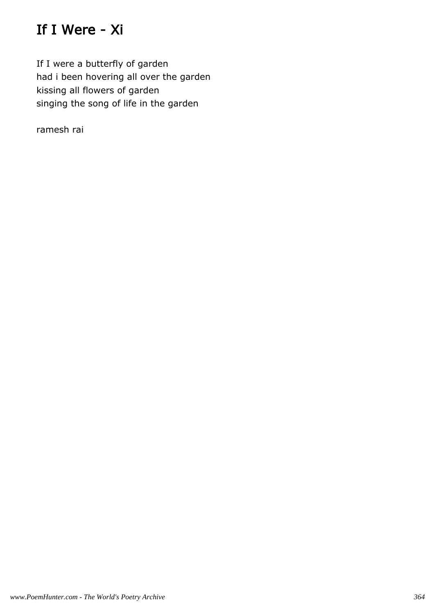### If I Were - Xi

If I were a butterfly of garden had i been hovering all over the garden kissing all flowers of garden singing the song of life in the garden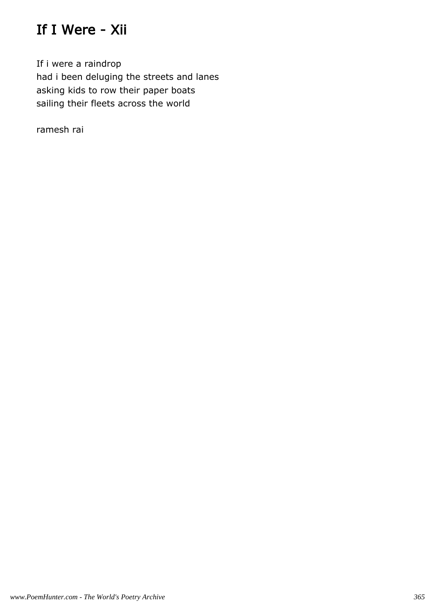### If I Were - Xii

If i were a raindrop had i been deluging the streets and lanes asking kids to row their paper boats sailing their fleets across the world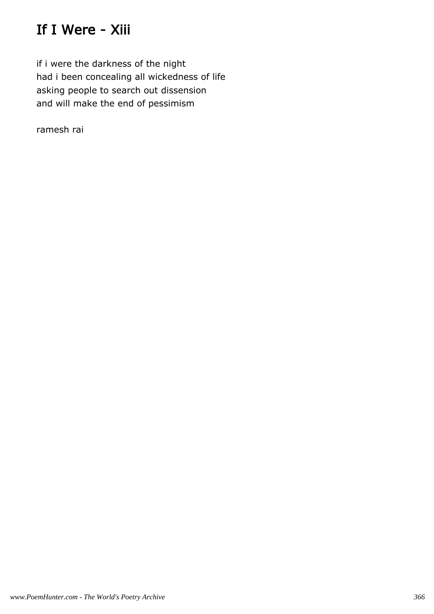### If I Were - Xiii

if i were the darkness of the night had i been concealing all wickedness of life asking people to search out dissension and will make the end of pessimism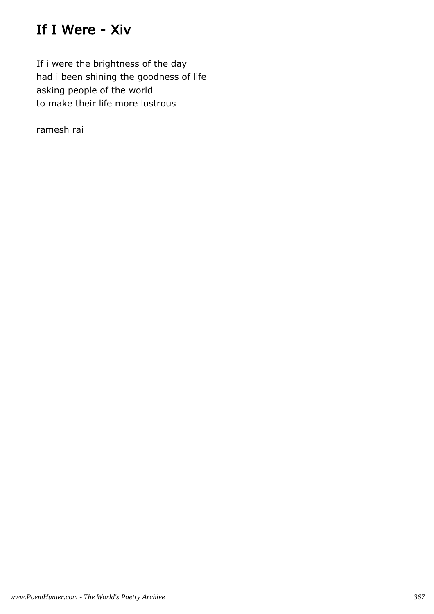### If I Were - Xiv

If i were the brightness of the day had i been shining the goodness of life asking people of the world to make their life more lustrous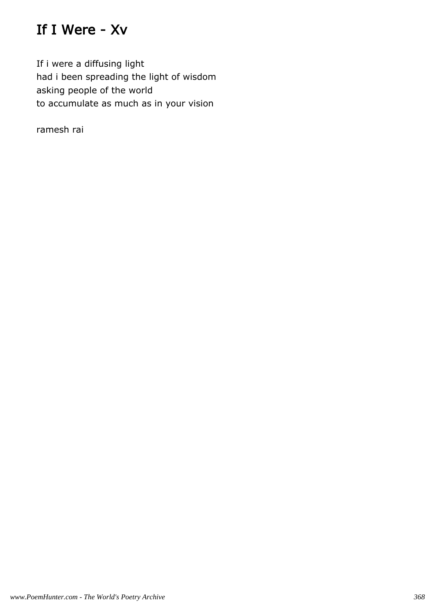## If I Were - Xv

If i were a diffusing light had i been spreading the light of wisdom asking people of the world to accumulate as much as in your vision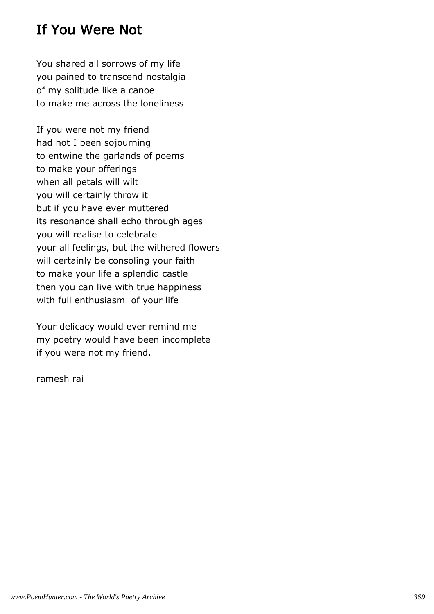### If You Were Not

You shared all sorrows of my life you pained to transcend nostalgia of my solitude like a canoe to make me across the loneliness

If you were not my friend had not I been sojourning to entwine the garlands of poems to make your offerings when all petals will wilt you will certainly throw it but if you have ever muttered its resonance shall echo through ages you will realise to celebrate your all feelings, but the withered flowers will certainly be consoling your faith to make your life a splendid castle then you can live with true happiness with full enthusiasm of your life

Your delicacy would ever remind me my poetry would have been incomplete if you were not my friend.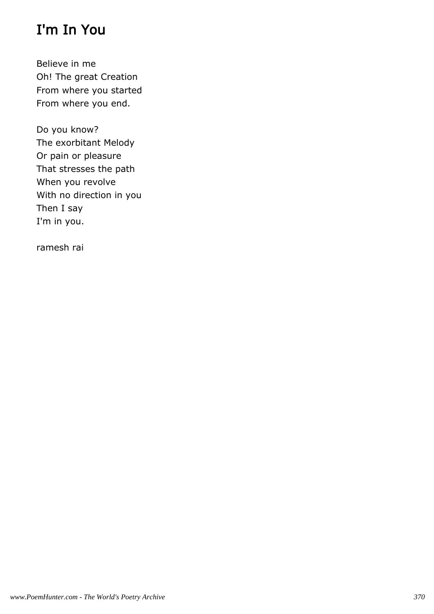# I'm In You

Believe in me Oh! The great Creation From where you started From where you end.

Do you know? The exorbitant Melody Or pain or pleasure That stresses the path When you revolve With no direction in you Then I say I'm in you.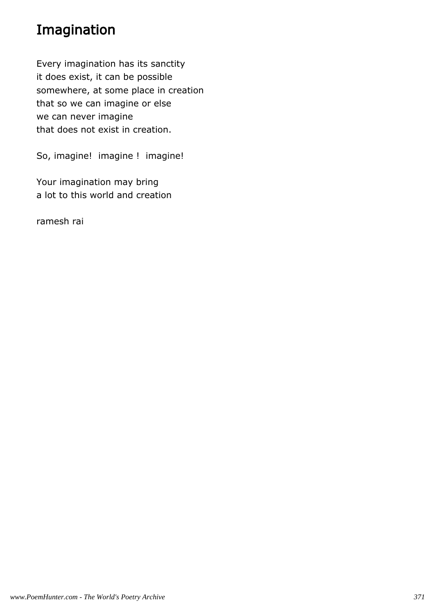### Imagination

Every imagination has its sanctity it does exist, it can be possible somewhere, at some place in creation that so we can imagine or else we can never imagine that does not exist in creation.

So, imagine! imagine ! imagine!

Your imagination may bring a lot to this world and creation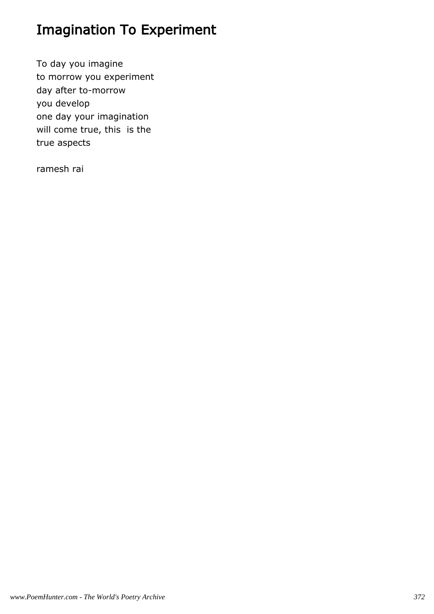# Imagination To Experiment

To day you imagine to morrow you experiment day after to-morrow you develop one day your imagination will come true, this is the true aspects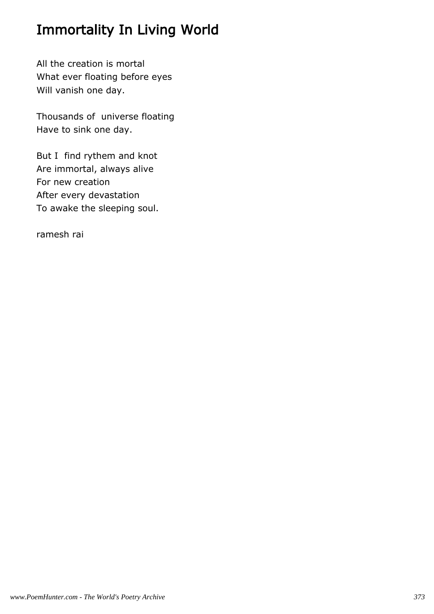# Immortality In Living World

All the creation is mortal What ever floating before eyes Will vanish one day.

Thousands of universe floating Have to sink one day.

But I find rythem and knot Are immortal, always alive For new creation After every devastation To awake the sleeping soul.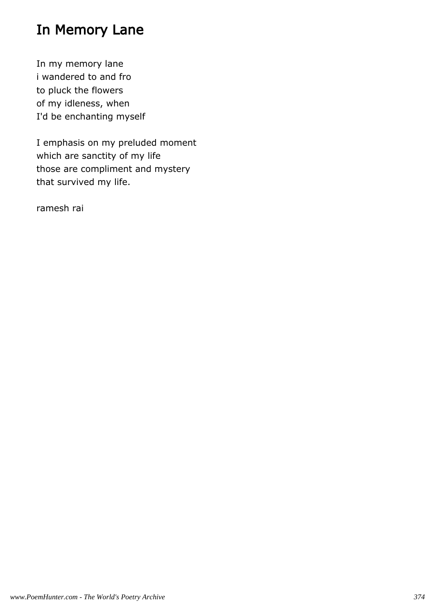### In Memory Lane

In my memory lane i wandered to and fro to pluck the flowers of my idleness, when I'd be enchanting myself

I emphasis on my preluded moment which are sanctity of my life those are compliment and mystery that survived my life.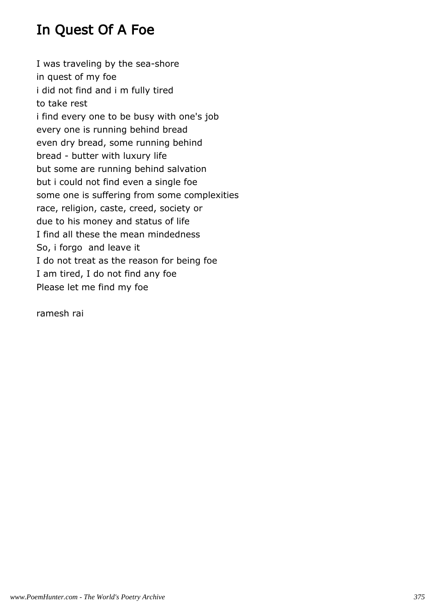# In Quest Of A Foe

I was traveling by the sea-shore in quest of my foe i did not find and i m fully tired to take rest i find every one to be busy with one's job every one is running behind bread even dry bread, some running behind bread - butter with luxury life but some are running behind salvation but i could not find even a single foe some one is suffering from some complexities race, religion, caste, creed, society or due to his money and status of life I find all these the mean mindedness So, i forgo and leave it I do not treat as the reason for being foe I am tired, I do not find any foe Please let me find my foe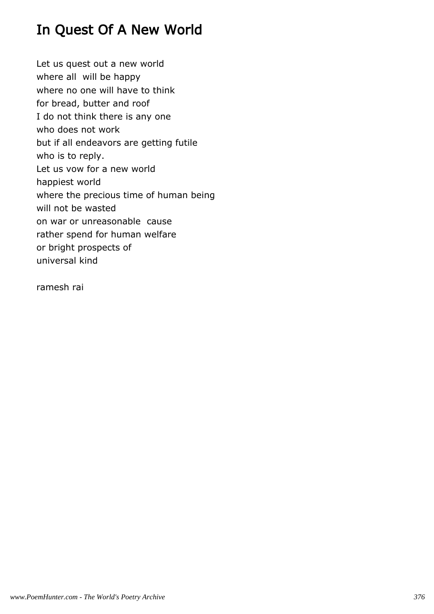## In Quest Of A New World

Let us quest out a new world where all will be happy where no one will have to think for bread, butter and roof I do not think there is any one who does not work but if all endeavors are getting futile who is to reply. Let us vow for a new world happiest world where the precious time of human being will not be wasted on war or unreasonable cause rather spend for human welfare or bright prospects of universal kind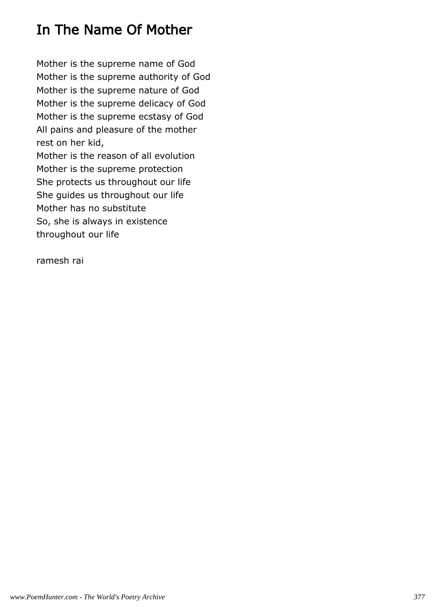## In The Name Of Mother

Mother is the supreme name of God Mother is the supreme authority of God Mother is the supreme nature of God Mother is the supreme delicacy of God Mother is the supreme ecstasy of God All pains and pleasure of the mother rest on her kid,

Mother is the reason of all evolution Mother is the supreme protection She protects us throughout our life She guides us throughout our life Mother has no substitute So, she is always in existence throughout our life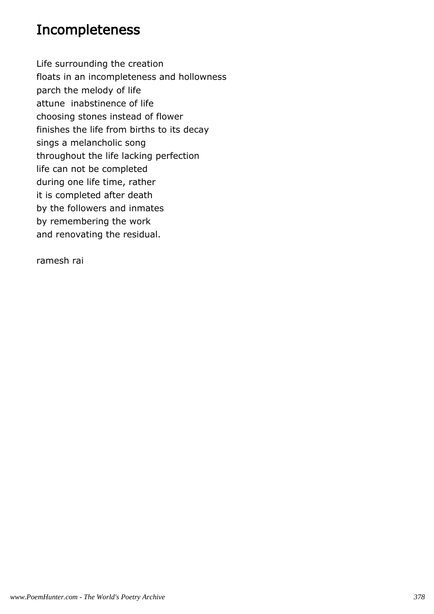#### Incompleteness

Life surrounding the creation floats in an incompleteness and hollowness parch the melody of life attune inabstinence of life choosing stones instead of flower finishes the life from births to its decay sings a melancholic song throughout the life lacking perfection life can not be completed during one life time, rather it is completed after death by the followers and inmates by remembering the work and renovating the residual.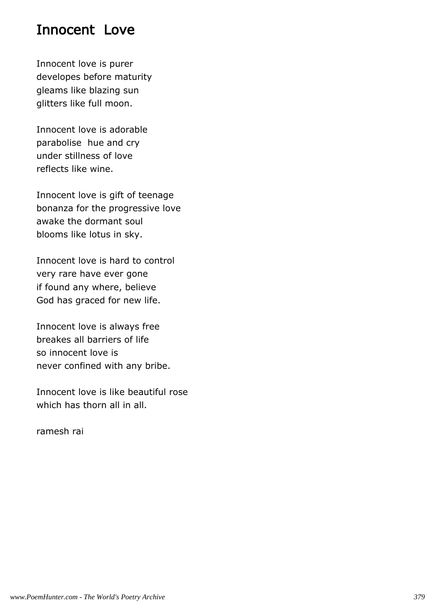#### Innocent Love

Innocent love is purer developes before maturity gleams like blazing sun glitters like full moon.

Innocent love is adorable parabolise hue and cry under stillness of love reflects like wine.

Innocent love is gift of teenage bonanza for the progressive love awake the dormant soul blooms like lotus in sky.

Innocent love is hard to control very rare have ever gone if found any where, believe God has graced for new life.

Innocent love is always free breakes all barriers of life so innocent love is never confined with any bribe.

Innocent love is like beautiful rose which has thorn all in all.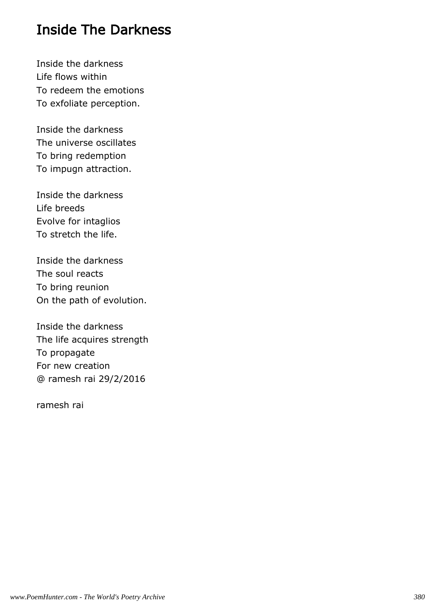#### Inside The Darkness

Inside the darkness Life flows within To redeem the emotions To exfoliate perception.

Inside the darkness The universe oscillates To bring redemption To impugn attraction.

Inside the darkness Life breeds Evolve for intaglios To stretch the life.

Inside the darkness The soul reacts To bring reunion On the path of evolution.

Inside the darkness The life acquires strength To propagate For new creation @ ramesh rai 29/2/2016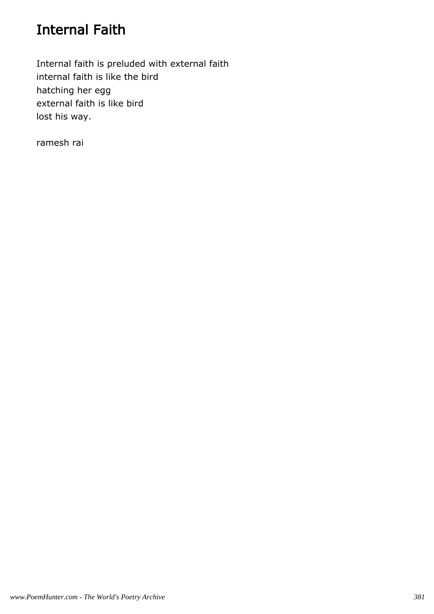## Internal Faith

Internal faith is preluded with external faith internal faith is like the bird hatching her egg external faith is like bird lost his way.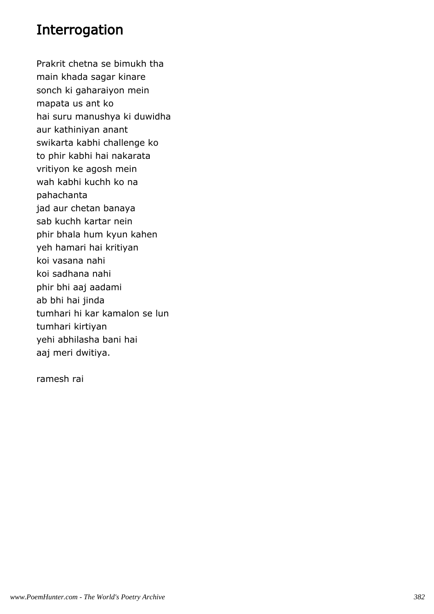#### Interrogation

Prakrit chetna se bimukh tha main khada sagar kinare sonch ki gaharaiyon mein mapata us ant ko hai suru manushya ki duwidha aur kathiniyan anant swikarta kabhi challenge ko to phir kabhi hai nakarata vritiyon ke agosh mein wah kabhi kuchh ko na pahachanta jad aur chetan banaya sab kuchh kartar nein phir bhala hum kyun kahen yeh hamari hai kritiyan koi vasana nahi koi sadhana nahi phir bhi aaj aadami ab bhi hai jinda tumhari hi kar kamalon se lun tumhari kirtiyan yehi abhilasha bani hai aaj meri dwitiya.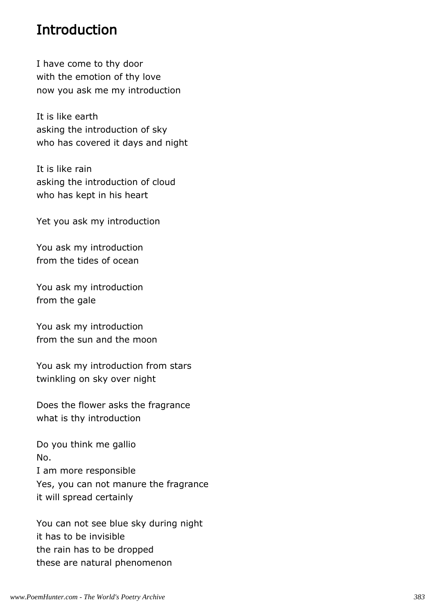#### Introduction

I have come to thy door with the emotion of thy love now you ask me my introduction

It is like earth asking the introduction of sky who has covered it days and night

It is like rain asking the introduction of cloud who has kept in his heart

Yet you ask my introduction

You ask my introduction from the tides of ocean

You ask my introduction from the gale

You ask my introduction from the sun and the moon

You ask my introduction from stars twinkling on sky over night

Does the flower asks the fragrance what is thy introduction

Do you think me gallio No. I am more responsible Yes, you can not manure the fragrance it will spread certainly

You can not see blue sky during night it has to be invisible the rain has to be dropped these are natural phenomenon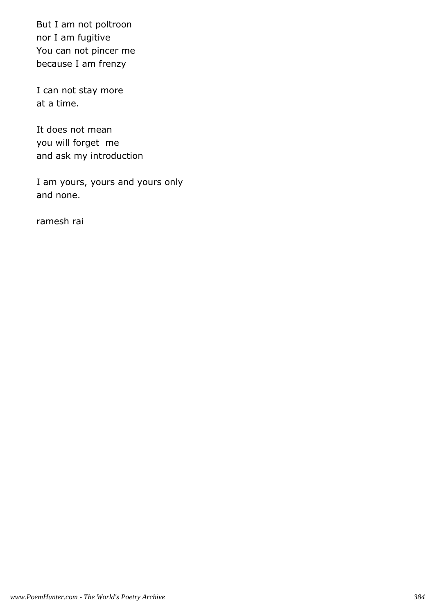But I am not poltroon nor I am fugitive You can not pincer me because I am frenzy

I can not stay more at a time.

It does not mean you will forget me and ask my introduction

I am yours, yours and yours only and none.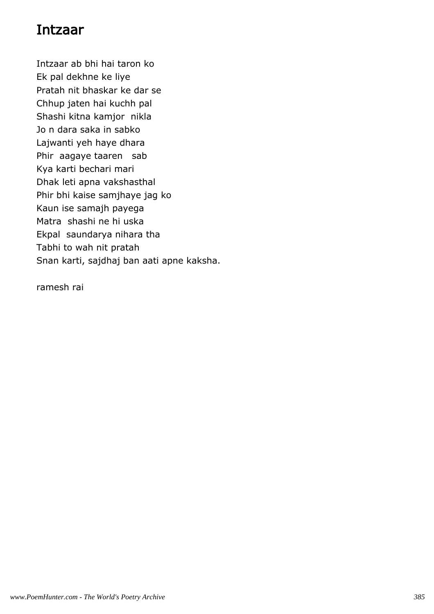### Intzaar

Intzaar ab bhi hai taron ko Ek pal dekhne ke liye Pratah nit bhaskar ke dar se Chhup jaten hai kuchh pal Shashi kitna kamjor nikla Jo n dara saka in sabko Lajwanti yeh haye dhara Phir aagaye taaren sab Kya karti bechari mari Dhak leti apna vakshasthal Phir bhi kaise samjhaye jag ko Kaun ise samajh payega Matra shashi ne hi uska Ekpal saundarya nihara tha Tabhi to wah nit pratah Snan karti, sajdhaj ban aati apne kaksha.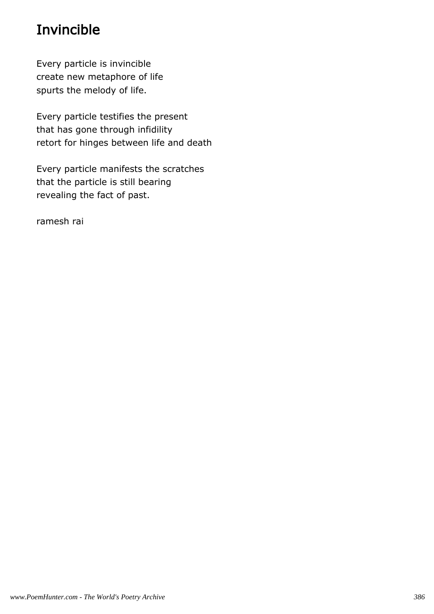# Invincible

Every particle is invincible create new metaphore of life spurts the melody of life.

Every particle testifies the present that has gone through infidility retort for hinges between life and death

Every particle manifests the scratches that the particle is still bearing revealing the fact of past.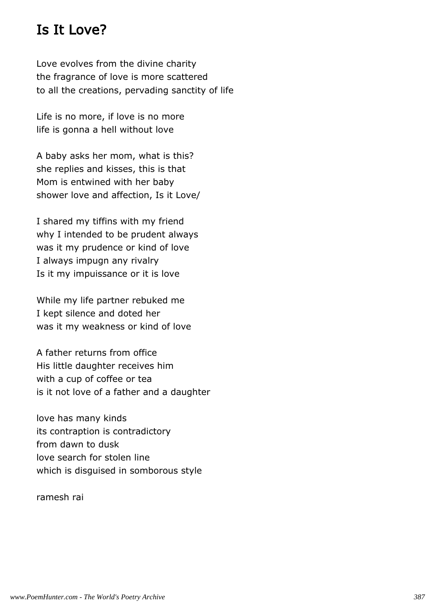#### Is It Love?

Love evolves from the divine charity the fragrance of love is more scattered to all the creations, pervading sanctity of life

Life is no more, if love is no more life is gonna a hell without love

A baby asks her mom, what is this? she replies and kisses, this is that Mom is entwined with her baby shower love and affection, Is it Love/

I shared my tiffins with my friend why I intended to be prudent always was it my prudence or kind of love I always impugn any rivalry Is it my impuissance or it is love

While my life partner rebuked me I kept silence and doted her was it my weakness or kind of love

A father returns from office His little daughter receives him with a cup of coffee or tea is it not love of a father and a daughter

love has many kinds its contraption is contradictory from dawn to dusk love search for stolen line which is disguised in somborous style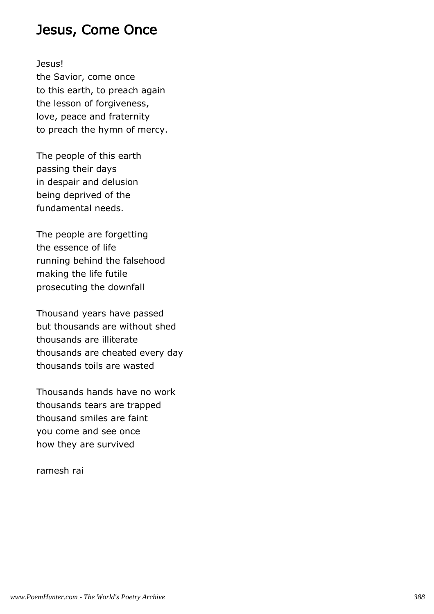#### Jesus, Come Once

Jesus! the Savior, come once to this earth, to preach again the lesson of forgiveness, love, peace and fraternity to preach the hymn of mercy.

The people of this earth passing their days in despair and delusion being deprived of the fundamental needs.

The people are forgetting the essence of life running behind the falsehood making the life futile prosecuting the downfall

Thousand years have passed but thousands are without shed thousands are illiterate thousands are cheated every day thousands toils are wasted

Thousands hands have no work thousands tears are trapped thousand smiles are faint you come and see once how they are survived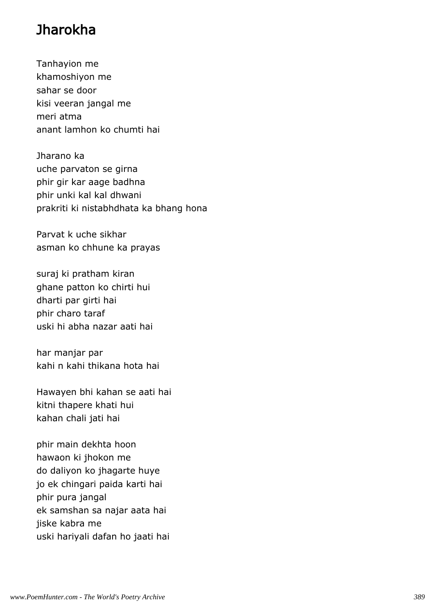### Jharokha

Tanhayion me khamoshiyon me sahar se door kisi veeran jangal me meri atma anant lamhon ko chumti hai

Jharano ka uche parvaton se girna phir gir kar aage badhna phir unki kal kal dhwani prakriti ki nistabhdhata ka bhang hona

Parvat k uche sikhar asman ko chhune ka prayas

suraj ki pratham kiran ghane patton ko chirti hui dharti par girti hai phir charo taraf uski hi abha nazar aati hai

har manjar par kahi n kahi thikana hota hai

Hawayen bhi kahan se aati hai kitni thapere khati hui kahan chali jati hai

phir main dekhta hoon hawaon ki jhokon me do daliyon ko jhagarte huye jo ek chingari paida karti hai phir pura jangal ek samshan sa najar aata hai jiske kabra me uski hariyali dafan ho jaati hai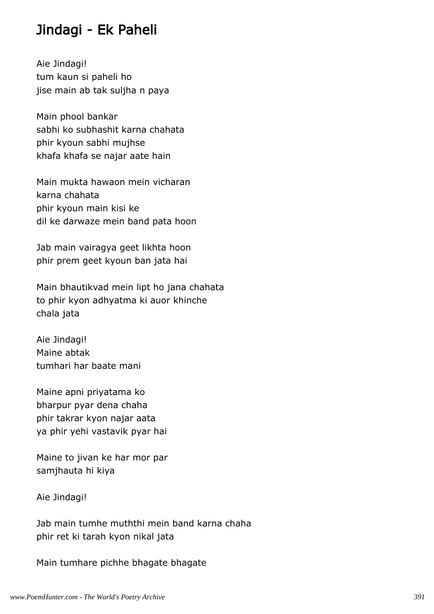#### Jindagi - Ek Paheli

Aie Jindagi! tum kaun si paheli ho jise main ab tak suljha n paya

Main phool bankar sabhi ko subhashit karna chahata phir kyoun sabhi mujhse khafa khafa se najar aate hain

Main mukta hawaon mein vicharan karna chahata phir kyoun main kisi ke dil ke darwaze mein band pata hoon

Jab main vairagya geet likhta hoon phir prem geet kyoun ban jata hai

Main bhautikvad mein lipt ho jana chahata to phir kyon adhyatma ki auor khinche chala jata

Aie Jindagi! Maine abtak tumhari har baate mani

Maine apni priyatama ko bharpur pyar dena chaha phir takrar kyon najar aata ya phir yehi vastavik pyar hai

Maine to jivan ke har mor par samjhauta hi kiya

Aie Jindagi!

Jab main tumhe muththi mein band karna chaha phir ret ki tarah kyon nikal jata

Main tumhare pichhe bhagate bhagate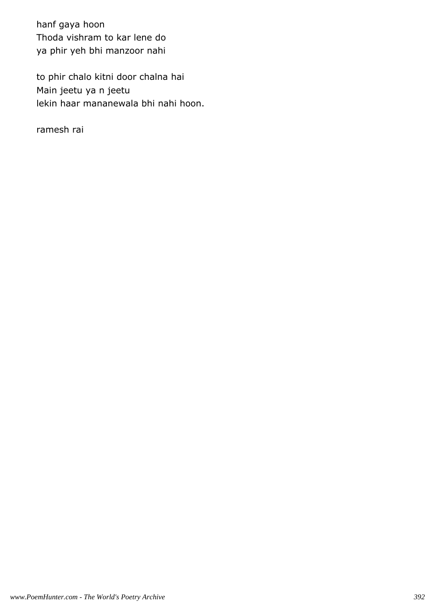hanf gaya hoon Thoda vishram to kar lene do ya phir yeh bhi manzoor nahi

to phir chalo kitni door chalna hai Main jeetu ya n jeetu lekin haar mananewala bhi nahi hoon.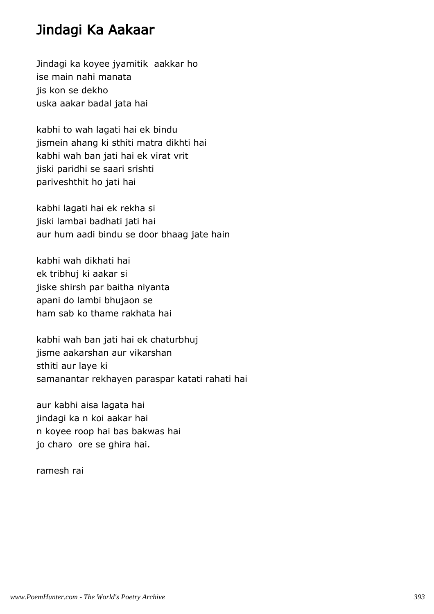#### Jindagi Ka Aakaar

Jindagi ka koyee jyamitik aakkar ho ise main nahi manata jis kon se dekho uska aakar badal jata hai

kabhi to wah lagati hai ek bindu jismein ahang ki sthiti matra dikhti hai kabhi wah ban jati hai ek virat vrit jiski paridhi se saari srishti pariveshthit ho jati hai

kabhi lagati hai ek rekha si jiski lambai badhati jati hai aur hum aadi bindu se door bhaag jate hain

kabhi wah dikhati hai ek tribhuj ki aakar si jiske shirsh par baitha niyanta apani do lambi bhujaon se ham sab ko thame rakhata hai

kabhi wah ban jati hai ek chaturbhuj jisme aakarshan aur vikarshan sthiti aur laye ki samanantar rekhayen paraspar katati rahati hai

aur kabhi aisa lagata hai jindagi ka n koi aakar hai n koyee roop hai bas bakwas hai jo charo ore se ghira hai.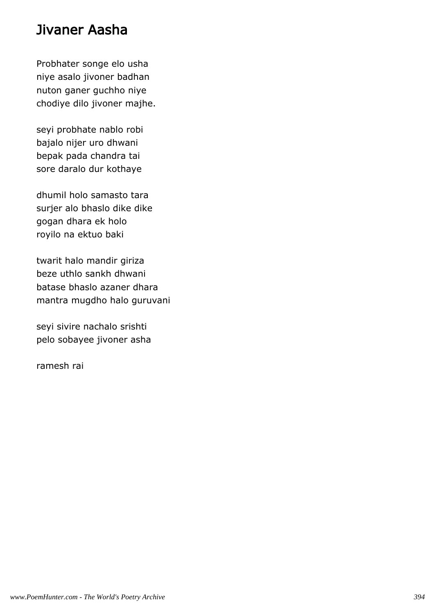#### Jivaner Aasha

Probhater songe elo usha niye asalo jivoner badhan nuton ganer guchho niye chodiye dilo jivoner majhe.

seyi probhate nablo robi bajalo nijer uro dhwani bepak pada chandra tai sore daralo dur kothaye

dhumil holo samasto tara surjer alo bhaslo dike dike gogan dhara ek holo royilo na ektuo baki

twarit halo mandir giriza beze uthlo sankh dhwani batase bhaslo azaner dhara mantra mugdho halo guruvani

seyi sivire nachalo srishti pelo sobayee jivoner asha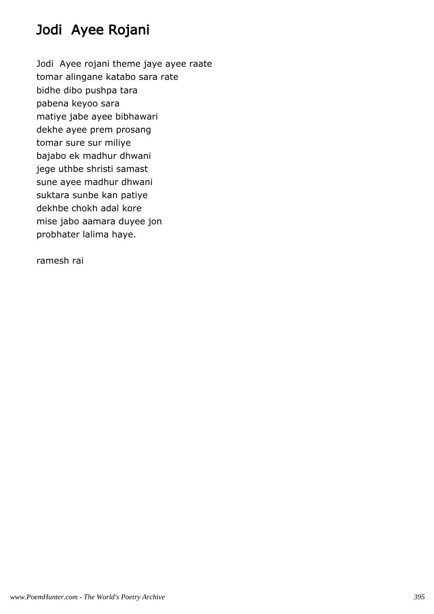## Jodi Ayee Rojani

Jodi Ayee rojani theme jaye ayee raate tomar alingane katabo sara rate bidhe dibo pushpa tara pabena keyoo sara matiye jabe ayee bibhawari dekhe ayee prem prosang tomar sure sur miliye bajabo ek madhur dhwani jege uthbe shristi samast sune ayee madhur dhwani suktara sunbe kan patiye dekhbe chokh adal kore mise jabo aamara duyee jon probhater lalima haye.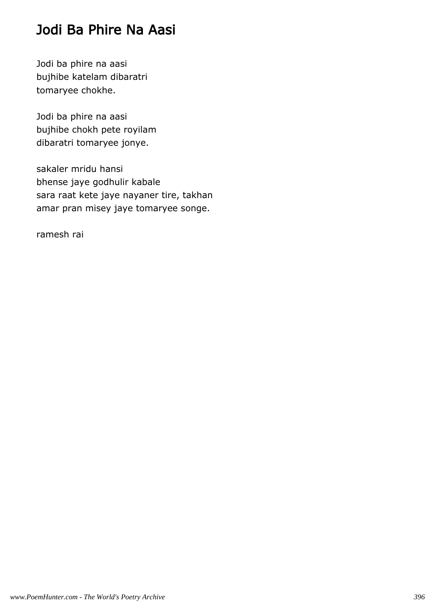# Jodi Ba Phire Na Aasi

Jodi ba phire na aasi bujhibe katelam dibaratri tomaryee chokhe.

Jodi ba phire na aasi bujhibe chokh pete royilam dibaratri tomaryee jonye.

sakaler mridu hansi bhense jaye godhulir kabale sara raat kete jaye nayaner tire, takhan amar pran misey jaye tomaryee songe.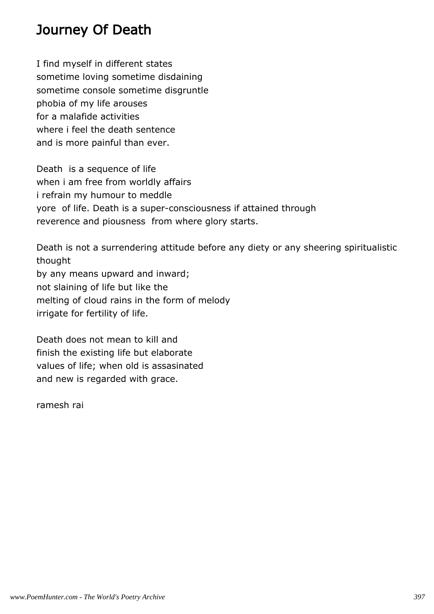# Journey Of Death

I find myself in different states sometime loving sometime disdaining sometime console sometime disgruntle phobia of my life arouses for a malafide activities where i feel the death sentence and is more painful than ever.

Death is a sequence of life when i am free from worldly affairs i refrain my humour to meddle yore of life. Death is a super-consciousness if attained through reverence and piousness from where glory starts.

Death is not a surrendering attitude before any diety or any sheering spiritualistic thought by any means upward and inward; not slaining of life but like the melting of cloud rains in the form of melody irrigate for fertility of life.

Death does not mean to kill and finish the existing life but elaborate values of life; when old is assasinated and new is regarded with grace.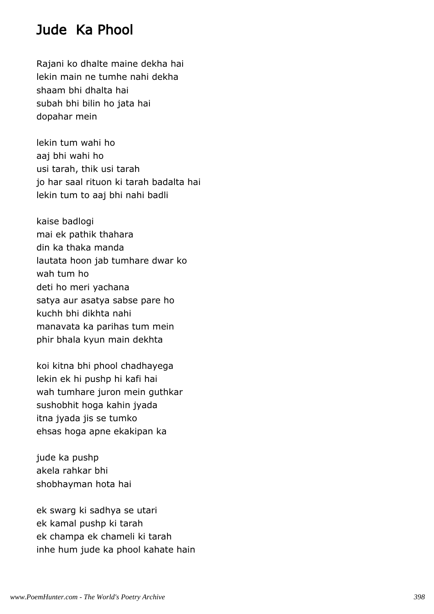#### Jude Ka Phool

Rajani ko dhalte maine dekha hai lekin main ne tumhe nahi dekha shaam bhi dhalta hai subah bhi bilin ho jata hai dopahar mein

lekin tum wahi ho aaj bhi wahi ho usi tarah, thik usi tarah jo har saal rituon ki tarah badalta hai lekin tum to aaj bhi nahi badli

kaise badlogi mai ek pathik thahara din ka thaka manda lautata hoon jab tumhare dwar ko wah tum ho deti ho meri yachana satya aur asatya sabse pare ho kuchh bhi dikhta nahi manavata ka parihas tum mein phir bhala kyun main dekhta

koi kitna bhi phool chadhayega lekin ek hi pushp hi kafi hai wah tumhare juron mein guthkar sushobhit hoga kahin jyada itna jyada jis se tumko ehsas hoga apne ekakipan ka

jude ka pushp akela rahkar bhi shobhayman hota hai

ek swarg ki sadhya se utari ek kamal pushp ki tarah ek champa ek chameli ki tarah inhe hum jude ka phool kahate hain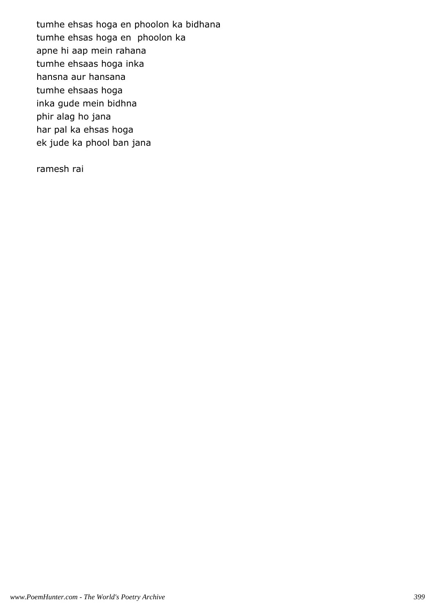tumhe ehsas hoga en phoolon ka bidhana tumhe ehsas hoga en phoolon ka apne hi aap mein rahana tumhe ehsaas hoga inka hansna aur hansana tumhe ehsaas hoga inka gude mein bidhna phir alag ho jana har pal ka ehsas hoga ek jude ka phool ban jana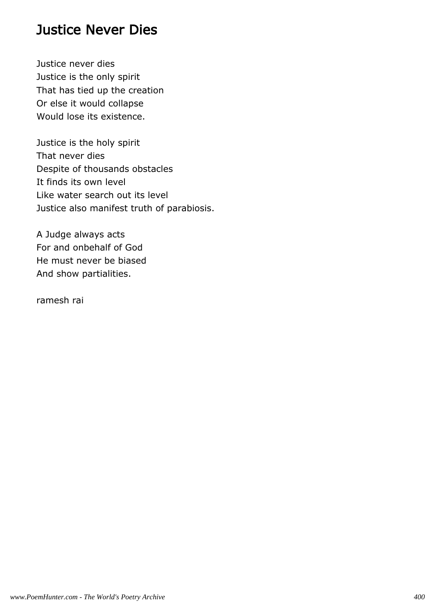#### Justice Never Dies

Justice never dies Justice is the only spirit That has tied up the creation Or else it would collapse Would lose its existence.

Justice is the holy spirit That never dies Despite of thousands obstacles It finds its own level Like water search out its level Justice also manifest truth of parabiosis.

A Judge always acts For and onbehalf of God He must never be biased And show partialities.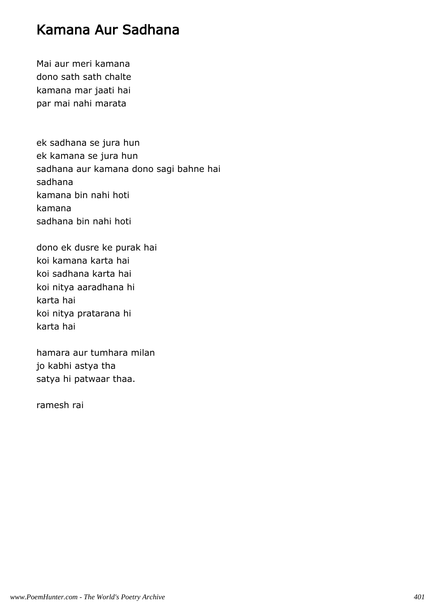#### Kamana Aur Sadhana

Mai aur meri kamana dono sath sath chalte kamana mar jaati hai par mai nahi marata

ek sadhana se jura hun ek kamana se jura hun sadhana aur kamana dono sagi bahne hai sadhana kamana bin nahi hoti kamana sadhana bin nahi hoti

dono ek dusre ke purak hai koi kamana karta hai koi sadhana karta hai koi nitya aaradhana hi karta hai koi nitya pratarana hi karta hai

hamara aur tumhara milan jo kabhi astya tha satya hi patwaar thaa.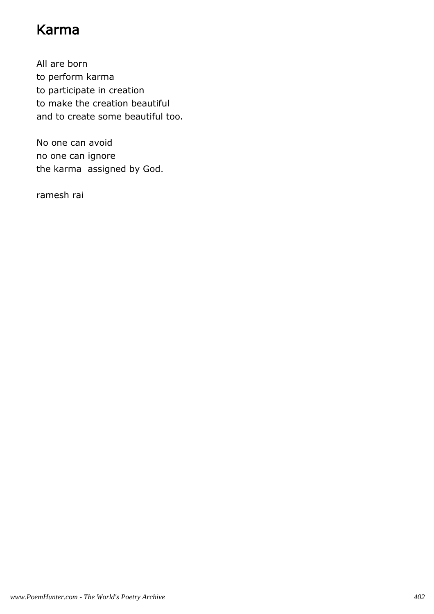# Karma

All are born to perform karma to participate in creation to make the creation beautiful and to create some beautiful too.

No one can avoid no one can ignore the karma assigned by God.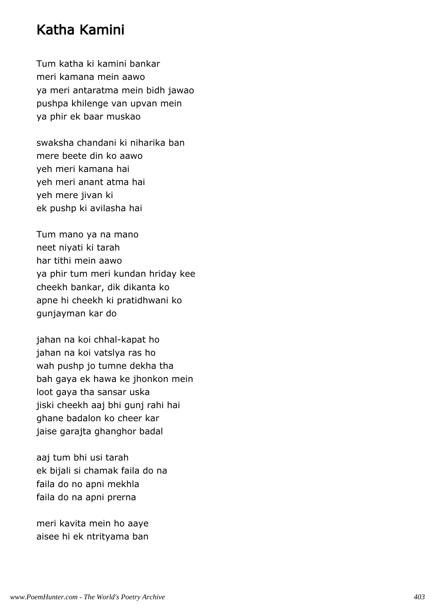#### Katha Kamini

Tum katha ki kamini bankar meri kamana mein aawo ya meri antaratma mein bidh jawao pushpa khilenge van upvan mein ya phir ek baar muskao

swaksha chandani ki niharika ban mere beete din ko aawo yeh meri kamana hai yeh meri anant atma hai yeh mere jivan ki ek pushp ki avilasha hai

Tum mano ya na mano neet niyati ki tarah har tithi mein aawo ya phir tum meri kundan hriday kee cheekh bankar, dik dikanta ko apne hi cheekh ki pratidhwani ko gunjayman kar do

jahan na koi chhal-kapat ho jahan na koi vatslya ras ho wah pushp jo tumne dekha tha bah gaya ek hawa ke jhonkon mein loot gaya tha sansar uska jiski cheekh aaj bhi gunj rahi hai ghane badalon ko cheer kar jaise garajta ghanghor badal

aaj tum bhi usi tarah ek bijali si chamak faila do na faila do no apni mekhla faila do na apni prerna

meri kavita mein ho aaye aisee hi ek ntrityama ban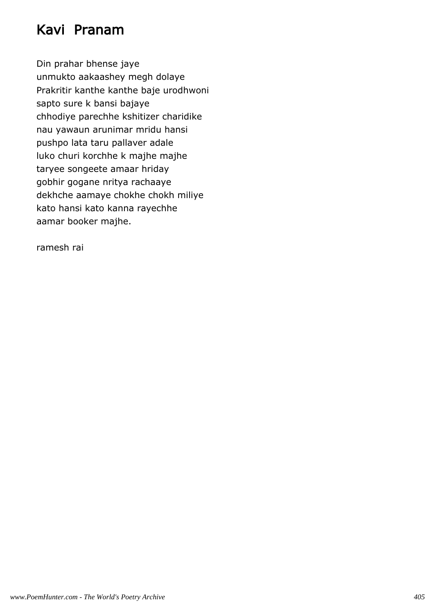# Kavi Pranam

Din prahar bhense jaye unmukto aakaashey megh dolaye Prakritir kanthe kanthe baje urodhwoni sapto sure k bansi bajaye chhodiye parechhe kshitizer charidike nau yawaun arunimar mridu hansi pushpo lata taru pallaver adale luko churi korchhe k majhe majhe taryee songeete amaar hriday gobhir gogane nritya rachaaye dekhche aamaye chokhe chokh miliye kato hansi kato kanna rayechhe aamar booker majhe.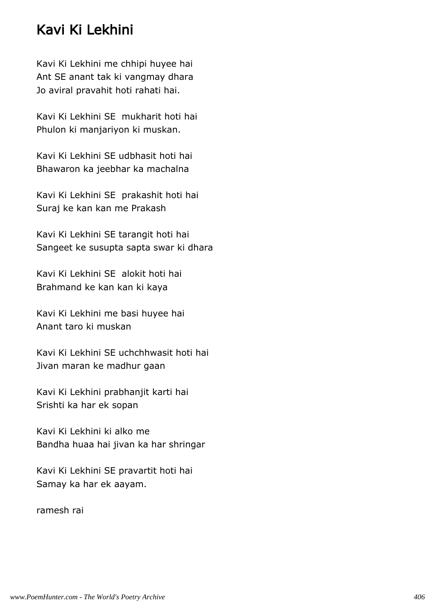# Kavi Ki Lekhini

Kavi Ki Lekhini me chhipi huyee hai Ant SE anant tak ki vangmay dhara Jo aviral pravahit hoti rahati hai.

Kavi Ki Lekhini SE mukharit hoti hai Phulon ki manjariyon ki muskan.

Kavi Ki Lekhini SE udbhasit hoti hai Bhawaron ka jeebhar ka machalna

Kavi Ki Lekhini SE prakashit hoti hai Suraj ke kan kan me Prakash

Kavi Ki Lekhini SE tarangit hoti hai Sangeet ke susupta sapta swar ki dhara

Kavi Ki Lekhini SE alokit hoti hai Brahmand ke kan kan ki kaya

Kavi Ki Lekhini me basi huyee hai Anant taro ki muskan

Kavi Ki Lekhini SE uchchhwasit hoti hai Jivan maran ke madhur gaan

Kavi Ki Lekhini prabhanjit karti hai Srishti ka har ek sopan

Kavi Ki Lekhini ki alko me Bandha huaa hai jivan ka har shringar

Kavi Ki Lekhini SE pravartit hoti hai Samay ka har ek aayam.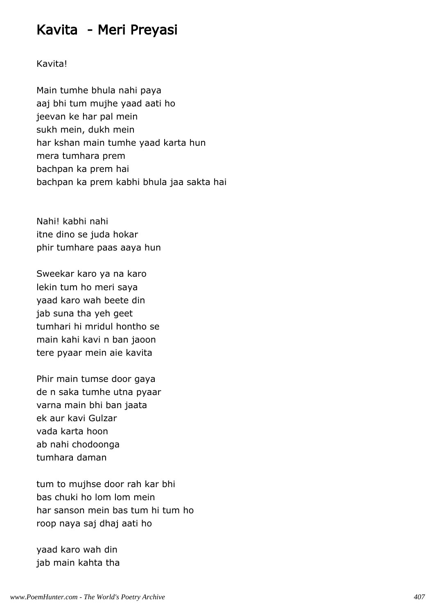#### Kavita - Meri Preyasi

#### Kavita!

Main tumhe bhula nahi paya aaj bhi tum mujhe yaad aati ho jeevan ke har pal mein sukh mein, dukh mein har kshan main tumhe yaad karta hun mera tumhara prem bachpan ka prem hai bachpan ka prem kabhi bhula jaa sakta hai

Nahi! kabhi nahi itne dino se juda hokar phir tumhare paas aaya hun

Sweekar karo ya na karo lekin tum ho meri saya yaad karo wah beete din jab suna tha yeh geet tumhari hi mridul hontho se main kahi kavi n ban jaoon tere pyaar mein aie kavita

Phir main tumse door gaya de n saka tumhe utna pyaar varna main bhi ban jaata ek aur kavi Gulzar vada karta hoon ab nahi chodoonga tumhara daman

tum to mujhse door rah kar bhi bas chuki ho lom lom mein har sanson mein bas tum hi tum ho roop naya saj dhaj aati ho

yaad karo wah din jab main kahta tha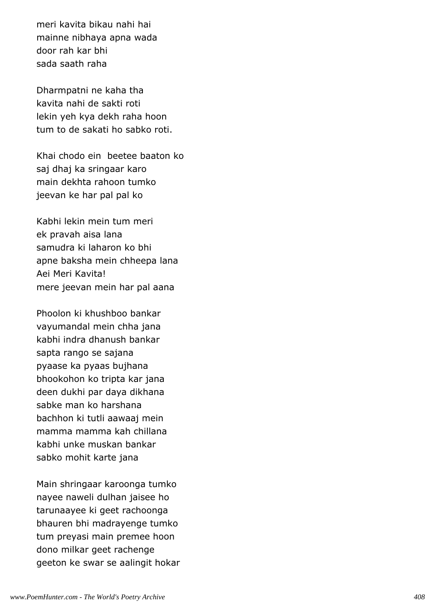meri kavita bikau nahi hai mainne nibhaya apna wada door rah kar bhi sada saath raha

Dharmpatni ne kaha tha kavita nahi de sakti roti lekin yeh kya dekh raha hoon tum to de sakati ho sabko roti.

Khai chodo ein beetee baaton ko saj dhaj ka sringaar karo main dekhta rahoon tumko jeevan ke har pal pal ko

Kabhi lekin mein tum meri ek pravah aisa lana samudra ki laharon ko bhi apne baksha mein chheepa lana Aei Meri Kavita! mere jeevan mein har pal aana

Phoolon ki khushboo bankar vayumandal mein chha jana kabhi indra dhanush bankar sapta rango se sajana pyaase ka pyaas bujhana bhookohon ko tripta kar jana deen dukhi par daya dikhana sabke man ko harshana bachhon ki tutli aawaaj mein mamma mamma kah chillana kabhi unke muskan bankar sabko mohit karte jana

Main shringaar karoonga tumko nayee naweli dulhan jaisee ho tarunaayee ki geet rachoonga bhauren bhi madrayenge tumko tum preyasi main premee hoon dono milkar geet rachenge geeton ke swar se aalingit hokar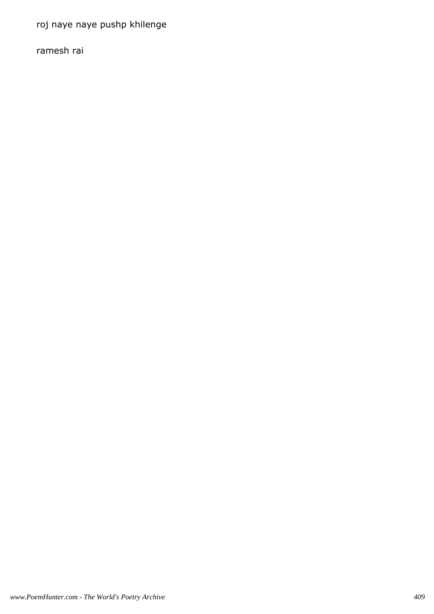roj naye naye pushp khilenge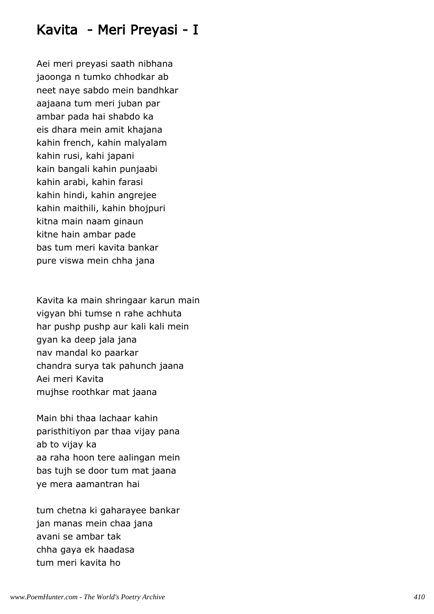#### Kavita - Meri Preyasi - I

Aei meri preyasi saath nibhana jaoonga n tumko chhodkar ab neet naye sabdo mein bandhkar aajaana tum meri juban par ambar pada hai shabdo ka eis dhara mein amit khajana kahin french, kahin malyalam kahin rusi, kahi japani kain bangali kahin punjaabi kahin arabi, kahin farasi kahin hindi, kahin angrejee kahin maithili, kahin bhojpuri kitna main naam ginaun kitne hain ambar pade bas tum meri kavita bankar pure viswa mein chha jana

Kavita ka main shringaar karun main vigyan bhi tumse n rahe achhuta har pushp pushp aur kali kali mein gyan ka deep jala jana nav mandal ko paarkar chandra surya tak pahunch jaana Aei meri Kavita mujhse roothkar mat jaana

Main bhi thaa lachaar kahin paristhitiyon par thaa vijay pana ab to vijay ka aa raha hoon tere aalingan mein bas tujh se door tum mat jaana ye mera aamantran hai

tum chetna ki gaharayee bankar jan manas mein chaa jana avani se ambar tak chha gaya ek haadasa tum meri kavita ho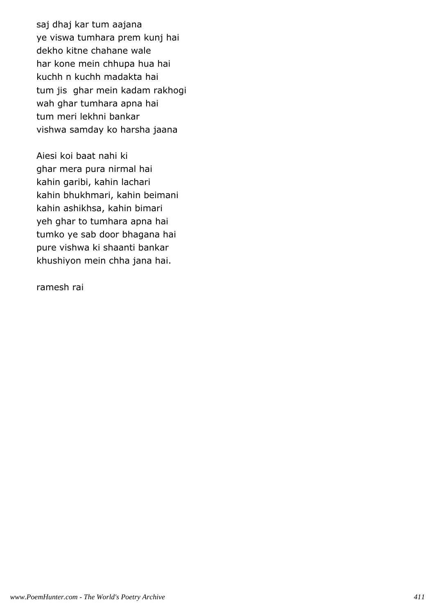saj dhaj kar tum aajana ye viswa tumhara prem kunj hai dekho kitne chahane wale har kone mein chhupa hua hai kuchh n kuchh madakta hai tum jis ghar mein kadam rakhogi wah ghar tumhara apna hai tum meri lekhni bankar vishwa samday ko harsha jaana

Aiesi koi baat nahi ki ghar mera pura nirmal hai kahin garibi, kahin lachari kahin bhukhmari, kahin beimani kahin ashikhsa, kahin bimari yeh ghar to tumhara apna hai tumko ye sab door bhagana hai pure vishwa ki shaanti bankar khushiyon mein chha jana hai.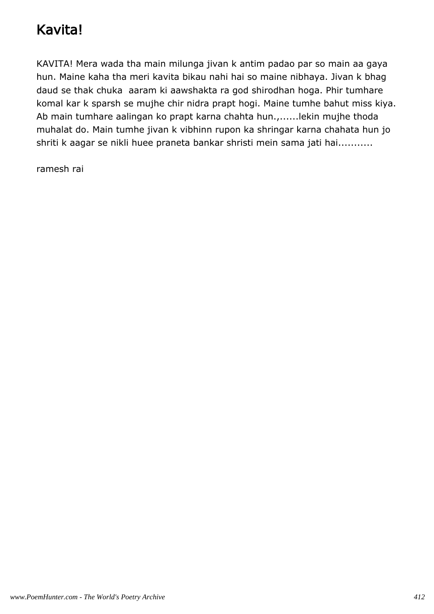# Kavita!

KAVITA! Mera wada tha main milunga jivan k antim padao par so main aa gaya hun. Maine kaha tha meri kavita bikau nahi hai so maine nibhaya. Jivan k bhag daud se thak chuka aaram ki aawshakta ra god shirodhan hoga. Phir tumhare komal kar k sparsh se mujhe chir nidra prapt hogi. Maine tumhe bahut miss kiya. Ab main tumhare aalingan ko prapt karna chahta hun.,......lekin mujhe thoda muhalat do. Main tumhe jivan k vibhinn rupon ka shringar karna chahata hun jo shriti k aagar se nikli huee praneta bankar shristi mein sama jati hai...........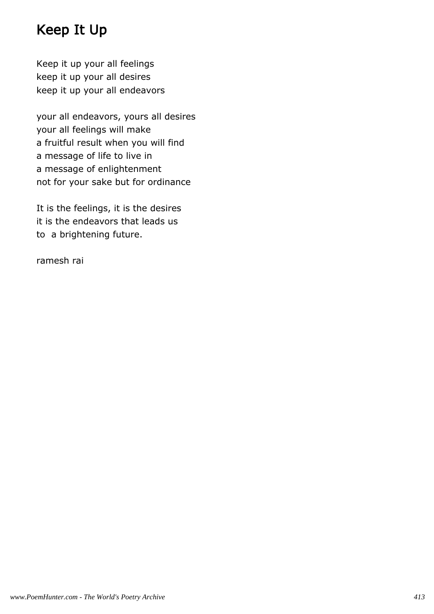# Keep It Up

Keep it up your all feelings keep it up your all desires keep it up your all endeavors

your all endeavors, yours all desires your all feelings will make a fruitful result when you will find a message of life to live in a message of enlightenment not for your sake but for ordinance

It is the feelings, it is the desires it is the endeavors that leads us to a brightening future.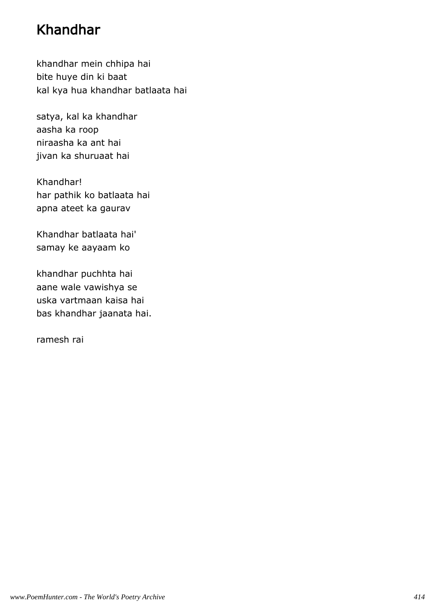# Khandhar

khandhar mein chhipa hai bite huye din ki baat kal kya hua khandhar batlaata hai

satya, kal ka khandhar aasha ka roop niraasha ka ant hai jivan ka shuruaat hai

Khandhar! har pathik ko batlaata hai apna ateet ka gaurav

Khandhar batlaata hai' samay ke aayaam ko

khandhar puchhta hai aane wale vawishya se uska vartmaan kaisa hai bas khandhar jaanata hai.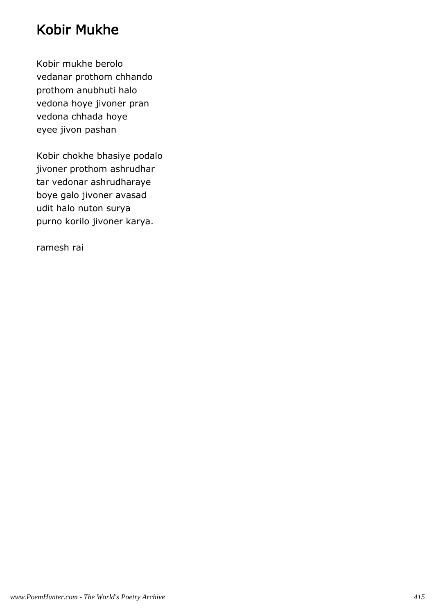# Kobir Mukhe

Kobir mukhe berolo vedanar prothom chhando prothom anubhuti halo vedona hoye jivoner pran vedona chhada hoye eyee jivon pashan

Kobir chokhe bhasiye podalo jivoner prothom ashrudhar tar vedonar ashrudharaye boye galo jivoner avasad udit halo nuton surya purno korilo jivoner karya.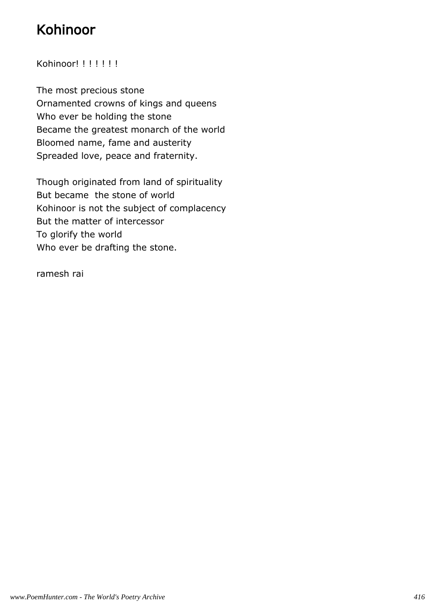# Kohinoor

Kohinoor!!!!!!!

The most precious stone Ornamented crowns of kings and queens Who ever be holding the stone Became the greatest monarch of the world Bloomed name, fame and austerity Spreaded love, peace and fraternity.

Though originated from land of spirituality But became the stone of world Kohinoor is not the subject of complacency But the matter of intercessor To glorify the world Who ever be drafting the stone.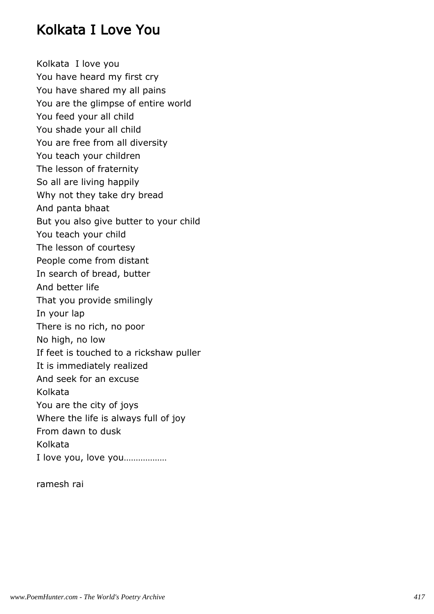#### Kolkata I Love You

Kolkata I love you You have heard my first cry You have shared my all pains You are the glimpse of entire world You feed your all child You shade your all child You are free from all diversity You teach your children The lesson of fraternity So all are living happily Why not they take dry bread And panta bhaat But you also give butter to your child You teach your child The lesson of courtesy People come from distant In search of bread, butter And better life That you provide smilingly In your lap There is no rich, no poor No high, no low If feet is touched to a rickshaw puller It is immediately realized And seek for an excuse Kolkata You are the city of joys Where the life is always full of joy From dawn to dusk Kolkata I love you, love you………………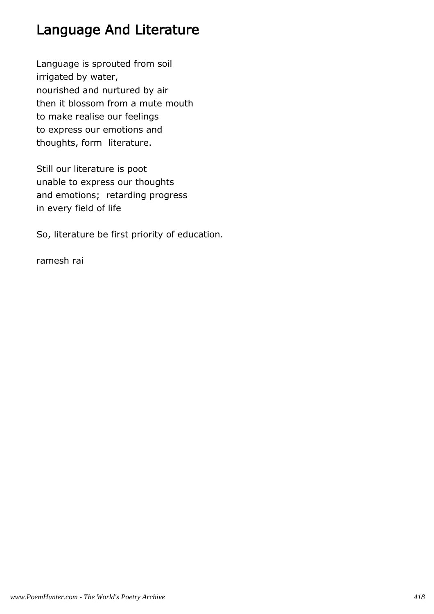# Language And Literature

Language is sprouted from soil irrigated by water, nourished and nurtured by air then it blossom from a mute mouth to make realise our feelings to express our emotions and thoughts, form literature.

Still our literature is poot unable to express our thoughts and emotions; retarding progress in every field of life

So, literature be first priority of education.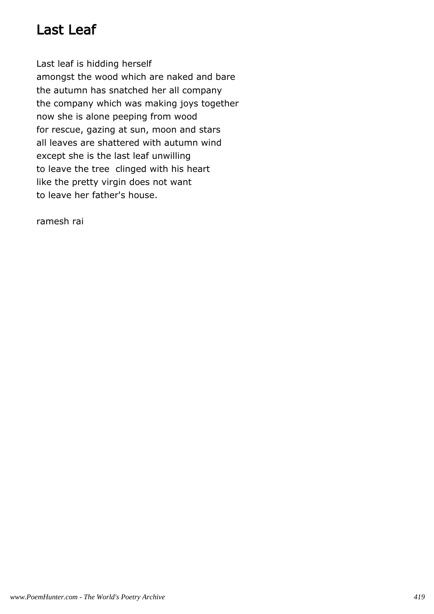## Last Leaf

Last leaf is hidding herself amongst the wood which are naked and bare the autumn has snatched her all company the company which was making joys together now she is alone peeping from wood for rescue, gazing at sun, moon and stars all leaves are shattered with autumn wind except she is the last leaf unwilling to leave the tree clinged with his heart like the pretty virgin does not want to leave her father's house.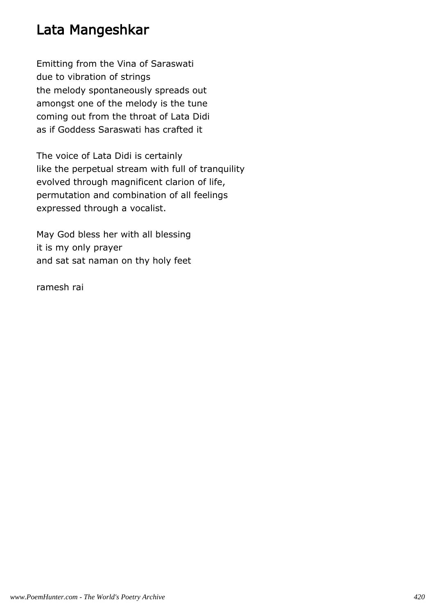# Lata Mangeshkar

Emitting from the Vina of Saraswati due to vibration of strings the melody spontaneously spreads out amongst one of the melody is the tune coming out from the throat of Lata Didi as if Goddess Saraswati has crafted it

The voice of Lata Didi is certainly like the perpetual stream with full of tranquility evolved through magnificent clarion of life, permutation and combination of all feelings expressed through a vocalist.

May God bless her with all blessing it is my only prayer and sat sat naman on thy holy feet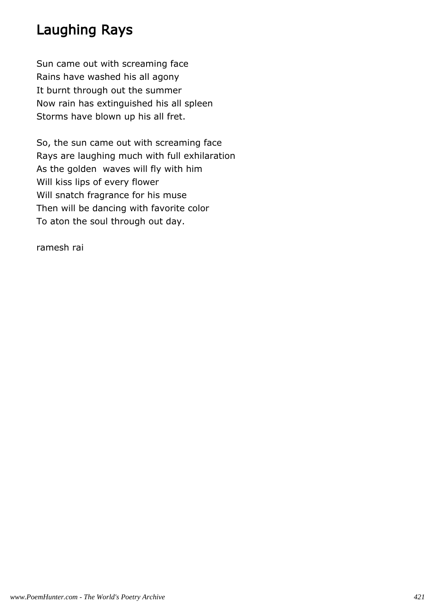# Laughing Rays

Sun came out with screaming face Rains have washed his all agony It burnt through out the summer Now rain has extinguished his all spleen Storms have blown up his all fret.

So, the sun came out with screaming face Rays are laughing much with full exhilaration As the golden waves will fly with him Will kiss lips of every flower Will snatch fragrance for his muse Then will be dancing with favorite color To aton the soul through out day.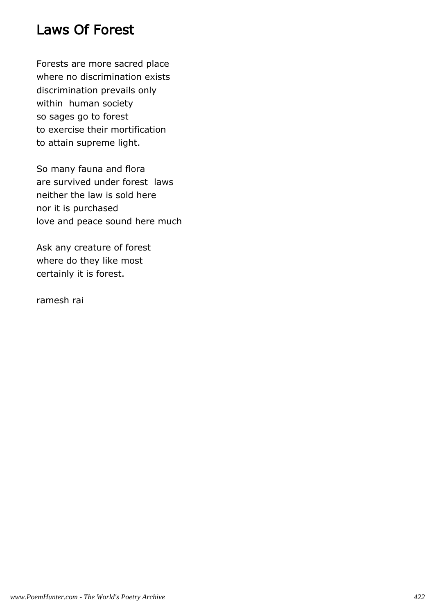#### Laws Of Forest

Forests are more sacred place where no discrimination exists discrimination prevails only within human society so sages go to forest to exercise their mortification to attain supreme light.

So many fauna and flora are survived under forest laws neither the law is sold here nor it is purchased love and peace sound here much

Ask any creature of forest where do they like most certainly it is forest.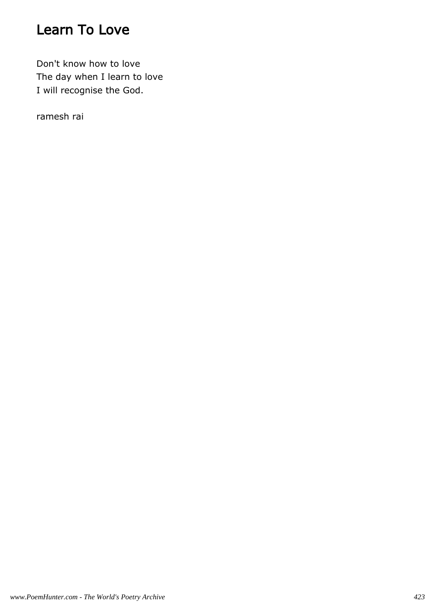# Learn To Love

Don't know how to love The day when I learn to love I will recognise the God.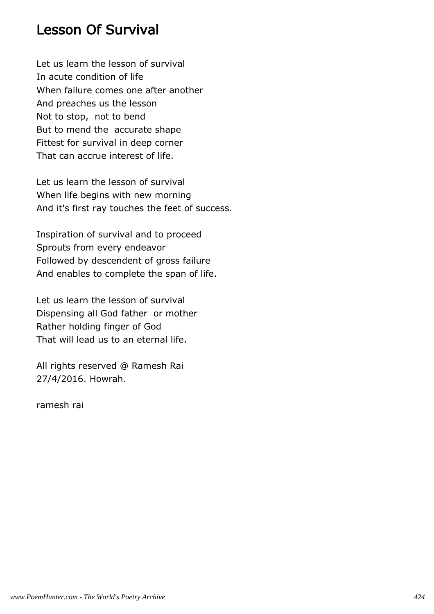#### Lesson Of Survival

Let us learn the lesson of survival In acute condition of life When failure comes one after another And preaches us the lesson Not to stop, not to bend But to mend the accurate shape Fittest for survival in deep corner That can accrue interest of life.

Let us learn the lesson of survival When life begins with new morning And it's first ray touches the feet of success.

Inspiration of survival and to proceed Sprouts from every endeavor Followed by descendent of gross failure And enables to complete the span of life.

Let us learn the lesson of survival Dispensing all God father or mother Rather holding finger of God That will lead us to an eternal life.

All rights reserved @ Ramesh Rai 27/4/2016. Howrah.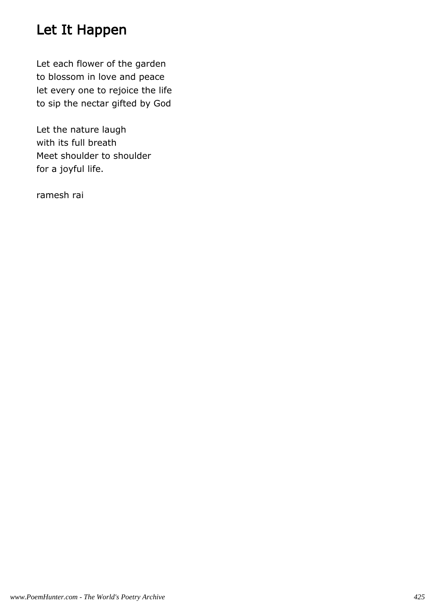# Let It Happen

Let each flower of the garden to blossom in love and peace let every one to rejoice the life to sip the nectar gifted by God

Let the nature laugh with its full breath Meet shoulder to shoulder for a joyful life.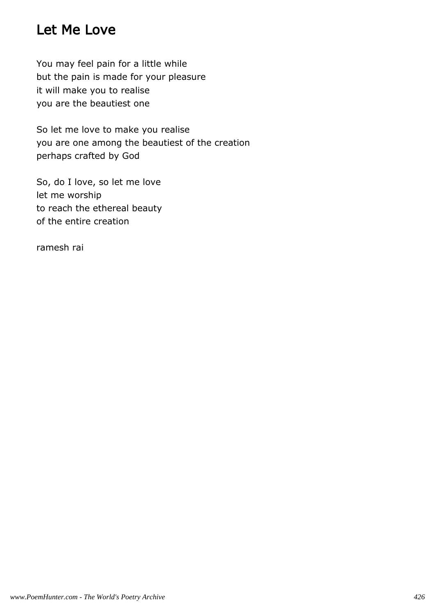## Let Me Love

You may feel pain for a little while but the pain is made for your pleasure it will make you to realise you are the beautiest one

So let me love to make you realise you are one among the beautiest of the creation perhaps crafted by God

So, do I love, so let me love let me worship to reach the ethereal beauty of the entire creation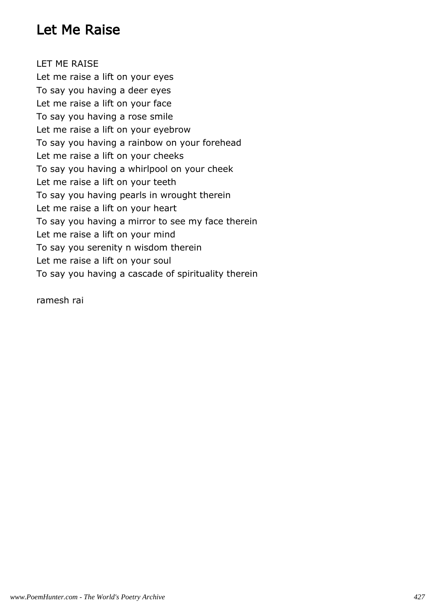#### Let Me Raise

LET ME RAISE Let me raise a lift on your eyes To say you having a deer eyes Let me raise a lift on your face To say you having a rose smile Let me raise a lift on your eyebrow To say you having a rainbow on your forehead Let me raise a lift on your cheeks To say you having a whirlpool on your cheek Let me raise a lift on your teeth To say you having pearls in wrought therein Let me raise a lift on your heart To say you having a mirror to see my face therein Let me raise a lift on your mind To say you serenity n wisdom therein Let me raise a lift on your soul To say you having a cascade of spirituality therein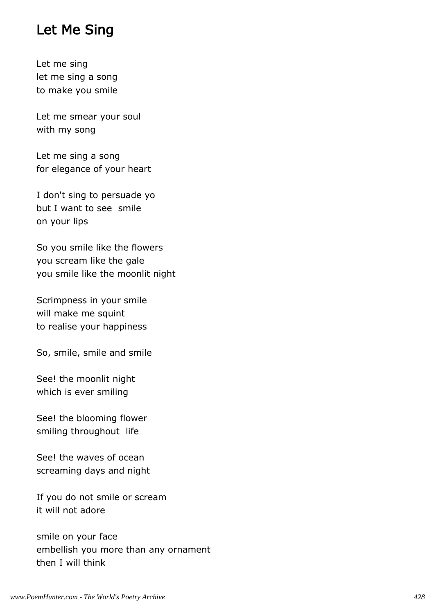#### Let Me Sing

Let me sing let me sing a song to make you smile

Let me smear your soul with my song

Let me sing a song for elegance of your heart

I don't sing to persuade yo but I want to see smile on your lips

So you smile like the flowers you scream like the gale you smile like the moonlit night

Scrimpness in your smile will make me squint to realise your happiness

So, smile, smile and smile

See! the moonlit night which is ever smiling

See! the blooming flower smiling throughout life

See! the waves of ocean screaming days and night

If you do not smile or scream it will not adore

smile on your face embellish you more than any ornament then I will think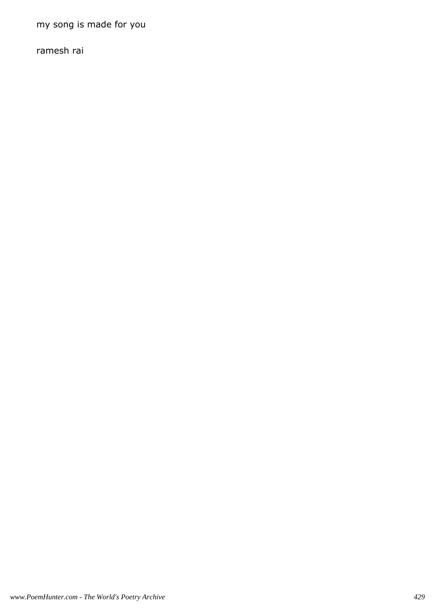my song is made for you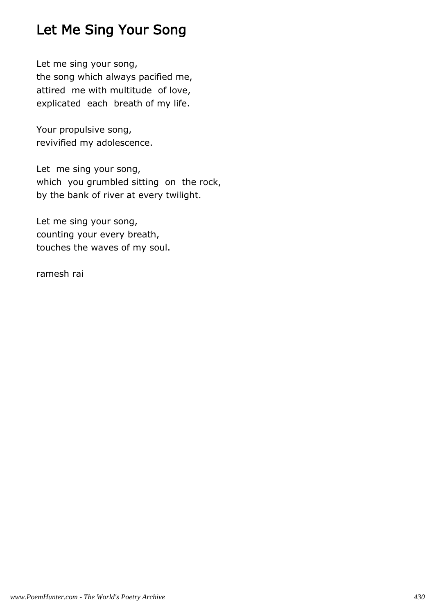# Let Me Sing Your Song

Let me sing your song, the song which always pacified me, attired me with multitude of love, explicated each breath of my life.

Your propulsive song, revivified my adolescence.

Let me sing your song, which you grumbled sitting on the rock, by the bank of river at every twilight.

Let me sing your song, counting your every breath, touches the waves of my soul.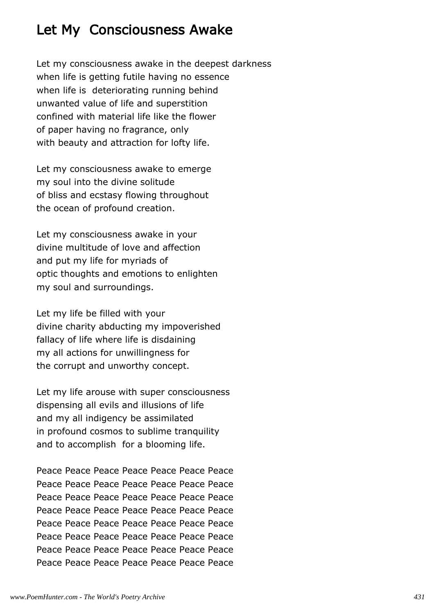## Let My Consciousness Awake

Let my consciousness awake in the deepest darkness when life is getting futile having no essence when life is deteriorating running behind unwanted value of life and superstition confined with material life like the flower of paper having no fragrance, only with beauty and attraction for lofty life.

Let my consciousness awake to emerge my soul into the divine solitude of bliss and ecstasy flowing throughout the ocean of profound creation.

Let my consciousness awake in your divine multitude of love and affection and put my life for myriads of optic thoughts and emotions to enlighten my soul and surroundings.

Let my life be filled with your divine charity abducting my impoverished fallacy of life where life is disdaining my all actions for unwillingness for the corrupt and unworthy concept.

Let my life arouse with super consciousness dispensing all evils and illusions of life and my all indigency be assimilated in profound cosmos to sublime tranquility and to accomplish for a blooming life.

Peace Peace Peace Peace Peace Peace Peace Peace Peace Peace Peace Peace Peace Peace Peace Peace Peace Peace Peace Peace Peace Peace Peace Peace Peace Peace Peace Peace Peace Peace Peace Peace Peace Peace Peace Peace Peace Peace Peace Peace Peace Peace Peace Peace Peace Peace Peace Peace Peace Peace Peace Peace Peace Peace Peace Peace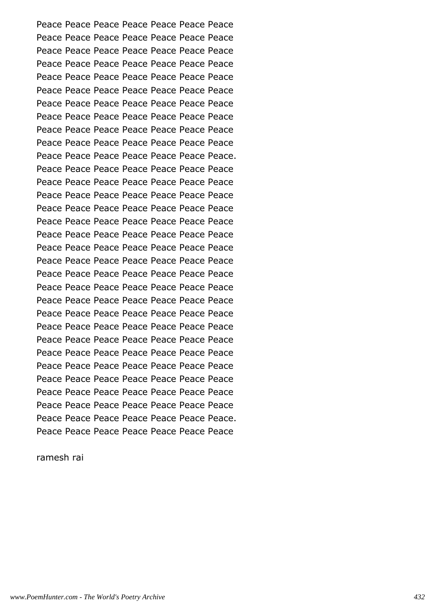Peace Peace Peace Peace Peace Peace Peace Peace Peace Peace Peace Peace Peace Peace Peace Peace Peace Peace Peace Peace Peace Peace Peace Peace Peace Peace Peace Peace Peace Peace Peace Peace Peace Peace Peace Peace Peace Peace Peace Peace Peace Peace Peace Peace Peace Peace Peace Peace Peace Peace Peace Peace Peace Peace Peace Peace Peace Peace Peace Peace Peace Peace Peace Peace Peace Peace Peace Peace Peace Peace Peace Peace Peace Peace Peace Peace Peace. Peace Peace Peace Peace Peace Peace Peace Peace Peace Peace Peace Peace Peace Peace Peace Peace Peace Peace Peace Peace Peace Peace Peace Peace Peace Peace Peace Peace Peace Peace Peace Peace Peace Peace Peace Peace Peace Peace Peace Peace Peace Peace Peace Peace Peace Peace Peace Peace Peace Peace Peace Peace Peace Peace Peace Peace Peace Peace Peace Peace Peace Peace Peace Peace Peace Peace Peace Peace Peace Peace Peace Peace Peace Peace Peace Peace Peace Peace Peace Peace Peace Peace Peace Peace Peace Peace Peace Peace Peace Peace Peace Peace Peace Peace Peace Peace Peace Peace Peace Peace Peace Peace Peace Peace Peace Peace Peace Peace Peace Peace Peace Peace Peace Peace Peace Peace Peace Peace Peace Peace Peace Peace Peace Peace Peace Peace Peace Peace Peace Peace Peace Peace Peace Peace Peace Peace Peace Peace Peace Peace. Peace Peace Peace Peace Peace Peace Peace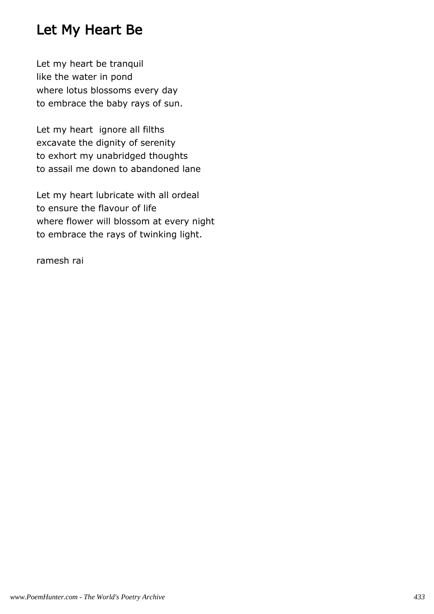## Let My Heart Be

Let my heart be tranquil like the water in pond where lotus blossoms every day to embrace the baby rays of sun.

Let my heart ignore all filths excavate the dignity of serenity to exhort my unabridged thoughts to assail me down to abandoned lane

Let my heart lubricate with all ordeal to ensure the flavour of life where flower will blossom at every night to embrace the rays of twinking light.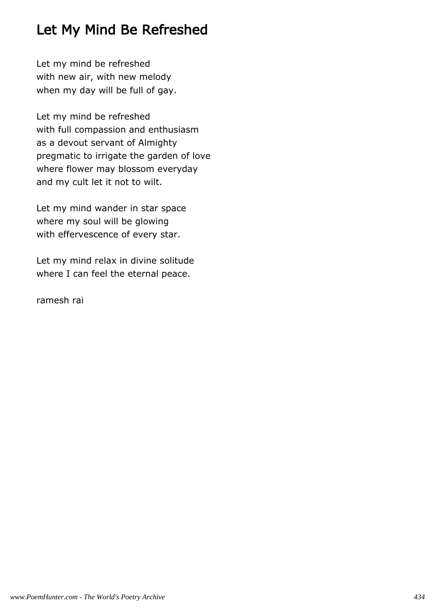# Let My Mind Be Refreshed

Let my mind be refreshed with new air, with new melody when my day will be full of gay.

Let my mind be refreshed with full compassion and enthusiasm as a devout servant of Almighty pregmatic to irrigate the garden of love where flower may blossom everyday and my cult let it not to wilt.

Let my mind wander in star space where my soul will be glowing with effervescence of every star.

Let my mind relax in divine solitude where I can feel the eternal peace.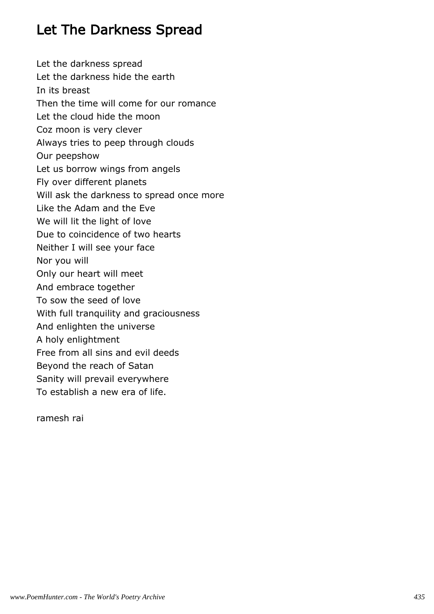## Let The Darkness Spread

Let the darkness spread Let the darkness hide the earth In its breast Then the time will come for our romance Let the cloud hide the moon Coz moon is very clever Always tries to peep through clouds Our peepshow Let us borrow wings from angels Fly over different planets Will ask the darkness to spread once more Like the Adam and the Eve We will lit the light of love Due to coincidence of two hearts Neither I will see your face Nor you will Only our heart will meet And embrace together To sow the seed of love With full tranquility and graciousness And enlighten the universe A holy enlightment Free from all sins and evil deeds Beyond the reach of Satan Sanity will prevail everywhere To establish a new era of life.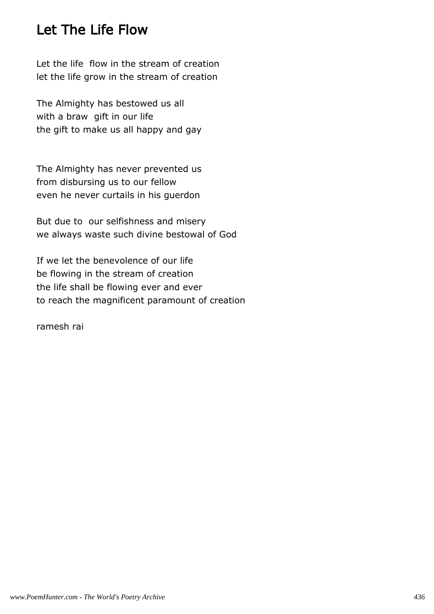#### Let The Life Flow

Let the life flow in the stream of creation let the life grow in the stream of creation

The Almighty has bestowed us all with a braw gift in our life the gift to make us all happy and gay

The Almighty has never prevented us from disbursing us to our fellow even he never curtails in his guerdon

But due to our selfishness and misery we always waste such divine bestowal of God

If we let the benevolence of our life be flowing in the stream of creation the life shall be flowing ever and ever to reach the magnificent paramount of creation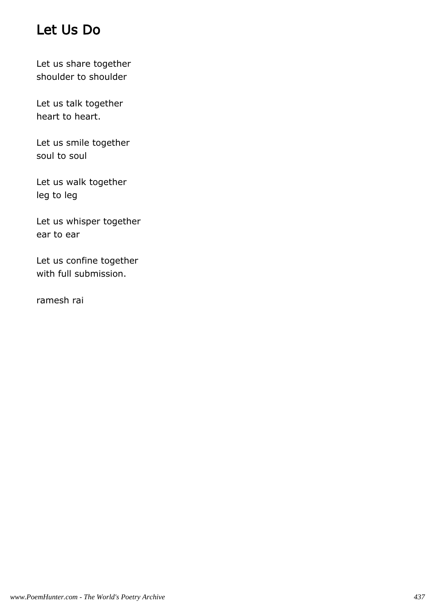## Let Us Do

Let us share together shoulder to shoulder

Let us talk together heart to heart.

Let us smile together soul to soul

Let us walk together leg to leg

Let us whisper together ear to ear

Let us confine together with full submission.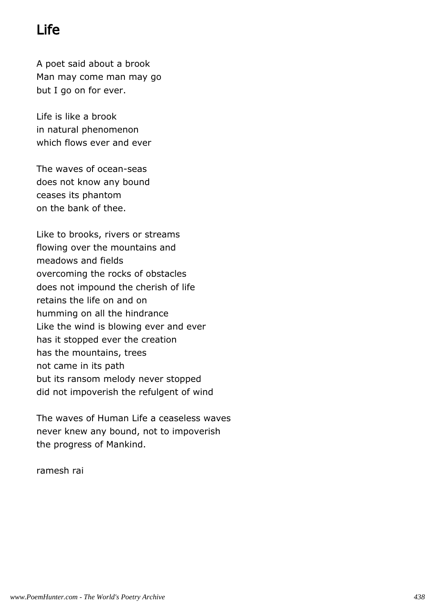# Life

A poet said about a brook Man may come man may go but I go on for ever.

Life is like a brook in natural phenomenon which flows ever and ever

The waves of ocean-seas does not know any bound ceases its phantom on the bank of thee.

Like to brooks, rivers or streams flowing over the mountains and meadows and fields overcoming the rocks of obstacles does not impound the cherish of life retains the life on and on humming on all the hindrance Like the wind is blowing ever and ever has it stopped ever the creation has the mountains, trees not came in its path but its ransom melody never stopped did not impoverish the refulgent of wind

The waves of Human Life a ceaseless waves never knew any bound, not to impoverish the progress of Mankind.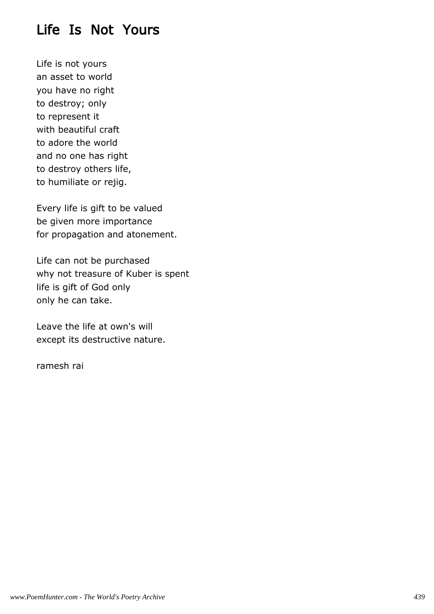#### Life Is Not Yours

Life is not yours an asset to world you have no right to destroy; only to represent it with beautiful craft to adore the world and no one has right to destroy others life, to humiliate or rejig.

Every life is gift to be valued be given more importance for propagation and atonement.

Life can not be purchased why not treasure of Kuber is spent life is gift of God only only he can take.

Leave the life at own's will except its destructive nature.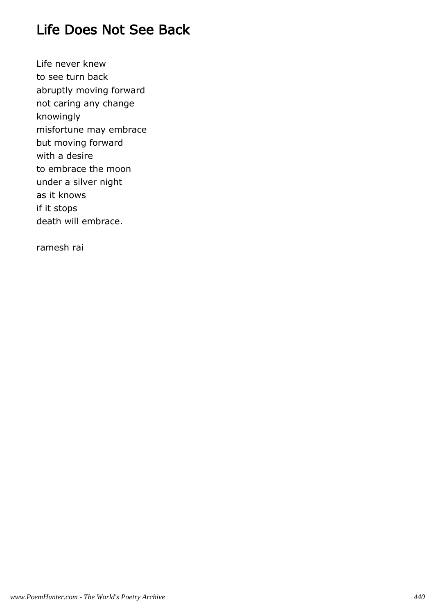#### Life Does Not See Back

Life never knew to see turn back abruptly moving forward not caring any change knowingly misfortune may embrace but moving forward with a desire to embrace the moon under a silver night as it knows if it stops death will embrace.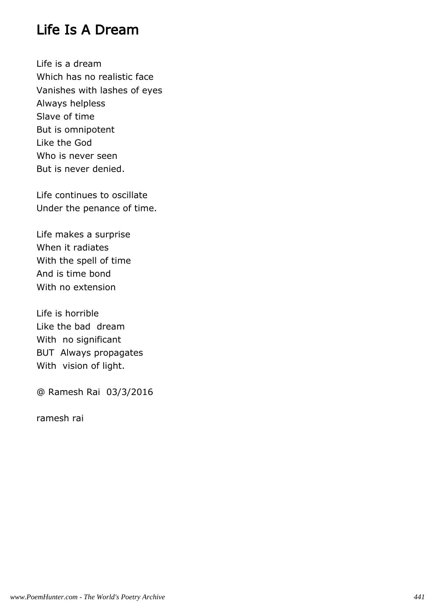#### Life Is A Dream

Life is a dream Which has no realistic face Vanishes with lashes of eyes Always helpless Slave of time But is omnipotent Like the God Who is never seen But is never denied.

Life continues to oscillate Under the penance of time.

Life makes a surprise When it radiates With the spell of time And is time bond With no extension

Life is horrible Like the bad dream With no significant BUT Always propagates With vision of light.

@ Ramesh Rai 03/3/2016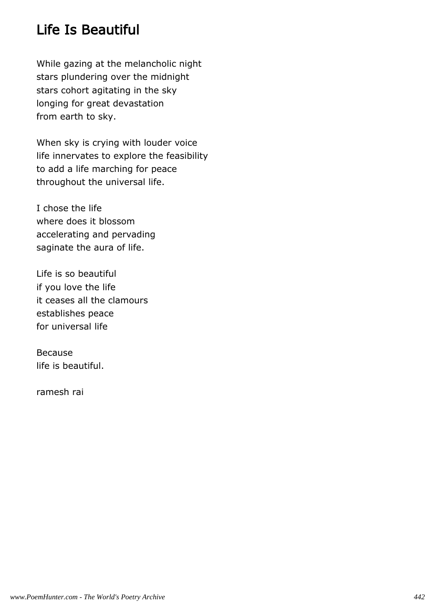## Life Is Beautiful

While gazing at the melancholic night stars plundering over the midnight stars cohort agitating in the sky longing for great devastation from earth to sky.

When sky is crying with louder voice life innervates to explore the feasibility to add a life marching for peace throughout the universal life.

I chose the life where does it blossom accelerating and pervading saginate the aura of life.

Life is so beautiful if you love the life it ceases all the clamours establishes peace for universal life

Because life is beautiful.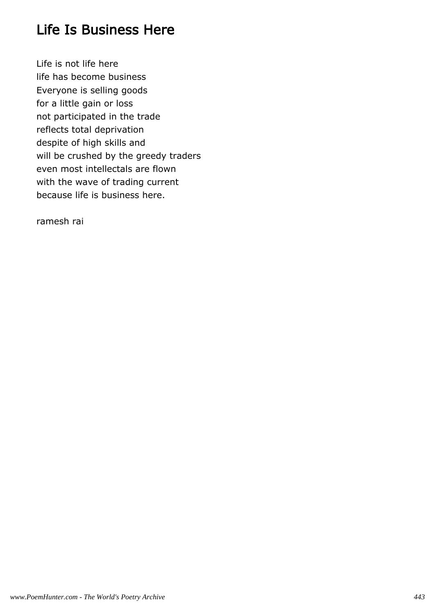#### Life Is Business Here

Life is not life here life has become business Everyone is selling goods for a little gain or loss not participated in the trade reflects total deprivation despite of high skills and will be crushed by the greedy traders even most intellectals are flown with the wave of trading current because life is business here.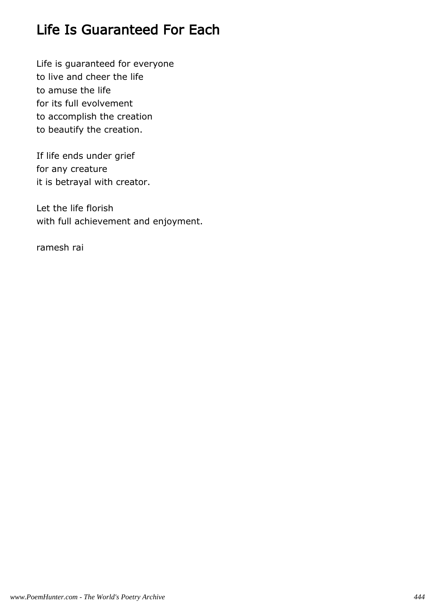## Life Is Guaranteed For Each

Life is guaranteed for everyone to live and cheer the life to amuse the life for its full evolvement to accomplish the creation to beautify the creation.

If life ends under grief for any creature it is betrayal with creator.

Let the life florish with full achievement and enjoyment.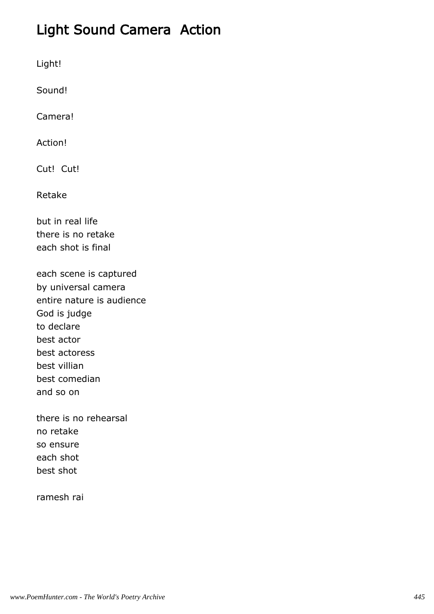# Light Sound Camera Action

Light!

Sound!

Camera!

Action!

Cut! Cut!

Retake

but in real life there is no retake each shot is final

each scene is captured by universal camera entire nature is audience God is judge to declare best actor best actoress best villian best comedian and so on

there is no rehearsal no retake so ensure each shot best shot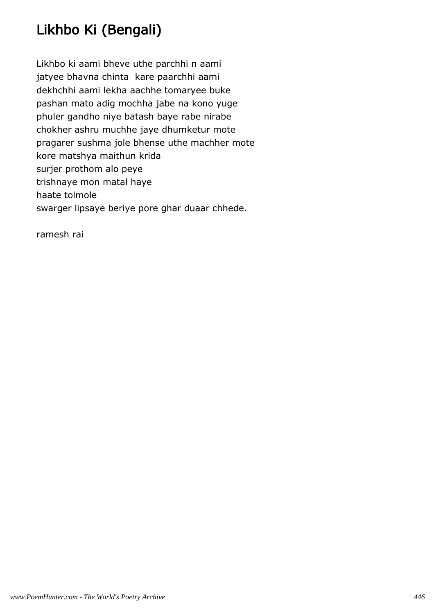# Likhbo Ki (Bengali)

Likhbo ki aami bheve uthe parchhi n aami jatyee bhavna chinta kare paarchhi aami dekhchhi aami lekha aachhe tomaryee buke pashan mato adig mochha jabe na kono yuge phuler gandho niye batash baye rabe nirabe chokher ashru muchhe jaye dhumketur mote pragarer sushma jole bhense uthe machher mote kore matshya maithun krida surjer prothom alo peye trishnaye mon matal haye haate tolmole swarger lipsaye beriye pore ghar duaar chhede.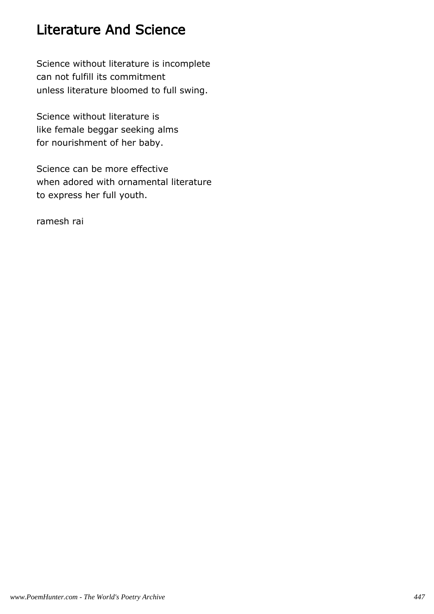## Literature And Science

Science without literature is incomplete can not fulfill its commitment unless literature bloomed to full swing.

Science without literature is like female beggar seeking alms for nourishment of her baby.

Science can be more effective when adored with ornamental literature to express her full youth.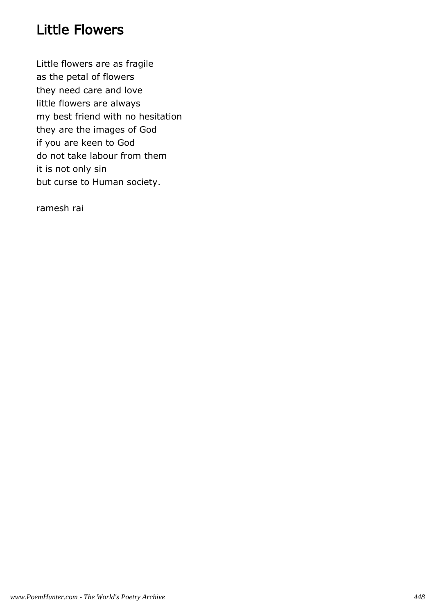#### Little Flowers

Little flowers are as fragile as the petal of flowers they need care and love little flowers are always my best friend with no hesitation they are the images of God if you are keen to God do not take labour from them it is not only sin but curse to Human society.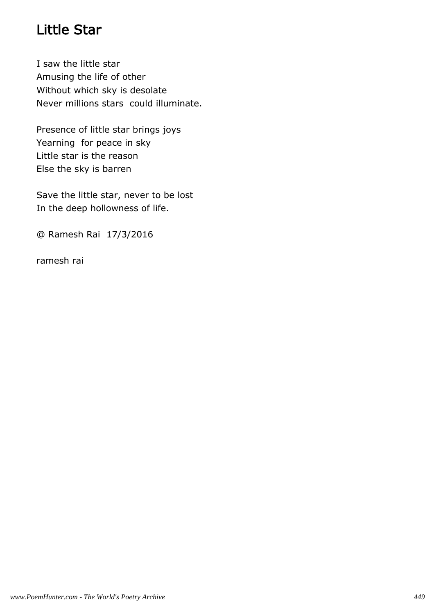## Little Star

I saw the little star Amusing the life of other Without which sky is desolate Never millions stars could illuminate.

Presence of little star brings joys Yearning for peace in sky Little star is the reason Else the sky is barren

Save the little star, never to be lost In the deep hollowness of life.

@ Ramesh Rai 17/3/2016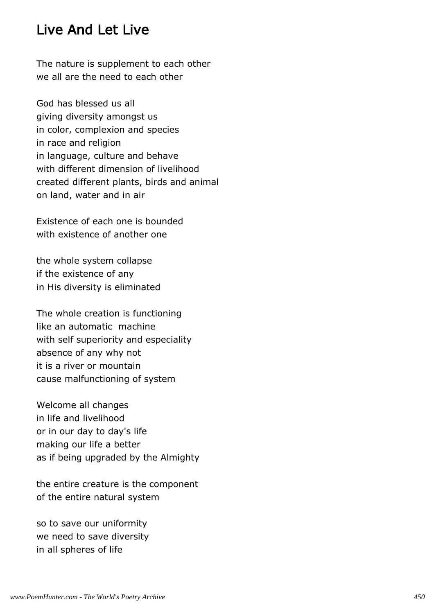#### Live And Let Live

The nature is supplement to each other we all are the need to each other

God has blessed us all giving diversity amongst us in color, complexion and species in race and religion in language, culture and behave with different dimension of livelihood created different plants, birds and animal on land, water and in air

Existence of each one is bounded with existence of another one

the whole system collapse if the existence of any in His diversity is eliminated

The whole creation is functioning like an automatic machine with self superiority and especiality absence of any why not it is a river or mountain cause malfunctioning of system

Welcome all changes in life and livelihood or in our day to day's life making our life a better as if being upgraded by the Almighty

the entire creature is the component of the entire natural system

so to save our uniformity we need to save diversity in all spheres of life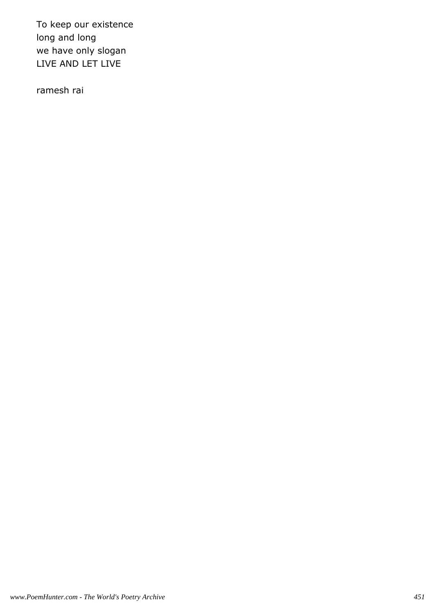To keep our existence long and long we have only slogan LIVE AND LET LIVE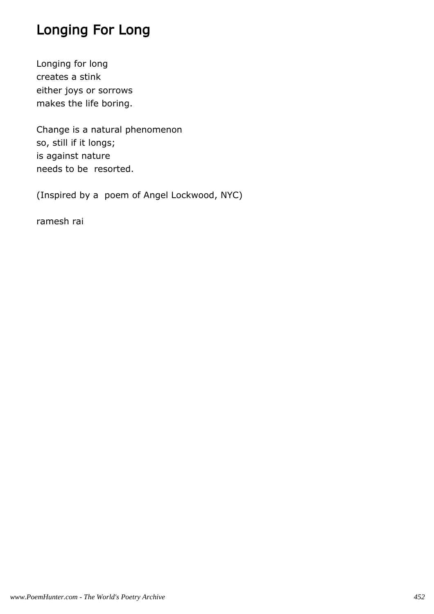## Longing For Long

Longing for long creates a stink either joys or sorrows makes the life boring.

Change is a natural phenomenon so, still if it longs; is against nature needs to be resorted.

(Inspired by a poem of Angel Lockwood, NYC)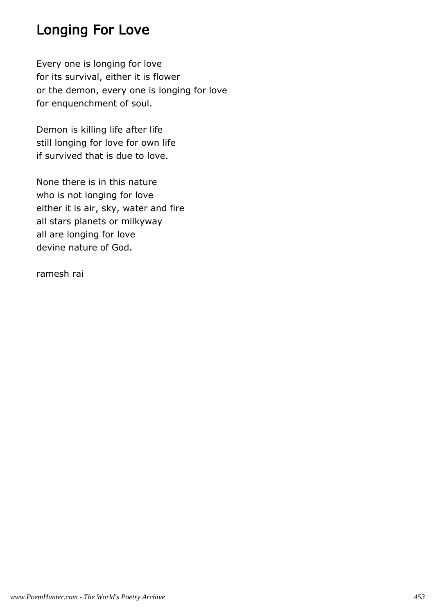#### Longing For Love

Every one is longing for love for its survival, either it is flower or the demon, every one is longing for love for enquenchment of soul.

Demon is killing life after life still longing for love for own life if survived that is due to love.

None there is in this nature who is not longing for love either it is air, sky, water and fire all stars planets or milkyway all are longing for love devine nature of God.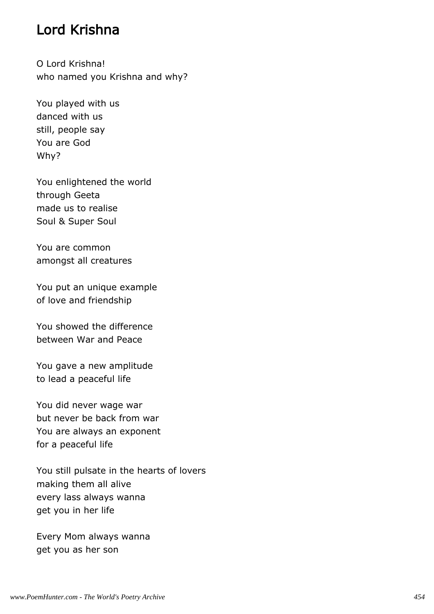## Lord Krishna

O Lord Krishna! who named you Krishna and why?

You played with us danced with us still, people say You are God Why?

You enlightened the world through Geeta made us to realise Soul & Super Soul

You are common amongst all creatures

You put an unique example of love and friendship

You showed the difference between War and Peace

You gave a new amplitude to lead a peaceful life

You did never wage war but never be back from war You are always an exponent for a peaceful life

You still pulsate in the hearts of lovers making them all alive every lass always wanna get you in her life

Every Mom always wanna get you as her son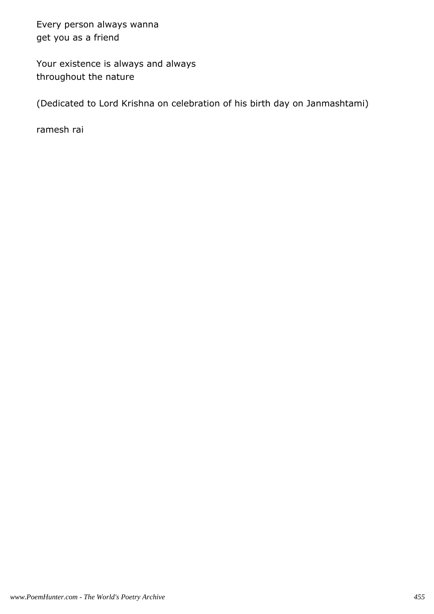Every person always wanna get you as a friend

Your existence is always and always throughout the nature

(Dedicated to Lord Krishna on celebration of his birth day on Janmashtami)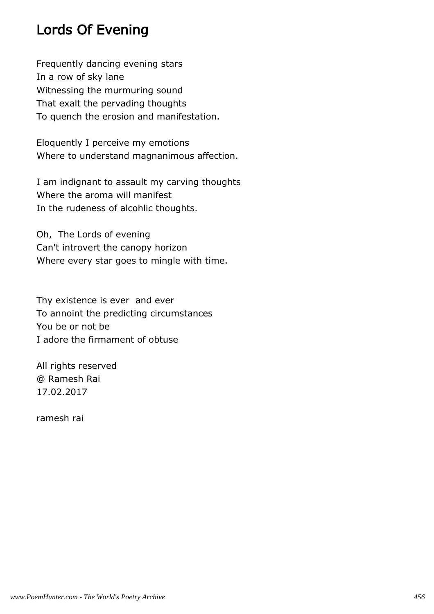## Lords Of Evening

Frequently dancing evening stars In a row of sky lane Witnessing the murmuring sound That exalt the pervading thoughts To quench the erosion and manifestation.

Eloquently I perceive my emotions Where to understand magnanimous affection.

I am indignant to assault my carving thoughts Where the aroma will manifest In the rudeness of alcohlic thoughts.

Oh, The Lords of evening Can't introvert the canopy horizon Where every star goes to mingle with time.

Thy existence is ever and ever To annoint the predicting circumstances You be or not be I adore the firmament of obtuse

All rights reserved @ Ramesh Rai 17.02.2017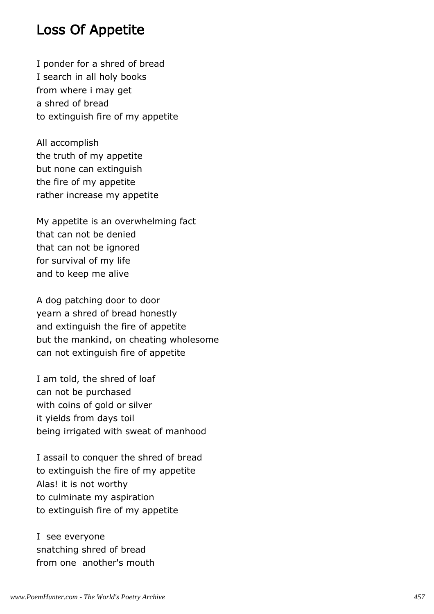#### Loss Of Appetite

I ponder for a shred of bread I search in all holy books from where i may get a shred of bread to extinguish fire of my appetite

All accomplish the truth of my appetite but none can extinguish the fire of my appetite rather increase my appetite

My appetite is an overwhelming fact that can not be denied that can not be ignored for survival of my life and to keep me alive

A dog patching door to door yearn a shred of bread honestly and extinguish the fire of appetite but the mankind, on cheating wholesome can not extinguish fire of appetite

I am told, the shred of loaf can not be purchased with coins of gold or silver it yields from days toil being irrigated with sweat of manhood

I assail to conquer the shred of bread to extinguish the fire of my appetite Alas! it is not worthy to culminate my aspiration to extinguish fire of my appetite

I see everyone snatching shred of bread from one another's mouth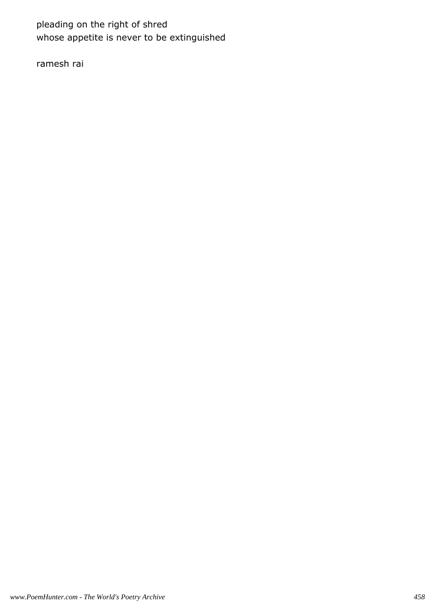#### pleading on the right of shred whose appetite is never to be extinguished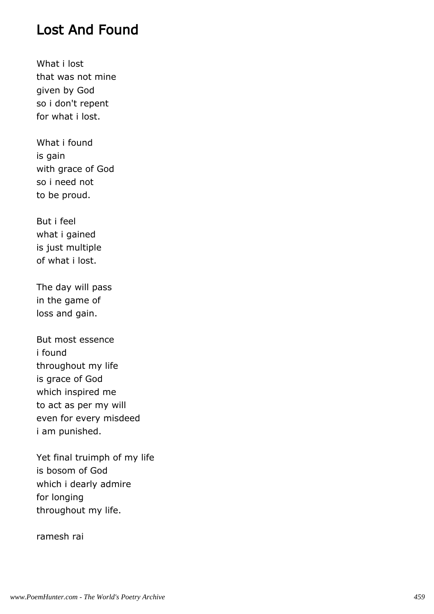#### Lost And Found

What i lost that was not mine given by God so i don't repent for what i lost.

What i found is gain with grace of God so i need not to be proud.

But i feel what i gained is just multiple of what i lost.

The day will pass in the game of loss and gain.

But most essence i found throughout my life is grace of God which inspired me to act as per my will even for every misdeed i am punished.

Yet final truimph of my life is bosom of God which i dearly admire for longing throughout my life.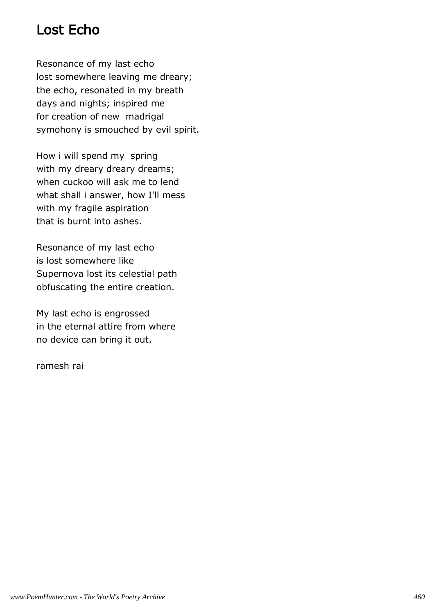#### Lost Echo

Resonance of my last echo lost somewhere leaving me dreary; the echo, resonated in my breath days and nights; inspired me for creation of new madrigal symohony is smouched by evil spirit.

How i will spend my spring with my dreary dreary dreams; when cuckoo will ask me to lend what shall i answer, how I'll mess with my fragile aspiration that is burnt into ashes.

Resonance of my last echo is lost somewhere like Supernova lost its celestial path obfuscating the entire creation.

My last echo is engrossed in the eternal attire from where no device can bring it out.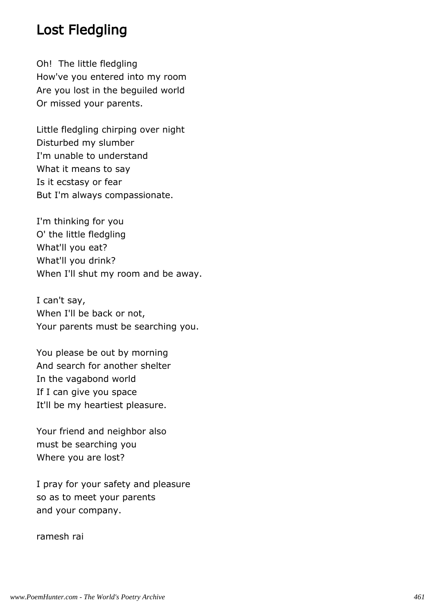#### Lost Fledgling

Oh! The little fledgling How've you entered into my room Are you lost in the beguiled world Or missed your parents.

Little fledgling chirping over night Disturbed my slumber I'm unable to understand What it means to say Is it ecstasy or fear But I'm always compassionate.

I'm thinking for you O' the little fledgling What'll you eat? What'll you drink? When I'll shut my room and be away.

I can't say, When I'll be back or not, Your parents must be searching you.

You please be out by morning And search for another shelter In the vagabond world If I can give you space It'll be my heartiest pleasure.

Your friend and neighbor also must be searching you Where you are lost?

I pray for your safety and pleasure so as to meet your parents and your company.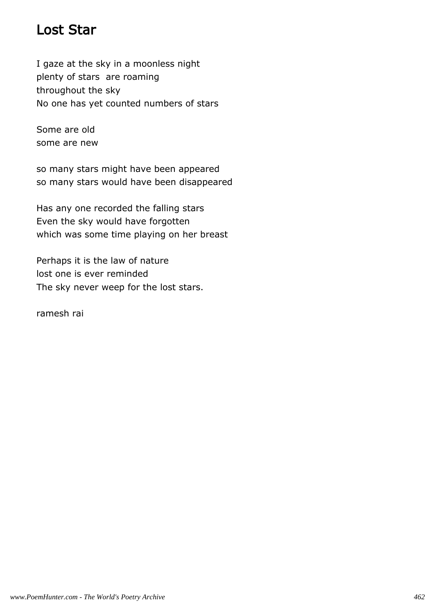#### Lost Star

I gaze at the sky in a moonless night plenty of stars are roaming throughout the sky No one has yet counted numbers of stars

Some are old some are new

so many stars might have been appeared so many stars would have been disappeared

Has any one recorded the falling stars Even the sky would have forgotten which was some time playing on her breast

Perhaps it is the law of nature lost one is ever reminded The sky never weep for the lost stars.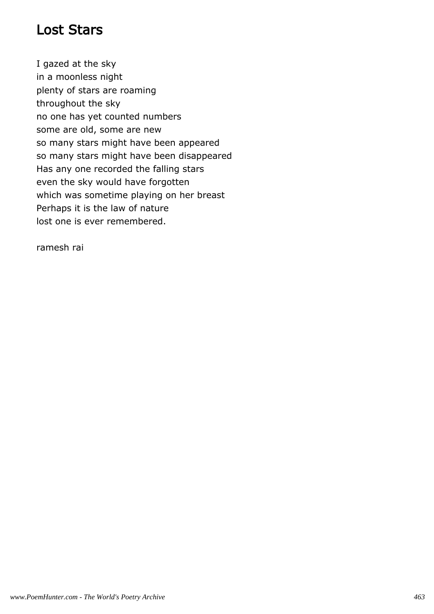#### Lost Stars

I gazed at the sky in a moonless night plenty of stars are roaming throughout the sky no one has yet counted numbers some are old, some are new so many stars might have been appeared so many stars might have been disappeared Has any one recorded the falling stars even the sky would have forgotten which was sometime playing on her breast Perhaps it is the law of nature lost one is ever remembered.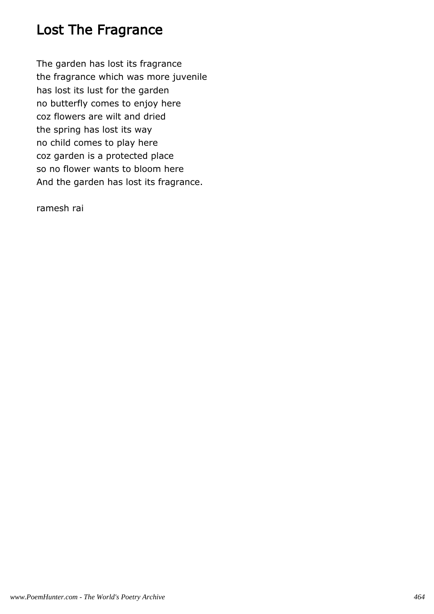## Lost The Fragrance

The garden has lost its fragrance the fragrance which was more juvenile has lost its lust for the garden no butterfly comes to enjoy here coz flowers are wilt and dried the spring has lost its way no child comes to play here coz garden is a protected place so no flower wants to bloom here And the garden has lost its fragrance.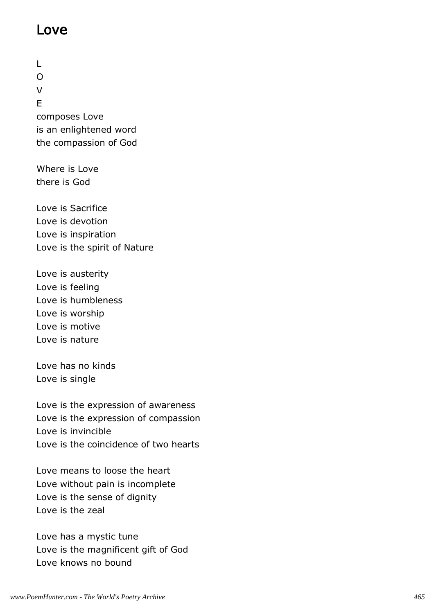#### Love

L O  $\vee$ E composes Love is an enlightened word the compassion of God

Where is Love there is God

Love is Sacrifice Love is devotion Love is inspiration Love is the spirit of Nature

Love is austerity Love is feeling Love is humbleness Love is worship Love is motive Love is nature

Love has no kinds Love is single

Love is the expression of awareness Love is the expression of compassion Love is invincible Love is the coincidence of two hearts

Love means to loose the heart Love without pain is incomplete Love is the sense of dignity Love is the zeal

Love has a mystic tune Love is the magnificent gift of God Love knows no bound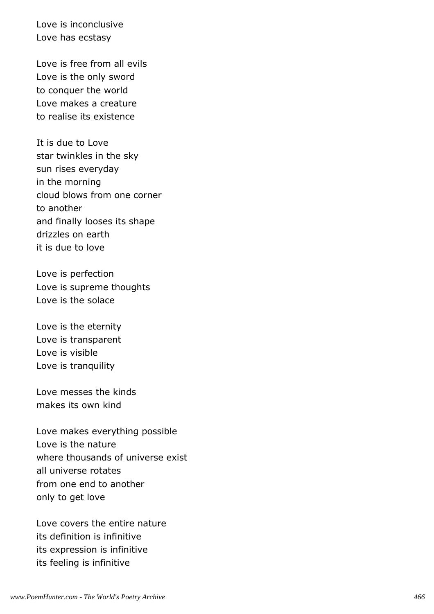Love is inconclusive Love has ecstasy

Love is free from all evils Love is the only sword to conquer the world Love makes a creature to realise its existence

It is due to Love star twinkles in the sky sun rises everyday in the morning cloud blows from one corner to another and finally looses its shape drizzles on earth it is due to love

Love is perfection Love is supreme thoughts Love is the solace

Love is the eternity Love is transparent Love is visible Love is tranquility

Love messes the kinds makes its own kind

Love makes everything possible Love is the nature where thousands of universe exist all universe rotates from one end to another only to get love

Love covers the entire nature its definition is infinitive its expression is infinitive its feeling is infinitive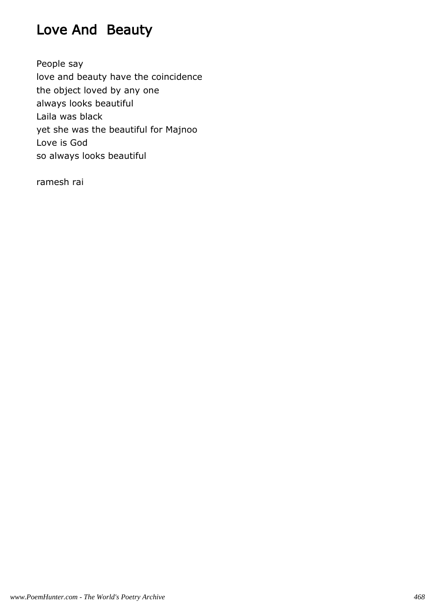# Love And Beauty

People say love and beauty have the coincidence the object loved by any one always looks beautiful Laila was black yet she was the beautiful for Majnoo Love is God so always looks beautiful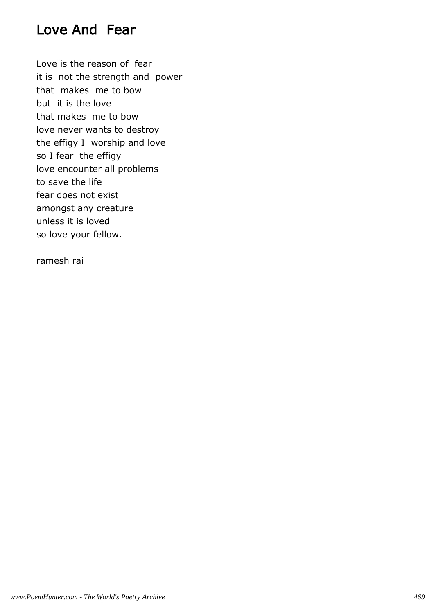#### Love And Fear

Love is the reason of fear it is not the strength and power that makes me to bow but it is the love that makes me to bow love never wants to destroy the effigy I worship and love so I fear the effigy love encounter all problems to save the life fear does not exist amongst any creature unless it is loved so love your fellow.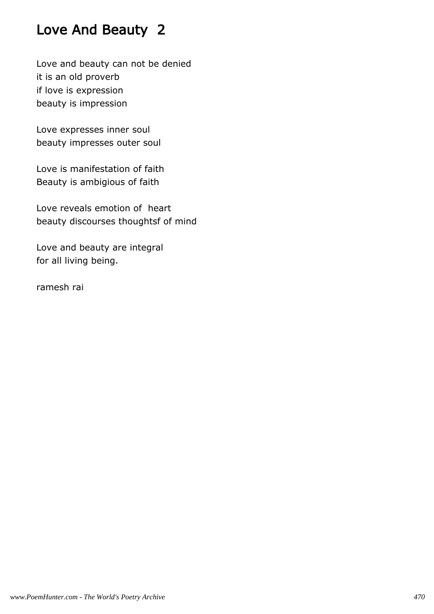# Love And Beauty 2

Love and beauty can not be denied it is an old proverb if love is expression beauty is impression

Love expresses inner soul beauty impresses outer soul

Love is manifestation of faith Beauty is ambigious of faith

Love reveals emotion of heart beauty discourses thoughtsf of mind

Love and beauty are integral for all living being.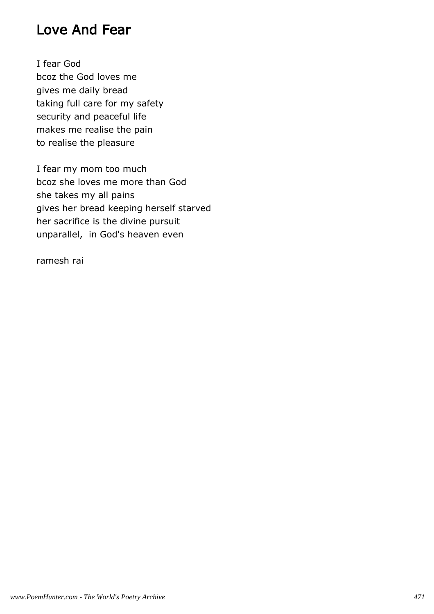# Love And Fear

I fear God bcoz the God loves me gives me daily bread taking full care for my safety security and peaceful life makes me realise the pain to realise the pleasure

I fear my mom too much bcoz she loves me more than God she takes my all pains gives her bread keeping herself starved her sacrifice is the divine pursuit unparallel, in God's heaven even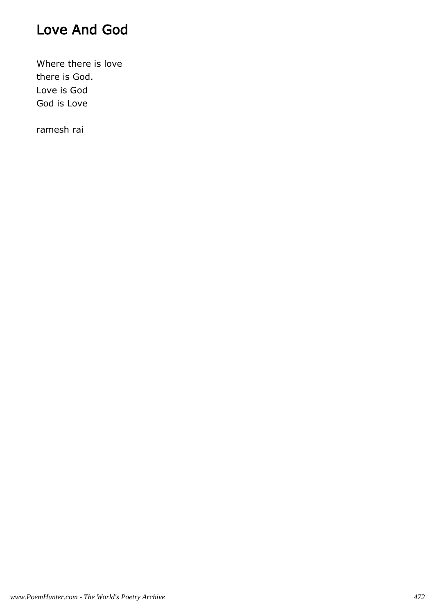# Love And God

Where there is love there is God. Love is God God is Love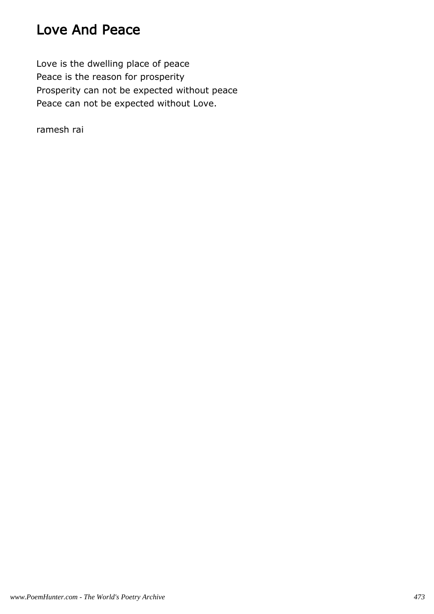# Love And Peace

Love is the dwelling place of peace Peace is the reason for prosperity Prosperity can not be expected without peace Peace can not be expected without Love.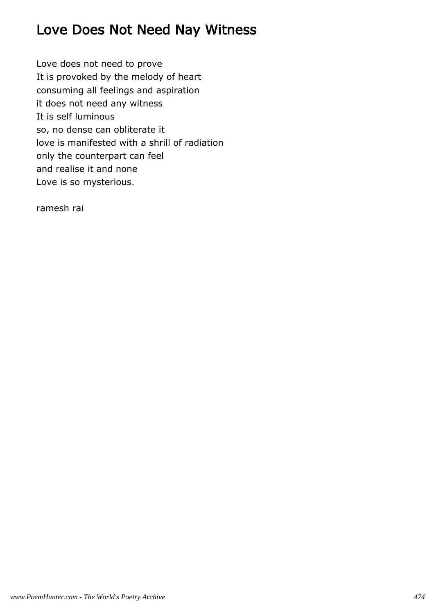# Love Does Not Need Nay Witness

Love does not need to prove It is provoked by the melody of heart consuming all feelings and aspiration it does not need any witness It is self luminous so, no dense can obliterate it love is manifested with a shrill of radiation only the counterpart can feel and realise it and none Love is so mysterious.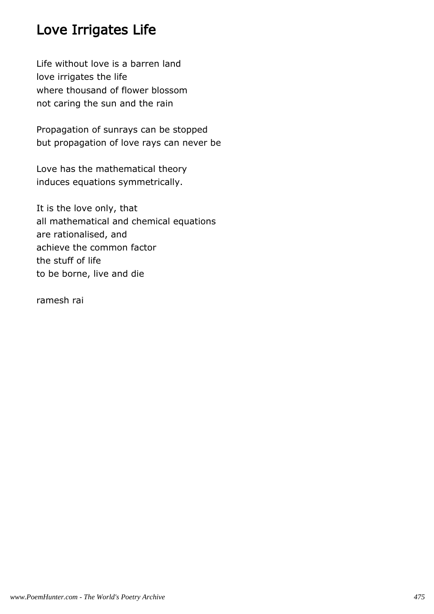# Love Irrigates Life

Life without love is a barren land love irrigates the life where thousand of flower blossom not caring the sun and the rain

Propagation of sunrays can be stopped but propagation of love rays can never be

Love has the mathematical theory induces equations symmetrically.

It is the love only, that all mathematical and chemical equations are rationalised, and achieve the common factor the stuff of life to be borne, live and die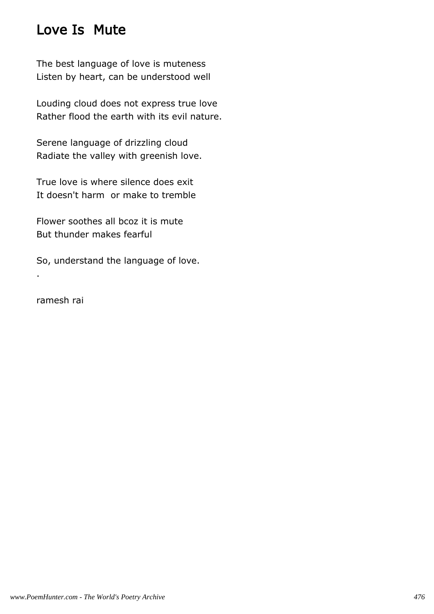# Love Is Mute

The best language of love is muteness Listen by heart, can be understood well

Louding cloud does not express true love Rather flood the earth with its evil nature.

Serene language of drizzling cloud Radiate the valley with greenish love.

True love is where silence does exit It doesn't harm or make to tremble

Flower soothes all bcoz it is mute But thunder makes fearful

So, understand the language of love.

ramesh rai

.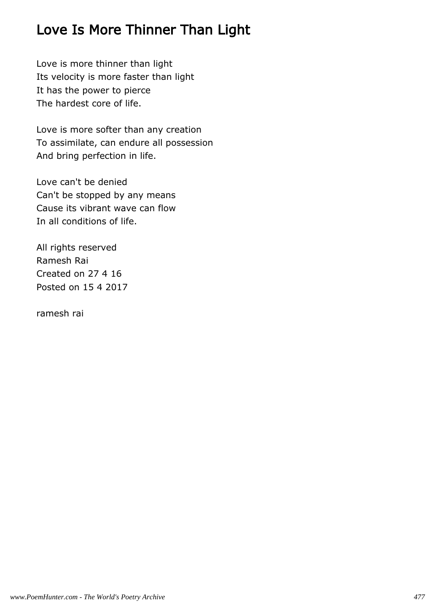# Love Is More Thinner Than Light

Love is more thinner than light Its velocity is more faster than light It has the power to pierce The hardest core of life.

Love is more softer than any creation To assimilate, can endure all possession And bring perfection in life.

Love can't be denied Can't be stopped by any means Cause its vibrant wave can flow In all conditions of life.

All rights reserved Ramesh Rai Created on 27 4 16 Posted on 15 4 2017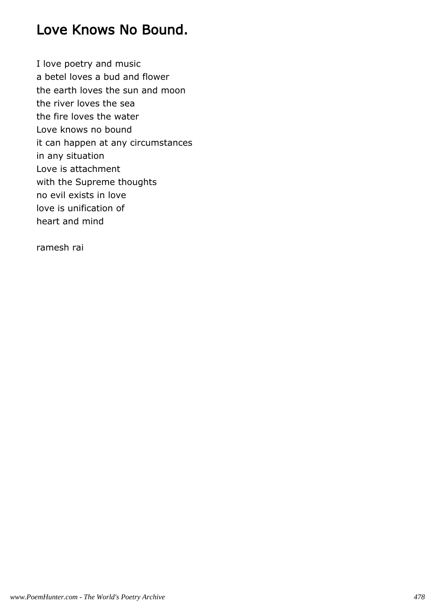# Love Knows No Bound.

I love poetry and music a betel loves a bud and flower the earth loves the sun and moon the river loves the sea the fire loves the water Love knows no bound it can happen at any circumstances in any situation Love is attachment with the Supreme thoughts no evil exists in love love is unification of heart and mind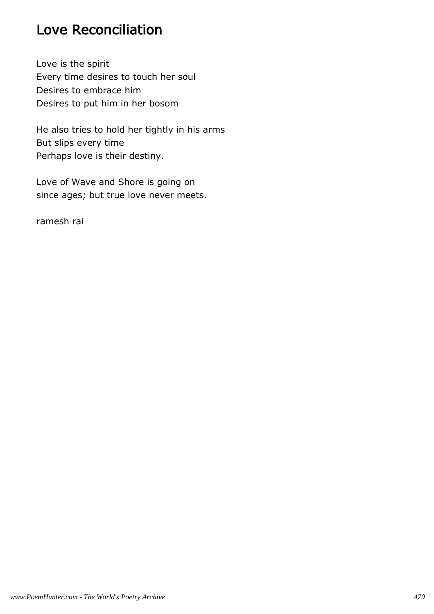# Love Reconciliation

Love is the spirit Every time desires to touch her soul Desires to embrace him Desires to put him in her bosom

He also tries to hold her tightly in his arms But slips every time Perhaps love is their destiny.

Love of Wave and Shore is going on since ages; but true love never meets.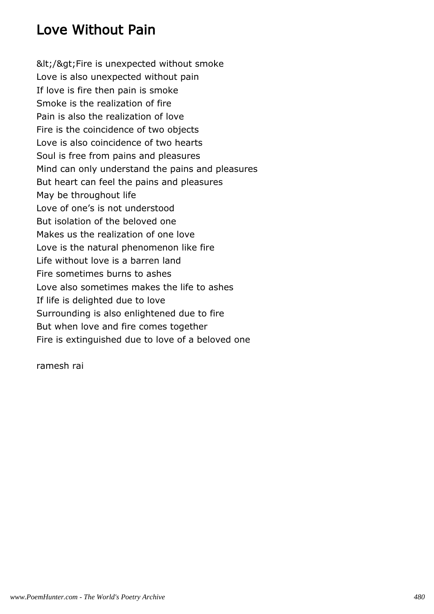# Love Without Pain

</&gt; Fire is unexpected without smoke Love is also unexpected without pain If love is fire then pain is smoke Smoke is the realization of fire Pain is also the realization of love Fire is the coincidence of two objects Love is also coincidence of two hearts Soul is free from pains and pleasures Mind can only understand the pains and pleasures But heart can feel the pains and pleasures May be throughout life Love of one's is not understood But isolation of the beloved one Makes us the realization of one love Love is the natural phenomenon like fire Life without love is a barren land Fire sometimes burns to ashes Love also sometimes makes the life to ashes If life is delighted due to love Surrounding is also enlightened due to fire But when love and fire comes together Fire is extinguished due to love of a beloved one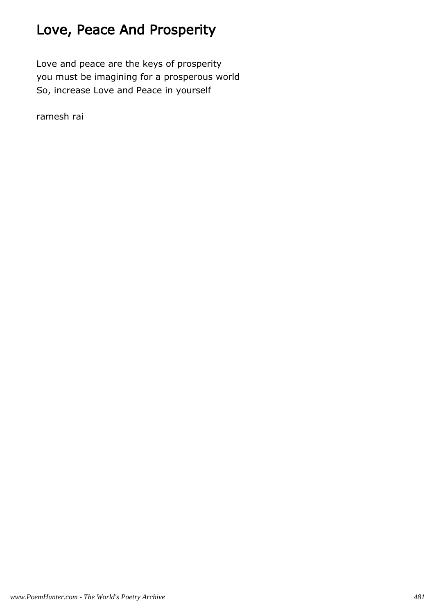# Love, Peace And Prosperity

Love and peace are the keys of prosperity you must be imagining for a prosperous world So, increase Love and Peace in yourself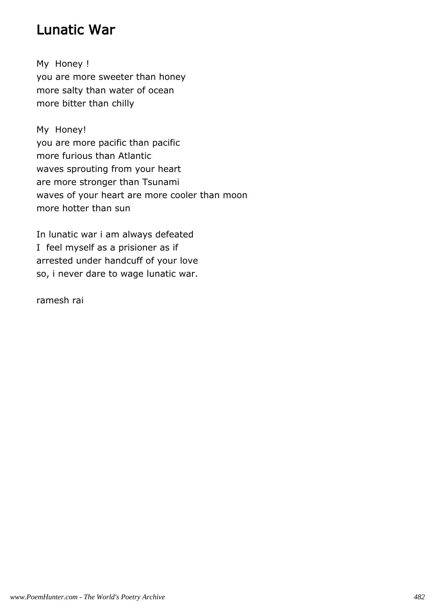#### Lunatic War

My Honey ! you are more sweeter than honey more salty than water of ocean more bitter than chilly

My Honey! you are more pacific than pacific more furious than Atlantic waves sprouting from your heart are more stronger than Tsunami waves of your heart are more cooler than moon more hotter than sun

In lunatic war i am always defeated I feel myself as a prisioner as if arrested under handcuff of your love so, i never dare to wage lunatic war.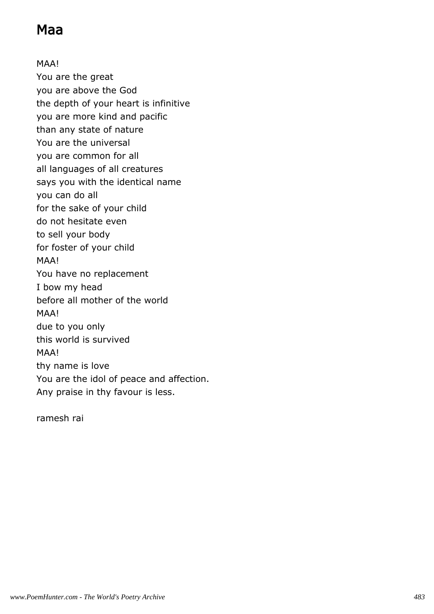# Maa

MAA! You are the great you are above the God the depth of your heart is infinitive you are more kind and pacific than any state of nature You are the universal you are common for all all languages of all creatures says you with the identical name you can do all for the sake of your child do not hesitate even to sell your body for foster of your child MAA! You have no replacement I bow my head before all mother of the world MAA! due to you only this world is survived MAA! thy name is love You are the idol of peace and affection. Any praise in thy favour is less.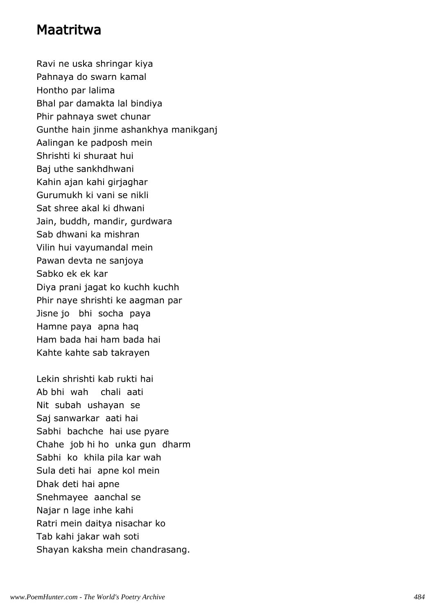#### Maatritwa

Ravi ne uska shringar kiya Pahnaya do swarn kamal Hontho par lalima Bhal par damakta lal bindiya Phir pahnaya swet chunar Gunthe hain jinme ashankhya manikganj Aalingan ke padposh mein Shrishti ki shuraat hui Baj uthe sankhdhwani Kahin ajan kahi girjaghar Gurumukh ki vani se nikli Sat shree akal ki dhwani Jain, buddh, mandir, gurdwara Sab dhwani ka mishran Vilin hui vayumandal mein Pawan devta ne sanjoya Sabko ek ek kar Diya prani jagat ko kuchh kuchh Phir naye shrishti ke aagman par Jisne jo bhi socha paya Hamne paya apna haq Ham bada hai ham bada hai Kahte kahte sab takrayen

Lekin shrishti kab rukti hai Ab bhi wah chali aati Nit subah ushayan se Saj sanwarkar aati hai Sabhi bachche hai use pyare Chahe job hi ho unka gun dharm Sabhi ko khila pila kar wah Sula deti hai apne kol mein Dhak deti hai apne Snehmayee aanchal se Najar n lage inhe kahi Ratri mein daitya nisachar ko Tab kahi jakar wah soti Shayan kaksha mein chandrasang.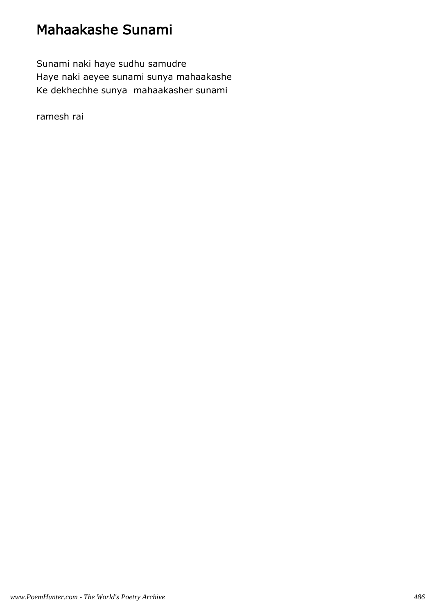# Mahaakashe Sunami

Sunami naki haye sudhu samudre Haye naki aeyee sunami sunya mahaakashe Ke dekhechhe sunya mahaakasher sunami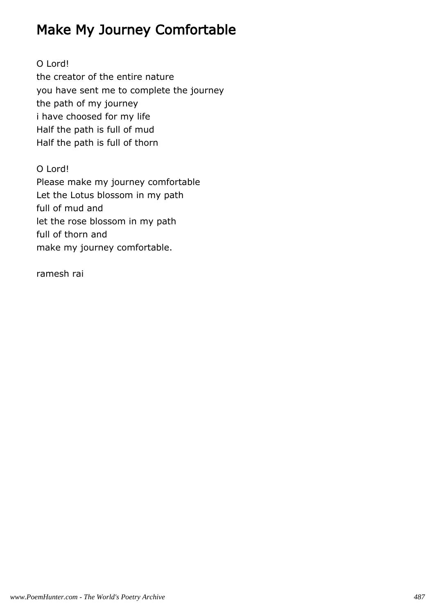# Make My Journey Comfortable

O Lord!

the creator of the entire nature you have sent me to complete the journey the path of my journey i have choosed for my life Half the path is full of mud Half the path is full of thorn

O Lord! Please make my journey comfortable Let the Lotus blossom in my path full of mud and let the rose blossom in my path full of thorn and make my journey comfortable.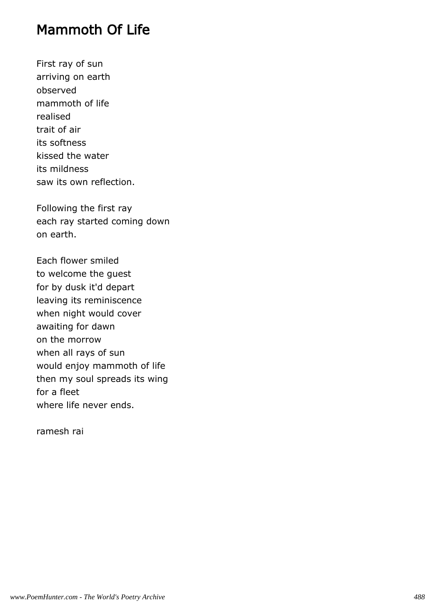#### Mammoth Of Life

First ray of sun arriving on earth observed mammoth of life realised trait of air its softness kissed the water its mildness saw its own reflection.

Following the first ray each ray started coming down on earth.

Each flower smiled to welcome the guest for by dusk it'd depart leaving its reminiscence when night would cover awaiting for dawn on the morrow when all rays of sun would enjoy mammoth of life then my soul spreads its wing for a fleet where life never ends.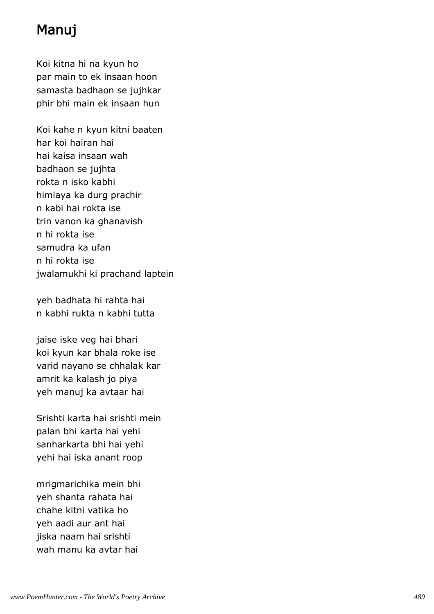# Manuj

Koi kitna hi na kyun ho par main to ek insaan hoon samasta badhaon se jujhkar phir bhi main ek insaan hun

Koi kahe n kyun kitni baaten har koi hairan hai hai kaisa insaan wah badhaon se jujhta rokta n isko kabhi himlaya ka durg prachir n kabi hai rokta ise trin vanon ka ghanavish n hi rokta ise samudra ka ufan n hi rokta ise jwalamukhi ki prachand laptein

yeh badhata hi rahta hai n kabhi rukta n kabhi tutta

jaise iske veg hai bhari koi kyun kar bhala roke ise varid nayano se chhalak kar amrit ka kalash jo piya yeh manuj ka avtaar hai

Srishti karta hai srishti mein palan bhi karta hai yehi sanharkarta bhi hai yehi yehi hai iska anant roop

mrigmarichika mein bhi yeh shanta rahata hai chahe kitni vatika ho yeh aadi aur ant hai jiska naam hai srishti wah manu ka avtar hai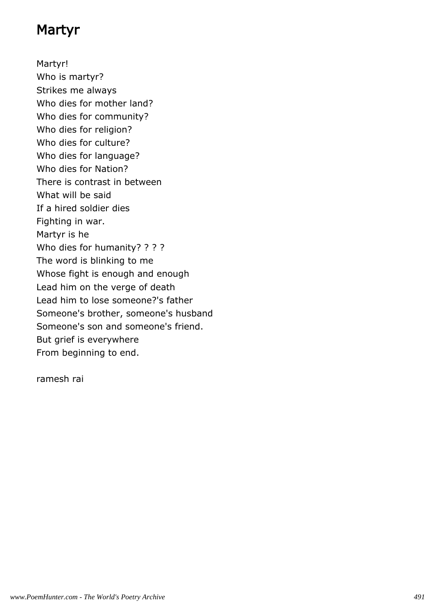#### Martyr

Martyr! Who is martyr? Strikes me always Who dies for mother land? Who dies for community? Who dies for religion? Who dies for culture? Who dies for language? Who dies for Nation? There is contrast in between What will be said If a hired soldier dies Fighting in war. Martyr is he Who dies for humanity? ? ? ? The word is blinking to me Whose fight is enough and enough Lead him on the verge of death Lead him to lose someone?'s father Someone's brother, someone's husband Someone's son and someone's friend. But grief is everywhere From beginning to end.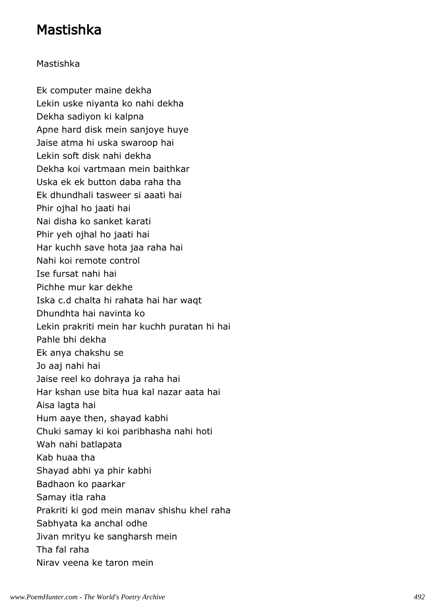# Mastishka

#### Mastishka

Ek computer maine dekha Lekin uske niyanta ko nahi dekha Dekha sadiyon ki kalpna Apne hard disk mein sanjoye huye Jaise atma hi uska swaroop hai Lekin soft disk nahi dekha Dekha koi vartmaan mein baithkar Uska ek ek button daba raha tha Ek dhundhali tasweer si aaati hai Phir ojhal ho jaati hai Nai disha ko sanket karati Phir yeh ojhal ho jaati hai Har kuchh save hota jaa raha hai Nahi koi remote control Ise fursat nahi hai Pichhe mur kar dekhe Iska c.d chalta hi rahata hai har waqt Dhundhta hai navinta ko Lekin prakriti mein har kuchh puratan hi hai Pahle bhi dekha Ek anya chakshu se Jo aaj nahi hai Jaise reel ko dohraya ja raha hai Har kshan use bita hua kal nazar aata hai Aisa lagta hai Hum aaye then, shayad kabhi Chuki samay ki koi paribhasha nahi hoti Wah nahi batlapata Kab huaa tha Shayad abhi ya phir kabhi Badhaon ko paarkar Samay itla raha Prakriti ki god mein manav shishu khel raha Sabhyata ka anchal odhe Jivan mrityu ke sangharsh mein Tha fal raha Nirav veena ke taron mein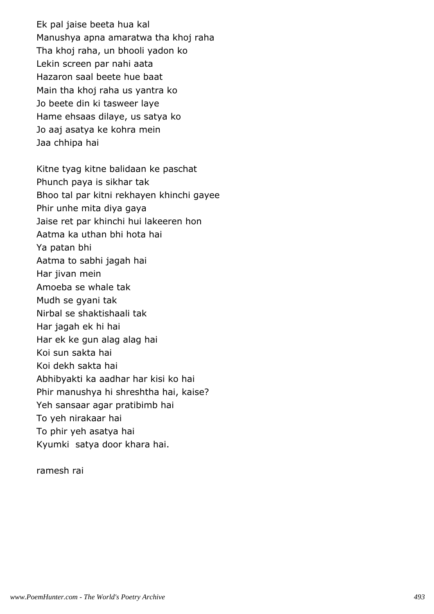Ek pal jaise beeta hua kal Manushya apna amaratwa tha khoj raha Tha khoj raha, un bhooli yadon ko Lekin screen par nahi aata Hazaron saal beete hue baat Main tha khoj raha us yantra ko Jo beete din ki tasweer laye Hame ehsaas dilaye, us satya ko Jo aaj asatya ke kohra mein Jaa chhipa hai

Kitne tyag kitne balidaan ke paschat Phunch paya is sikhar tak Bhoo tal par kitni rekhayen khinchi gayee Phir unhe mita diya gaya Jaise ret par khinchi hui lakeeren hon Aatma ka uthan bhi hota hai Ya patan bhi Aatma to sabhi jagah hai Har jivan mein Amoeba se whale tak Mudh se gyani tak Nirbal se shaktishaali tak Har jagah ek hi hai Har ek ke gun alag alag hai Koi sun sakta hai Koi dekh sakta hai Abhibyakti ka aadhar har kisi ko hai Phir manushya hi shreshtha hai, kaise? Yeh sansaar agar pratibimb hai To yeh nirakaar hai To phir yeh asatya hai Kyumki satya door khara hai.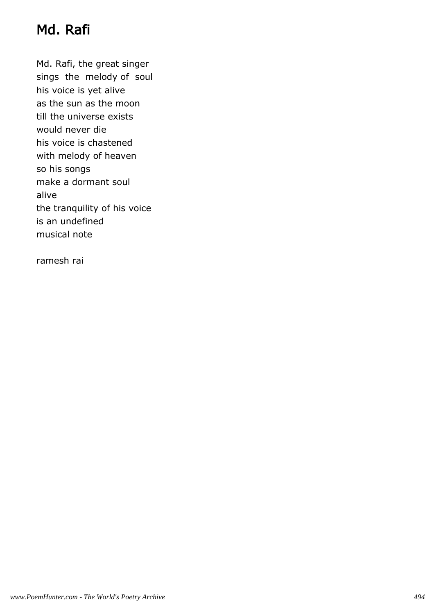# Md. Rafi

Md. Rafi, the great singer sings the melody of soul his voice is yet alive as the sun as the moon till the universe exists would never die his voice is chastened with melody of heaven so his songs make a dormant soul alive the tranquility of his voice is an undefined musical note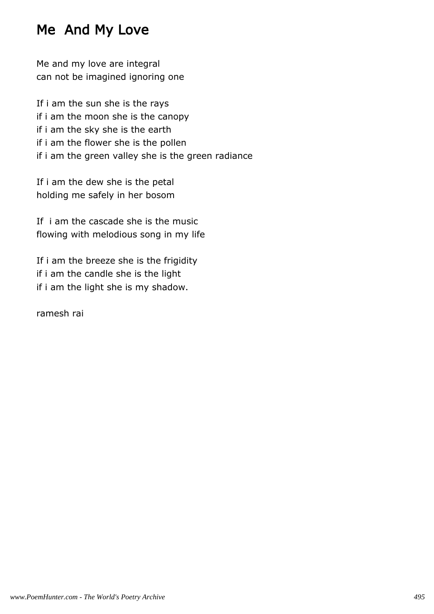#### Me And My Love

Me and my love are integral can not be imagined ignoring one

If i am the sun she is the rays if i am the moon she is the canopy if i am the sky she is the earth if i am the flower she is the pollen if i am the green valley she is the green radiance

If i am the dew she is the petal holding me safely in her bosom

If i am the cascade she is the music flowing with melodious song in my life

If i am the breeze she is the frigidity if i am the candle she is the light if i am the light she is my shadow.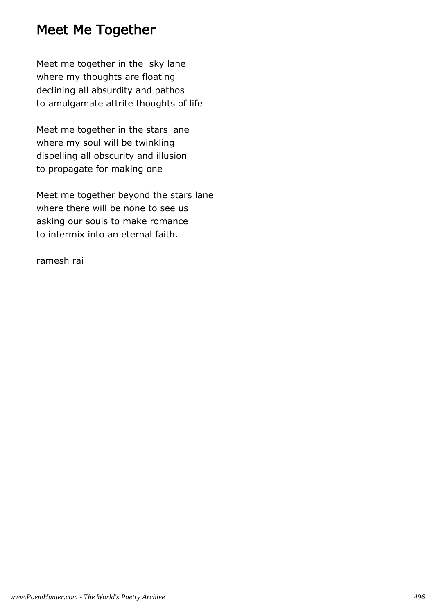#### Meet Me Together

Meet me together in the sky lane where my thoughts are floating declining all absurdity and pathos to amulgamate attrite thoughts of life

Meet me together in the stars lane where my soul will be twinkling dispelling all obscurity and illusion to propagate for making one

Meet me together beyond the stars lane where there will be none to see us asking our souls to make romance to intermix into an eternal faith.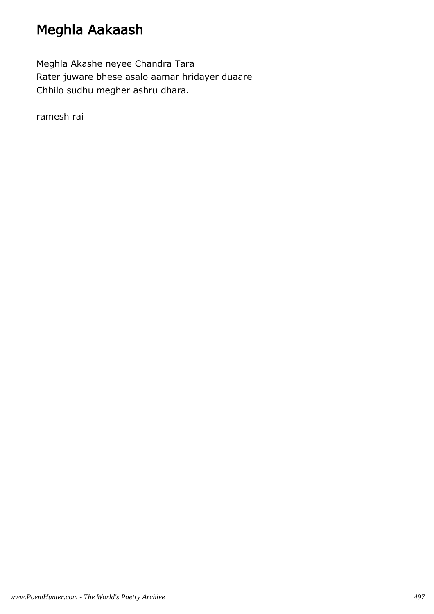# Meghla Aakaash

Meghla Akashe neyee Chandra Tara Rater juware bhese asalo aamar hridayer duaare Chhilo sudhu megher ashru dhara.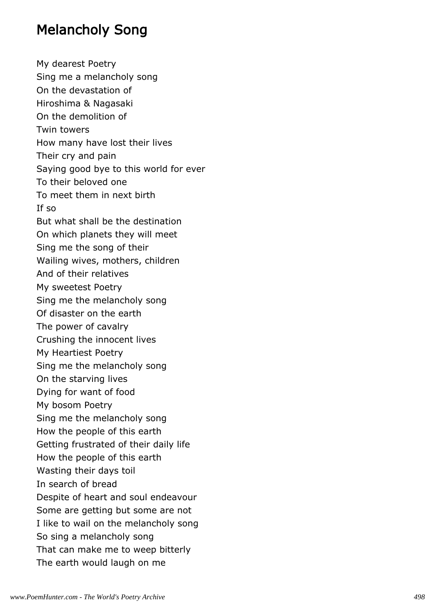### Melancholy Song

My dearest Poetry Sing me a melancholy song On the devastation of Hiroshima & Nagasaki On the demolition of Twin towers How many have lost their lives Their cry and pain Saying good bye to this world for ever To their beloved one To meet them in next birth If so But what shall be the destination On which planets they will meet Sing me the song of their Wailing wives, mothers, children And of their relatives My sweetest Poetry Sing me the melancholy song Of disaster on the earth The power of cavalry Crushing the innocent lives My Heartiest Poetry Sing me the melancholy song On the starving lives Dying for want of food My bosom Poetry Sing me the melancholy song How the people of this earth Getting frustrated of their daily life How the people of this earth Wasting their days toil In search of bread Despite of heart and soul endeavour Some are getting but some are not I like to wail on the melancholy song So sing a melancholy song That can make me to weep bitterly The earth would laugh on me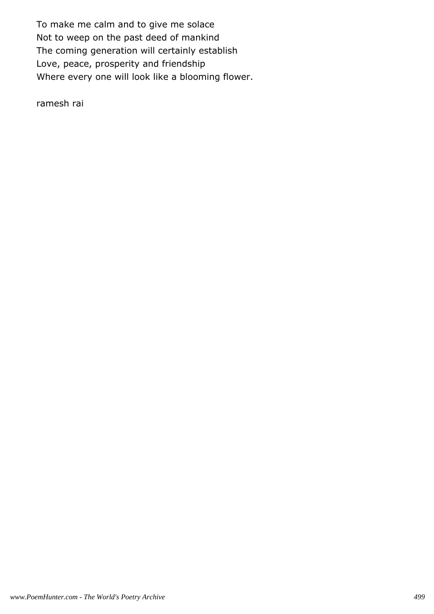To make me calm and to give me solace Not to weep on the past deed of mankind The coming generation will certainly establish Love, peace, prosperity and friendship Where every one will look like a blooming flower.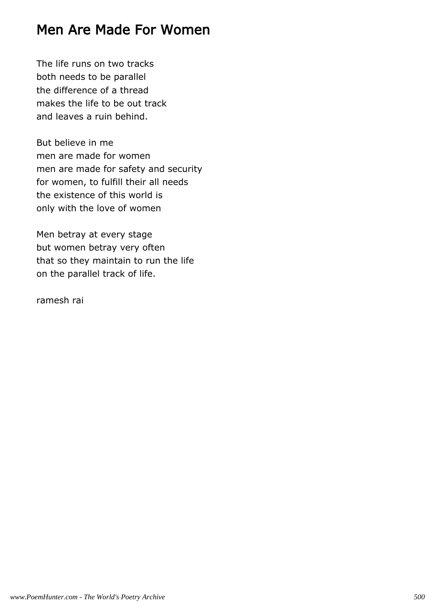#### Men Are Made For Women

The life runs on two tracks both needs to be parallel the difference of a thread makes the life to be out track and leaves a ruin behind.

But believe in me men are made for women men are made for safety and security for women, to fulfill their all needs the existence of this world is only with the love of women

Men betray at every stage but women betray very often that so they maintain to run the life on the parallel track of life.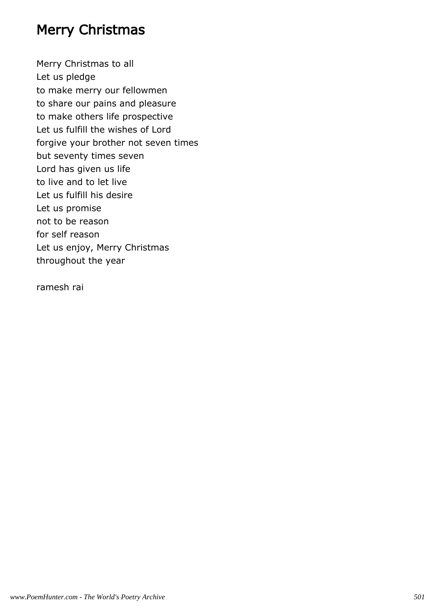#### Merry Christmas

Merry Christmas to all Let us pledge to make merry our fellowmen to share our pains and pleasure to make others life prospective Let us fulfill the wishes of Lord forgive your brother not seven times but seventy times seven Lord has given us life to live and to let live Let us fulfill his desire Let us promise not to be reason for self reason Let us enjoy, Merry Christmas throughout the year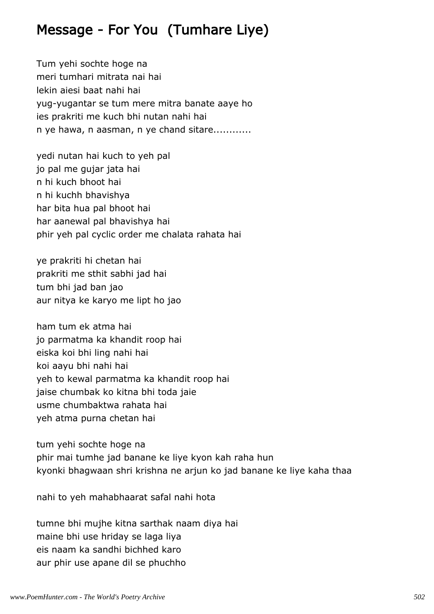# Message - For You (Tumhare Liye)

Tum yehi sochte hoge na meri tumhari mitrata nai hai lekin aiesi baat nahi hai yug-yugantar se tum mere mitra banate aaye ho ies prakriti me kuch bhi nutan nahi hai n ye hawa, n aasman, n ye chand sitare............

yedi nutan hai kuch to yeh pal jo pal me gujar jata hai n hi kuch bhoot hai n hi kuchh bhavishya har bita hua pal bhoot hai har aanewal pal bhavishya hai phir yeh pal cyclic order me chalata rahata hai

ye prakriti hi chetan hai prakriti me sthit sabhi jad hai tum bhi jad ban jao aur nitya ke karyo me lipt ho jao

ham tum ek atma hai jo parmatma ka khandit roop hai eiska koi bhi ling nahi hai koi aayu bhi nahi hai yeh to kewal parmatma ka khandit roop hai jaise chumbak ko kitna bhi toda jaie usme chumbaktwa rahata hai yeh atma purna chetan hai

tum yehi sochte hoge na phir mai tumhe jad banane ke liye kyon kah raha hun kyonki bhagwaan shri krishna ne arjun ko jad banane ke liye kaha thaa

nahi to yeh mahabhaarat safal nahi hota

tumne bhi mujhe kitna sarthak naam diya hai maine bhi use hriday se laga liya eis naam ka sandhi bichhed karo aur phir use apane dil se phuchho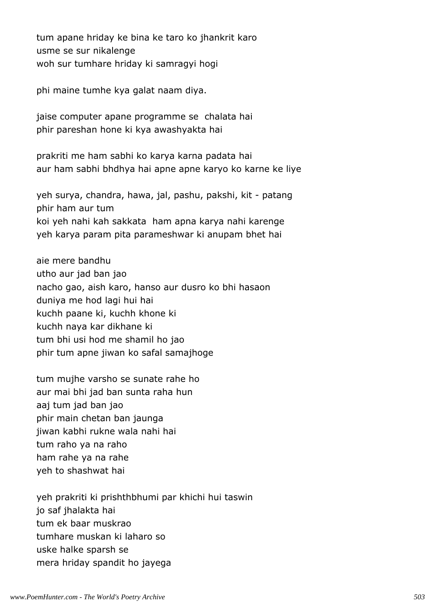tum apane hriday ke bina ke taro ko jhankrit karo usme se sur nikalenge woh sur tumhare hriday ki samragyi hogi

phi maine tumhe kya galat naam diya.

jaise computer apane programme se chalata hai phir pareshan hone ki kya awashyakta hai

prakriti me ham sabhi ko karya karna padata hai aur ham sabhi bhdhya hai apne apne karyo ko karne ke liye

yeh surya, chandra, hawa, jal, pashu, pakshi, kit - patang phir ham aur tum koi yeh nahi kah sakkata ham apna karya nahi karenge yeh karya param pita parameshwar ki anupam bhet hai

aie mere bandhu utho aur jad ban jao nacho gao, aish karo, hanso aur dusro ko bhi hasaon duniya me hod lagi hui hai kuchh paane ki, kuchh khone ki kuchh naya kar dikhane ki tum bhi usi hod me shamil ho jao phir tum apne jiwan ko safal samajhoge

tum mujhe varsho se sunate rahe ho aur mai bhi jad ban sunta raha hun aaj tum jad ban jao phir main chetan ban jaunga jiwan kabhi rukne wala nahi hai tum raho ya na raho ham rahe ya na rahe yeh to shashwat hai

yeh prakriti ki prishthbhumi par khichi hui taswin jo saf jhalakta hai tum ek baar muskrao tumhare muskan ki laharo so uske halke sparsh se mera hriday spandit ho jayega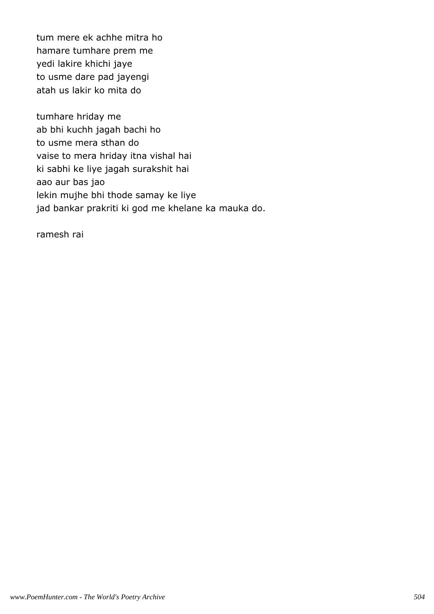tum mere ek achhe mitra ho hamare tumhare prem me yedi lakire khichi jaye to usme dare pad jayengi atah us lakir ko mita do

tumhare hriday me ab bhi kuchh jagah bachi ho to usme mera sthan do vaise to mera hriday itna vishal hai ki sabhi ke liye jagah surakshit hai aao aur bas jao lekin mujhe bhi thode samay ke liye jad bankar prakriti ki god me khelane ka mauka do.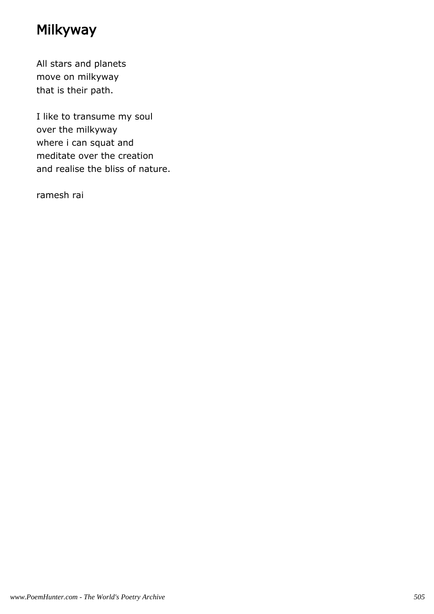## Milkyway

All stars and planets move on milkyway that is their path.

I like to transume my soul over the milkyway where i can squat and meditate over the creation and realise the bliss of nature.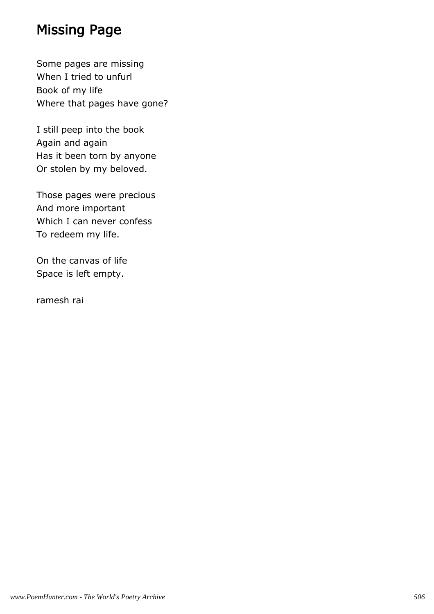### Missing Page

Some pages are missing When I tried to unfurl Book of my life Where that pages have gone?

I still peep into the book Again and again Has it been torn by anyone Or stolen by my beloved.

Those pages were precious And more important Which I can never confess To redeem my life.

On the canvas of life Space is left empty.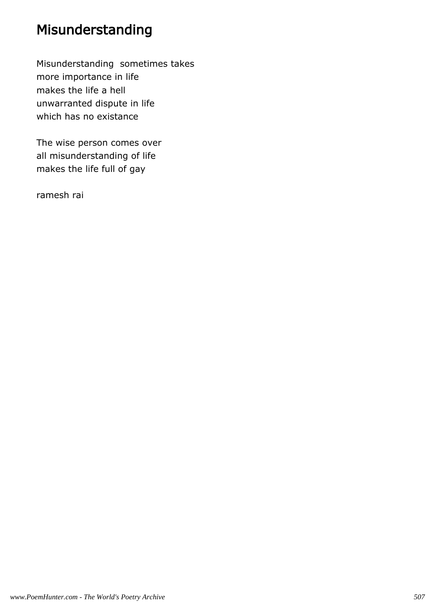# Misunderstanding

Misunderstanding sometimes takes more importance in life makes the life a hell unwarranted dispute in life which has no existance

The wise person comes over all misunderstanding of life makes the life full of gay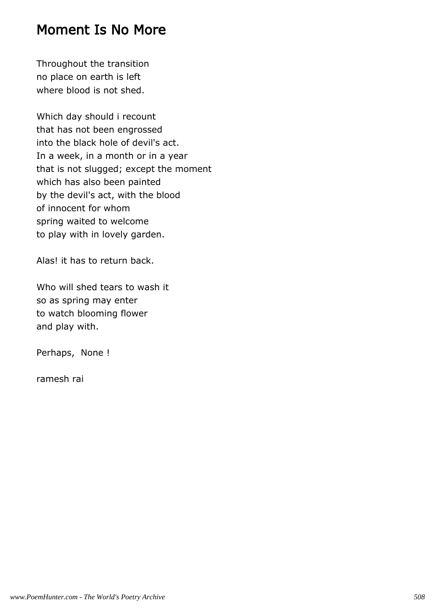#### Moment Is No More

Throughout the transition no place on earth is left where blood is not shed.

Which day should i recount that has not been engrossed into the black hole of devil's act. In a week, in a month or in a year that is not slugged; except the moment which has also been painted by the devil's act, with the blood of innocent for whom spring waited to welcome to play with in lovely garden.

Alas! it has to return back.

Who will shed tears to wash it so as spring may enter to watch blooming flower and play with.

Perhaps, None !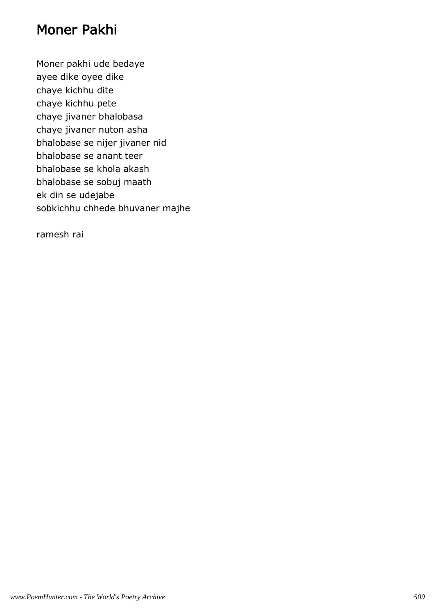#### Moner Pakhi

Moner pakhi ude bedaye ayee dike oyee dike chaye kichhu dite chaye kichhu pete chaye jivaner bhalobasa chaye jivaner nuton asha bhalobase se nijer jivaner nid bhalobase se anant teer bhalobase se khola akash bhalobase se sobuj maath ek din se udejabe sobkichhu chhede bhuvaner majhe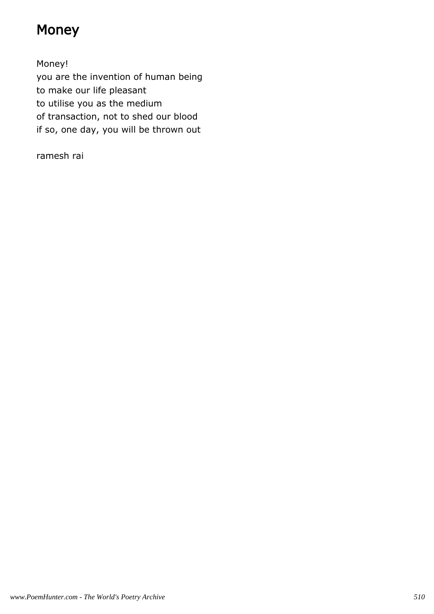## Money

Money!

you are the invention of human being to make our life pleasant to utilise you as the medium of transaction, not to shed our blood if so, one day, you will be thrown out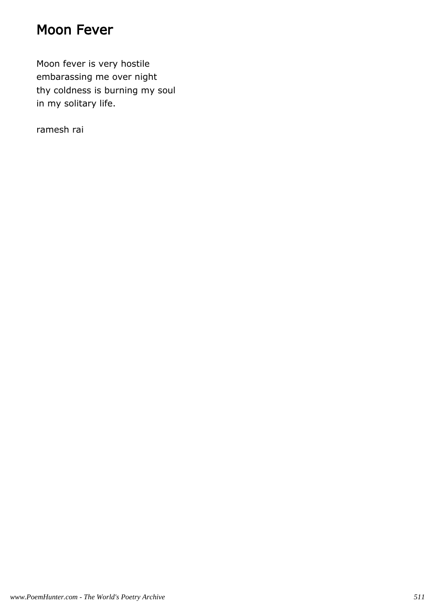#### Moon Fever

Moon fever is very hostile embarassing me over night thy coldness is burning my soul in my solitary life.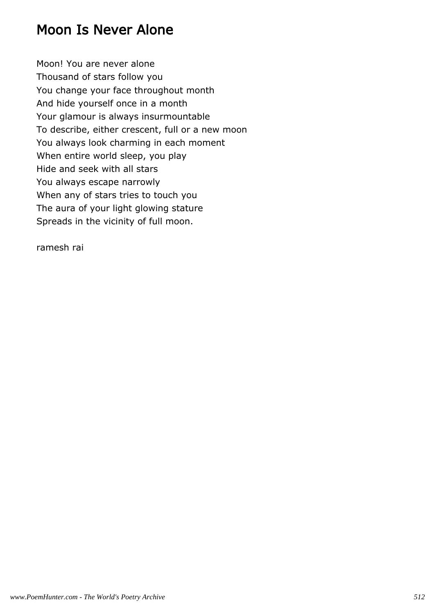#### Moon Is Never Alone

Moon! You are never alone Thousand of stars follow you You change your face throughout month And hide yourself once in a month Your glamour is always insurmountable To describe, either crescent, full or a new moon You always look charming in each moment When entire world sleep, you play Hide and seek with all stars You always escape narrowly When any of stars tries to touch you The aura of your light glowing stature Spreads in the vicinity of full moon.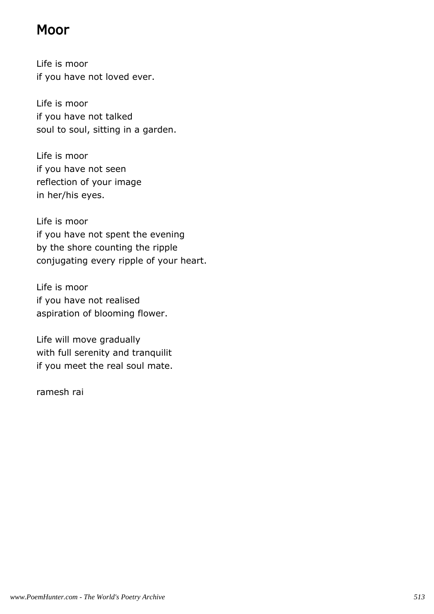#### Moor

Life is moor if you have not loved ever.

Life is moor if you have not talked soul to soul, sitting in a garden.

Life is moor if you have not seen reflection of your image in her/his eyes.

Life is moor if you have not spent the evening by the shore counting the ripple conjugating every ripple of your heart.

Life is moor if you have not realised aspiration of blooming flower.

Life will move gradually with full serenity and tranquilit if you meet the real soul mate.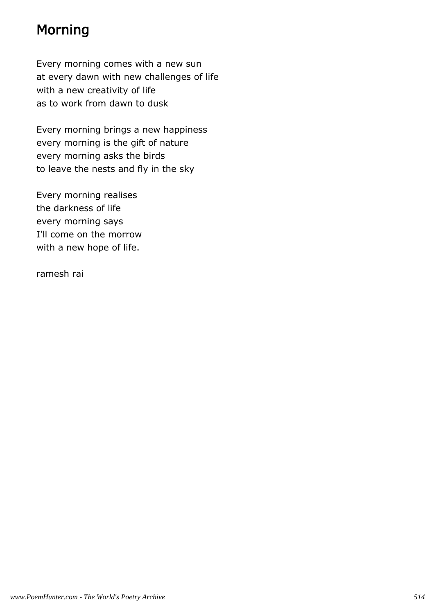# Morning

Every morning comes with a new sun at every dawn with new challenges of life with a new creativity of life as to work from dawn to dusk

Every morning brings a new happiness every morning is the gift of nature every morning asks the birds to leave the nests and fly in the sky

Every morning realises the darkness of life every morning says I'll come on the morrow with a new hope of life.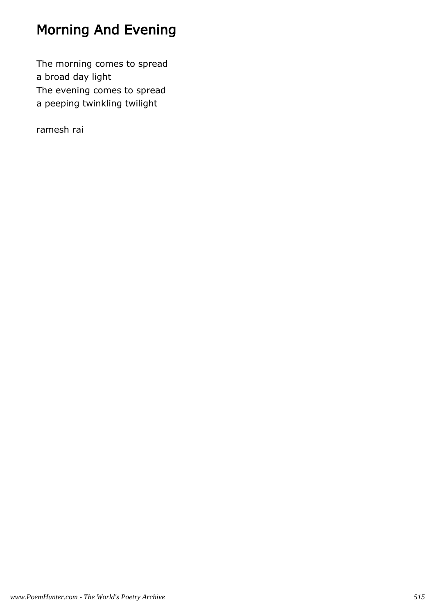# Morning And Evening

The morning comes to spread a broad day light The evening comes to spread a peeping twinkling twilight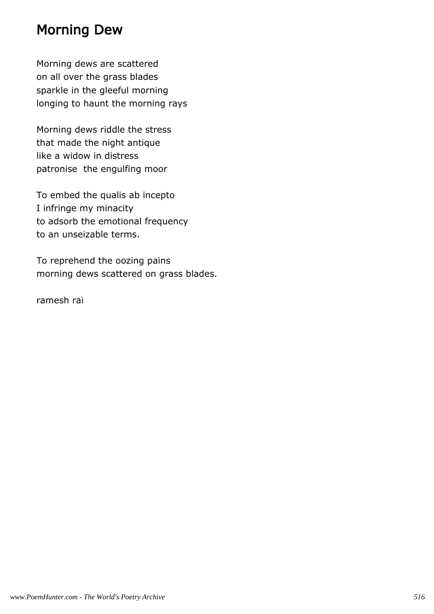#### Morning Dew

Morning dews are scattered on all over the grass blades sparkle in the gleeful morning longing to haunt the morning rays

Morning dews riddle the stress that made the night antique like a widow in distress patronise the engulfing moor

To embed the qualis ab incepto I infringe my minacity to adsorb the emotional frequency to an unseizable terms.

To reprehend the oozing pains morning dews scattered on grass blades.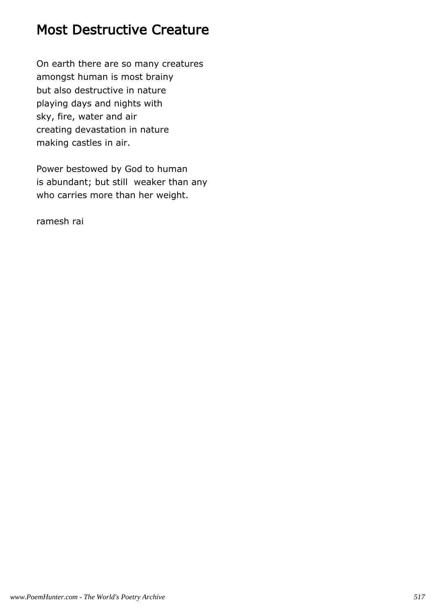## Most Destructive Creature

On earth there are so many creatures amongst human is most brainy but also destructive in nature playing days and nights with sky, fire, water and air creating devastation in nature making castles in air.

Power bestowed by God to human is abundant; but still weaker than any who carries more than her weight.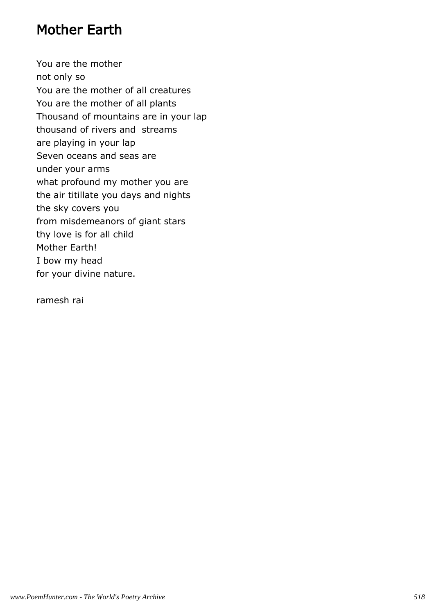#### Mother Earth

You are the mother not only so You are the mother of all creatures You are the mother of all plants Thousand of mountains are in your lap thousand of rivers and streams are playing in your lap Seven oceans and seas are under your arms what profound my mother you are the air titillate you days and nights the sky covers you from misdemeanors of giant stars thy love is for all child Mother Earth! I bow my head for your divine nature.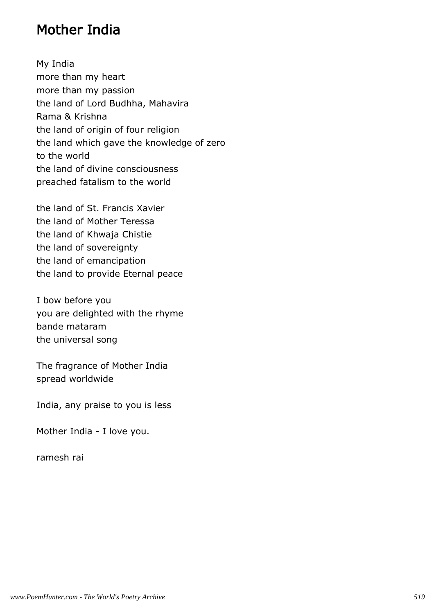#### Mother India

My India more than my heart more than my passion the land of Lord Budhha, Mahavira Rama & Krishna the land of origin of four religion the land which gave the knowledge of zero to the world the land of divine consciousness preached fatalism to the world

the land of St. Francis Xavier the land of Mother Teressa the land of Khwaja Chistie the land of sovereignty the land of emancipation the land to provide Eternal peace

I bow before you you are delighted with the rhyme bande mataram the universal song

The fragrance of Mother India spread worldwide

India, any praise to you is less

Mother India - I love you.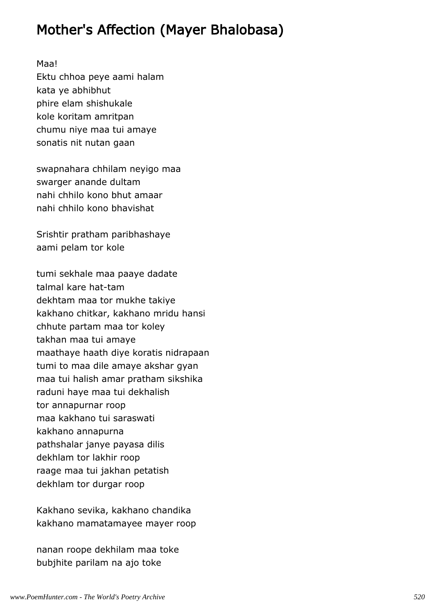## Mother's Affection (Mayer Bhalobasa)

Maa!

Ektu chhoa peye aami halam kata ye abhibhut phire elam shishukale kole koritam amritpan chumu niye maa tui amaye sonatis nit nutan gaan

swapnahara chhilam neyigo maa swarger anande dultam nahi chhilo kono bhut amaar nahi chhilo kono bhavishat

Srishtir pratham paribhashaye aami pelam tor kole

tumi sekhale maa paaye dadate talmal kare hat-tam dekhtam maa tor mukhe takiye kakhano chitkar, kakhano mridu hansi chhute partam maa tor koley takhan maa tui amaye maathaye haath diye koratis nidrapaan tumi to maa dile amaye akshar gyan maa tui halish amar pratham sikshika raduni haye maa tui dekhalish tor annapurnar roop maa kakhano tui saraswati kakhano annapurna pathshalar janye payasa dilis dekhlam tor lakhir roop raage maa tui jakhan petatish dekhlam tor durgar roop

Kakhano sevika, kakhano chandika kakhano mamatamayee mayer roop

nanan roope dekhilam maa toke bubjhite parilam na ajo toke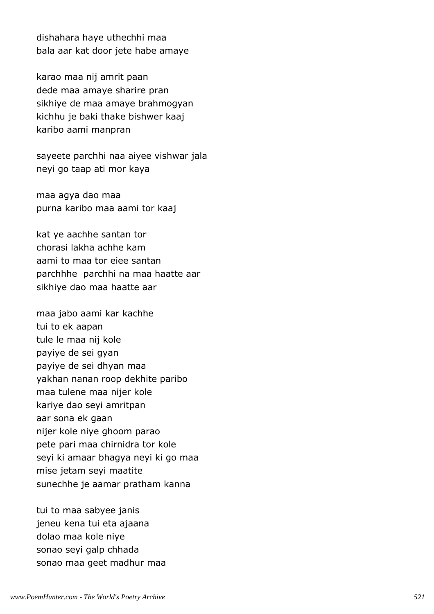dishahara haye uthechhi maa bala aar kat door jete habe amaye

karao maa nij amrit paan dede maa amaye sharire pran sikhiye de maa amaye brahmogyan kichhu je baki thake bishwer kaaj karibo aami manpran

sayeete parchhi naa aiyee vishwar jala neyi go taap ati mor kaya

maa agya dao maa purna karibo maa aami tor kaaj

kat ye aachhe santan tor chorasi lakha achhe kam aami to maa tor eiee santan parchhhe parchhi na maa haatte aar sikhiye dao maa haatte aar

maa jabo aami kar kachhe tui to ek aapan tule le maa nij kole payiye de sei gyan payiye de sei dhyan maa yakhan nanan roop dekhite paribo maa tulene maa nijer kole kariye dao seyi amritpan aar sona ek gaan nijer kole niye ghoom parao pete pari maa chirnidra tor kole seyi ki amaar bhagya neyi ki go maa mise jetam seyi maatite sunechhe je aamar pratham kanna

tui to maa sabyee janis jeneu kena tui eta ajaana dolao maa kole niye sonao seyi galp chhada sonao maa geet madhur maa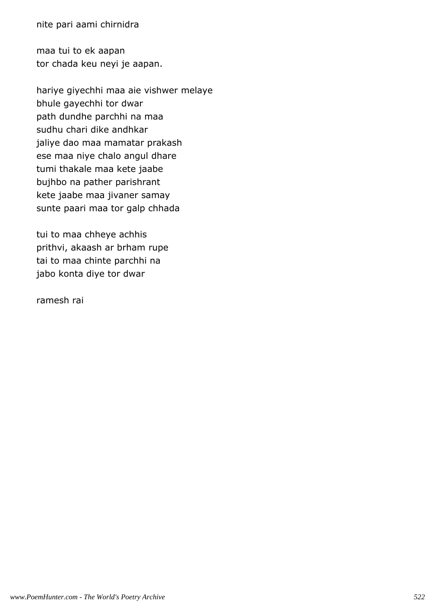nite pari aami chirnidra

maa tui to ek aapan tor chada keu neyi je aapan.

hariye giyechhi maa aie vishwer melaye bhule gayechhi tor dwar path dundhe parchhi na maa sudhu chari dike andhkar jaliye dao maa mamatar prakash ese maa niye chalo angul dhare tumi thakale maa kete jaabe bujhbo na pather parishrant kete jaabe maa jivaner samay sunte paari maa tor galp chhada

tui to maa chheye achhis prithvi, akaash ar brham rupe tai to maa chinte parchhi na jabo konta diye tor dwar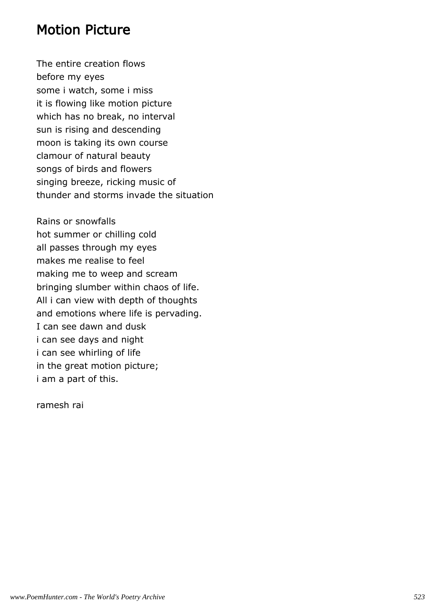#### Motion Picture

The entire creation flows before my eyes some i watch, some i miss it is flowing like motion picture which has no break, no interval sun is rising and descending moon is taking its own course clamour of natural beauty songs of birds and flowers singing breeze, ricking music of thunder and storms invade the situation

Rains or snowfalls hot summer or chilling cold all passes through my eyes makes me realise to feel making me to weep and scream bringing slumber within chaos of life. All i can view with depth of thoughts and emotions where life is pervading. I can see dawn and dusk i can see days and night i can see whirling of life in the great motion picture; i am a part of this.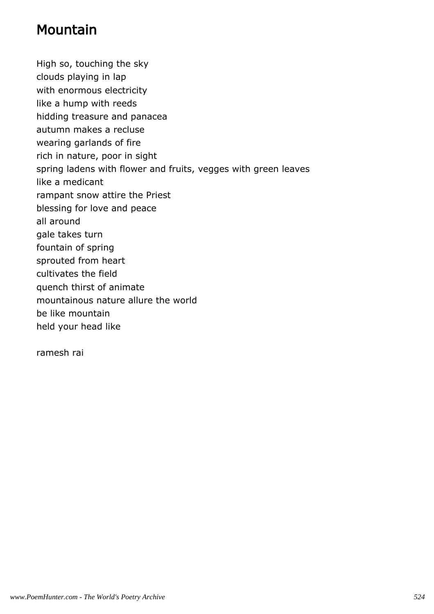## Mountain

High so, touching the sky clouds playing in lap with enormous electricity like a hump with reeds hidding treasure and panacea autumn makes a recluse wearing garlands of fire rich in nature, poor in sight spring ladens with flower and fruits, vegges with green leaves like a medicant rampant snow attire the Priest blessing for love and peace all around gale takes turn fountain of spring sprouted from heart cultivates the field quench thirst of animate mountainous nature allure the world be like mountain held your head like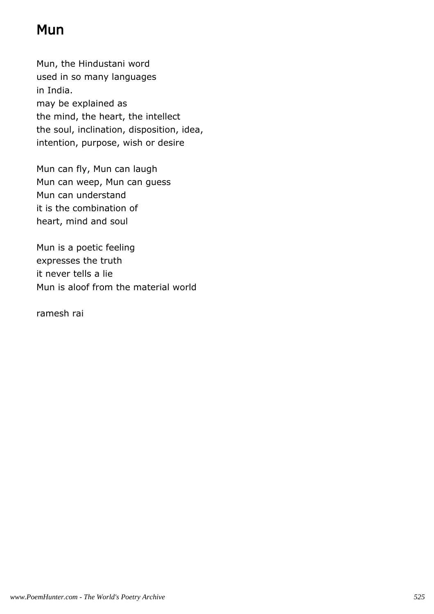# Mun

Mun, the Hindustani word used in so many languages in India. may be explained as the mind, the heart, the intellect the soul, inclination, disposition, idea, intention, purpose, wish or desire

Mun can fly, Mun can laugh Mun can weep, Mun can guess Mun can understand it is the combination of heart, mind and soul

Mun is a poetic feeling expresses the truth it never tells a lie Mun is aloof from the material world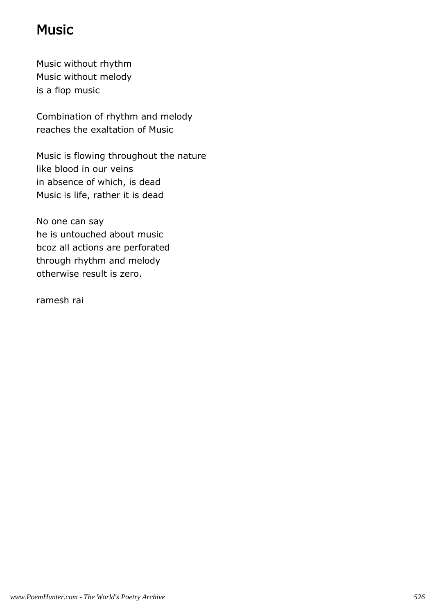# Music

Music without rhythm Music without melody is a flop music

Combination of rhythm and melody reaches the exaltation of Music

Music is flowing throughout the nature like blood in our veins in absence of which, is dead Music is life, rather it is dead

No one can say he is untouched about music bcoz all actions are perforated through rhythm and melody otherwise result is zero.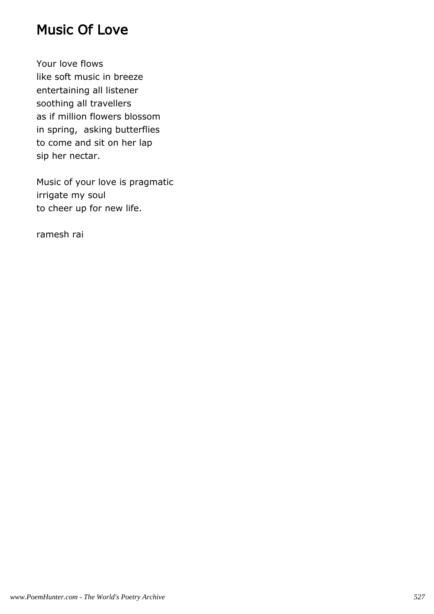## Music Of Love

Your love flows like soft music in breeze entertaining all listener soothing all travellers as if million flowers blossom in spring, asking butterflies to come and sit on her lap sip her nectar.

Music of your love is pragmatic irrigate my soul to cheer up for new life.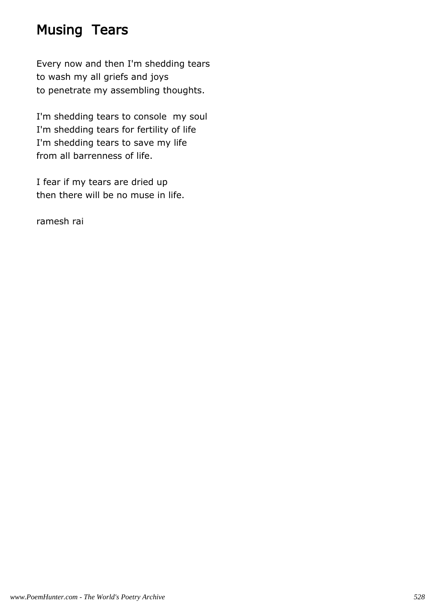## Musing Tears

Every now and then I'm shedding tears to wash my all griefs and joys to penetrate my assembling thoughts.

I'm shedding tears to console my soul I'm shedding tears for fertility of life I'm shedding tears to save my life from all barrenness of life.

I fear if my tears are dried up then there will be no muse in life.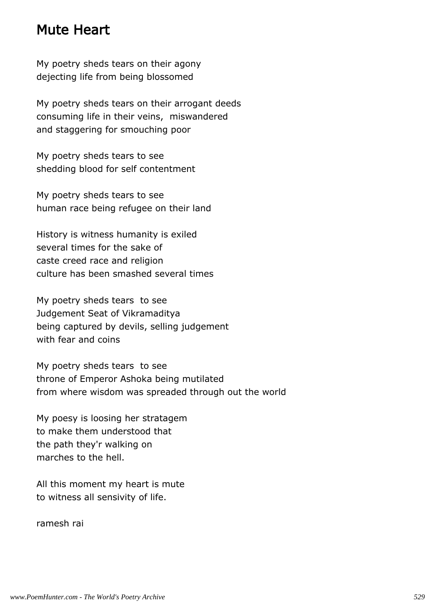#### Mute Heart

My poetry sheds tears on their agony dejecting life from being blossomed

My poetry sheds tears on their arrogant deeds consuming life in their veins, miswandered and staggering for smouching poor

My poetry sheds tears to see shedding blood for self contentment

My poetry sheds tears to see human race being refugee on their land

History is witness humanity is exiled several times for the sake of caste creed race and religion culture has been smashed several times

My poetry sheds tears to see Judgement Seat of Vikramaditya being captured by devils, selling judgement with fear and coins

My poetry sheds tears to see throne of Emperor Ashoka being mutilated from where wisdom was spreaded through out the world

My poesy is loosing her stratagem to make them understood that the path they'r walking on marches to the hell.

All this moment my heart is mute to witness all sensivity of life.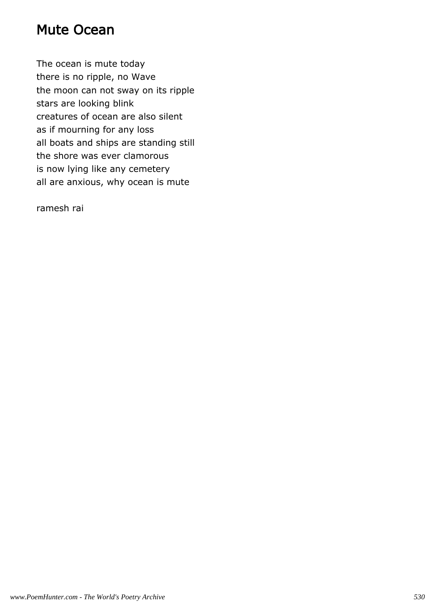#### Mute Ocean

The ocean is mute today there is no ripple, no Wave the moon can not sway on its ripple stars are looking blink creatures of ocean are also silent as if mourning for any loss all boats and ships are standing still the shore was ever clamorous is now lying like any cemetery all are anxious, why ocean is mute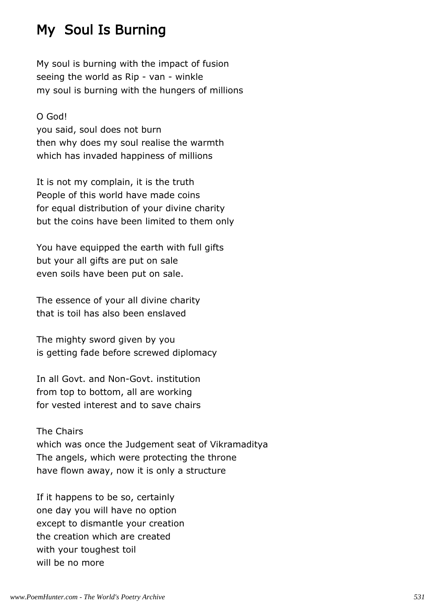# My Soul Is Burning

My soul is burning with the impact of fusion seeing the world as Rip - van - winkle my soul is burning with the hungers of millions

#### O God!

you said, soul does not burn then why does my soul realise the warmth which has invaded happiness of millions

It is not my complain, it is the truth People of this world have made coins for equal distribution of your divine charity but the coins have been limited to them only

You have equipped the earth with full gifts but your all gifts are put on sale even soils have been put on sale.

The essence of your all divine charity that is toil has also been enslaved

The mighty sword given by you is getting fade before screwed diplomacy

In all Govt. and Non-Govt. institution from top to bottom, all are working for vested interest and to save chairs

#### The Chairs

which was once the Judgement seat of Vikramaditya The angels, which were protecting the throne have flown away, now it is only a structure

If it happens to be so, certainly one day you will have no option except to dismantle your creation the creation which are created with your toughest toil will be no more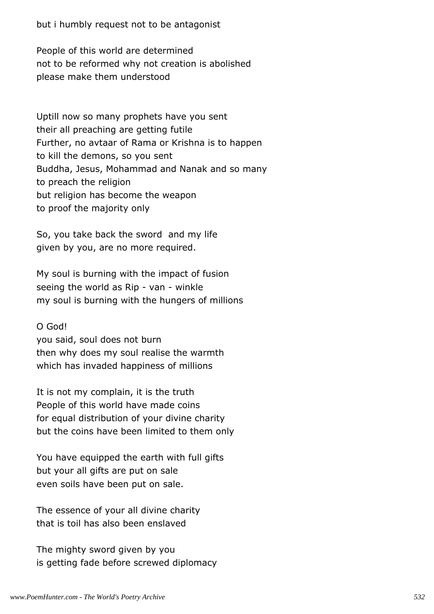but i humbly request not to be antagonist

People of this world are determined not to be reformed why not creation is abolished please make them understood

Uptill now so many prophets have you sent their all preaching are getting futile Further, no avtaar of Rama or Krishna is to happen to kill the demons, so you sent Buddha, Jesus, Mohammad and Nanak and so many to preach the religion but religion has become the weapon to proof the majority only

So, you take back the sword and my life given by you, are no more required.

My soul is burning with the impact of fusion seeing the world as Rip - van - winkle my soul is burning with the hungers of millions

O God!

you said, soul does not burn then why does my soul realise the warmth which has invaded happiness of millions

It is not my complain, it is the truth People of this world have made coins for equal distribution of your divine charity but the coins have been limited to them only

You have equipped the earth with full gifts but your all gifts are put on sale even soils have been put on sale.

The essence of your all divine charity that is toil has also been enslaved

The mighty sword given by you is getting fade before screwed diplomacy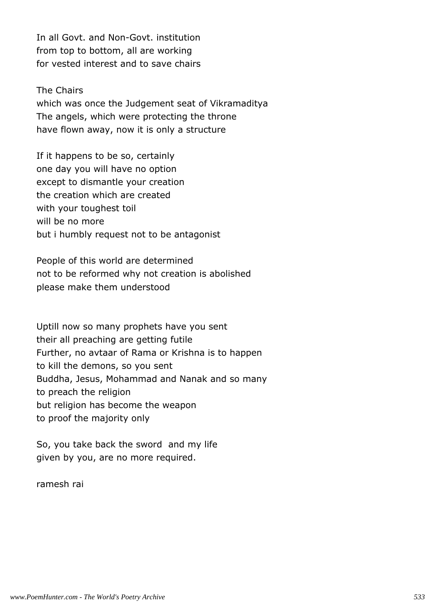In all Govt. and Non-Govt. institution from top to bottom, all are working for vested interest and to save chairs

The Chairs which was once the Judgement seat of Vikramaditya The angels, which were protecting the throne have flown away, now it is only a structure

If it happens to be so, certainly one day you will have no option except to dismantle your creation the creation which are created with your toughest toil will be no more but i humbly request not to be antagonist

People of this world are determined not to be reformed why not creation is abolished please make them understood

Uptill now so many prophets have you sent their all preaching are getting futile Further, no avtaar of Rama or Krishna is to happen to kill the demons, so you sent Buddha, Jesus, Mohammad and Nanak and so many to preach the religion but religion has become the weapon to proof the majority only

So, you take back the sword and my life given by you, are no more required.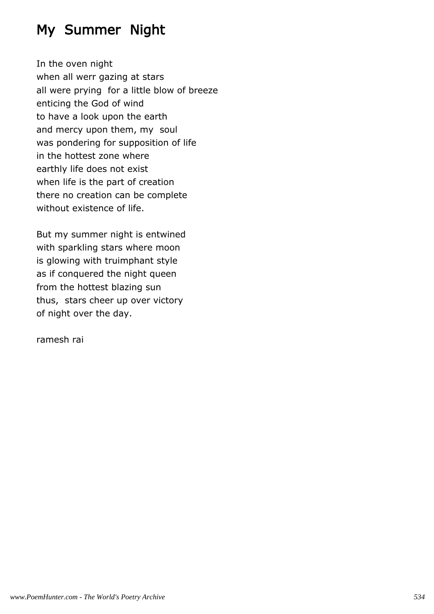## My Summer Night

In the oven night when all werr gazing at stars all were prying for a little blow of breeze enticing the God of wind to have a look upon the earth and mercy upon them, my soul was pondering for supposition of life in the hottest zone where earthly life does not exist when life is the part of creation there no creation can be complete without existence of life.

But my summer night is entwined with sparkling stars where moon is glowing with truimphant style as if conquered the night queen from the hottest blazing sun thus, stars cheer up over victory of night over the day.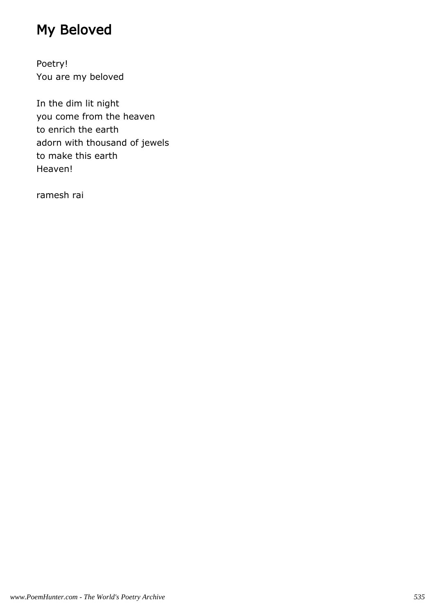# My Beloved

Poetry! You are my beloved

In the dim lit night you come from the heaven to enrich the earth adorn with thousand of jewels to make this earth Heaven!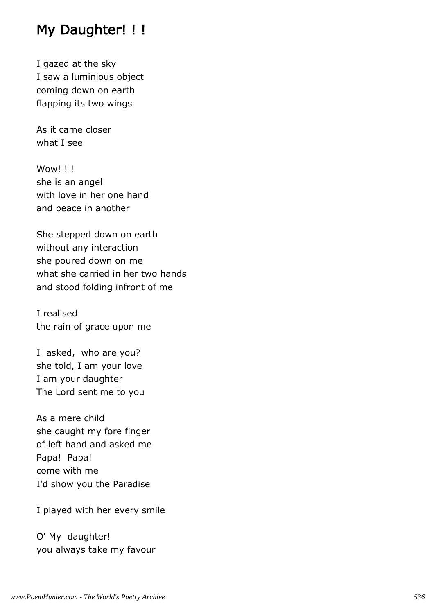## My Daughter! ! !

I gazed at the sky I saw a luminious object coming down on earth flapping its two wings

As it came closer what I see

Wow!!! she is an angel with love in her one hand and peace in another

She stepped down on earth without any interaction she poured down on me what she carried in her two hands and stood folding infront of me

I realised the rain of grace upon me

I asked, who are you? she told, I am your love I am your daughter The Lord sent me to you

As a mere child she caught my fore finger of left hand and asked me Papa! Papa! come with me I'd show you the Paradise

I played with her every smile

O' My daughter! you always take my favour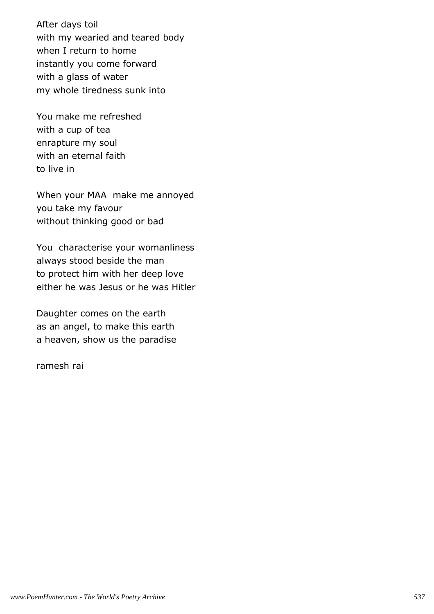After days toil with my wearied and teared body when I return to home instantly you come forward with a glass of water my whole tiredness sunk into

You make me refreshed with a cup of tea enrapture my soul with an eternal faith to live in

When your MAA make me annoyed you take my favour without thinking good or bad

You characterise your womanliness always stood beside the man to protect him with her deep love either he was Jesus or he was Hitler

Daughter comes on the earth as an angel, to make this earth a heaven, show us the paradise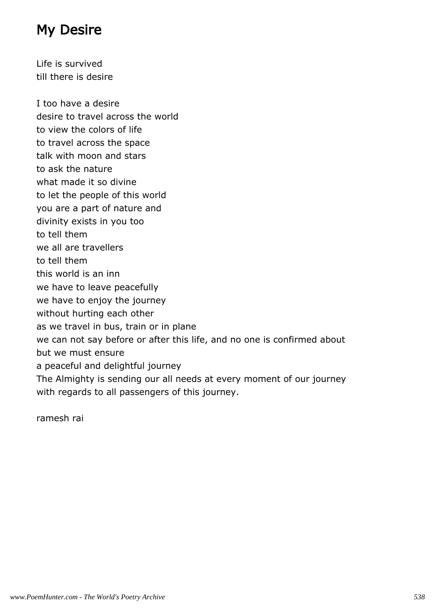## My Desire

Life is survived till there is desire I too have a desire desire to travel across the world to view the colors of life to travel across the space talk with moon and stars to ask the nature what made it so divine to let the people of this world you are a part of nature and divinity exists in you too to tell them we all are travellers to tell them this world is an inn we have to leave peacefully we have to enjoy the journey without hurting each other as we travel in bus, train or in plane we can not say before or after this life, and no one is confirmed about but we must ensure a peaceful and delightful journey The Almighty is sending our all needs at every moment of our journey with regards to all passengers of this journey.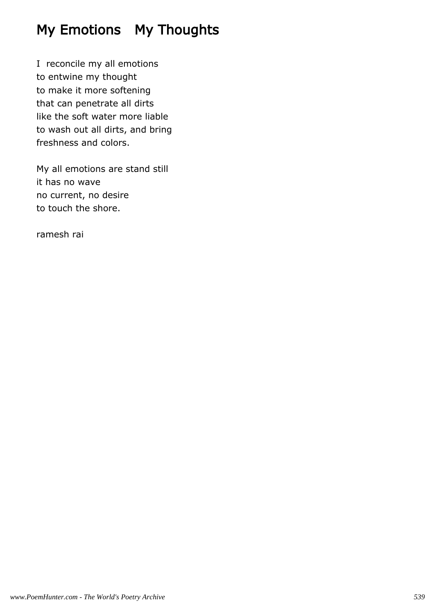# My Emotions My Thoughts

I reconcile my all emotions to entwine my thought to make it more softening that can penetrate all dirts like the soft water more liable to wash out all dirts, and bring freshness and colors.

My all emotions are stand still it has no wave no current, no desire to touch the shore.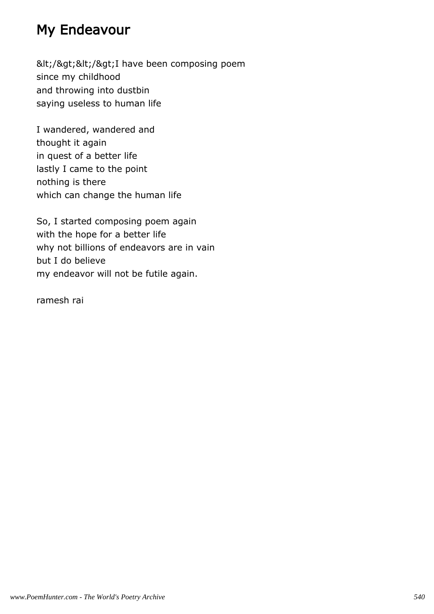# My Endeavour

&It;/>&It;/>I have been composing poem since my childhood and throwing into dustbin saying useless to human life

I wandered, wandered and thought it again in quest of a better life lastly I came to the point nothing is there which can change the human life

So, I started composing poem again with the hope for a better life why not billions of endeavors are in vain but I do believe my endeavor will not be futile again.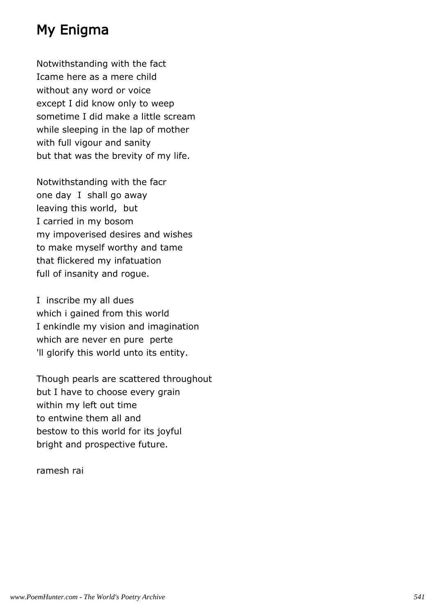## My Enigma

Notwithstanding with the fact Icame here as a mere child without any word or voice except I did know only to weep sometime I did make a little scream while sleeping in the lap of mother with full vigour and sanity but that was the brevity of my life.

Notwithstanding with the facr one day I shall go away leaving this world, but I carried in my bosom my impoverised desires and wishes to make myself worthy and tame that flickered my infatuation full of insanity and rogue.

I inscribe my all dues which i gained from this world I enkindle my vision and imagination which are never en pure perte 'll glorify this world unto its entity.

Though pearls are scattered throughout but I have to choose every grain within my left out time to entwine them all and bestow to this world for its joyful bright and prospective future.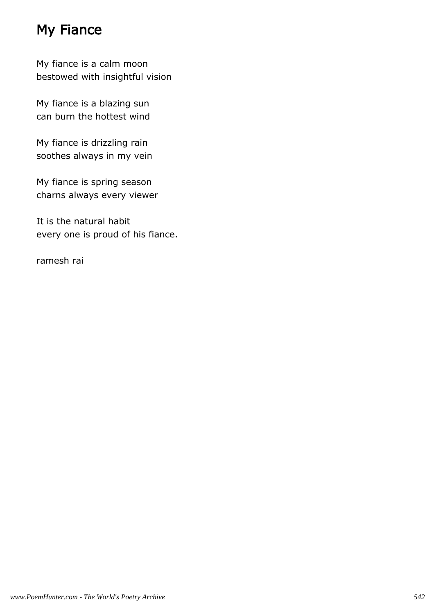# My Fiance

My fiance is a calm moon bestowed with insightful vision

My fiance is a blazing sun can burn the hottest wind

My fiance is drizzling rain soothes always in my vein

My fiance is spring season charns always every viewer

It is the natural habit every one is proud of his fiance.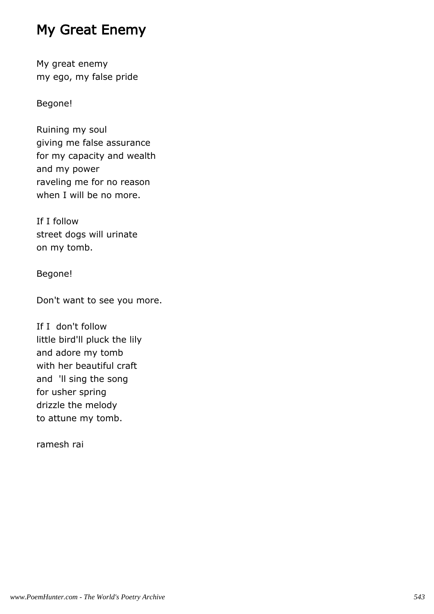### My Great Enemy

My great enemy my ego, my false pride

Begone!

Ruining my soul giving me false assurance for my capacity and wealth and my power raveling me for no reason when I will be no more.

If I follow street dogs will urinate on my tomb.

Begone!

Don't want to see you more.

If I don't follow little bird'll pluck the lily and adore my tomb with her beautiful craft and 'll sing the song for usher spring drizzle the melody to attune my tomb.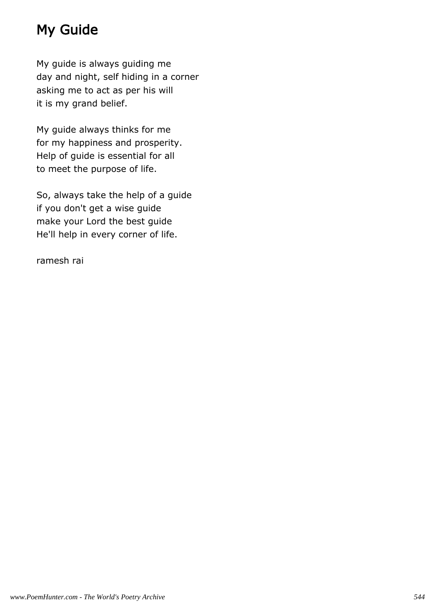# My Guide

My guide is always guiding me day and night, self hiding in a corner asking me to act as per his will it is my grand belief.

My guide always thinks for me for my happiness and prosperity. Help of guide is essential for all to meet the purpose of life.

So, always take the help of a guide if you don't get a wise guide make your Lord the best guide He'll help in every corner of life.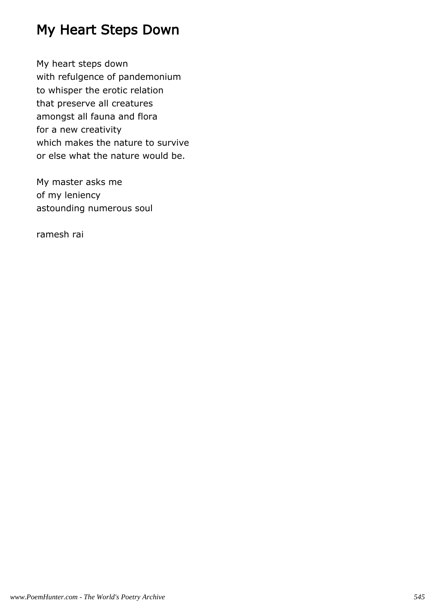### My Heart Steps Down

My heart steps down with refulgence of pandemonium to whisper the erotic relation that preserve all creatures amongst all fauna and flora for a new creativity which makes the nature to survive or else what the nature would be.

My master asks me of my leniency astounding numerous soul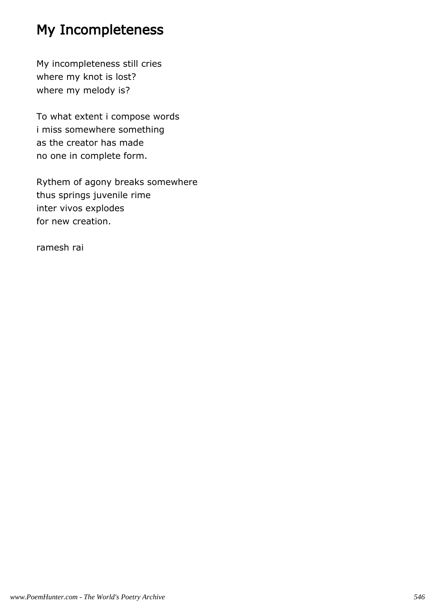### My Incompleteness

My incompleteness still cries where my knot is lost? where my melody is?

To what extent i compose words i miss somewhere something as the creator has made no one in complete form.

Rythem of agony breaks somewhere thus springs juvenile rime inter vivos explodes for new creation.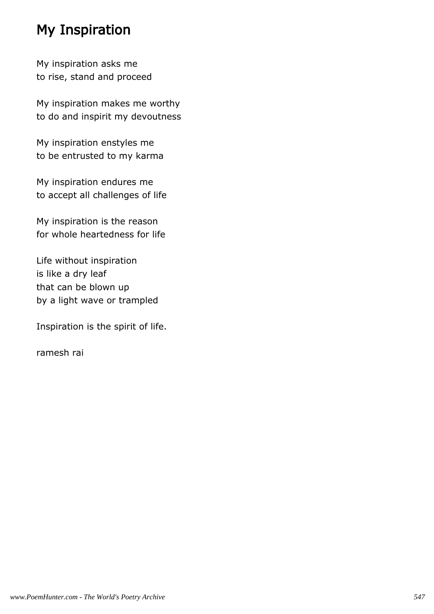## My Inspiration

My inspiration asks me to rise, stand and proceed

My inspiration makes me worthy to do and inspirit my devoutness

My inspiration enstyles me to be entrusted to my karma

My inspiration endures me to accept all challenges of life

My inspiration is the reason for whole heartedness for life

Life without inspiration is like a dry leaf that can be blown up by a light wave or trampled

Inspiration is the spirit of life.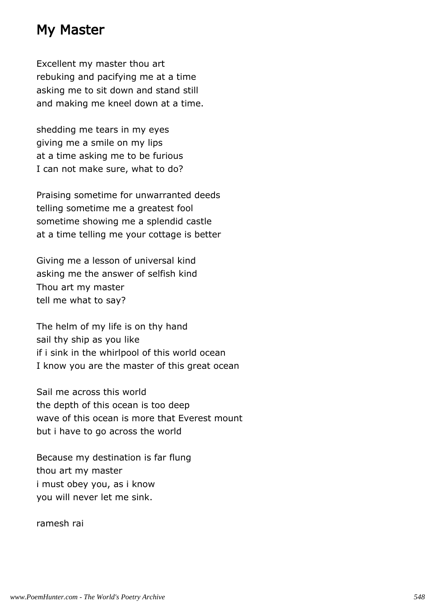#### My Master

Excellent my master thou art rebuking and pacifying me at a time asking me to sit down and stand still and making me kneel down at a time.

shedding me tears in my eyes giving me a smile on my lips at a time asking me to be furious I can not make sure, what to do?

Praising sometime for unwarranted deeds telling sometime me a greatest fool sometime showing me a splendid castle at a time telling me your cottage is better

Giving me a lesson of universal kind asking me the answer of selfish kind Thou art my master tell me what to say?

The helm of my life is on thy hand sail thy ship as you like if i sink in the whirlpool of this world ocean I know you are the master of this great ocean

Sail me across this world the depth of this ocean is too deep wave of this ocean is more that Everest mount but i have to go across the world

Because my destination is far flung thou art my master i must obey you, as i know you will never let me sink.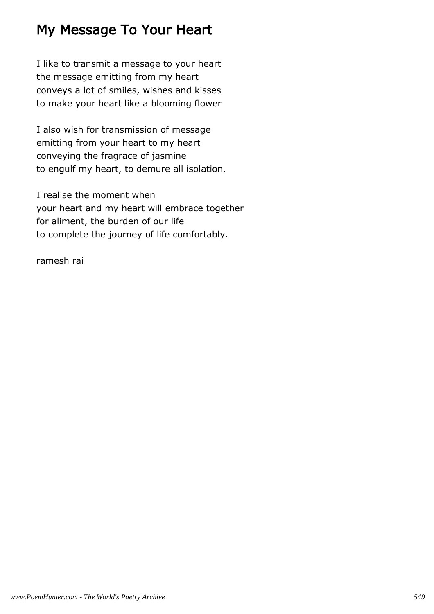## My Message To Your Heart

I like to transmit a message to your heart the message emitting from my heart conveys a lot of smiles, wishes and kisses to make your heart like a blooming flower

I also wish for transmission of message emitting from your heart to my heart conveying the fragrace of jasmine to engulf my heart, to demure all isolation.

I realise the moment when your heart and my heart will embrace together for aliment, the burden of our life to complete the journey of life comfortably.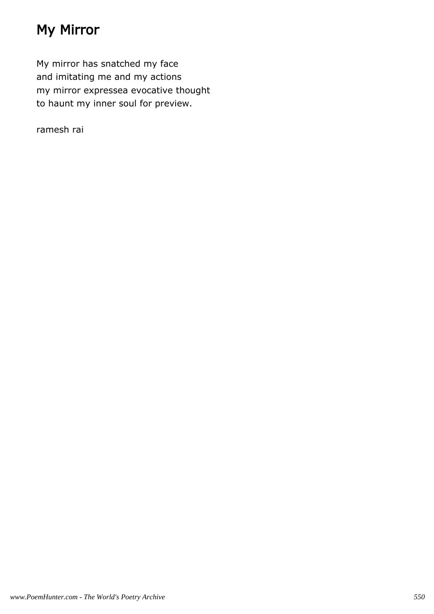# My Mirror

My mirror has snatched my face and imitating me and my actions my mirror expressea evocative thought to haunt my inner soul for preview.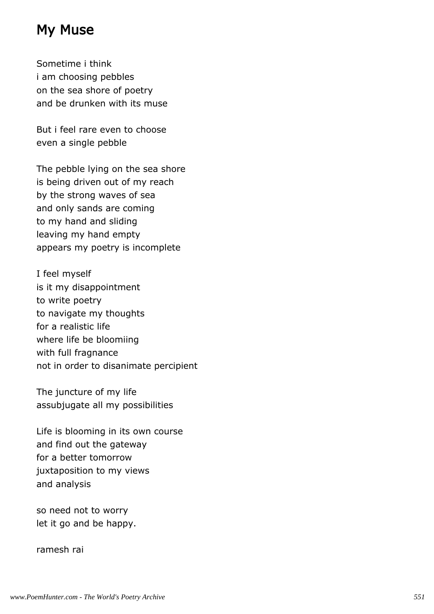### My Muse

Sometime i think i am choosing pebbles on the sea shore of poetry and be drunken with its muse

But i feel rare even to choose even a single pebble

The pebble lying on the sea shore is being driven out of my reach by the strong waves of sea and only sands are coming to my hand and sliding leaving my hand empty appears my poetry is incomplete

I feel myself is it my disappointment to write poetry to navigate my thoughts for a realistic life where life be bloomiing with full fragnance not in order to disanimate percipient

The juncture of my life assubjugate all my possibilities

Life is blooming in its own course and find out the gateway for a better tomorrow juxtaposition to my views and analysis

so need not to worry let it go and be happy.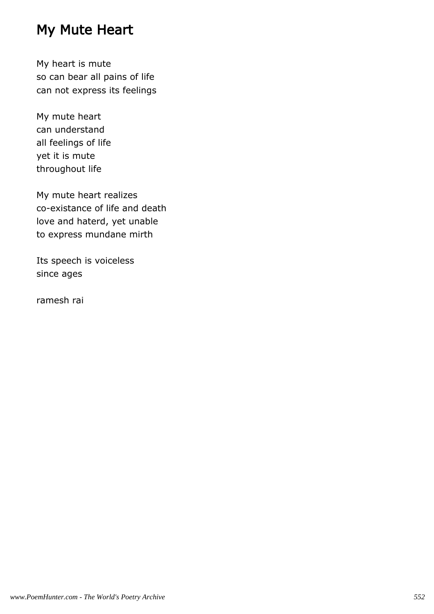### My Mute Heart

My heart is mute so can bear all pains of life can not express its feelings

My mute heart can understand all feelings of life yet it is mute throughout life

My mute heart realizes co-existance of life and death love and haterd, yet unable to express mundane mirth

Its speech is voiceless since ages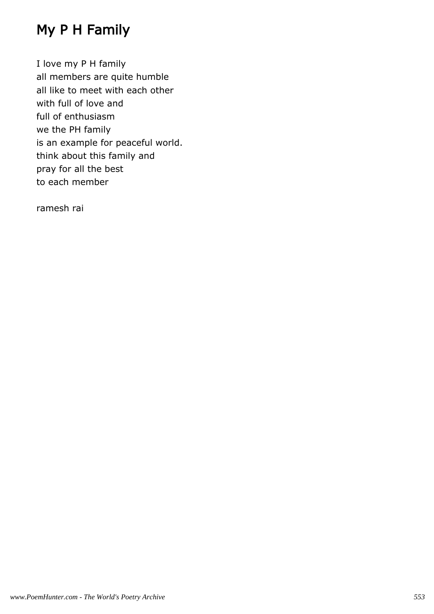# My P H Family

I love my P H family all members are quite humble all like to meet with each other with full of love and full of enthusiasm we the PH family is an example for peaceful world. think about this family and pray for all the best to each member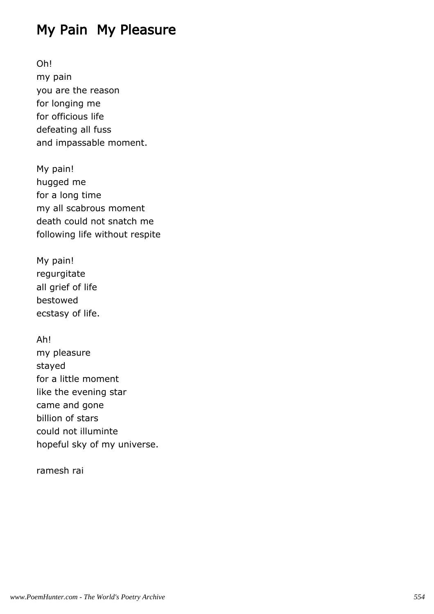### My Pain My Pleasure

Oh! my pain you are the reason for longing me for officious life defeating all fuss and impassable moment.

My pain! hugged me for a long time my all scabrous moment death could not snatch me following life without respite

My pain! regurgitate all grief of life bestowed ecstasy of life.

Ah! my pleasure stayed for a little moment like the evening star came and gone billion of stars could not illuminte hopeful sky of my universe.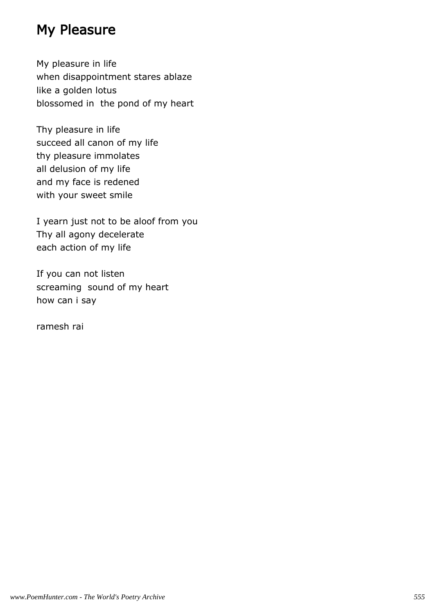### My Pleasure

My pleasure in life when disappointment stares ablaze like a golden lotus blossomed in the pond of my heart

Thy pleasure in life succeed all canon of my life thy pleasure immolates all delusion of my life and my face is redened with your sweet smile

I yearn just not to be aloof from you Thy all agony decelerate each action of my life

If you can not listen screaming sound of my heart how can i say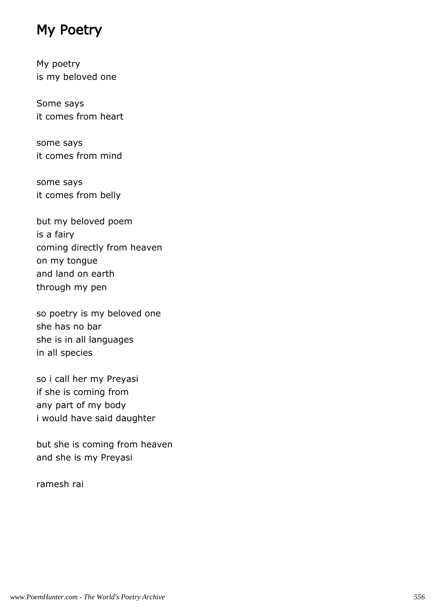#### My Poetry

My poetry is my beloved one

Some says it comes from heart

some says it comes from mind

some says it comes from belly

but my beloved poem is a fairy coming directly from heaven on my tongue and land on earth through my pen

so poetry is my beloved one she has no bar she is in all languages in all species

so i call her my Preyasi if she is coming from any part of my body i would have said daughter

but she is coming from heaven and she is my Preyasi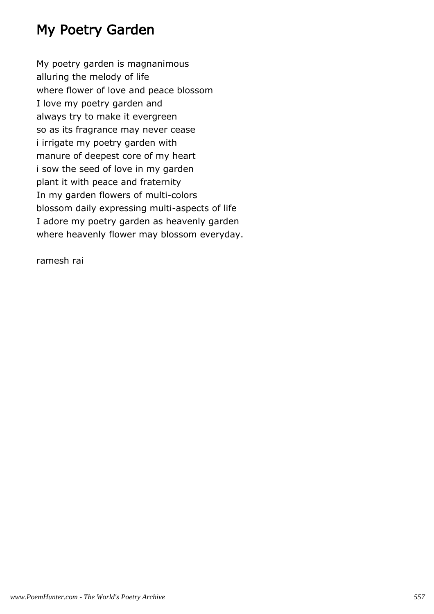### My Poetry Garden

My poetry garden is magnanimous alluring the melody of life where flower of love and peace blossom I love my poetry garden and always try to make it evergreen so as its fragrance may never cease i irrigate my poetry garden with manure of deepest core of my heart i sow the seed of love in my garden plant it with peace and fraternity In my garden flowers of multi-colors blossom daily expressing multi-aspects of life I adore my poetry garden as heavenly garden where heavenly flower may blossom everyday.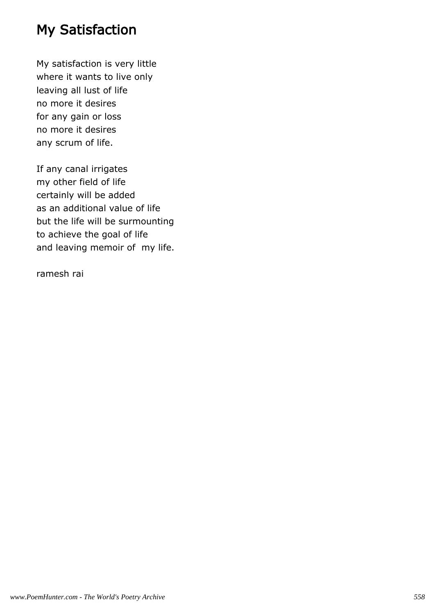# My Satisfaction

My satisfaction is very little where it wants to live only leaving all lust of life no more it desires for any gain or loss no more it desires any scrum of life.

If any canal irrigates my other field of life certainly will be added as an additional value of life but the life will be surmounting to achieve the goal of life and leaving memoir of my life.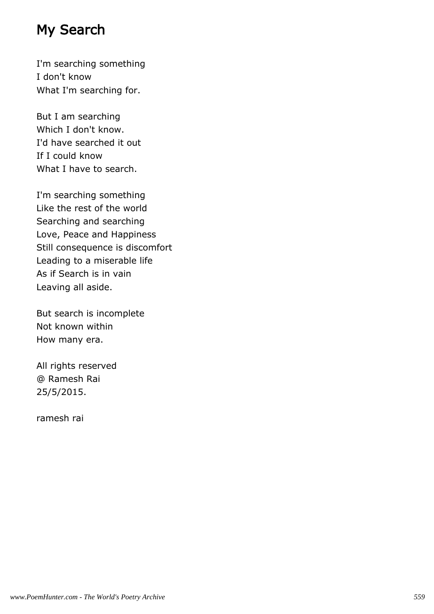### My Search

I'm searching something I don't know What I'm searching for.

But I am searching Which I don't know. I'd have searched it out If I could know What I have to search.

I'm searching something Like the rest of the world Searching and searching Love, Peace and Happiness Still consequence is discomfort Leading to a miserable life As if Search is in vain Leaving all aside.

But search is incomplete Not known within How many era.

All rights reserved @ Ramesh Rai 25/5/2015.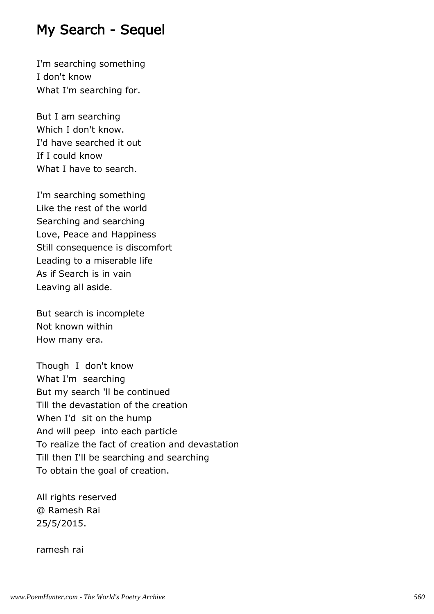#### My Search - Sequel

I'm searching something I don't know What I'm searching for.

But I am searching Which I don't know. I'd have searched it out If I could know What I have to search.

I'm searching something Like the rest of the world Searching and searching Love, Peace and Happiness Still consequence is discomfort Leading to a miserable life As if Search is in vain Leaving all aside.

But search is incomplete Not known within How many era.

Though I don't know What I'm searching But my search 'll be continued Till the devastation of the creation When I'd sit on the hump And will peep into each particle To realize the fact of creation and devastation Till then I'll be searching and searching To obtain the goal of creation.

All rights reserved @ Ramesh Rai 25/5/2015.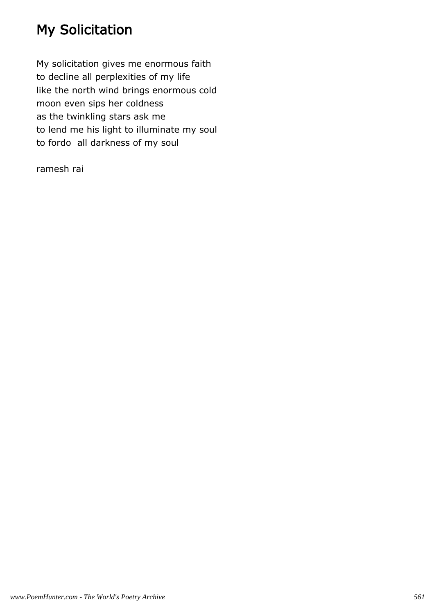# My Solicitation

My solicitation gives me enormous faith to decline all perplexities of my life like the north wind brings enormous cold moon even sips her coldness as the twinkling stars ask me to lend me his light to illuminate my soul to fordo all darkness of my soul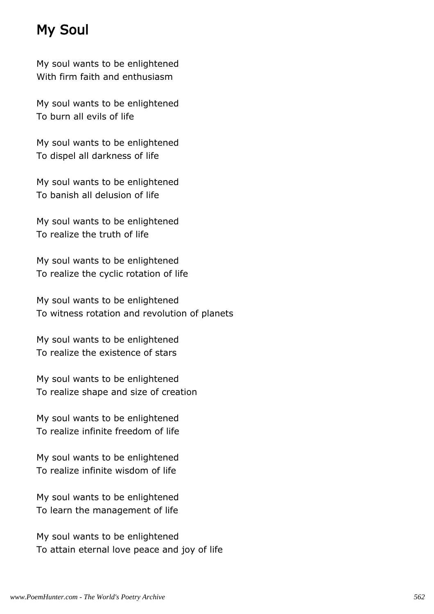# My Soul

My soul wants to be enlightened With firm faith and enthusiasm

My soul wants to be enlightened To burn all evils of life

My soul wants to be enlightened To dispel all darkness of life

My soul wants to be enlightened To banish all delusion of life

My soul wants to be enlightened To realize the truth of life

My soul wants to be enlightened To realize the cyclic rotation of life

My soul wants to be enlightened To witness rotation and revolution of planets

My soul wants to be enlightened To realize the existence of stars

My soul wants to be enlightened To realize shape and size of creation

My soul wants to be enlightened To realize infinite freedom of life

My soul wants to be enlightened To realize infinite wisdom of life

My soul wants to be enlightened To learn the management of life

My soul wants to be enlightened To attain eternal love peace and joy of life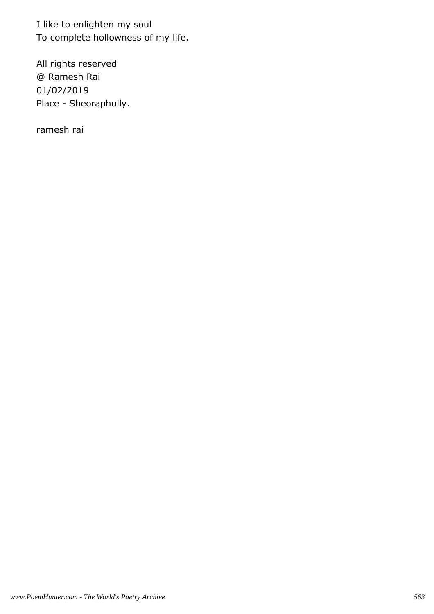I like to enlighten my soul To complete hollowness of my life.

All rights reserved @ Ramesh Rai 01/02/2019 Place - Sheoraphully.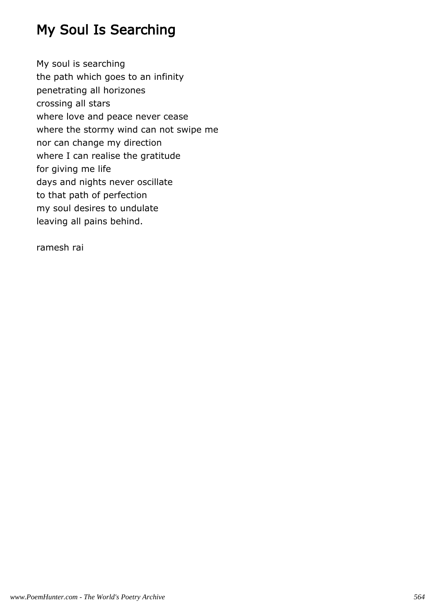## My Soul Is Searching

My soul is searching the path which goes to an infinity penetrating all horizones crossing all stars where love and peace never cease where the stormy wind can not swipe me nor can change my direction where I can realise the gratitude for giving me life days and nights never oscillate to that path of perfection my soul desires to undulate leaving all pains behind.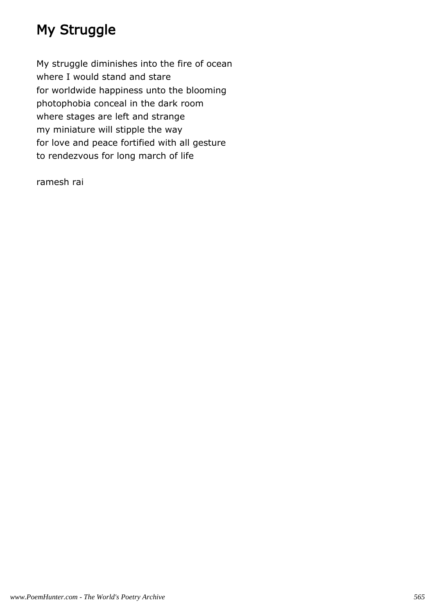# My Struggle

My struggle diminishes into the fire of ocean where I would stand and stare for worldwide happiness unto the blooming photophobia conceal in the dark room where stages are left and strange my miniature will stipple the way for love and peace fortified with all gesture to rendezvous for long march of life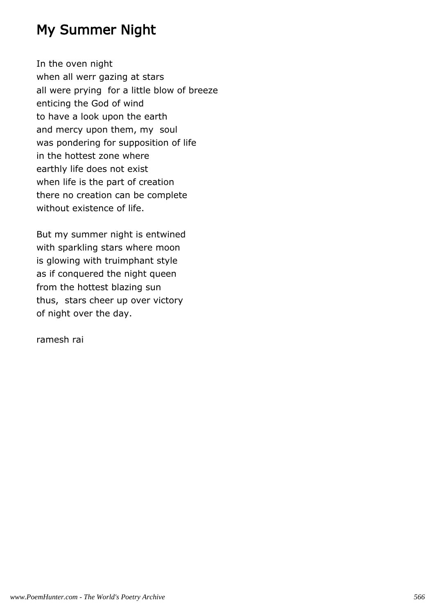### My Summer Night

In the oven night when all werr gazing at stars all were prying for a little blow of breeze enticing the God of wind to have a look upon the earth and mercy upon them, my soul was pondering for supposition of life in the hottest zone where earthly life does not exist when life is the part of creation there no creation can be complete without existence of life.

But my summer night is entwined with sparkling stars where moon is glowing with truimphant style as if conquered the night queen from the hottest blazing sun thus, stars cheer up over victory of night over the day.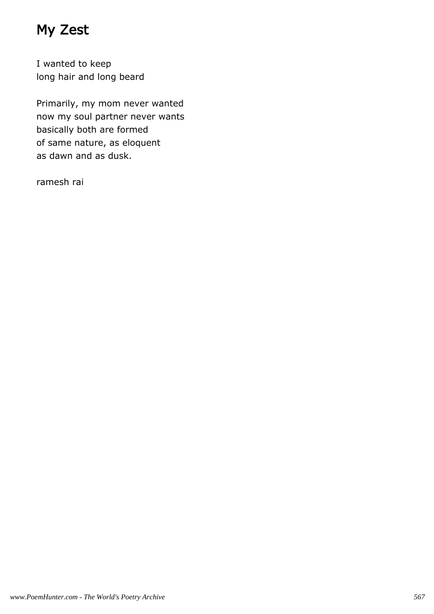# My Zest

I wanted to keep long hair and long beard

Primarily, my mom never wanted now my soul partner never wants basically both are formed of same nature, as eloquent as dawn and as dusk.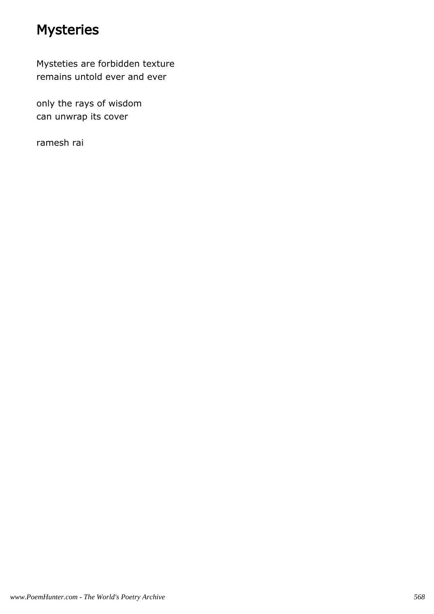## Mysteries

Mysteties are forbidden texture remains untold ever and ever

only the rays of wisdom can unwrap its cover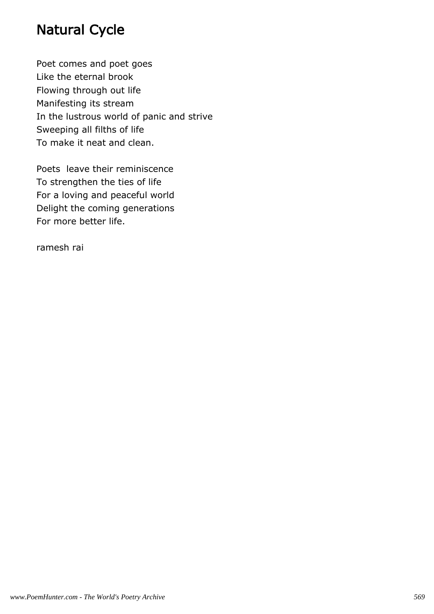### Natural Cycle

Poet comes and poet goes Like the eternal brook Flowing through out life Manifesting its stream In the lustrous world of panic and strive Sweeping all filths of life To make it neat and clean.

Poets leave their reminiscence To strengthen the ties of life For a loving and peaceful world Delight the coming generations For more better life.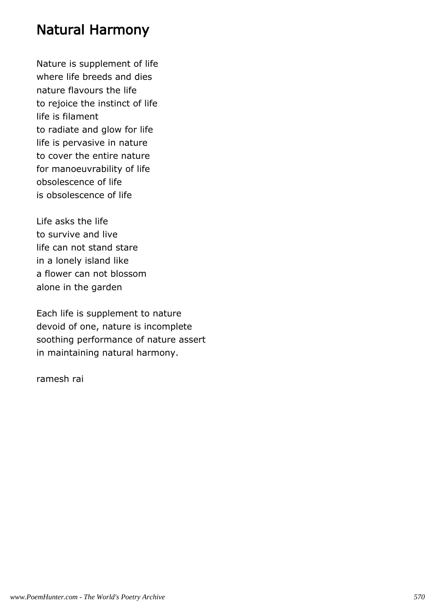#### Natural Harmony

Nature is supplement of life where life breeds and dies nature flavours the life to rejoice the instinct of life life is filament to radiate and glow for life life is pervasive in nature to cover the entire nature for manoeuvrability of life obsolescence of life is obsolescence of life

Life asks the life to survive and live life can not stand stare in a lonely island like a flower can not blossom alone in the garden

Each life is supplement to nature devoid of one, nature is incomplete soothing performance of nature assert in maintaining natural harmony.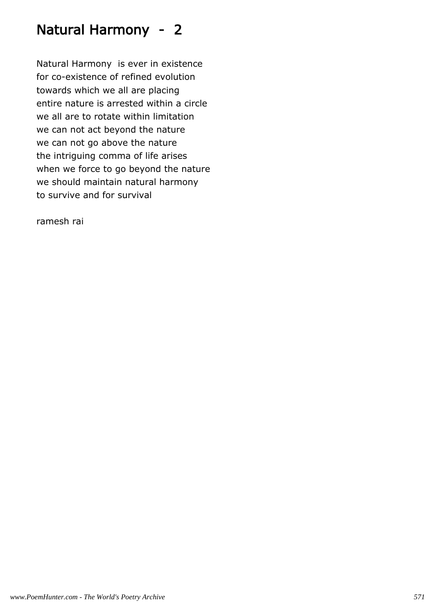# Natural Harmony - 2

Natural Harmony is ever in existence for co-existence of refined evolution towards which we all are placing entire nature is arrested within a circle we all are to rotate within limitation we can not act beyond the nature we can not go above the nature the intriguing comma of life arises when we force to go beyond the nature we should maintain natural harmony to survive and for survival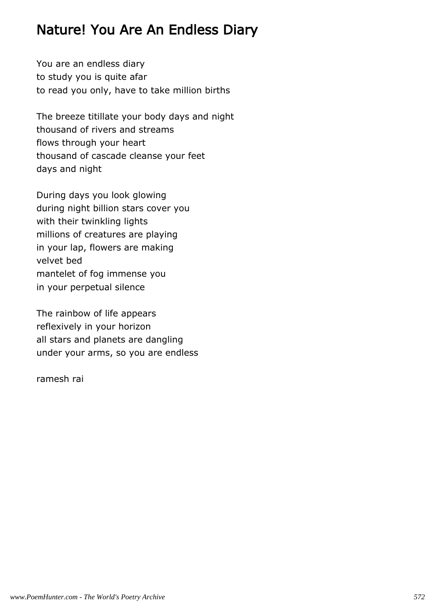### Nature! You Are An Endless Diary

You are an endless diary to study you is quite afar to read you only, have to take million births

The breeze titillate your body days and night thousand of rivers and streams flows through your heart thousand of cascade cleanse your feet days and night

During days you look glowing during night billion stars cover you with their twinkling lights millions of creatures are playing in your lap, flowers are making velvet bed mantelet of fog immense you in your perpetual silence

The rainbow of life appears reflexively in your horizon all stars and planets are dangling under your arms, so you are endless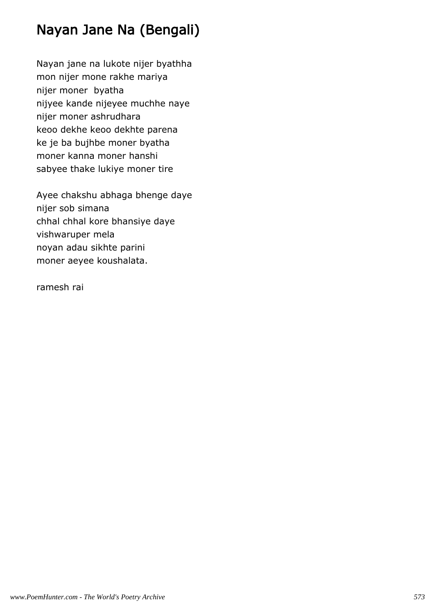# Nayan Jane Na (Bengali)

Nayan jane na lukote nijer byathha mon nijer mone rakhe mariya nijer moner byatha nijyee kande nijeyee muchhe naye nijer moner ashrudhara keoo dekhe keoo dekhte parena ke je ba bujhbe moner byatha moner kanna moner hanshi sabyee thake lukiye moner tire

Ayee chakshu abhaga bhenge daye nijer sob simana chhal chhal kore bhansiye daye vishwaruper mela noyan adau sikhte parini moner aeyee koushalata.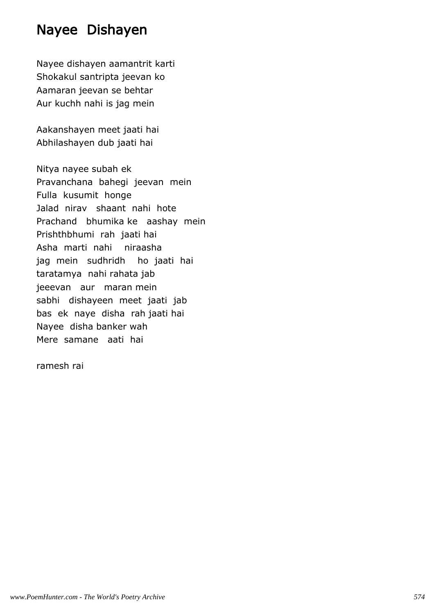#### Nayee Dishayen

Nayee dishayen aamantrit karti Shokakul santripta jeevan ko Aamaran jeevan se behtar Aur kuchh nahi is jag mein

Aakanshayen meet jaati hai Abhilashayen dub jaati hai

Nitya nayee subah ek Pravanchana bahegi jeevan mein Fulla kusumit honge Jalad nirav shaant nahi hote Prachand bhumika ke aashay mein Prishthbhumi rah jaati hai Asha marti nahi niraasha jag mein sudhridh ho jaati hai taratamya nahi rahata jab jeeevan aur maran mein sabhi dishayeen meet jaati jab bas ek naye disha rah jaati hai Nayee disha banker wah Mere samane aati hai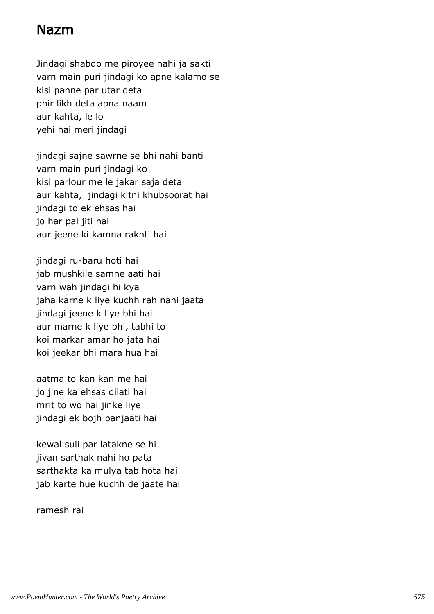#### Nazm

Jindagi shabdo me piroyee nahi ja sakti varn main puri jindagi ko apne kalamo se kisi panne par utar deta phir likh deta apna naam aur kahta, le lo yehi hai meri jindagi

jindagi sajne sawrne se bhi nahi banti varn main puri jindagi ko kisi parlour me le jakar saja deta aur kahta, jindagi kitni khubsoorat hai jindagi to ek ehsas hai jo har pal jiti hai aur jeene ki kamna rakhti hai

jindagi ru-baru hoti hai jab mushkile samne aati hai varn wah jindagi hi kya jaha karne k liye kuchh rah nahi jaata jindagi jeene k liye bhi hai aur marne k liye bhi, tabhi to koi markar amar ho jata hai koi jeekar bhi mara hua hai

aatma to kan kan me hai jo jine ka ehsas dilati hai mrit to wo hai jinke liye jindagi ek bojh banjaati hai

kewal suli par latakne se hi jivan sarthak nahi ho pata sarthakta ka mulya tab hota hai jab karte hue kuchh de jaate hai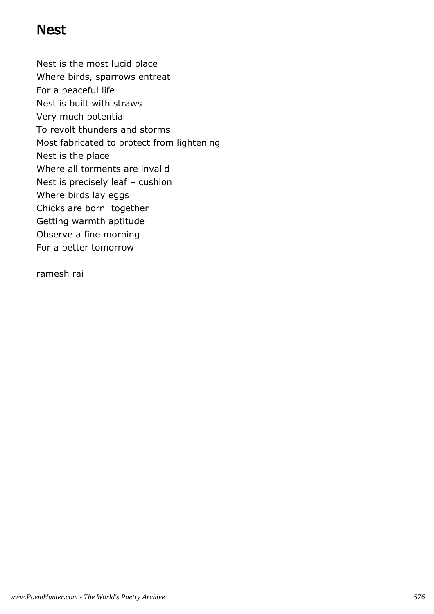### **Nest**

Nest is the most lucid place Where birds, sparrows entreat For a peaceful life Nest is built with straws Very much potential To revolt thunders and storms Most fabricated to protect from lightening Nest is the place Where all torments are invalid Nest is precisely leaf – cushion Where birds lay eggs Chicks are born together Getting warmth aptitude Observe a fine morning For a better tomorrow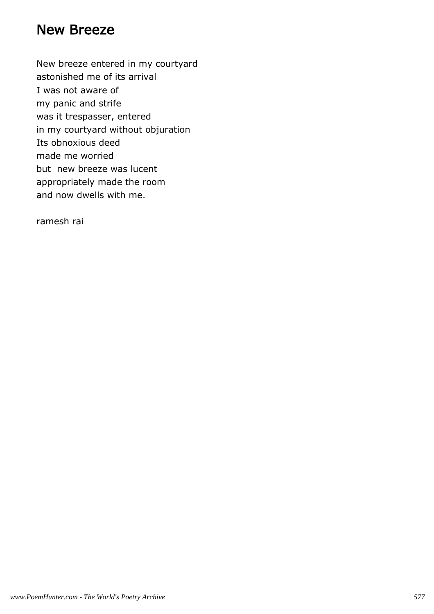#### New Breeze

New breeze entered in my courtyard astonished me of its arrival I was not aware of my panic and strife was it trespasser, entered in my courtyard without objuration Its obnoxious deed made me worried but new breeze was lucent appropriately made the room and now dwells with me.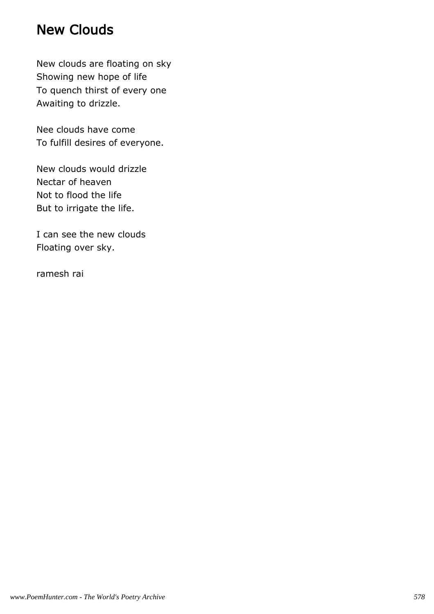### New Clouds

New clouds are floating on sky Showing new hope of life To quench thirst of every one Awaiting to drizzle.

Nee clouds have come To fulfill desires of everyone.

New clouds would drizzle Nectar of heaven Not to flood the life But to irrigate the life.

I can see the new clouds Floating over sky.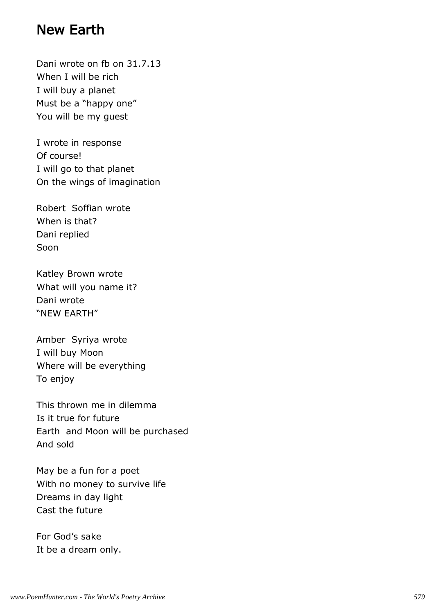#### New Earth

Dani wrote on fb on 31.7.13 When I will be rich I will buy a planet Must be a "happy one" You will be my guest

I wrote in response Of course! I will go to that planet On the wings of imagination

Robert Soffian wrote When is that? Dani replied Soon

Katley Brown wrote What will you name it? Dani wrote "NEW EARTH"

Amber Syriya wrote I will buy Moon Where will be everything To enjoy

This thrown me in dilemma Is it true for future Earth and Moon will be purchased And sold

May be a fun for a poet With no money to survive life Dreams in day light Cast the future

For God's sake It be a dream only.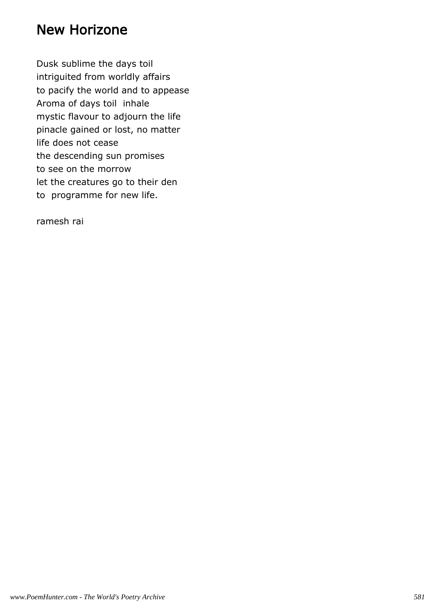### New Horizone

Dusk sublime the days toil intriguited from worldly affairs to pacify the world and to appease Aroma of days toil inhale mystic flavour to adjourn the life pinacle gained or lost, no matter life does not cease the descending sun promises to see on the morrow let the creatures go to their den to programme for new life.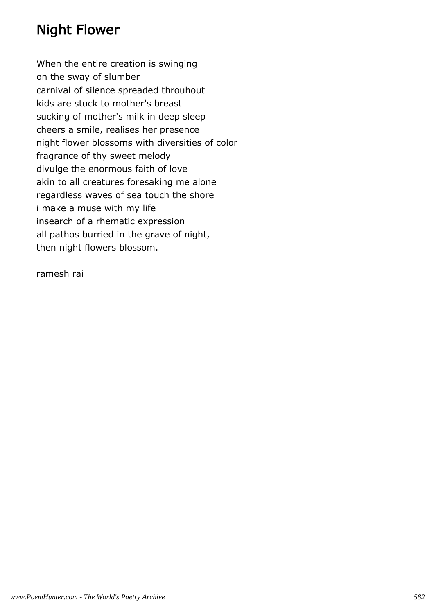### Night Flower

When the entire creation is swinging on the sway of slumber carnival of silence spreaded throuhout kids are stuck to mother's breast sucking of mother's milk in deep sleep cheers a smile, realises her presence night flower blossoms with diversities of color fragrance of thy sweet melody divulge the enormous faith of love akin to all creatures foresaking me alone regardless waves of sea touch the shore i make a muse with my life insearch of a rhematic expression all pathos burried in the grave of night, then night flowers blossom.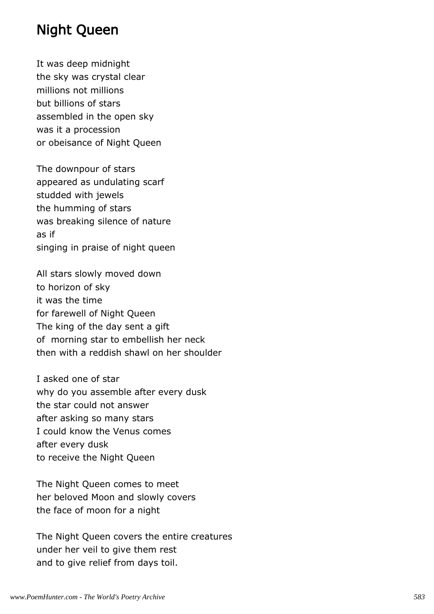### Night Queen

It was deep midnight the sky was crystal clear millions not millions but billions of stars assembled in the open sky was it a procession or obeisance of Night Queen

The downpour of stars appeared as undulating scarf studded with jewels the humming of stars was breaking silence of nature as if singing in praise of night queen

All stars slowly moved down to horizon of sky it was the time for farewell of Night Queen The king of the day sent a gift of morning star to embellish her neck then with a reddish shawl on her shoulder

I asked one of star why do you assemble after every dusk the star could not answer after asking so many stars I could know the Venus comes after every dusk to receive the Night Queen

The Night Queen comes to meet her beloved Moon and slowly covers the face of moon for a night

The Night Queen covers the entire creatures under her veil to give them rest and to give relief from days toil.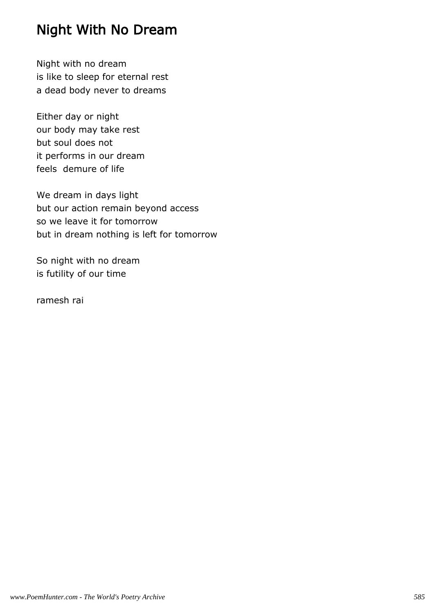### Night With No Dream

Night with no dream is like to sleep for eternal rest a dead body never to dreams

Either day or night our body may take rest but soul does not it performs in our dream feels demure of life

We dream in days light but our action remain beyond access so we leave it for tomorrow but in dream nothing is left for tomorrow

So night with no dream is futility of our time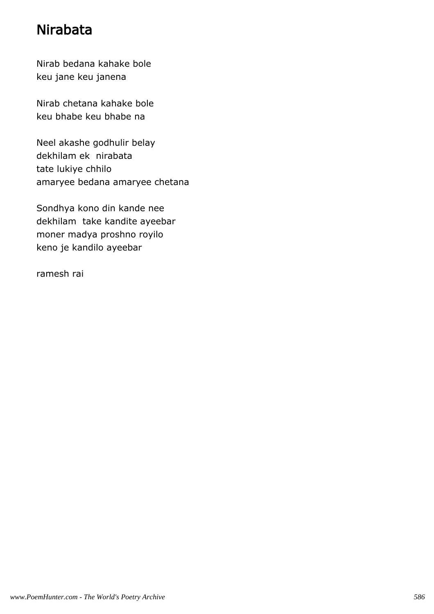# Nirabata

Nirab bedana kahake bole keu jane keu janena

Nirab chetana kahake bole keu bhabe keu bhabe na

Neel akashe godhulir belay dekhilam ek nirabata tate lukiye chhilo amaryee bedana amaryee chetana

Sondhya kono din kande nee dekhilam take kandite ayeebar moner madya proshno royilo keno je kandilo ayeebar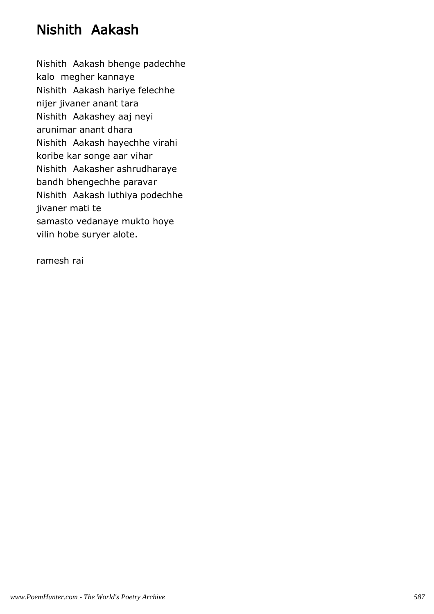### Nishith Aakash

Nishith Aakash bhenge padechhe kalo megher kannaye Nishith Aakash hariye felechhe nijer jivaner anant tara Nishith Aakashey aaj neyi arunimar anant dhara Nishith Aakash hayechhe virahi koribe kar songe aar vihar Nishith Aakasher ashrudharaye bandh bhengechhe paravar Nishith Aakash luthiya podechhe jivaner mati te samasto vedanaye mukto hoye vilin hobe suryer alote.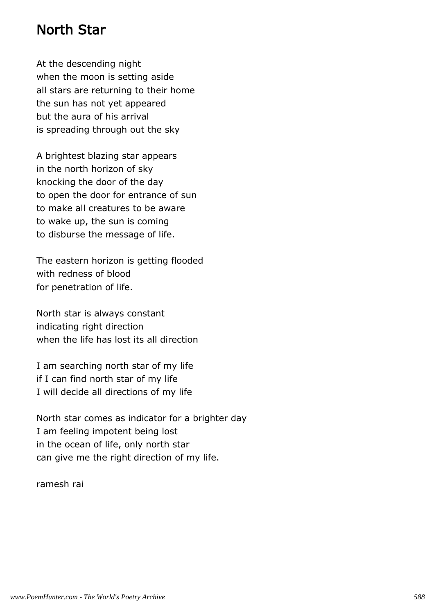#### North Star

At the descending night when the moon is setting aside all stars are returning to their home the sun has not yet appeared but the aura of his arrival is spreading through out the sky

A brightest blazing star appears in the north horizon of sky knocking the door of the day to open the door for entrance of sun to make all creatures to be aware to wake up, the sun is coming to disburse the message of life.

The eastern horizon is getting flooded with redness of blood for penetration of life.

North star is always constant indicating right direction when the life has lost its all direction

I am searching north star of my life if I can find north star of my life I will decide all directions of my life

North star comes as indicator for a brighter day I am feeling impotent being lost in the ocean of life, only north star can give me the right direction of my life.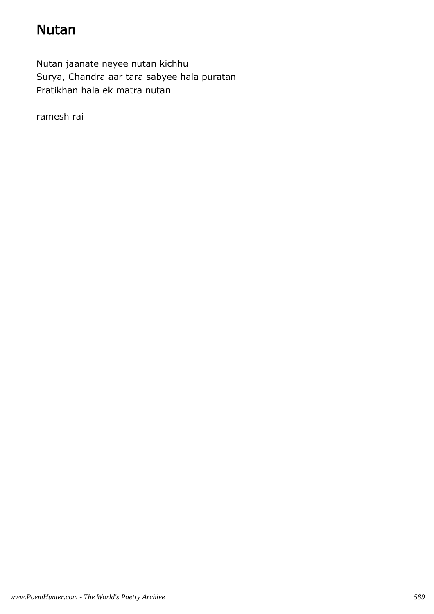# Nutan

Nutan jaanate neyee nutan kichhu Surya, Chandra aar tara sabyee hala puratan Pratikhan hala ek matra nutan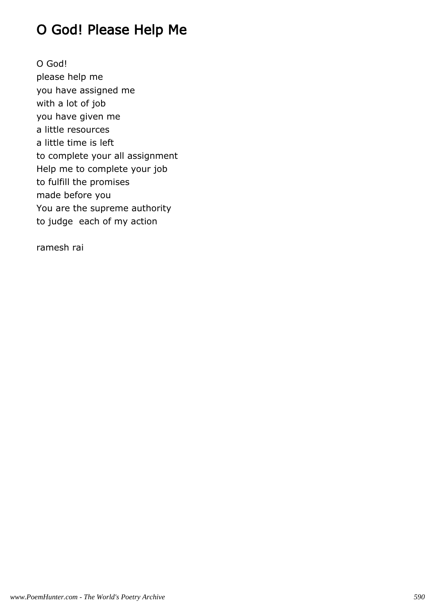# O God! Please Help Me

O God! please help me you have assigned me with a lot of job you have given me a little resources a little time is left to complete your all assignment Help me to complete your job to fulfill the promises made before you You are the supreme authority to judge each of my action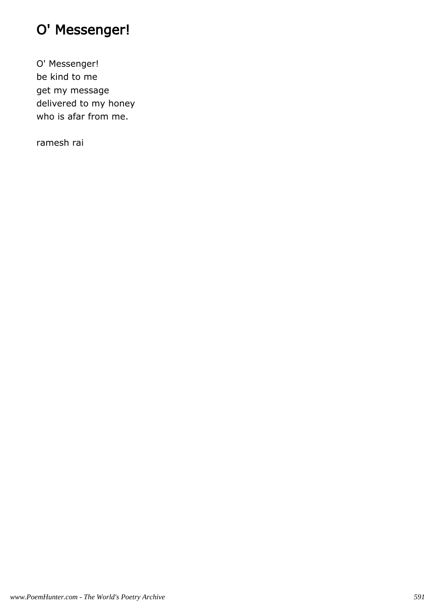# O' Messenger!

O' Messenger! be kind to me get my message delivered to my honey who is afar from me.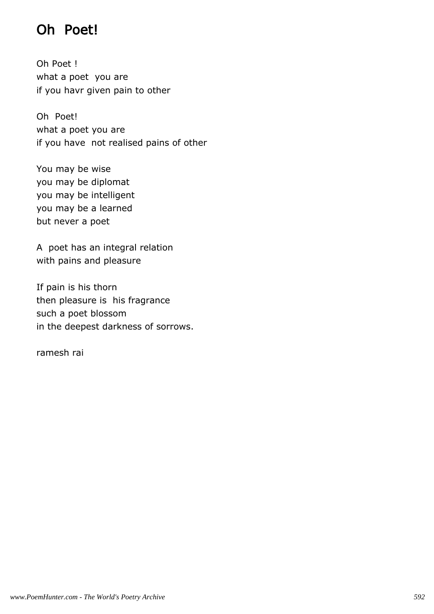# Oh Poet!

Oh Poet ! what a poet you are if you havr given pain to other

Oh Poet! what a poet you are if you have not realised pains of other

You may be wise you may be diplomat you may be intelligent you may be a learned but never a poet

A poet has an integral relation with pains and pleasure

If pain is his thorn then pleasure is his fragrance such a poet blossom in the deepest darkness of sorrows.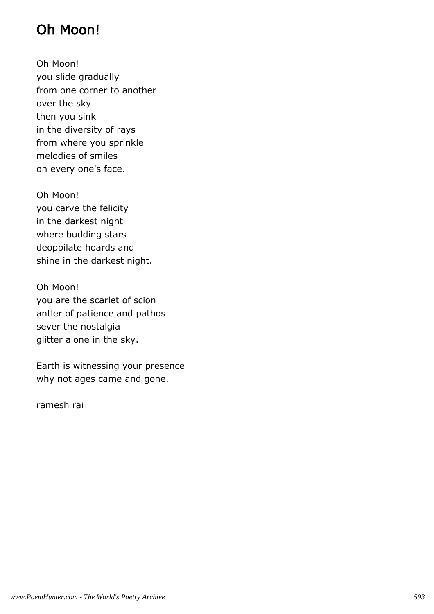# Oh Moon!

Oh Moon! you slide gradually from one corner to another over the sky then you sink in the diversity of rays from where you sprinkle melodies of smiles on every one's face.

Oh Moon! you carve the felicity in the darkest night where budding stars deoppilate hoards and shine in the darkest night.

Oh Moon! you are the scarlet of scion antler of patience and pathos sever the nostalgia glitter alone in the sky.

Earth is witnessing your presence why not ages came and gone.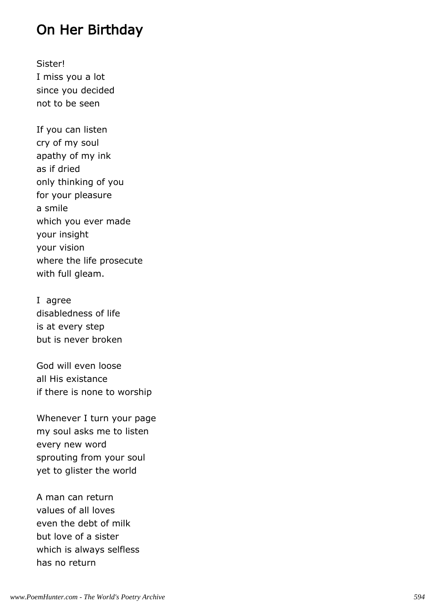### On Her Birthday

Sister! I miss you a lot since you decided not to be seen

If you can listen cry of my soul apathy of my ink as if dried only thinking of you for your pleasure a smile which you ever made your insight your vision where the life prosecute with full gleam.

I agree disabledness of life is at every step but is never broken

God will even loose all His existance if there is none to worship

Whenever I turn your page my soul asks me to listen every new word sprouting from your soul yet to glister the world

A man can return values of all loves even the debt of milk but love of a sister which is always selfless has no return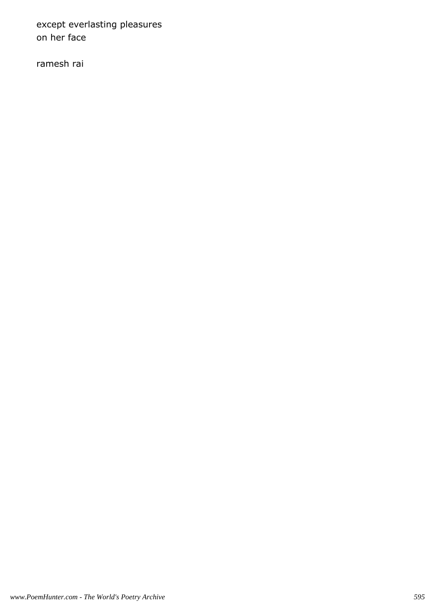except everlasting pleasures on her face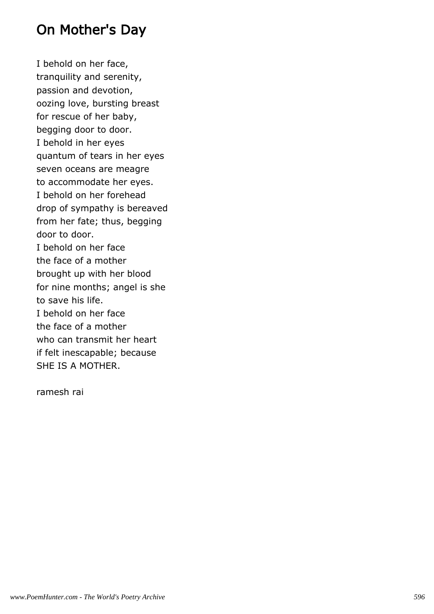# On Mother's Day

I behold on her face, tranquility and serenity, passion and devotion, oozing love, bursting breast for rescue of her baby, begging door to door. I behold in her eyes quantum of tears in her eyes seven oceans are meagre to accommodate her eyes. I behold on her forehead drop of sympathy is bereaved from her fate; thus, begging door to door. I behold on her face the face of a mother brought up with her blood for nine months; angel is she to save his life. I behold on her face the face of a mother who can transmit her heart if felt inescapable; because SHE IS A MOTHER.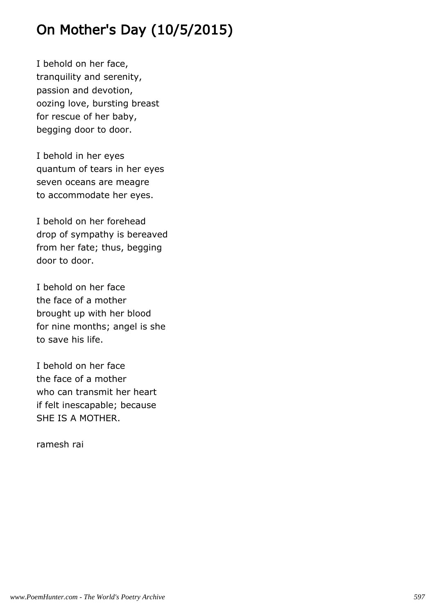# On Mother's Day (10/5/2015)

I behold on her face, tranquility and serenity, passion and devotion, oozing love, bursting breast for rescue of her baby, begging door to door.

I behold in her eyes quantum of tears in her eyes seven oceans are meagre to accommodate her eyes.

I behold on her forehead drop of sympathy is bereaved from her fate; thus, begging door to door.

I behold on her face the face of a mother brought up with her blood for nine months; angel is she to save his life.

I behold on her face the face of a mother who can transmit her heart if felt inescapable; because SHE IS A MOTHER.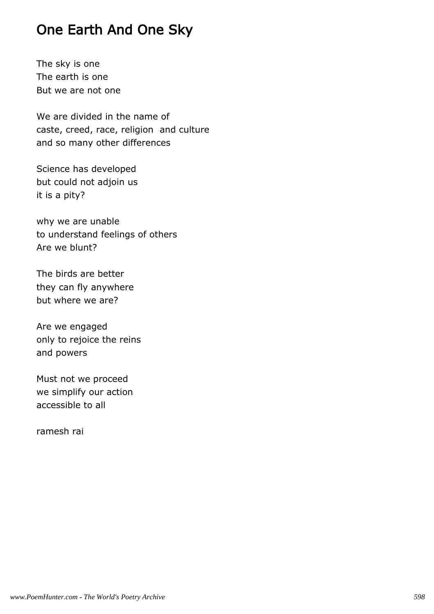## One Earth And One Sky

The sky is one The earth is one But we are not one

We are divided in the name of caste, creed, race, religion and culture and so many other differences

Science has developed but could not adjoin us it is a pity?

why we are unable to understand feelings of others Are we blunt?

The birds are better they can fly anywhere but where we are?

Are we engaged only to rejoice the reins and powers

Must not we proceed we simplify our action accessible to all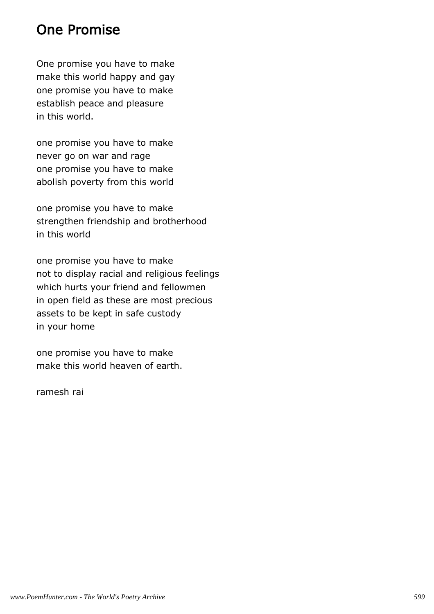### One Promise

One promise you have to make make this world happy and gay one promise you have to make establish peace and pleasure in this world.

one promise you have to make never go on war and rage one promise you have to make abolish poverty from this world

one promise you have to make strengthen friendship and brotherhood in this world

one promise you have to make not to display racial and religious feelings which hurts your friend and fellowmen in open field as these are most precious assets to be kept in safe custody in your home

one promise you have to make make this world heaven of earth.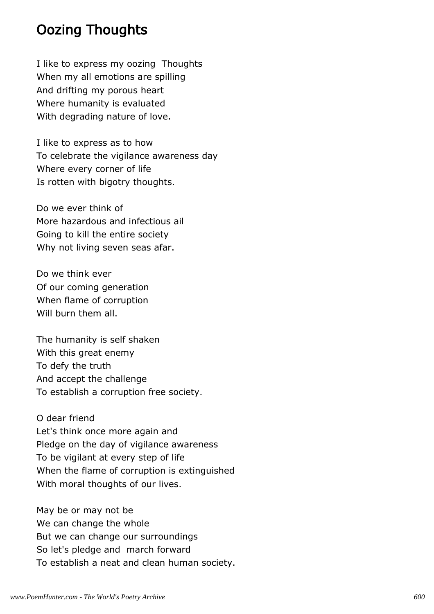### Oozing Thoughts

I like to express my oozing Thoughts When my all emotions are spilling And drifting my porous heart Where humanity is evaluated With degrading nature of love.

I like to express as to how To celebrate the vigilance awareness day Where every corner of life Is rotten with bigotry thoughts.

Do we ever think of More hazardous and infectious ail Going to kill the entire society Why not living seven seas afar.

Do we think ever Of our coming generation When flame of corruption Will burn them all.

The humanity is self shaken With this great enemy To defy the truth And accept the challenge To establish a corruption free society.

O dear friend Let's think once more again and Pledge on the day of vigilance awareness To be vigilant at every step of life When the flame of corruption is extinguished With moral thoughts of our lives.

May be or may not be We can change the whole But we can change our surroundings So let's pledge and march forward To establish a neat and clean human society.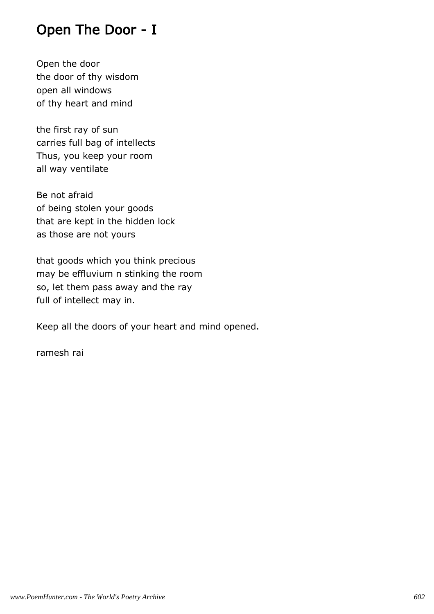#### Open The Door - I

Open the door the door of thy wisdom open all windows of thy heart and mind

the first ray of sun carries full bag of intellects Thus, you keep your room all way ventilate

Be not afraid of being stolen your goods that are kept in the hidden lock as those are not yours

that goods which you think precious may be effluvium n stinking the room so, let them pass away and the ray full of intellect may in.

Keep all the doors of your heart and mind opened.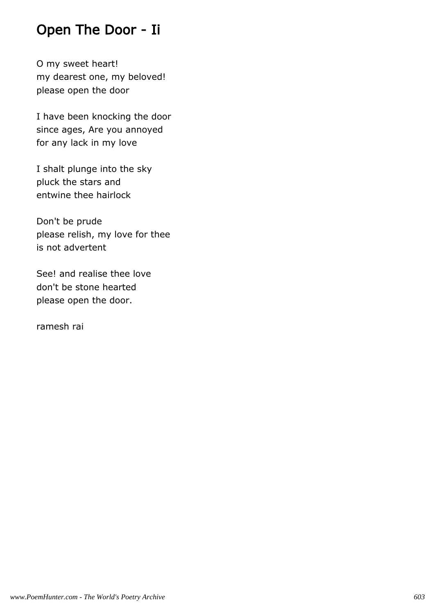### Open The Door - Ii

O my sweet heart! my dearest one, my beloved! please open the door

I have been knocking the door since ages, Are you annoyed for any lack in my love

I shalt plunge into the sky pluck the stars and entwine thee hairlock

Don't be prude please relish, my love for thee is not advertent

See! and realise thee love don't be stone hearted please open the door.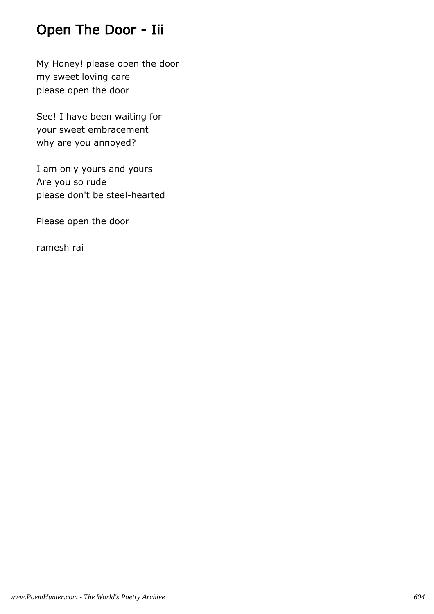# Open The Door - Iii

My Honey! please open the door my sweet loving care please open the door

See! I have been waiting for your sweet embracement why are you annoyed?

I am only yours and yours Are you so rude please don't be steel-hearted

Please open the door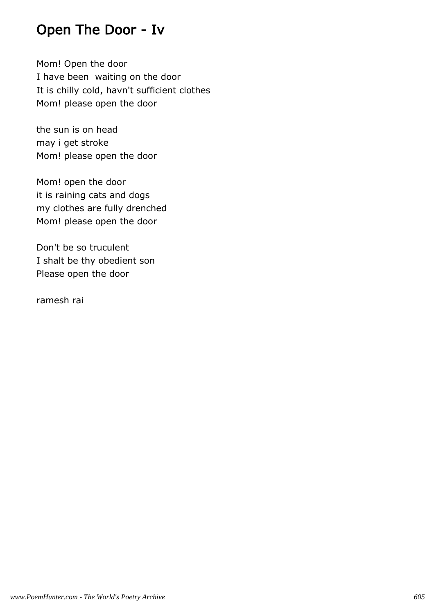### Open The Door - Iv

Mom! Open the door I have been waiting on the door It is chilly cold, havn't sufficient clothes Mom! please open the door

the sun is on head may i get stroke Mom! please open the door

Mom! open the door it is raining cats and dogs my clothes are fully drenched Mom! please open the door

Don't be so truculent I shalt be thy obedient son Please open the door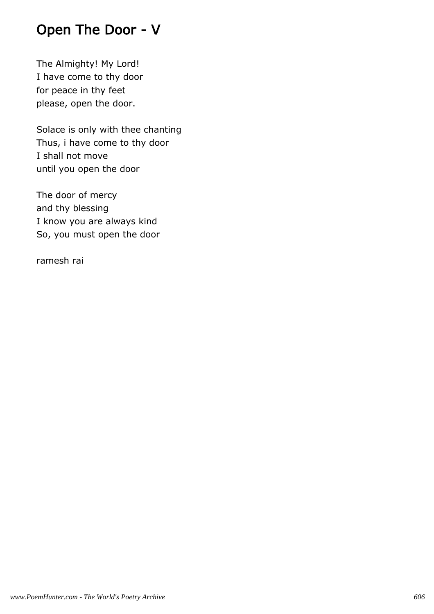### Open The Door - V

The Almighty! My Lord! I have come to thy door for peace in thy feet please, open the door.

Solace is only with thee chanting Thus, i have come to thy door I shall not move until you open the door

The door of mercy and thy blessing I know you are always kind So, you must open the door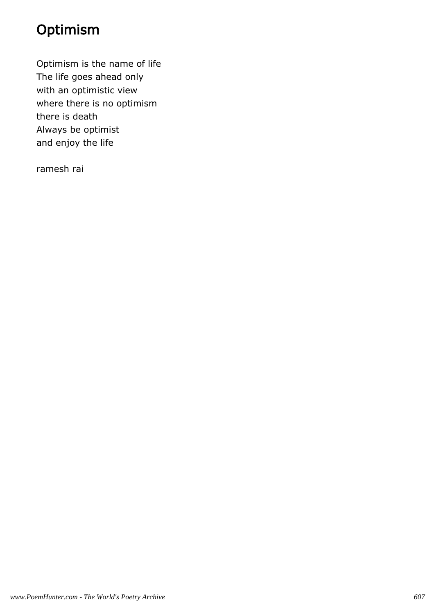# **Optimism**

Optimism is the name of life The life goes ahead only with an optimistic view where there is no optimism there is death Always be optimist and enjoy the life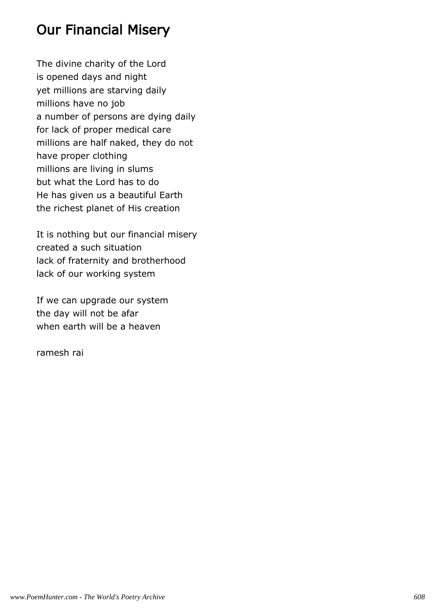# Our Financial Misery

The divine charity of the Lord is opened days and night yet millions are starving daily millions have no job a number of persons are dying daily for lack of proper medical care millions are half naked, they do not have proper clothing millions are living in slums but what the Lord has to do He has given us a beautiful Earth the richest planet of His creation

It is nothing but our financial misery created a such situation lack of fraternity and brotherhood lack of our working system

If we can upgrade our system the day will not be afar when earth will be a heaven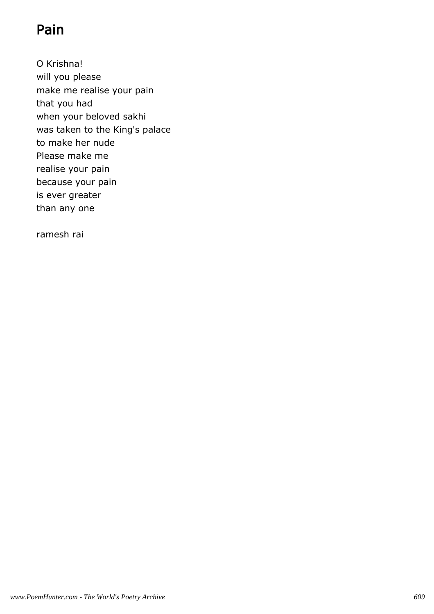# Pain

O Krishna! will you please make me realise your pain that you had when your beloved sakhi was taken to the King's palace to make her nude Please make me realise your pain because your pain is ever greater than any one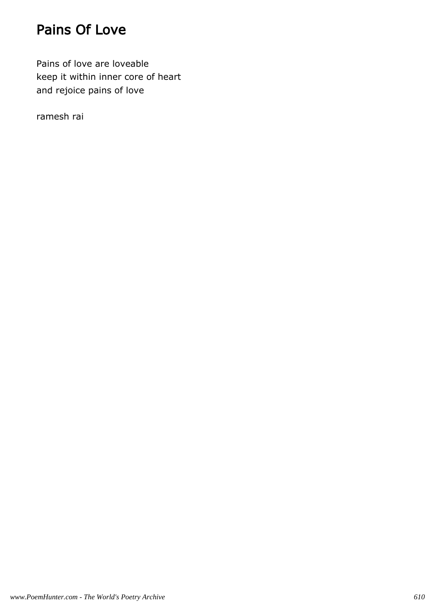# Pains Of Love

Pains of love are loveable keep it within inner core of heart and rejoice pains of love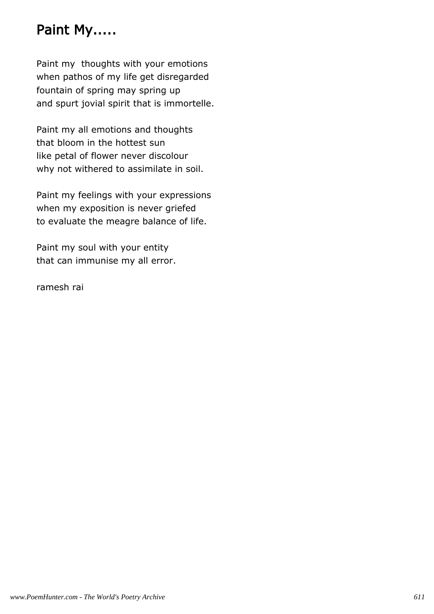# Paint My.....

Paint my thoughts with your emotions when pathos of my life get disregarded fountain of spring may spring up and spurt jovial spirit that is immortelle.

Paint my all emotions and thoughts that bloom in the hottest sun like petal of flower never discolour why not withered to assimilate in soil.

Paint my feelings with your expressions when my exposition is never griefed to evaluate the meagre balance of life.

Paint my soul with your entity that can immunise my all error.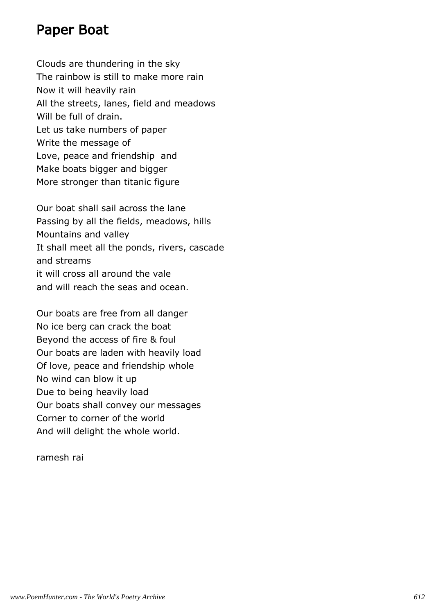### Paper Boat

Clouds are thundering in the sky The rainbow is still to make more rain Now it will heavily rain All the streets, lanes, field and meadows Will be full of drain. Let us take numbers of paper Write the message of Love, peace and friendship and Make boats bigger and bigger More stronger than titanic figure

Our boat shall sail across the lane Passing by all the fields, meadows, hills Mountains and valley It shall meet all the ponds, rivers, cascade and streams it will cross all around the vale and will reach the seas and ocean.

Our boats are free from all danger No ice berg can crack the boat Beyond the access of fire & foul Our boats are laden with heavily load Of love, peace and friendship whole No wind can blow it up Due to being heavily load Our boats shall convey our messages Corner to corner of the world And will delight the whole world.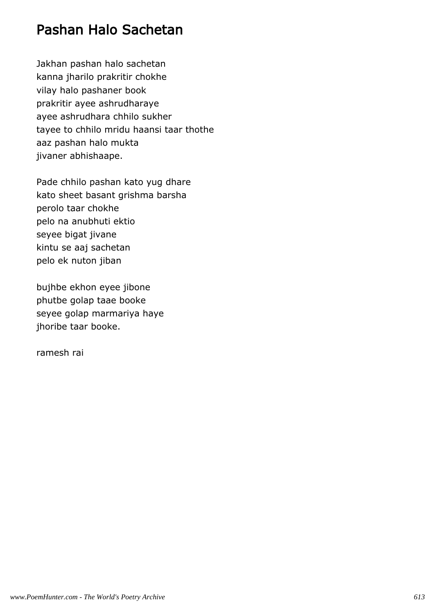# Pashan Halo Sachetan

Jakhan pashan halo sachetan kanna jharilo prakritir chokhe vilay halo pashaner book prakritir ayee ashrudharaye ayee ashrudhara chhilo sukher tayee to chhilo mridu haansi taar thothe aaz pashan halo mukta jivaner abhishaape.

Pade chhilo pashan kato yug dhare kato sheet basant grishma barsha perolo taar chokhe pelo na anubhuti ektio seyee bigat jivane kintu se aaj sachetan pelo ek nuton jiban

bujhbe ekhon eyee jibone phutbe golap taae booke seyee golap marmariya haye jhoribe taar booke.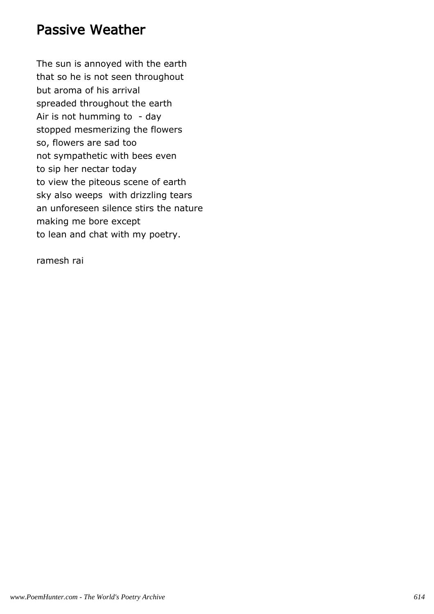#### Passive Weather

The sun is annoyed with the earth that so he is not seen throughout but aroma of his arrival spreaded throughout the earth Air is not humming to - day stopped mesmerizing the flowers so, flowers are sad too not sympathetic with bees even to sip her nectar today to view the piteous scene of earth sky also weeps with drizzling tears an unforeseen silence stirs the nature making me bore except to lean and chat with my poetry.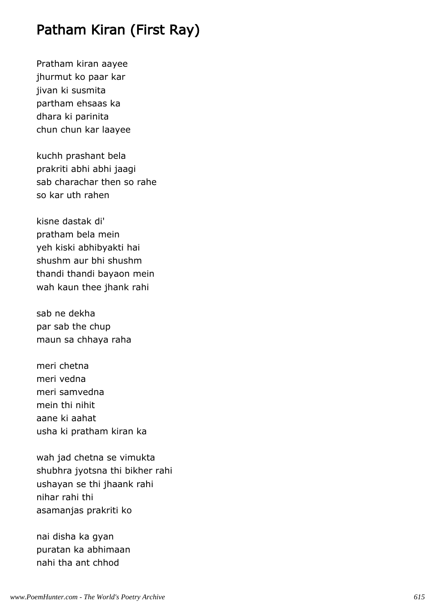# Patham Kiran (First Ray)

Pratham kiran aayee jhurmut ko paar kar jivan ki susmita partham ehsaas ka dhara ki parinita chun chun kar laayee

kuchh prashant bela prakriti abhi abhi jaagi sab charachar then so rahe so kar uth rahen

kisne dastak di' pratham bela mein yeh kiski abhibyakti hai shushm aur bhi shushm thandi thandi bayaon mein wah kaun thee jhank rahi

sab ne dekha par sab the chup maun sa chhaya raha

meri chetna meri vedna meri samvedna mein thi nihit aane ki aahat usha ki pratham kiran ka

wah jad chetna se vimukta shubhra jyotsna thi bikher rahi ushayan se thi jhaank rahi nihar rahi thi asamanjas prakriti ko

nai disha ka gyan puratan ka abhimaan nahi tha ant chhod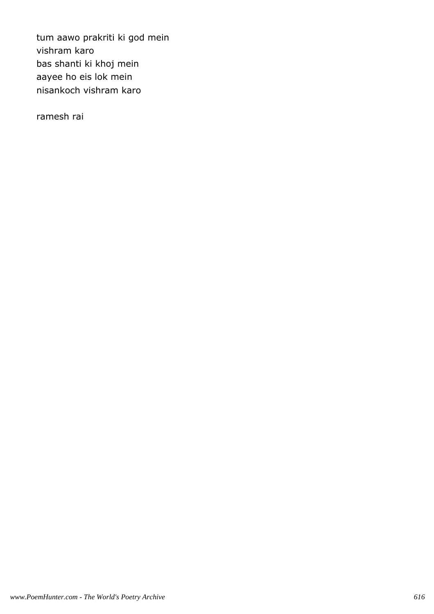tum aawo prakriti ki god mein vishram karo bas shanti ki khoj mein aayee ho eis lok mein nisankoch vishram karo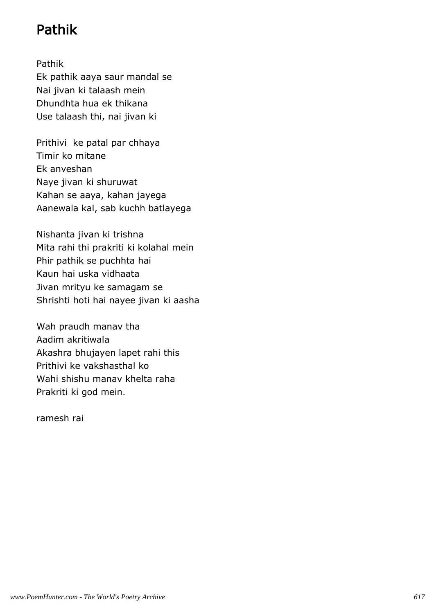# Pathik

Pathik Ek pathik aaya saur mandal se Nai jivan ki talaash mein Dhundhta hua ek thikana Use talaash thi, nai jivan ki

Prithivi ke patal par chhaya Timir ko mitane Ek anveshan Naye jivan ki shuruwat Kahan se aaya, kahan jayega Aanewala kal, sab kuchh batlayega

Nishanta jivan ki trishna Mita rahi thi prakriti ki kolahal mein Phir pathik se puchhta hai Kaun hai uska vidhaata Jivan mrityu ke samagam se Shrishti hoti hai nayee jivan ki aasha

Wah praudh manav tha Aadim akritiwala Akashra bhujayen lapet rahi this Prithivi ke vakshasthal ko Wahi shishu manav khelta raha Prakriti ki god mein.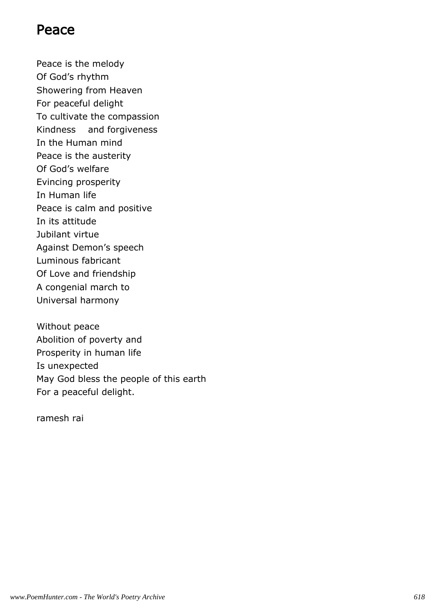#### Peace

Peace is the melody Of God's rhythm Showering from Heaven For peaceful delight To cultivate the compassion Kindness and forgiveness In the Human mind Peace is the austerity Of God's welfare Evincing prosperity In Human life Peace is calm and positive In its attitude Jubilant virtue Against Demon's speech Luminous fabricant Of Love and friendship A congenial march to Universal harmony

Without peace Abolition of poverty and Prosperity in human life Is unexpected May God bless the people of this earth For a peaceful delight.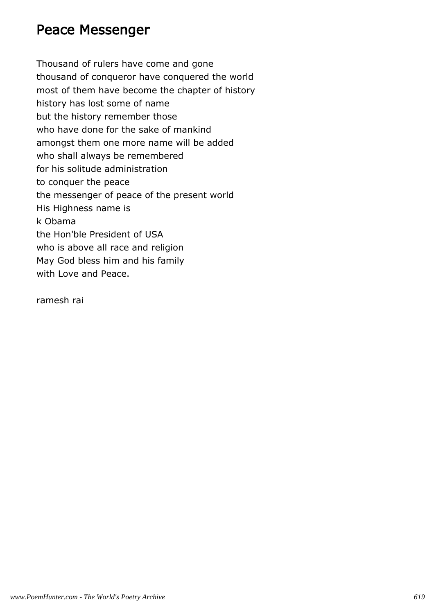### Peace Messenger

Thousand of rulers have come and gone thousand of conqueror have conquered the world most of them have become the chapter of history history has lost some of name but the history remember those who have done for the sake of mankind amongst them one more name will be added who shall always be remembered for his solitude administration to conquer the peace the messenger of peace of the present world His Highness name is k Obama the Hon'ble President of USA who is above all race and religion May God bless him and his family with Love and Peace.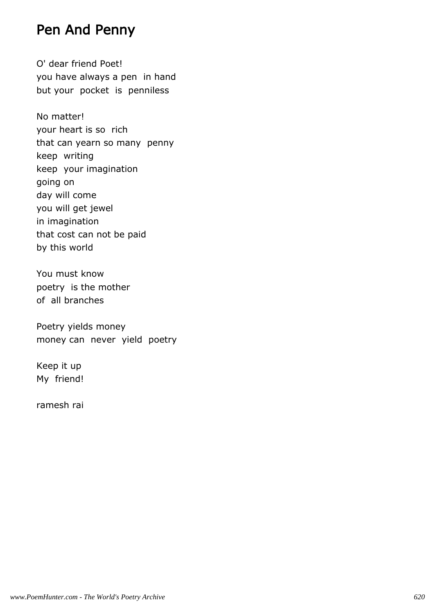#### Pen And Penny

O' dear friend Poet! you have always a pen in hand but your pocket is penniless

No matter! your heart is so rich that can yearn so many penny keep writing keep your imagination going on day will come you will get jewel in imagination that cost can not be paid by this world

You must know poetry is the mother of all branches

Poetry yields money money can never yield poetry

Keep it up My friend!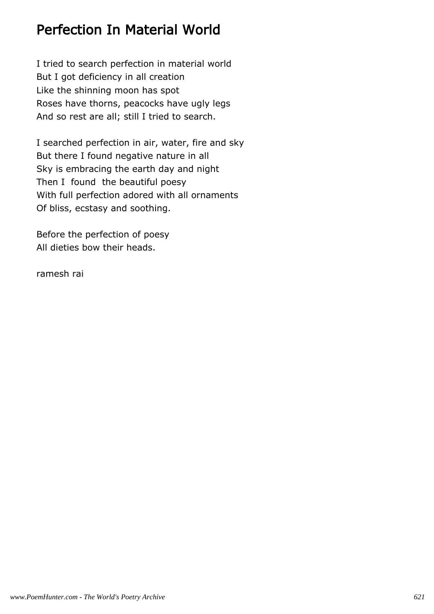# Perfection In Material World

I tried to search perfection in material world But I got deficiency in all creation Like the shinning moon has spot Roses have thorns, peacocks have ugly legs And so rest are all; still I tried to search.

I searched perfection in air, water, fire and sky But there I found negative nature in all Sky is embracing the earth day and night Then I found the beautiful poesy With full perfection adored with all ornaments Of bliss, ecstasy and soothing.

Before the perfection of poesy All dieties bow their heads.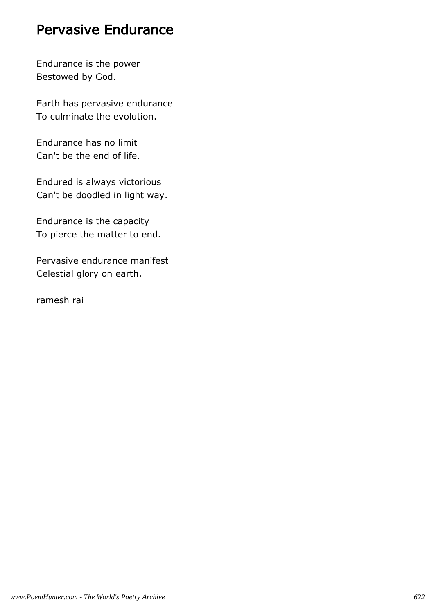### Pervasive Endurance

Endurance is the power Bestowed by God.

Earth has pervasive endurance To culminate the evolution.

Endurance has no limit Can't be the end of life.

Endured is always victorious Can't be doodled in light way.

Endurance is the capacity To pierce the matter to end.

Pervasive endurance manifest Celestial glory on earth.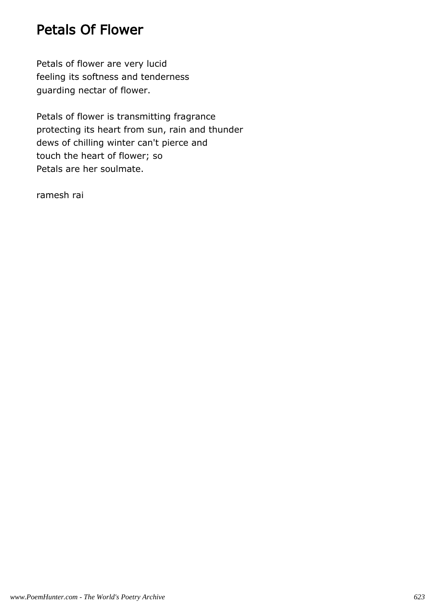## Petals Of Flower

Petals of flower are very lucid feeling its softness and tenderness guarding nectar of flower.

Petals of flower is transmitting fragrance protecting its heart from sun, rain and thunder dews of chilling winter can't pierce and touch the heart of flower; so Petals are her soulmate.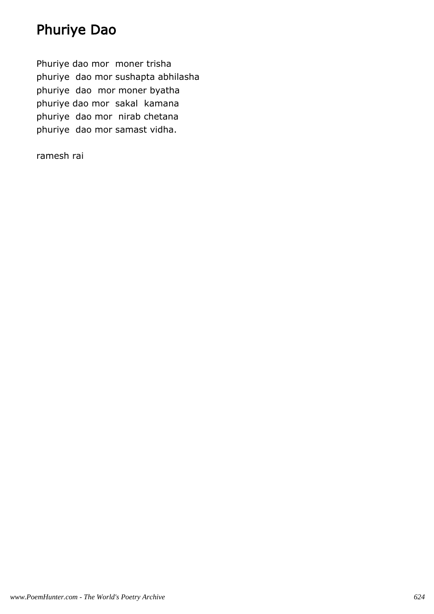# Phuriye Dao

Phuriye dao mor moner trisha phuriye dao mor sushapta abhilasha phuriye dao mor moner byatha phuriye dao mor sakal kamana phuriye dao mor nirab chetana phuriye dao mor samast vidha.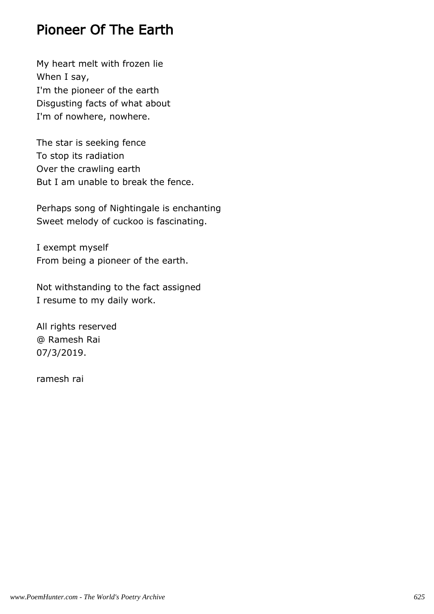## Pioneer Of The Earth

My heart melt with frozen lie When I say, I'm the pioneer of the earth Disgusting facts of what about I'm of nowhere, nowhere.

The star is seeking fence To stop its radiation Over the crawling earth But I am unable to break the fence.

Perhaps song of Nightingale is enchanting Sweet melody of cuckoo is fascinating.

I exempt myself From being a pioneer of the earth.

Not withstanding to the fact assigned I resume to my daily work.

All rights reserved @ Ramesh Rai 07/3/2019.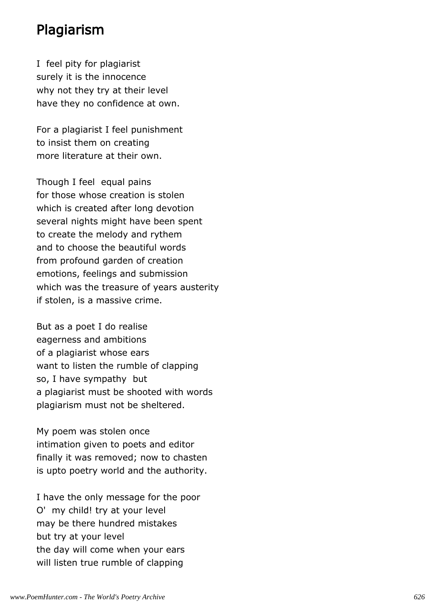### Plagiarism

I feel pity for plagiarist surely it is the innocence why not they try at their level have they no confidence at own.

For a plagiarist I feel punishment to insist them on creating more literature at their own.

Though I feel equal pains for those whose creation is stolen which is created after long devotion several nights might have been spent to create the melody and rythem and to choose the beautiful words from profound garden of creation emotions, feelings and submission which was the treasure of years austerity if stolen, is a massive crime.

But as a poet I do realise eagerness and ambitions of a plagiarist whose ears want to listen the rumble of clapping so, I have sympathy but a plagiarist must be shooted with words plagiarism must not be sheltered.

My poem was stolen once intimation given to poets and editor finally it was removed; now to chasten is upto poetry world and the authority.

I have the only message for the poor O' my child! try at your level may be there hundred mistakes but try at your level the day will come when your ears will listen true rumble of clapping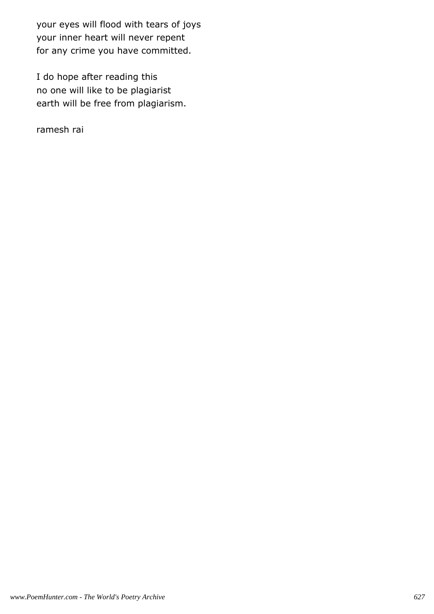your eyes will flood with tears of joys your inner heart will never repent for any crime you have committed.

I do hope after reading this no one will like to be plagiarist earth will be free from plagiarism.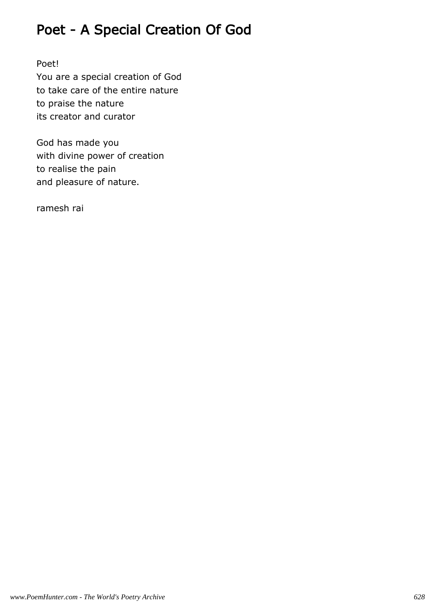# Poet - A Special Creation Of God

Poet!

You are a special creation of God to take care of the entire nature to praise the nature its creator and curator

God has made you with divine power of creation to realise the pain and pleasure of nature.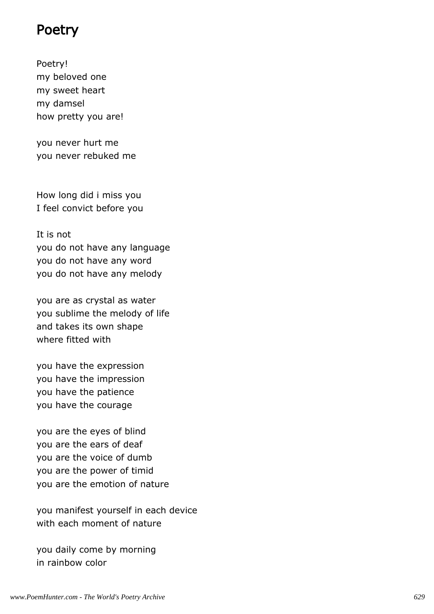#### Poetry

Poetry! my beloved one my sweet heart my damsel how pretty you are!

you never hurt me you never rebuked me

How long did i miss you I feel convict before you

It is not you do not have any language you do not have any word you do not have any melody

you are as crystal as water you sublime the melody of life and takes its own shape where fitted with

you have the expression you have the impression you have the patience you have the courage

you are the eyes of blind you are the ears of deaf you are the voice of dumb you are the power of timid you are the emotion of nature

you manifest yourself in each device with each moment of nature

you daily come by morning in rainbow color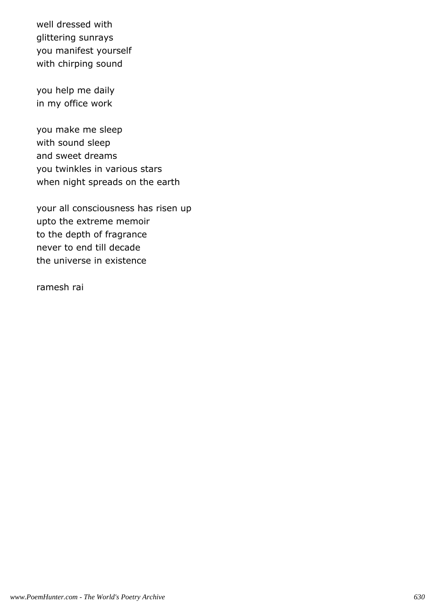well dressed with glittering sunrays you manifest yourself with chirping sound

you help me daily in my office work

you make me sleep with sound sleep and sweet dreams you twinkles in various stars when night spreads on the earth

your all consciousness has risen up upto the extreme memoir to the depth of fragrance never to end till decade the universe in existence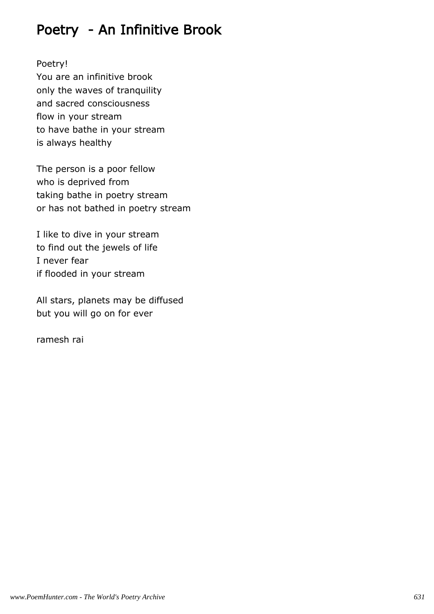# Poetry - An Infinitive Brook

#### Poetry!

You are an infinitive brook only the waves of tranquility and sacred consciousness flow in your stream to have bathe in your stream is always healthy

The person is a poor fellow who is deprived from taking bathe in poetry stream or has not bathed in poetry stream

I like to dive in your stream to find out the jewels of life I never fear if flooded in your stream

All stars, planets may be diffused but you will go on for ever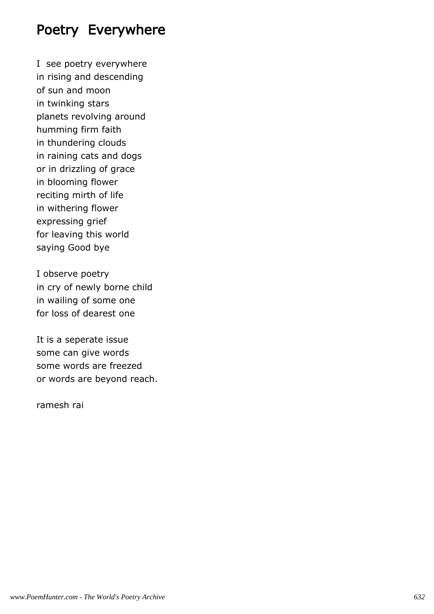## Poetry Everywhere

I see poetry everywhere in rising and descending of sun and moon in twinking stars planets revolving around humming firm faith in thundering clouds in raining cats and dogs or in drizzling of grace in blooming flower reciting mirth of life in withering flower expressing grief for leaving this world saying Good bye

I observe poetry in cry of newly borne child in wailing of some one for loss of dearest one

It is a seperate issue some can give words some words are freezed or words are beyond reach.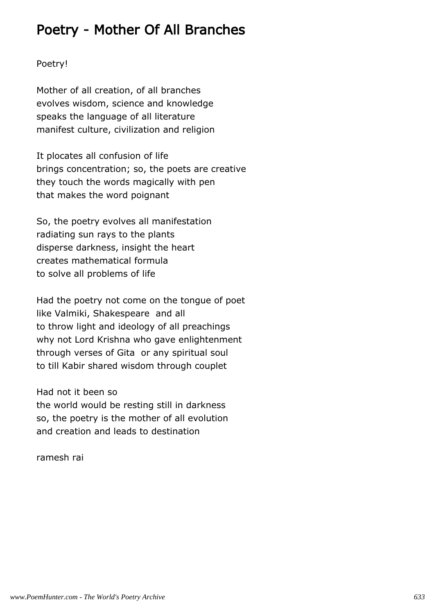## Poetry - Mother Of All Branches

#### Poetry!

Mother of all creation, of all branches evolves wisdom, science and knowledge speaks the language of all literature manifest culture, civilization and religion

It plocates all confusion of life brings concentration; so, the poets are creative they touch the words magically with pen that makes the word poignant

So, the poetry evolves all manifestation radiating sun rays to the plants disperse darkness, insight the heart creates mathematical formula to solve all problems of life

Had the poetry not come on the tongue of poet like Valmiki, Shakespeare and all to throw light and ideology of all preachings why not Lord Krishna who gave enlightenment through verses of Gita or any spiritual soul to till Kabir shared wisdom through couplet

Had not it been so

the world would be resting still in darkness so, the poetry is the mother of all evolution and creation and leads to destination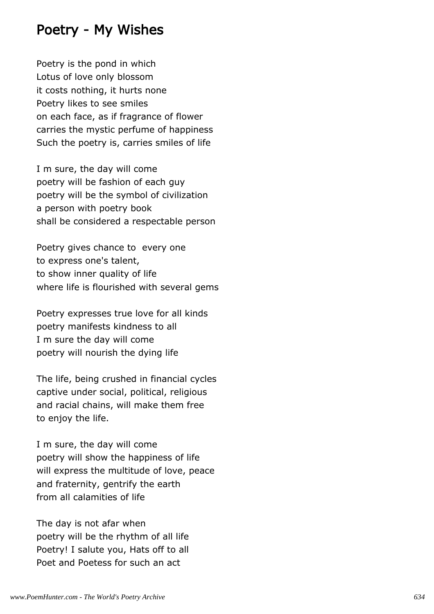#### Poetry - My Wishes

Poetry is the pond in which Lotus of love only blossom it costs nothing, it hurts none Poetry likes to see smiles on each face, as if fragrance of flower carries the mystic perfume of happiness Such the poetry is, carries smiles of life

I m sure, the day will come poetry will be fashion of each guy poetry will be the symbol of civilization a person with poetry book shall be considered a respectable person

Poetry gives chance to every one to express one's talent, to show inner quality of life where life is flourished with several gems

Poetry expresses true love for all kinds poetry manifests kindness to all I m sure the day will come poetry will nourish the dying life

The life, being crushed in financial cycles captive under social, political, religious and racial chains, will make them free to enjoy the life.

I m sure, the day will come poetry will show the happiness of life will express the multitude of love, peace and fraternity, gentrify the earth from all calamities of life

The day is not afar when poetry will be the rhythm of all life Poetry! I salute you, Hats off to all Poet and Poetess for such an act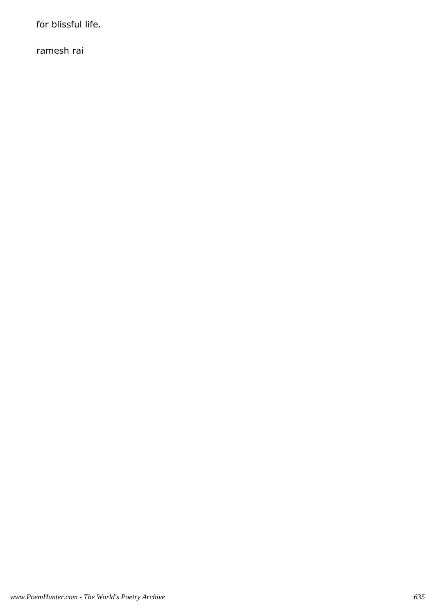for blissful life.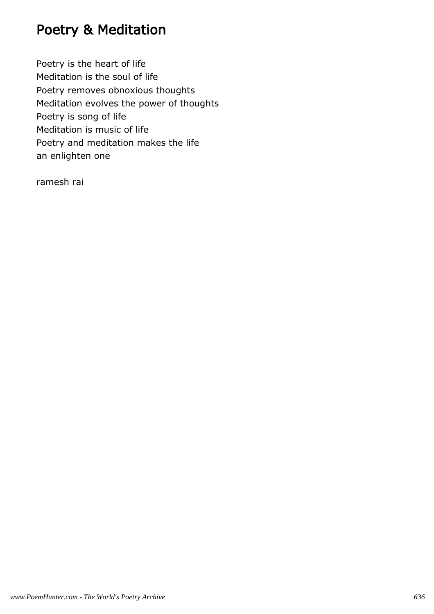## Poetry & Meditation

Poetry is the heart of life Meditation is the soul of life Poetry removes obnoxious thoughts Meditation evolves the power of thoughts Poetry is song of life Meditation is music of life Poetry and meditation makes the life an enlighten one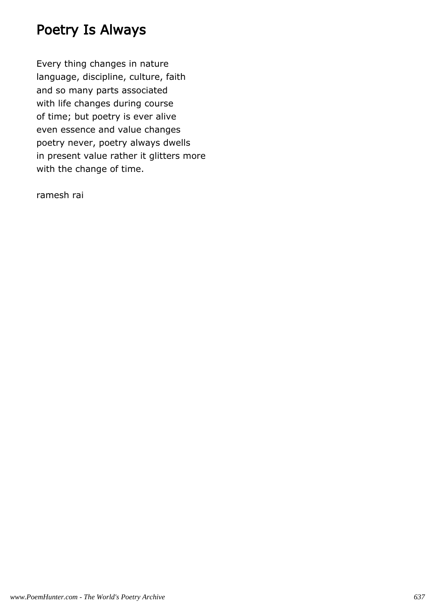## Poetry Is Always

Every thing changes in nature language, discipline, culture, faith and so many parts associated with life changes during course of time; but poetry is ever alive even essence and value changes poetry never, poetry always dwells in present value rather it glitters more with the change of time.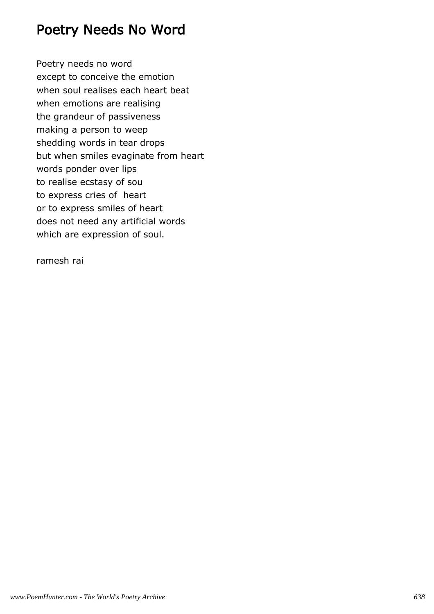## Poetry Needs No Word

Poetry needs no word except to conceive the emotion when soul realises each heart beat when emotions are realising the grandeur of passiveness making a person to weep shedding words in tear drops but when smiles evaginate from heart words ponder over lips to realise ecstasy of sou to express cries of heart or to express smiles of heart does not need any artificial words which are expression of soul.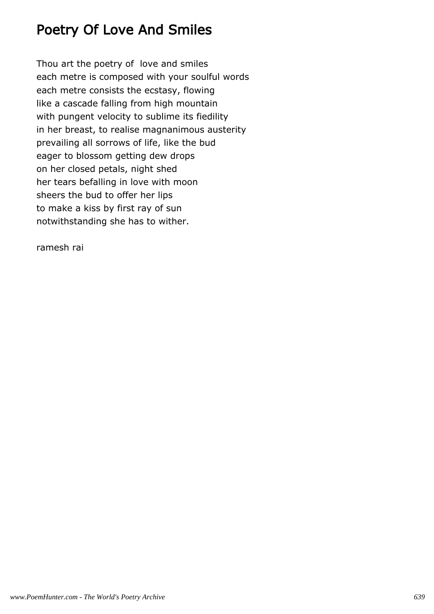# Poetry Of Love And Smiles

Thou art the poetry of love and smiles each metre is composed with your soulful words each metre consists the ecstasy, flowing like a cascade falling from high mountain with pungent velocity to sublime its fiedility in her breast, to realise magnanimous austerity prevailing all sorrows of life, like the bud eager to blossom getting dew drops on her closed petals, night shed her tears befalling in love with moon sheers the bud to offer her lips to make a kiss by first ray of sun notwithstanding she has to wither.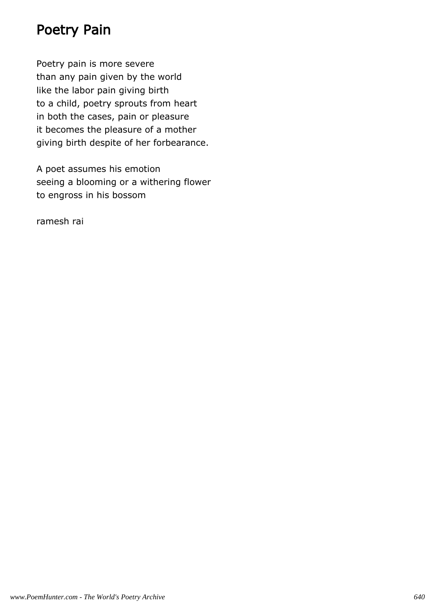## Poetry Pain

Poetry pain is more severe than any pain given by the world like the labor pain giving birth to a child, poetry sprouts from heart in both the cases, pain or pleasure it becomes the pleasure of a mother giving birth despite of her forbearance.

A poet assumes his emotion seeing a blooming or a withering flower to engross in his bossom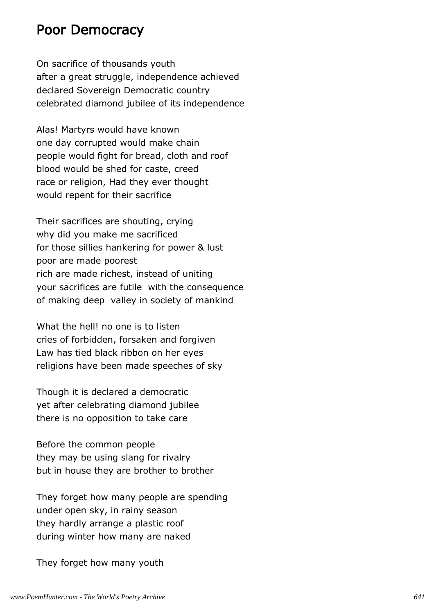#### Poor Democracy

On sacrifice of thousands youth after a great struggle, independence achieved declared Sovereign Democratic country celebrated diamond jubilee of its independence

Alas! Martyrs would have known one day corrupted would make chain people would fight for bread, cloth and roof blood would be shed for caste, creed race or religion, Had they ever thought would repent for their sacrifice

Their sacrifices are shouting, crying why did you make me sacrificed for those sillies hankering for power & lust poor are made poorest rich are made richest, instead of uniting your sacrifices are futile with the consequence of making deep valley in society of mankind

What the hell! no one is to listen cries of forbidden, forsaken and forgiven Law has tied black ribbon on her eyes religions have been made speeches of sky

Though it is declared a democratic yet after celebrating diamond jubilee there is no opposition to take care

Before the common people they may be using slang for rivalry but in house they are brother to brother

They forget how many people are spending under open sky, in rainy season they hardly arrange a plastic roof during winter how many are naked

They forget how many youth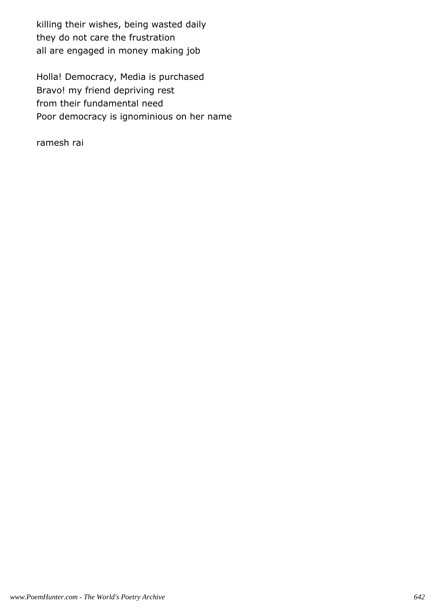killing their wishes, being wasted daily they do not care the frustration all are engaged in money making job

Holla! Democracy, Media is purchased Bravo! my friend depriving rest from their fundamental need Poor democracy is ignominious on her name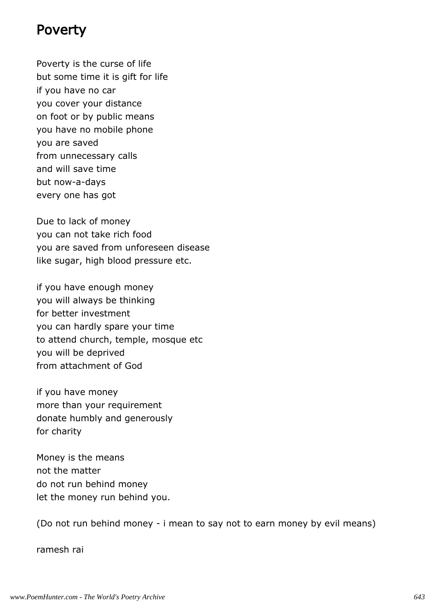### Poverty

Poverty is the curse of life but some time it is gift for life if you have no car you cover your distance on foot or by public means you have no mobile phone you are saved from unnecessary calls and will save time but now-a-days every one has got

Due to lack of money you can not take rich food you are saved from unforeseen disease like sugar, high blood pressure etc.

if you have enough money you will always be thinking for better investment you can hardly spare your time to attend church, temple, mosque etc you will be deprived from attachment of God

if you have money more than your requirement donate humbly and generously for charity

Money is the means not the matter do not run behind money let the money run behind you.

(Do not run behind money - i mean to say not to earn money by evil means)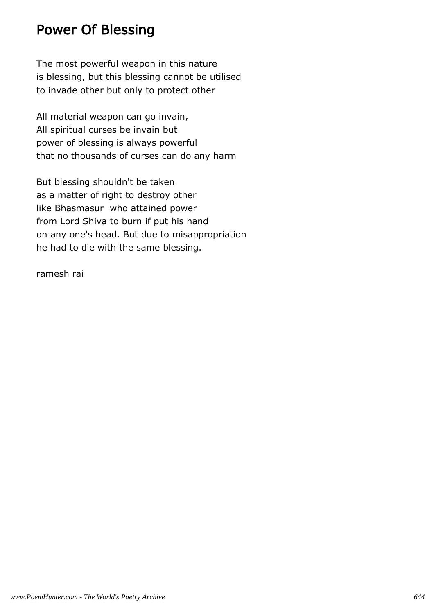## Power Of Blessing

The most powerful weapon in this nature is blessing, but this blessing cannot be utilised to invade other but only to protect other

All material weapon can go invain, All spiritual curses be invain but power of blessing is always powerful that no thousands of curses can do any harm

But blessing shouldn't be taken as a matter of right to destroy other like Bhasmasur who attained power from Lord Shiva to burn if put his hand on any one's head. But due to misappropriation he had to die with the same blessing.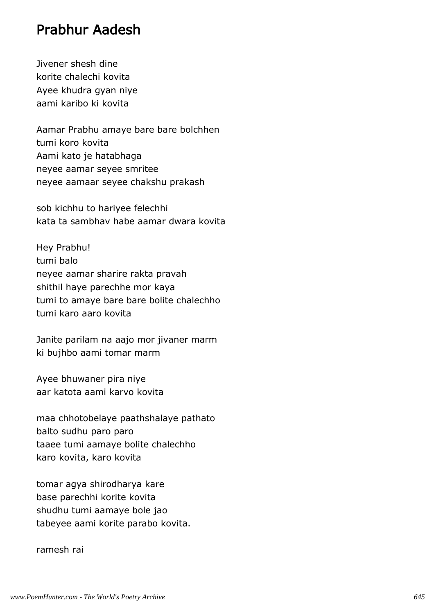#### Prabhur Aadesh

Jivener shesh dine korite chalechi kovita Ayee khudra gyan niye aami karibo ki kovita

Aamar Prabhu amaye bare bare bolchhen tumi koro kovita Aami kato je hatabhaga neyee aamar seyee smritee neyee aamaar seyee chakshu prakash

sob kichhu to hariyee felechhi kata ta sambhav habe aamar dwara kovita

Hey Prabhu! tumi balo neyee aamar sharire rakta pravah shithil haye parechhe mor kaya tumi to amaye bare bare bolite chalechho tumi karo aaro kovita

Janite parilam na aajo mor jivaner marm ki bujhbo aami tomar marm

Ayee bhuwaner pira niye aar katota aami karvo kovita

maa chhotobelaye paathshalaye pathato balto sudhu paro paro taaee tumi aamaye bolite chalechho karo kovita, karo kovita

tomar agya shirodharya kare base parechhi korite kovita shudhu tumi aamaye bole jao tabeyee aami korite parabo kovita.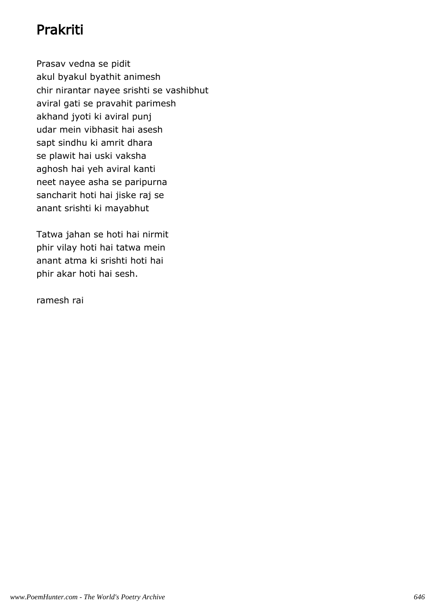# Prakriti

Prasav vedna se pidit akul byakul byathit animesh chir nirantar nayee srishti se vashibhut aviral gati se pravahit parimesh akhand jyoti ki aviral punj udar mein vibhasit hai asesh sapt sindhu ki amrit dhara se plawit hai uski vaksha aghosh hai yeh aviral kanti neet nayee asha se paripurna sancharit hoti hai jiske raj se anant srishti ki mayabhut

Tatwa jahan se hoti hai nirmit phir vilay hoti hai tatwa mein anant atma ki srishti hoti hai phir akar hoti hai sesh.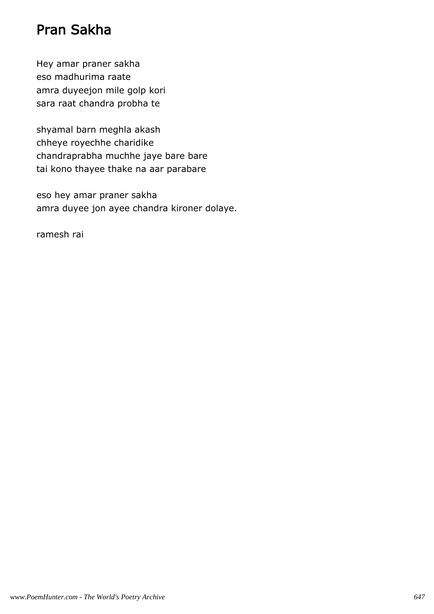# Pran Sakha

Hey amar praner sakha eso madhurima raate amra duyeejon mile golp kori sara raat chandra probha te

shyamal barn meghla akash chheye royechhe charidike chandraprabha muchhe jaye bare bare tai kono thayee thake na aar parabare

eso hey amar praner sakha amra duyee jon ayee chandra kironer dolaye.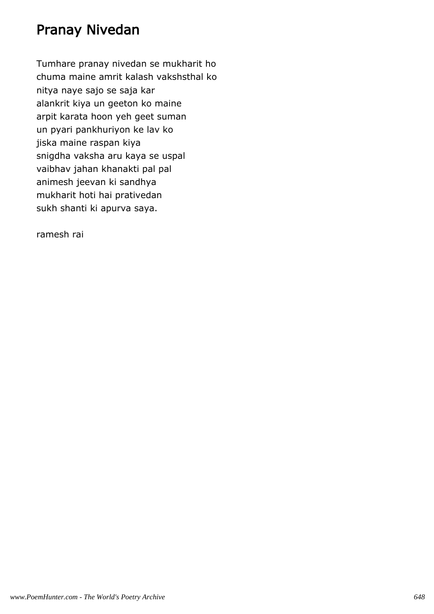# Pranay Nivedan

Tumhare pranay nivedan se mukharit ho chuma maine amrit kalash vakshsthal ko nitya naye sajo se saja kar alankrit kiya un geeton ko maine arpit karata hoon yeh geet suman un pyari pankhuriyon ke lav ko jiska maine raspan kiya snigdha vaksha aru kaya se uspal vaibhav jahan khanakti pal pal animesh jeevan ki sandhya mukharit hoti hai prativedan sukh shanti ki apurva saya.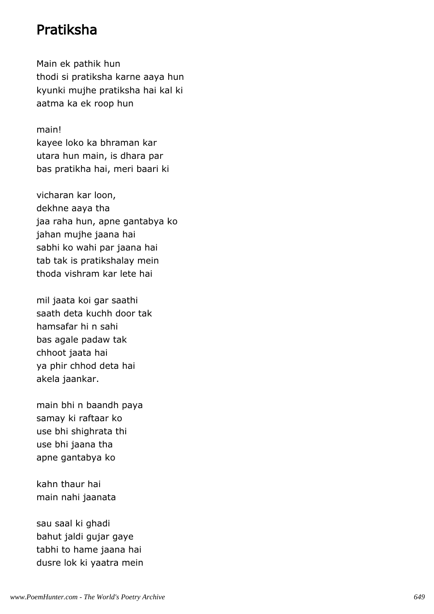## Pratiksha

Main ek pathik hun thodi si pratiksha karne aaya hun kyunki mujhe pratiksha hai kal ki aatma ka ek roop hun

main!

kayee loko ka bhraman kar utara hun main, is dhara par bas pratikha hai, meri baari ki

vicharan kar loon, dekhne aaya tha jaa raha hun, apne gantabya ko jahan mujhe jaana hai sabhi ko wahi par jaana hai tab tak is pratikshalay mein thoda vishram kar lete hai

mil jaata koi gar saathi saath deta kuchh door tak hamsafar hi n sahi bas agale padaw tak chhoot jaata hai ya phir chhod deta hai akela jaankar.

main bhi n baandh paya samay ki raftaar ko use bhi shighrata thi use bhi jaana tha apne gantabya ko

kahn thaur hai main nahi jaanata

sau saal ki ghadi bahut jaldi gujar gaye tabhi to hame jaana hai dusre lok ki yaatra mein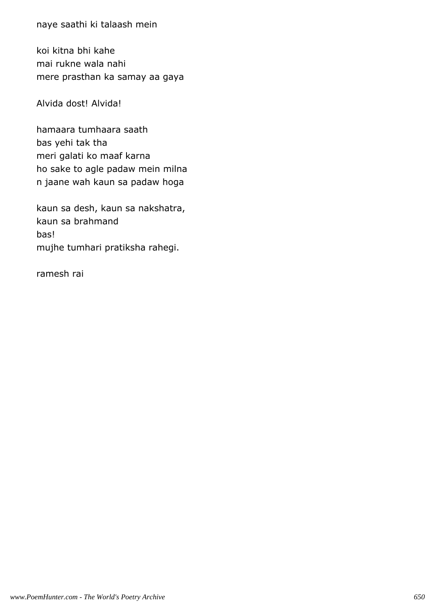naye saathi ki talaash mein

koi kitna bhi kahe mai rukne wala nahi mere prasthan ka samay aa gaya

Alvida dost! Alvida!

hamaara tumhaara saath bas yehi tak tha meri galati ko maaf karna ho sake to agle padaw mein milna n jaane wah kaun sa padaw hoga

kaun sa desh, kaun sa nakshatra, kaun sa brahmand bas! mujhe tumhari pratiksha rahegi.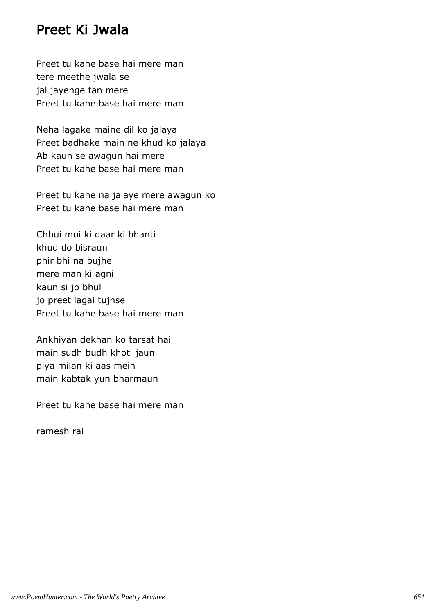### Preet Ki Jwala

Preet tu kahe base hai mere man tere meethe jwala se jal jayenge tan mere Preet tu kahe base hai mere man

Neha lagake maine dil ko jalaya Preet badhake main ne khud ko jalaya Ab kaun se awagun hai mere Preet tu kahe base hai mere man

Preet tu kahe na jalaye mere awagun ko Preet tu kahe base hai mere man

Chhui mui ki daar ki bhanti khud do bisraun phir bhi na bujhe mere man ki agni kaun si jo bhul jo preet lagai tujhse Preet tu kahe base hai mere man

Ankhiyan dekhan ko tarsat hai main sudh budh khoti jaun piya milan ki aas mein main kabtak yun bharmaun

Preet tu kahe base hai mere man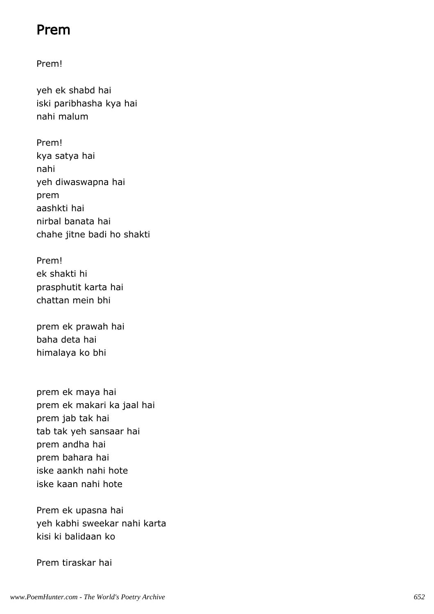## Prem

Prem!

yeh ek shabd hai iski paribhasha kya hai nahi malum

Prem! kya satya hai nahi yeh diwaswapna hai prem aashkti hai nirbal banata hai chahe jitne badi ho shakti

Prem! ek shakti hi prasphutit karta hai chattan mein bhi

prem ek prawah hai baha deta hai himalaya ko bhi

prem ek maya hai prem ek makari ka jaal hai prem jab tak hai tab tak yeh sansaar hai prem andha hai prem bahara hai iske aankh nahi hote iske kaan nahi hote

Prem ek upasna hai yeh kabhi sweekar nahi karta kisi ki balidaan ko

Prem tiraskar hai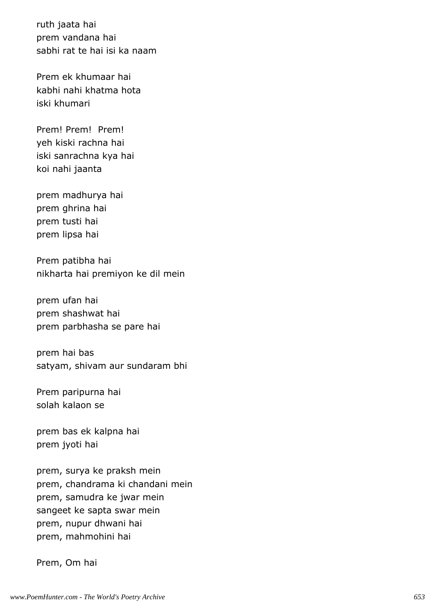ruth jaata hai prem vandana hai sabhi rat te hai isi ka naam

Prem ek khumaar hai kabhi nahi khatma hota iski khumari

Prem! Prem! Prem! yeh kiski rachna hai iski sanrachna kya hai koi nahi jaanta

prem madhurya hai prem ghrina hai prem tusti hai prem lipsa hai

Prem patibha hai nikharta hai premiyon ke dil mein

prem ufan hai prem shashwat hai prem parbhasha se pare hai

prem hai bas satyam, shivam aur sundaram bhi

Prem paripurna hai solah kalaon se

prem bas ek kalpna hai prem jyoti hai

prem, surya ke praksh mein prem, chandrama ki chandani mein prem, samudra ke jwar mein sangeet ke sapta swar mein prem, nupur dhwani hai prem, mahmohini hai

Prem, Om hai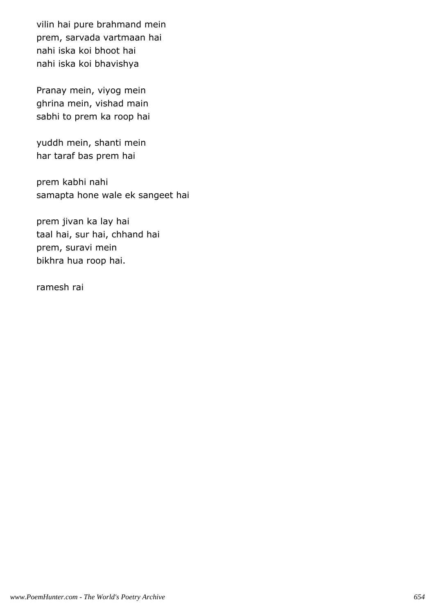vilin hai pure brahmand mein prem, sarvada vartmaan hai nahi iska koi bhoot hai nahi iska koi bhavishya

Pranay mein, viyog mein ghrina mein, vishad main sabhi to prem ka roop hai

yuddh mein, shanti mein har taraf bas prem hai

prem kabhi nahi samapta hone wale ek sangeet hai

prem jivan ka lay hai taal hai, sur hai, chhand hai prem, suravi mein bikhra hua roop hai.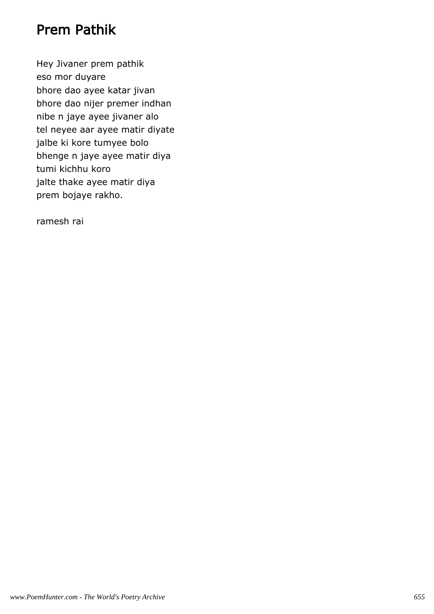# Prem Pathik

Hey Jivaner prem pathik eso mor duyare bhore dao ayee katar jivan bhore dao nijer premer indhan nibe n jaye ayee jivaner alo tel neyee aar ayee matir diyate jalbe ki kore tumyee bolo bhenge n jaye ayee matir diya tumi kichhu koro jalte thake ayee matir diya prem bojaye rakho.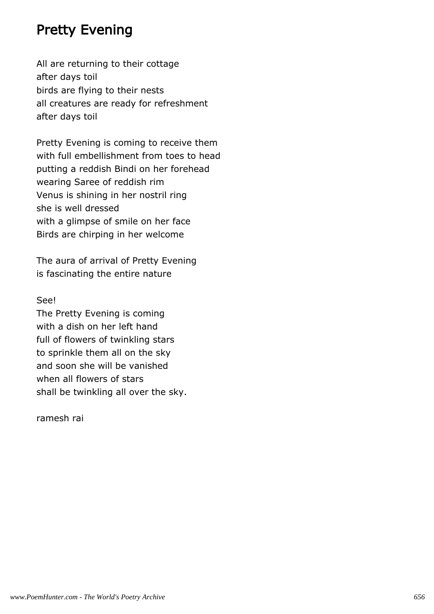# Pretty Evening

All are returning to their cottage after days toil birds are flying to their nests all creatures are ready for refreshment after days toil

Pretty Evening is coming to receive them with full embellishment from toes to head putting a reddish Bindi on her forehead wearing Saree of reddish rim Venus is shining in her nostril ring she is well dressed with a glimpse of smile on her face Birds are chirping in her welcome

The aura of arrival of Pretty Evening is fascinating the entire nature

#### See!

The Pretty Evening is coming with a dish on her left hand full of flowers of twinkling stars to sprinkle them all on the sky and soon she will be vanished when all flowers of stars shall be twinkling all over the sky.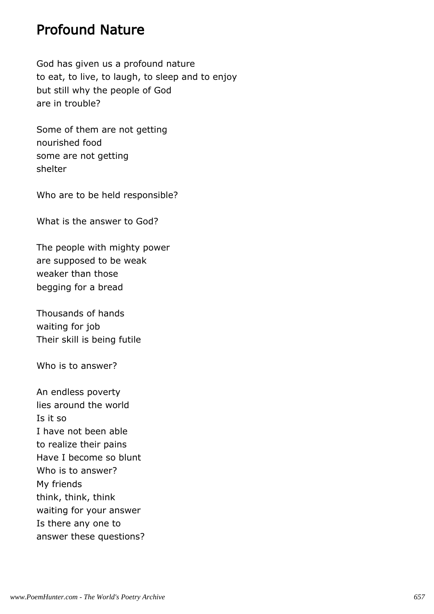## Profound Nature

God has given us a profound nature to eat, to live, to laugh, to sleep and to enjoy but still why the people of God are in trouble?

Some of them are not getting nourished food some are not getting shelter

Who are to be held responsible?

What is the answer to God?

The people with mighty power are supposed to be weak weaker than those begging for a bread

Thousands of hands waiting for job Their skill is being futile

Who is to answer?

An endless poverty lies around the world Is it so I have not been able to realize their pains Have I become so blunt Who is to answer? My friends think, think, think waiting for your answer Is there any one to answer these questions?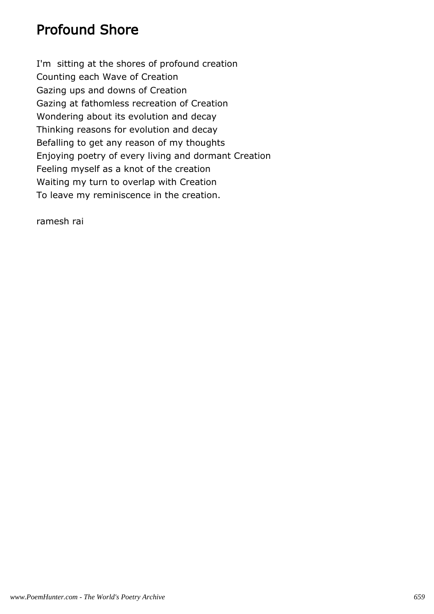# Profound Shore

I'm sitting at the shores of profound creation Counting each Wave of Creation Gazing ups and downs of Creation Gazing at fathomless recreation of Creation Wondering about its evolution and decay Thinking reasons for evolution and decay Befalling to get any reason of my thoughts Enjoying poetry of every living and dormant Creation Feeling myself as a knot of the creation Waiting my turn to overlap with Creation To leave my reminiscence in the creation.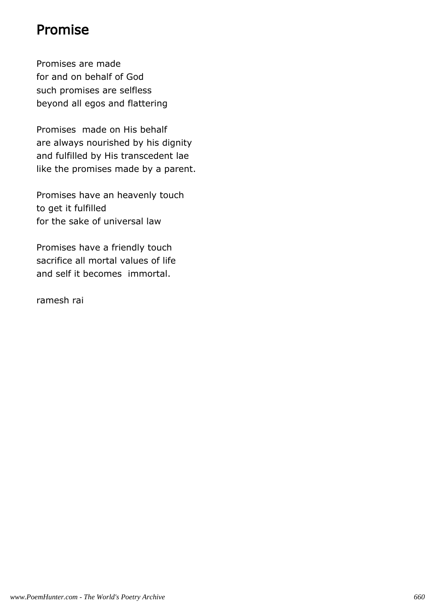# Promise

Promises are made for and on behalf of God such promises are selfless beyond all egos and flattering

Promises made on His behalf are always nourished by his dignity and fulfilled by His transcedent lae like the promises made by a parent.

Promises have an heavenly touch to get it fulfilled for the sake of universal law

Promises have a friendly touch sacrifice all mortal values of life and self it becomes immortal.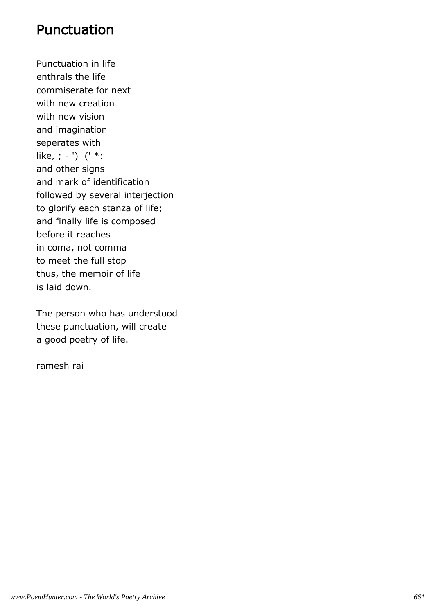# Punctuation

Punctuation in life enthrals the life commiserate for next with new creation with new vision and imagination seperates with like, ; - ')  $(' * : )$ and other signs and mark of identification followed by several interjection to glorify each stanza of life; and finally life is composed before it reaches in coma, not comma to meet the full stop thus, the memoir of life is laid down.

The person who has understood these punctuation, will create a good poetry of life.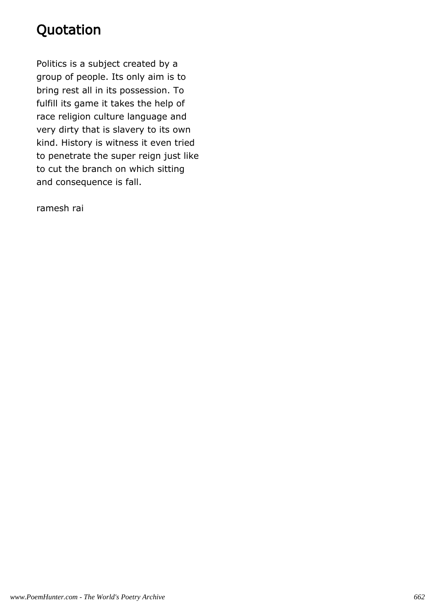# **Quotation**

Politics is a subject created by a group of people. Its only aim is to bring rest all in its possession. To fulfill its game it takes the help of race religion culture language and very dirty that is slavery to its own kind. History is witness it even tried to penetrate the super reign just like to cut the branch on which sitting and consequence is fall.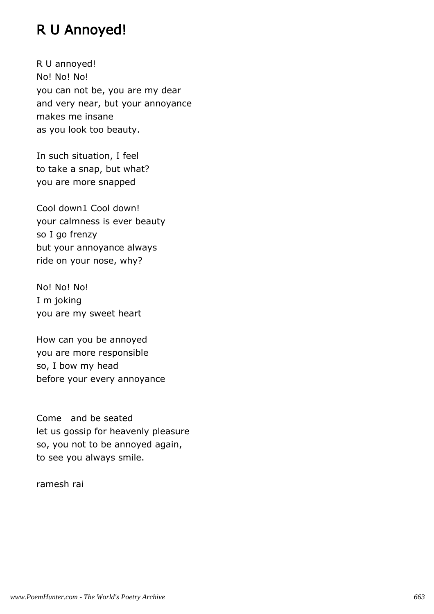# R U Annoyed!

R U annoyed! No! No! No! you can not be, you are my dear and very near, but your annoyance makes me insane as you look too beauty.

In such situation, I feel to take a snap, but what? you are more snapped

Cool down1 Cool down! your calmness is ever beauty so I go frenzy but your annoyance always ride on your nose, why?

No! No! No! I m joking you are my sweet heart

How can you be annoyed you are more responsible so, I bow my head before your every annoyance

Come and be seated let us gossip for heavenly pleasure so, you not to be annoyed again, to see you always smile.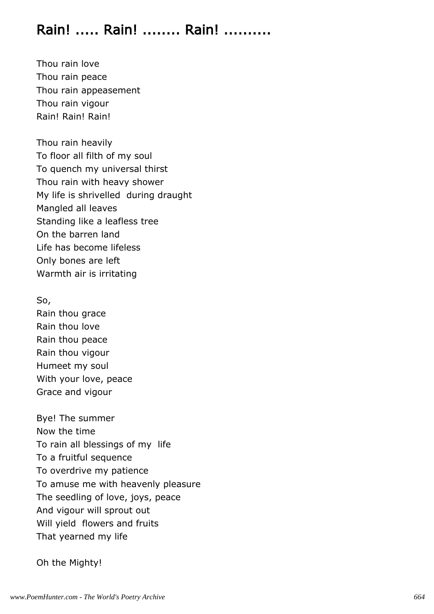# Rain! ..... Rain! ........ Rain! ..........

Thou rain love Thou rain peace Thou rain appeasement Thou rain vigour Rain! Rain! Rain!

Thou rain heavily To floor all filth of my soul To quench my universal thirst Thou rain with heavy shower My life is shrivelled during draught Mangled all leaves Standing like a leafless tree On the barren land Life has become lifeless Only bones are left Warmth air is irritating

So,

Rain thou grace Rain thou love Rain thou peace Rain thou vigour Humeet my soul With your love, peace Grace and vigour

Bye! The summer Now the time To rain all blessings of my life To a fruitful sequence To overdrive my patience To amuse me with heavenly pleasure The seedling of love, joys, peace And vigour will sprout out Will yield flowers and fruits That yearned my life

Oh the Mighty!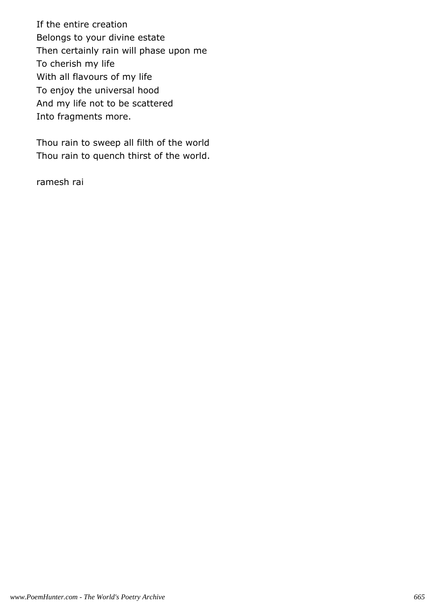If the entire creation Belongs to your divine estate Then certainly rain will phase upon me To cherish my life With all flavours of my life To enjoy the universal hood And my life not to be scattered Into fragments more.

Thou rain to sweep all filth of the world Thou rain to quench thirst of the world.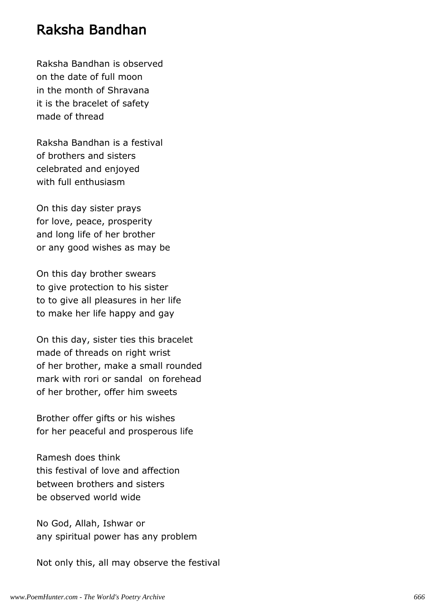#### Raksha Bandhan

Raksha Bandhan is observed on the date of full moon in the month of Shravana it is the bracelet of safety made of thread

Raksha Bandhan is a festival of brothers and sisters celebrated and enjoyed with full enthusiasm

On this day sister prays for love, peace, prosperity and long life of her brother or any good wishes as may be

On this day brother swears to give protection to his sister to to give all pleasures in her life to make her life happy and gay

On this day, sister ties this bracelet made of threads on right wrist of her brother, make a small rounded mark with rori or sandal on forehead of her brother, offer him sweets

Brother offer gifts or his wishes for her peaceful and prosperous life

Ramesh does think this festival of love and affection between brothers and sisters be observed world wide

No God, Allah, Ishwar or any spiritual power has any problem

Not only this, all may observe the festival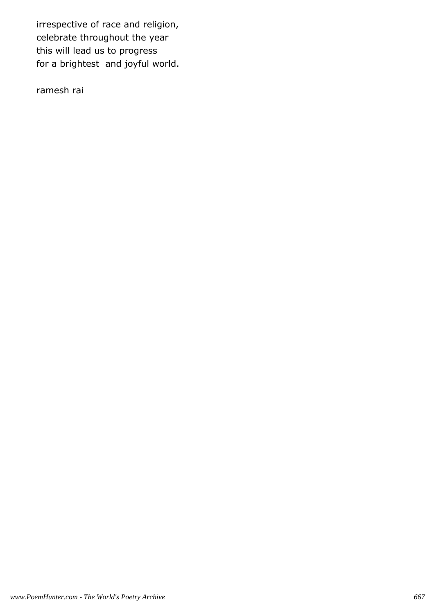irrespective of race and religion, celebrate throughout the year this will lead us to progress for a brightest and joyful world.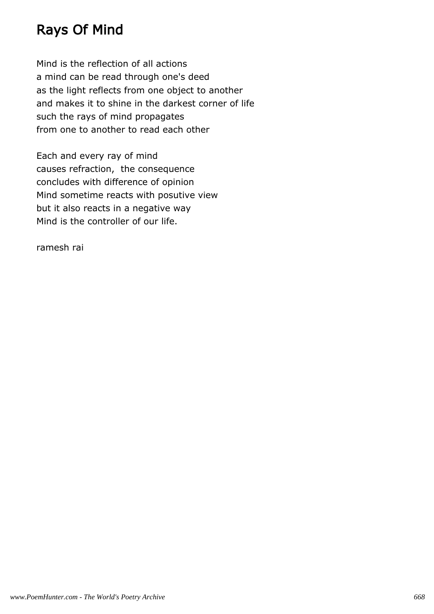# Rays Of Mind

Mind is the reflection of all actions a mind can be read through one's deed as the light reflects from one object to another and makes it to shine in the darkest corner of life such the rays of mind propagates from one to another to read each other

Each and every ray of mind causes refraction, the consequence concludes with difference of opinion Mind sometime reacts with posutive view but it also reacts in a negative way Mind is the controller of our life.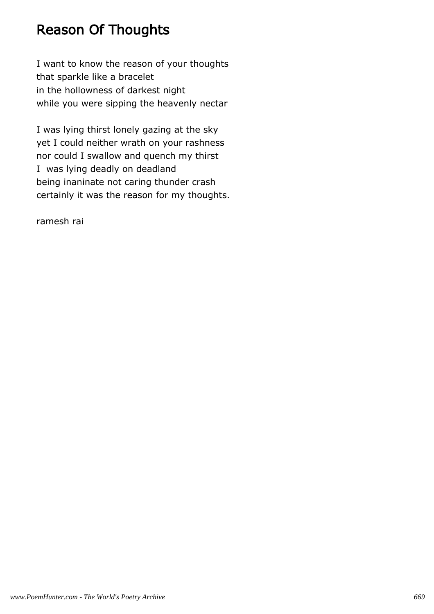# Reason Of Thoughts

I want to know the reason of your thoughts that sparkle like a bracelet in the hollowness of darkest night while you were sipping the heavenly nectar

I was lying thirst lonely gazing at the sky yet I could neither wrath on your rashness nor could I swallow and quench my thirst I was lying deadly on deadland being inaninate not caring thunder crash certainly it was the reason for my thoughts.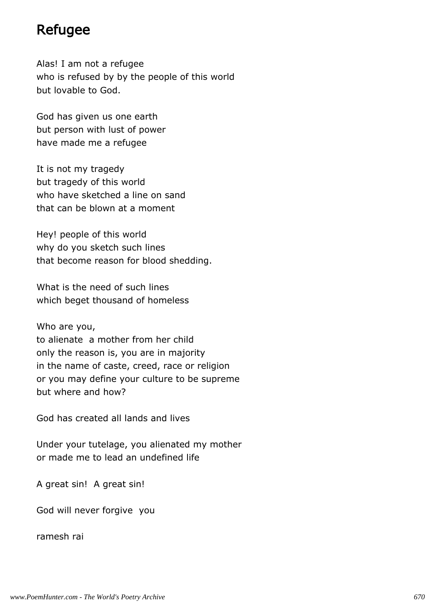# Refugee

Alas! I am not a refugee who is refused by by the people of this world but lovable to God.

God has given us one earth but person with lust of power have made me a refugee

It is not my tragedy but tragedy of this world who have sketched a line on sand that can be blown at a moment

Hey! people of this world why do you sketch such lines that become reason for blood shedding.

What is the need of such lines which beget thousand of homeless

Who are you,

to alienate a mother from her child only the reason is, you are in majority in the name of caste, creed, race or religion or you may define your culture to be supreme but where and how?

God has created all lands and lives

Under your tutelage, you alienated my mother or made me to lead an undefined life

A great sin! A great sin!

God will never forgive you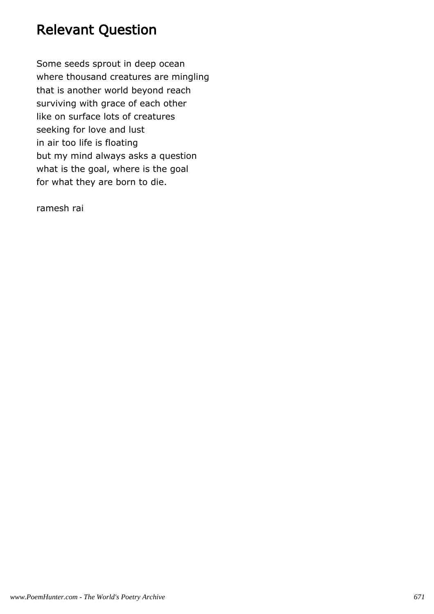## Relevant Question

Some seeds sprout in deep ocean where thousand creatures are mingling that is another world beyond reach surviving with grace of each other like on surface lots of creatures seeking for love and lust in air too life is floating but my mind always asks a question what is the goal, where is the goal for what they are born to die.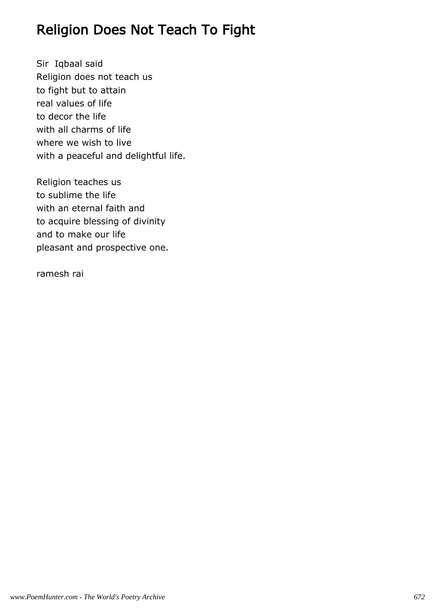# Religion Does Not Teach To Fight

Sir Iqbaal said Religion does not teach us to fight but to attain real values of life to decor the life with all charms of life where we wish to live with a peaceful and delightful life.

Religion teaches us to sublime the life with an eternal faith and to acquire blessing of divinity and to make our life pleasant and prospective one.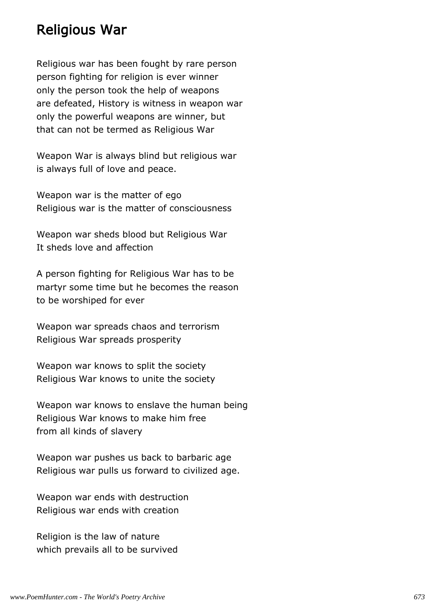## Religious War

Religious war has been fought by rare person person fighting for religion is ever winner only the person took the help of weapons are defeated, History is witness in weapon war only the powerful weapons are winner, but that can not be termed as Religious War

Weapon War is always blind but religious war is always full of love and peace.

Weapon war is the matter of ego Religious war is the matter of consciousness

Weapon war sheds blood but Religious War It sheds love and affection

A person fighting for Religious War has to be martyr some time but he becomes the reason to be worshiped for ever

Weapon war spreads chaos and terrorism Religious War spreads prosperity

Weapon war knows to split the society Religious War knows to unite the society

Weapon war knows to enslave the human being Religious War knows to make him free from all kinds of slavery

Weapon war pushes us back to barbaric age Religious war pulls us forward to civilized age.

Weapon war ends with destruction Religious war ends with creation

Religion is the law of nature which prevails all to be survived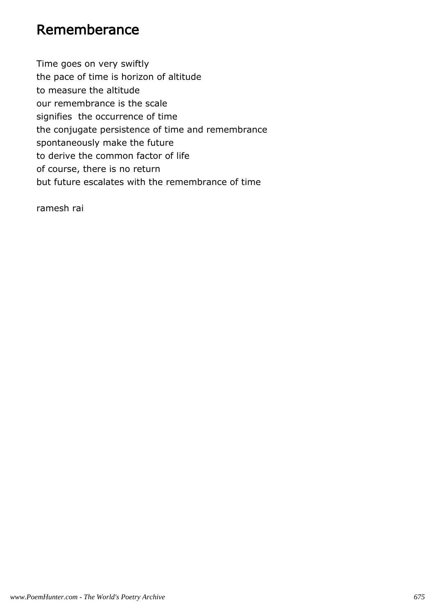## Rememberance

Time goes on very swiftly the pace of time is horizon of altitude to measure the altitude our remembrance is the scale signifies the occurrence of time the conjugate persistence of time and remembrance spontaneously make the future to derive the common factor of life of course, there is no return but future escalates with the remembrance of time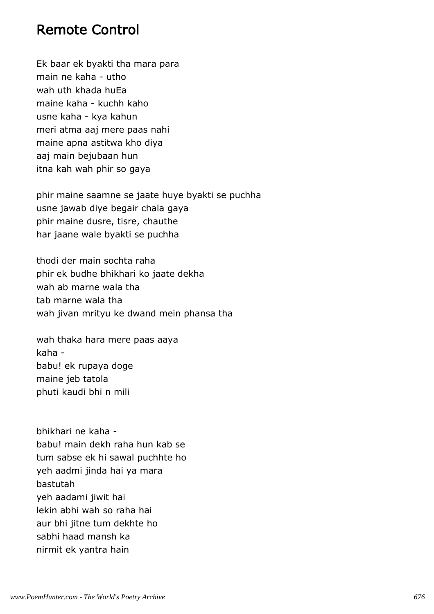#### Remote Control

Ek baar ek byakti tha mara para main ne kaha - utho wah uth khada huEa maine kaha - kuchh kaho usne kaha - kya kahun meri atma aaj mere paas nahi maine apna astitwa kho diya aaj main bejubaan hun itna kah wah phir so gaya

phir maine saamne se jaate huye byakti se puchha usne jawab diye begair chala gaya phir maine dusre, tisre, chauthe har jaane wale byakti se puchha

thodi der main sochta raha phir ek budhe bhikhari ko jaate dekha wah ab marne wala tha tab marne wala tha wah jivan mrityu ke dwand mein phansa tha

wah thaka hara mere paas aaya kaha babu! ek rupaya doge maine jeb tatola phuti kaudi bhi n mili

bhikhari ne kaha babu! main dekh raha hun kab se tum sabse ek hi sawal puchhte ho yeh aadmi jinda hai ya mara bastutah yeh aadami jiwit hai lekin abhi wah so raha hai aur bhi jitne tum dekhte ho sabhi haad mansh ka nirmit ek yantra hain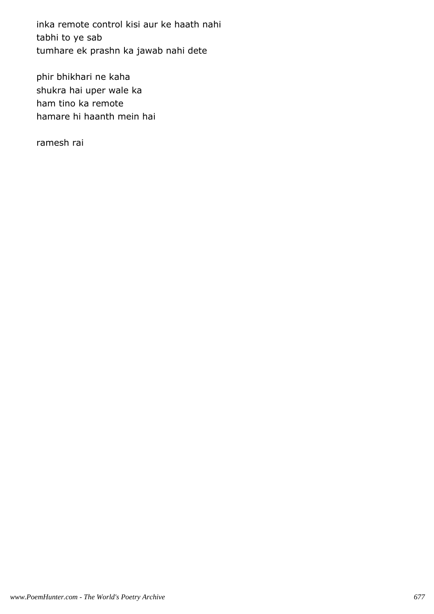inka remote control kisi aur ke haath nahi tabhi to ye sab tumhare ek prashn ka jawab nahi dete

phir bhikhari ne kaha shukra hai uper wale ka ham tino ka remote hamare hi haanth mein hai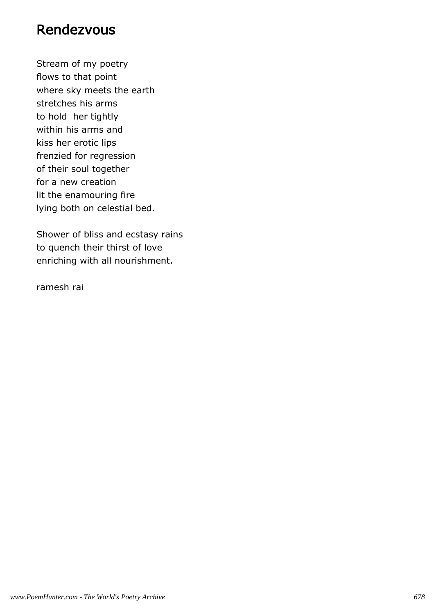#### Rendezvous

Stream of my poetry flows to that point where sky meets the earth stretches his arms to hold her tightly within his arms and kiss her erotic lips frenzied for regression of their soul together for a new creation lit the enamouring fire lying both on celestial bed.

Shower of bliss and ecstasy rains to quench their thirst of love enriching with all nourishment.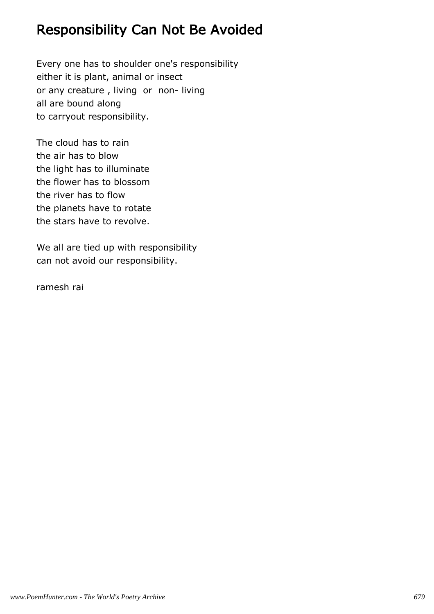# Responsibility Can Not Be Avoided

Every one has to shoulder one's responsibility either it is plant, animal or insect or any creature , living or non- living all are bound along to carryout responsibility.

The cloud has to rain the air has to blow the light has to illuminate the flower has to blossom the river has to flow the planets have to rotate the stars have to revolve.

We all are tied up with responsibility can not avoid our responsibility.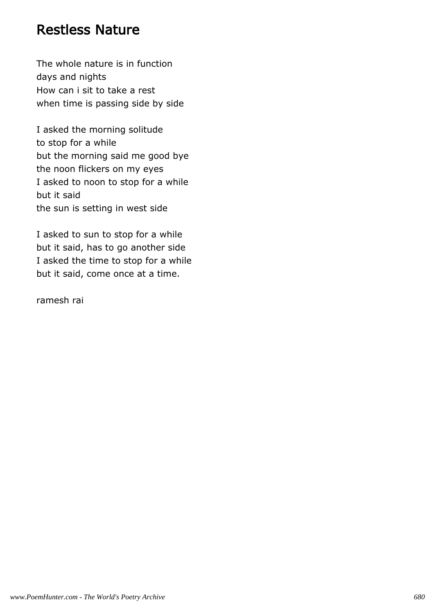#### Restless Nature

The whole nature is in function days and nights How can i sit to take a rest when time is passing side by side

I asked the morning solitude to stop for a while but the morning said me good bye the noon flickers on my eyes I asked to noon to stop for a while but it said the sun is setting in west side

I asked to sun to stop for a while but it said, has to go another side I asked the time to stop for a while but it said, come once at a time.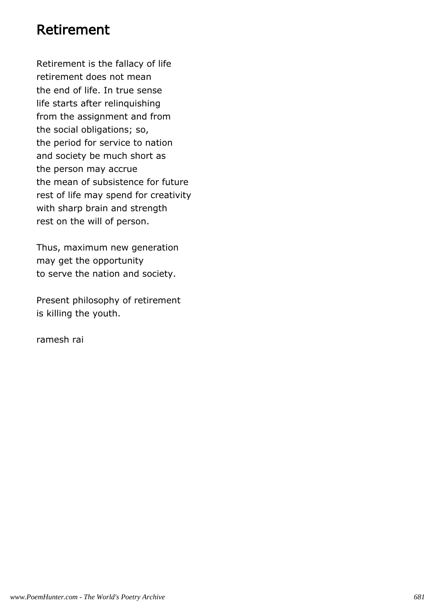## Retirement

Retirement is the fallacy of life retirement does not mean the end of life. In true sense life starts after relinquishing from the assignment and from the social obligations; so, the period for service to nation and society be much short as the person may accrue the mean of subsistence for future rest of life may spend for creativity with sharp brain and strength rest on the will of person.

Thus, maximum new generation may get the opportunity to serve the nation and society.

Present philosophy of retirement is killing the youth.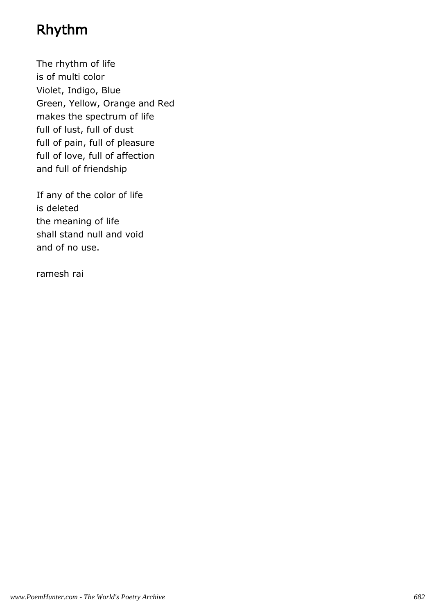# Rhythm

The rhythm of life is of multi color Violet, Indigo, Blue Green, Yellow, Orange and Red makes the spectrum of life full of lust, full of dust full of pain, full of pleasure full of love, full of affection and full of friendship

If any of the color of life is deleted the meaning of life shall stand null and void and of no use.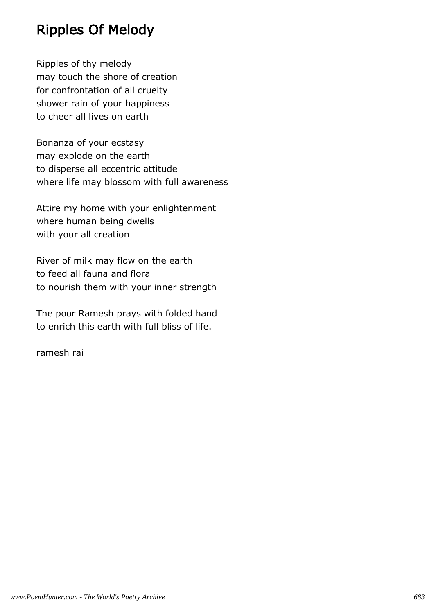# Ripples Of Melody

Ripples of thy melody may touch the shore of creation for confrontation of all cruelty shower rain of your happiness to cheer all lives on earth

Bonanza of your ecstasy may explode on the earth to disperse all eccentric attitude where life may blossom with full awareness

Attire my home with your enlightenment where human being dwells with your all creation

River of milk may flow on the earth to feed all fauna and flora to nourish them with your inner strength

The poor Ramesh prays with folded hand to enrich this earth with full bliss of life.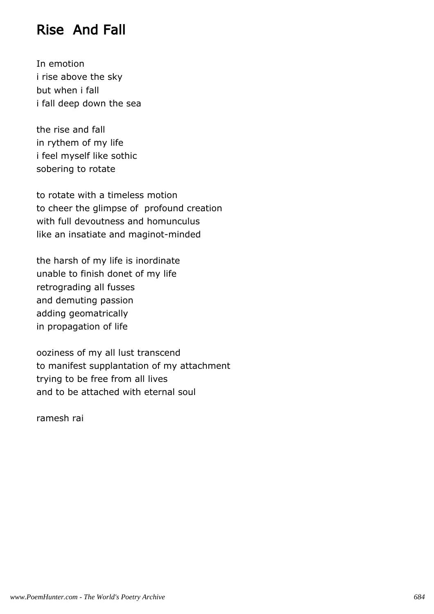# Rise And Fall

In emotion i rise above the sky but when i fall i fall deep down the sea

the rise and fall in rythem of my life i feel myself like sothic sobering to rotate

to rotate with a timeless motion to cheer the glimpse of profound creation with full devoutness and homunculus like an insatiate and maginot-minded

the harsh of my life is inordinate unable to finish donet of my life retrograding all fusses and demuting passion adding geomatrically in propagation of life

ooziness of my all lust transcend to manifest supplantation of my attachment trying to be free from all lives and to be attached with eternal soul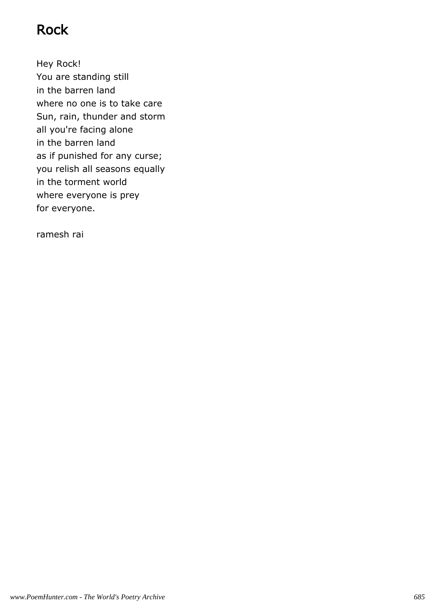# Rock

Hey Rock! You are standing still in the barren land where no one is to take care Sun, rain, thunder and storm all you're facing alone in the barren land as if punished for any curse; you relish all seasons equally in the torment world where everyone is prey for everyone.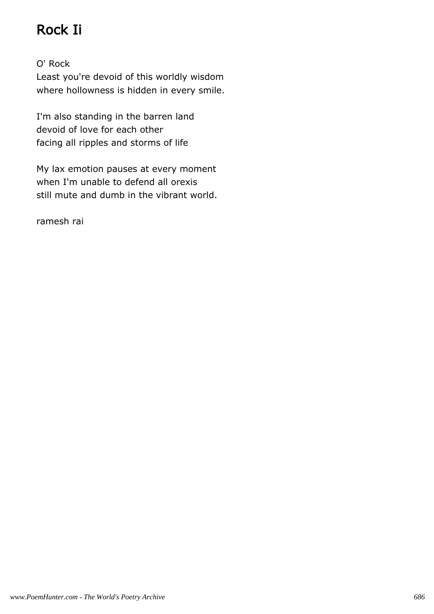# Rock Ii

O' Rock

Least you're devoid of this worldly wisdom where hollowness is hidden in every smile.

I'm also standing in the barren land devoid of love for each other facing all ripples and storms of life

My lax emotion pauses at every moment when I'm unable to defend all orexis still mute and dumb in the vibrant world.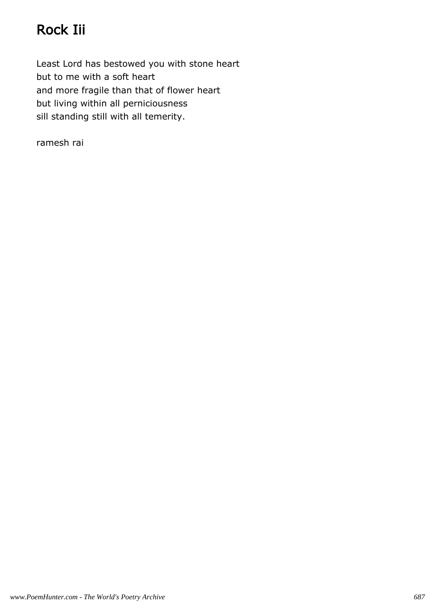# Rock Iii

Least Lord has bestowed you with stone heart but to me with a soft heart and more fragile than that of flower heart but living within all perniciousness sill standing still with all temerity.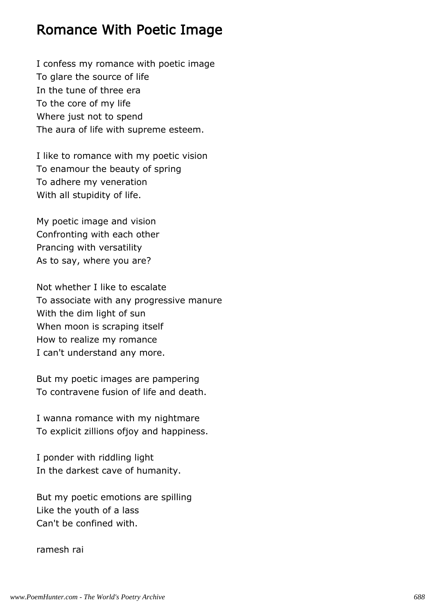#### Romance With Poetic Image

I confess my romance with poetic image To glare the source of life In the tune of three era To the core of my life Where just not to spend The aura of life with supreme esteem.

I like to romance with my poetic vision To enamour the beauty of spring To adhere my veneration With all stupidity of life.

My poetic image and vision Confronting with each other Prancing with versatility As to say, where you are?

Not whether I like to escalate To associate with any progressive manure With the dim light of sun When moon is scraping itself How to realize my romance I can't understand any more.

But my poetic images are pampering To contravene fusion of life and death.

I wanna romance with my nightmare To explicit zillions ofjoy and happiness.

I ponder with riddling light In the darkest cave of humanity.

But my poetic emotions are spilling Like the youth of a lass Can't be confined with.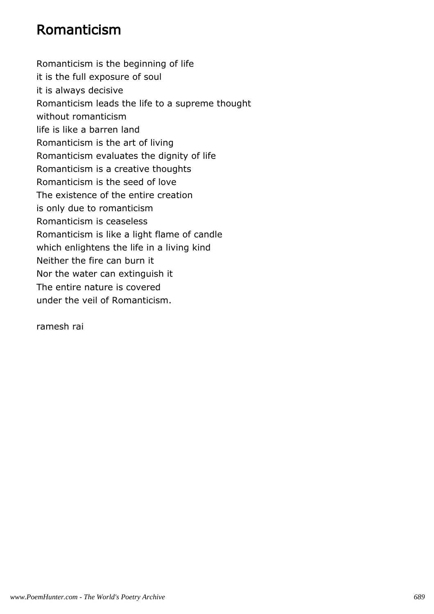# Romanticism

Romanticism is the beginning of life it is the full exposure of soul it is always decisive Romanticism leads the life to a supreme thought without romanticism life is like a barren land Romanticism is the art of living Romanticism evaluates the dignity of life Romanticism is a creative thoughts Romanticism is the seed of love The existence of the entire creation is only due to romanticism Romanticism is ceaseless Romanticism is like a light flame of candle which enlightens the life in a living kind Neither the fire can burn it Nor the water can extinguish it The entire nature is covered under the veil of Romanticism.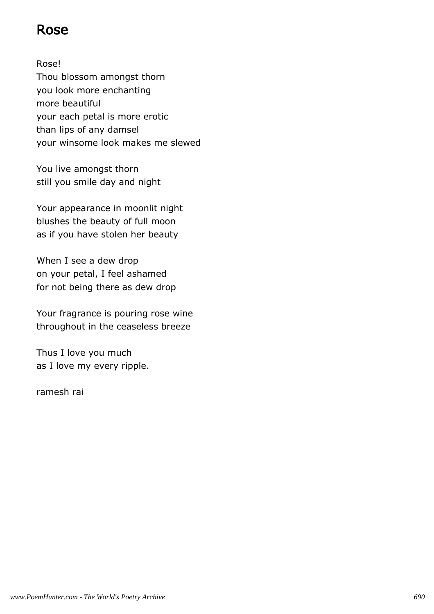# Rose

Rose! Thou blossom amongst thorn you look more enchanting more beautiful your each petal is more erotic than lips of any damsel your winsome look makes me slewed

You live amongst thorn still you smile day and night

Your appearance in moonlit night blushes the beauty of full moon as if you have stolen her beauty

When I see a dew drop on your petal, I feel ashamed for not being there as dew drop

Your fragrance is pouring rose wine throughout in the ceaseless breeze

Thus I love you much as I love my every ripple.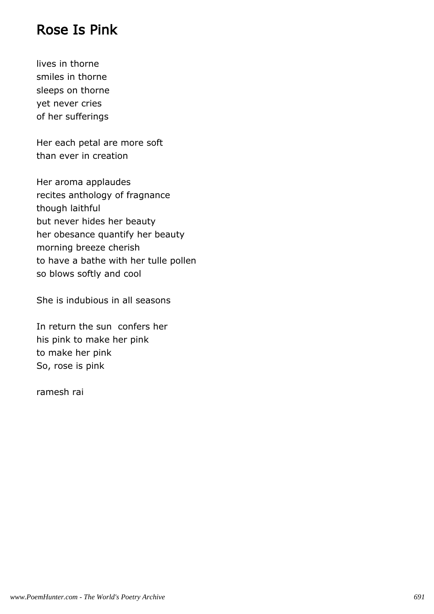# Rose Is Pink

lives in thorne smiles in thorne sleeps on thorne yet never cries of her sufferings

Her each petal are more soft than ever in creation

Her aroma applaudes recites anthology of fragnance though laithful but never hides her beauty her obesance quantify her beauty morning breeze cherish to have a bathe with her tulle pollen so blows softly and cool

She is indubious in all seasons

In return the sun confers her his pink to make her pink to make her pink So, rose is pink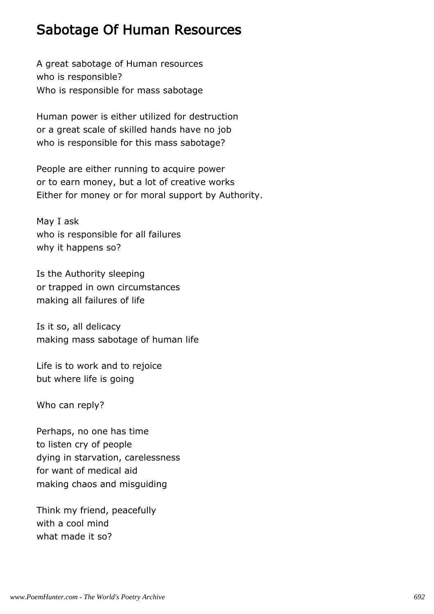# Sabotage Of Human Resources

A great sabotage of Human resources who is responsible? Who is responsible for mass sabotage

Human power is either utilized for destruction or a great scale of skilled hands have no job who is responsible for this mass sabotage?

People are either running to acquire power or to earn money, but a lot of creative works Either for money or for moral support by Authority.

May I ask who is responsible for all failures why it happens so?

Is the Authority sleeping or trapped in own circumstances making all failures of life

Is it so, all delicacy making mass sabotage of human life

Life is to work and to rejoice but where life is going

Who can reply?

Perhaps, no one has time to listen cry of people dying in starvation, carelessness for want of medical aid making chaos and misguiding

Think my friend, peacefully with a cool mind what made it so?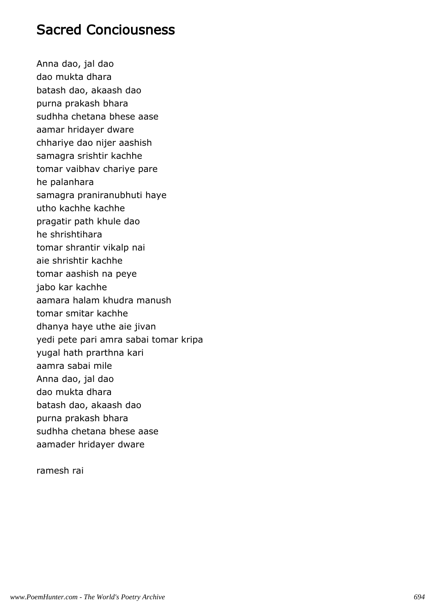#### Sacred Conciousness

Anna dao, jal dao dao mukta dhara batash dao, akaash dao purna prakash bhara sudhha chetana bhese aase aamar hridayer dware chhariye dao nijer aashish samagra srishtir kachhe tomar vaibhav chariye pare he palanhara samagra praniranubhuti haye utho kachhe kachhe pragatir path khule dao he shrishtihara tomar shrantir vikalp nai aie shrishtir kachhe tomar aashish na peye jabo kar kachhe aamara halam khudra manush tomar smitar kachhe dhanya haye uthe aie jivan yedi pete pari amra sabai tomar kripa yugal hath prarthna kari aamra sabai mile Anna dao, jal dao dao mukta dhara batash dao, akaash dao purna prakash bhara sudhha chetana bhese aase aamader hridayer dware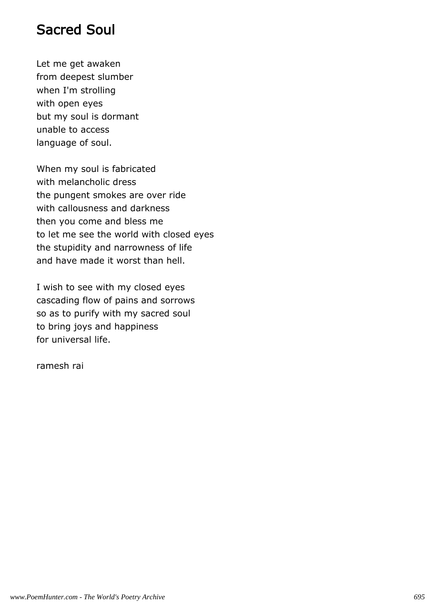# Sacred Soul

Let me get awaken from deepest slumber when I'm strolling with open eyes but my soul is dormant unable to access language of soul.

When my soul is fabricated with melancholic dress the pungent smokes are over ride with callousness and darkness then you come and bless me to let me see the world with closed eyes the stupidity and narrowness of life and have made it worst than hell.

I wish to see with my closed eyes cascading flow of pains and sorrows so as to purify with my sacred soul to bring joys and happiness for universal life.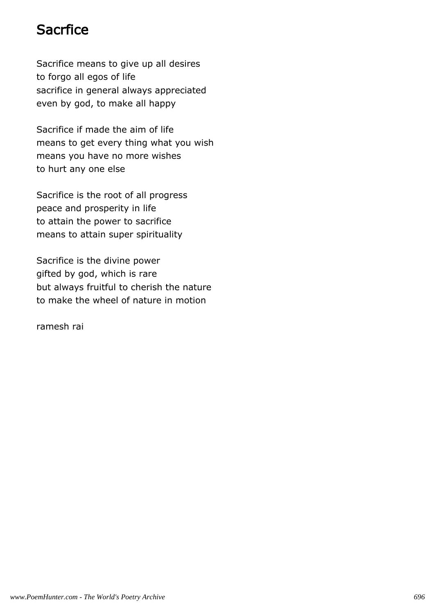# **Sacrfice**

Sacrifice means to give up all desires to forgo all egos of life sacrifice in general always appreciated even by god, to make all happy

Sacrifice if made the aim of life means to get every thing what you wish means you have no more wishes to hurt any one else

Sacrifice is the root of all progress peace and prosperity in life to attain the power to sacrifice means to attain super spirituality

Sacrifice is the divine power gifted by god, which is rare but always fruitful to cherish the nature to make the wheel of nature in motion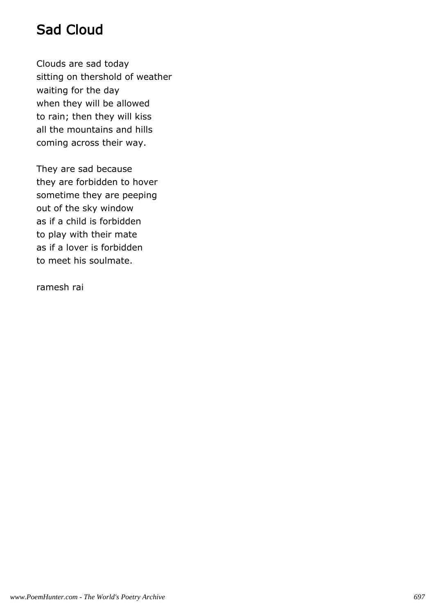# Sad Cloud

Clouds are sad today sitting on thershold of weather waiting for the day when they will be allowed to rain; then they will kiss all the mountains and hills coming across their way.

They are sad because they are forbidden to hover sometime they are peeping out of the sky window as if a child is forbidden to play with their mate as if a lover is forbidden to meet his soulmate.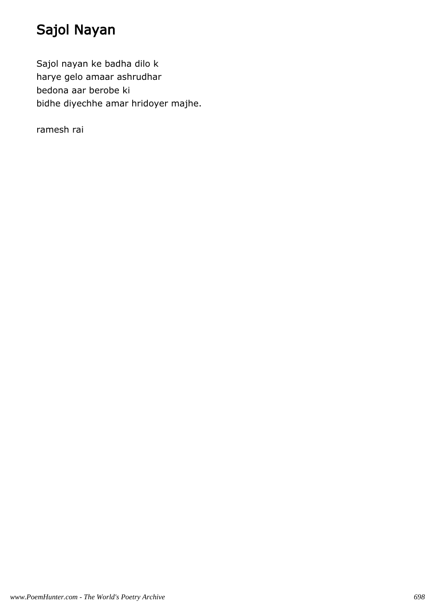# Sajol Nayan

Sajol nayan ke badha dilo k harye gelo amaar ashrudhar bedona aar berobe ki bidhe diyechhe amar hridoyer majhe.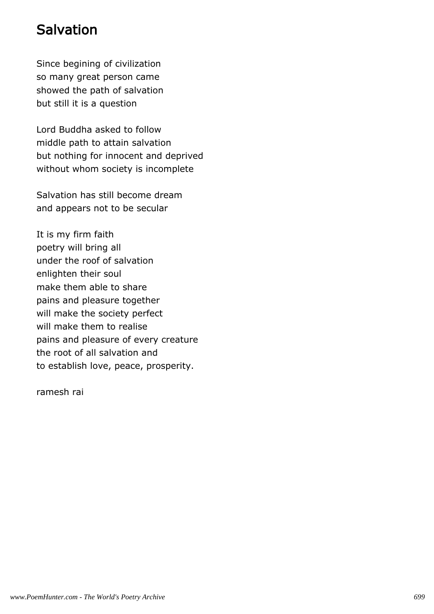# Salvation

Since begining of civilization so many great person came showed the path of salvation but still it is a question

Lord Buddha asked to follow middle path to attain salvation but nothing for innocent and deprived without whom society is incomplete

Salvation has still become dream and appears not to be secular

It is my firm faith poetry will bring all under the roof of salvation enlighten their soul make them able to share pains and pleasure together will make the society perfect will make them to realise pains and pleasure of every creature the root of all salvation and to establish love, peace, prosperity.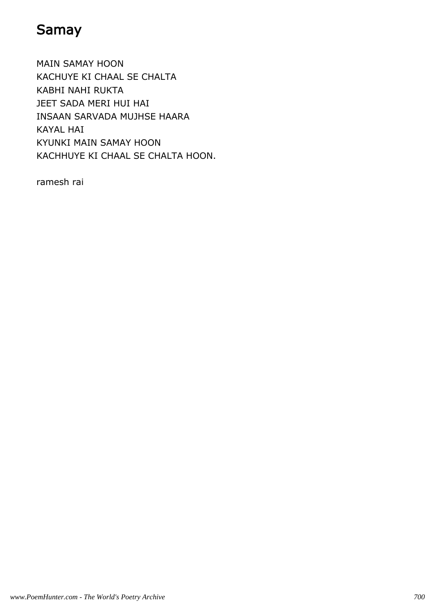# Samay

MAIN SAMAY HOON KACHUYE KI CHAAL SE CHALTA KABHI NAHI RUKTA JEET SADA MERI HUI HAI INSAAN SARVADA MUJHSE HAARA KAYAL HAI KYUNKI MAIN SAMAY HOON KACHHUYE KI CHAAL SE CHALTA HOON.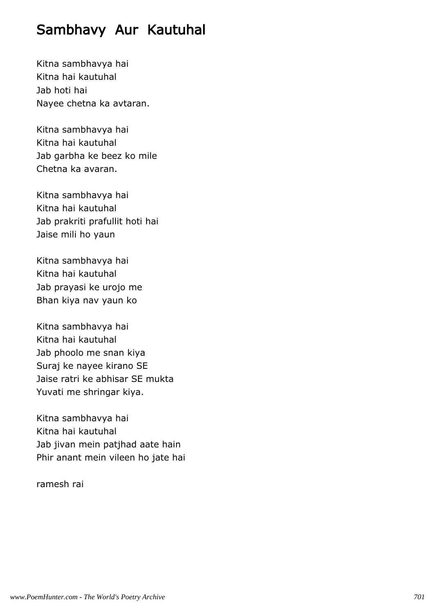# Sambhavy Aur Kautuhal

Kitna sambhavya hai Kitna hai kautuhal Jab hoti hai Nayee chetna ka avtaran.

Kitna sambhavya hai Kitna hai kautuhal Jab garbha ke beez ko mile Chetna ka avaran.

Kitna sambhavya hai Kitna hai kautuhal Jab prakriti prafullit hoti hai Jaise mili ho yaun

Kitna sambhavya hai Kitna hai kautuhal Jab prayasi ke urojo me Bhan kiya nav yaun ko

Kitna sambhavya hai Kitna hai kautuhal Jab phoolo me snan kiya Suraj ke nayee kirano SE Jaise ratri ke abhisar SE mukta Yuvati me shringar kiya.

Kitna sambhavya hai Kitna hai kautuhal Jab jivan mein patjhad aate hain Phir anant mein vileen ho jate hai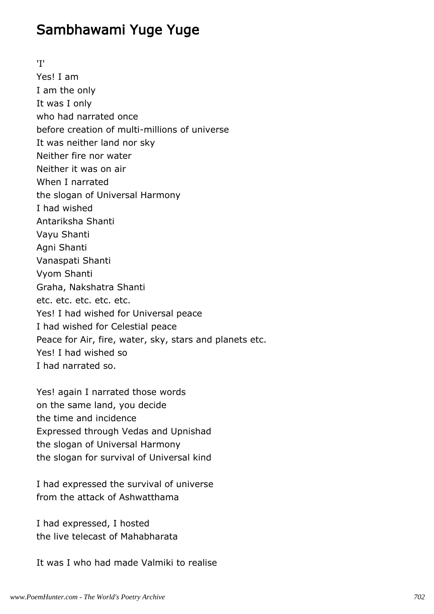# Sambhawami Yuge Yuge

'I'

Yes! I am I am the only It was I only who had narrated once before creation of multi-millions of universe It was neither land nor sky Neither fire nor water Neither it was on air When I narrated the slogan of Universal Harmony I had wished Antariksha Shanti Vayu Shanti Agni Shanti Vanaspati Shanti Vyom Shanti Graha, Nakshatra Shanti etc. etc. etc. etc. etc. Yes! I had wished for Universal peace I had wished for Celestial peace Peace for Air, fire, water, sky, stars and planets etc. Yes! I had wished so I had narrated so.

Yes! again I narrated those words on the same land, you decide the time and incidence Expressed through Vedas and Upnishad the slogan of Universal Harmony the slogan for survival of Universal kind

I had expressed the survival of universe from the attack of Ashwatthama

I had expressed, I hosted the live telecast of Mahabharata

It was I who had made Valmiki to realise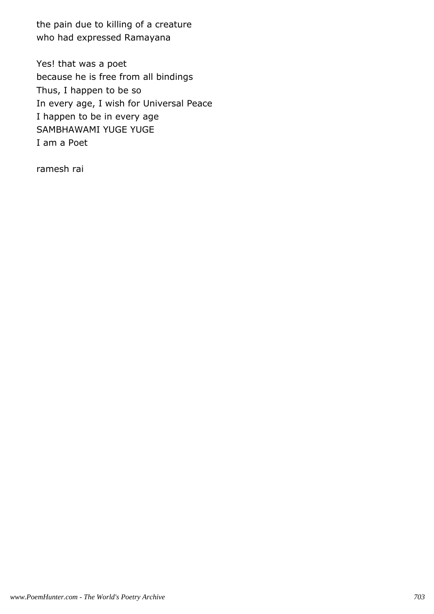the pain due to killing of a creature who had expressed Ramayana

Yes! that was a poet because he is free from all bindings Thus, I happen to be so In every age, I wish for Universal Peace I happen to be in every age SAMBHAWAMI YUGE YUGE I am a Poet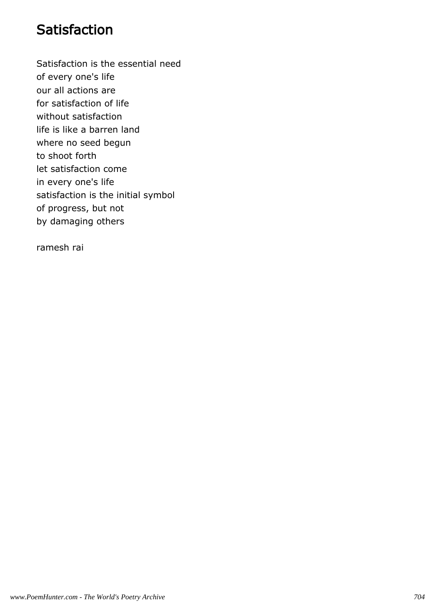## Satisfaction

Satisfaction is the essential need of every one's life our all actions are for satisfaction of life without satisfaction life is like a barren land where no seed begun to shoot forth let satisfaction come in every one's life satisfaction is the initial symbol of progress, but not by damaging others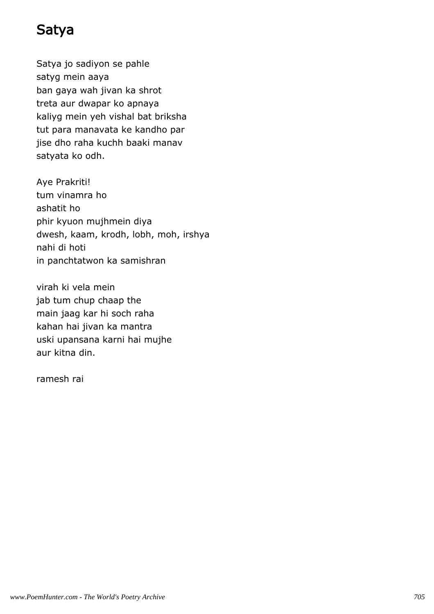# Satya

Satya jo sadiyon se pahle satyg mein aaya ban gaya wah jivan ka shrot treta aur dwapar ko apnaya kaliyg mein yeh vishal bat briksha tut para manavata ke kandho par jise dho raha kuchh baaki manav satyata ko odh.

Aye Prakriti! tum vinamra ho ashatit ho phir kyuon mujhmein diya dwesh, kaam, krodh, lobh, moh, irshya nahi di hoti in panchtatwon ka samishran

virah ki vela mein jab tum chup chaap the main jaag kar hi soch raha kahan hai jivan ka mantra uski upansana karni hai mujhe aur kitna din.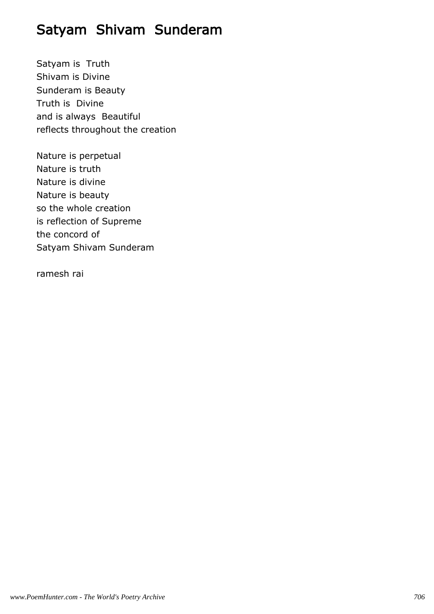# Satyam Shivam Sunderam

Satyam is Truth Shivam is Divine Sunderam is Beauty Truth is Divine and is always Beautiful reflects throughout the creation

Nature is perpetual Nature is truth Nature is divine Nature is beauty so the whole creation is reflection of Supreme the concord of Satyam Shivam Sunderam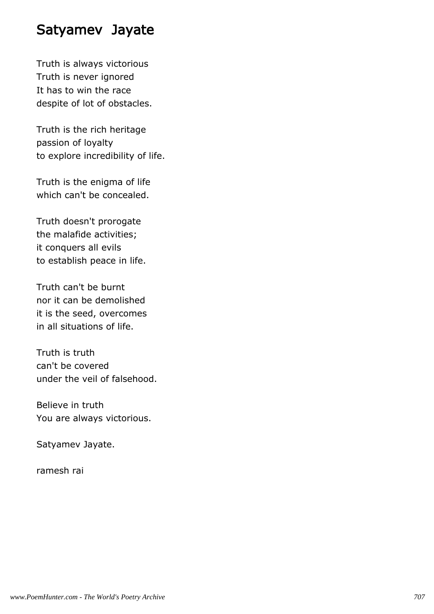#### Satyamev Jayate

Truth is always victorious Truth is never ignored It has to win the race despite of lot of obstacles.

Truth is the rich heritage passion of loyalty to explore incredibility of life.

Truth is the enigma of life which can't be concealed.

Truth doesn't prorogate the malafide activities; it conquers all evils to establish peace in life.

Truth can't be burnt nor it can be demolished it is the seed, overcomes in all situations of life.

Truth is truth can't be covered under the veil of falsehood.

Believe in truth You are always victorious.

Satyamev Jayate.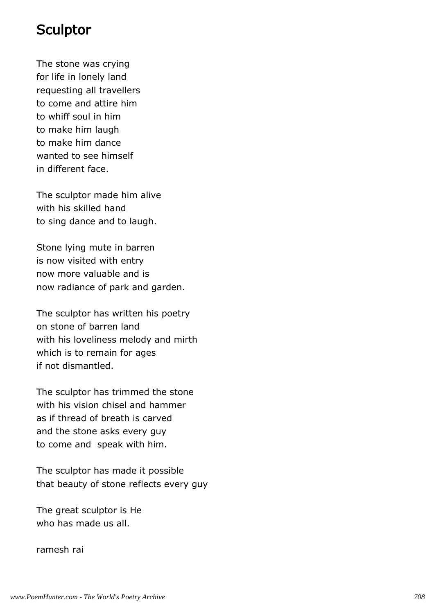# **Sculptor**

The stone was crying for life in lonely land requesting all travellers to come and attire him to whiff soul in him to make him laugh to make him dance wanted to see himself in different face.

The sculptor made him alive with his skilled hand to sing dance and to laugh.

Stone lying mute in barren is now visited with entry now more valuable and is now radiance of park and garden.

The sculptor has written his poetry on stone of barren land with his loveliness melody and mirth which is to remain for ages if not dismantled.

The sculptor has trimmed the stone with his vision chisel and hammer as if thread of breath is carved and the stone asks every guy to come and speak with him.

The sculptor has made it possible that beauty of stone reflects every guy

The great sculptor is He who has made us all.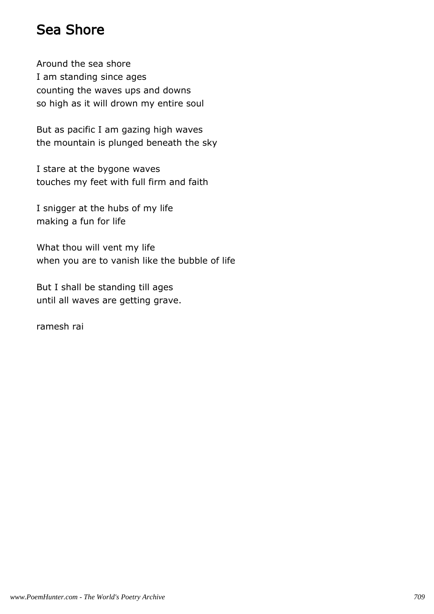# Sea Shore

Around the sea shore I am standing since ages counting the waves ups and downs so high as it will drown my entire soul

But as pacific I am gazing high waves the mountain is plunged beneath the sky

I stare at the bygone waves touches my feet with full firm and faith

I snigger at the hubs of my life making a fun for life

What thou will vent my life when you are to vanish like the bubble of life

But I shall be standing till ages until all waves are getting grave.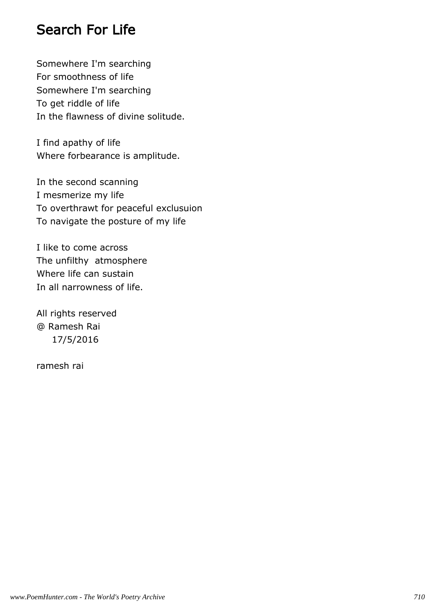# Search For Life

Somewhere I'm searching For smoothness of life Somewhere I'm searching To get riddle of life In the flawness of divine solitude.

I find apathy of life Where forbearance is amplitude.

In the second scanning I mesmerize my life To overthrawt for peaceful exclusuion To navigate the posture of my life

I like to come across The unfilthy atmosphere Where life can sustain In all narrowness of life.

All rights reserved @ Ramesh Rai 17/5/2016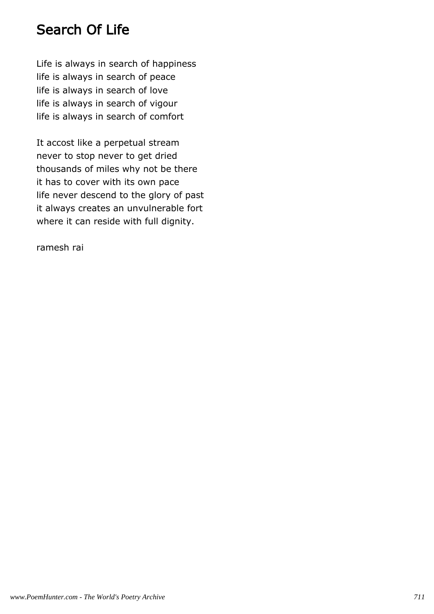# Search Of Life

Life is always in search of happiness life is always in search of peace life is always in search of love life is always in search of vigour life is always in search of comfort

It accost like a perpetual stream never to stop never to get dried thousands of miles why not be there it has to cover with its own pace life never descend to the glory of past it always creates an unvulnerable fort where it can reside with full dignity.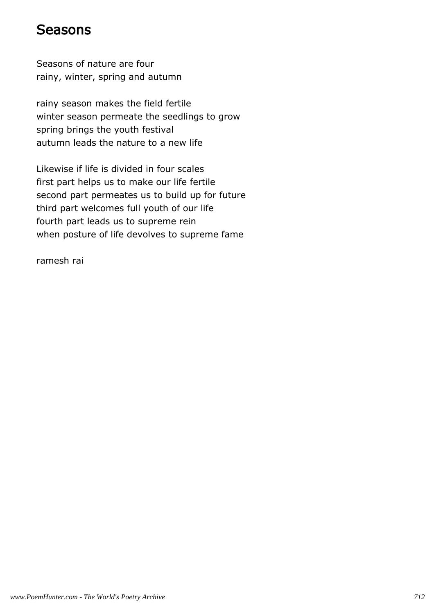# Seasons

Seasons of nature are four rainy, winter, spring and autumn

rainy season makes the field fertile winter season permeate the seedlings to grow spring brings the youth festival autumn leads the nature to a new life

Likewise if life is divided in four scales first part helps us to make our life fertile second part permeates us to build up for future third part welcomes full youth of our life fourth part leads us to supreme rein when posture of life devolves to supreme fame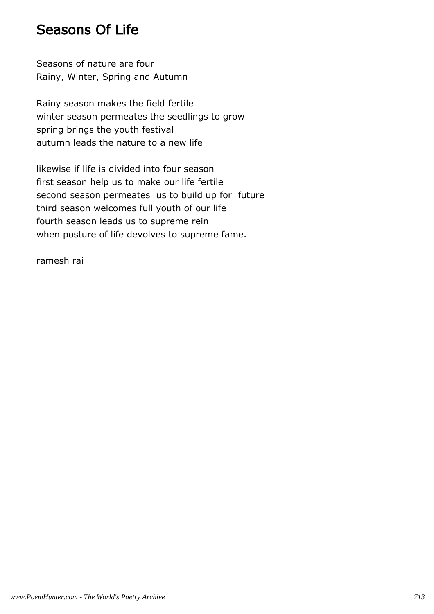# Seasons Of Life

Seasons of nature are four Rainy, Winter, Spring and Autumn

Rainy season makes the field fertile winter season permeates the seedlings to grow spring brings the youth festival autumn leads the nature to a new life

likewise if life is divided into four season first season help us to make our life fertile second season permeates us to build up for future third season welcomes full youth of our life fourth season leads us to supreme rein when posture of life devolves to supreme fame.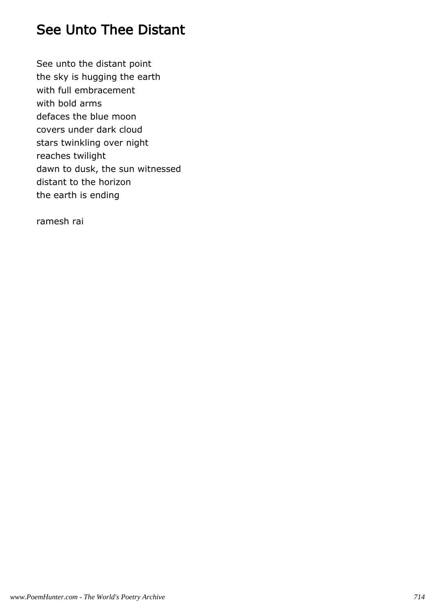# See Unto Thee Distant

See unto the distant point the sky is hugging the earth with full embracement with bold arms defaces the blue moon covers under dark cloud stars twinkling over night reaches twilight dawn to dusk, the sun witnessed distant to the horizon the earth is ending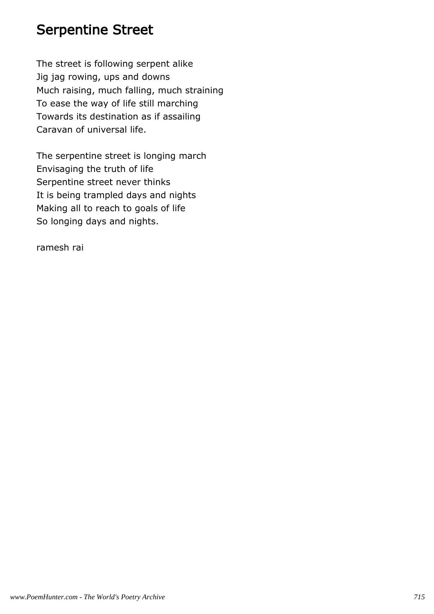### Serpentine Street

The street is following serpent alike Jig jag rowing, ups and downs Much raising, much falling, much straining To ease the way of life still marching Towards its destination as if assailing Caravan of universal life.

The serpentine street is longing march Envisaging the truth of life Serpentine street never thinks It is being trampled days and nights Making all to reach to goals of life So longing days and nights.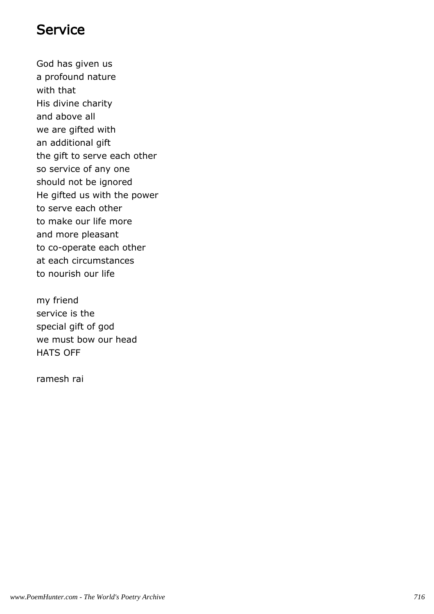## Service

God has given us a profound nature with that His divine charity and above all we are gifted with an additional gift the gift to serve each other so service of any one should not be ignored He gifted us with the power to serve each other to make our life more and more pleasant to co-operate each other at each circumstances to nourish our life

my friend service is the special gift of god we must bow our head HATS OFF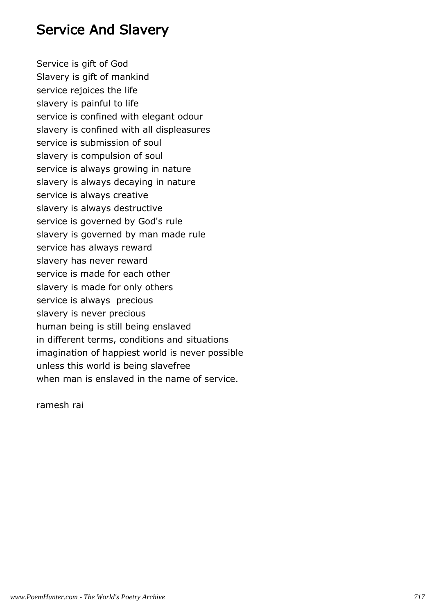#### Service And Slavery

Service is gift of God Slavery is gift of mankind service rejoices the life slavery is painful to life service is confined with elegant odour slavery is confined with all displeasures service is submission of soul slavery is compulsion of soul service is always growing in nature slavery is always decaying in nature service is always creative slavery is always destructive service is governed by God's rule slavery is governed by man made rule service has always reward slavery has never reward service is made for each other slavery is made for only others service is always precious slavery is never precious human being is still being enslaved in different terms, conditions and situations imagination of happiest world is never possible unless this world is being slavefree when man is enslaved in the name of service.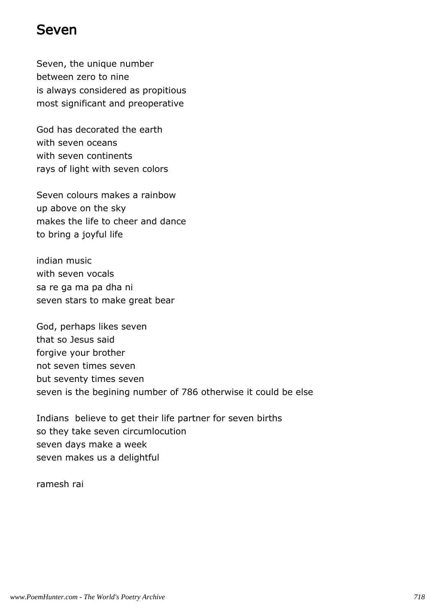#### Seven

Seven, the unique number between zero to nine is always considered as propitious most significant and preoperative

God has decorated the earth with seven oceans with seven continents rays of light with seven colors

Seven colours makes a rainbow up above on the sky makes the life to cheer and dance to bring a joyful life

indian music with seven vocals sa re ga ma pa dha ni seven stars to make great bear

God, perhaps likes seven that so Jesus said forgive your brother not seven times seven but seventy times seven seven is the begining number of 786 otherwise it could be else

Indians believe to get their life partner for seven births so they take seven circumlocution seven days make a week seven makes us a delightful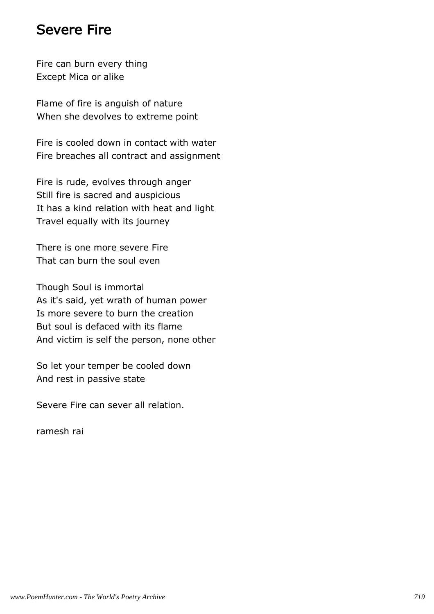#### Severe Fire

Fire can burn every thing Except Mica or alike

Flame of fire is anguish of nature When she devolves to extreme point

Fire is cooled down in contact with water Fire breaches all contract and assignment

Fire is rude, evolves through anger Still fire is sacred and auspicious It has a kind relation with heat and light Travel equally with its journey

There is one more severe Fire That can burn the soul even

Though Soul is immortal As it's said, yet wrath of human power Is more severe to burn the creation But soul is defaced with its flame And victim is self the person, none other

So let your temper be cooled down And rest in passive state

Severe Fire can sever all relation.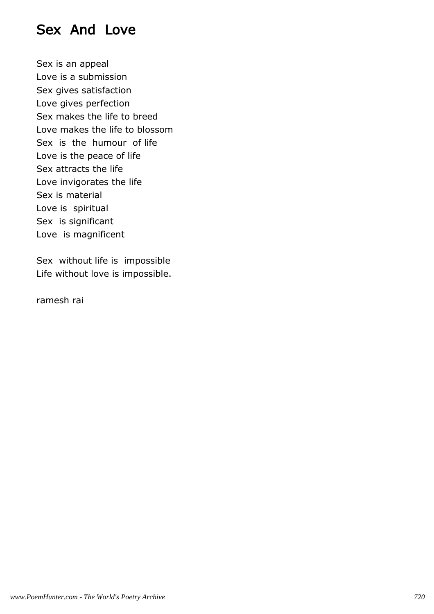#### Sex And Love

Sex is an appeal Love is a submission Sex gives satisfaction Love gives perfection Sex makes the life to breed Love makes the life to blossom Sex is the humour of life Love is the peace of life Sex attracts the life Love invigorates the life Sex is material Love is spiritual Sex is significant Love is magnificent

Sex without life is impossible Life without love is impossible.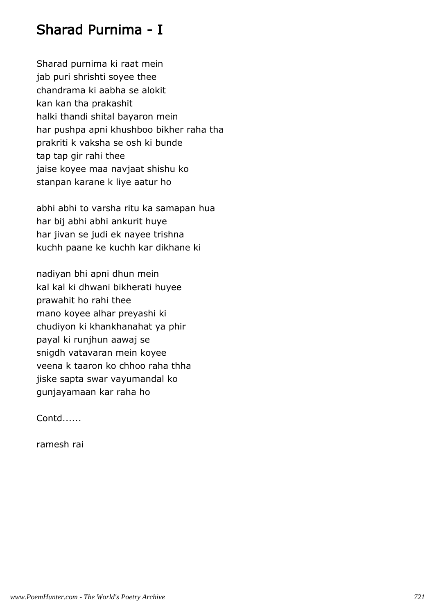## Sharad Purnima - I

Sharad purnima ki raat mein jab puri shrishti soyee thee chandrama ki aabha se alokit kan kan tha prakashit halki thandi shital bayaron mein har pushpa apni khushboo bikher raha tha prakriti k vaksha se osh ki bunde tap tap gir rahi thee jaise koyee maa navjaat shishu ko stanpan karane k liye aatur ho

abhi abhi to varsha ritu ka samapan hua har bij abhi abhi ankurit huye har jivan se judi ek nayee trishna kuchh paane ke kuchh kar dikhane ki

nadiyan bhi apni dhun mein kal kal ki dhwani bikherati huyee prawahit ho rahi thee mano koyee alhar preyashi ki chudiyon ki khankhanahat ya phir payal ki runjhun aawaj se snigdh vatavaran mein koyee veena k taaron ko chhoo raha thha jiske sapta swar vayumandal ko gunjayamaan kar raha ho

Contd......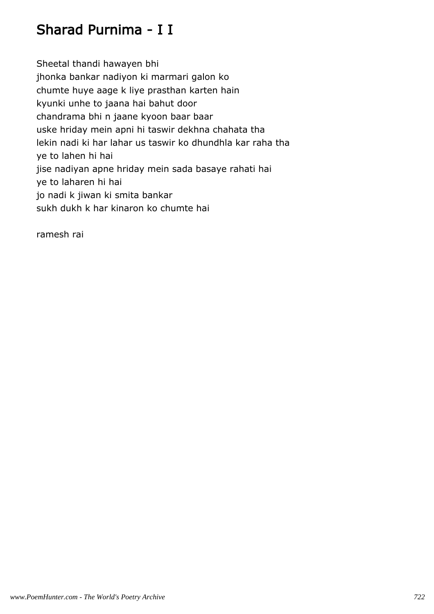# Sharad Purnima - I I

Sheetal thandi hawayen bhi jhonka bankar nadiyon ki marmari galon ko chumte huye aage k liye prasthan karten hain kyunki unhe to jaana hai bahut door chandrama bhi n jaane kyoon baar baar uske hriday mein apni hi taswir dekhna chahata tha lekin nadi ki har lahar us taswir ko dhundhla kar raha tha ye to lahen hi hai jise nadiyan apne hriday mein sada basaye rahati hai ye to laharen hi hai jo nadi k jiwan ki smita bankar sukh dukh k har kinaron ko chumte hai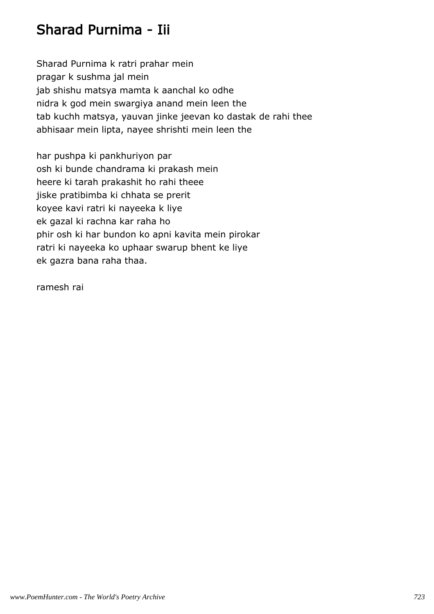# Sharad Purnima - Iii

Sharad Purnima k ratri prahar mein pragar k sushma jal mein jab shishu matsya mamta k aanchal ko odhe nidra k god mein swargiya anand mein leen the tab kuchh matsya, yauvan jinke jeevan ko dastak de rahi thee abhisaar mein lipta, nayee shrishti mein leen the

har pushpa ki pankhuriyon par osh ki bunde chandrama ki prakash mein heere ki tarah prakashit ho rahi theee jiske pratibimba ki chhata se prerit koyee kavi ratri ki nayeeka k liye ek gazal ki rachna kar raha ho phir osh ki har bundon ko apni kavita mein pirokar ratri ki nayeeka ko uphaar swarup bhent ke liye ek gazra bana raha thaa.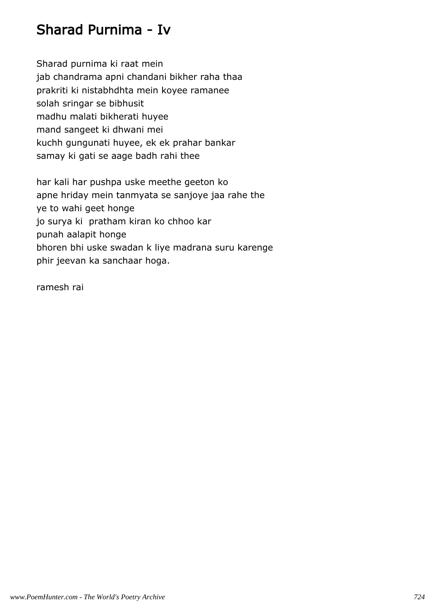## Sharad Purnima - Iv

Sharad purnima ki raat mein jab chandrama apni chandani bikher raha thaa prakriti ki nistabhdhta mein koyee ramanee solah sringar se bibhusit madhu malati bikherati huyee mand sangeet ki dhwani mei kuchh gungunati huyee, ek ek prahar bankar samay ki gati se aage badh rahi thee

har kali har pushpa uske meethe geeton ko apne hriday mein tanmyata se sanjoye jaa rahe the ye to wahi geet honge jo surya ki pratham kiran ko chhoo kar punah aalapit honge bhoren bhi uske swadan k liye madrana suru karenge phir jeevan ka sanchaar hoga.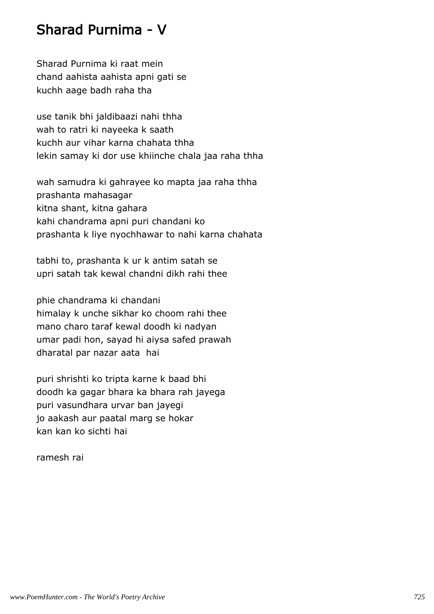### Sharad Purnima - V

Sharad Purnima ki raat mein chand aahista aahista apni gati se kuchh aage badh raha tha

use tanik bhi jaldibaazi nahi thha wah to ratri ki nayeeka k saath kuchh aur vihar karna chahata thha lekin samay ki dor use khiinche chala jaa raha thha

wah samudra ki gahrayee ko mapta jaa raha thha prashanta mahasagar kitna shant, kitna gahara kahi chandrama apni puri chandani ko prashanta k liye nyochhawar to nahi karna chahata

tabhi to, prashanta k ur k antim satah se upri satah tak kewal chandni dikh rahi thee

phie chandrama ki chandani himalay k unche sikhar ko choom rahi thee mano charo taraf kewal doodh ki nadyan umar padi hon, sayad hi aiysa safed prawah dharatal par nazar aata hai

puri shrishti ko tripta karne k baad bhi doodh ka gagar bhara ka bhara rah jayega puri vasundhara urvar ban jayegi jo aakash aur paatal marg se hokar kan kan ko sichti hai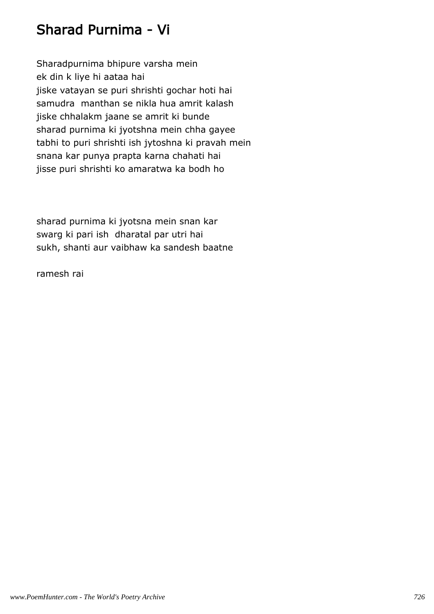## Sharad Purnima - Vi

Sharadpurnima bhipure varsha mein ek din k liye hi aataa hai jiske vatayan se puri shrishti gochar hoti hai samudra manthan se nikla hua amrit kalash jiske chhalakm jaane se amrit ki bunde sharad purnima ki jyotshna mein chha gayee tabhi to puri shrishti ish jytoshna ki pravah mein snana kar punya prapta karna chahati hai jisse puri shrishti ko amaratwa ka bodh ho

sharad purnima ki jyotsna mein snan kar swarg ki pari ish dharatal par utri hai sukh, shanti aur vaibhaw ka sandesh baatne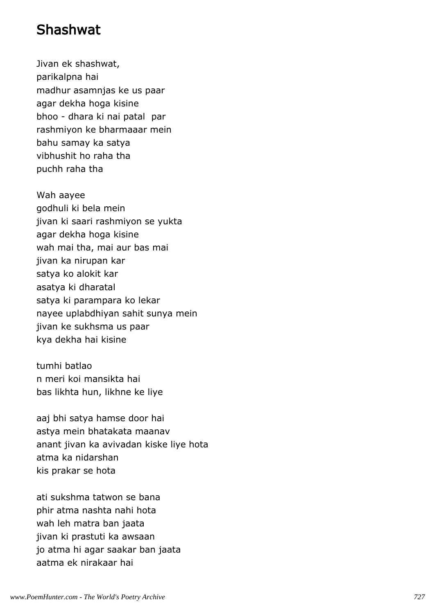#### Shashwat

Jivan ek shashwat, parikalpna hai madhur asamnjas ke us paar agar dekha hoga kisine bhoo - dhara ki nai patal par rashmiyon ke bharmaaar mein bahu samay ka satya vibhushit ho raha tha puchh raha tha

Wah aayee godhuli ki bela mein jivan ki saari rashmiyon se yukta agar dekha hoga kisine wah mai tha, mai aur bas mai jivan ka nirupan kar satya ko alokit kar asatya ki dharatal satya ki parampara ko lekar nayee uplabdhiyan sahit sunya mein jivan ke sukhsma us paar kya dekha hai kisine

tumhi batlao n meri koi mansikta hai bas likhta hun, likhne ke liye

aaj bhi satya hamse door hai astya mein bhatakata maanav anant jivan ka avivadan kiske liye hota atma ka nidarshan kis prakar se hota

ati sukshma tatwon se bana phir atma nashta nahi hota wah leh matra ban jaata jivan ki prastuti ka awsaan jo atma hi agar saakar ban jaata aatma ek nirakaar hai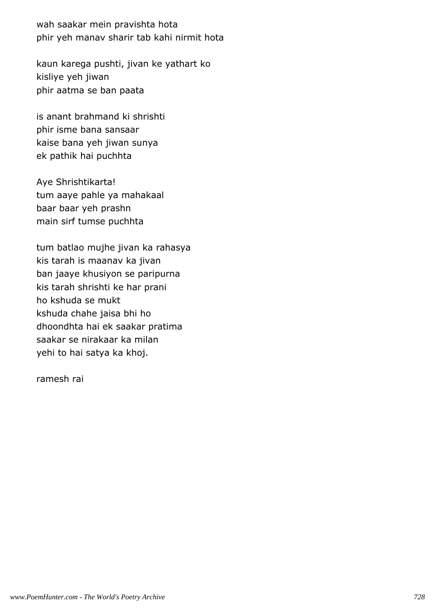wah saakar mein pravishta hota phir yeh manav sharir tab kahi nirmit hota

kaun karega pushti, jivan ke yathart ko kisliye yeh jiwan phir aatma se ban paata

is anant brahmand ki shrishti phir isme bana sansaar kaise bana yeh jiwan sunya ek pathik hai puchhta

Aye Shrishtikarta! tum aaye pahle ya mahakaal baar baar yeh prashn main sirf tumse puchhta

tum batlao mujhe jivan ka rahasya kis tarah is maanav ka jivan ban jaaye khusiyon se paripurna kis tarah shrishti ke har prani ho kshuda se mukt kshuda chahe jaisa bhi ho dhoondhta hai ek saakar pratima saakar se nirakaar ka milan yehi to hai satya ka khoj.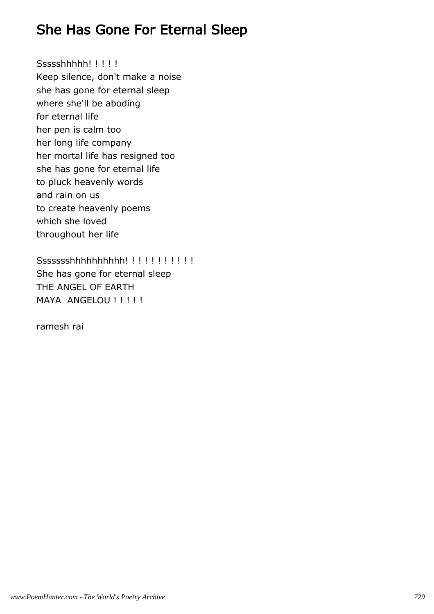### She Has Gone For Eternal Sleep

Ssssshhhhh!!!!!

Keep silence, don't make a noise she has gone for eternal sleep where she'll be aboding for eternal life her pen is calm too her long life company her mortal life has resigned too she has gone for eternal life to pluck heavenly words and rain on us to create heavenly poems which she loved throughout her life

Ssssssshhhhhhhhhh! ! ! ! ! ! ! ! ! ! ! She has gone for eternal sleep THE ANGEL OF EARTH MAYA ANGELOU ! ! ! ! !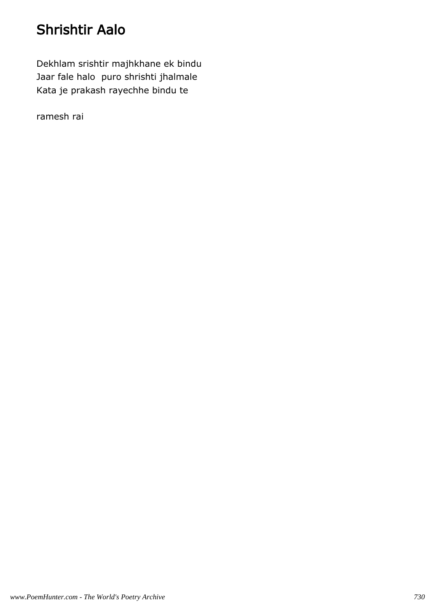# Shrishtir Aalo

Dekhlam srishtir majhkhane ek bindu Jaar fale halo puro shrishti jhalmale Kata je prakash rayechhe bindu te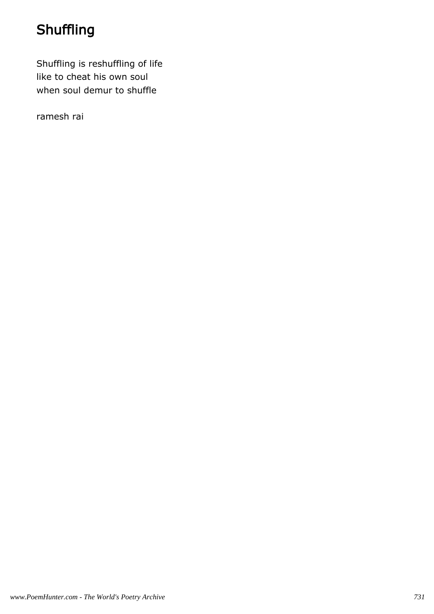# **Shuffling**

Shuffling is reshuffling of life like to cheat his own soul when soul demur to shuffle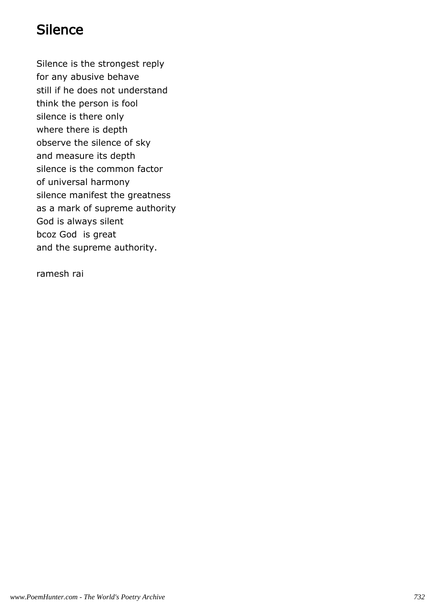## **Silence**

Silence is the strongest reply for any abusive behave still if he does not understand think the person is fool silence is there only where there is depth observe the silence of sky and measure its depth silence is the common factor of universal harmony silence manifest the greatness as a mark of supreme authority God is always silent bcoz God is great and the supreme authority.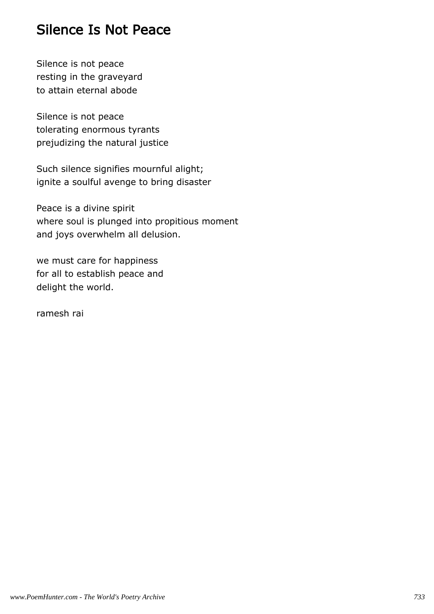#### Silence Is Not Peace

Silence is not peace resting in the graveyard to attain eternal abode

Silence is not peace tolerating enormous tyrants prejudizing the natural justice

Such silence signifies mournful alight; ignite a soulful avenge to bring disaster

Peace is a divine spirit where soul is plunged into propitious moment and joys overwhelm all delusion.

we must care for happiness for all to establish peace and delight the world.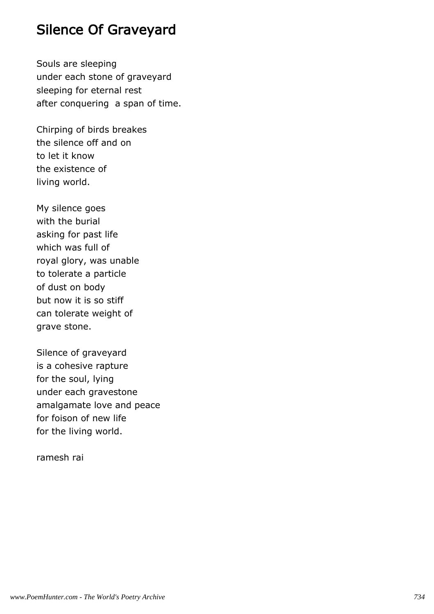#### Silence Of Graveyard

Souls are sleeping under each stone of graveyard sleeping for eternal rest after conquering a span of time.

Chirping of birds breakes the silence off and on to let it know the existence of living world.

My silence goes with the burial asking for past life which was full of royal glory, was unable to tolerate a particle of dust on body but now it is so stiff can tolerate weight of grave stone.

Silence of graveyard is a cohesive rapture for the soul, lying under each gravestone amalgamate love and peace for foison of new life for the living world.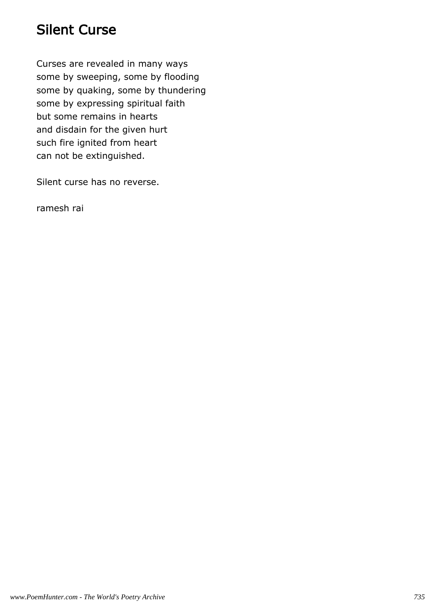## Silent Curse

Curses are revealed in many ways some by sweeping, some by flooding some by quaking, some by thundering some by expressing spiritual faith but some remains in hearts and disdain for the given hurt such fire ignited from heart can not be extinguished.

Silent curse has no reverse.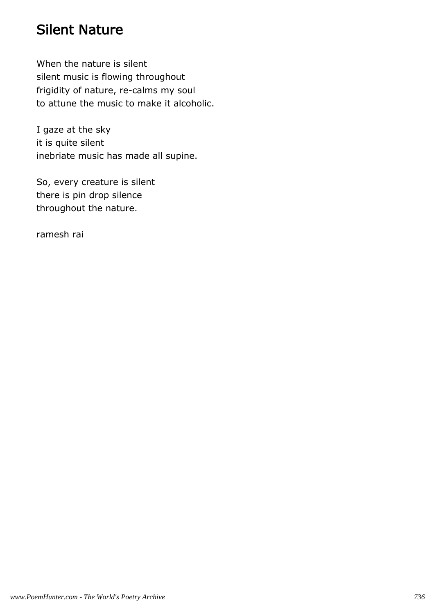## Silent Nature

When the nature is silent silent music is flowing throughout frigidity of nature, re-calms my soul to attune the music to make it alcoholic.

I gaze at the sky it is quite silent inebriate music has made all supine.

So, every creature is silent there is pin drop silence throughout the nature.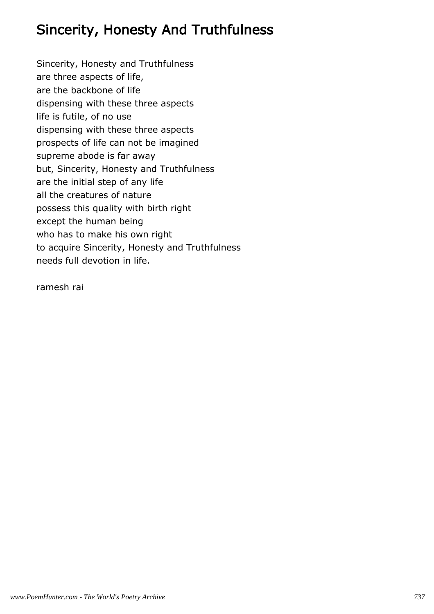# Sincerity, Honesty And Truthfulness

Sincerity, Honesty and Truthfulness are three aspects of life, are the backbone of life dispensing with these three aspects life is futile, of no use dispensing with these three aspects prospects of life can not be imagined supreme abode is far away but, Sincerity, Honesty and Truthfulness are the initial step of any life all the creatures of nature possess this quality with birth right except the human being who has to make his own right to acquire Sincerity, Honesty and Truthfulness needs full devotion in life.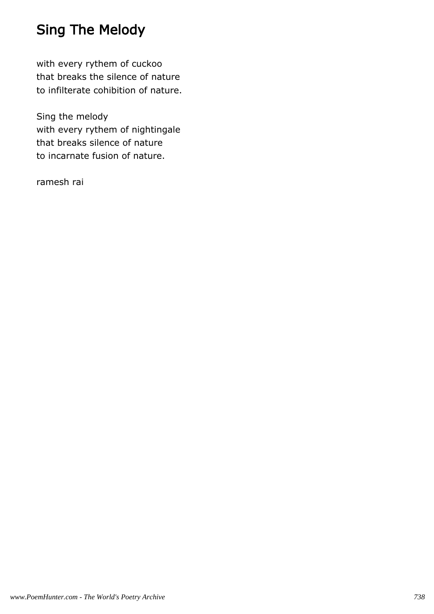# Sing The Melody

with every rythem of cuckoo that breaks the silence of nature to infilterate cohibition of nature.

Sing the melody with every rythem of nightingale that breaks silence of nature to incarnate fusion of nature.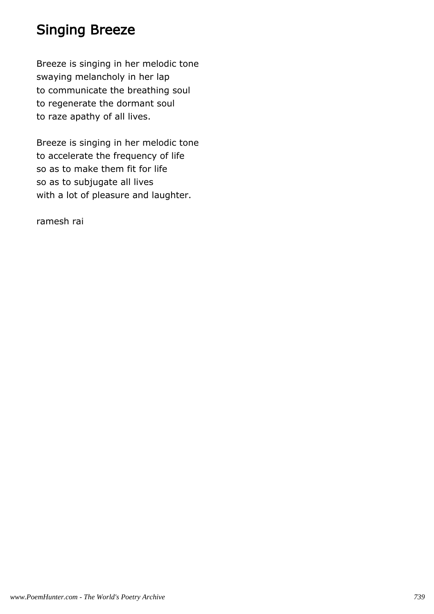## Singing Breeze

Breeze is singing in her melodic tone swaying melancholy in her lap to communicate the breathing soul to regenerate the dormant soul to raze apathy of all lives.

Breeze is singing in her melodic tone to accelerate the frequency of life so as to make them fit for life so as to subjugate all lives with a lot of pleasure and laughter.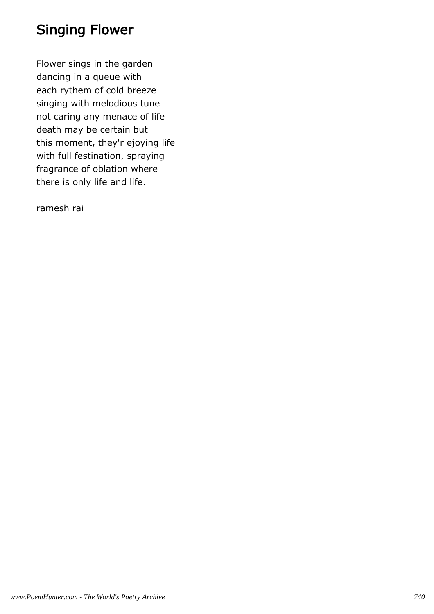## Singing Flower

Flower sings in the garden dancing in a queue with each rythem of cold breeze singing with melodious tune not caring any menace of life death may be certain but this moment, they'r ejoying life with full festination, spraying fragrance of oblation where there is only life and life.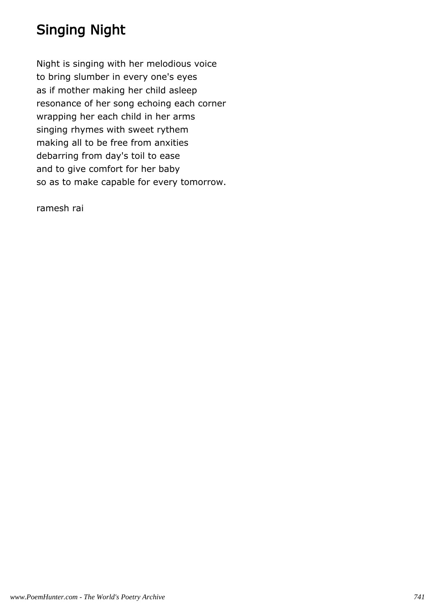# Singing Night

Night is singing with her melodious voice to bring slumber in every one's eyes as if mother making her child asleep resonance of her song echoing each corner wrapping her each child in her arms singing rhymes with sweet rythem making all to be free from anxities debarring from day's toil to ease and to give comfort for her baby so as to make capable for every tomorrow.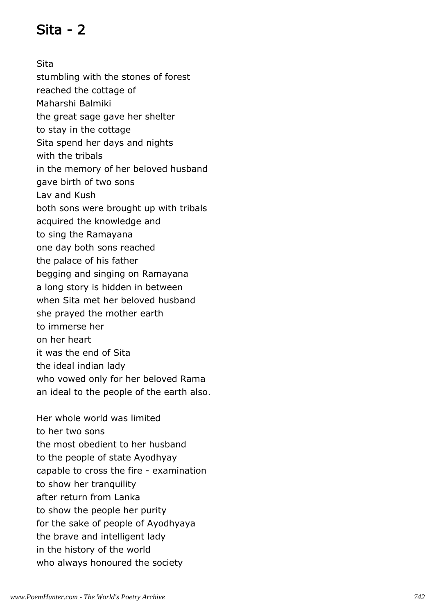# Sita - 2

Sita stumbling with the stones of forest reached the cottage of Maharshi Balmiki the great sage gave her shelter to stay in the cottage Sita spend her days and nights with the tribals in the memory of her beloved husband gave birth of two sons Lav and Kush both sons were brought up with tribals acquired the knowledge and to sing the Ramayana one day both sons reached the palace of his father begging and singing on Ramayana a long story is hidden in between when Sita met her beloved husband she prayed the mother earth to immerse her on her heart it was the end of Sita the ideal indian lady

Her whole world was limited to her two sons the most obedient to her husband to the people of state Ayodhyay capable to cross the fire - examination to show her tranquility after return from Lanka to show the people her purity for the sake of people of Ayodhyaya the brave and intelligent lady in the history of the world who always honoured the society

who vowed only for her beloved Rama an ideal to the people of the earth also.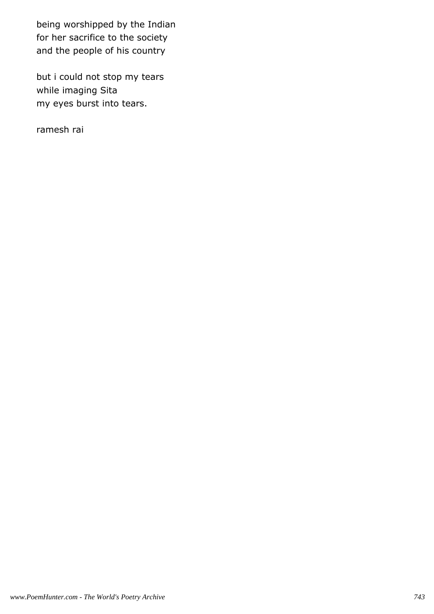being worshipped by the Indian for her sacrifice to the society and the people of his country

but i could not stop my tears while imaging Sita my eyes burst into tears.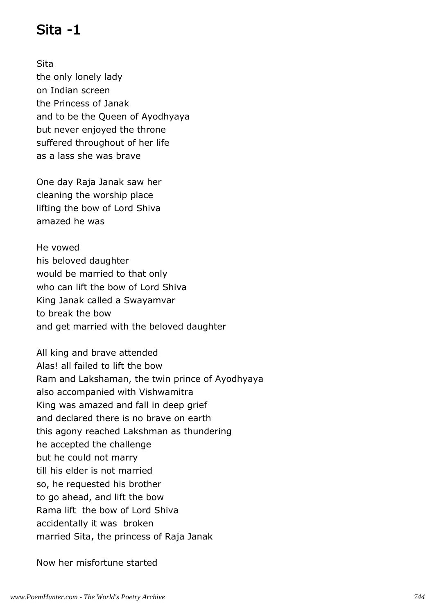## Sita -1

Sita the only lonely lady on Indian screen the Princess of Janak and to be the Queen of Ayodhyaya but never enjoyed the throne suffered throughout of her life as a lass she was brave

One day Raja Janak saw her cleaning the worship place lifting the bow of Lord Shiva amazed he was

He vowed his beloved daughter would be married to that only who can lift the bow of Lord Shiva King Janak called a Swayamvar to break the bow and get married with the beloved daughter

All king and brave attended Alas! all failed to lift the bow Ram and Lakshaman, the twin prince of Ayodhyaya also accompanied with Vishwamitra King was amazed and fall in deep grief and declared there is no brave on earth this agony reached Lakshman as thundering he accepted the challenge but he could not marry till his elder is not married so, he requested his brother to go ahead, and lift the bow Rama lift the bow of Lord Shiva accidentally it was broken married Sita, the princess of Raja Janak

Now her misfortune started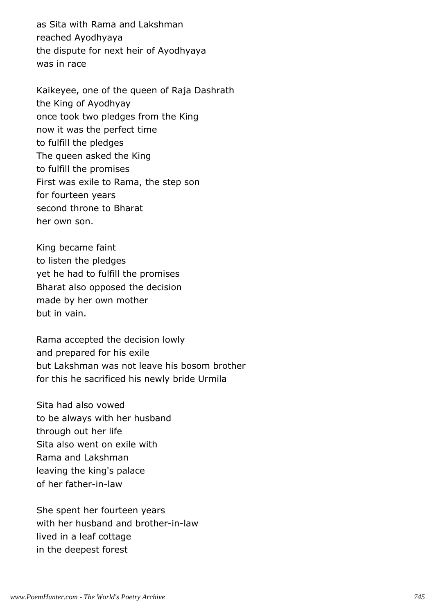as Sita with Rama and Lakshman reached Ayodhyaya the dispute for next heir of Ayodhyaya was in race

Kaikeyee, one of the queen of Raja Dashrath the King of Ayodhyay once took two pledges from the King now it was the perfect time to fulfill the pledges The queen asked the King to fulfill the promises First was exile to Rama, the step son for fourteen years second throne to Bharat her own son.

King became faint to listen the pledges yet he had to fulfill the promises Bharat also opposed the decision made by her own mother but in vain.

Rama accepted the decision lowly and prepared for his exile but Lakshman was not leave his bosom brother for this he sacrificed his newly bride Urmila

Sita had also vowed to be always with her husband through out her life Sita also went on exile with Rama and Lakshman leaving the king's palace of her father-in-law

She spent her fourteen years with her husband and brother-in-law lived in a leaf cottage in the deepest forest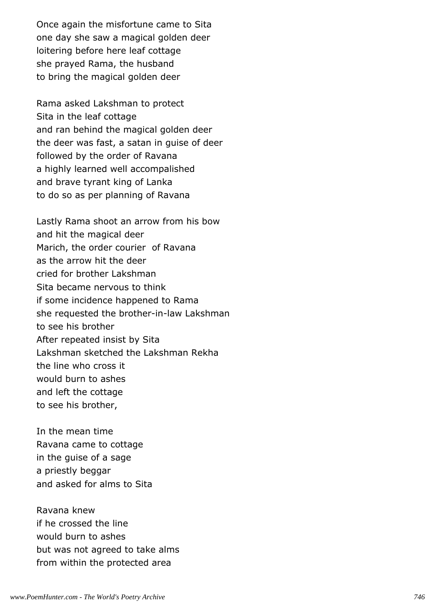Once again the misfortune came to Sita one day she saw a magical golden deer loitering before here leaf cottage she prayed Rama, the husband to bring the magical golden deer

Rama asked Lakshman to protect Sita in the leaf cottage and ran behind the magical golden deer the deer was fast, a satan in guise of deer followed by the order of Ravana a highly learned well accompalished and brave tyrant king of Lanka to do so as per planning of Ravana

Lastly Rama shoot an arrow from his bow and hit the magical deer Marich, the order courier of Ravana as the arrow hit the deer cried for brother Lakshman Sita became nervous to think if some incidence happened to Rama she requested the brother-in-law Lakshman to see his brother After repeated insist by Sita Lakshman sketched the Lakshman Rekha the line who cross it would burn to ashes and left the cottage to see his brother,

In the mean time Ravana came to cottage in the guise of a sage a priestly beggar and asked for alms to Sita

Ravana knew if he crossed the line would burn to ashes but was not agreed to take alms from within the protected area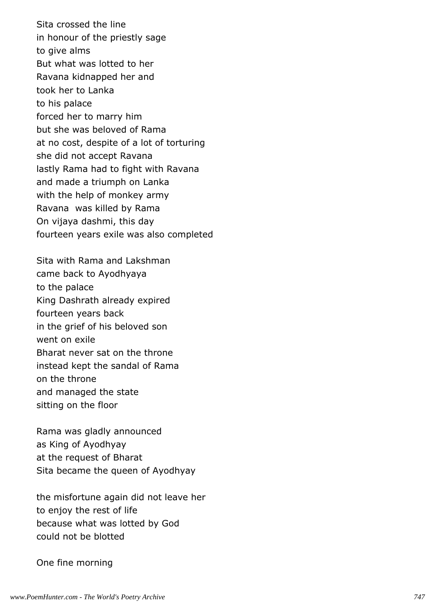Sita crossed the line in honour of the priestly sage to give alms But what was lotted to her Ravana kidnapped her and took her to Lanka to his palace forced her to marry him but she was beloved of Rama at no cost, despite of a lot of torturing she did not accept Ravana lastly Rama had to fight with Ravana and made a triumph on Lanka with the help of monkey army Ravana was killed by Rama On vijaya dashmi, this day fourteen years exile was also completed

Sita with Rama and Lakshman came back to Ayodhyaya to the palace King Dashrath already expired fourteen years back in the grief of his beloved son went on exile Bharat never sat on the throne instead kept the sandal of Rama on the throne and managed the state sitting on the floor

Rama was gladly announced as King of Ayodhyay at the request of Bharat Sita became the queen of Ayodhyay

the misfortune again did not leave her to enjoy the rest of life because what was lotted by God could not be blotted

One fine morning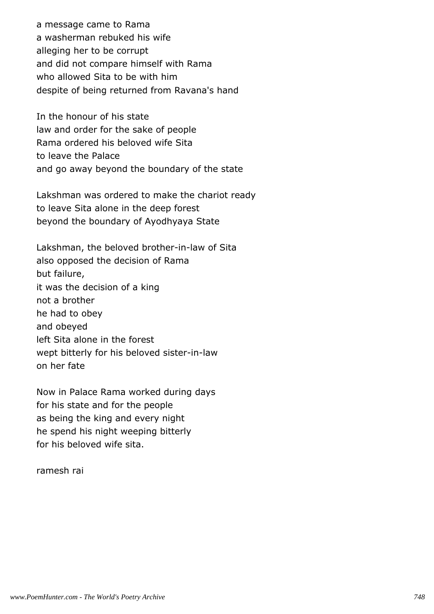a message came to Rama a washerman rebuked his wife alleging her to be corrupt and did not compare himself with Rama who allowed Sita to be with him despite of being returned from Ravana's hand

In the honour of his state law and order for the sake of people Rama ordered his beloved wife Sita to leave the Palace and go away beyond the boundary of the state

Lakshman was ordered to make the chariot ready to leave Sita alone in the deep forest beyond the boundary of Ayodhyaya State

Lakshman, the beloved brother-in-law of Sita also opposed the decision of Rama but failure, it was the decision of a king not a brother he had to obey and obeyed left Sita alone in the forest wept bitterly for his beloved sister-in-law on her fate

Now in Palace Rama worked during days for his state and for the people as being the king and every night he spend his night weeping bitterly for his beloved wife sita.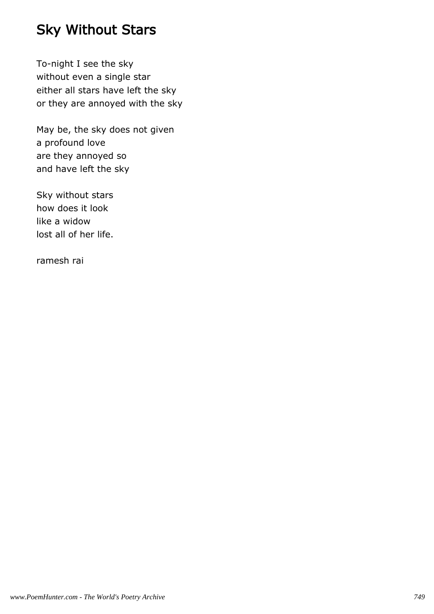## Sky Without Stars

To-night I see the sky without even a single star either all stars have left the sky or they are annoyed with the sky

May be, the sky does not given a profound love are they annoyed so and have left the sky

Sky without stars how does it look like a widow lost all of her life.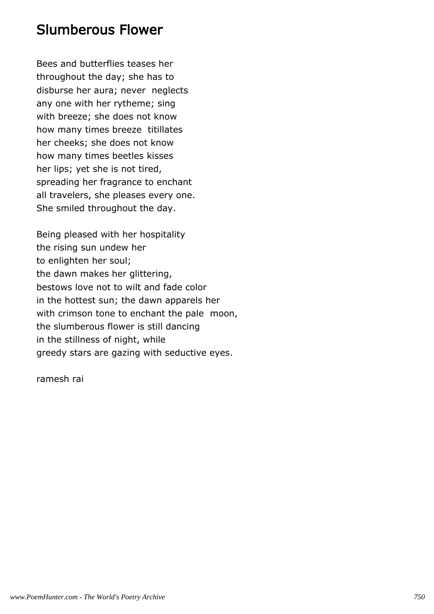#### Slumberous Flower

Bees and butterflies teases her throughout the day; she has to disburse her aura; never neglects any one with her rytheme; sing with breeze; she does not know how many times breeze titillates her cheeks; she does not know how many times beetles kisses her lips; yet she is not tired, spreading her fragrance to enchant all travelers, she pleases every one. She smiled throughout the day.

Being pleased with her hospitality the rising sun undew her to enlighten her soul; the dawn makes her glittering, bestows love not to wilt and fade color in the hottest sun; the dawn apparels her with crimson tone to enchant the pale moon, the slumberous flower is still dancing in the stillness of night, while greedy stars are gazing with seductive eyes.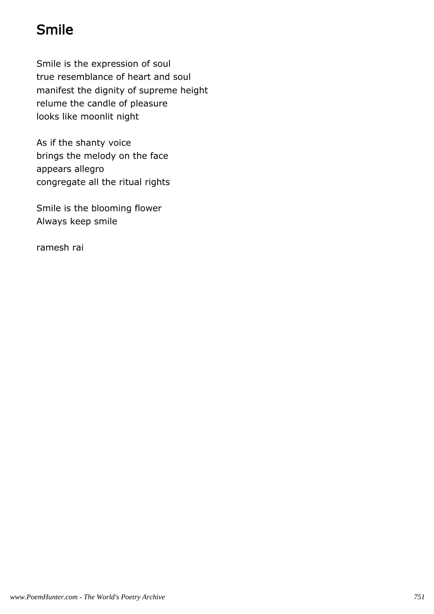# Smile

Smile is the expression of soul true resemblance of heart and soul manifest the dignity of supreme height relume the candle of pleasure looks like moonlit night

As if the shanty voice brings the melody on the face appears allegro congregate all the ritual rights

Smile is the blooming flower Always keep smile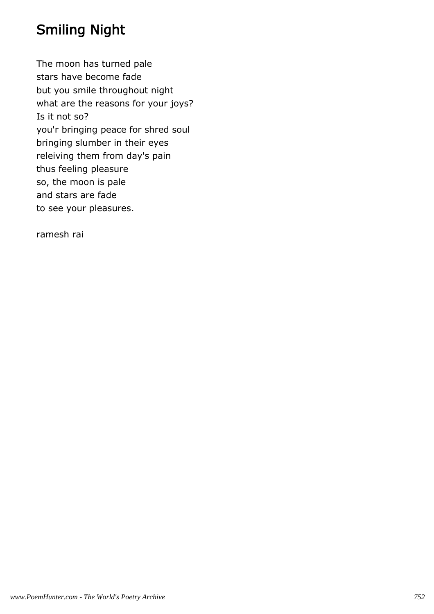# Smiling Night

The moon has turned pale stars have become fade but you smile throughout night what are the reasons for your joys? Is it not so? you'r bringing peace for shred soul bringing slumber in their eyes releiving them from day's pain thus feeling pleasure so, the moon is pale and stars are fade to see your pleasures.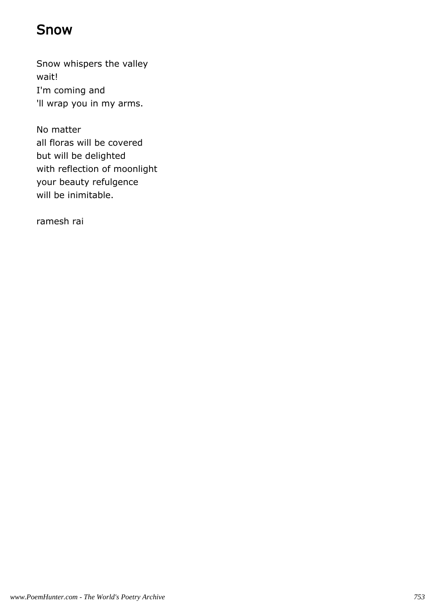#### Snow

Snow whispers the valley wait! I'm coming and 'll wrap you in my arms.

No matter all floras will be covered but will be delighted with reflection of moonlight your beauty refulgence will be inimitable.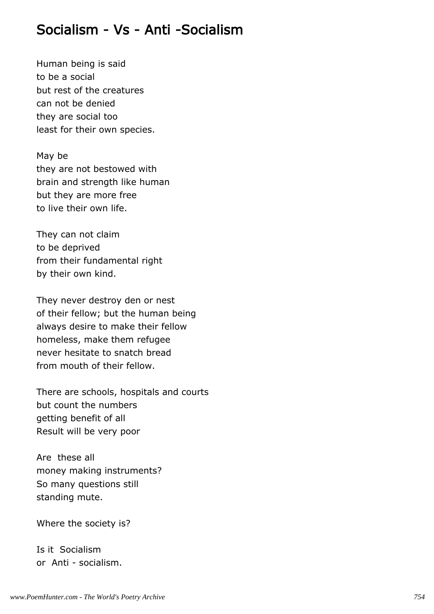#### Socialism - Vs - Anti -Socialism

Human being is said to be a social but rest of the creatures can not be denied they are social too least for their own species.

May be they are not bestowed with brain and strength like human but they are more free to live their own life.

They can not claim to be deprived from their fundamental right by their own kind.

They never destroy den or nest of their fellow; but the human being always desire to make their fellow homeless, make them refugee never hesitate to snatch bread from mouth of their fellow.

There are schools, hospitals and courts but count the numbers getting benefit of all Result will be very poor

Are these all money making instruments? So many questions still standing mute.

Where the society is?

Is it Socialism or Anti - socialism.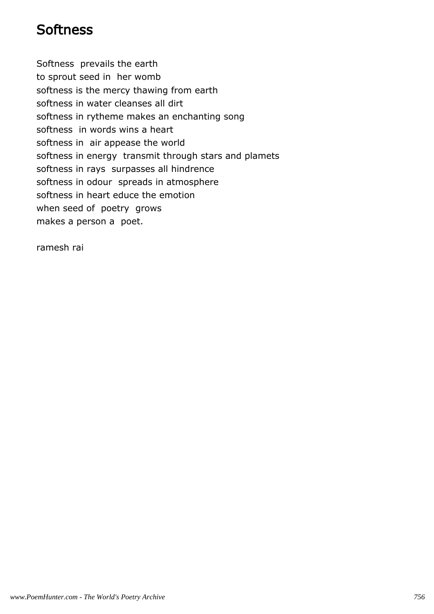### **Softness**

Softness prevails the earth to sprout seed in her womb softness is the mercy thawing from earth softness in water cleanses all dirt softness in rytheme makes an enchanting song softness in words wins a heart softness in air appease the world softness in energy transmit through stars and plamets softness in rays surpasses all hindrence softness in odour spreads in atmosphere softness in heart educe the emotion when seed of poetry grows makes a person a poet.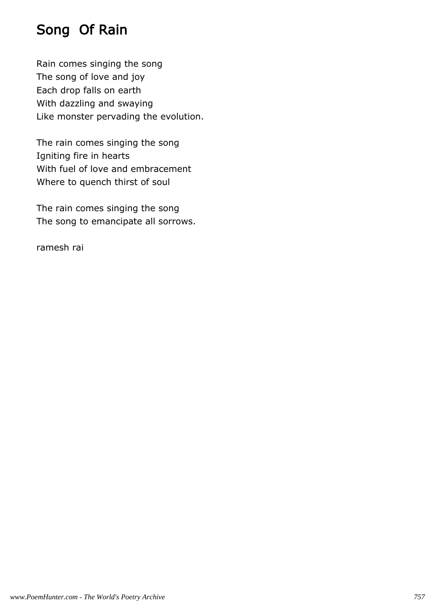# Song Of Rain

Rain comes singing the song The song of love and joy Each drop falls on earth With dazzling and swaying Like monster pervading the evolution.

The rain comes singing the song Igniting fire in hearts With fuel of love and embracement Where to quench thirst of soul

The rain comes singing the song The song to emancipate all sorrows.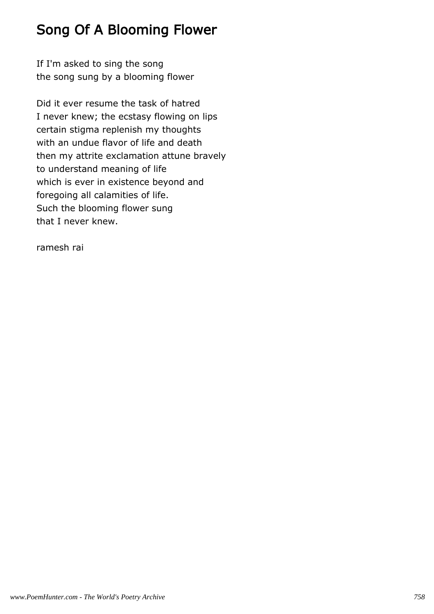# Song Of A Blooming Flower

If I'm asked to sing the song the song sung by a blooming flower

Did it ever resume the task of hatred I never knew; the ecstasy flowing on lips certain stigma replenish my thoughts with an undue flavor of life and death then my attrite exclamation attune bravely to understand meaning of life which is ever in existence beyond and foregoing all calamities of life. Such the blooming flower sung that I never knew.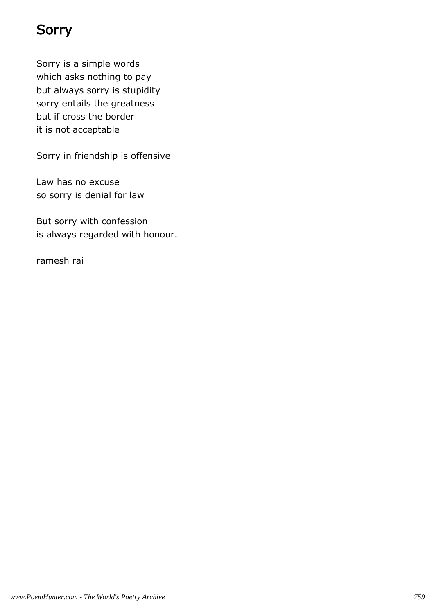# Sorry

Sorry is a simple words which asks nothing to pay but always sorry is stupidity sorry entails the greatness but if cross the border it is not acceptable

Sorry in friendship is offensive

Law has no excuse so sorry is denial for law

But sorry with confession is always regarded with honour.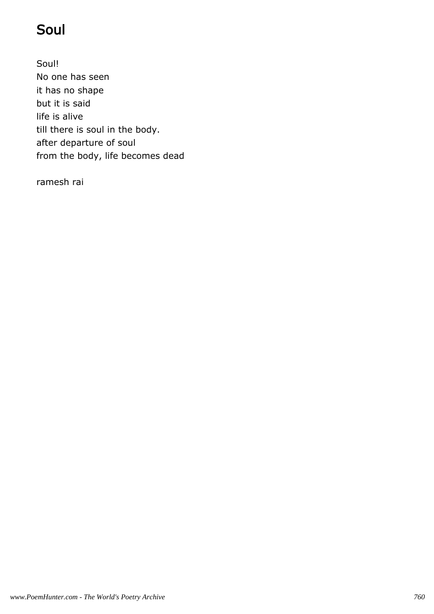# Soul

Soul! No one has seen it has no shape but it is said life is alive till there is soul in the body. after departure of soul from the body, life becomes dead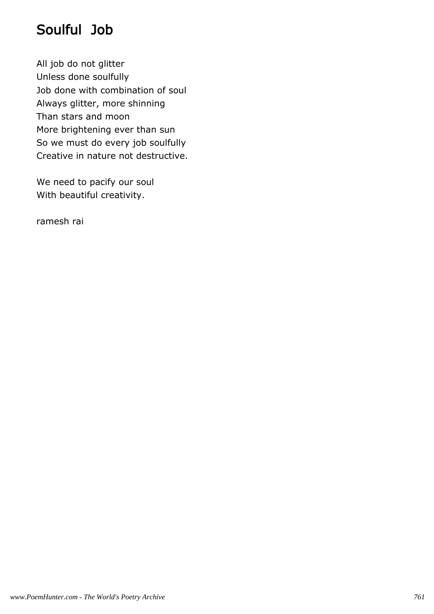# Soulful Job

All job do not glitter Unless done soulfully Job done with combination of soul Always glitter, more shinning Than stars and moon More brightening ever than sun So we must do every job soulfully Creative in nature not destructive.

We need to pacify our soul With beautiful creativity.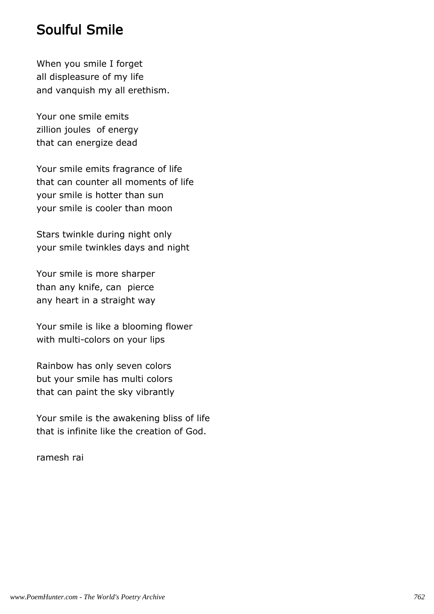### Soulful Smile

When you smile I forget all displeasure of my life and vanquish my all erethism.

Your one smile emits zillion joules of energy that can energize dead

Your smile emits fragrance of life that can counter all moments of life your smile is hotter than sun your smile is cooler than moon

Stars twinkle during night only your smile twinkles days and night

Your smile is more sharper than any knife, can pierce any heart in a straight way

Your smile is like a blooming flower with multi-colors on your lips

Rainbow has only seven colors but your smile has multi colors that can paint the sky vibrantly

Your smile is the awakening bliss of life that is infinite like the creation of God.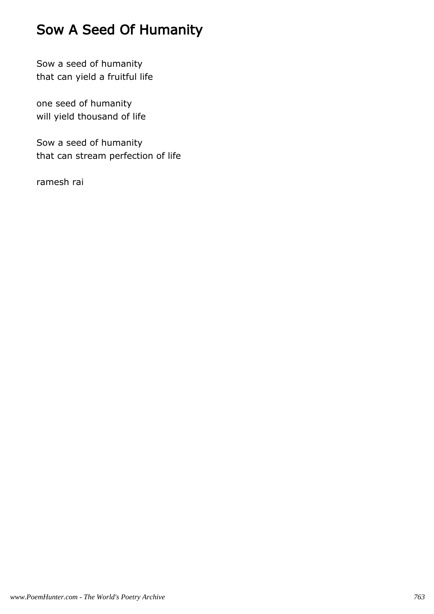# Sow A Seed Of Humanity

Sow a seed of humanity that can yield a fruitful life

one seed of humanity will yield thousand of life

Sow a seed of humanity that can stream perfection of life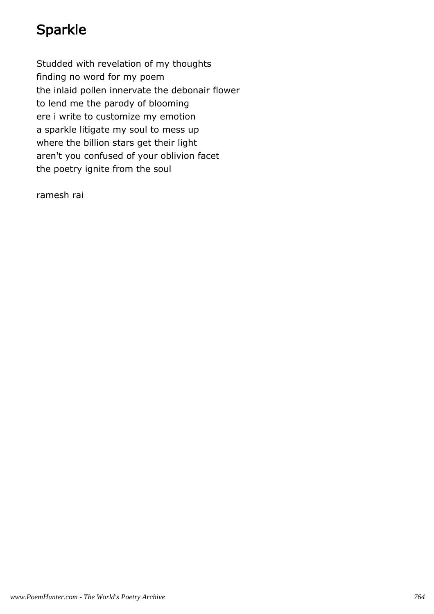# Sparkle

Studded with revelation of my thoughts finding no word for my poem the inlaid pollen innervate the debonair flower to lend me the parody of blooming ere i write to customize my emotion a sparkle litigate my soul to mess up where the billion stars get their light aren't you confused of your oblivion facet the poetry ignite from the soul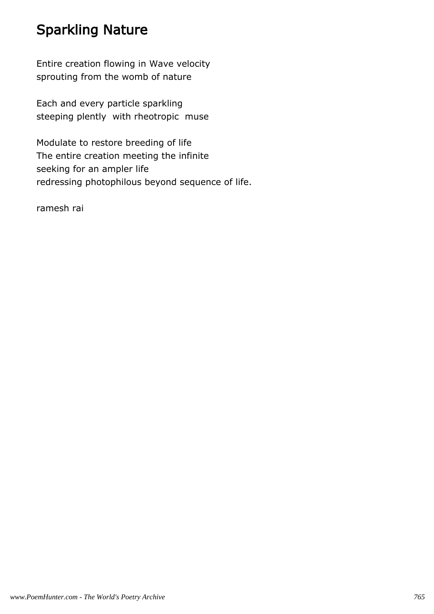# Sparkling Nature

Entire creation flowing in Wave velocity sprouting from the womb of nature

Each and every particle sparkling steeping plently with rheotropic muse

Modulate to restore breeding of life The entire creation meeting the infinite seeking for an ampler life redressing photophilous beyond sequence of life.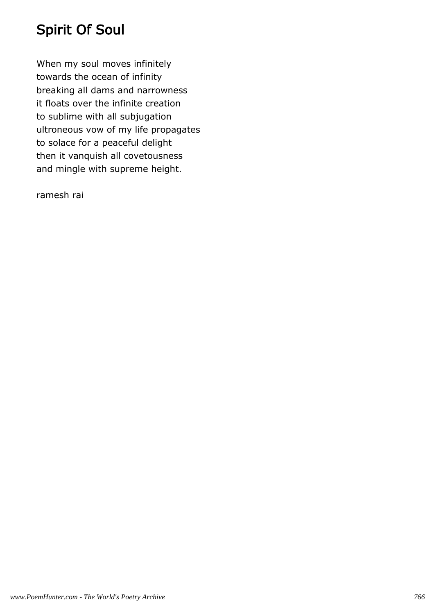# Spirit Of Soul

When my soul moves infinitely towards the ocean of infinity breaking all dams and narrowness it floats over the infinite creation to sublime with all subjugation ultroneous vow of my life propagates to solace for a peaceful delight then it vanquish all covetousness and mingle with supreme height.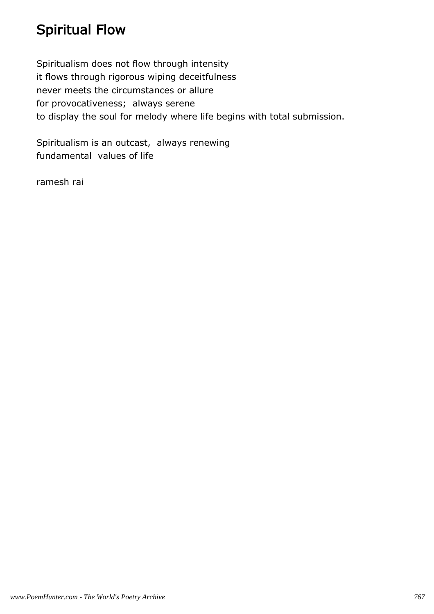# Spiritual Flow

Spiritualism does not flow through intensity it flows through rigorous wiping deceitfulness never meets the circumstances or allure for provocativeness; always serene to display the soul for melody where life begins with total submission.

Spiritualism is an outcast, always renewing fundamental values of life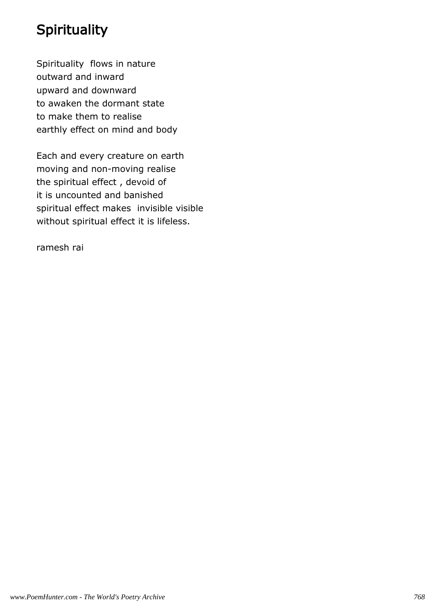# **Spirituality**

Spirituality flows in nature outward and inward upward and downward to awaken the dormant state to make them to realise earthly effect on mind and body

Each and every creature on earth moving and non-moving realise the spiritual effect , devoid of it is uncounted and banished spiritual effect makes invisible visible without spiritual effect it is lifeless.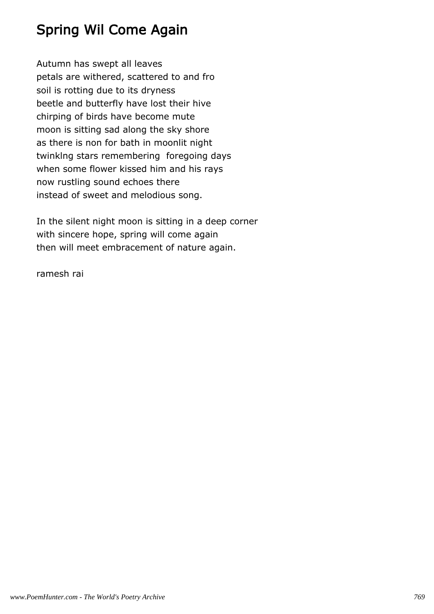# Spring Wil Come Again

Autumn has swept all leaves petals are withered, scattered to and fro soil is rotting due to its dryness beetle and butterfly have lost their hive chirping of birds have become mute moon is sitting sad along the sky shore as there is non for bath in moonlit night twinklng stars remembering foregoing days when some flower kissed him and his rays now rustling sound echoes there instead of sweet and melodious song.

In the silent night moon is sitting in a deep corner with sincere hope, spring will come again then will meet embracement of nature again.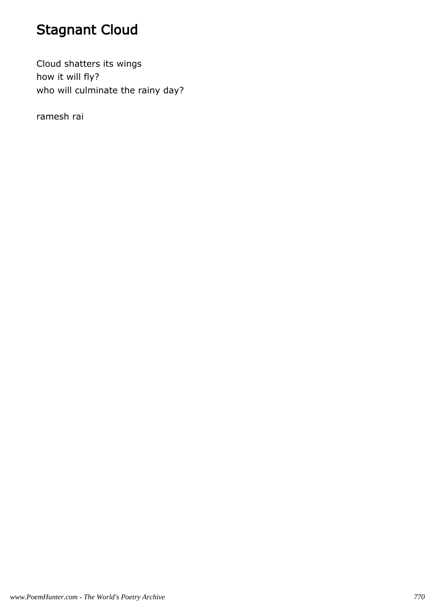# Stagnant Cloud

Cloud shatters its wings how it will fly? who will culminate the rainy day?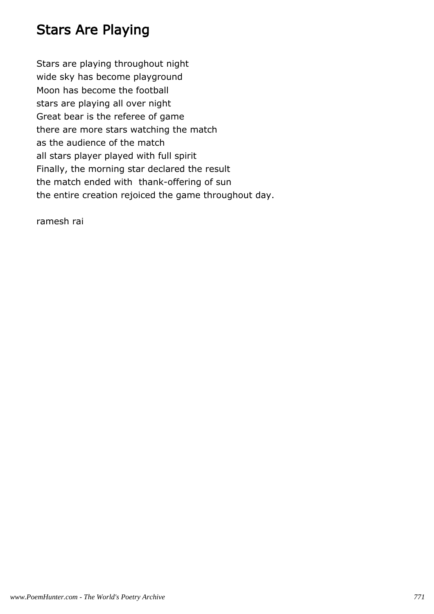## Stars Are Playing

Stars are playing throughout night wide sky has become playground Moon has become the football stars are playing all over night Great bear is the referee of game there are more stars watching the match as the audience of the match all stars player played with full spirit Finally, the morning star declared the result the match ended with thank-offering of sun the entire creation rejoiced the game throughout day.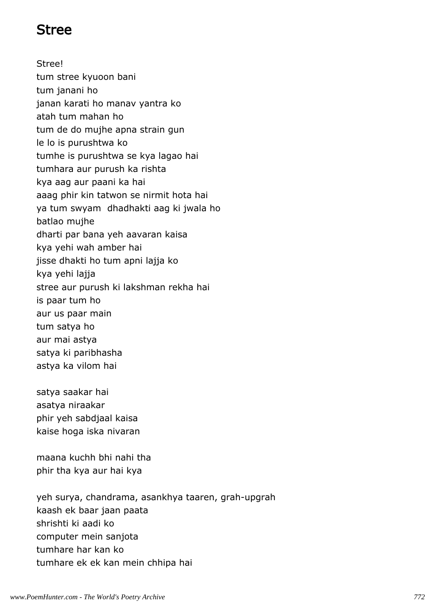### Stree

Stree! tum stree kyuoon bani tum janani ho janan karati ho manav yantra ko atah tum mahan ho tum de do mujhe apna strain gun le lo is purushtwa ko tumhe is purushtwa se kya lagao hai tumhara aur purush ka rishta kya aag aur paani ka hai aaag phir kin tatwon se nirmit hota hai ya tum swyam dhadhakti aag ki jwala ho batlao mujhe dharti par bana yeh aavaran kaisa kya yehi wah amber hai jisse dhakti ho tum apni lajja ko kya yehi lajja stree aur purush ki lakshman rekha hai is paar tum ho aur us paar main tum satya ho aur mai astya satya ki paribhasha astya ka vilom hai

satya saakar hai asatya niraakar phir yeh sabdjaal kaisa kaise hoga iska nivaran

maana kuchh bhi nahi tha phir tha kya aur hai kya

yeh surya, chandrama, asankhya taaren, grah-upgrah kaash ek baar jaan paata shrishti ki aadi ko computer mein sanjota tumhare har kan ko tumhare ek ek kan mein chhipa hai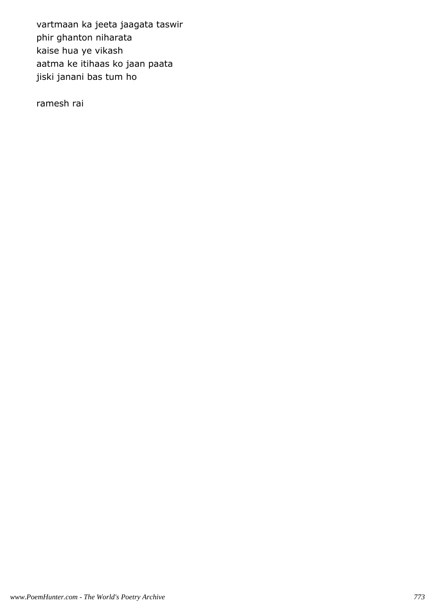vartmaan ka jeeta jaagata taswir phir ghanton niharata kaise hua ye vikash aatma ke itihaas ko jaan paata jiski janani bas tum ho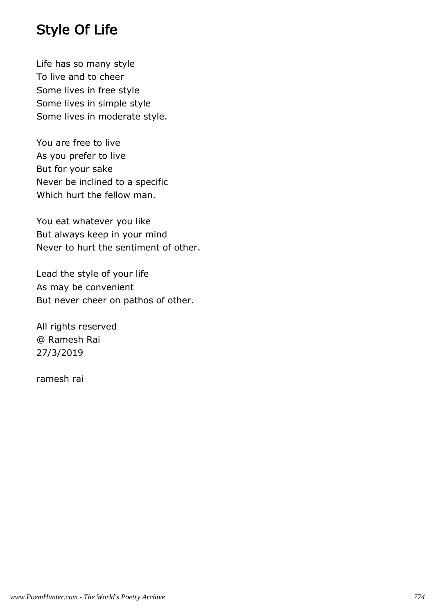# Style Of Life

Life has so many style To live and to cheer Some lives in free style Some lives in simple style Some lives in moderate style.

You are free to live As you prefer to live But for your sake Never be inclined to a specific Which hurt the fellow man.

You eat whatever you like But always keep in your mind Never to hurt the sentiment of other.

Lead the style of your life As may be convenient But never cheer on pathos of other.

All rights reserved @ Ramesh Rai 27/3/2019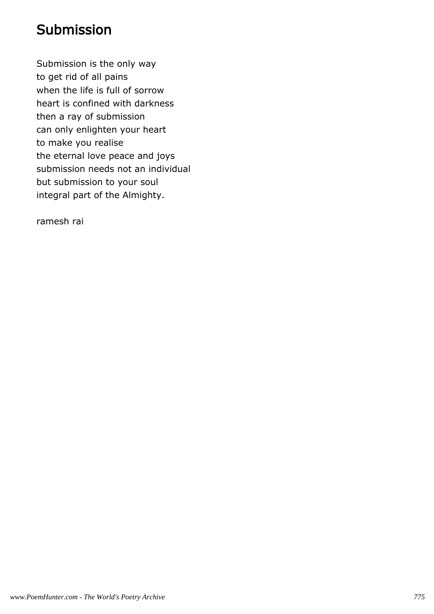### Submission

Submission is the only way to get rid of all pains when the life is full of sorrow heart is confined with darkness then a ray of submission can only enlighten your heart to make you realise the eternal love peace and joys submission needs not an individual but submission to your soul integral part of the Almighty.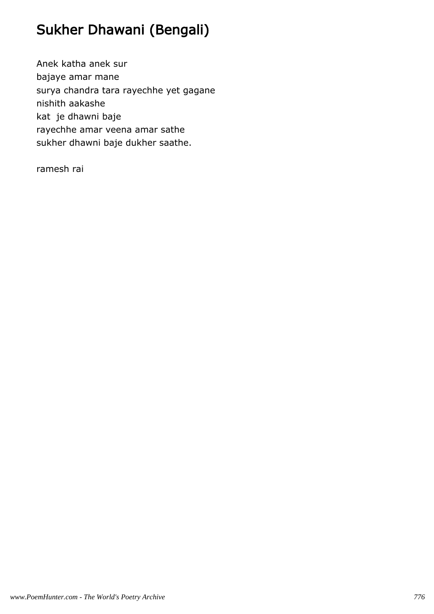# Sukher Dhawani (Bengali)

Anek katha anek sur bajaye amar mane surya chandra tara rayechhe yet gagane nishith aakashe kat je dhawni baje rayechhe amar veena amar sathe sukher dhawni baje dukher saathe.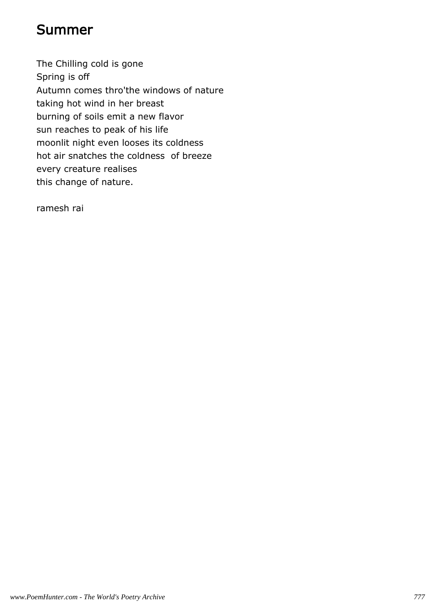### Summer

The Chilling cold is gone Spring is off Autumn comes thro'the windows of nature taking hot wind in her breast burning of soils emit a new flavor sun reaches to peak of his life moonlit night even looses its coldness hot air snatches the coldness of breeze every creature realises this change of nature.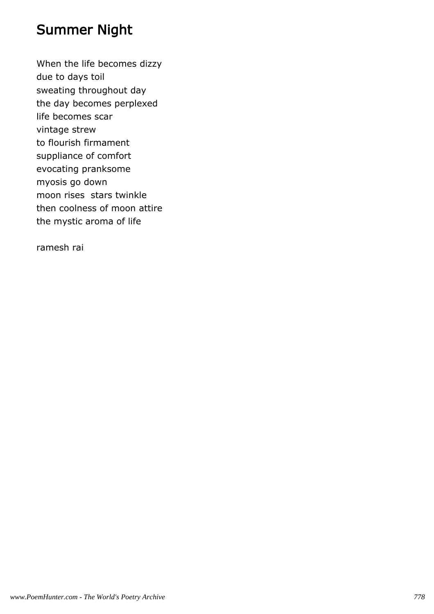### Summer Night

When the life becomes dizzy due to days toil sweating throughout day the day becomes perplexed life becomes scar vintage strew to flourish firmament suppliance of comfort evocating pranksome myosis go down moon rises stars twinkle then coolness of moon attire the mystic aroma of life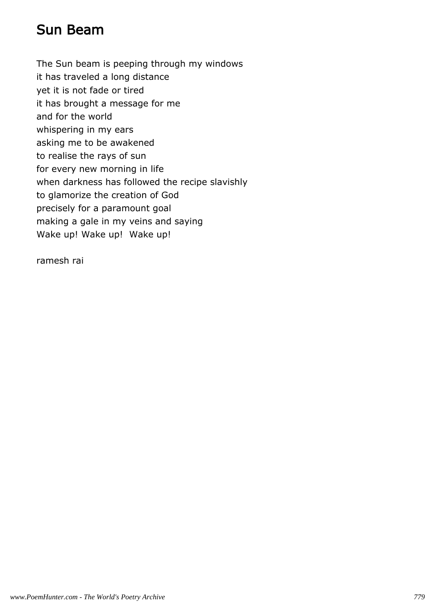### Sun Beam

The Sun beam is peeping through my windows

it has traveled a long distance

yet it is not fade or tired

it has brought a message for me

and for the world

whispering in my ears

asking me to be awakened

to realise the rays of sun

for every new morning in life

when darkness has followed the recipe slavishly

to glamorize the creation of God

precisely for a paramount goal

making a gale in my veins and saying

Wake up! Wake up! Wake up!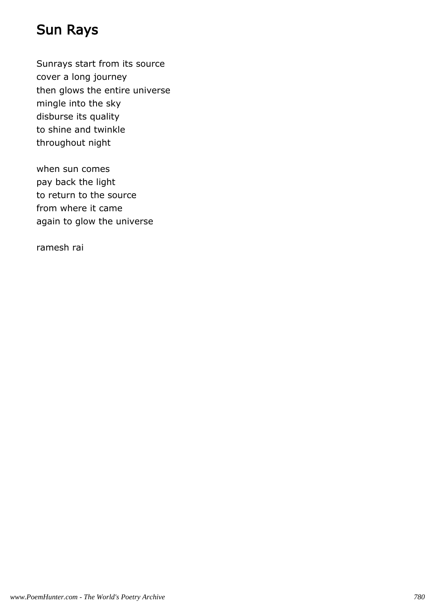# Sun Rays

Sunrays start from its source cover a long journey then glows the entire universe mingle into the sky disburse its quality to shine and twinkle throughout night

when sun comes pay back the light to return to the source from where it came again to glow the universe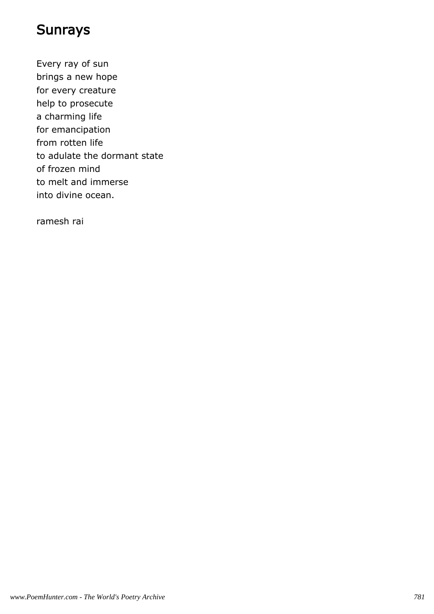### Sunrays

Every ray of sun brings a new hope for every creature help to prosecute a charming life for emancipation from rotten life to adulate the dormant state of frozen mind to melt and immerse into divine ocean.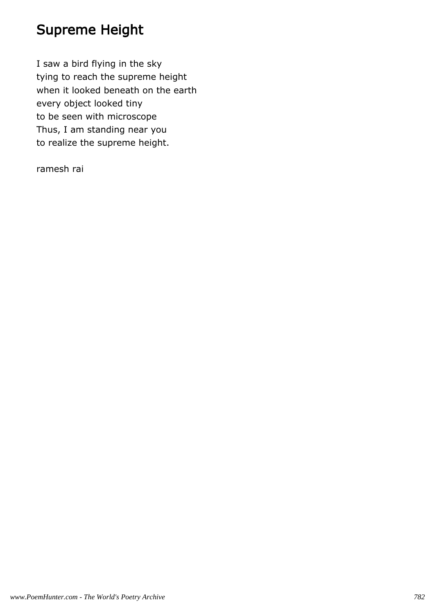# Supreme Height

I saw a bird flying in the sky tying to reach the supreme height when it looked beneath on the earth every object looked tiny to be seen with microscope Thus, I am standing near you to realize the supreme height.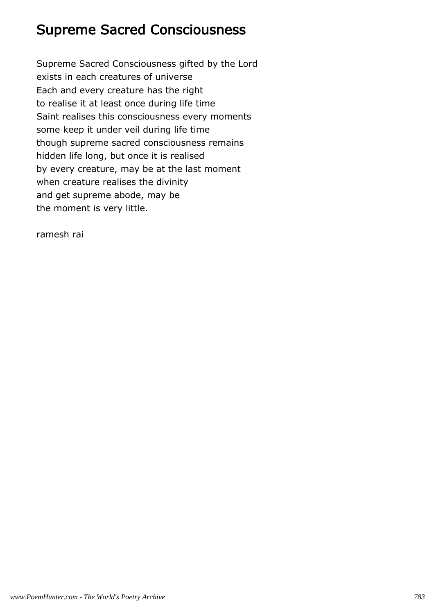### Supreme Sacred Consciousness

Supreme Sacred Consciousness gifted by the Lord exists in each creatures of universe Each and every creature has the right to realise it at least once during life time Saint realises this consciousness every moments some keep it under veil during life time though supreme sacred consciousness remains hidden life long, but once it is realised by every creature, may be at the last moment when creature realises the divinity and get supreme abode, may be the moment is very little.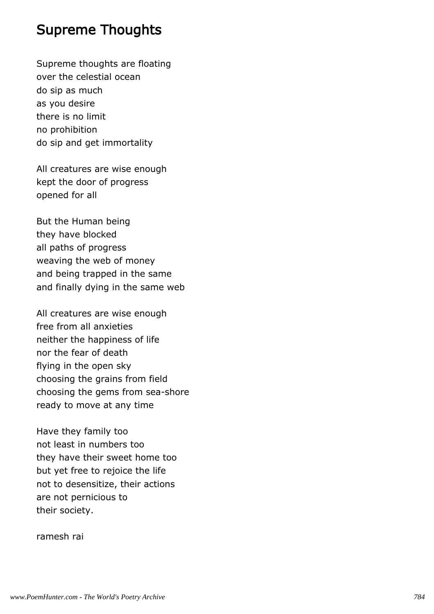## Supreme Thoughts

Supreme thoughts are floating over the celestial ocean do sip as much as you desire there is no limit no prohibition do sip and get immortality

All creatures are wise enough kept the door of progress opened for all

But the Human being they have blocked all paths of progress weaving the web of money and being trapped in the same and finally dying in the same web

All creatures are wise enough free from all anxieties neither the happiness of life nor the fear of death flying in the open sky choosing the grains from field choosing the gems from sea-shore ready to move at any time

Have they family too not least in numbers too they have their sweet home too but yet free to rejoice the life not to desensitize, their actions are not pernicious to their society.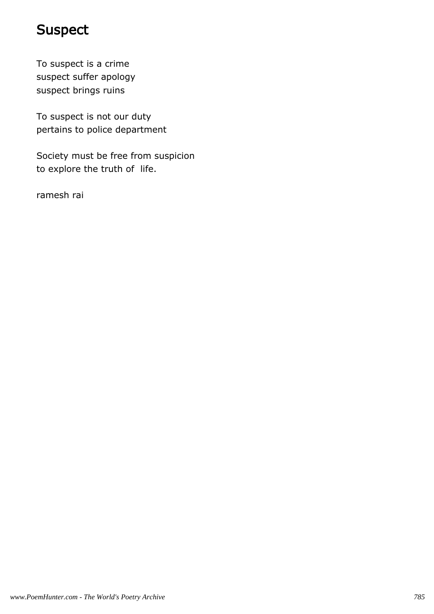### Suspect

To suspect is a crime suspect suffer apology suspect brings ruins

To suspect is not our duty pertains to police department

Society must be free from suspicion to explore the truth of life.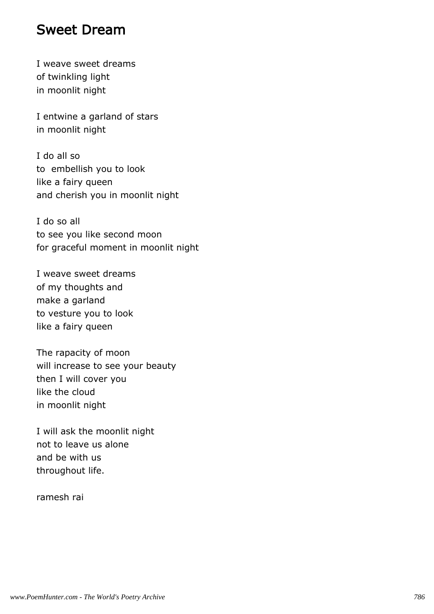#### Sweet Dream

I weave sweet dreams of twinkling light in moonlit night

I entwine a garland of stars in moonlit night

I do all so to embellish you to look like a fairy queen and cherish you in moonlit night

I do so all to see you like second moon for graceful moment in moonlit night

I weave sweet dreams of my thoughts and make a garland to vesture you to look like a fairy queen

The rapacity of moon will increase to see your beauty then I will cover you like the cloud in moonlit night

I will ask the moonlit night not to leave us alone and be with us throughout life.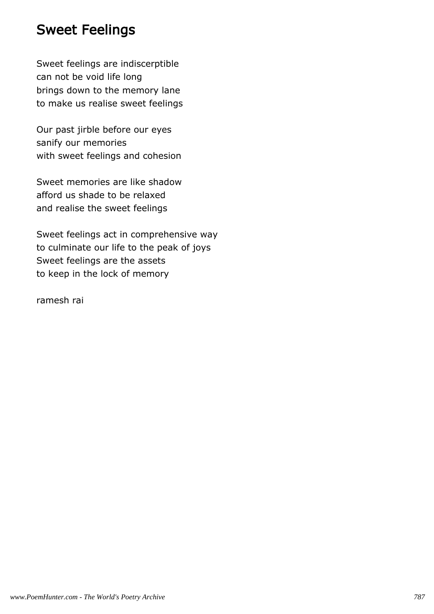### Sweet Feelings

Sweet feelings are indiscerptible can not be void life long brings down to the memory lane to make us realise sweet feelings

Our past jirble before our eyes sanify our memories with sweet feelings and cohesion

Sweet memories are like shadow afford us shade to be relaxed and realise the sweet feelings

Sweet feelings act in comprehensive way to culminate our life to the peak of joys Sweet feelings are the assets to keep in the lock of memory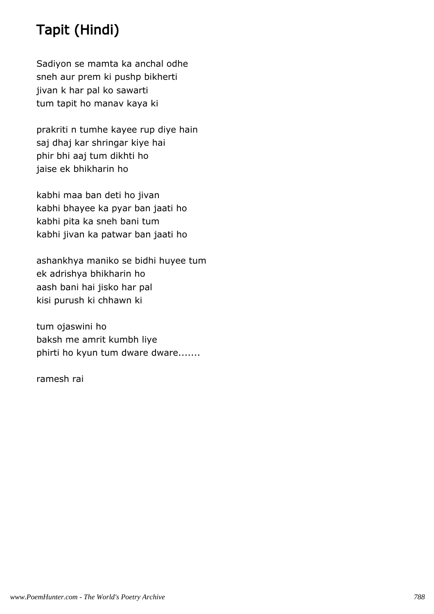# Tapit (Hindi)

Sadiyon se mamta ka anchal odhe sneh aur prem ki pushp bikherti jivan k har pal ko sawarti tum tapit ho manav kaya ki

prakriti n tumhe kayee rup diye hain saj dhaj kar shringar kiye hai phir bhi aaj tum dikhti ho jaise ek bhikharin ho

kabhi maa ban deti ho jivan kabhi bhayee ka pyar ban jaati ho kabhi pita ka sneh bani tum kabhi jivan ka patwar ban jaati ho

ashankhya maniko se bidhi huyee tum ek adrishya bhikharin ho aash bani hai jisko har pal kisi purush ki chhawn ki

tum ojaswini ho baksh me amrit kumbh liye phirti ho kyun tum dware dware.......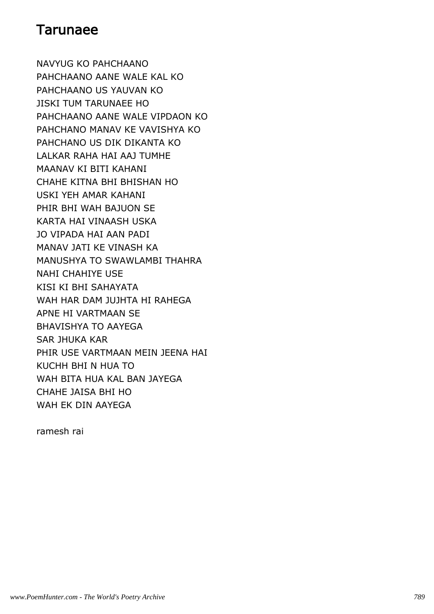#### Tarunaee

NAVYUG KO PAHCHAANO PAHCHAANO AANE WALE KAL KO PAHCHAANO US YAUVAN KO JISKI TUM TARUNAEE HO PAHCHAANO AANE WALE VIPDAON KO PAHCHANO MANAV KE VAVISHYA KO PAHCHANO US DIK DIKANTA KO LALKAR RAHA HAI AAJ TUMHE MAANAV KI BITI KAHANI CHAHE KITNA BHI BHISHAN HO USKI YEH AMAR KAHANI PHIR BHI WAH BAJUON SE KARTA HAI VINAASH USKA JO VIPADA HAI AAN PADI MANAV JATI KE VINASH KA MANUSHYA TO SWAWLAMBI THAHRA NAHI CHAHIYE USE KISI KI BHI SAHAYATA WAH HAR DAM JUJHTA HI RAHEGA APNE HI VARTMAAN SE BHAVISHYA TO AAYEGA SAR JHUKA KAR PHIR USE VARTMAAN MEIN JEENA HAI KUCHH BHI N HUA TO WAH BITA HUA KAL BAN JAYEGA CHAHE JAISA BHI HO WAH EK DIN AAYEGA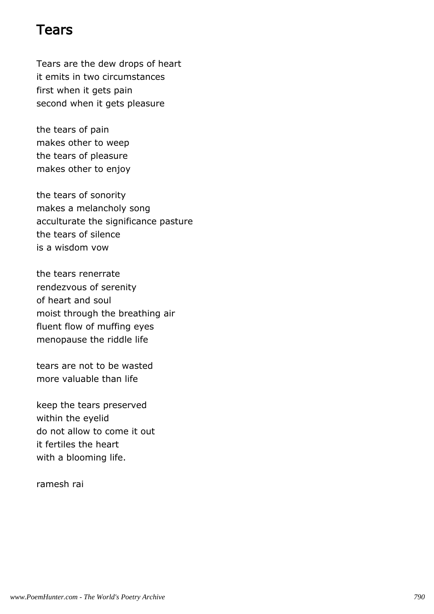#### Tears

Tears are the dew drops of heart it emits in two circumstances first when it gets pain second when it gets pleasure

the tears of pain makes other to weep the tears of pleasure makes other to enjoy

the tears of sonority makes a melancholy song acculturate the significance pasture the tears of silence is a wisdom vow

the tears renerrate rendezvous of serenity of heart and soul moist through the breathing air fluent flow of muffing eyes menopause the riddle life

tears are not to be wasted more valuable than life

keep the tears preserved within the eyelid do not allow to come it out it fertiles the heart with a blooming life.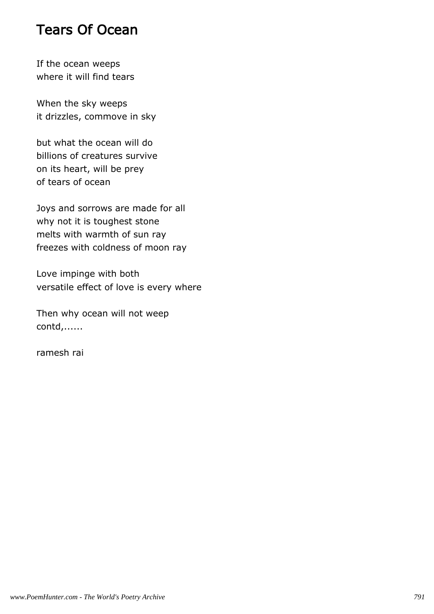### Tears Of Ocean

If the ocean weeps where it will find tears

When the sky weeps it drizzles, commove in sky

but what the ocean will do billions of creatures survive on its heart, will be prey of tears of ocean

Joys and sorrows are made for all why not it is toughest stone melts with warmth of sun ray freezes with coldness of moon ray

Love impinge with both versatile effect of love is every where

Then why ocean will not weep contd,......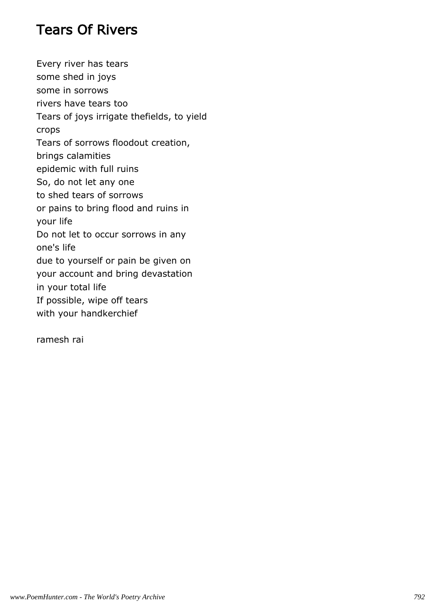#### Tears Of Rivers

Every river has tears some shed in joys some in sorrows rivers have tears too Tears of joys irrigate thefields, to yield crops Tears of sorrows floodout creation, brings calamities epidemic with full ruins So, do not let any one to shed tears of sorrows or pains to bring flood and ruins in your life Do not let to occur sorrows in any one's life due to yourself or pain be given on your account and bring devastation in your total life If possible, wipe off tears with your handkerchief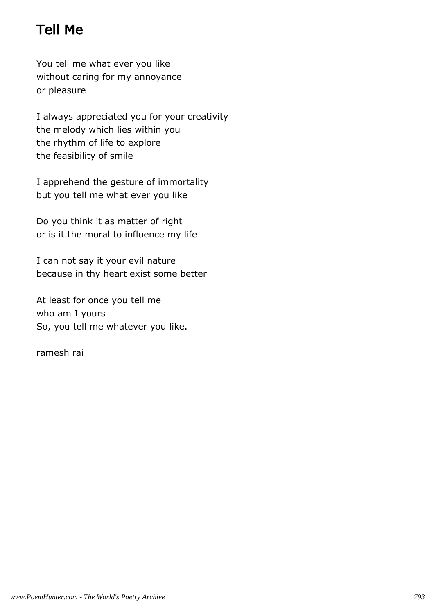# Tell Me

You tell me what ever you like without caring for my annoyance or pleasure

I always appreciated you for your creativity the melody which lies within you the rhythm of life to explore the feasibility of smile

I apprehend the gesture of immortality but you tell me what ever you like

Do you think it as matter of right or is it the moral to influence my life

I can not say it your evil nature because in thy heart exist some better

At least for once you tell me who am I yours So, you tell me whatever you like.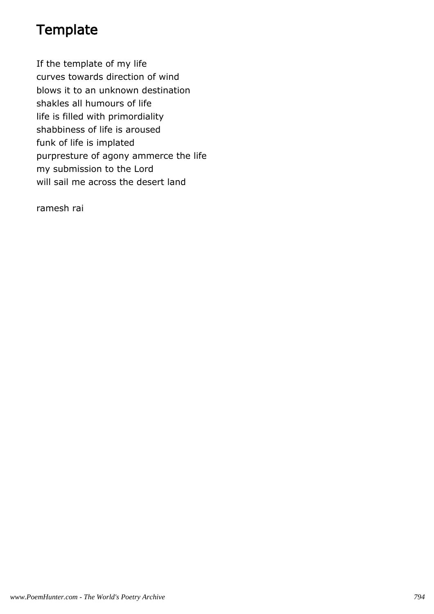# **Template**

If the template of my life curves towards direction of wind blows it to an unknown destination shakles all humours of life life is filled with primordiality shabbiness of life is aroused funk of life is implated purpresture of agony ammerce the life my submission to the Lord will sail me across the desert land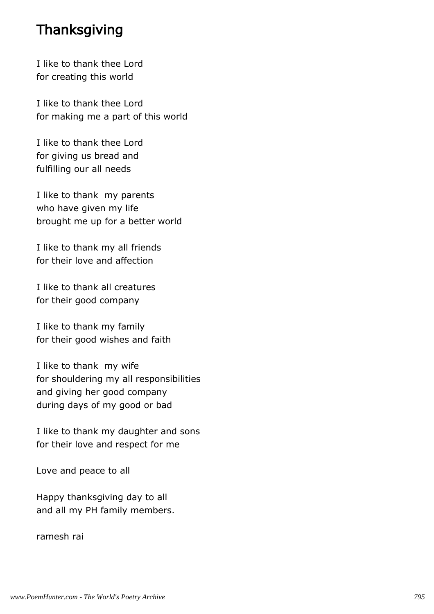#### **Thanksgiving**

I like to thank thee Lord for creating this world

I like to thank thee Lord for making me a part of this world

I like to thank thee Lord for giving us bread and fulfilling our all needs

I like to thank my parents who have given my life brought me up for a better world

I like to thank my all friends for their love and affection

I like to thank all creatures for their good company

I like to thank my family for their good wishes and faith

I like to thank my wife for shouldering my all responsibilities and giving her good company during days of my good or bad

I like to thank my daughter and sons for their love and respect for me

Love and peace to all

Happy thanksgiving day to all and all my PH family members.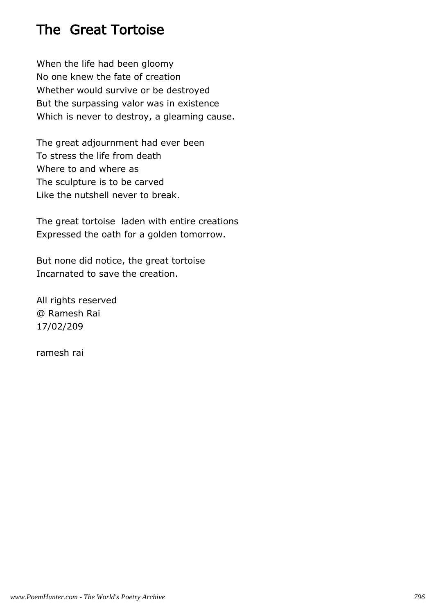## The Great Tortoise

When the life had been gloomy No one knew the fate of creation Whether would survive or be destroyed But the surpassing valor was in existence Which is never to destroy, a gleaming cause.

The great adjournment had ever been To stress the life from death Where to and where as The sculpture is to be carved Like the nutshell never to break.

The great tortoise laden with entire creations Expressed the oath for a golden tomorrow.

But none did notice, the great tortoise Incarnated to save the creation.

All rights reserved @ Ramesh Rai 17/02/209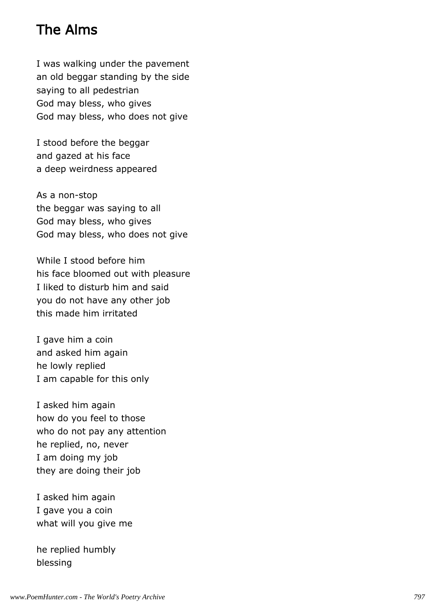#### The Alms

I was walking under the pavement an old beggar standing by the side saying to all pedestrian God may bless, who gives God may bless, who does not give

I stood before the beggar and gazed at his face a deep weirdness appeared

As a non-stop the beggar was saying to all God may bless, who gives God may bless, who does not give

While I stood before him his face bloomed out with pleasure I liked to disturb him and said you do not have any other job this made him irritated

I gave him a coin and asked him again he lowly replied I am capable for this only

I asked him again how do you feel to those who do not pay any attention he replied, no, never I am doing my job they are doing their job

I asked him again I gave you a coin what will you give me

he replied humbly blessing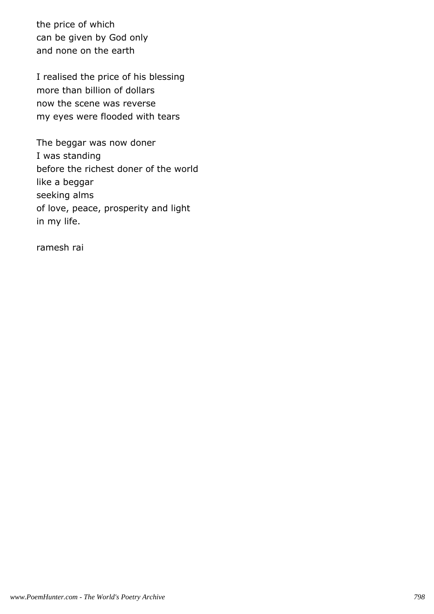the price of which can be given by God only and none on the earth

I realised the price of his blessing more than billion of dollars now the scene was reverse my eyes were flooded with tears

The beggar was now doner I was standing before the richest doner of the world like a beggar seeking alms of love, peace, prosperity and light in my life.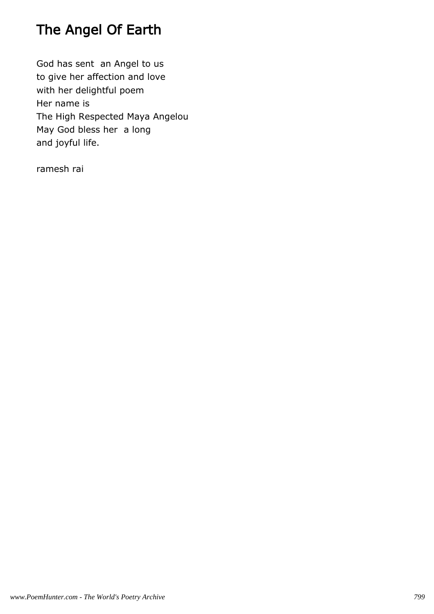# The Angel Of Earth

God has sent an Angel to us to give her affection and love with her delightful poem Her name is The High Respected Maya Angelou May God bless her a long and joyful life.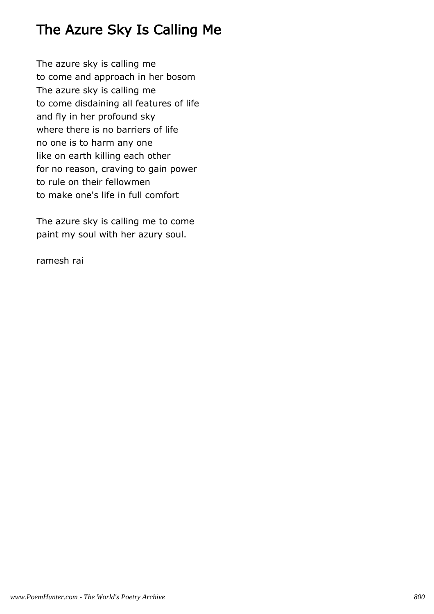# The Azure Sky Is Calling Me

The azure sky is calling me to come and approach in her bosom The azure sky is calling me to come disdaining all features of life and fly in her profound sky where there is no barriers of life no one is to harm any one like on earth killing each other for no reason, craving to gain power to rule on their fellowmen to make one's life in full comfort

The azure sky is calling me to come paint my soul with her azury soul.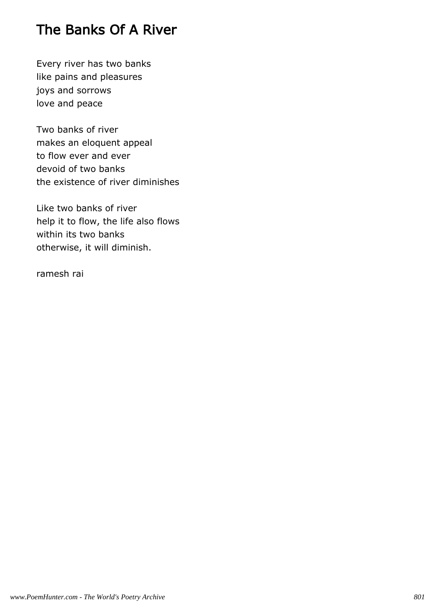## The Banks Of A River

Every river has two banks like pains and pleasures joys and sorrows love and peace

Two banks of river makes an eloquent appeal to flow ever and ever devoid of two banks the existence of river diminishes

Like two banks of river help it to flow, the life also flows within its two banks otherwise, it will diminish.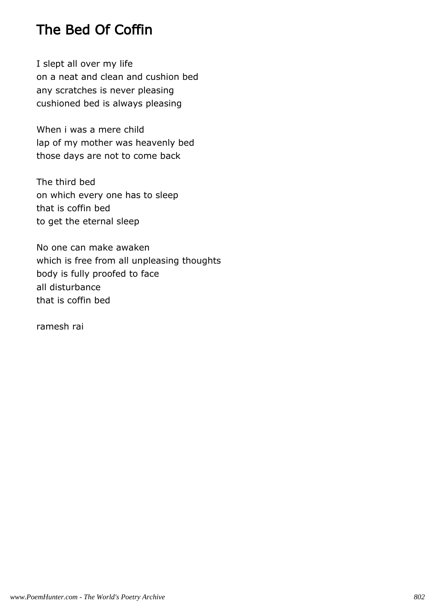## The Bed Of Coffin

I slept all over my life on a neat and clean and cushion bed any scratches is never pleasing cushioned bed is always pleasing

When i was a mere child lap of my mother was heavenly bed those days are not to come back

The third bed on which every one has to sleep that is coffin bed to get the eternal sleep

No one can make awaken which is free from all unpleasing thoughts body is fully proofed to face all disturbance that is coffin bed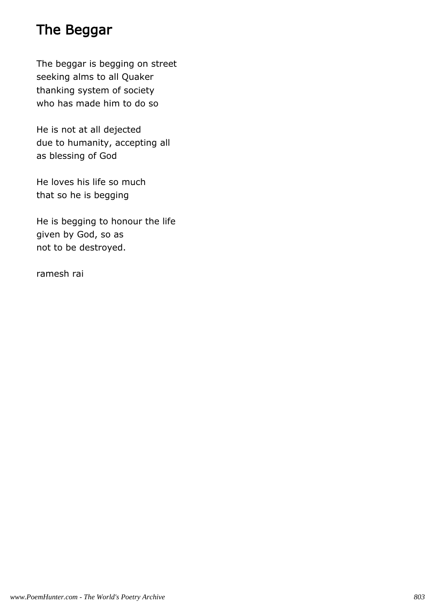# The Beggar

The beggar is begging on street seeking alms to all Quaker thanking system of society who has made him to do so

He is not at all dejected due to humanity, accepting all as blessing of God

He loves his life so much that so he is begging

He is begging to honour the life given by God, so as not to be destroyed.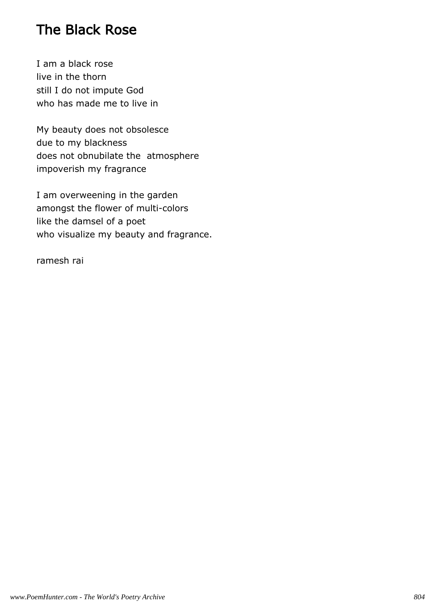#### The Black Rose

I am a black rose live in the thorn still I do not impute God who has made me to live in

My beauty does not obsolesce due to my blackness does not obnubilate the atmosphere impoverish my fragrance

I am overweening in the garden amongst the flower of multi-colors like the damsel of a poet who visualize my beauty and fragrance.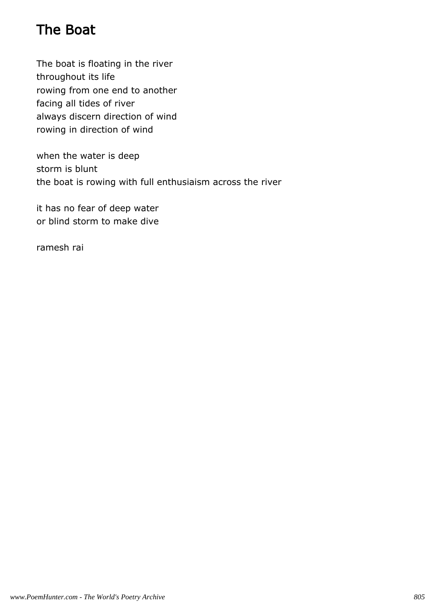# The Boat

The boat is floating in the river throughout its life rowing from one end to another facing all tides of river always discern direction of wind rowing in direction of wind

when the water is deep storm is blunt the boat is rowing with full enthusiaism across the river

it has no fear of deep water or blind storm to make dive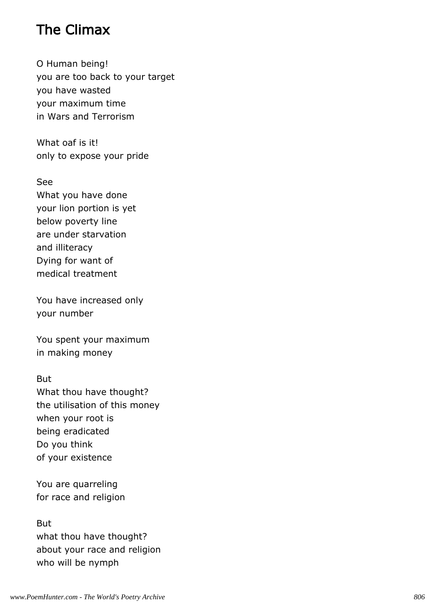#### The Climax

O Human being! you are too back to your target you have wasted your maximum time in Wars and Terrorism

What oaf is it! only to expose your pride

See What you have done your lion portion is yet below poverty line are under starvation and illiteracy Dying for want of medical treatment

You have increased only your number

You spent your maximum in making money

#### But

What thou have thought? the utilisation of this money when your root is being eradicated Do you think of your existence

You are quarreling for race and religion

But

what thou have thought? about your race and religion who will be nymph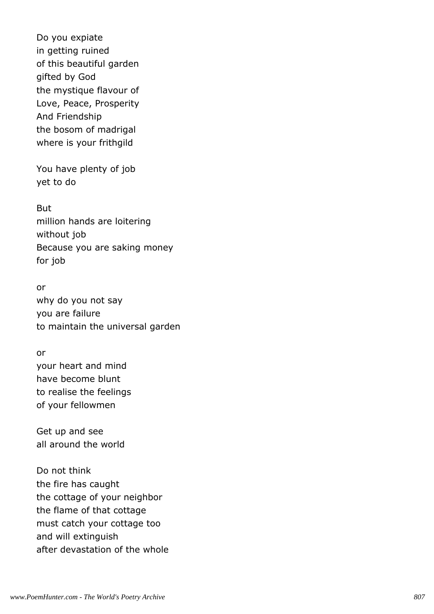Do you expiate in getting ruined of this beautiful garden gifted by God the mystique flavour of Love, Peace, Prosperity And Friendship the bosom of madrigal where is your frithgild

You have plenty of job yet to do

But million hands are loitering without job Because you are saking money for job

or why do you not say you are failure to maintain the universal garden

or your heart and mind have become blunt to realise the feelings of your fellowmen

Get up and see all around the world

Do not think the fire has caught the cottage of your neighbor the flame of that cottage must catch your cottage too and will extinguish after devastation of the whole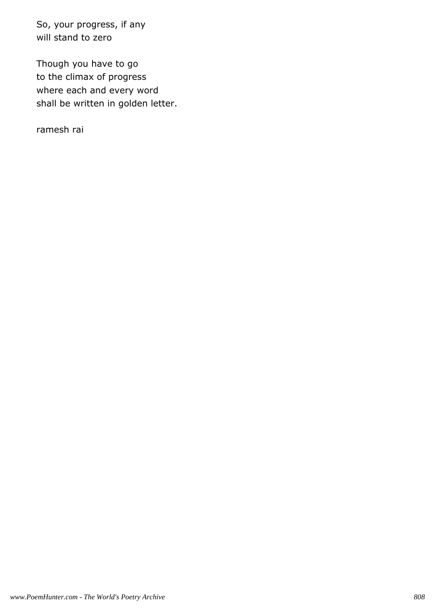So, your progress, if any will stand to zero

Though you have to go to the climax of progress where each and every word shall be written in golden letter.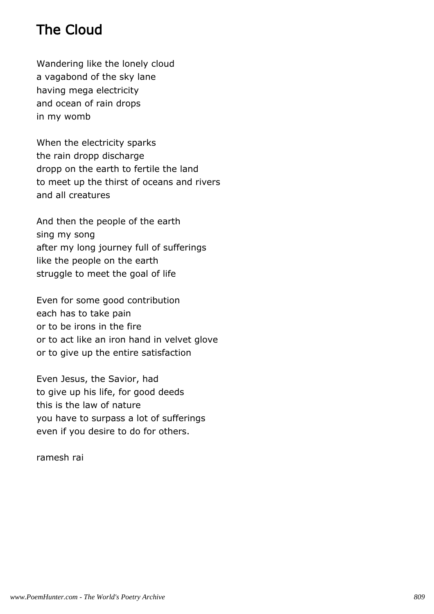# The Cloud

Wandering like the lonely cloud a vagabond of the sky lane having mega electricity and ocean of rain drops in my womb

When the electricity sparks the rain dropp discharge dropp on the earth to fertile the land to meet up the thirst of oceans and rivers and all creatures

And then the people of the earth sing my song after my long journey full of sufferings like the people on the earth struggle to meet the goal of life

Even for some good contribution each has to take pain or to be irons in the fire or to act like an iron hand in velvet glove or to give up the entire satisfaction

Even Jesus, the Savior, had to give up his life, for good deeds this is the law of nature you have to surpass a lot of sufferings even if you desire to do for others.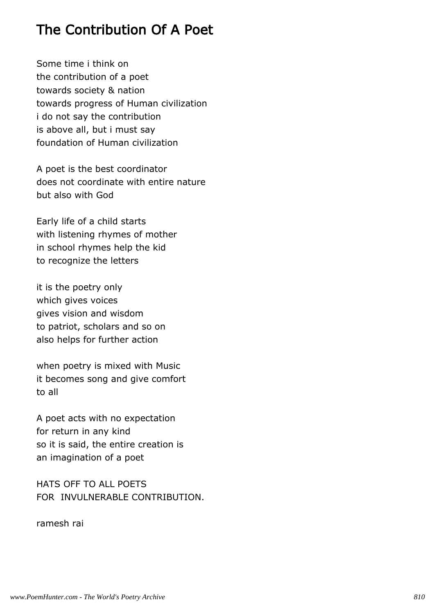### The Contribution Of A Poet

Some time i think on the contribution of a poet towards society & nation towards progress of Human civilization i do not say the contribution is above all, but i must say foundation of Human civilization

A poet is the best coordinator does not coordinate with entire nature but also with God

Early life of a child starts with listening rhymes of mother in school rhymes help the kid to recognize the letters

it is the poetry only which gives voices gives vision and wisdom to patriot, scholars and so on also helps for further action

when poetry is mixed with Music it becomes song and give comfort to all

A poet acts with no expectation for return in any kind so it is said, the entire creation is an imagination of a poet

HATS OFF TO ALL POETS FOR INVULNERABLE CONTRIBUTION.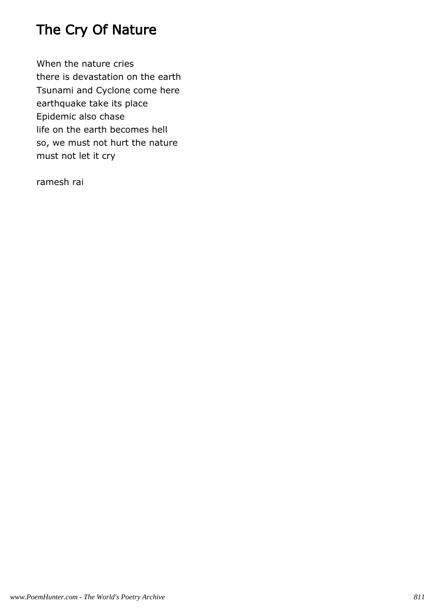# The Cry Of Nature

When the nature cries there is devastation on the earth Tsunami and Cyclone come here earthquake take its place Epidemic also chase life on the earth becomes hell so, we must not hurt the nature must not let it cry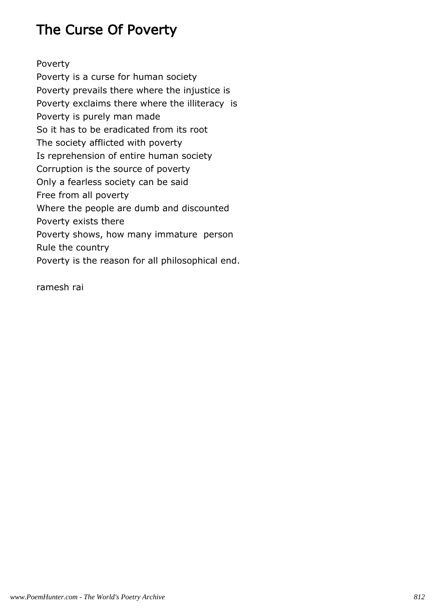# The Curse Of Poverty

Poverty

Poverty is a curse for human society Poverty prevails there where the injustice is Poverty exclaims there where the illiteracy is Poverty is purely man made So it has to be eradicated from its root The society afflicted with poverty Is reprehension of entire human society Corruption is the source of poverty Only a fearless society can be said Free from all poverty Where the people are dumb and discounted Poverty exists there Poverty shows, how many immature person Rule the country Poverty is the reason for all philosophical end.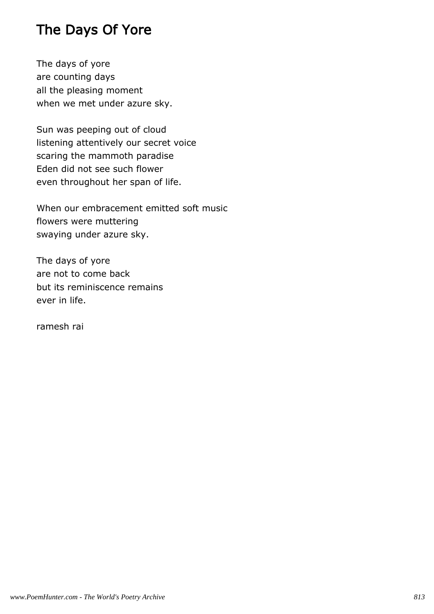#### The Days Of Yore

The days of yore are counting days all the pleasing moment when we met under azure sky.

Sun was peeping out of cloud listening attentively our secret voice scaring the mammoth paradise Eden did not see such flower even throughout her span of life.

When our embracement emitted soft music flowers were muttering swaying under azure sky.

The days of yore are not to come back but its reminiscence remains ever in life.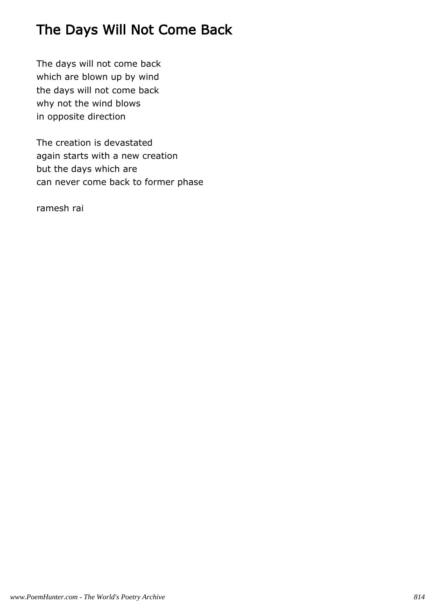# The Days Will Not Come Back

The days will not come back which are blown up by wind the days will not come back why not the wind blows in opposite direction

The creation is devastated again starts with a new creation but the days which are can never come back to former phase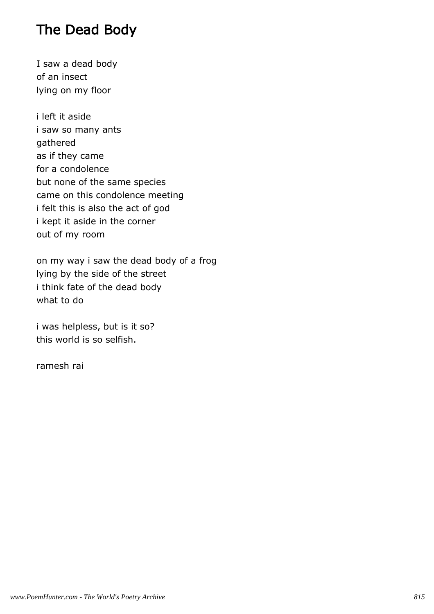#### The Dead Body

I saw a dead body of an insect lying on my floor

i left it aside i saw so many ants gathered as if they came for a condolence but none of the same species came on this condolence meeting i felt this is also the act of god i kept it aside in the corner out of my room

on my way i saw the dead body of a frog lying by the side of the street i think fate of the dead body what to do

i was helpless, but is it so? this world is so selfish.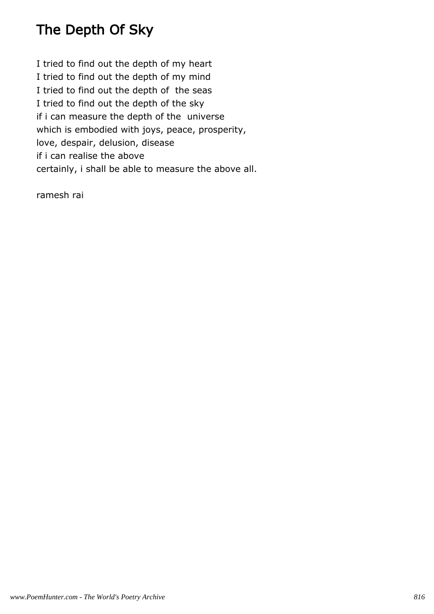# The Depth Of Sky

I tried to find out the depth of my heart I tried to find out the depth of my mind I tried to find out the depth of the seas I tried to find out the depth of the sky if i can measure the depth of the universe which is embodied with joys, peace, prosperity, love, despair, delusion, disease if i can realise the above certainly, i shall be able to measure the above all.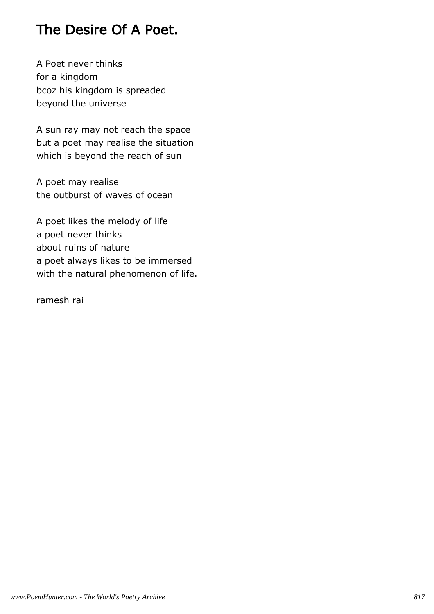#### The Desire Of A Poet.

A Poet never thinks for a kingdom bcoz his kingdom is spreaded beyond the universe

A sun ray may not reach the space but a poet may realise the situation which is beyond the reach of sun

A poet may realise the outburst of waves of ocean

A poet likes the melody of life a poet never thinks about ruins of nature a poet always likes to be immersed with the natural phenomenon of life.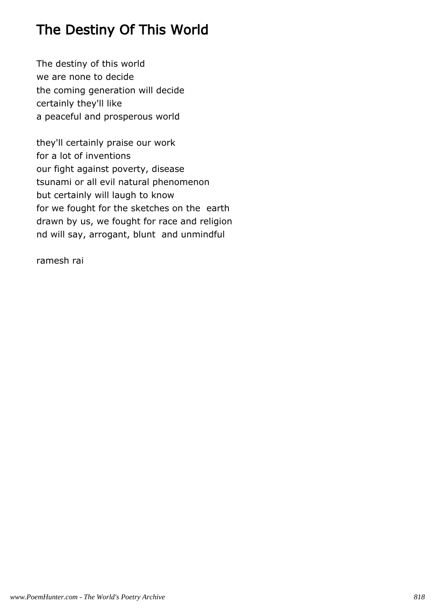# The Destiny Of This World

The destiny of this world we are none to decide the coming generation will decide certainly they'll like a peaceful and prosperous world

they'll certainly praise our work for a lot of inventions our fight against poverty, disease tsunami or all evil natural phenomenon but certainly will laugh to know for we fought for the sketches on the earth drawn by us, we fought for race and religion nd will say, arrogant, blunt and unmindful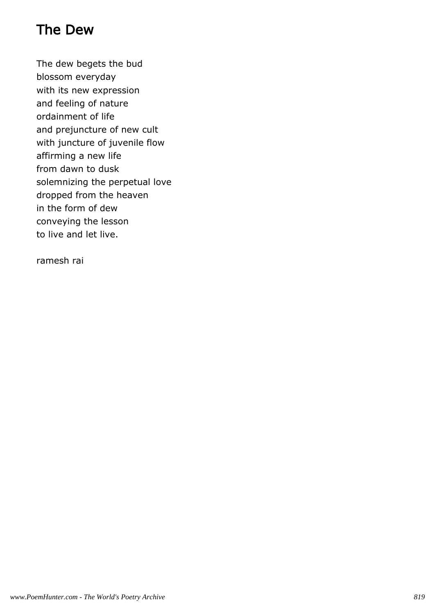## The Dew

The dew begets the bud blossom everyday with its new expression and feeling of nature ordainment of life and prejuncture of new cult with juncture of juvenile flow affirming a new life from dawn to dusk solemnizing the perpetual love dropped from the heaven in the form of dew conveying the lesson to live and let live.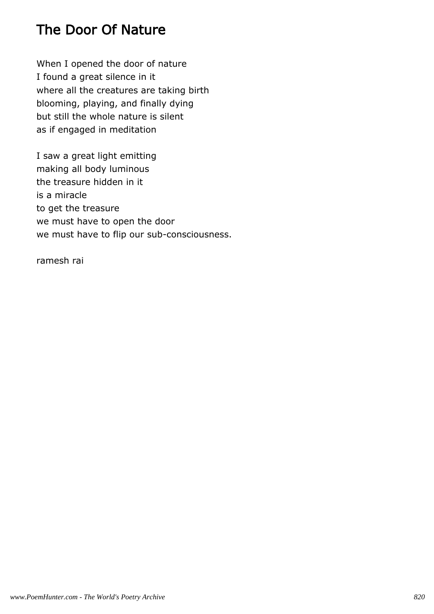# The Door Of Nature

When I opened the door of nature I found a great silence in it where all the creatures are taking birth blooming, playing, and finally dying but still the whole nature is silent as if engaged in meditation

I saw a great light emitting making all body luminous the treasure hidden in it is a miracle to get the treasure we must have to open the door we must have to flip our sub-consciousness.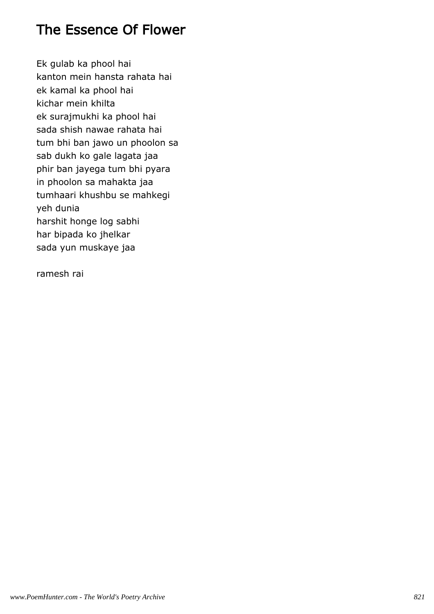## The Essence Of Flower

Ek gulab ka phool hai kanton mein hansta rahata hai ek kamal ka phool hai kichar mein khilta ek surajmukhi ka phool hai sada shish nawae rahata hai tum bhi ban jawo un phoolon sa sab dukh ko gale lagata jaa phir ban jayega tum bhi pyara in phoolon sa mahakta jaa tumhaari khushbu se mahkegi yeh dunia harshit honge log sabhi har bipada ko jhelkar sada yun muskaye jaa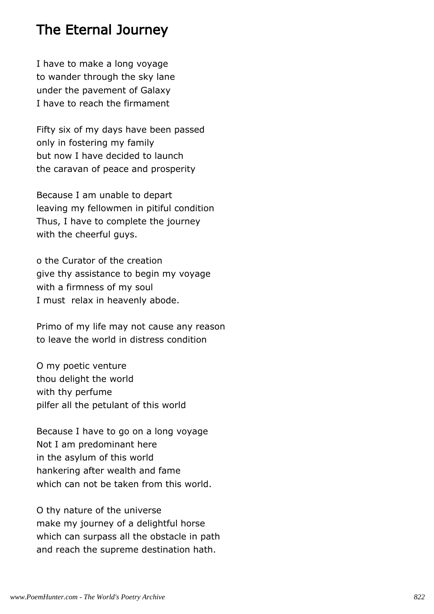#### The Eternal Journey

I have to make a long voyage to wander through the sky lane under the pavement of Galaxy I have to reach the firmament

Fifty six of my days have been passed only in fostering my family but now I have decided to launch the caravan of peace and prosperity

Because I am unable to depart leaving my fellowmen in pitiful condition Thus, I have to complete the journey with the cheerful guys.

o the Curator of the creation give thy assistance to begin my voyage with a firmness of my soul I must relax in heavenly abode.

Primo of my life may not cause any reason to leave the world in distress condition

O my poetic venture thou delight the world with thy perfume pilfer all the petulant of this world

Because I have to go on a long voyage Not I am predominant here in the asylum of this world hankering after wealth and fame which can not be taken from this world.

O thy nature of the universe make my journey of a delightful horse which can surpass all the obstacle in path and reach the supreme destination hath.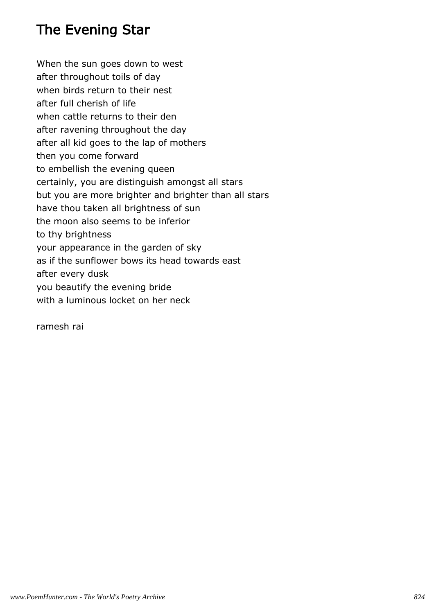# The Evening Star

When the sun goes down to west after throughout toils of day when birds return to their nest after full cherish of life when cattle returns to their den after ravening throughout the day after all kid goes to the lap of mothers then you come forward to embellish the evening queen certainly, you are distinguish amongst all stars but you are more brighter and brighter than all stars have thou taken all brightness of sun the moon also seems to be inferior to thy brightness your appearance in the garden of sky as if the sunflower bows its head towards east after every dusk you beautify the evening bride with a luminous locket on her neck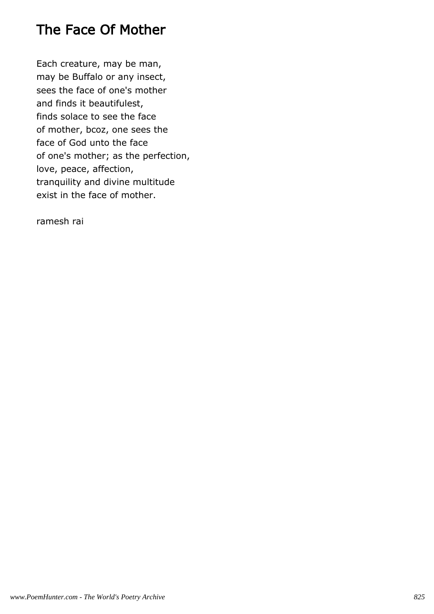# The Face Of Mother

Each creature, may be man, may be Buffalo or any insect, sees the face of one's mother and finds it beautifulest, finds solace to see the face of mother, bcoz, one sees the face of God unto the face of one's mother; as the perfection, love, peace, affection, tranquility and divine multitude exist in the face of mother.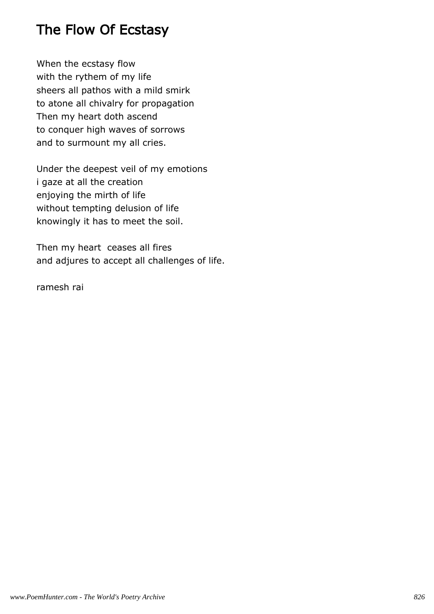# The Flow Of Ecstasy

When the ecstasy flow with the rythem of my life sheers all pathos with a mild smirk to atone all chivalry for propagation Then my heart doth ascend to conquer high waves of sorrows and to surmount my all cries.

Under the deepest veil of my emotions i gaze at all the creation enjoying the mirth of life without tempting delusion of life knowingly it has to meet the soil.

Then my heart ceases all fires and adjures to accept all challenges of life.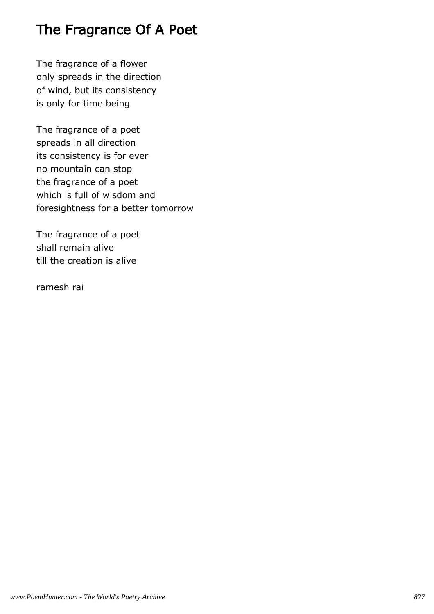## The Fragrance Of A Poet

The fragrance of a flower only spreads in the direction of wind, but its consistency is only for time being

The fragrance of a poet spreads in all direction its consistency is for ever no mountain can stop the fragrance of a poet which is full of wisdom and foresightness for a better tomorrow

The fragrance of a poet shall remain alive till the creation is alive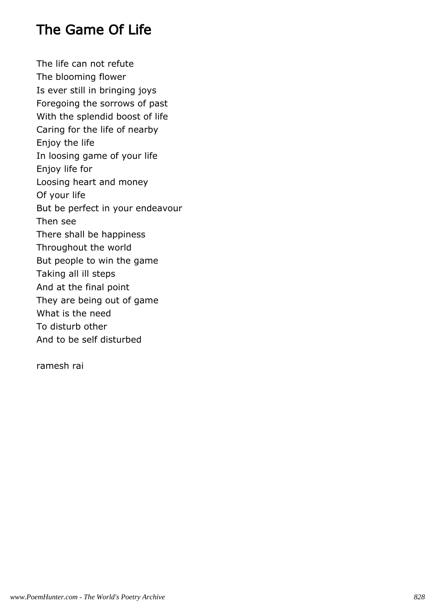## The Game Of Life

The life can not refute The blooming flower Is ever still in bringing joys Foregoing the sorrows of past With the splendid boost of life Caring for the life of nearby Enjoy the life In loosing game of your life Enjoy life for Loosing heart and money Of your life But be perfect in your endeavour Then see There shall be happiness Throughout the world But people to win the game Taking all ill steps And at the final point They are being out of game What is the need To disturb other And to be self disturbed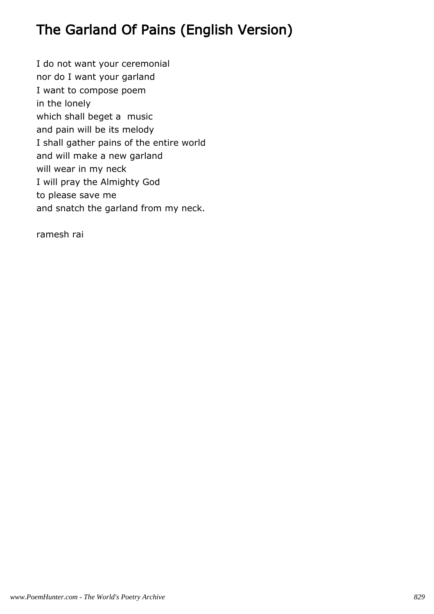# The Garland Of Pains (English Version)

I do not want your ceremonial nor do I want your garland I want to compose poem in the lonely which shall beget a music and pain will be its melody I shall gather pains of the entire world and will make a new garland will wear in my neck I will pray the Almighty God to please save me and snatch the garland from my neck.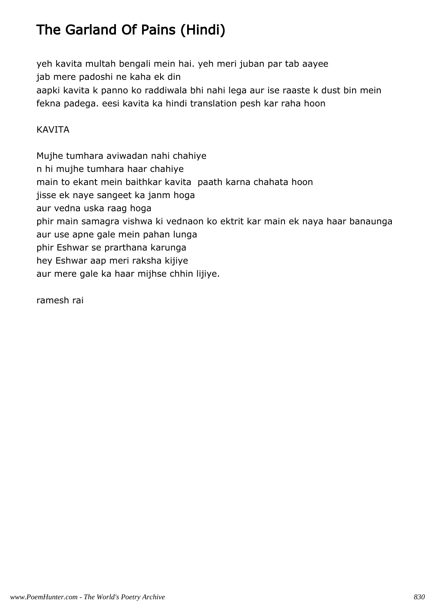# The Garland Of Pains (Hindi)

yeh kavita multah bengali mein hai. yeh meri juban par tab aayee jab mere padoshi ne kaha ek din aapki kavita k panno ko raddiwala bhi nahi lega aur ise raaste k dust bin mein fekna padega. eesi kavita ka hindi translation pesh kar raha hoon

#### KAVITA

Mujhe tumhara aviwadan nahi chahiye n hi mujhe tumhara haar chahiye main to ekant mein baithkar kavita paath karna chahata hoon jisse ek naye sangeet ka janm hoga aur vedna uska raag hoga phir main samagra vishwa ki vednaon ko ektrit kar main ek naya haar banaunga aur use apne gale mein pahan lunga phir Eshwar se prarthana karunga hey Eshwar aap meri raksha kijiye aur mere gale ka haar mijhse chhin lijiye.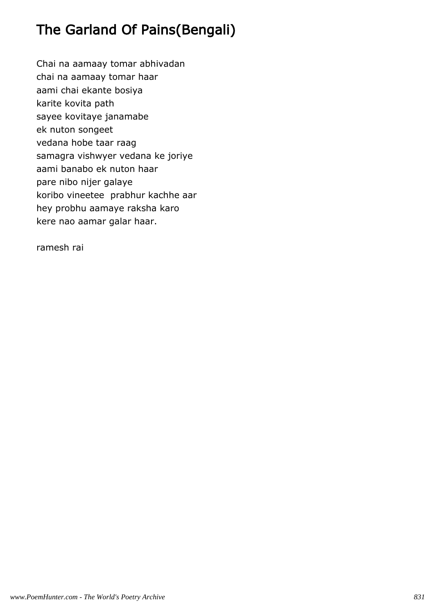# The Garland Of Pains(Bengali)

Chai na aamaay tomar abhivadan chai na aamaay tomar haar aami chai ekante bosiya karite kovita path sayee kovitaye janamabe ek nuton songeet vedana hobe taar raag samagra vishwyer vedana ke joriye aami banabo ek nuton haar pare nibo nijer galaye koribo vineetee prabhur kachhe aar hey probhu aamaye raksha karo kere nao aamar galar haar.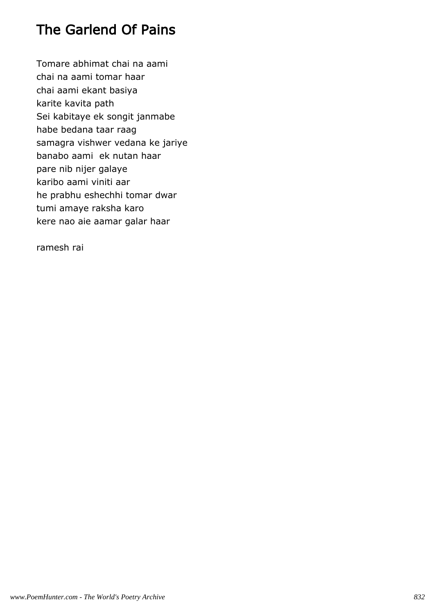# The Garlend Of Pains

Tomare abhimat chai na aami chai na aami tomar haar chai aami ekant basiya karite kavita path Sei kabitaye ek songit janmabe habe bedana taar raag samagra vishwer vedana ke jariye banabo aami ek nutan haar pare nib nijer galaye karibo aami viniti aar he prabhu eshechhi tomar dwar tumi amaye raksha karo kere nao aie aamar galar haar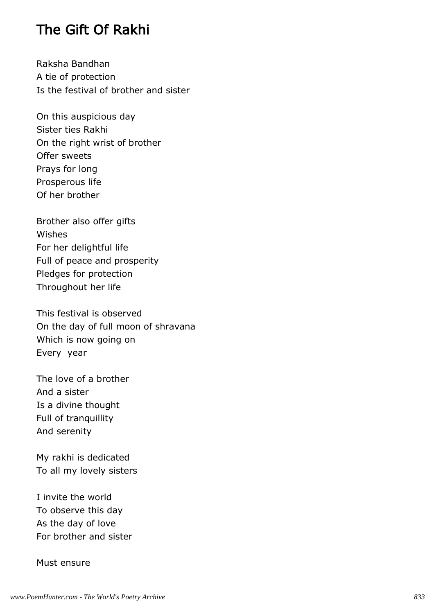## The Gift Of Rakhi

Raksha Bandhan A tie of protection Is the festival of brother and sister

On this auspicious day Sister ties Rakhi On the right wrist of brother Offer sweets Prays for long Prosperous life Of her brother

Brother also offer gifts Wishes For her delightful life Full of peace and prosperity Pledges for protection Throughout her life

This festival is observed On the day of full moon of shravana Which is now going on Every year

The love of a brother And a sister Is a divine thought Full of tranquillity And serenity

My rakhi is dedicated To all my lovely sisters

I invite the world To observe this day As the day of love For brother and sister

#### Must ensure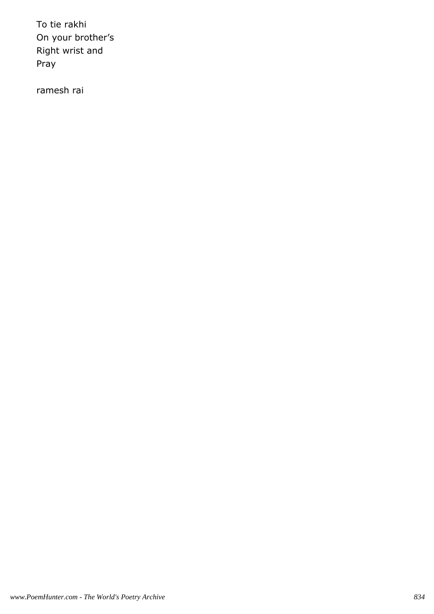To tie rakhi On your brother's Right wrist and Pray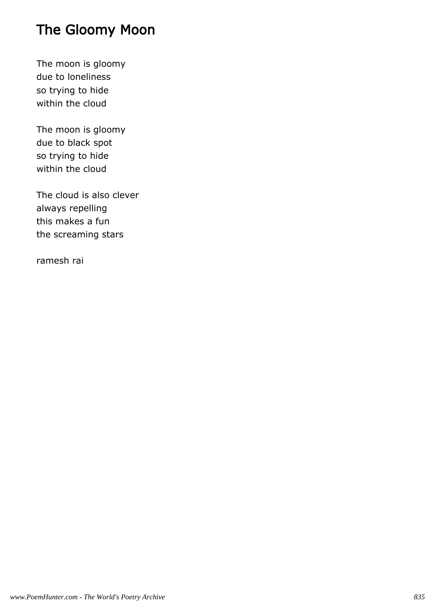# The Gloomy Moon

The moon is gloomy due to loneliness so trying to hide within the cloud

The moon is gloomy due to black spot so trying to hide within the cloud

The cloud is also clever always repelling this makes a fun the screaming stars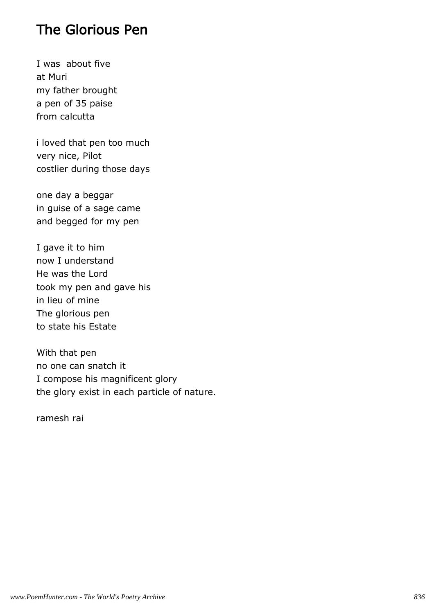## The Glorious Pen

I was about five at Muri my father brought a pen of 35 paise from calcutta

i loved that pen too much very nice, Pilot costlier during those days

one day a beggar in guise of a sage came and begged for my pen

I gave it to him now I understand He was the Lord took my pen and gave his in lieu of mine The glorious pen to state his Estate

With that pen no one can snatch it I compose his magnificent glory the glory exist in each particle of nature.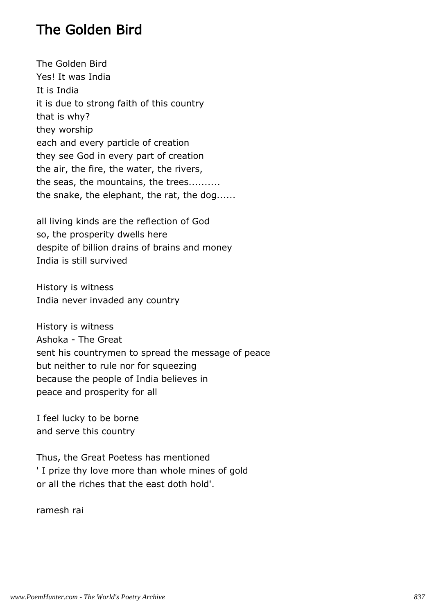## The Golden Bird

The Golden Bird Yes! It was India It is India it is due to strong faith of this country that is why? they worship each and every particle of creation they see God in every part of creation the air, the fire, the water, the rivers, the seas, the mountains, the trees.......... the snake, the elephant, the rat, the dog......

all living kinds are the reflection of God so, the prosperity dwells here despite of billion drains of brains and money India is still survived

History is witness India never invaded any country

History is witness Ashoka - The Great sent his countrymen to spread the message of peace but neither to rule nor for squeezing because the people of India believes in peace and prosperity for all

I feel lucky to be borne and serve this country

Thus, the Great Poetess has mentioned ' I prize thy love more than whole mines of gold or all the riches that the east doth hold'.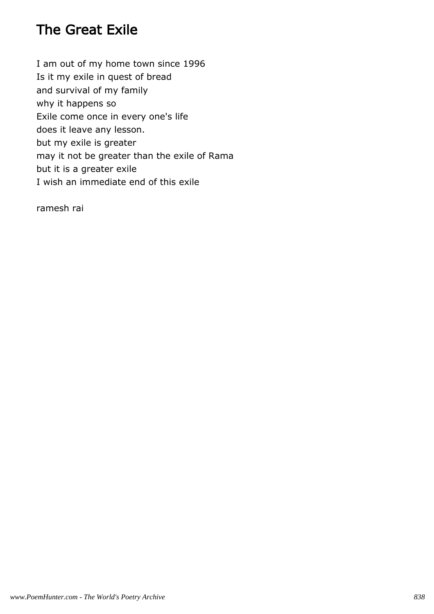## The Great Exile

I am out of my home town since 1996 Is it my exile in quest of bread and survival of my family why it happens so Exile come once in every one's life does it leave any lesson. but my exile is greater may it not be greater than the exile of Rama but it is a greater exile I wish an immediate end of this exile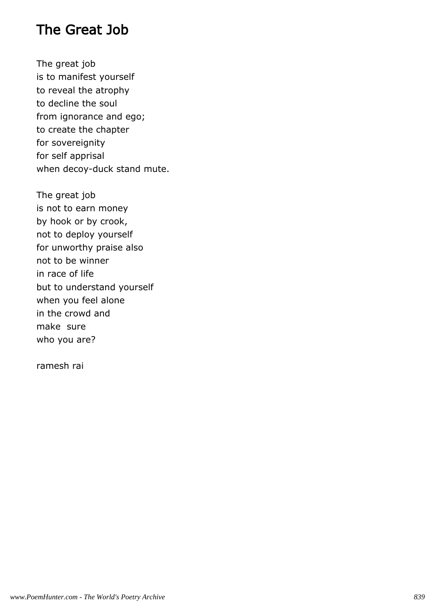### The Great Job

The great job is to manifest yourself to reveal the atrophy to decline the soul from ignorance and ego; to create the chapter for sovereignity for self apprisal when decoy-duck stand mute.

The great job is not to earn money by hook or by crook, not to deploy yourself for unworthy praise also not to be winner in race of life but to understand yourself when you feel alone in the crowd and make sure who you are?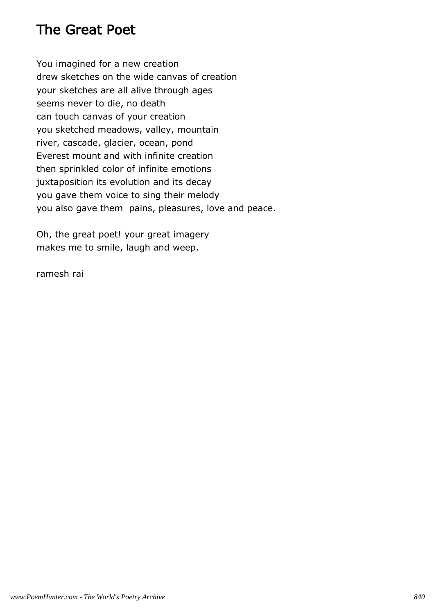## The Great Poet

You imagined for a new creation drew sketches on the wide canvas of creation your sketches are all alive through ages seems never to die, no death can touch canvas of your creation you sketched meadows, valley, mountain river, cascade, glacier, ocean, pond Everest mount and with infinite creation then sprinkled color of infinite emotions juxtaposition its evolution and its decay you gave them voice to sing their melody you also gave them pains, pleasures, love and peace.

Oh, the great poet! your great imagery makes me to smile, laugh and weep.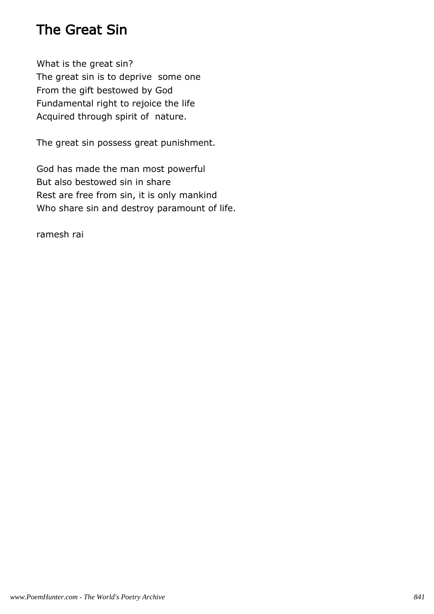## The Great Sin

What is the great sin? The great sin is to deprive some one From the gift bestowed by God Fundamental right to rejoice the life Acquired through spirit of nature.

The great sin possess great punishment.

God has made the man most powerful But also bestowed sin in share Rest are free from sin, it is only mankind Who share sin and destroy paramount of life.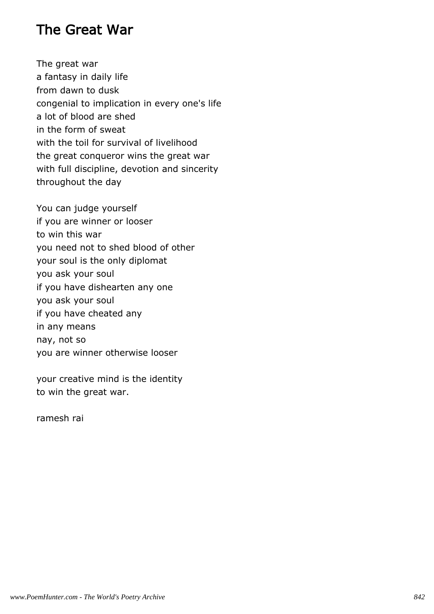## The Great War

The great war a fantasy in daily life from dawn to dusk congenial to implication in every one's life a lot of blood are shed in the form of sweat with the toil for survival of livelihood the great conqueror wins the great war with full discipline, devotion and sincerity throughout the day

You can judge yourself if you are winner or looser to win this war you need not to shed blood of other your soul is the only diplomat you ask your soul if you have dishearten any one you ask your soul if you have cheated any in any means nay, not so you are winner otherwise looser

your creative mind is the identity to win the great war.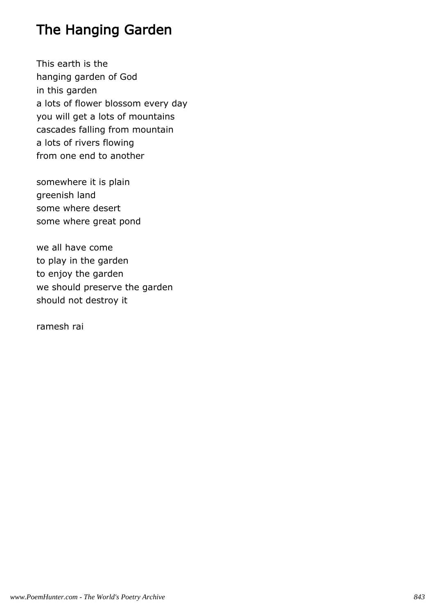# The Hanging Garden

This earth is the hanging garden of God in this garden a lots of flower blossom every day you will get a lots of mountains cascades falling from mountain a lots of rivers flowing from one end to another

somewhere it is plain greenish land some where desert some where great pond

we all have come to play in the garden to enjoy the garden we should preserve the garden should not destroy it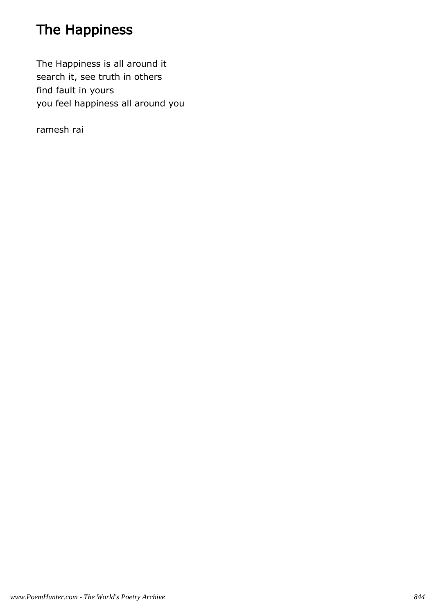# The Happiness

The Happiness is all around it search it, see truth in others find fault in yours you feel happiness all around you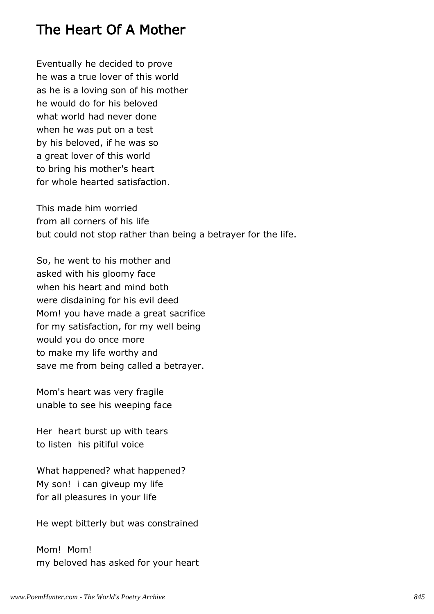## The Heart Of A Mother

Eventually he decided to prove he was a true lover of this world as he is a loving son of his mother he would do for his beloved what world had never done when he was put on a test by his beloved, if he was so a great lover of this world to bring his mother's heart for whole hearted satisfaction.

This made him worried from all corners of his life but could not stop rather than being a betrayer for the life.

So, he went to his mother and asked with his gloomy face when his heart and mind both were disdaining for his evil deed Mom! you have made a great sacrifice for my satisfaction, for my well being would you do once more to make my life worthy and save me from being called a betrayer.

Mom's heart was very fragile unable to see his weeping face

Her heart burst up with tears to listen his pitiful voice

What happened? what happened? My son! i can giveup my life for all pleasures in your life

He wept bitterly but was constrained

Mom! Mom! my beloved has asked for your heart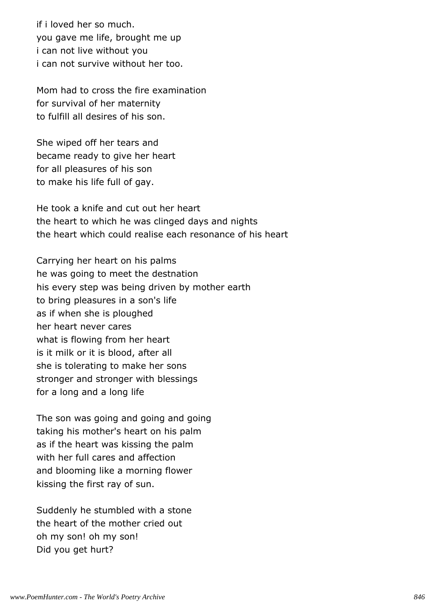if i loved her so much. you gave me life, brought me up i can not live without you i can not survive without her too.

Mom had to cross the fire examination for survival of her maternity to fulfill all desires of his son.

She wiped off her tears and became ready to give her heart for all pleasures of his son to make his life full of gay.

He took a knife and cut out her heart the heart to which he was clinged days and nights the heart which could realise each resonance of his heart

Carrying her heart on his palms he was going to meet the destnation his every step was being driven by mother earth to bring pleasures in a son's life as if when she is ploughed her heart never cares what is flowing from her heart is it milk or it is blood, after all she is tolerating to make her sons stronger and stronger with blessings for a long and a long life

The son was going and going and going taking his mother's heart on his palm as if the heart was kissing the palm with her full cares and affection and blooming like a morning flower kissing the first ray of sun.

Suddenly he stumbled with a stone the heart of the mother cried out oh my son! oh my son! Did you get hurt?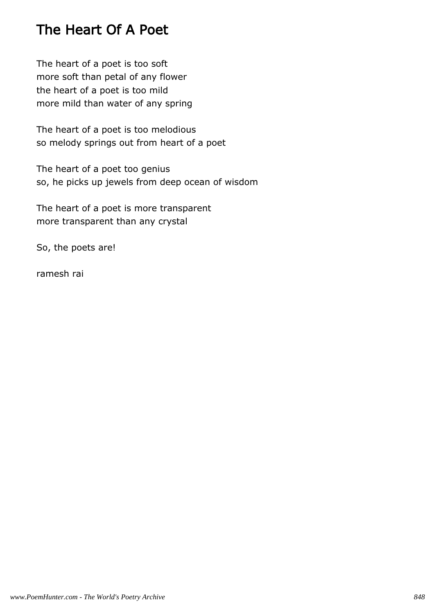# The Heart Of A Poet

The heart of a poet is too soft more soft than petal of any flower the heart of a poet is too mild more mild than water of any spring

The heart of a poet is too melodious so melody springs out from heart of a poet

The heart of a poet too genius so, he picks up jewels from deep ocean of wisdom

The heart of a poet is more transparent more transparent than any crystal

So, the poets are!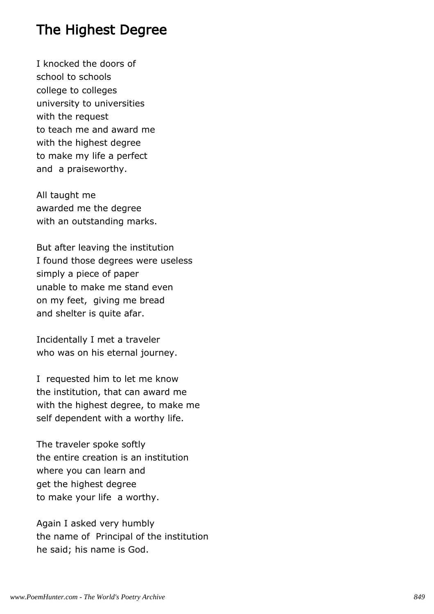## The Highest Degree

I knocked the doors of school to schools college to colleges university to universities with the request to teach me and award me with the highest degree to make my life a perfect and a praiseworthy.

All taught me awarded me the degree with an outstanding marks.

But after leaving the institution I found those degrees were useless simply a piece of paper unable to make me stand even on my feet, giving me bread and shelter is quite afar.

Incidentally I met a traveler who was on his eternal journey.

I requested him to let me know the institution, that can award me with the highest degree, to make me self dependent with a worthy life.

The traveler spoke softly the entire creation is an institution where you can learn and get the highest degree to make your life a worthy.

Again I asked very humbly the name of Principal of the institution he said; his name is God.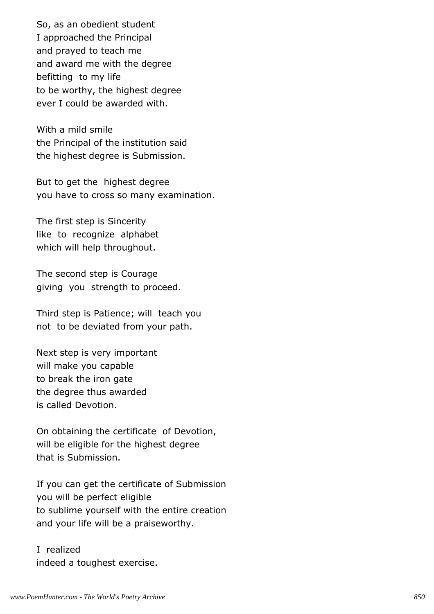So, as an obedient student I approached the Principal and prayed to teach me and award me with the degree befitting to my life to be worthy, the highest degree ever I could be awarded with.

With a mild smile the Principal of the institution said the highest degree is Submission.

But to get the highest degree you have to cross so many examination.

The first step is Sincerity like to recognize alphabet which will help throughout.

The second step is Courage giving you strength to proceed.

Third step is Patience; will teach you not to be deviated from your path.

Next step is very important will make you capable to break the iron gate the degree thus awarded is called Devotion.

On obtaining the certificate of Devotion, will be eligible for the highest degree that is Submission.

If you can get the certificate of Submission you will be perfect eligible to sublime yourself with the entire creation and your life will be a praiseworthy.

I realized indeed a toughest exercise.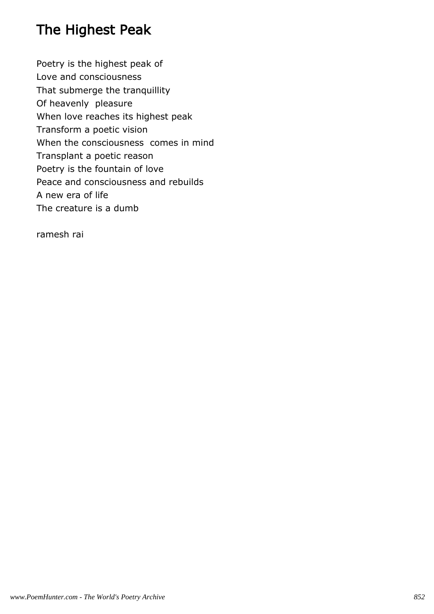# The Highest Peak

Poetry is the highest peak of Love and consciousness That submerge the tranquillity Of heavenly pleasure When love reaches its highest peak Transform a poetic vision When the consciousness comes in mind Transplant a poetic reason Poetry is the fountain of love Peace and consciousness and rebuilds A new era of life The creature is a dumb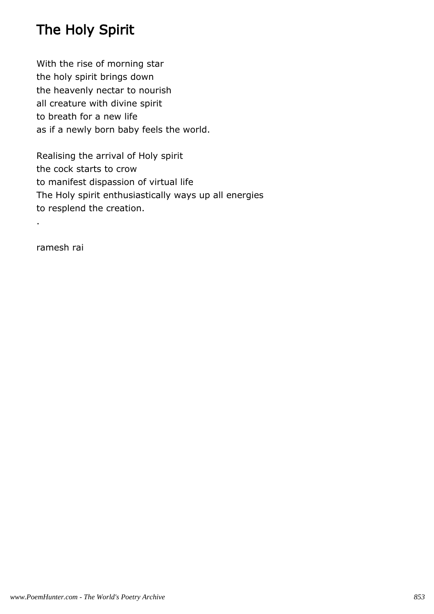# The Holy Spirit

With the rise of morning star the holy spirit brings down the heavenly nectar to nourish all creature with divine spirit to breath for a new life as if a newly born baby feels the world.

Realising the arrival of Holy spirit the cock starts to crow to manifest dispassion of virtual life The Holy spirit enthusiastically ways up all energies to resplend the creation.

ramesh rai

.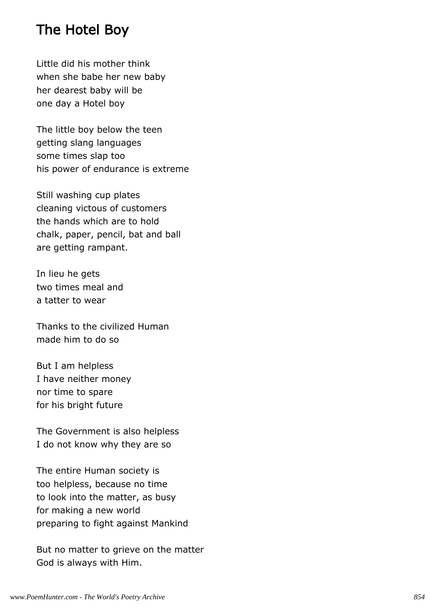## The Hotel Boy

Little did his mother think when she babe her new baby her dearest baby will be one day a Hotel boy

The little boy below the teen getting slang languages some times slap too his power of endurance is extreme

Still washing cup plates cleaning victous of customers the hands which are to hold chalk, paper, pencil, bat and ball are getting rampant.

In lieu he gets two times meal and a tatter to wear

Thanks to the civilized Human made him to do so

But I am helpless I have neither money nor time to spare for his bright future

The Government is also helpless I do not know why they are so

The entire Human society is too helpless, because no time to look into the matter, as busy for making a new world preparing to fight against Mankind

But no matter to grieve on the matter God is always with Him.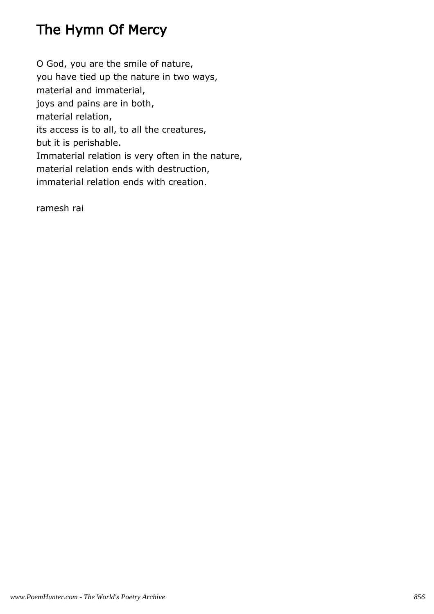# The Hymn Of Mercy

O God, you are the smile of nature, you have tied up the nature in two ways, material and immaterial, joys and pains are in both, material relation, its access is to all, to all the creatures, but it is perishable. Immaterial relation is very often in the nature, material relation ends with destruction, immaterial relation ends with creation.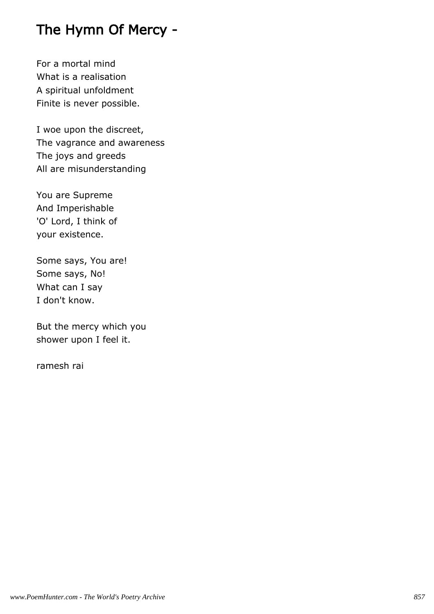# The Hymn Of Mercy -

For a mortal mind What is a realisation A spiritual unfoldment Finite is never possible.

I woe upon the discreet, The vagrance and awareness The joys and greeds All are misunderstanding

You are Supreme And Imperishable 'O' Lord, I think of your existence.

Some says, You are! Some says, No! What can I say I don't know.

But the mercy which you shower upon I feel it.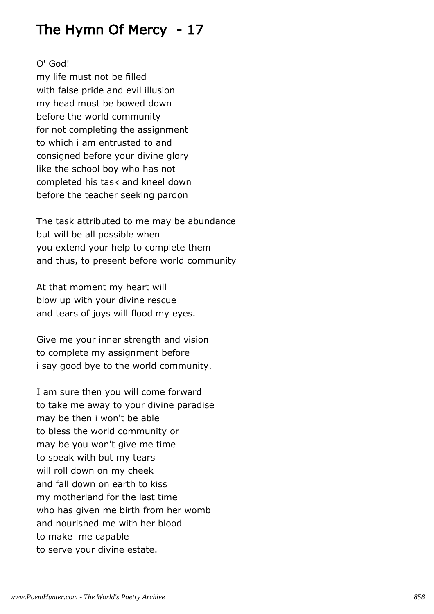# The Hymn Of Mercy - 17

#### O' God!

my life must not be filled with false pride and evil illusion my head must be bowed down before the world community for not completing the assignment to which i am entrusted to and consigned before your divine glory like the school boy who has not completed his task and kneel down before the teacher seeking pardon

The task attributed to me may be abundance but will be all possible when you extend your help to complete them and thus, to present before world community

At that moment my heart will blow up with your divine rescue and tears of joys will flood my eyes.

Give me your inner strength and vision to complete my assignment before i say good bye to the world community.

I am sure then you will come forward to take me away to your divine paradise may be then i won't be able to bless the world community or may be you won't give me time to speak with but my tears will roll down on my cheek and fall down on earth to kiss my motherland for the last time who has given me birth from her womb and nourished me with her blood to make me capable to serve your divine estate.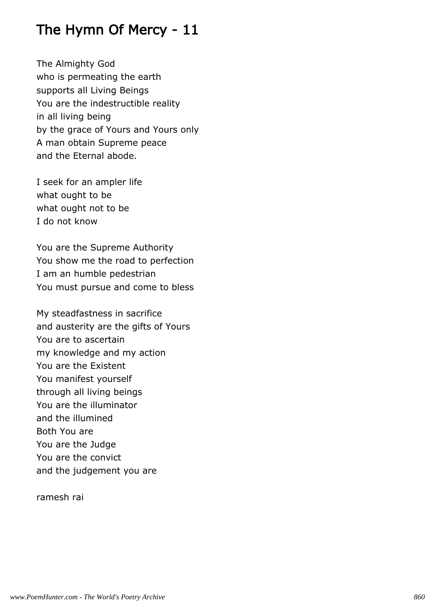# The Hymn Of Mercy - 11

The Almighty God who is permeating the earth supports all Living Beings You are the indestructible reality in all living being by the grace of Yours and Yours only A man obtain Supreme peace and the Eternal abode.

I seek for an ampler life what ought to be what ought not to be I do not know

You are the Supreme Authority You show me the road to perfection I am an humble pedestrian You must pursue and come to bless

My steadfastness in sacrifice and austerity are the gifts of Yours You are to ascertain my knowledge and my action You are the Existent You manifest yourself through all living beings You are the illuminator and the illumined Both You are You are the Judge You are the convict and the judgement you are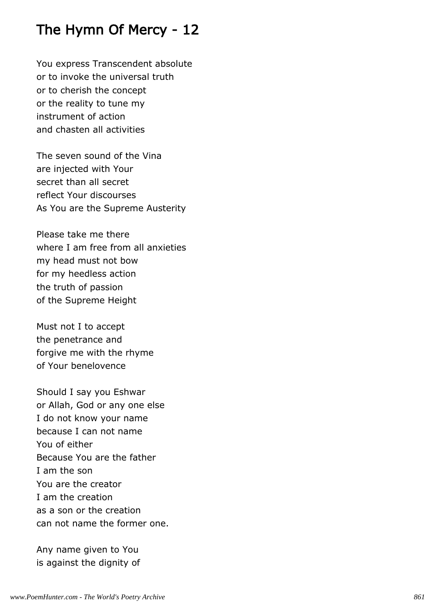# The Hymn Of Mercy - 12

You express Transcendent absolute or to invoke the universal truth or to cherish the concept or the reality to tune my instrument of action and chasten all activities

The seven sound of the Vina are injected with Your secret than all secret reflect Your discourses As You are the Supreme Austerity

Please take me there where I am free from all anxieties my head must not bow for my heedless action the truth of passion of the Supreme Height

Must not I to accept the penetrance and forgive me with the rhyme of Your benelovence

Should I say you Eshwar or Allah, God or any one else I do not know your name because I can not name You of either Because You are the father I am the son You are the creator I am the creation as a son or the creation can not name the former one.

Any name given to You is against the dignity of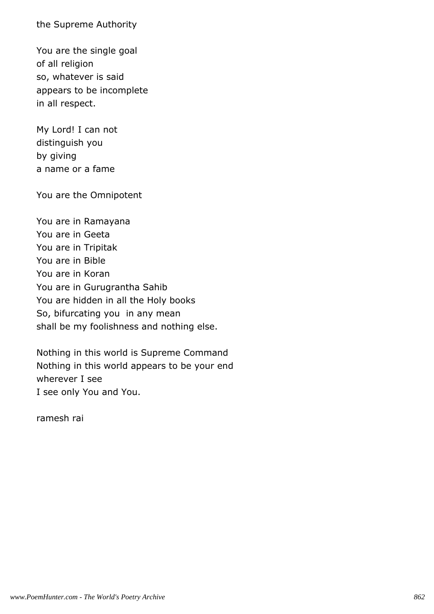#### the Supreme Authority

You are the single goal of all religion so, whatever is said appears to be incomplete in all respect.

My Lord! I can not distinguish you by giving a name or a fame

You are the Omnipotent

You are in Ramayana You are in Geeta You are in Tripitak You are in Bible You are in Koran You are in Gurugrantha Sahib You are hidden in all the Holy books So, bifurcating you in any mean shall be my foolishness and nothing else.

Nothing in this world is Supreme Command Nothing in this world appears to be your end wherever I see I see only You and You.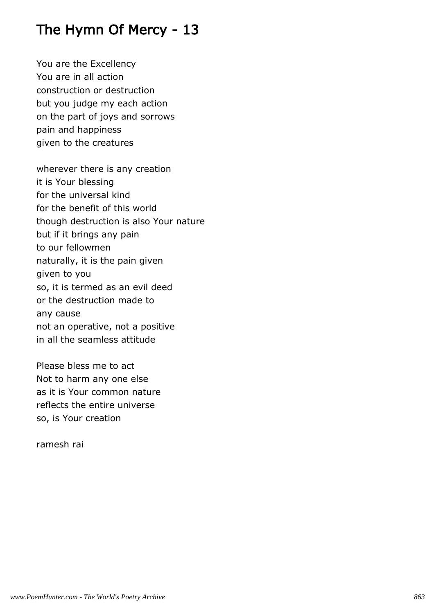# The Hymn Of Mercy - 13

You are the Excellency You are in all action construction or destruction but you judge my each action on the part of joys and sorrows pain and happiness given to the creatures

wherever there is any creation it is Your blessing for the universal kind for the benefit of this world though destruction is also Your nature but if it brings any pain to our fellowmen naturally, it is the pain given given to you so, it is termed as an evil deed or the destruction made to any cause not an operative, not a positive in all the seamless attitude

Please bless me to act Not to harm any one else as it is Your common nature reflects the entire universe so, is Your creation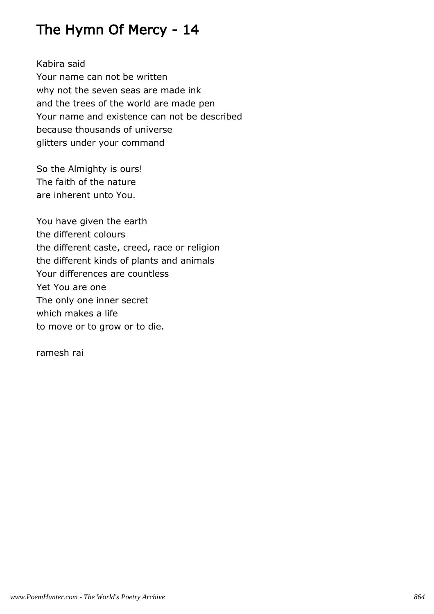Kabira said Your name can not be written why not the seven seas are made ink and the trees of the world are made pen Your name and existence can not be described because thousands of universe glitters under your command

So the Almighty is ours! The faith of the nature are inherent unto You.

You have given the earth the different colours the different caste, creed, race or religion the different kinds of plants and animals Your differences are countless Yet You are one The only one inner secret which makes a life to move or to grow or to die.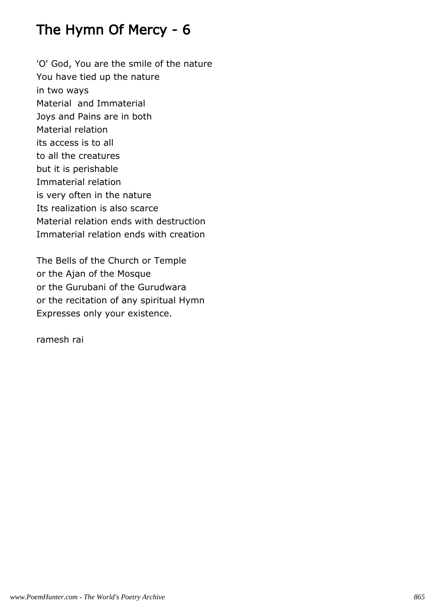'O' God, You are the smile of the nature You have tied up the nature in two ways Material and Immaterial Joys and Pains are in both Material relation its access is to all to all the creatures but it is perishable Immaterial relation is very often in the nature Its realization is also scarce Material relation ends with destruction Immaterial relation ends with creation

The Bells of the Church or Temple or the Ajan of the Mosque or the Gurubani of the Gurudwara or the recitation of any spiritual Hymn Expresses only your existence.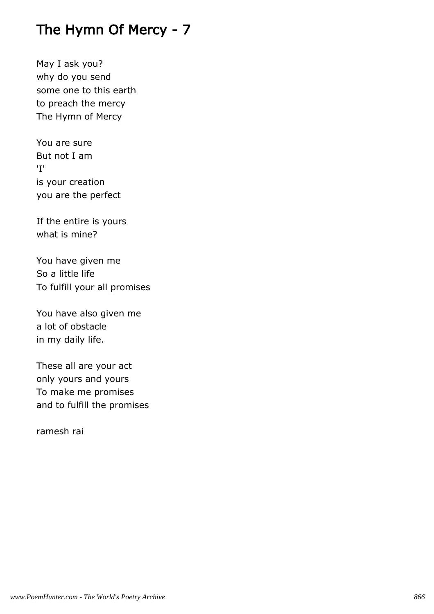May I ask you? why do you send some one to this earth to preach the mercy The Hymn of Mercy

You are sure But not I am 'I' is your creation you are the perfect

If the entire is yours what is mine?

You have given me So a little life To fulfill your all promises

You have also given me a lot of obstacle in my daily life.

These all are your act only yours and yours To make me promises and to fulfill the promises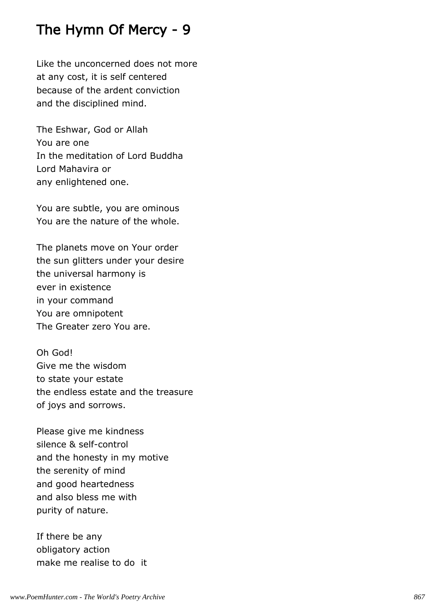Like the unconcerned does not more at any cost, it is self centered because of the ardent conviction and the disciplined mind.

The Eshwar, God or Allah You are one In the meditation of Lord Buddha Lord Mahavira or any enlightened one.

You are subtle, you are ominous You are the nature of the whole.

The planets move on Your order the sun glitters under your desire the universal harmony is ever in existence in your command You are omnipotent The Greater zero You are.

Oh God! Give me the wisdom to state your estate the endless estate and the treasure of joys and sorrows.

Please give me kindness silence & self-control and the honesty in my motive the serenity of mind and good heartedness and also bless me with purity of nature.

If there be any obligatory action make me realise to do it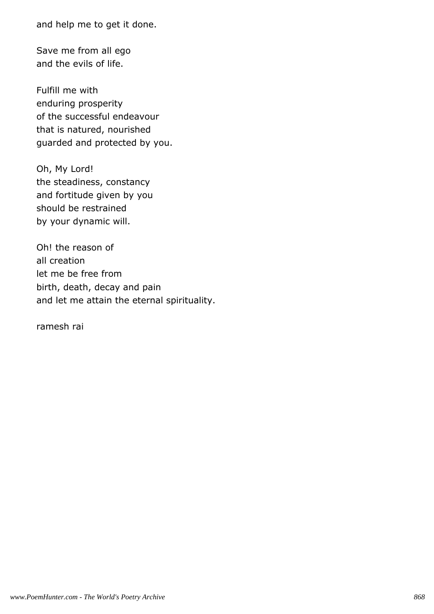and help me to get it done.

Save me from all ego and the evils of life.

Fulfill me with enduring prosperity of the successful endeavour that is natured, nourished guarded and protected by you.

Oh, My Lord! the steadiness, constancy and fortitude given by you should be restrained by your dynamic will.

Oh! the reason of all creation let me be free from birth, death, decay and pain and let me attain the eternal spirituality.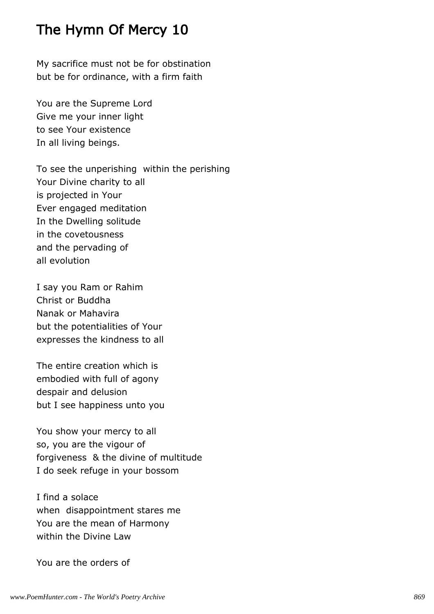My sacrifice must not be for obstination but be for ordinance, with a firm faith

You are the Supreme Lord Give me your inner light to see Your existence In all living beings.

To see the unperishing within the perishing Your Divine charity to all is projected in Your Ever engaged meditation In the Dwelling solitude in the covetousness and the pervading of all evolution

I say you Ram or Rahim Christ or Buddha Nanak or Mahavira but the potentialities of Your expresses the kindness to all

The entire creation which is embodied with full of agony despair and delusion but I see happiness unto you

You show your mercy to all so, you are the vigour of forgiveness & the divine of multitude I do seek refuge in your bossom

I find a solace when disappointment stares me You are the mean of Harmony within the Divine Law

You are the orders of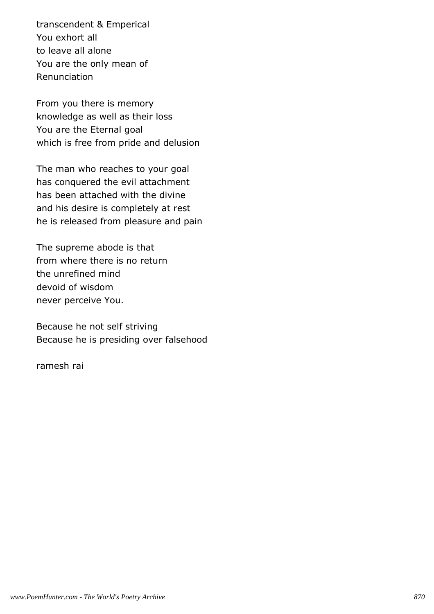transcendent & Emperical You exhort all to leave all alone You are the only mean of Renunciation

From you there is memory knowledge as well as their loss You are the Eternal goal which is free from pride and delusion

The man who reaches to your goal has conquered the evil attachment has been attached with the divine and his desire is completely at rest he is released from pleasure and pain

The supreme abode is that from where there is no return the unrefined mind devoid of wisdom never perceive You.

Because he not self striving Because he is presiding over falsehood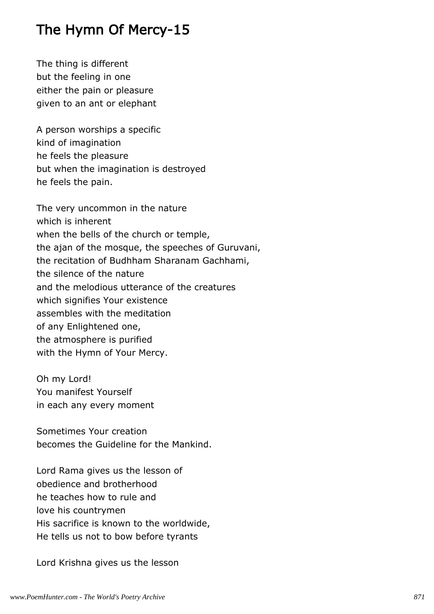The thing is different but the feeling in one either the pain or pleasure given to an ant or elephant

A person worships a specific kind of imagination he feels the pleasure but when the imagination is destroyed he feels the pain.

The very uncommon in the nature which is inherent when the bells of the church or temple, the ajan of the mosque, the speeches of Guruvani, the recitation of Budhham Sharanam Gachhami, the silence of the nature and the melodious utterance of the creatures which signifies Your existence assembles with the meditation of any Enlightened one, the atmosphere is purified with the Hymn of Your Mercy.

Oh my Lord! You manifest Yourself in each any every moment

Sometimes Your creation becomes the Guideline for the Mankind.

Lord Rama gives us the lesson of obedience and brotherhood he teaches how to rule and love his countrymen His sacrifice is known to the worldwide, He tells us not to bow before tyrants

Lord Krishna gives us the lesson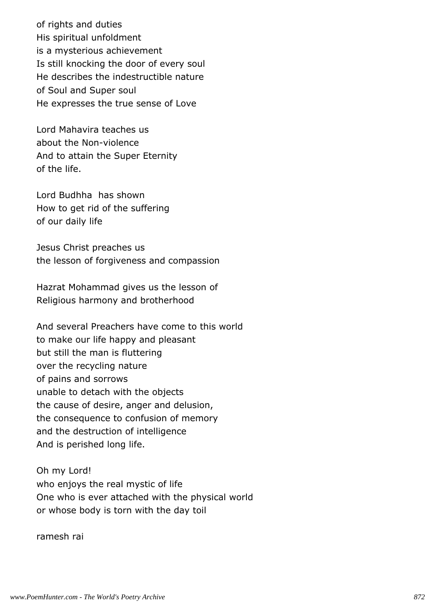of rights and duties His spiritual unfoldment is a mysterious achievement Is still knocking the door of every soul He describes the indestructible nature of Soul and Super soul He expresses the true sense of Love

Lord Mahavira teaches us about the Non-violence And to attain the Super Eternity of the life.

Lord Budhha has shown How to get rid of the suffering of our daily life

Jesus Christ preaches us the lesson of forgiveness and compassion

Hazrat Mohammad gives us the lesson of Religious harmony and brotherhood

And several Preachers have come to this world to make our life happy and pleasant but still the man is fluttering over the recycling nature of pains and sorrows unable to detach with the objects the cause of desire, anger and delusion, the consequence to confusion of memory and the destruction of intelligence And is perished long life.

Oh my Lord! who enjoys the real mystic of life One who is ever attached with the physical world or whose body is torn with the day toil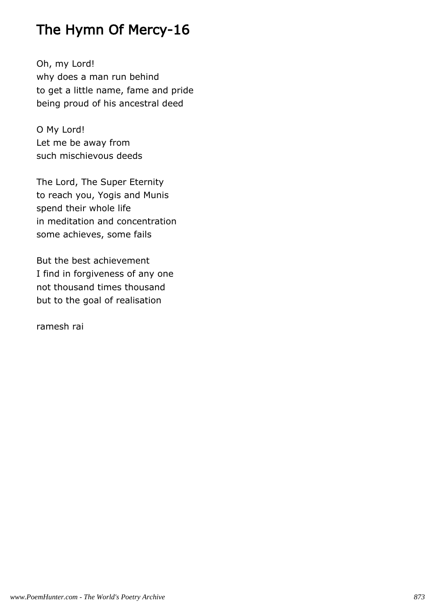Oh, my Lord! why does a man run behind to get a little name, fame and pride being proud of his ancestral deed

O My Lord! Let me be away from such mischievous deeds

The Lord, The Super Eternity to reach you, Yogis and Munis spend their whole life in meditation and concentration some achieves, some fails

But the best achievement I find in forgiveness of any one not thousand times thousand but to the goal of realisation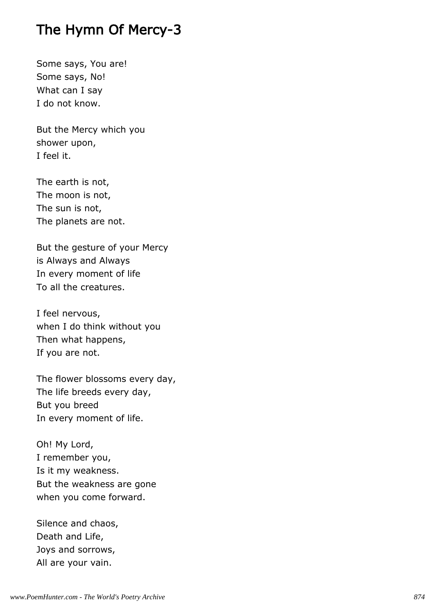Some says, You are! Some says, No! What can I say I do not know.

But the Mercy which you shower upon, I feel it.

The earth is not, The moon is not, The sun is not, The planets are not.

But the gesture of your Mercy is Always and Always In every moment of life To all the creatures.

I feel nervous, when I do think without you Then what happens, If you are not.

The flower blossoms every day, The life breeds every day, But you breed In every moment of life.

Oh! My Lord, I remember you, Is it my weakness. But the weakness are gone when you come forward.

Silence and chaos, Death and Life, Joys and sorrows, All are your vain.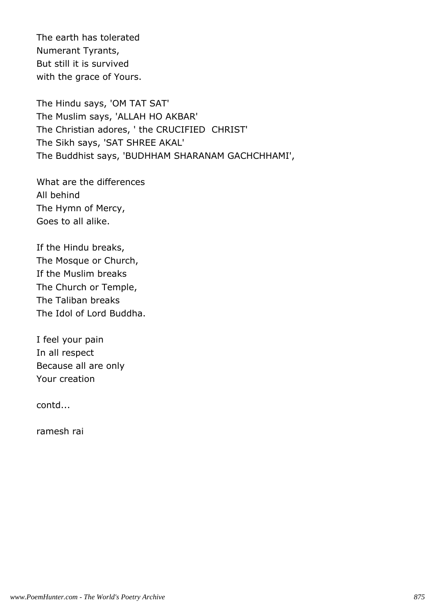The earth has tolerated Numerant Tyrants, But still it is survived with the grace of Yours.

The Hindu says, 'OM TAT SAT' The Muslim says, 'ALLAH HO AKBAR' The Christian adores, ' the CRUCIFIED CHRIST' The Sikh says, 'SAT SHREE AKAL' The Buddhist says, 'BUDHHAM SHARANAM GACHCHHAMI',

What are the differences All behind The Hymn of Mercy, Goes to all alike.

If the Hindu breaks, The Mosque or Church, If the Muslim breaks The Church or Temple, The Taliban breaks The Idol of Lord Buddha.

I feel your pain In all respect Because all are only Your creation

contd...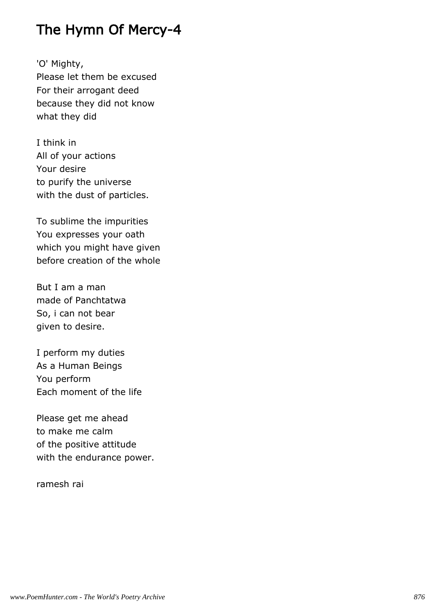'O' Mighty, Please let them be excused For their arrogant deed because they did not know what they did

I think in All of your actions Your desire to purify the universe with the dust of particles.

To sublime the impurities You expresses your oath which you might have given before creation of the whole

But I am a man made of Panchtatwa So, i can not bear given to desire.

I perform my duties As a Human Beings You perform Each moment of the life

Please get me ahead to make me calm of the positive attitude with the endurance power.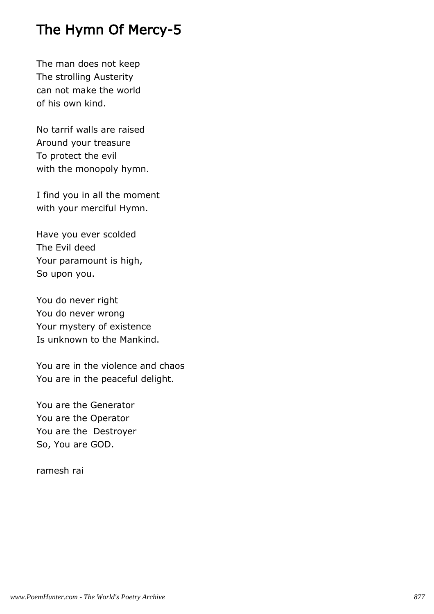The man does not keep The strolling Austerity can not make the world of his own kind.

No tarrif walls are raised Around your treasure To protect the evil with the monopoly hymn.

I find you in all the moment with your merciful Hymn.

Have you ever scolded The Evil deed Your paramount is high, So upon you.

You do never right You do never wrong Your mystery of existence Is unknown to the Mankind.

You are in the violence and chaos You are in the peaceful delight.

You are the Generator You are the Operator You are the Destroyer So, You are GOD.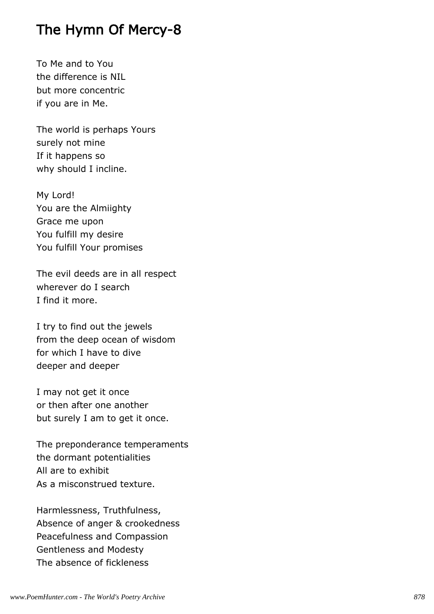To Me and to You the difference is NIL but more concentric if you are in Me.

The world is perhaps Yours surely not mine If it happens so why should I incline.

My Lord! You are the Almiighty Grace me upon You fulfill my desire You fulfill Your promises

The evil deeds are in all respect wherever do I search I find it more.

I try to find out the jewels from the deep ocean of wisdom for which I have to dive deeper and deeper

I may not get it once or then after one another but surely I am to get it once.

The preponderance temperaments the dormant potentialities All are to exhibit As a misconstrued texture.

Harmlessness, Truthfulness, Absence of anger & crookedness Peacefulness and Compassion Gentleness and Modesty The absence of fickleness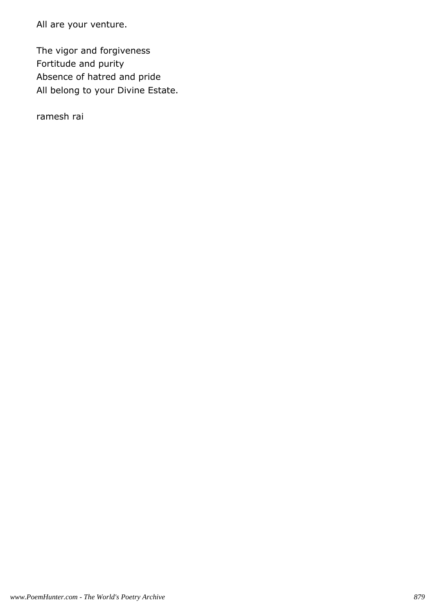All are your venture.

The vigor and forgiveness Fortitude and purity Absence of hatred and pride All belong to your Divine Estate.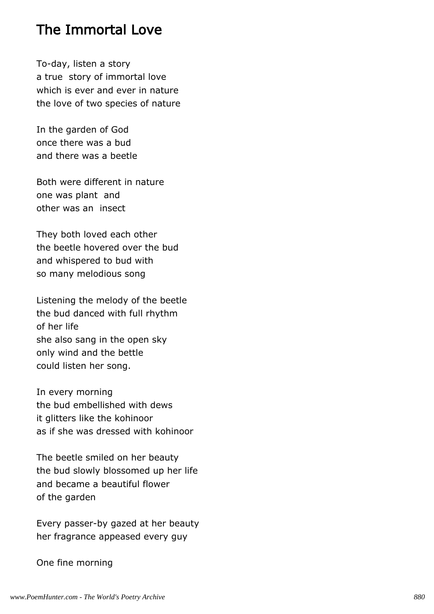#### The Immortal Love

To-day, listen a story a true story of immortal love which is ever and ever in nature the love of two species of nature

In the garden of God once there was a bud and there was a beetle

Both were different in nature one was plant and other was an insect

They both loved each other the beetle hovered over the bud and whispered to bud with so many melodious song

Listening the melody of the beetle the bud danced with full rhythm of her life she also sang in the open sky only wind and the bettle could listen her song.

In every morning the bud embellished with dews it glitters like the kohinoor as if she was dressed with kohinoor

The beetle smiled on her beauty the bud slowly blossomed up her life and became a beautiful flower of the garden

Every passer-by gazed at her beauty her fragrance appeased every guy

One fine morning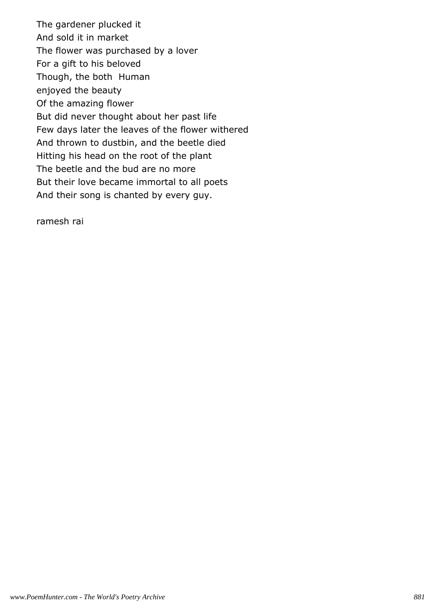The gardener plucked it And sold it in market The flower was purchased by a lover For a gift to his beloved Though, the both Human enjoyed the beauty Of the amazing flower But did never thought about her past life Few days later the leaves of the flower withered And thrown to dustbin, and the beetle died Hitting his head on the root of the plant The beetle and the bud are no more But their love became immortal to all poets And their song is chanted by every guy.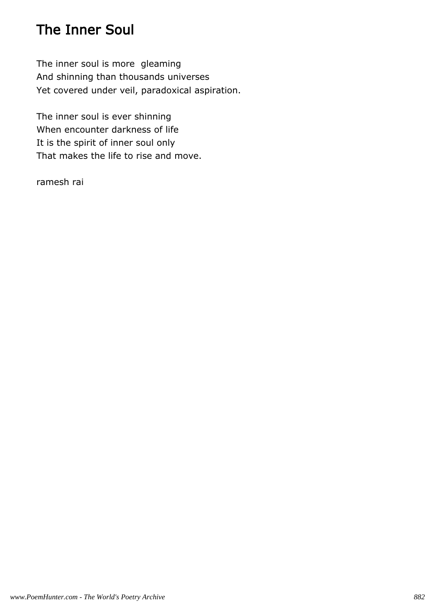## The Inner Soul

The inner soul is more gleaming And shinning than thousands universes Yet covered under veil, paradoxical aspiration.

The inner soul is ever shinning When encounter darkness of life It is the spirit of inner soul only That makes the life to rise and move.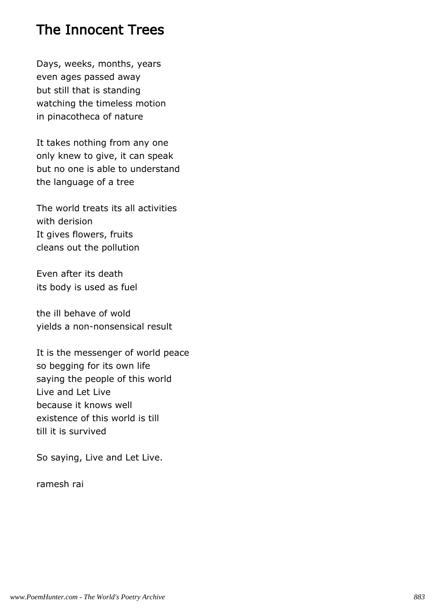### The Innocent Trees

Days, weeks, months, years even ages passed away but still that is standing watching the timeless motion in pinacotheca of nature

It takes nothing from any one only knew to give, it can speak but no one is able to understand the language of a tree

The world treats its all activities with derision It gives flowers, fruits cleans out the pollution

Even after its death its body is used as fuel

the ill behave of wold yields a non-nonsensical result

It is the messenger of world peace so begging for its own life saying the people of this world Live and Let Live because it knows well existence of this world is till till it is survived

So saying, Live and Let Live.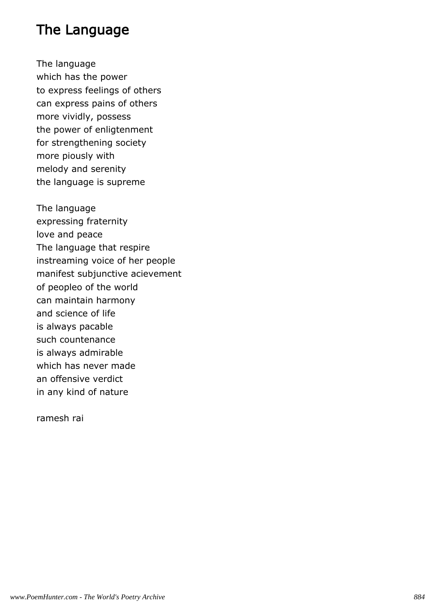#### The Language

The language which has the power to express feelings of others can express pains of others more vividly, possess the power of enligtenment for strengthening society more piously with melody and serenity the language is supreme

The language expressing fraternity love and peace The language that respire instreaming voice of her people manifest subjunctive acievement of peopleo of the world can maintain harmony and science of life is always pacable such countenance is always admirable which has never made an offensive verdict in any kind of nature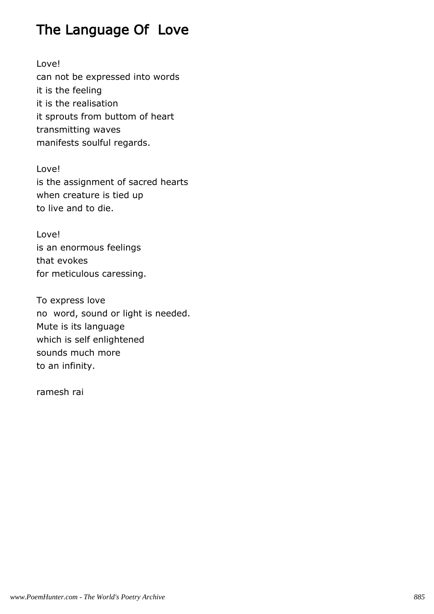## The Language Of Love

Love! can not be expressed into words it is the feeling it is the realisation it sprouts from buttom of heart transmitting waves manifests soulful regards.

Love! is the assignment of sacred hearts when creature is tied up to live and to die.

Love! is an enormous feelings that evokes for meticulous caressing.

To express love no word, sound or light is needed. Mute is its language which is self enlightened sounds much more to an infinity.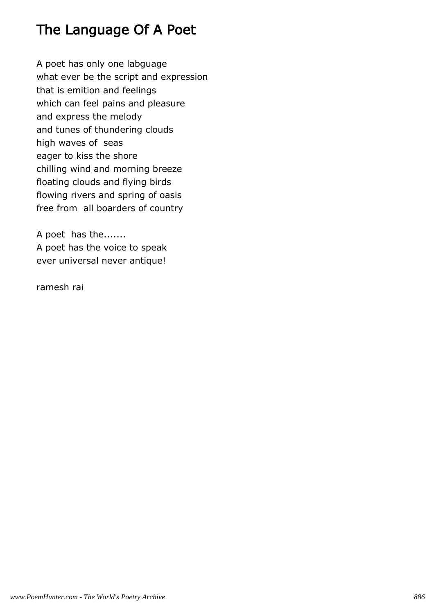# The Language Of A Poet

A poet has only one labguage what ever be the script and expression that is emition and feelings which can feel pains and pleasure and express the melody and tunes of thundering clouds high waves of seas eager to kiss the shore chilling wind and morning breeze floating clouds and flying birds flowing rivers and spring of oasis free from all boarders of country

A poet has the....... A poet has the voice to speak ever universal never antique!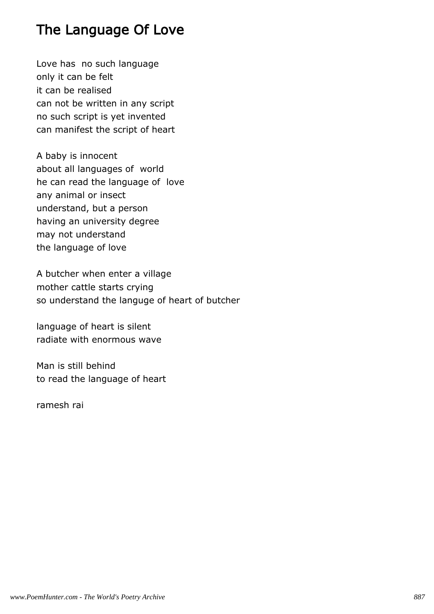## The Language Of Love

Love has no such language only it can be felt it can be realised can not be written in any script no such script is yet invented can manifest the script of heart

A baby is innocent about all languages of world he can read the language of love any animal or insect understand, but a person having an university degree may not understand the language of love

A butcher when enter a village mother cattle starts crying so understand the languge of heart of butcher

language of heart is silent radiate with enormous wave

Man is still behind to read the language of heart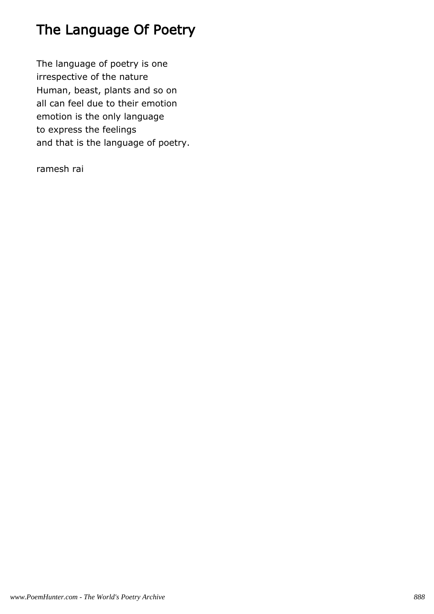# The Language Of Poetry

The language of poetry is one irrespective of the nature Human, beast, plants and so on all can feel due to their emotion emotion is the only language to express the feelings and that is the language of poetry.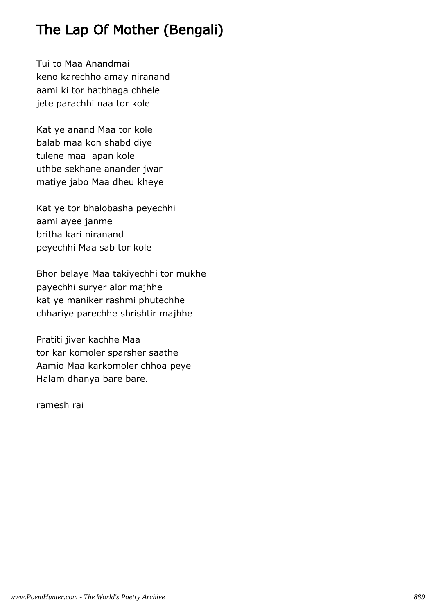# The Lap Of Mother (Bengali)

Tui to Maa Anandmai keno karechho amay niranand aami ki tor hatbhaga chhele jete parachhi naa tor kole

Kat ye anand Maa tor kole balab maa kon shabd diye tulene maa apan kole uthbe sekhane anander jwar matiye jabo Maa dheu kheye

Kat ye tor bhalobasha peyechhi aami ayee janme britha kari niranand peyechhi Maa sab tor kole

Bhor belaye Maa takiyechhi tor mukhe payechhi suryer alor majhhe kat ye maniker rashmi phutechhe chhariye parechhe shrishtir majhhe

Pratiti jiver kachhe Maa tor kar komoler sparsher saathe Aamio Maa karkomoler chhoa peye Halam dhanya bare bare.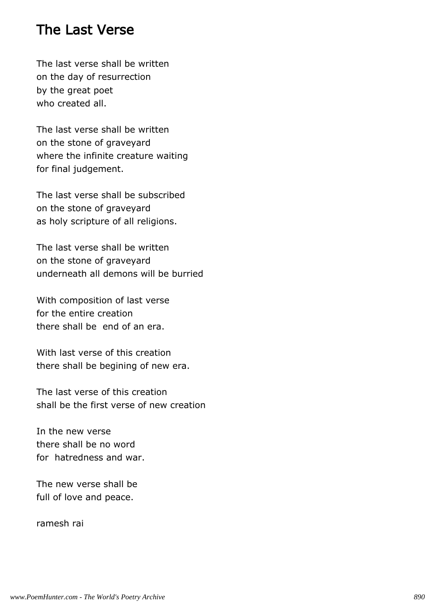#### The Last Verse

The last verse shall be written on the day of resurrection by the great poet who created all.

The last verse shall be written on the stone of graveyard where the infinite creature waiting for final judgement.

The last verse shall be subscribed on the stone of graveyard as holy scripture of all religions.

The last verse shall be written on the stone of graveyard underneath all demons will be burried

With composition of last verse for the entire creation there shall be end of an era.

With last verse of this creation there shall be begining of new era.

The last verse of this creation shall be the first verse of new creation

In the new verse there shall be no word for hatredness and war.

The new verse shall be full of love and peace.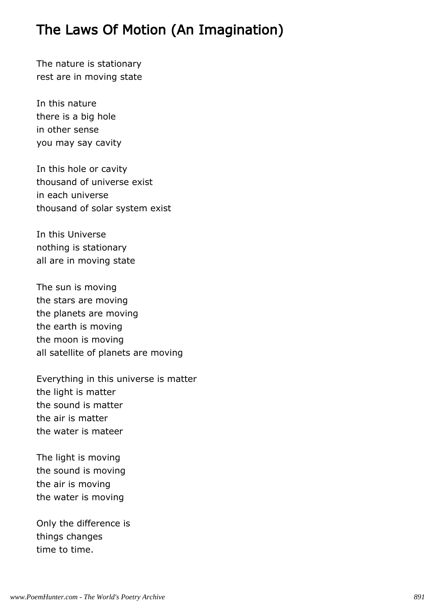## The Laws Of Motion (An Imagination)

The nature is stationary rest are in moving state

In this nature there is a big hole in other sense you may say cavity

In this hole or cavity thousand of universe exist in each universe thousand of solar system exist

In this Universe nothing is stationary all are in moving state

The sun is moving the stars are moving the planets are moving the earth is moving the moon is moving all satellite of planets are moving

Everything in this universe is matter the light is matter the sound is matter the air is matter the water is mateer

The light is moving the sound is moving the air is moving the water is moving

Only the difference is things changes time to time.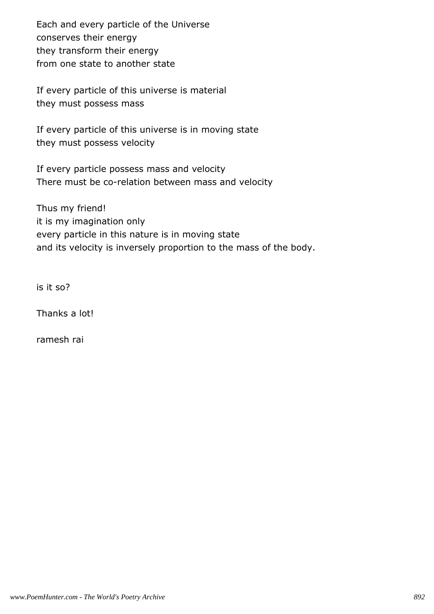Each and every particle of the Universe conserves their energy they transform their energy from one state to another state

If every particle of this universe is material they must possess mass

If every particle of this universe is in moving state they must possess velocity

If every particle possess mass and velocity There must be co-relation between mass and velocity

Thus my friend! it is my imagination only every particle in this nature is in moving state and its velocity is inversely proportion to the mass of the body.

is it so?

Thanks a lot!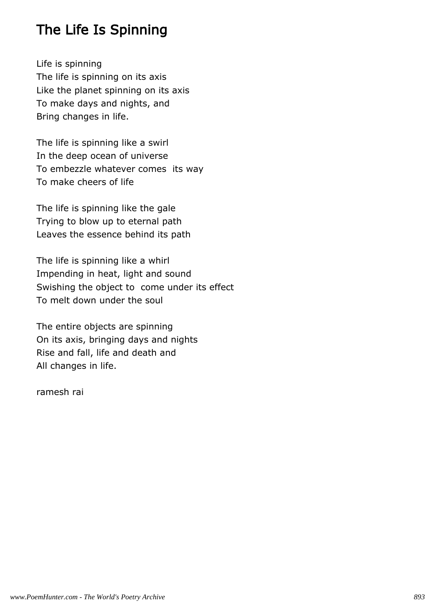## The Life Is Spinning

Life is spinning The life is spinning on its axis Like the planet spinning on its axis To make days and nights, and Bring changes in life.

The life is spinning like a swirl In the deep ocean of universe To embezzle whatever comes its way To make cheers of life

The life is spinning like the gale Trying to blow up to eternal path Leaves the essence behind its path

The life is spinning like a whirl Impending in heat, light and sound Swishing the object to come under its effect To melt down under the soul

The entire objects are spinning On its axis, bringing days and nights Rise and fall, life and death and All changes in life.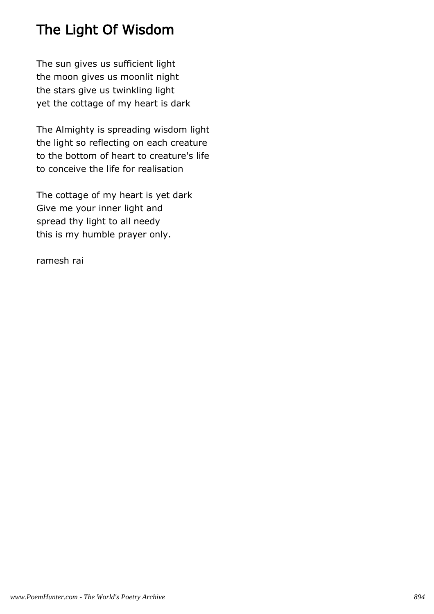# The Light Of Wisdom

The sun gives us sufficient light the moon gives us moonlit night the stars give us twinkling light yet the cottage of my heart is dark

The Almighty is spreading wisdom light the light so reflecting on each creature to the bottom of heart to creature's life to conceive the life for realisation

The cottage of my heart is yet dark Give me your inner light and spread thy light to all needy this is my humble prayer only.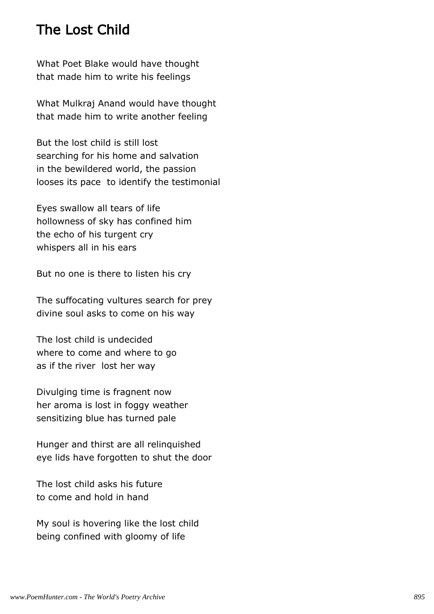## The Lost Child

What Poet Blake would have thought that made him to write his feelings

What Mulkraj Anand would have thought that made him to write another feeling

But the lost child is still lost searching for his home and salvation in the bewildered world, the passion looses its pace to identify the testimonial

Eyes swallow all tears of life hollowness of sky has confined him the echo of his turgent cry whispers all in his ears

But no one is there to listen his cry

The suffocating vultures search for prey divine soul asks to come on his way

The lost child is undecided where to come and where to go as if the river lost her way

Divulging time is fragnent now her aroma is lost in foggy weather sensitizing blue has turned pale

Hunger and thirst are all relinquished eye lids have forgotten to shut the door

The lost child asks his future to come and hold in hand

My soul is hovering like the lost child being confined with gloomy of life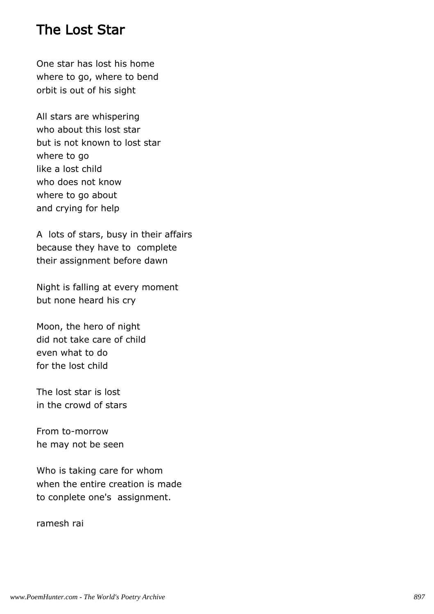#### The Lost Star

One star has lost his home where to go, where to bend orbit is out of his sight

All stars are whispering who about this lost star but is not known to lost star where to go like a lost child who does not know where to go about and crying for help

A lots of stars, busy in their affairs because they have to complete their assignment before dawn

Night is falling at every moment but none heard his cry

Moon, the hero of night did not take care of child even what to do for the lost child

The lost star is lost in the crowd of stars

From to-morrow he may not be seen

Who is taking care for whom when the entire creation is made to conplete one's assignment.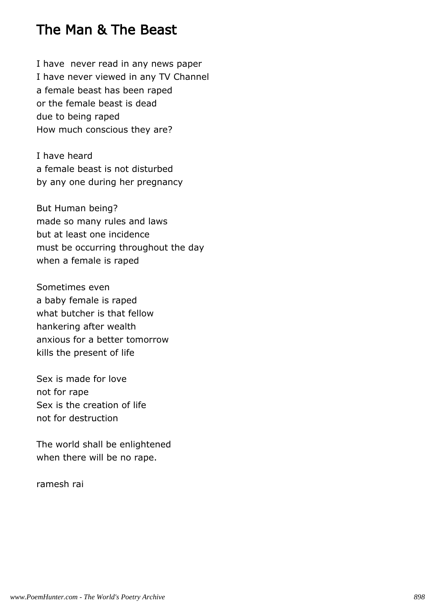#### The Man & The Beast

I have never read in any news paper I have never viewed in any TV Channel a female beast has been raped or the female beast is dead due to being raped How much conscious they are?

I have heard a female beast is not disturbed by any one during her pregnancy

But Human being? made so many rules and laws but at least one incidence must be occurring throughout the day when a female is raped

Sometimes even a baby female is raped what butcher is that fellow hankering after wealth anxious for a better tomorrow kills the present of life

Sex is made for love not for rape Sex is the creation of life not for destruction

The world shall be enlightened when there will be no rape.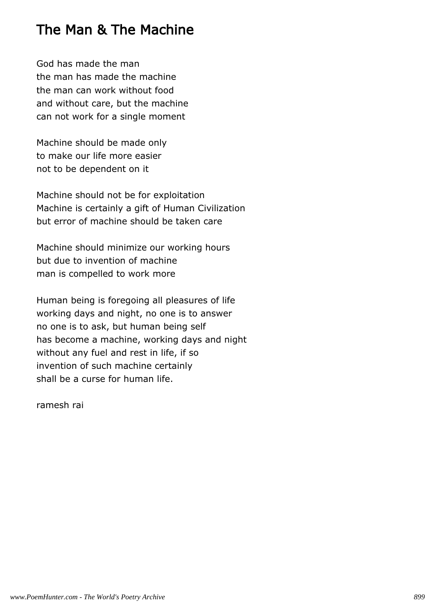### The Man & The Machine

God has made the man the man has made the machine the man can work without food and without care, but the machine can not work for a single moment

Machine should be made only to make our life more easier not to be dependent on it

Machine should not be for exploitation Machine is certainly a gift of Human Civilization but error of machine should be taken care

Machine should minimize our working hours but due to invention of machine man is compelled to work more

Human being is foregoing all pleasures of life working days and night, no one is to answer no one is to ask, but human being self has become a machine, working days and night without any fuel and rest in life, if so invention of such machine certainly shall be a curse for human life.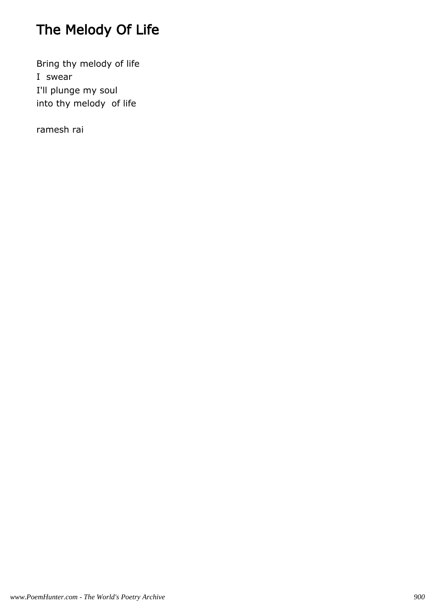# The Melody Of Life

Bring thy melody of life I swear I'll plunge my soul into thy melody of life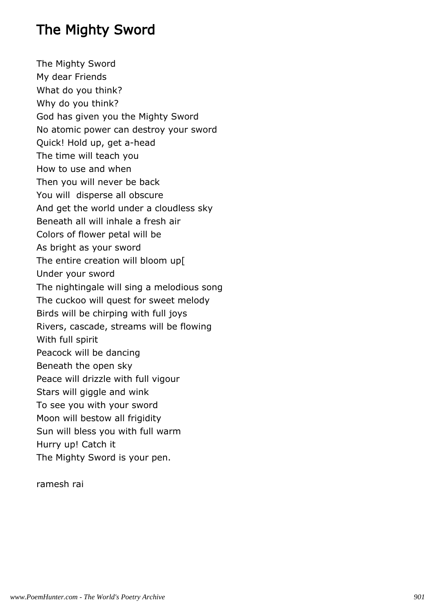## The Mighty Sword

The Mighty Sword My dear Friends What do you think? Why do you think? God has given you the Mighty Sword No atomic power can destroy your sword Quick! Hold up, get a-head The time will teach you How to use and when Then you will never be back You will disperse all obscure And get the world under a cloudless sky Beneath all will inhale a fresh air Colors of flower petal will be As bright as your sword The entire creation will bloom up[ Under your sword The nightingale will sing a melodious song The cuckoo will quest for sweet melody Birds will be chirping with full joys Rivers, cascade, streams will be flowing With full spirit Peacock will be dancing Beneath the open sky Peace will drizzle with full vigour Stars will giggle and wink To see you with your sword Moon will bestow all frigidity Sun will bless you with full warm Hurry up! Catch it The Mighty Sword is your pen.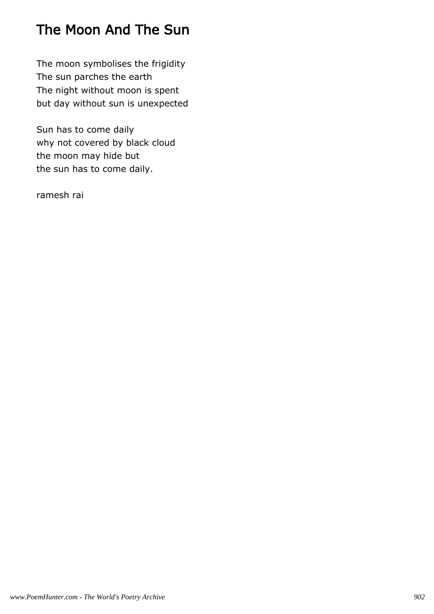# The Moon And The Sun

The moon symbolises the frigidity The sun parches the earth The night without moon is spent but day without sun is unexpected

Sun has to come daily why not covered by black cloud the moon may hide but the sun has to come daily.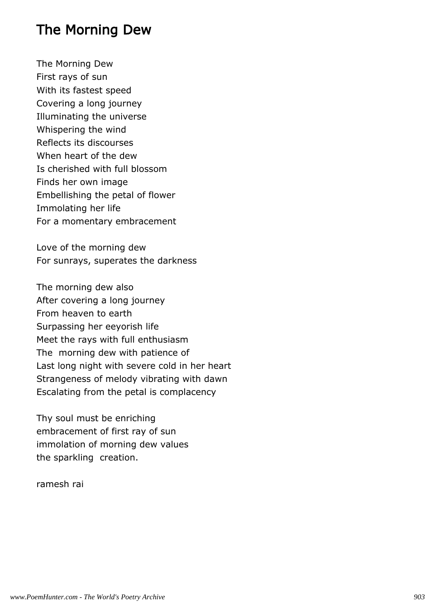#### The Morning Dew

The Morning Dew First rays of sun With its fastest speed Covering a long journey Illuminating the universe Whispering the wind Reflects its discourses When heart of the dew Is cherished with full blossom Finds her own image Embellishing the petal of flower Immolating her life For a momentary embracement

Love of the morning dew For sunrays, superates the darkness

The morning dew also After covering a long journey From heaven to earth Surpassing her eeyorish life Meet the rays with full enthusiasm The morning dew with patience of Last long night with severe cold in her heart Strangeness of melody vibrating with dawn Escalating from the petal is complacency

Thy soul must be enriching embracement of first ray of sun immolation of morning dew values the sparkling creation.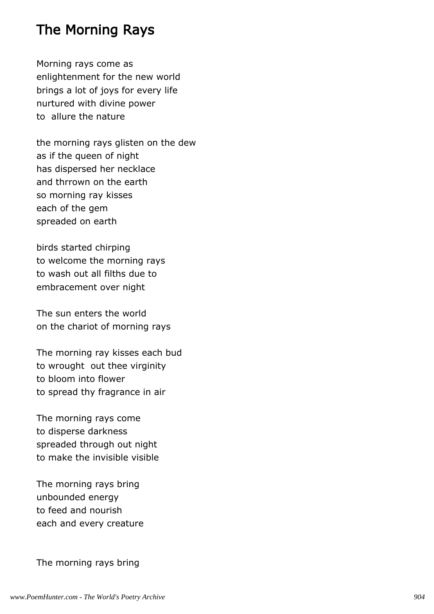#### The Morning Rays

Morning rays come as enlightenment for the new world brings a lot of joys for every life nurtured with divine power to allure the nature

the morning rays glisten on the dew as if the queen of night has dispersed her necklace and thrrown on the earth so morning ray kisses each of the gem spreaded on earth

birds started chirping to welcome the morning rays to wash out all filths due to embracement over night

The sun enters the world on the chariot of morning rays

The morning ray kisses each bud to wrought out thee virginity to bloom into flower to spread thy fragrance in air

The morning rays come to disperse darkness spreaded through out night to make the invisible visible

The morning rays bring unbounded energy to feed and nourish each and every creature

The morning rays bring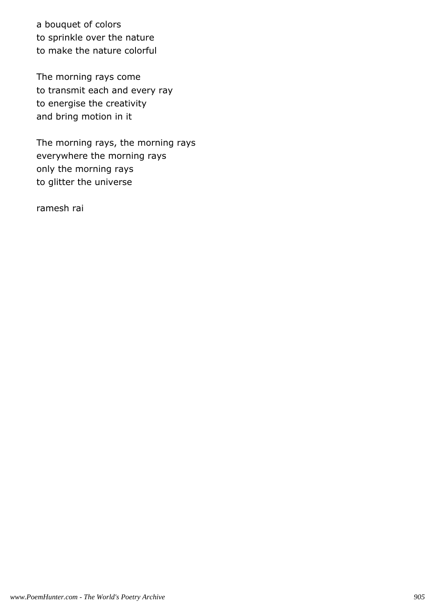a bouquet of colors to sprinkle over the nature to make the nature colorful

The morning rays come to transmit each and every ray to energise the creativity and bring motion in it

The morning rays, the morning rays everywhere the morning rays only the morning rays to glitter the universe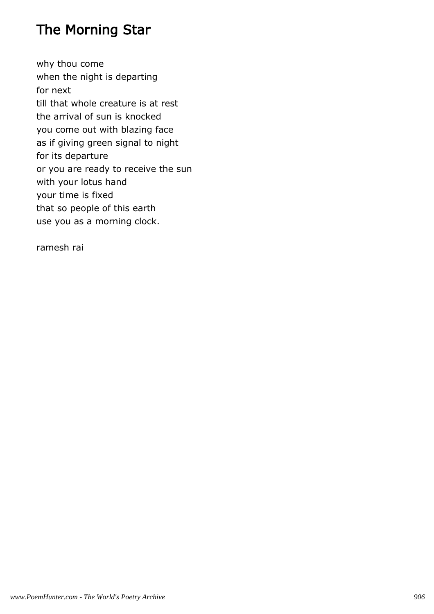# The Morning Star

why thou come when the night is departing for next till that whole creature is at rest the arrival of sun is knocked you come out with blazing face as if giving green signal to night for its departure or you are ready to receive the sun with your lotus hand your time is fixed that so people of this earth use you as a morning clock.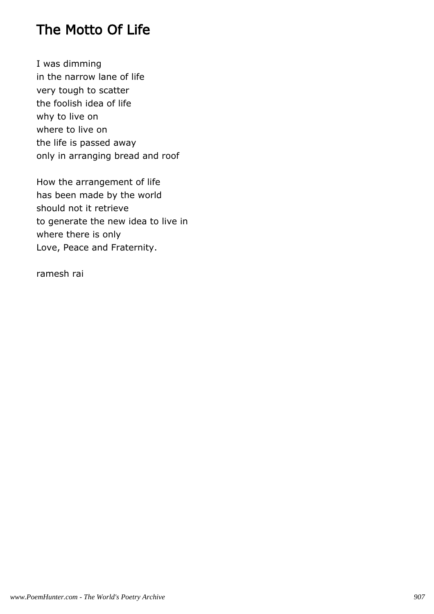## The Motto Of Life

I was dimming in the narrow lane of life very tough to scatter the foolish idea of life why to live on where to live on the life is passed away only in arranging bread and roof

How the arrangement of life has been made by the world should not it retrieve to generate the new idea to live in where there is only Love, Peace and Fraternity.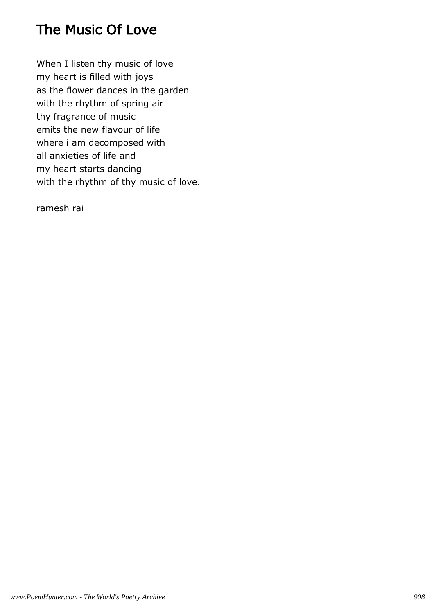# The Music Of Love

When I listen thy music of love my heart is filled with joys as the flower dances in the garden with the rhythm of spring air thy fragrance of music emits the new flavour of life where i am decomposed with all anxieties of life and my heart starts dancing with the rhythm of thy music of love.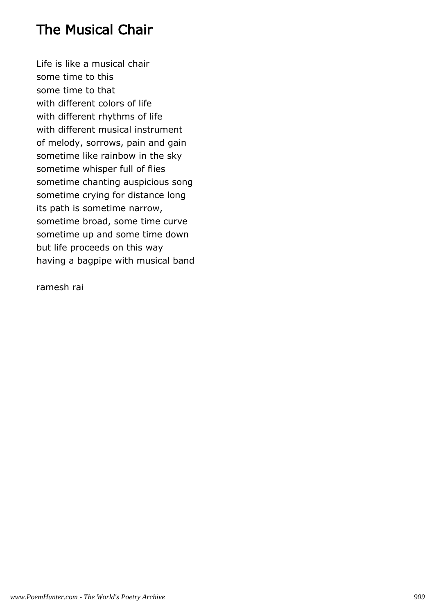#### The Musical Chair

Life is like a musical chair some time to this some time to that with different colors of life with different rhythms of life with different musical instrument of melody, sorrows, pain and gain sometime like rainbow in the sky sometime whisper full of flies sometime chanting auspicious song sometime crying for distance long its path is sometime narrow, sometime broad, some time curve sometime up and some time down but life proceeds on this way having a bagpipe with musical band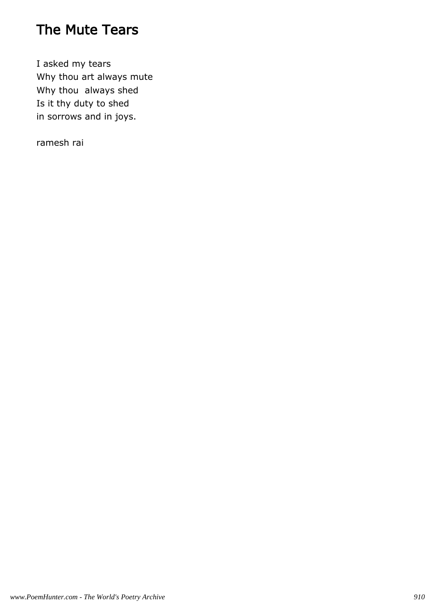#### The Mute Tears

I asked my tears Why thou art always mute Why thou always shed Is it thy duty to shed in sorrows and in joys.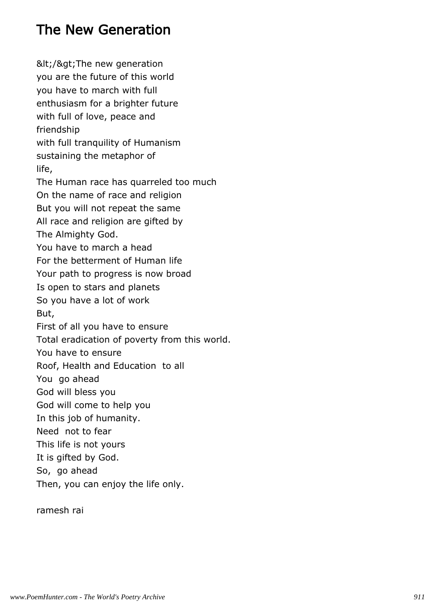## The New Generation

</&gt;The new generation you are the future of this world you have to march with full enthusiasm for a brighter future with full of love, peace and friendship with full tranquility of Humanism sustaining the metaphor of life, The Human race has quarreled too much On the name of race and religion But you will not repeat the same All race and religion are gifted by The Almighty God. You have to march a head For the betterment of Human life Your path to progress is now broad Is open to stars and planets So you have a lot of work But, First of all you have to ensure Total eradication of poverty from this world. You have to ensure Roof, Health and Education to all You go ahead God will bless you God will come to help you In this job of humanity. Need not to fear This life is not yours It is gifted by God. So, go ahead Then, you can enjoy the life only.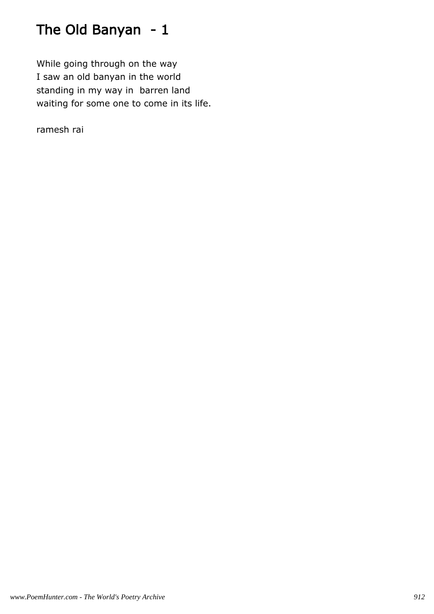While going through on the way I saw an old banyan in the world standing in my way in barren land waiting for some one to come in its life.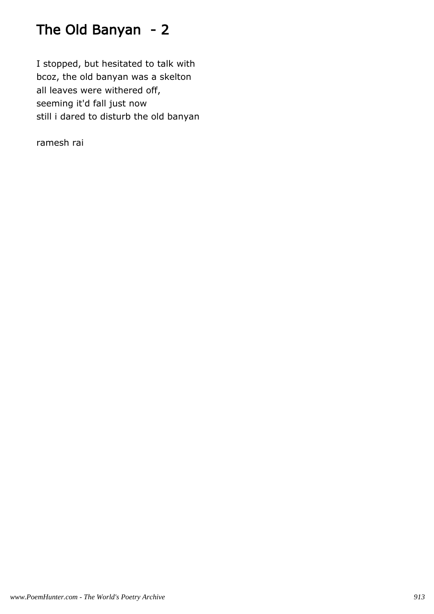I stopped, but hesitated to talk with bcoz, the old banyan was a skelton all leaves were withered off, seeming it'd fall just now still i dared to disturb the old banyan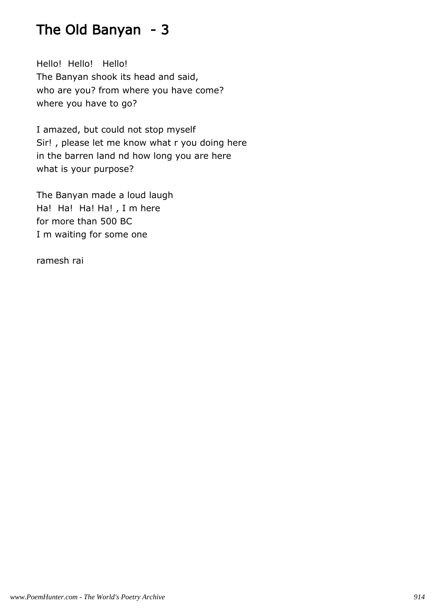Hello! Hello! Hello! The Banyan shook its head and said, who are you? from where you have come? where you have to go?

I amazed, but could not stop myself Sir! , please let me know what r you doing here in the barren land nd how long you are here what is your purpose?

The Banyan made a loud laugh Ha! Ha! Ha! Ha! , I m here for more than 500 BC I m waiting for some one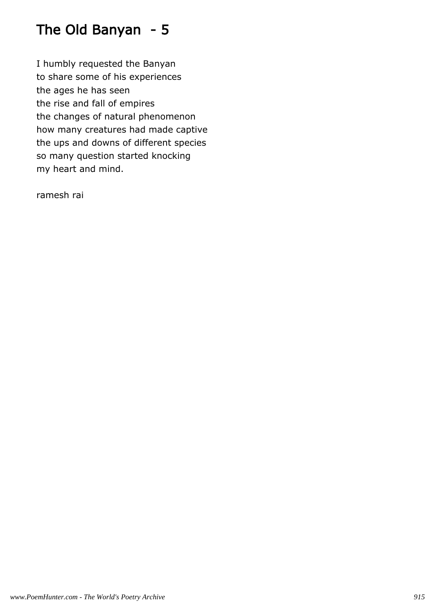I humbly requested the Banyan to share some of his experiences the ages he has seen the rise and fall of empires the changes of natural phenomenon how many creatures had made captive the ups and downs of different species so many question started knocking my heart and mind.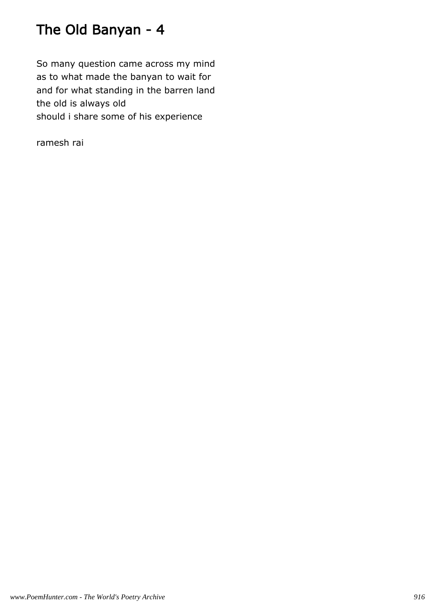So many question came across my mind as to what made the banyan to wait for and for what standing in the barren land the old is always old should i share some of his experience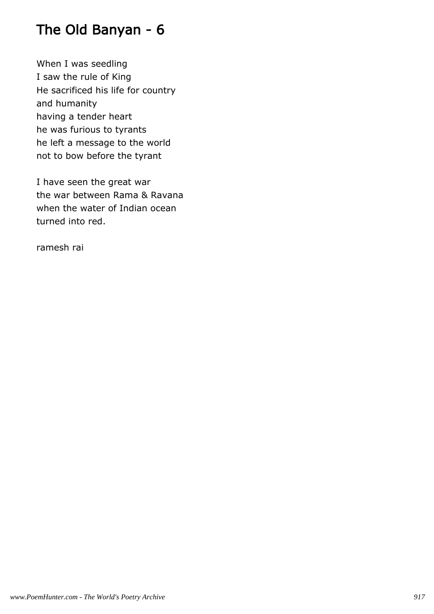When I was seedling I saw the rule of King He sacrificed his life for country and humanity having a tender heart he was furious to tyrants he left a message to the world not to bow before the tyrant

I have seen the great war the war between Rama & Ravana when the water of Indian ocean turned into red.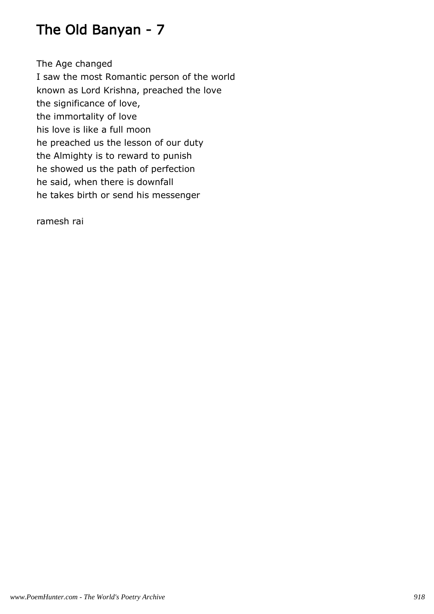The Age changed

I saw the most Romantic person of the world known as Lord Krishna, preached the love the significance of love, the immortality of love his love is like a full moon he preached us the lesson of our duty the Almighty is to reward to punish he showed us the path of perfection he said, when there is downfall he takes birth or send his messenger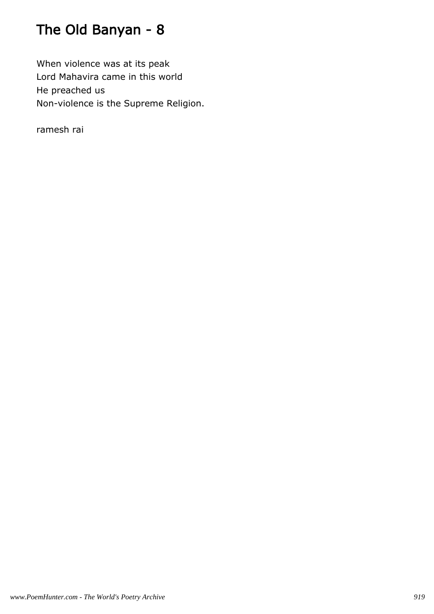When violence was at its peak Lord Mahavira came in this world He preached us Non-violence is the Supreme Religion.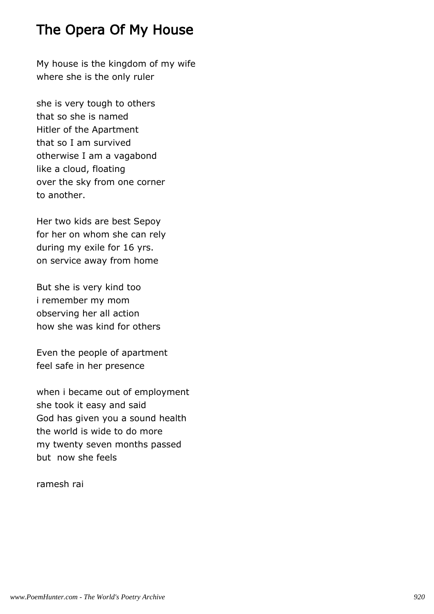## The Opera Of My House

My house is the kingdom of my wife where she is the only ruler

she is very tough to others that so she is named Hitler of the Apartment that so I am survived otherwise I am a vagabond like a cloud, floating over the sky from one corner to another.

Her two kids are best Sepoy for her on whom she can rely during my exile for 16 yrs. on service away from home

But she is very kind too i remember my mom observing her all action how she was kind for others

Even the people of apartment feel safe in her presence

when i became out of employment she took it easy and said God has given you a sound health the world is wide to do more my twenty seven months passed but now she feels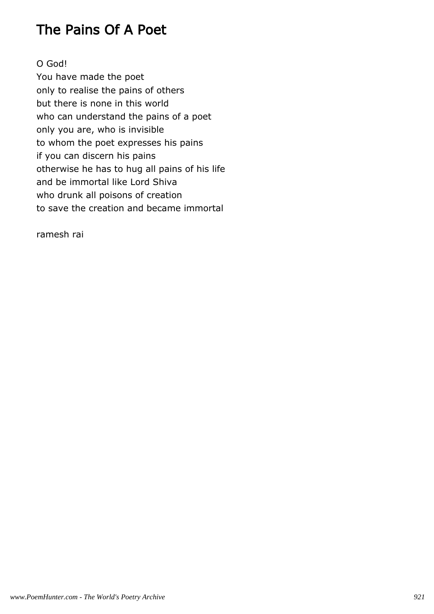# The Pains Of A Poet

O God!

You have made the poet only to realise the pains of others but there is none in this world who can understand the pains of a poet only you are, who is invisible to whom the poet expresses his pains if you can discern his pains otherwise he has to hug all pains of his life and be immortal like Lord Shiva who drunk all poisons of creation to save the creation and became immortal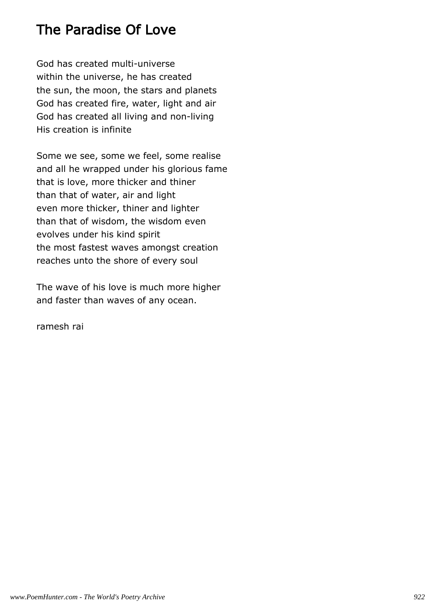## The Paradise Of Love

God has created multi-universe within the universe, he has created the sun, the moon, the stars and planets God has created fire, water, light and air God has created all living and non-living His creation is infinite

Some we see, some we feel, some realise and all he wrapped under his glorious fame that is love, more thicker and thiner than that of water, air and light even more thicker, thiner and lighter than that of wisdom, the wisdom even evolves under his kind spirit the most fastest waves amongst creation reaches unto the shore of every soul

The wave of his love is much more higher and faster than waves of any ocean.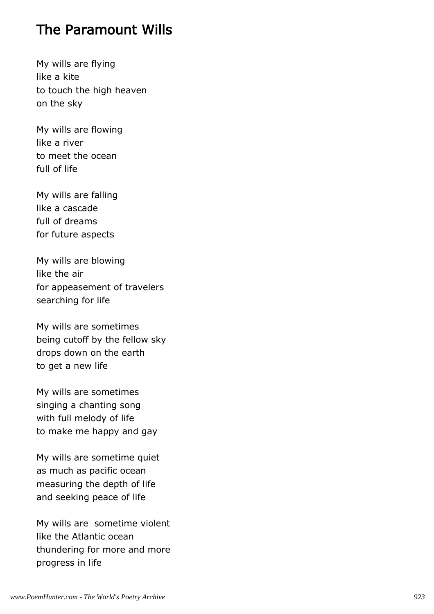#### The Paramount Wills

My wills are flying like a kite to touch the high heaven on the sky

My wills are flowing like a river to meet the ocean full of life

My wills are falling like a cascade full of dreams for future aspects

My wills are blowing like the air for appeasement of travelers searching for life

My wills are sometimes being cutoff by the fellow sky drops down on the earth to get a new life

My wills are sometimes singing a chanting song with full melody of life to make me happy and gay

My wills are sometime quiet as much as pacific ocean measuring the depth of life and seeking peace of life

My wills are sometime violent like the Atlantic ocean thundering for more and more progress in life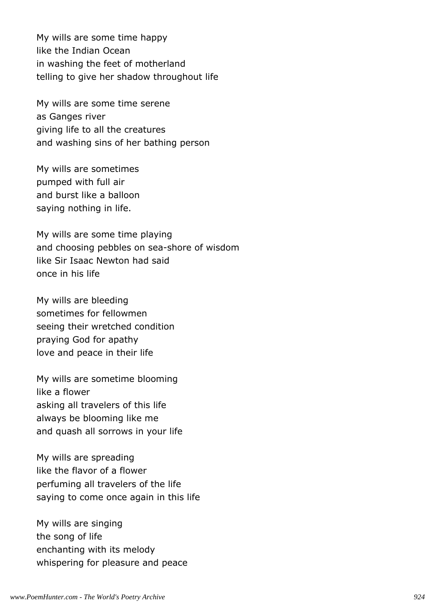My wills are some time happy like the Indian Ocean in washing the feet of motherland telling to give her shadow throughout life

My wills are some time serene as Ganges river giving life to all the creatures and washing sins of her bathing person

My wills are sometimes pumped with full air and burst like a balloon saying nothing in life.

My wills are some time playing and choosing pebbles on sea-shore of wisdom like Sir Isaac Newton had said once in his life

My wills are bleeding sometimes for fellowmen seeing their wretched condition praying God for apathy love and peace in their life

My wills are sometime blooming like a flower asking all travelers of this life always be blooming like me and quash all sorrows in your life

My wills are spreading like the flavor of a flower perfuming all travelers of the life saying to come once again in this life

My wills are singing the song of life enchanting with its melody whispering for pleasure and peace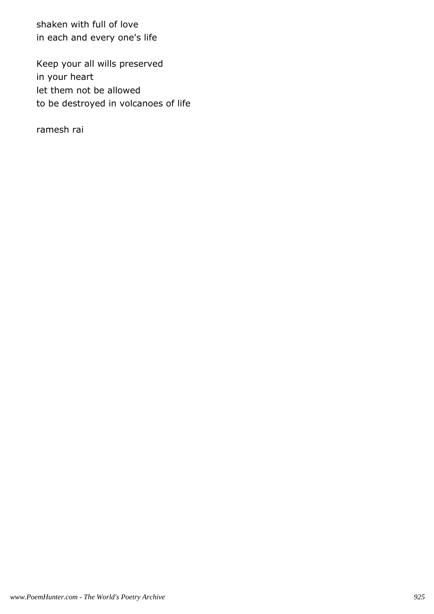shaken with full of love in each and every one's life

Keep your all wills preserved in your heart let them not be allowed to be destroyed in volcanoes of life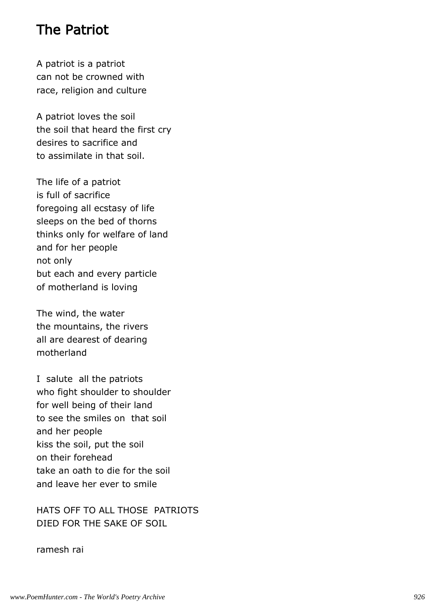#### The Patriot

A patriot is a patriot can not be crowned with race, religion and culture

A patriot loves the soil the soil that heard the first cry desires to sacrifice and to assimilate in that soil.

The life of a patriot is full of sacrifice foregoing all ecstasy of life sleeps on the bed of thorns thinks only for welfare of land and for her people not only but each and every particle of motherland is loving

The wind, the water the mountains, the rivers all are dearest of dearing motherland

I salute all the patriots who fight shoulder to shoulder for well being of their land to see the smiles on that soil and her people kiss the soil, put the soil on their forehead take an oath to die for the soil and leave her ever to smile

HATS OFF TO ALL THOSE PATRIOTS DIED FOR THE SAKE OF SOIL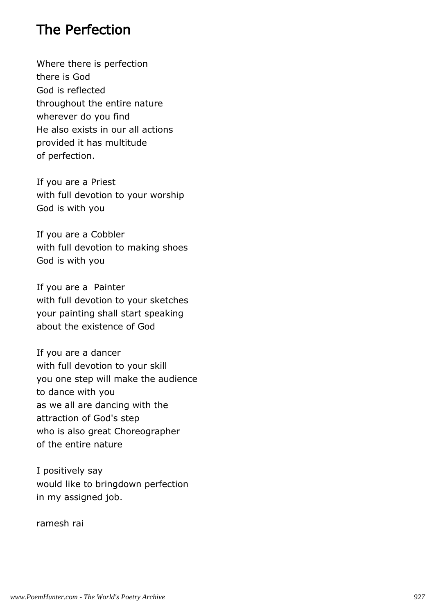#### The Perfection

Where there is perfection there is God God is reflected throughout the entire nature wherever do you find He also exists in our all actions provided it has multitude of perfection.

If you are a Priest with full devotion to your worship God is with you

If you are a Cobbler with full devotion to making shoes God is with you

If you are a Painter with full devotion to your sketches your painting shall start speaking about the existence of God

If you are a dancer with full devotion to your skill you one step will make the audience to dance with you as we all are dancing with the attraction of God's step who is also great Choreographer of the entire nature

I positively say would like to bringdown perfection in my assigned job.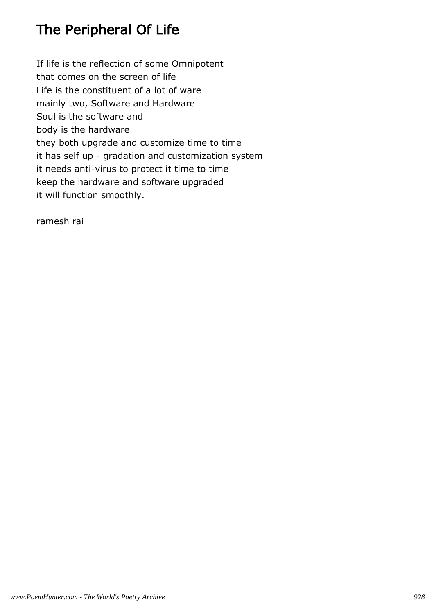# The Peripheral Of Life

If life is the reflection of some Omnipotent that comes on the screen of life Life is the constituent of a lot of ware mainly two, Software and Hardware Soul is the software and body is the hardware they both upgrade and customize time to time it has self up - gradation and customization system it needs anti-virus to protect it time to time keep the hardware and software upgraded it will function smoothly.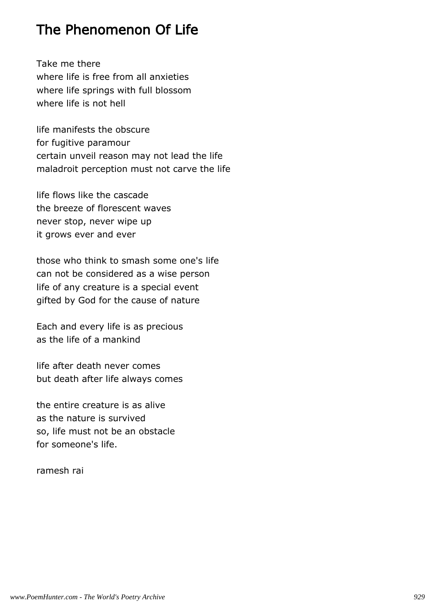## The Phenomenon Of Life

Take me there where life is free from all anxieties where life springs with full blossom where life is not hell

life manifests the obscure for fugitive paramour certain unveil reason may not lead the life maladroit perception must not carve the life

life flows like the cascade the breeze of florescent waves never stop, never wipe up it grows ever and ever

those who think to smash some one's life can not be considered as a wise person life of any creature is a special event gifted by God for the cause of nature

Each and every life is as precious as the life of a mankind

life after death never comes but death after life always comes

the entire creature is as alive as the nature is survived so, life must not be an obstacle for someone's life.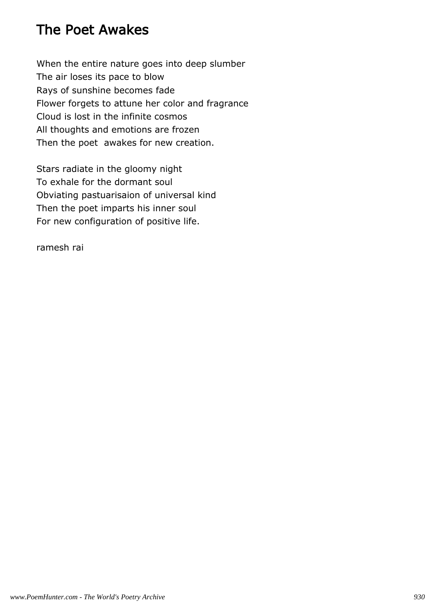### The Poet Awakes

When the entire nature goes into deep slumber The air loses its pace to blow Rays of sunshine becomes fade Flower forgets to attune her color and fragrance Cloud is lost in the infinite cosmos All thoughts and emotions are frozen Then the poet awakes for new creation.

Stars radiate in the gloomy night To exhale for the dormant soul Obviating pastuarisaion of universal kind Then the poet imparts his inner soul For new configuration of positive life.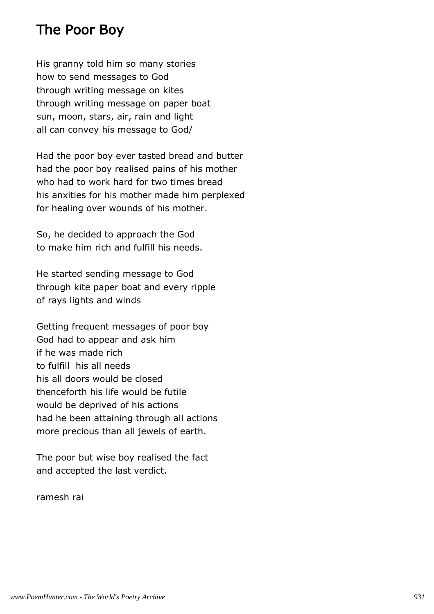#### The Poor Boy

His granny told him so many stories how to send messages to God through writing message on kites through writing message on paper boat sun, moon, stars, air, rain and light all can convey his message to God/

Had the poor boy ever tasted bread and butter had the poor boy realised pains of his mother who had to work hard for two times bread his anxities for his mother made him perplexed for healing over wounds of his mother.

So, he decided to approach the God to make him rich and fulfill his needs.

He started sending message to God through kite paper boat and every ripple of rays lights and winds

Getting frequent messages of poor boy God had to appear and ask him if he was made rich to fulfill his all needs his all doors would be closed thenceforth his life would be futile would be deprived of his actions had he been attaining through all actions more precious than all jewels of earth.

The poor but wise boy realised the fact and accepted the last verdict.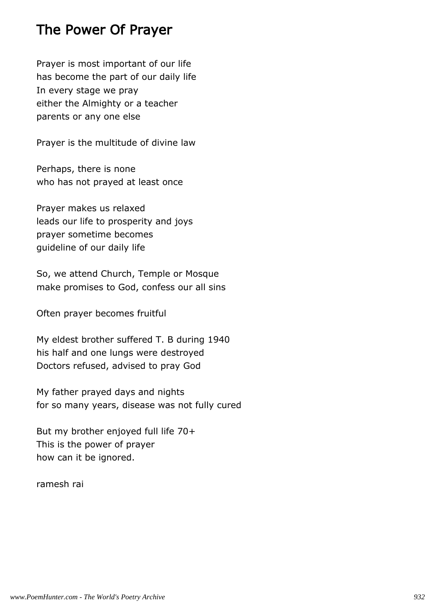#### The Power Of Prayer

Prayer is most important of our life has become the part of our daily life In every stage we pray either the Almighty or a teacher parents or any one else

Prayer is the multitude of divine law

Perhaps, there is none who has not prayed at least once

Prayer makes us relaxed leads our life to prosperity and joys prayer sometime becomes guideline of our daily life

So, we attend Church, Temple or Mosque make promises to God, confess our all sins

Often prayer becomes fruitful

My eldest brother suffered T. B during 1940 his half and one lungs were destroyed Doctors refused, advised to pray God

My father prayed days and nights for so many years, disease was not fully cured

But my brother enjoyed full life 70+ This is the power of prayer how can it be ignored.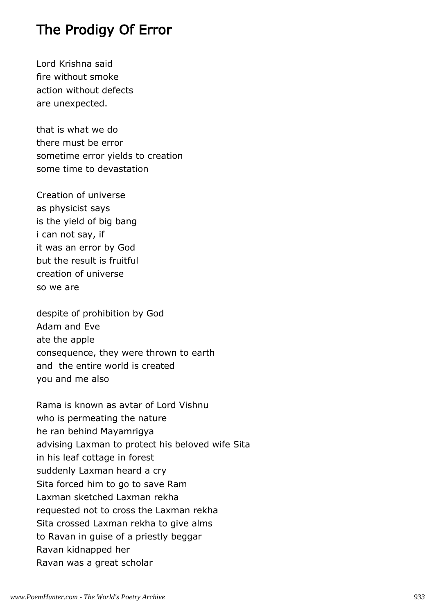#### The Prodigy Of Error

Lord Krishna said fire without smoke action without defects are unexpected.

that is what we do there must be error sometime error yields to creation some time to devastation

Creation of universe as physicist says is the yield of big bang i can not say, if it was an error by God but the result is fruitful creation of universe so we are

despite of prohibition by God Adam and Eve ate the apple consequence, they were thrown to earth and the entire world is created you and me also

Rama is known as avtar of Lord Vishnu who is permeating the nature he ran behind Mayamrigya advising Laxman to protect his beloved wife Sita in his leaf cottage in forest suddenly Laxman heard a cry Sita forced him to go to save Ram Laxman sketched Laxman rekha requested not to cross the Laxman rekha Sita crossed Laxman rekha to give alms to Ravan in guise of a priestly beggar Ravan kidnapped her Ravan was a great scholar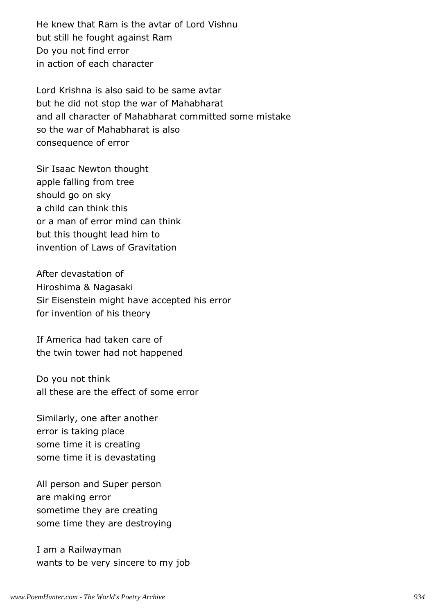He knew that Ram is the avtar of Lord Vishnu but still he fought against Ram Do you not find error in action of each character

Lord Krishna is also said to be same avtar but he did not stop the war of Mahabharat and all character of Mahabharat committed some mistake so the war of Mahabharat is also consequence of error

Sir Isaac Newton thought apple falling from tree should go on sky a child can think this or a man of error mind can think but this thought lead him to invention of Laws of Gravitation

After devastation of Hiroshima & Nagasaki Sir Eisenstein might have accepted his error for invention of his theory

If America had taken care of the twin tower had not happened

Do you not think all these are the effect of some error

Similarly, one after another error is taking place some time it is creating some time it is devastating

All person and Super person are making error sometime they are creating some time they are destroying

I am a Railwayman wants to be very sincere to my job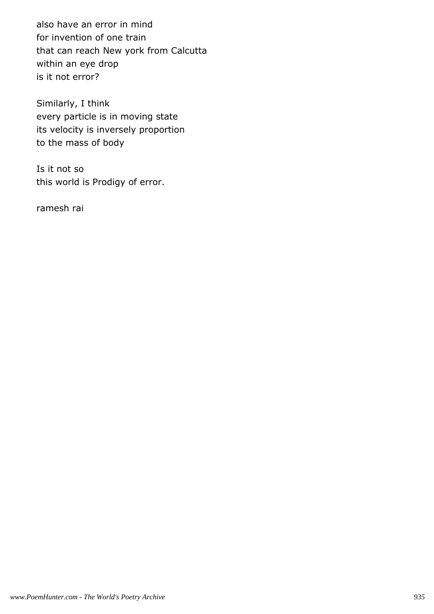also have an error in mind for invention of one train that can reach New york from Calcutta within an eye drop is it not error?

Similarly, I think every particle is in moving state its velocity is inversely proportion to the mass of body

Is it not so this world is Prodigy of error.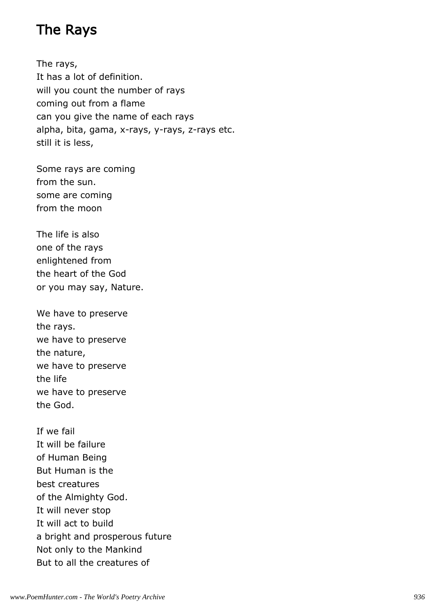## The Rays

The rays, It has a lot of definition. will you count the number of rays coming out from a flame can you give the name of each rays alpha, bita, gama, x-rays, y-rays, z-rays etc. still it is less,

Some rays are coming from the sun. some are coming from the moon

The life is also one of the rays enlightened from the heart of the God or you may say, Nature.

We have to preserve the rays. we have to preserve the nature, we have to preserve the life we have to preserve the God.

If we fail It will be failure of Human Being But Human is the best creatures of the Almighty God. It will never stop It will act to build a bright and prosperous future Not only to the Mankind But to all the creatures of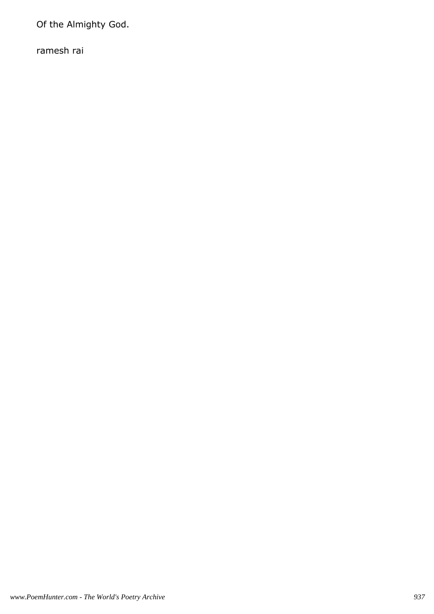Of the Almighty God.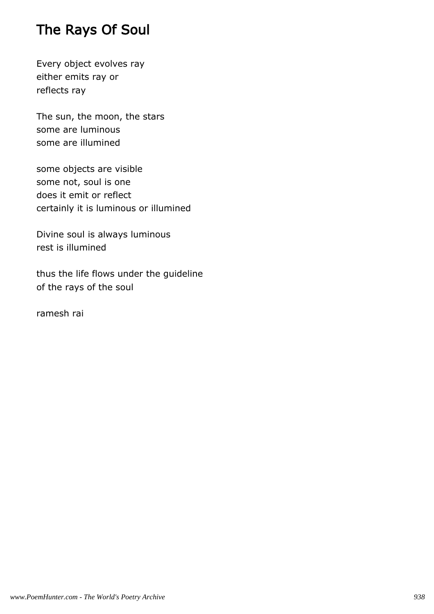## The Rays Of Soul

Every object evolves ray either emits ray or reflects ray

The sun, the moon, the stars some are luminous some are illumined

some objects are visible some not, soul is one does it emit or reflect certainly it is luminous or illumined

Divine soul is always luminous rest is illumined

thus the life flows under the guideline of the rays of the soul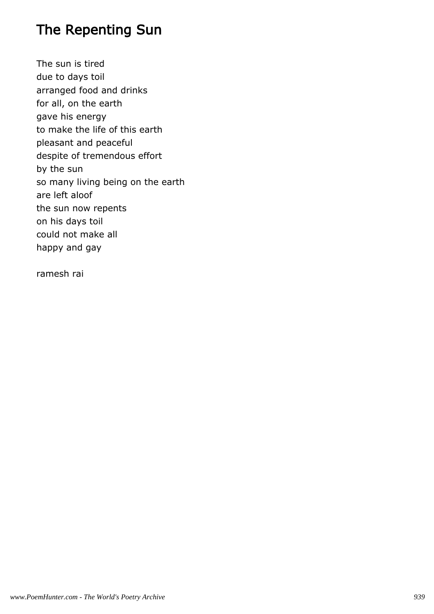## The Repenting Sun

The sun is tired due to days toil arranged food and drinks for all, on the earth gave his energy to make the life of this earth pleasant and peaceful despite of tremendous effort by the sun so many living being on the earth are left aloof the sun now repents on his days toil could not make all happy and gay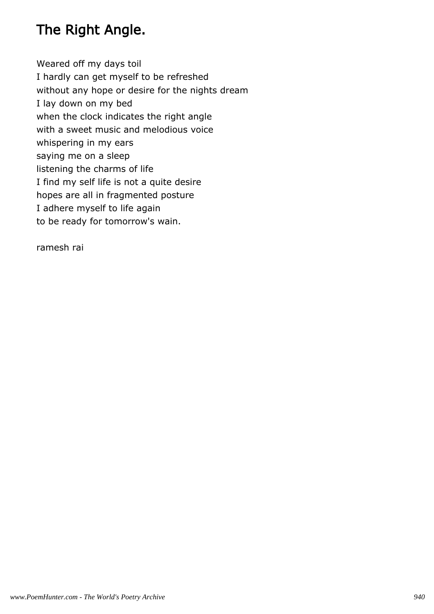## The Right Angle.

Weared off my days toil I hardly can get myself to be refreshed without any hope or desire for the nights dream I lay down on my bed when the clock indicates the right angle with a sweet music and melodious voice whispering in my ears saying me on a sleep listening the charms of life I find my self life is not a quite desire hopes are all in fragmented posture I adhere myself to life again to be ready for tomorrow's wain.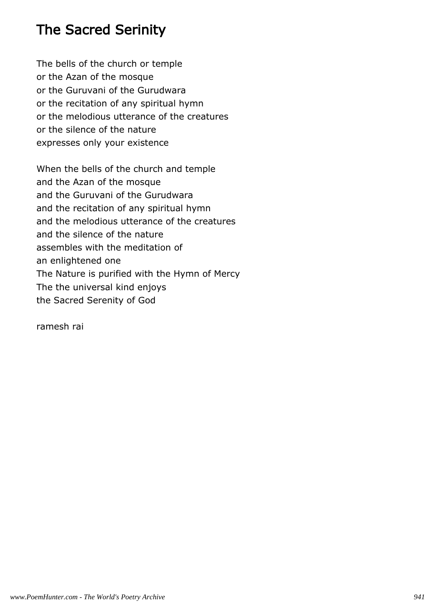## The Sacred Serinity

The bells of the church or temple or the Azan of the mosque or the Guruvani of the Gurudwara or the recitation of any spiritual hymn or the melodious utterance of the creatures or the silence of the nature expresses only your existence

When the bells of the church and temple and the Azan of the mosque and the Guruvani of the Gurudwara and the recitation of any spiritual hymn and the melodious utterance of the creatures and the silence of the nature assembles with the meditation of an enlightened one The Nature is purified with the Hymn of Mercy The the universal kind enjoys the Sacred Serenity of God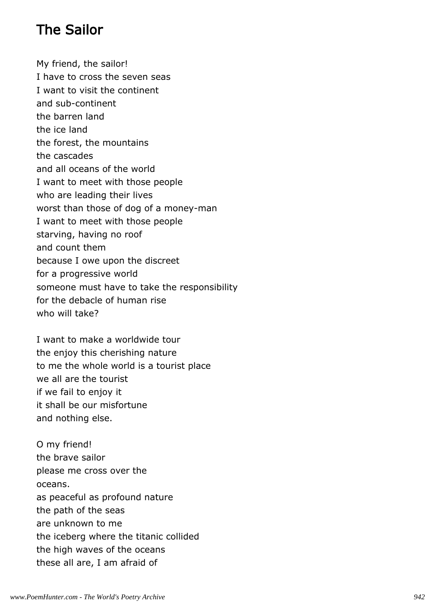### The Sailor

My friend, the sailor! I have to cross the seven seas I want to visit the continent and sub-continent the barren land the ice land the forest, the mountains the cascades and all oceans of the world I want to meet with those people who are leading their lives worst than those of dog of a money-man I want to meet with those people starving, having no roof and count them because I owe upon the discreet for a progressive world someone must have to take the responsibility for the debacle of human rise who will take?

I want to make a worldwide tour the enjoy this cherishing nature to me the whole world is a tourist place we all are the tourist if we fail to enjoy it it shall be our misfortune and nothing else.

O my friend! the brave sailor please me cross over the oceans. as peaceful as profound nature the path of the seas are unknown to me the iceberg where the titanic collided the high waves of the oceans these all are, I am afraid of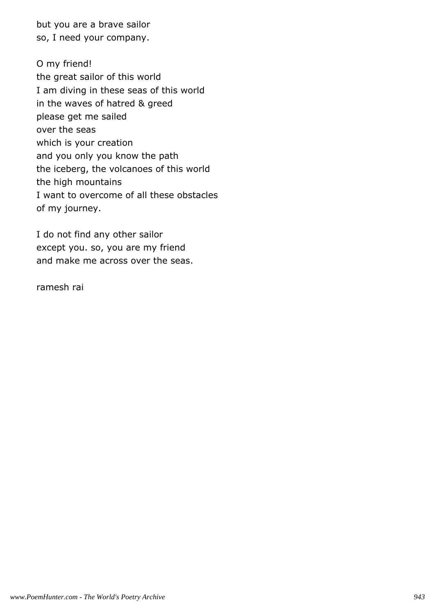but you are a brave sailor so, I need your company.

O my friend! the great sailor of this world I am diving in these seas of this world in the waves of hatred & greed please get me sailed over the seas which is your creation and you only you know the path the iceberg, the volcanoes of this world the high mountains I want to overcome of all these obstacles of my journey.

I do not find any other sailor except you. so, you are my friend and make me across over the seas.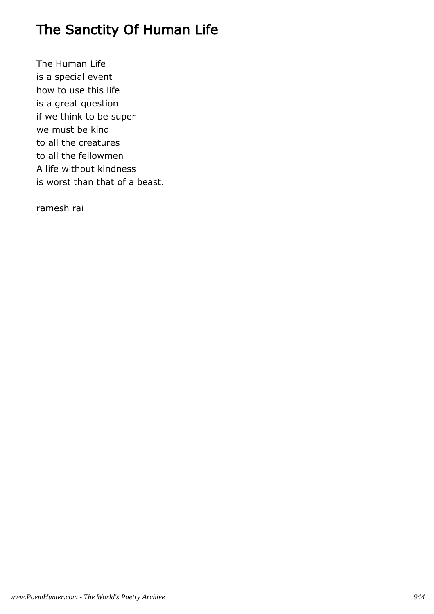## The Sanctity Of Human Life

The Human Life is a special event how to use this life is a great question if we think to be super we must be kind to all the creatures to all the fellowmen A life without kindness is worst than that of a beast.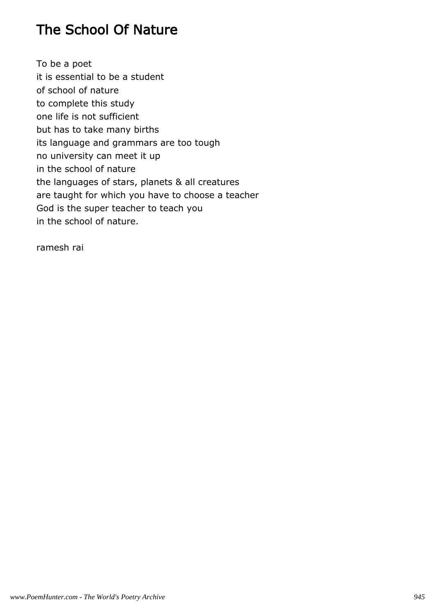## The School Of Nature

To be a poet it is essential to be a student of school of nature to complete this study one life is not sufficient but has to take many births its language and grammars are too tough no university can meet it up in the school of nature the languages of stars, planets & all creatures are taught for which you have to choose a teacher God is the super teacher to teach you in the school of nature.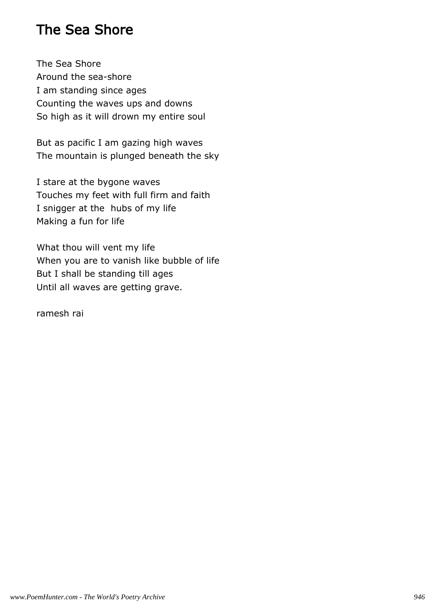#### The Sea Shore

The Sea Shore Around the sea-shore I am standing since ages Counting the waves ups and downs So high as it will drown my entire soul

But as pacific I am gazing high waves The mountain is plunged beneath the sky

I stare at the bygone waves Touches my feet with full firm and faith I snigger at the hubs of my life Making a fun for life

What thou will vent my life When you are to vanish like bubble of life But I shall be standing till ages Until all waves are getting grave.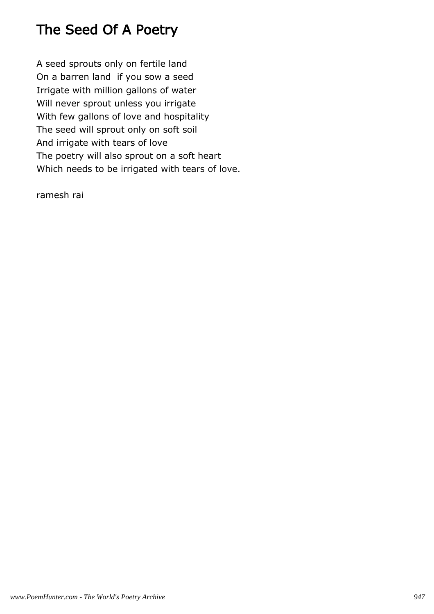## The Seed Of A Poetry

A seed sprouts only on fertile land On a barren land if you sow a seed Irrigate with million gallons of water Will never sprout unless you irrigate With few gallons of love and hospitality The seed will sprout only on soft soil And irrigate with tears of love The poetry will also sprout on a soft heart Which needs to be irrigated with tears of love.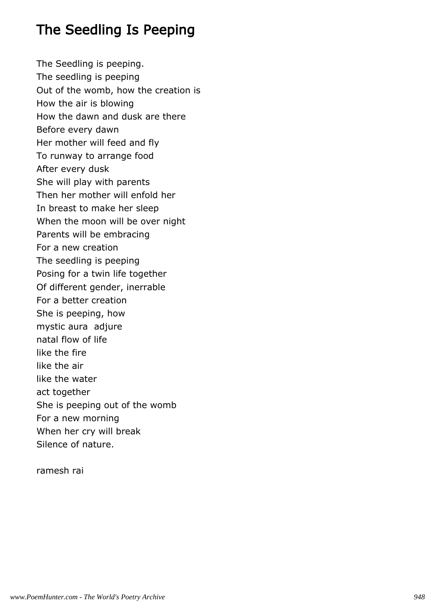## The Seedling Is Peeping

The Seedling is peeping. The seedling is peeping Out of the womb, how the creation is How the air is blowing How the dawn and dusk are there Before every dawn Her mother will feed and fly To runway to arrange food After every dusk She will play with parents Then her mother will enfold her In breast to make her sleep When the moon will be over night Parents will be embracing For a new creation The seedling is peeping Posing for a twin life together Of different gender, inerrable For a better creation She is peeping, how mystic aura adjure natal flow of life like the fire like the air like the water act together She is peeping out of the womb For a new morning When her cry will break Silence of nature.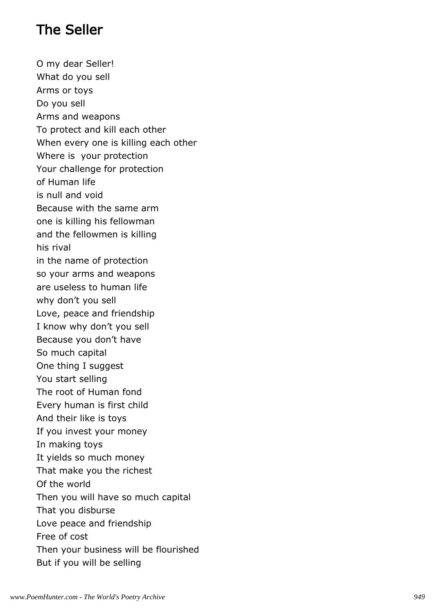## The Seller

O my dear Seller! What do you sell Arms or toys Do you sell Arms and weapons To protect and kill each other When every one is killing each other Where is your protection Your challenge for protection of Human life is null and void Because with the same arm one is killing his fellowman and the fellowmen is killing his rival in the name of protection so your arms and weapons are useless to human life why don't you sell Love, peace and friendship I know why don't you sell Because you don't have So much capital One thing I suggest You start selling The root of Human fond Every human is first child And their like is toys If you invest your money In making toys It yields so much money That make you the richest Of the world Then you will have so much capital That you disburse Love peace and friendship Free of cost Then your business will be flourished But if you will be selling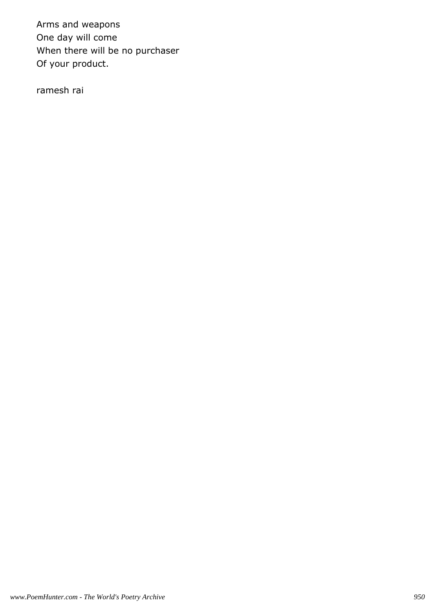Arms and weapons One day will come When there will be no purchaser Of your product.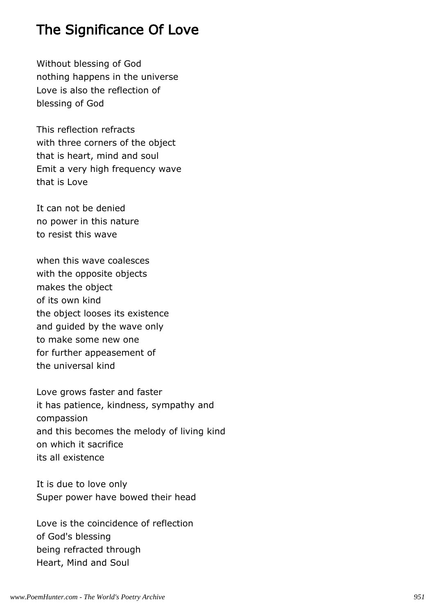### The Significance Of Love

Without blessing of God nothing happens in the universe Love is also the reflection of blessing of God

This reflection refracts with three corners of the object that is heart, mind and soul Emit a very high frequency wave that is Love

It can not be denied no power in this nature to resist this wave

when this wave coalesces with the opposite objects makes the object of its own kind the object looses its existence and guided by the wave only to make some new one for further appeasement of the universal kind

Love grows faster and faster it has patience, kindness, sympathy and compassion and this becomes the melody of living kind on which it sacrifice its all existence

It is due to love only Super power have bowed their head

Love is the coincidence of reflection of God's blessing being refracted through Heart, Mind and Soul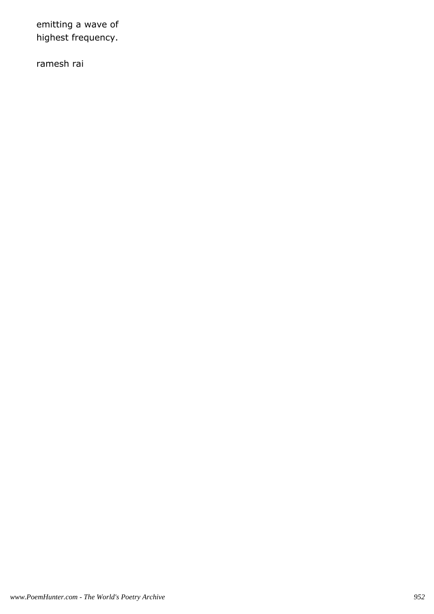emitting a wave of highest frequency.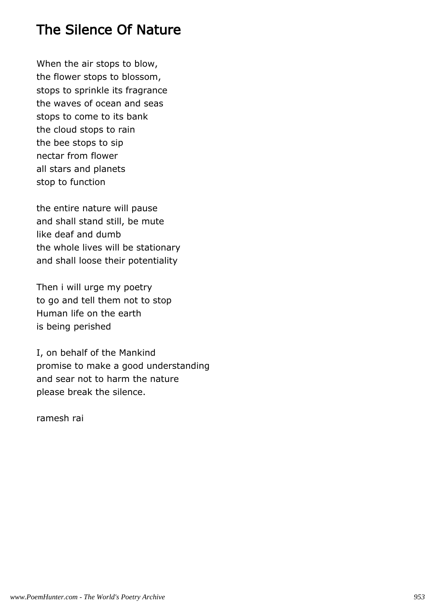### The Silence Of Nature

When the air stops to blow, the flower stops to blossom, stops to sprinkle its fragrance the waves of ocean and seas stops to come to its bank the cloud stops to rain the bee stops to sip nectar from flower all stars and planets stop to function

the entire nature will pause and shall stand still, be mute like deaf and dumb the whole lives will be stationary and shall loose their potentiality

Then i will urge my poetry to go and tell them not to stop Human life on the earth is being perished

I, on behalf of the Mankind promise to make a good understanding and sear not to harm the nature please break the silence.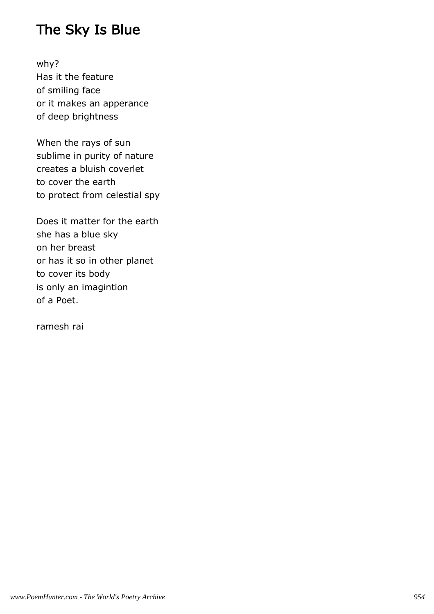### The Sky Is Blue

why? Has it the feature of smiling face or it makes an apperance of deep brightness

When the rays of sun sublime in purity of nature creates a bluish coverlet to cover the earth to protect from celestial spy

Does it matter for the earth she has a blue sky on her breast or has it so in other planet to cover its body is only an imagintion of a Poet.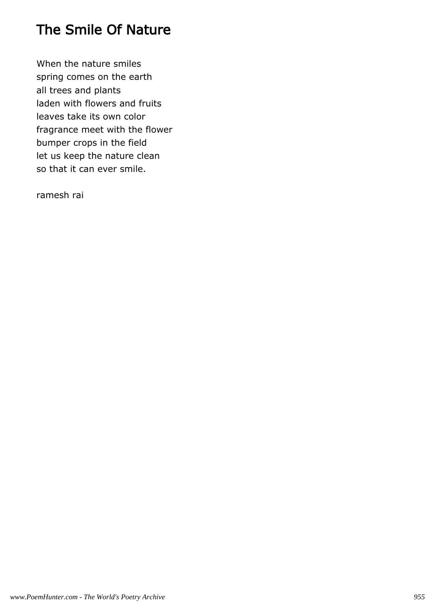## The Smile Of Nature

When the nature smiles spring comes on the earth all trees and plants laden with flowers and fruits leaves take its own color fragrance meet with the flower bumper crops in the field let us keep the nature clean so that it can ever smile.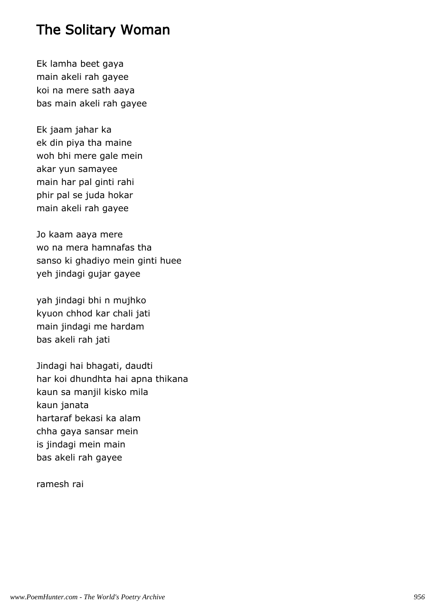#### The Solitary Woman

Ek lamha beet gaya main akeli rah gayee koi na mere sath aaya bas main akeli rah gayee

Ek jaam jahar ka ek din piya tha maine woh bhi mere gale mein akar yun samayee main har pal ginti rahi phir pal se juda hokar main akeli rah gayee

Jo kaam aaya mere wo na mera hamnafas tha sanso ki ghadiyo mein ginti huee yeh jindagi gujar gayee

yah jindagi bhi n mujhko kyuon chhod kar chali jati main jindagi me hardam bas akeli rah jati

Jindagi hai bhagati, daudti har koi dhundhta hai apna thikana kaun sa manjil kisko mila kaun janata hartaraf bekasi ka alam chha gaya sansar mein is jindagi mein main bas akeli rah gayee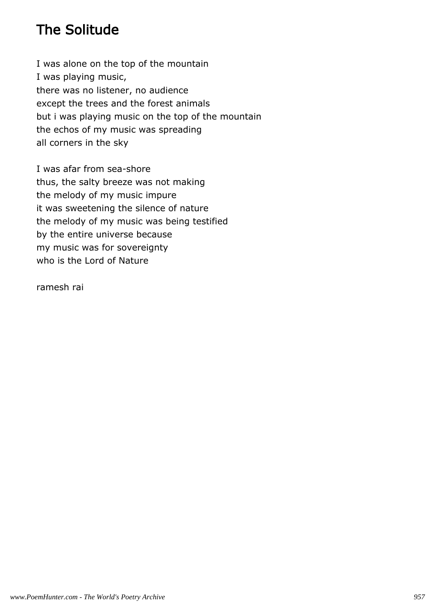## The Solitude

I was alone on the top of the mountain I was playing music, there was no listener, no audience except the trees and the forest animals but i was playing music on the top of the mountain the echos of my music was spreading all corners in the sky

I was afar from sea-shore thus, the salty breeze was not making the melody of my music impure it was sweetening the silence of nature the melody of my music was being testified by the entire universe because my music was for sovereignty who is the Lord of Nature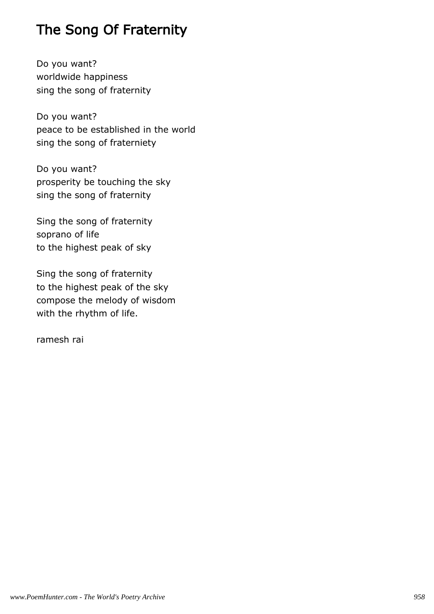## The Song Of Fraternity

Do you want? worldwide happiness sing the song of fraternity

Do you want? peace to be established in the world sing the song of fraterniety

Do you want? prosperity be touching the sky sing the song of fraternity

Sing the song of fraternity soprano of life to the highest peak of sky

Sing the song of fraternity to the highest peak of the sky compose the melody of wisdom with the rhythm of life.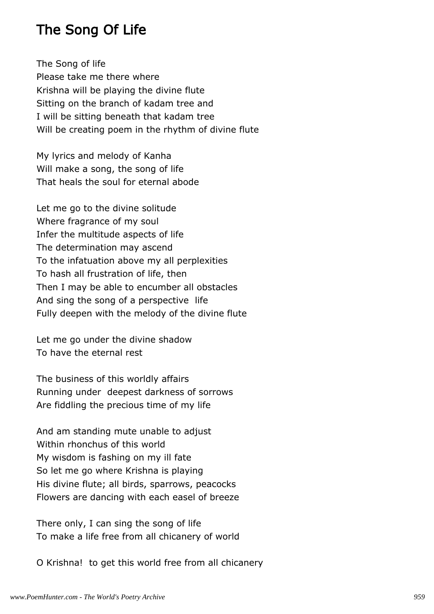#### The Song Of Life

The Song of life Please take me there where Krishna will be playing the divine flute Sitting on the branch of kadam tree and I will be sitting beneath that kadam tree Will be creating poem in the rhythm of divine flute

My lyrics and melody of Kanha Will make a song, the song of life That heals the soul for eternal abode

Let me go to the divine solitude Where fragrance of my soul Infer the multitude aspects of life The determination may ascend To the infatuation above my all perplexities To hash all frustration of life, then Then I may be able to encumber all obstacles And sing the song of a perspective life Fully deepen with the melody of the divine flute

Let me go under the divine shadow To have the eternal rest

The business of this worldly affairs Running under deepest darkness of sorrows Are fiddling the precious time of my life

And am standing mute unable to adjust Within rhonchus of this world My wisdom is fashing on my ill fate So let me go where Krishna is playing His divine flute; all birds, sparrows, peacocks Flowers are dancing with each easel of breeze

There only, I can sing the song of life To make a life free from all chicanery of world

O Krishna! to get this world free from all chicanery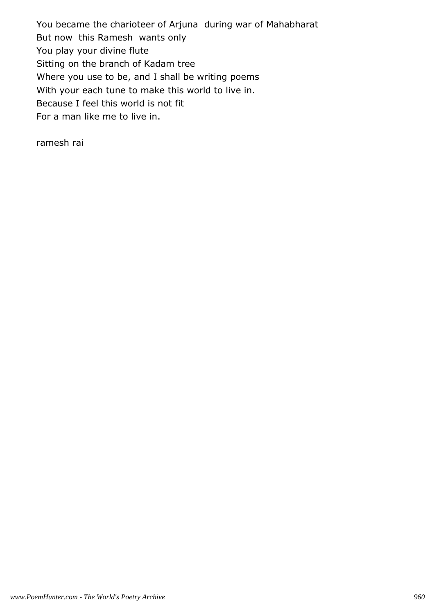You became the charioteer of Arjuna during war of Mahabharat But now this Ramesh wants only You play your divine flute Sitting on the branch of Kadam tree Where you use to be, and I shall be writing poems With your each tune to make this world to live in. Because I feel this world is not fit For a man like me to live in.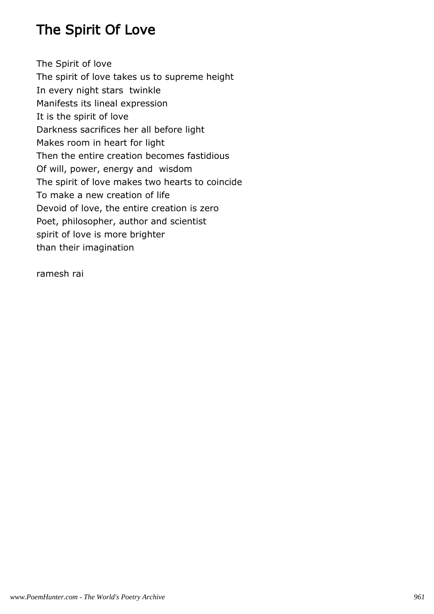## The Spirit Of Love

The Spirit of love The spirit of love takes us to supreme height In every night stars twinkle Manifests its lineal expression It is the spirit of love Darkness sacrifices her all before light Makes room in heart for light Then the entire creation becomes fastidious Of will, power, energy and wisdom The spirit of love makes two hearts to coincide To make a new creation of life Devoid of love, the entire creation is zero Poet, philosopher, author and scientist spirit of love is more brighter than their imagination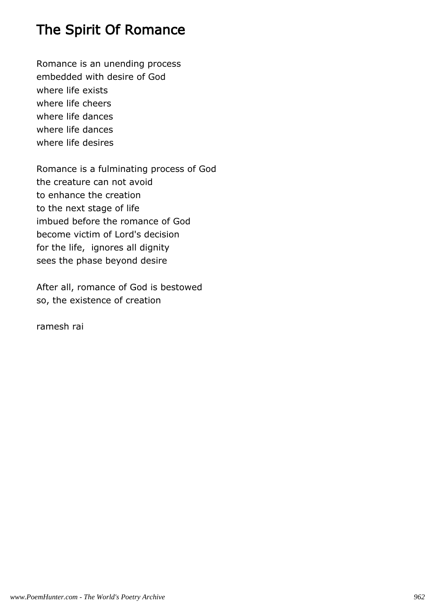## The Spirit Of Romance

Romance is an unending process embedded with desire of God where life exists where life cheers where life dances where life dances where life desires

Romance is a fulminating process of God the creature can not avoid to enhance the creation to the next stage of life imbued before the romance of God become victim of Lord's decision for the life, ignores all dignity sees the phase beyond desire

After all, romance of God is bestowed so, the existence of creation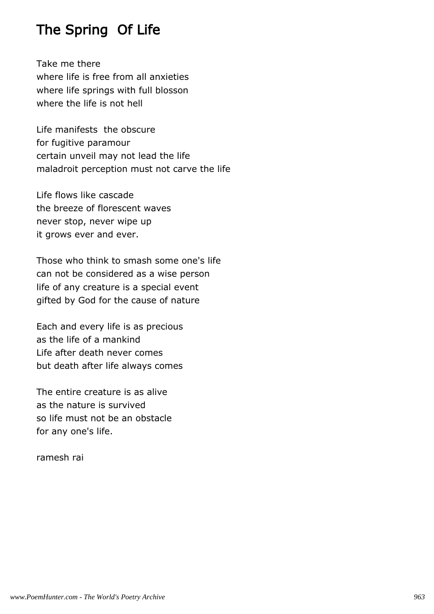## The Spring Of Life

Take me there where life is free from all anxieties where life springs with full blosson where the life is not hell

Life manifests the obscure for fugitive paramour certain unveil may not lead the life maladroit perception must not carve the life

Life flows like cascade the breeze of florescent waves never stop, never wipe up it grows ever and ever.

Those who think to smash some one's life can not be considered as a wise person life of any creature is a special event gifted by God for the cause of nature

Each and every life is as precious as the life of a mankind Life after death never comes but death after life always comes

The entire creature is as alive as the nature is survived so life must not be an obstacle for any one's life.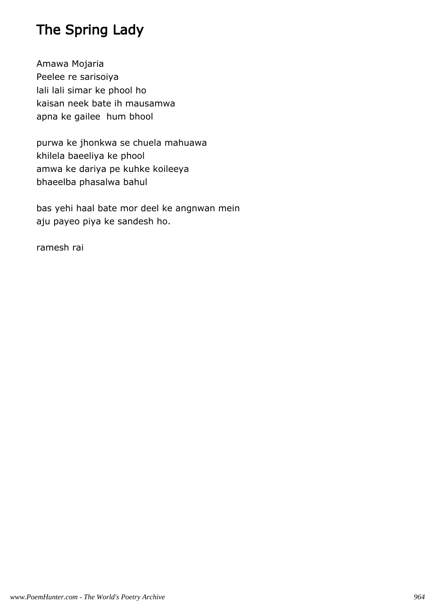# The Spring Lady

Amawa Mojaria Peelee re sarisoiya lali lali simar ke phool ho kaisan neek bate ih mausamwa apna ke gailee hum bhool

purwa ke jhonkwa se chuela mahuawa khilela baeeliya ke phool amwa ke dariya pe kuhke koileeya bhaeelba phasalwa bahul

bas yehi haal bate mor deel ke angnwan mein aju payeo piya ke sandesh ho.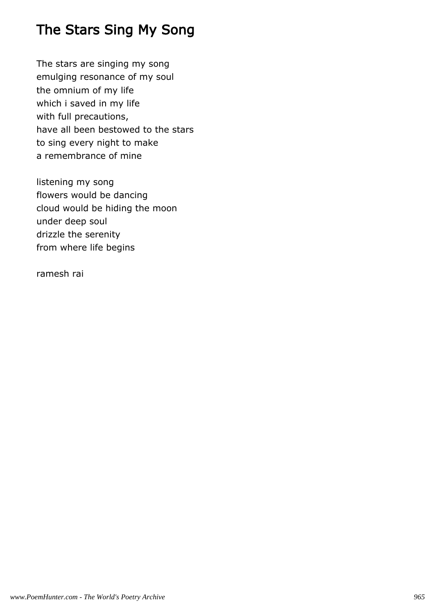## The Stars Sing My Song

The stars are singing my song emulging resonance of my soul the omnium of my life which i saved in my life with full precautions, have all been bestowed to the stars to sing every night to make a remembrance of mine

listening my song flowers would be dancing cloud would be hiding the moon under deep soul drizzle the serenity from where life begins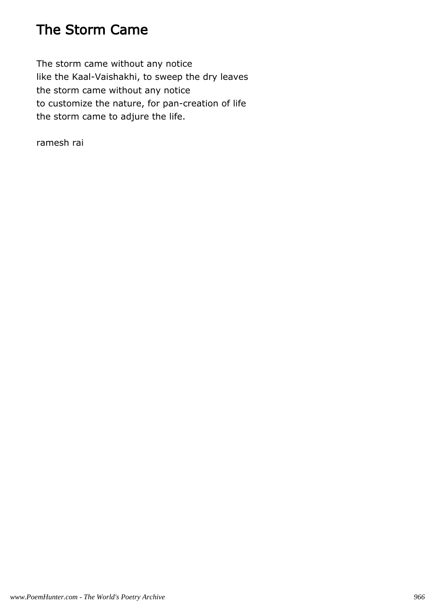## The Storm Came

The storm came without any notice like the Kaal-Vaishakhi, to sweep the dry leaves the storm came without any notice to customize the nature, for pan-creation of life the storm came to adjure the life.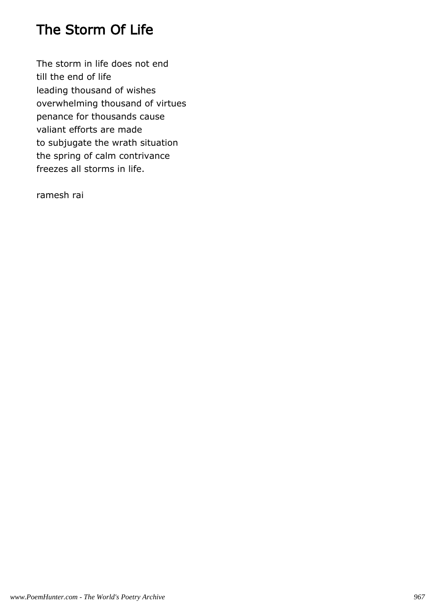## The Storm Of Life

The storm in life does not end till the end of life leading thousand of wishes overwhelming thousand of virtues penance for thousands cause valiant efforts are made to subjugate the wrath situation the spring of calm contrivance freezes all storms in life.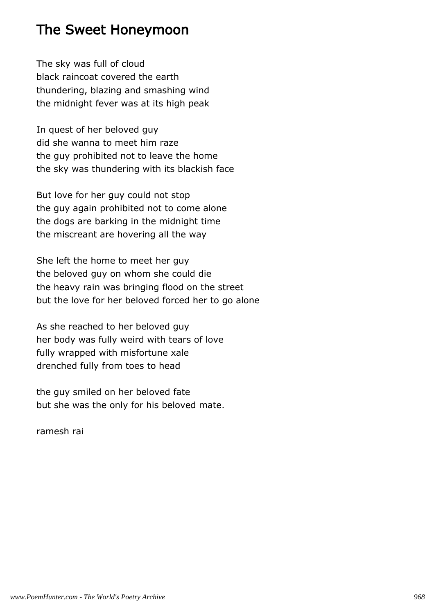### The Sweet Honeymoon

The sky was full of cloud black raincoat covered the earth thundering, blazing and smashing wind the midnight fever was at its high peak

In quest of her beloved guy did she wanna to meet him raze the guy prohibited not to leave the home the sky was thundering with its blackish face

But love for her guy could not stop the guy again prohibited not to come alone the dogs are barking in the midnight time the miscreant are hovering all the way

She left the home to meet her guy the beloved guy on whom she could die the heavy rain was bringing flood on the street but the love for her beloved forced her to go alone

As she reached to her beloved guy her body was fully weird with tears of love fully wrapped with misfortune xale drenched fully from toes to head

the guy smiled on her beloved fate but she was the only for his beloved mate.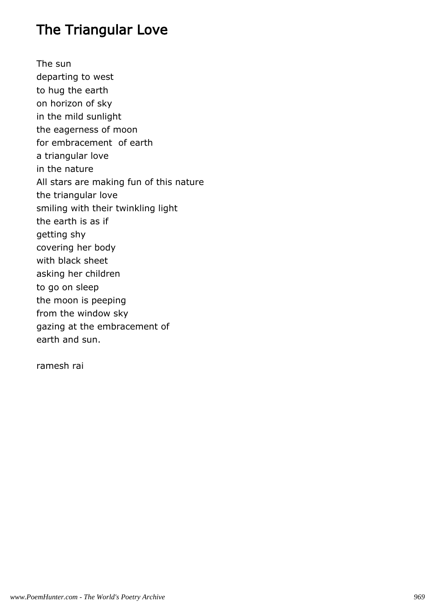### The Triangular Love

The sun departing to west to hug the earth on horizon of sky in the mild sunlight the eagerness of moon for embracement of earth a triangular love in the nature All stars are making fun of this nature the triangular love smiling with their twinkling light the earth is as if getting shy covering her body with black sheet asking her children to go on sleep the moon is peeping from the window sky gazing at the embracement of earth and sun.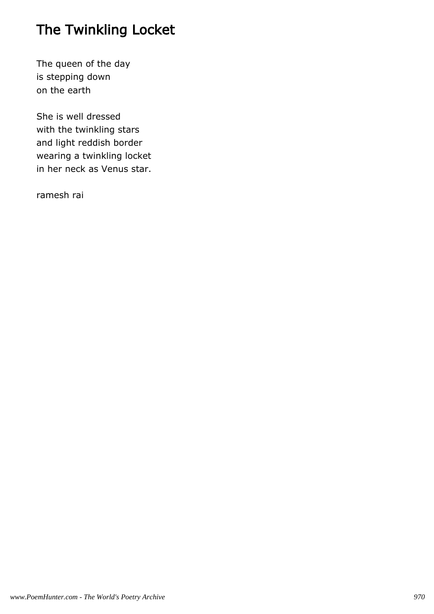## The Twinkling Locket

The queen of the day is stepping down on the earth

She is well dressed with the twinkling stars and light reddish border wearing a twinkling locket in her neck as Venus star.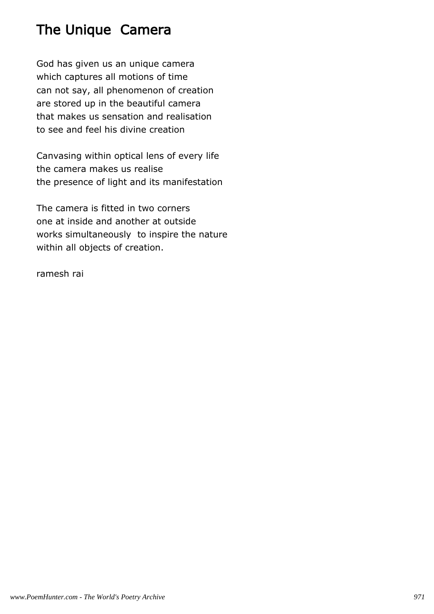## The Unique Camera

God has given us an unique camera which captures all motions of time can not say, all phenomenon of creation are stored up in the beautiful camera that makes us sensation and realisation to see and feel his divine creation

Canvasing within optical lens of every life the camera makes us realise the presence of light and its manifestation

The camera is fitted in two corners one at inside and another at outside works simultaneously to inspire the nature within all objects of creation.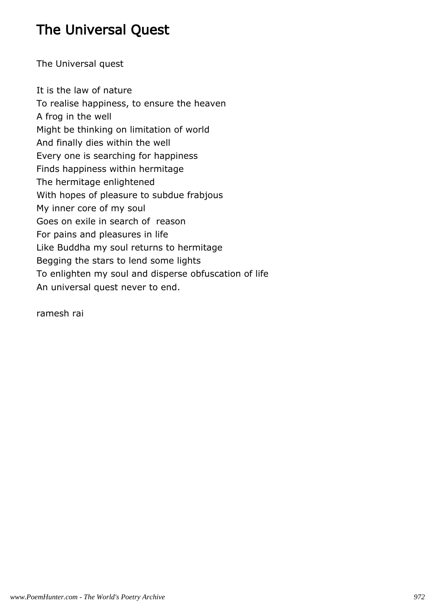## The Universal Quest

The Universal quest

It is the law of nature To realise happiness, to ensure the heaven A frog in the well Might be thinking on limitation of world And finally dies within the well Every one is searching for happiness Finds happiness within hermitage The hermitage enlightened With hopes of pleasure to subdue frabjous My inner core of my soul Goes on exile in search of reason For pains and pleasures in life Like Buddha my soul returns to hermitage Begging the stars to lend some lights To enlighten my soul and disperse obfuscation of life An universal quest never to end.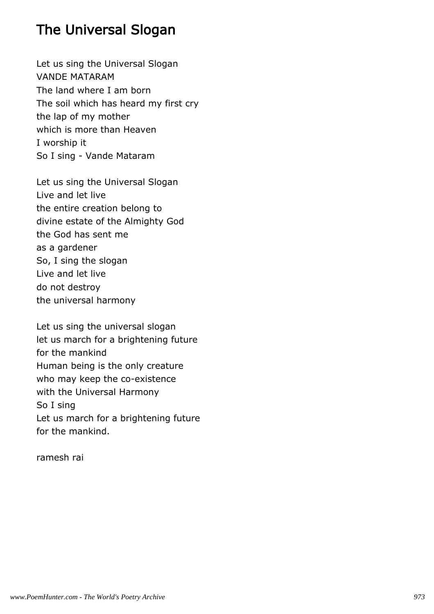### The Universal Slogan

Let us sing the Universal Slogan VANDE MATARAM The land where I am born The soil which has heard my first cry the lap of my mother which is more than Heaven I worship it So I sing - Vande Mataram

Let us sing the Universal Slogan Live and let live the entire creation belong to divine estate of the Almighty God the God has sent me as a gardener So, I sing the slogan Live and let live do not destroy the universal harmony

Let us sing the universal slogan let us march for a brightening future for the mankind Human being is the only creature who may keep the co-existence with the Universal Harmony So I sing Let us march for a brightening future for the mankind.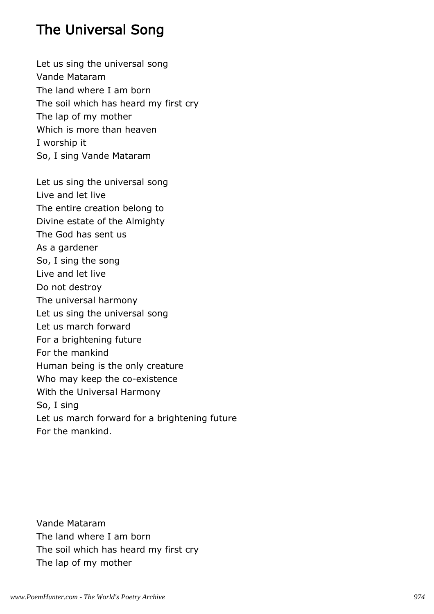## The Universal Song

Let us sing the universal song Vande Mataram The land where I am born The soil which has heard my first cry The lap of my mother Which is more than heaven I worship it So, I sing Vande Mataram

Let us sing the universal song Live and let live The entire creation belong to Divine estate of the Almighty The God has sent us As a gardener So, I sing the song Live and let live Do not destroy The universal harmony Let us sing the universal song Let us march forward For a brightening future For the mankind Human being is the only creature Who may keep the co-existence With the Universal Harmony So, I sing Let us march forward for a brightening future For the mankind.

Vande Mataram The land where I am born The soil which has heard my first cry The lap of my mother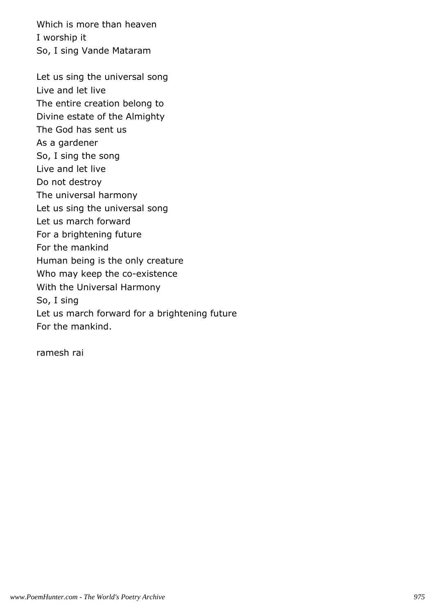Which is more than heaven I worship it So, I sing Vande Mataram

Let us sing the universal song Live and let live The entire creation belong to Divine estate of the Almighty The God has sent us As a gardener So, I sing the song Live and let live Do not destroy The universal harmony Let us sing the universal song Let us march forward For a brightening future For the mankind Human being is the only creature Who may keep the co-existence With the Universal Harmony So, I sing Let us march forward for a brightening future For the mankind.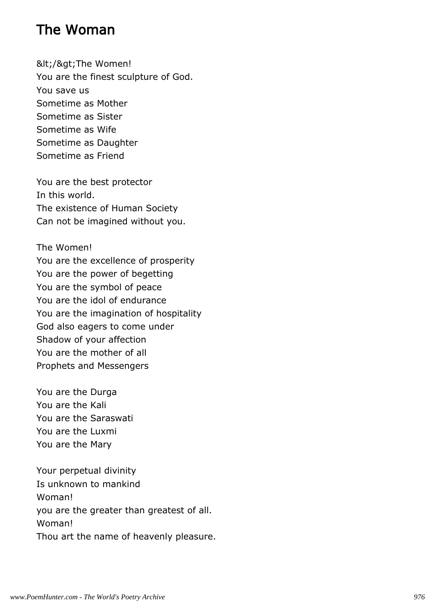### The Woman

</&gt;The Women! You are the finest sculpture of God. You save us Sometime as Mother Sometime as Sister Sometime as Wife Sometime as Daughter Sometime as Friend

You are the best protector In this world. The existence of Human Society Can not be imagined without you.

The Women! You are the excellence of prosperity You are the power of begetting You are the symbol of peace You are the idol of endurance You are the imagination of hospitality God also eagers to come under Shadow of your affection You are the mother of all Prophets and Messengers

You are the Durga You are the Kali You are the Saraswati You are the Luxmi You are the Mary

Your perpetual divinity Is unknown to mankind Woman! you are the greater than greatest of all. Woman! Thou art the name of heavenly pleasure.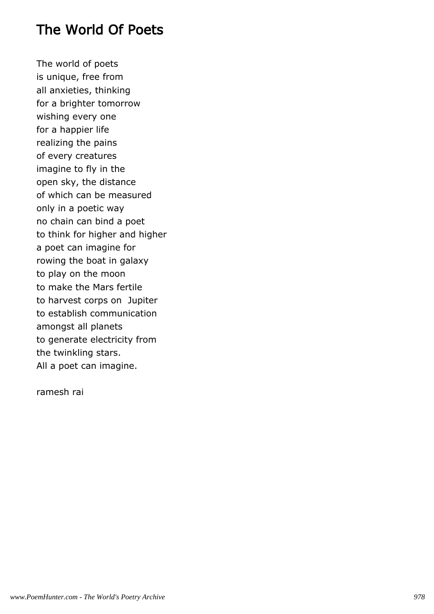### The World Of Poets

The world of poets is unique, free from all anxieties, thinking for a brighter tomorrow wishing every one for a happier life realizing the pains of every creatures imagine to fly in the open sky, the distance of which can be measured only in a poetic way no chain can bind a poet to think for higher and higher a poet can imagine for rowing the boat in galaxy to play on the moon to make the Mars fertile to harvest corps on Jupiter to establish communication amongst all planets to generate electricity from the twinkling stars. All a poet can imagine.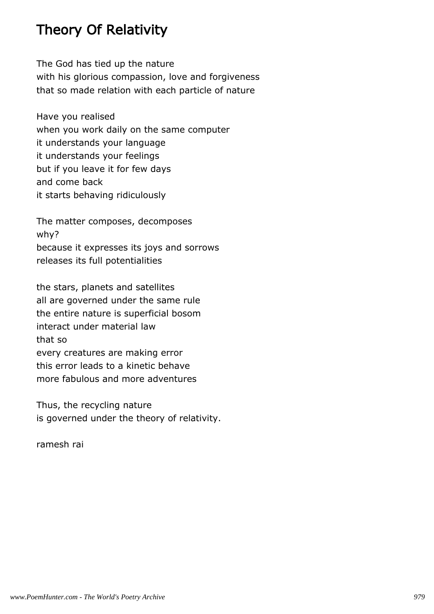## Theory Of Relativity

The God has tied up the nature with his glorious compassion, love and forgiveness that so made relation with each particle of nature

Have you realised when you work daily on the same computer it understands your language it understands your feelings but if you leave it for few days and come back it starts behaving ridiculously

The matter composes, decomposes why? because it expresses its joys and sorrows releases its full potentialities

the stars, planets and satellites all are governed under the same rule the entire nature is superficial bosom interact under material law that so every creatures are making error this error leads to a kinetic behave more fabulous and more adventures

Thus, the recycling nature is governed under the theory of relativity.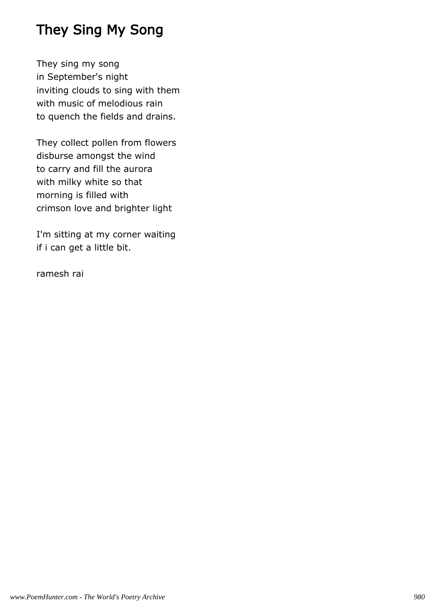# They Sing My Song

They sing my song in September's night inviting clouds to sing with them with music of melodious rain to quench the fields and drains.

They collect pollen from flowers disburse amongst the wind to carry and fill the aurora with milky white so that morning is filled with crimson love and brighter light

I'm sitting at my corner waiting if i can get a little bit.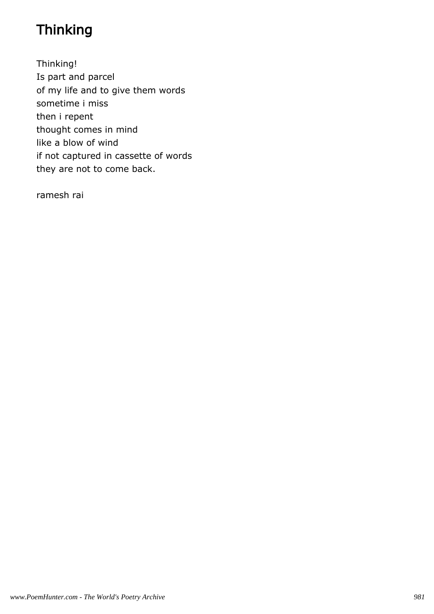# **Thinking**

Thinking! Is part and parcel of my life and to give them words sometime i miss then i repent thought comes in mind like a blow of wind if not captured in cassette of words they are not to come back.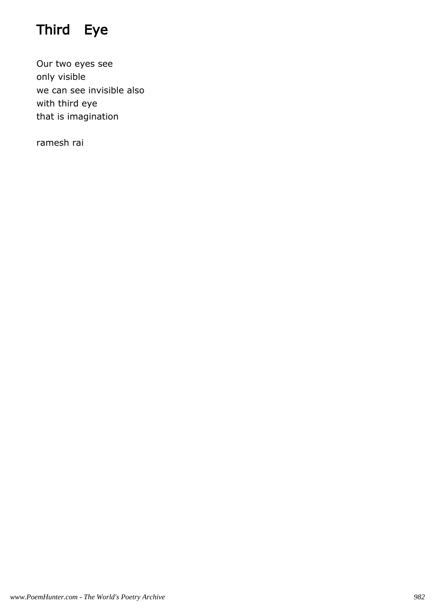# Third Eye

Our two eyes see only visible we can see invisible also with third eye that is imagination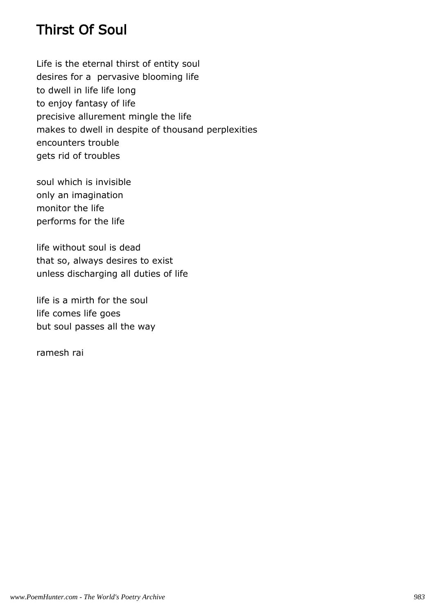### Thirst Of Soul

Life is the eternal thirst of entity soul desires for a pervasive blooming life to dwell in life life long to enjoy fantasy of life precisive allurement mingle the life makes to dwell in despite of thousand perplexities encounters trouble gets rid of troubles

soul which is invisible only an imagination monitor the life performs for the life

life without soul is dead that so, always desires to exist unless discharging all duties of life

life is a mirth for the soul life comes life goes but soul passes all the way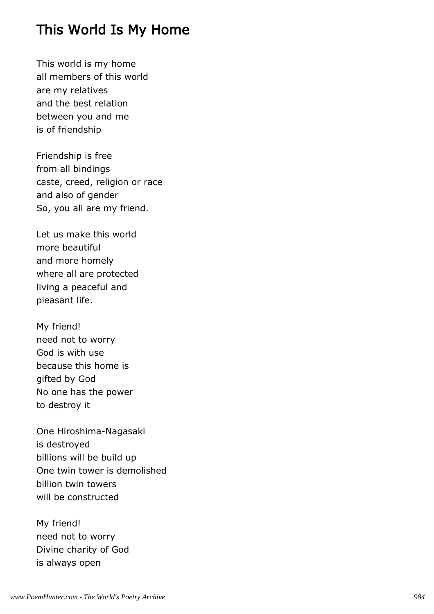### This World Is My Home

This world is my home all members of this world are my relatives and the best relation between you and me is of friendship

Friendship is free from all bindings caste, creed, religion or race and also of gender So, you all are my friend.

Let us make this world more beautiful and more homely where all are protected living a peaceful and pleasant life.

My friend! need not to worry God is with use because this home is gifted by God No one has the power to destroy it

One Hiroshima-Nagasaki is destroyed billions will be build up One twin tower is demolished billion twin towers will be constructed

My friend! need not to worry Divine charity of God is always open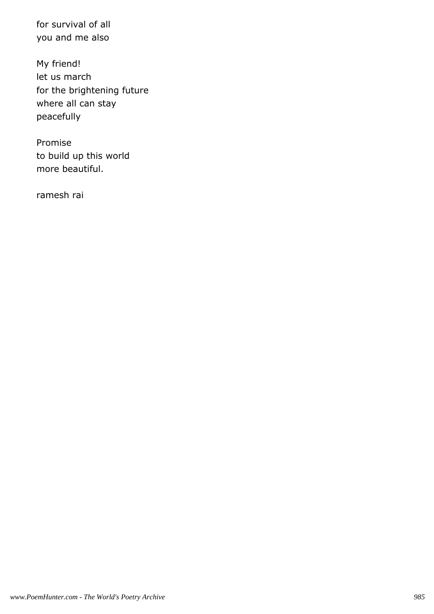for survival of all you and me also

My friend! let us march for the brightening future where all can stay peacefully

Promise to build up this world more beautiful.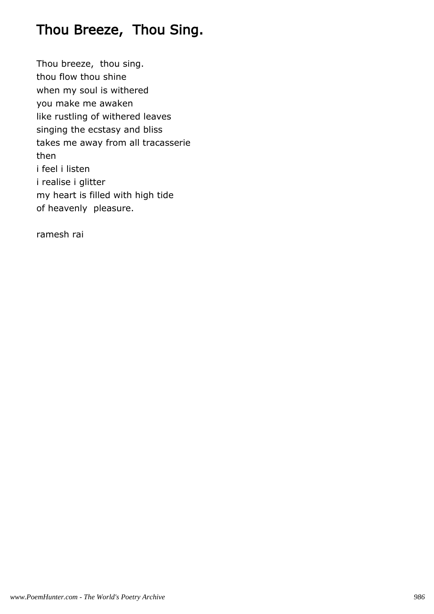## Thou Breeze, Thou Sing.

Thou breeze, thou sing. thou flow thou shine when my soul is withered you make me awaken like rustling of withered leaves singing the ecstasy and bliss takes me away from all tracasserie then i feel i listen i realise i glitter my heart is filled with high tide of heavenly pleasure.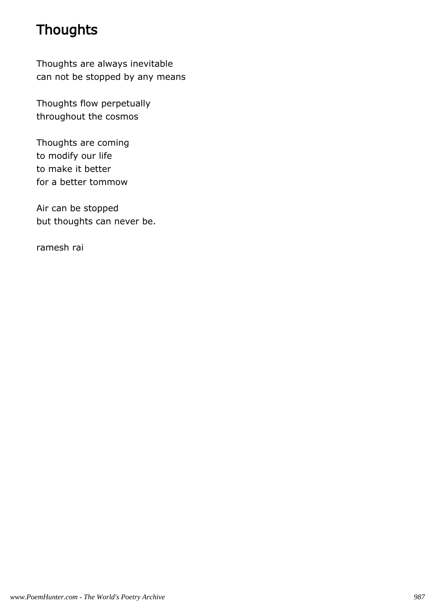## **Thoughts**

Thoughts are always inevitable can not be stopped by any means

Thoughts flow perpetually throughout the cosmos

Thoughts are coming to modify our life to make it better for a better tommow

Air can be stopped but thoughts can never be.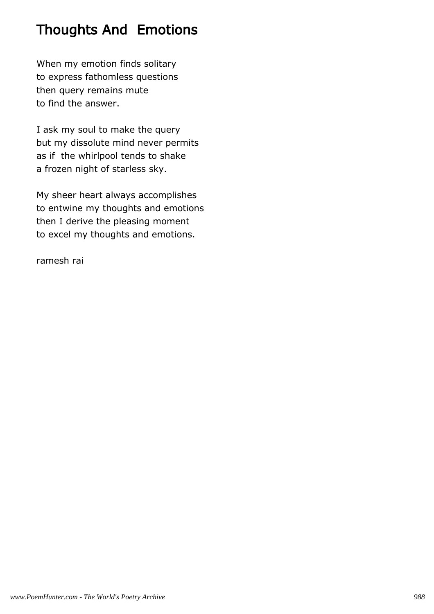## Thoughts And Emotions

When my emotion finds solitary to express fathomless questions then query remains mute to find the answer.

I ask my soul to make the query but my dissolute mind never permits as if the whirlpool tends to shake a frozen night of starless sky.

My sheer heart always accomplishes to entwine my thoughts and emotions then I derive the pleasing moment to excel my thoughts and emotions.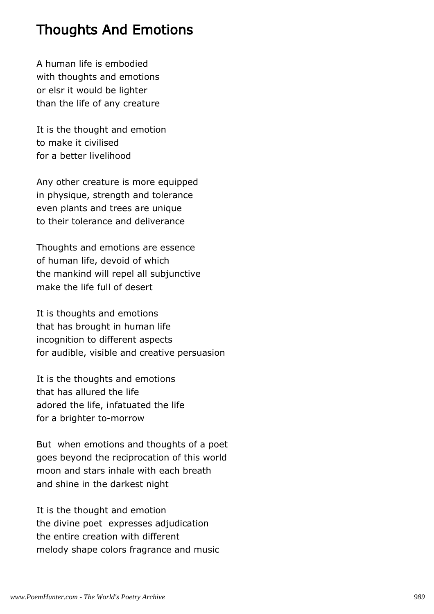### Thoughts And Emotions

A human life is embodied with thoughts and emotions or elsr it would be lighter than the life of any creature

It is the thought and emotion to make it civilised for a better livelihood

Any other creature is more equipped in physique, strength and tolerance even plants and trees are unique to their tolerance and deliverance

Thoughts and emotions are essence of human life, devoid of which the mankind will repel all subjunctive make the life full of desert

It is thoughts and emotions that has brought in human life incognition to different aspects for audible, visible and creative persuasion

It is the thoughts and emotions that has allured the life adored the life, infatuated the life for a brighter to-morrow

But when emotions and thoughts of a poet goes beyond the reciprocation of this world moon and stars inhale with each breath and shine in the darkest night

It is the thought and emotion the divine poet expresses adjudication the entire creation with different melody shape colors fragrance and music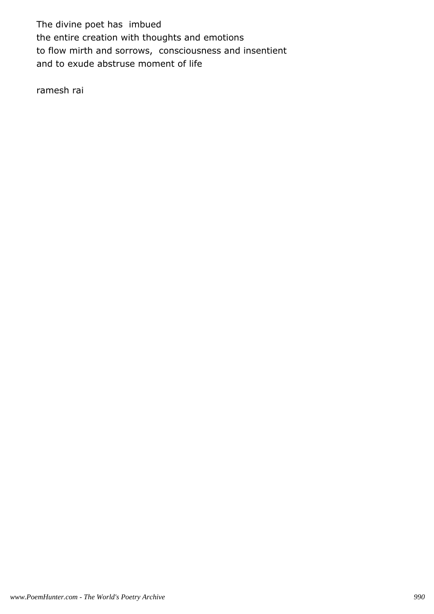The divine poet has imbued the entire creation with thoughts and emotions to flow mirth and sorrows, consciousness and insentient and to exude abstruse moment of life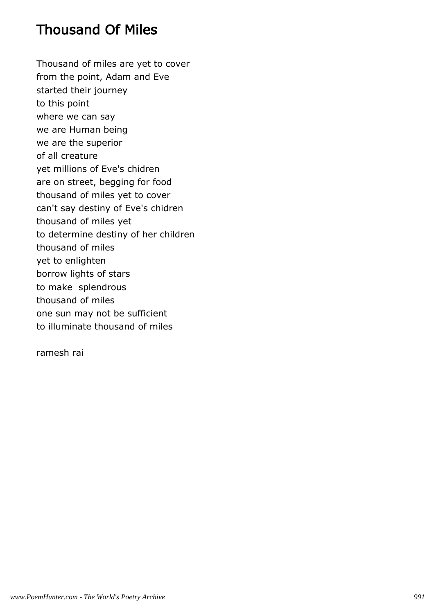## Thousand Of Miles

Thousand of miles are yet to cover from the point, Adam and Eve started their journey to this point where we can say we are Human being we are the superior of all creature yet millions of Eve's chidren are on street, begging for food thousand of miles yet to cover can't say destiny of Eve's chidren thousand of miles yet to determine destiny of her children thousand of miles yet to enlighten borrow lights of stars to make splendrous thousand of miles one sun may not be sufficient to illuminate thousand of miles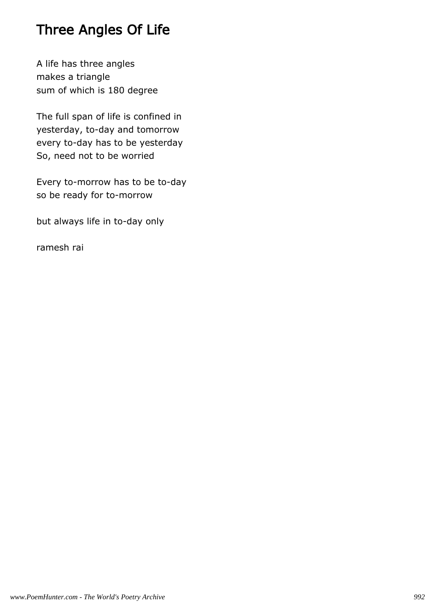### Three Angles Of Life

A life has three angles makes a triangle sum of which is 180 degree

The full span of life is confined in yesterday, to-day and tomorrow every to-day has to be yesterday So, need not to be worried

Every to-morrow has to be to-day so be ready for to-morrow

but always life in to-day only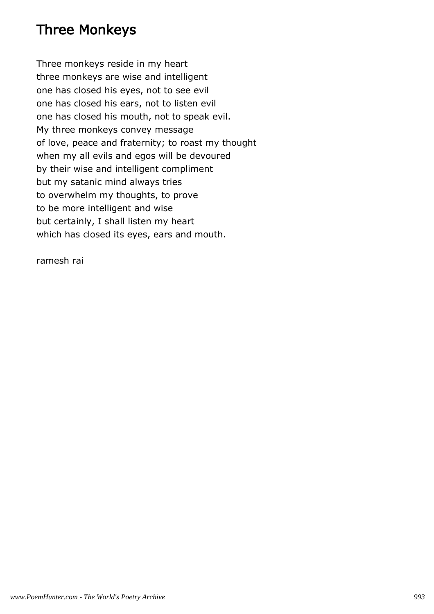#### Three Monkeys

Three monkeys reside in my heart three monkeys are wise and intelligent one has closed his eyes, not to see evil one has closed his ears, not to listen evil one has closed his mouth, not to speak evil. My three monkeys convey message of love, peace and fraternity; to roast my thought when my all evils and egos will be devoured by their wise and intelligent compliment but my satanic mind always tries to overwhelm my thoughts, to prove to be more intelligent and wise but certainly, I shall listen my heart which has closed its eyes, ears and mouth.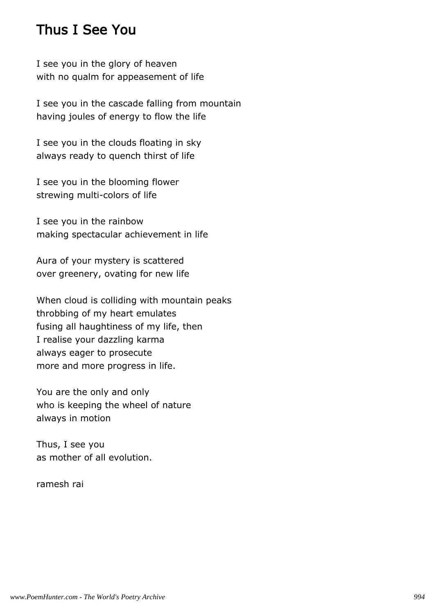#### Thus I See You

I see you in the glory of heaven with no qualm for appeasement of life

I see you in the cascade falling from mountain having joules of energy to flow the life

I see you in the clouds floating in sky always ready to quench thirst of life

I see you in the blooming flower strewing multi-colors of life

I see you in the rainbow making spectacular achievement in life

Aura of your mystery is scattered over greenery, ovating for new life

When cloud is colliding with mountain peaks throbbing of my heart emulates fusing all haughtiness of my life, then I realise your dazzling karma always eager to prosecute more and more progress in life.

You are the only and only who is keeping the wheel of nature always in motion

Thus, I see you as mother of all evolution.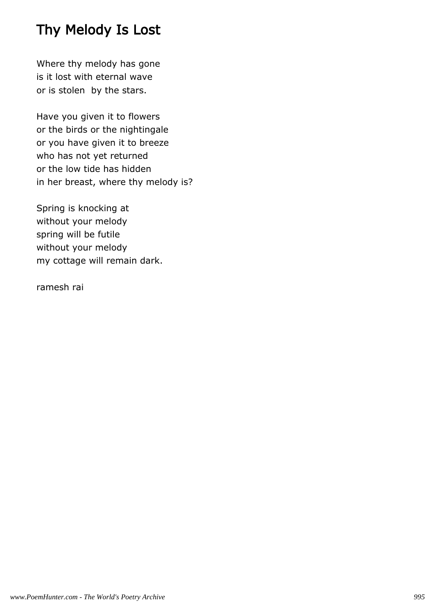## Thy Melody Is Lost

Where thy melody has gone is it lost with eternal wave or is stolen by the stars.

Have you given it to flowers or the birds or the nightingale or you have given it to breeze who has not yet returned or the low tide has hidden in her breast, where thy melody is?

Spring is knocking at without your melody spring will be futile without your melody my cottage will remain dark.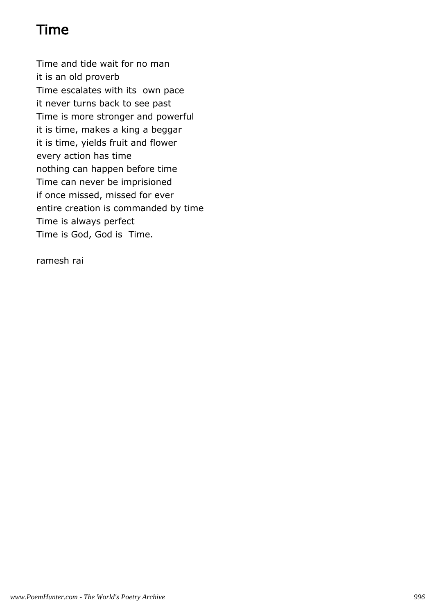## Time

Time and tide wait for no man it is an old proverb Time escalates with its own pace it never turns back to see past Time is more stronger and powerful it is time, makes a king a beggar it is time, yields fruit and flower every action has time nothing can happen before time Time can never be imprisioned if once missed, missed for ever entire creation is commanded by time Time is always perfect Time is God, God is Time.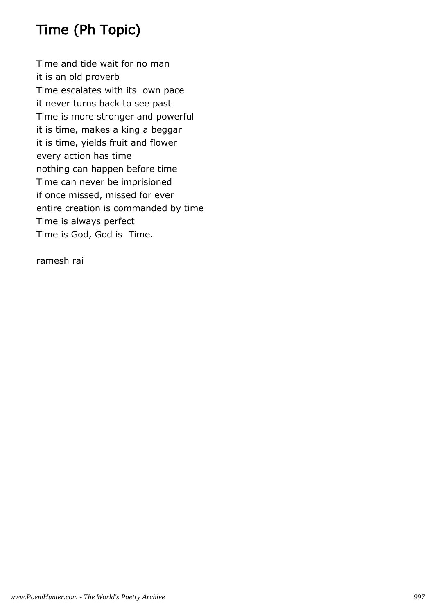## Time (Ph Topic)

Time and tide wait for no man it is an old proverb Time escalates with its own pace it never turns back to see past Time is more stronger and powerful it is time, makes a king a beggar it is time, yields fruit and flower every action has time nothing can happen before time Time can never be imprisioned if once missed, missed for ever entire creation is commanded by time Time is always perfect Time is God, God is Time.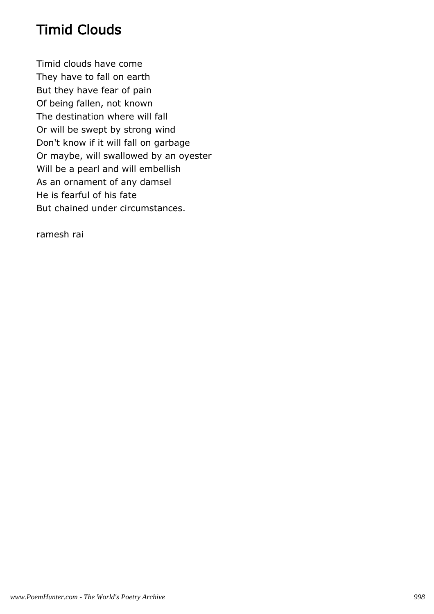## Timid Clouds

Timid clouds have come They have to fall on earth But they have fear of pain Of being fallen, not known The destination where will fall Or will be swept by strong wind Don't know if it will fall on garbage Or maybe, will swallowed by an oyester Will be a pearl and will embellish As an ornament of any damsel He is fearful of his fate But chained under circumstances.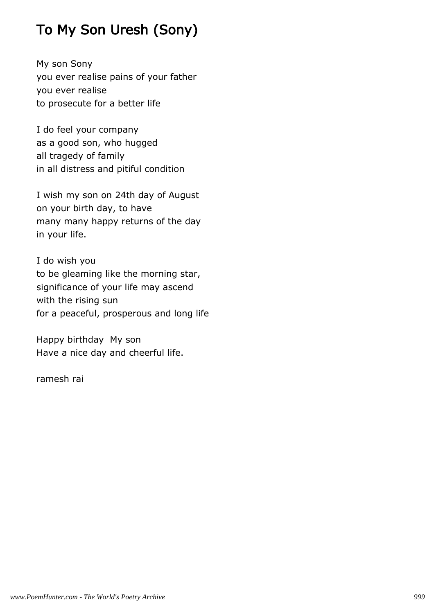## To My Son Uresh (Sony)

My son Sony you ever realise pains of your father you ever realise to prosecute for a better life

I do feel your company as a good son, who hugged all tragedy of family in all distress and pitiful condition

I wish my son on 24th day of August on your birth day, to have many many happy returns of the day in your life.

I do wish you to be gleaming like the morning star, significance of your life may ascend with the rising sun for a peaceful, prosperous and long life

Happy birthday My son Have a nice day and cheerful life.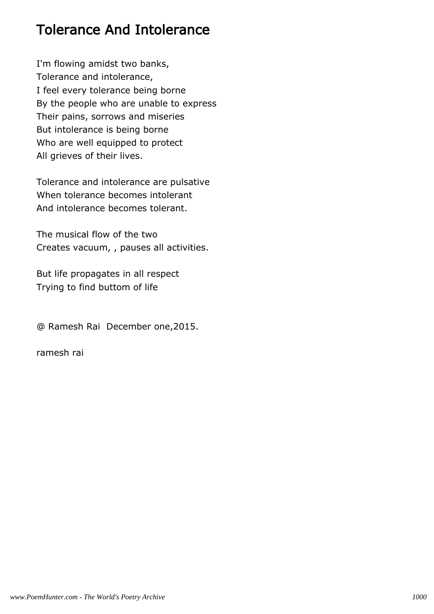## Tolerance And Intolerance

I'm flowing amidst two banks, Tolerance and intolerance, I feel every tolerance being borne By the people who are unable to express Their pains, sorrows and miseries But intolerance is being borne Who are well equipped to protect All grieves of their lives.

Tolerance and intolerance are pulsative When tolerance becomes intolerant And intolerance becomes tolerant.

The musical flow of the two Creates vacuum, , pauses all activities.

But life propagates in all respect Trying to find buttom of life

@ Ramesh Rai December one,2015.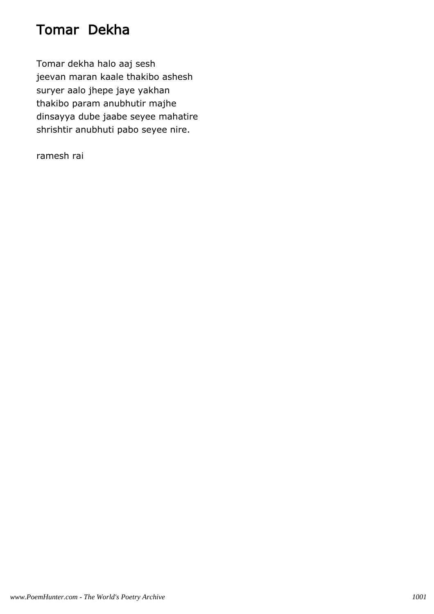### Tomar Dekha

Tomar dekha halo aaj sesh jeevan maran kaale thakibo ashesh suryer aalo jhepe jaye yakhan thakibo param anubhutir majhe dinsayya dube jaabe seyee mahatire shrishtir anubhuti pabo seyee nire.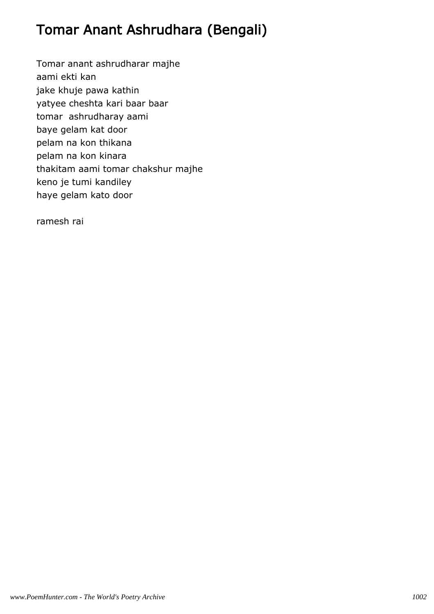## Tomar Anant Ashrudhara (Bengali)

- Tomar anant ashrudharar majhe
- aami ekti kan
- jake khuje pawa kathin
- yatyee cheshta kari baar baar
- tomar ashrudharay aami
- baye gelam kat door
- pelam na kon thikana
- pelam na kon kinara
- thakitam aami tomar chakshur majhe
- keno je tumi kandiley
- haye gelam kato door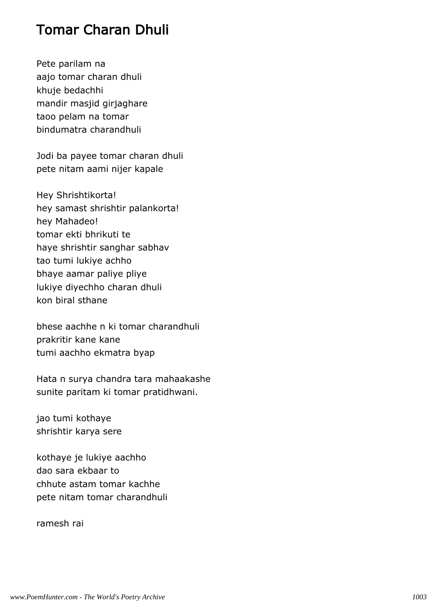#### Tomar Charan Dhuli

Pete parilam na aajo tomar charan dhuli khuje bedachhi mandir masjid girjaghare taoo pelam na tomar bindumatra charandhuli

Jodi ba payee tomar charan dhuli pete nitam aami nijer kapale

Hey Shrishtikorta! hey samast shrishtir palankorta! hey Mahadeo! tomar ekti bhrikuti te haye shrishtir sanghar sabhav tao tumi lukiye achho bhaye aamar paliye pliye lukiye diyechho charan dhuli kon biral sthane

bhese aachhe n ki tomar charandhuli prakritir kane kane tumi aachho ekmatra byap

Hata n surya chandra tara mahaakashe sunite paritam ki tomar pratidhwani.

jao tumi kothaye shrishtir karya sere

kothaye je lukiye aachho dao sara ekbaar to chhute astam tomar kachhe pete nitam tomar charandhuli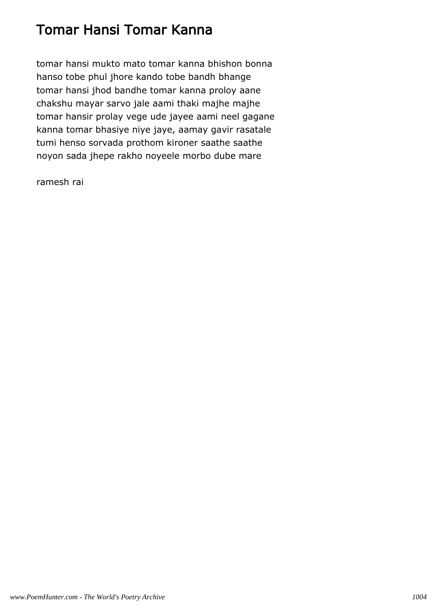### Tomar Hansi Tomar Kanna

tomar hansi mukto mato tomar kanna bhishon bonna hanso tobe phul jhore kando tobe bandh bhange tomar hansi jhod bandhe tomar kanna proloy aane chakshu mayar sarvo jale aami thaki majhe majhe tomar hansir prolay vege ude jayee aami neel gagane kanna tomar bhasiye niye jaye, aamay gavir rasatale tumi henso sorvada prothom kironer saathe saathe noyon sada jhepe rakho noyeele morbo dube mare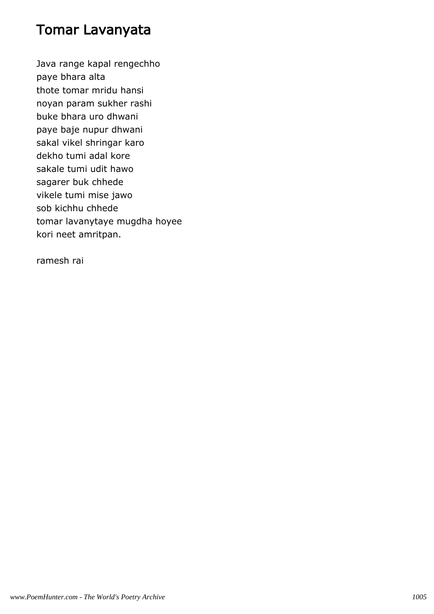#### Tomar Lavanyata

Java range kapal rengechho paye bhara alta thote tomar mridu hansi noyan param sukher rashi buke bhara uro dhwani paye baje nupur dhwani sakal vikel shringar karo dekho tumi adal kore sakale tumi udit hawo sagarer buk chhede vikele tumi mise jawo sob kichhu chhede tomar lavanytaye mugdha hoyee kori neet amritpan.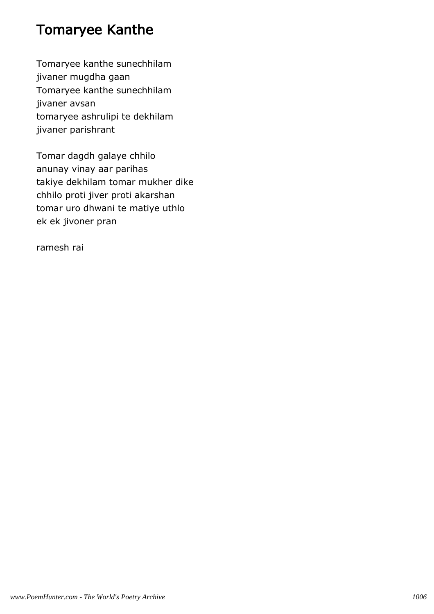### Tomaryee Kanthe

Tomaryee kanthe sunechhilam jivaner mugdha gaan Tomaryee kanthe sunechhilam jivaner avsan tomaryee ashrulipi te dekhilam jivaner parishrant

Tomar dagdh galaye chhilo anunay vinay aar parihas takiye dekhilam tomar mukher dike chhilo proti jiver proti akarshan tomar uro dhwani te matiye uthlo ek ek jivoner pran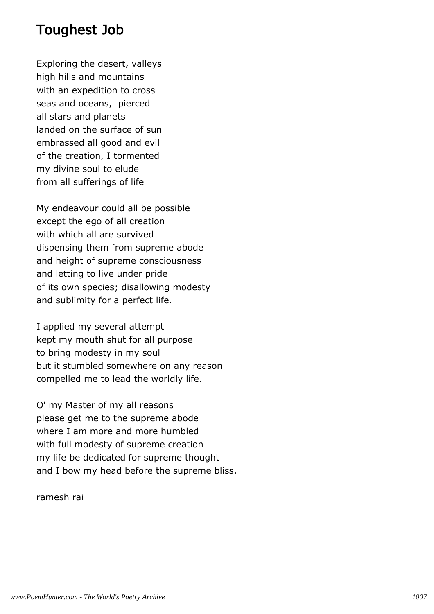#### Toughest Job

Exploring the desert, valleys high hills and mountains with an expedition to cross seas and oceans, pierced all stars and planets landed on the surface of sun embrassed all good and evil of the creation, I tormented my divine soul to elude from all sufferings of life

My endeavour could all be possible except the ego of all creation with which all are survived dispensing them from supreme abode and height of supreme consciousness and letting to live under pride of its own species; disallowing modesty and sublimity for a perfect life.

I applied my several attempt kept my mouth shut for all purpose to bring modesty in my soul but it stumbled somewhere on any reason compelled me to lead the worldly life.

O' my Master of my all reasons please get me to the supreme abode where I am more and more humbled with full modesty of supreme creation my life be dedicated for supreme thought and I bow my head before the supreme bliss.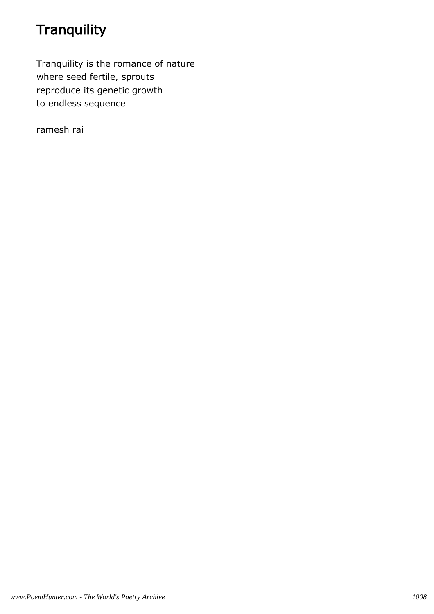# **Tranquility**

Tranquility is the romance of nature where seed fertile, sprouts reproduce its genetic growth to endless sequence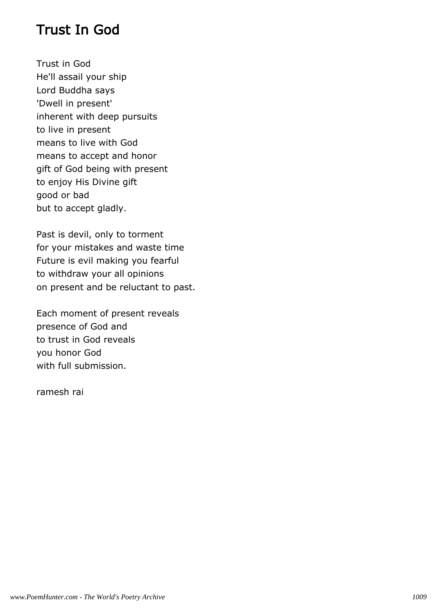#### Trust In God

Trust in God He'll assail your ship Lord Buddha says 'Dwell in present' inherent with deep pursuits to live in present means to live with God means to accept and honor gift of God being with present to enjoy His Divine gift good or bad but to accept gladly.

Past is devil, only to torment for your mistakes and waste time Future is evil making you fearful to withdraw your all opinions on present and be reluctant to past.

Each moment of present reveals presence of God and to trust in God reveals you honor God with full submission.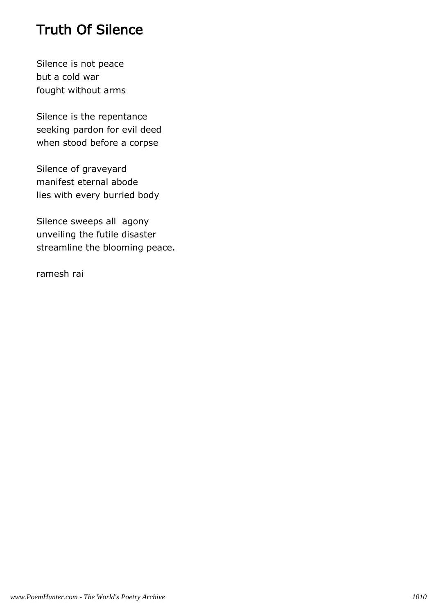## Truth Of Silence

Silence is not peace but a cold war fought without arms

Silence is the repentance seeking pardon for evil deed when stood before a corpse

Silence of graveyard manifest eternal abode lies with every burried body

Silence sweeps all agony unveiling the futile disaster streamline the blooming peace.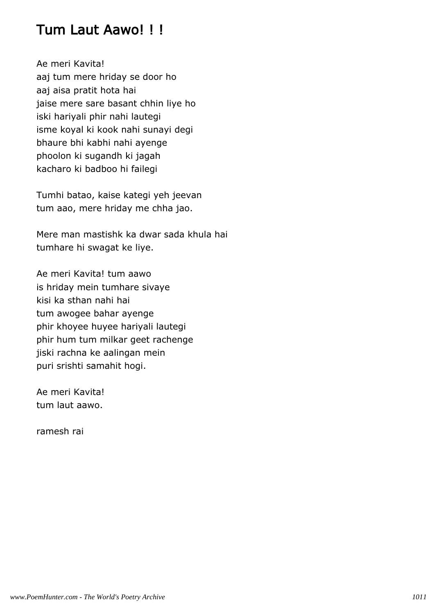#### Tum Laut Aawo! ! !

Ae meri Kavita! aaj tum mere hriday se door ho aaj aisa pratit hota hai jaise mere sare basant chhin liye ho iski hariyali phir nahi lautegi isme koyal ki kook nahi sunayi degi bhaure bhi kabhi nahi ayenge phoolon ki sugandh ki jagah kacharo ki badboo hi failegi

Tumhi batao, kaise kategi yeh jeevan tum aao, mere hriday me chha jao.

Mere man mastishk ka dwar sada khula hai tumhare hi swagat ke liye.

Ae meri Kavita! tum aawo is hriday mein tumhare sivaye kisi ka sthan nahi hai tum awogee bahar ayenge phir khoyee huyee hariyali lautegi phir hum tum milkar geet rachenge jiski rachna ke aalingan mein puri srishti samahit hogi.

Ae meri Kavita! tum laut aawo.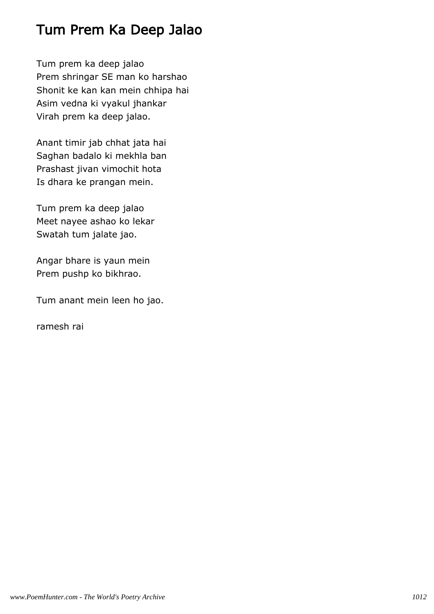## Tum Prem Ka Deep Jalao

Tum prem ka deep jalao Prem shringar SE man ko harshao Shonit ke kan kan mein chhipa hai Asim vedna ki vyakul jhankar Virah prem ka deep jalao.

Anant timir jab chhat jata hai Saghan badalo ki mekhla ban Prashast jivan vimochit hota Is dhara ke prangan mein.

Tum prem ka deep jalao Meet nayee ashao ko lekar Swatah tum jalate jao.

Angar bhare is yaun mein Prem pushp ko bikhrao.

Tum anant mein leen ho jao.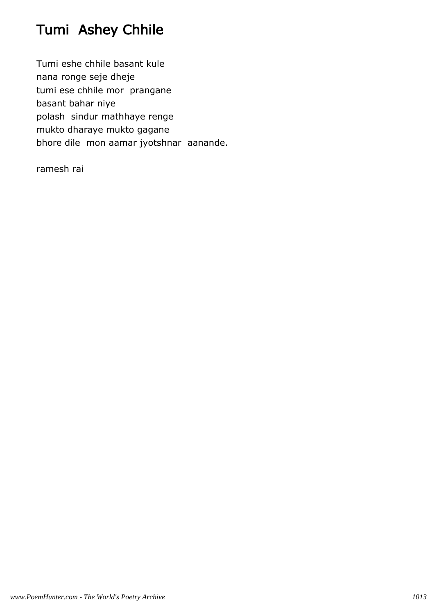# Tumi Ashey Chhile

Tumi eshe chhile basant kule nana ronge seje dheje tumi ese chhile mor prangane basant bahar niye polash sindur mathhaye renge mukto dharaye mukto gagane bhore dile mon aamar jyotshnar aanande.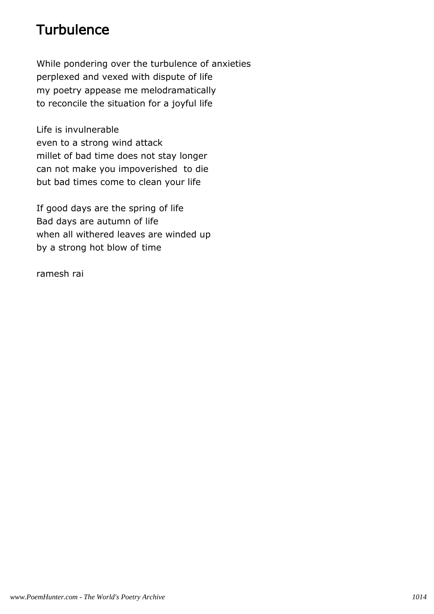## **Turbulence**

While pondering over the turbulence of anxieties perplexed and vexed with dispute of life my poetry appease me melodramatically to reconcile the situation for a joyful life

Life is invulnerable even to a strong wind attack millet of bad time does not stay longer can not make you impoverished to die but bad times come to clean your life

If good days are the spring of life Bad days are autumn of life when all withered leaves are winded up by a strong hot blow of time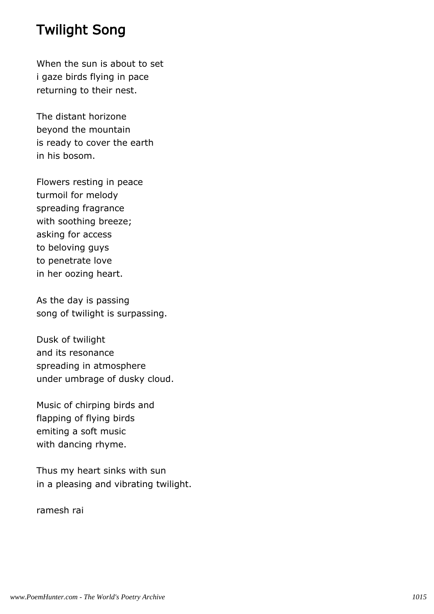### Twilight Song

When the sun is about to set i gaze birds flying in pace returning to their nest.

The distant horizone beyond the mountain is ready to cover the earth in his bosom.

Flowers resting in peace turmoil for melody spreading fragrance with soothing breeze; asking for access to beloving guys to penetrate love in her oozing heart.

As the day is passing song of twilight is surpassing.

Dusk of twilight and its resonance spreading in atmosphere under umbrage of dusky cloud.

Music of chirping birds and flapping of flying birds emiting a soft music with dancing rhyme.

Thus my heart sinks with sun in a pleasing and vibrating twilight.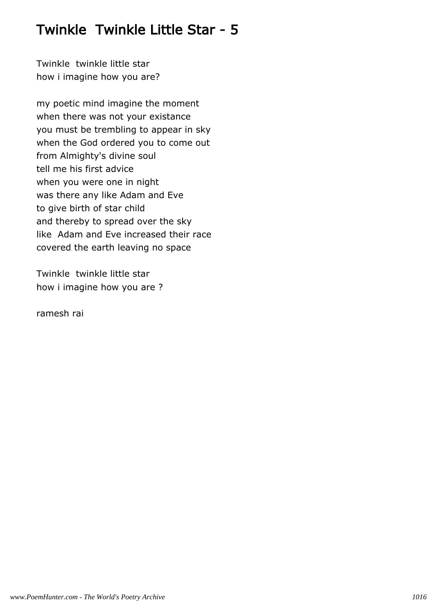Twinkle twinkle little star how i imagine how you are?

my poetic mind imagine the moment when there was not your existance you must be trembling to appear in sky when the God ordered you to come out from Almighty's divine soul tell me his first advice when you were one in night was there any like Adam and Eve to give birth of star child and thereby to spread over the sky like Adam and Eve increased their race covered the earth leaving no space

Twinkle twinkle little star how i imagine how you are ?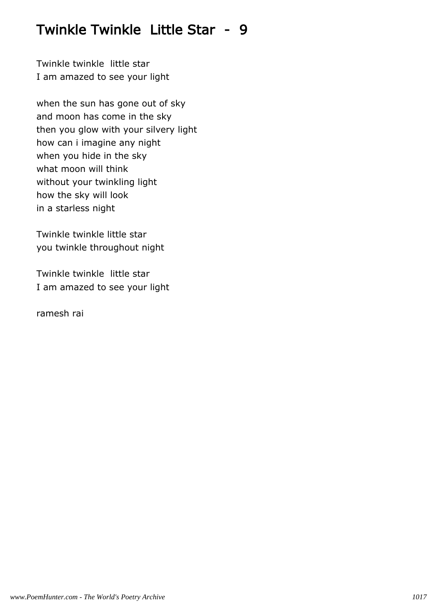Twinkle twinkle little star I am amazed to see your light

when the sun has gone out of sky and moon has come in the sky then you glow with your silvery light how can i imagine any night when you hide in the sky what moon will think without your twinkling light how the sky will look in a starless night

Twinkle twinkle little star you twinkle throughout night

Twinkle twinkle little star I am amazed to see your light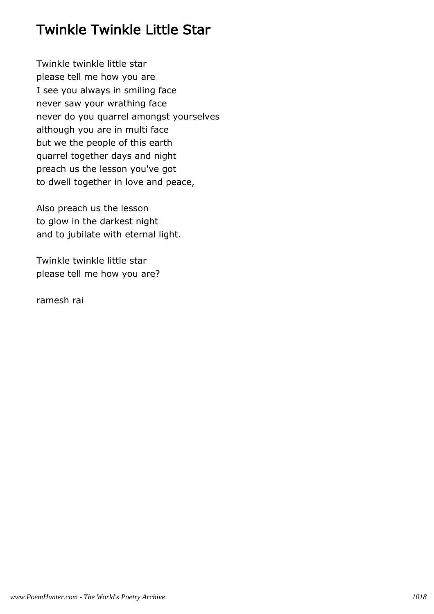Twinkle twinkle little star please tell me how you are I see you always in smiling face never saw your wrathing face never do you quarrel amongst yourselves although you are in multi face but we the people of this earth quarrel together days and night preach us the lesson you've got to dwell together in love and peace,

Also preach us the lesson to glow in the darkest night and to jubilate with eternal light.

Twinkle twinkle little star please tell me how you are?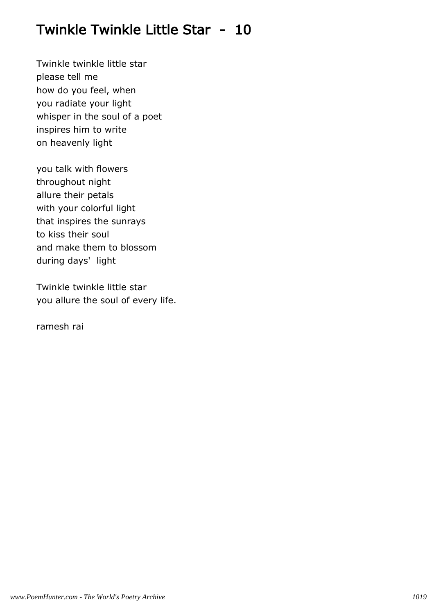Twinkle twinkle little star please tell me how do you feel, when you radiate your light whisper in the soul of a poet inspires him to write on heavenly light

you talk with flowers throughout night allure their petals with your colorful light that inspires the sunrays to kiss their soul and make them to blossom during days' light

Twinkle twinkle little star you allure the soul of every life.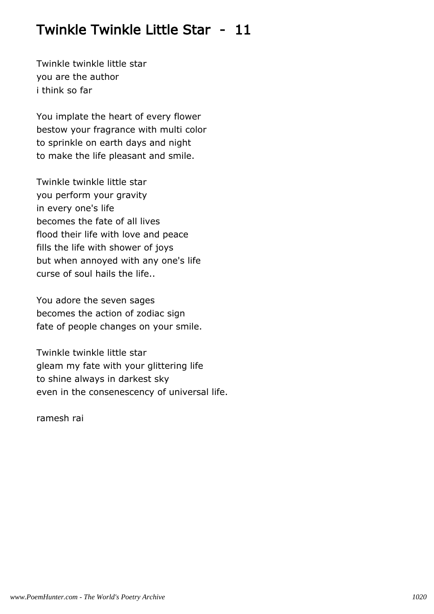Twinkle twinkle little star you are the author i think so far

You implate the heart of every flower bestow your fragrance with multi color to sprinkle on earth days and night to make the life pleasant and smile.

Twinkle twinkle little star you perform your gravity in every one's life becomes the fate of all lives flood their life with love and peace fills the life with shower of joys but when annoyed with any one's life curse of soul hails the life..

You adore the seven sages becomes the action of zodiac sign fate of people changes on your smile.

Twinkle twinkle little star gleam my fate with your glittering life to shine always in darkest sky even in the consenescency of universal life.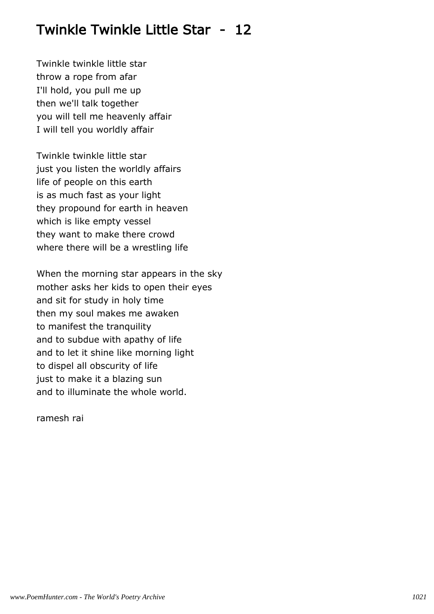Twinkle twinkle little star throw a rope from afar I'll hold, you pull me up then we'll talk together you will tell me heavenly affair I will tell you worldly affair

Twinkle twinkle little star just you listen the worldly affairs life of people on this earth is as much fast as your light they propound for earth in heaven which is like empty vessel they want to make there crowd where there will be a wrestling life

When the morning star appears in the sky mother asks her kids to open their eyes and sit for study in holy time then my soul makes me awaken to manifest the tranquility and to subdue with apathy of life and to let it shine like morning light to dispel all obscurity of life just to make it a blazing sun and to illuminate the whole world.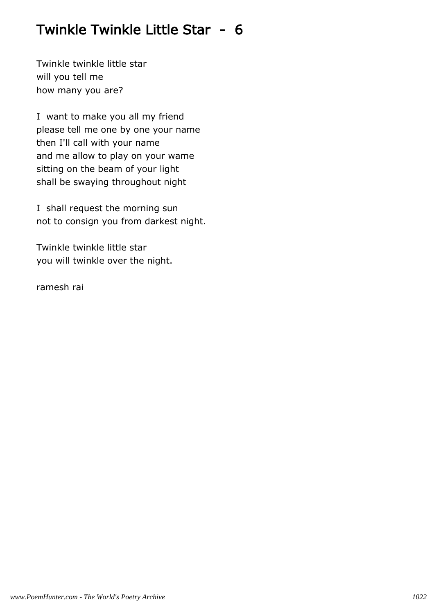Twinkle twinkle little star will you tell me how many you are?

I want to make you all my friend please tell me one by one your name then I'll call with your name and me allow to play on your wame sitting on the beam of your light shall be swaying throughout night

I shall request the morning sun not to consign you from darkest night.

Twinkle twinkle little star you will twinkle over the night.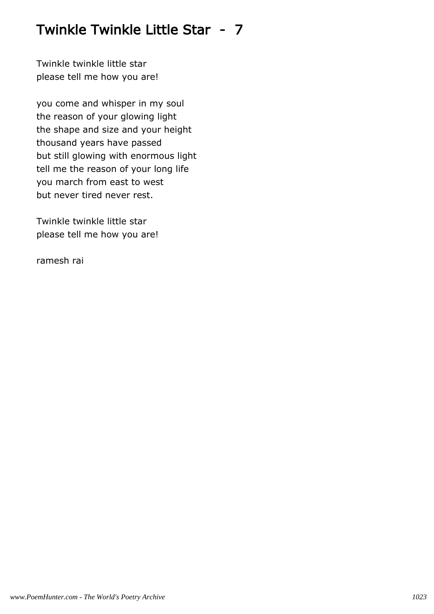Twinkle twinkle little star please tell me how you are!

you come and whisper in my soul the reason of your glowing light the shape and size and your height thousand years have passed but still glowing with enormous light tell me the reason of your long life you march from east to west but never tired never rest.

Twinkle twinkle little star please tell me how you are!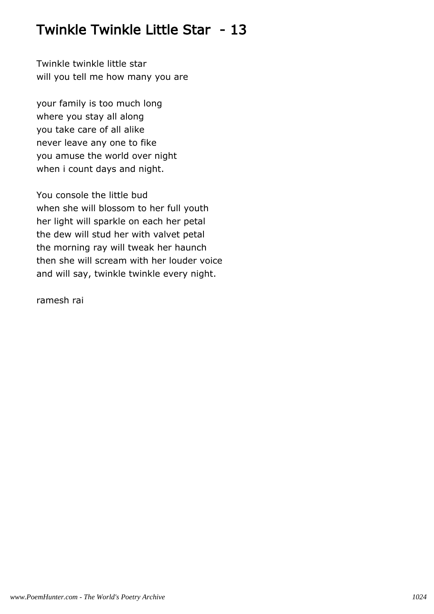Twinkle twinkle little star will you tell me how many you are

your family is too much long where you stay all along you take care of all alike never leave any one to fike you amuse the world over night when i count days and night.

You console the little bud when she will blossom to her full youth her light will sparkle on each her petal the dew will stud her with valvet petal the morning ray will tweak her haunch then she will scream with her louder voice and will say, twinkle twinkle every night.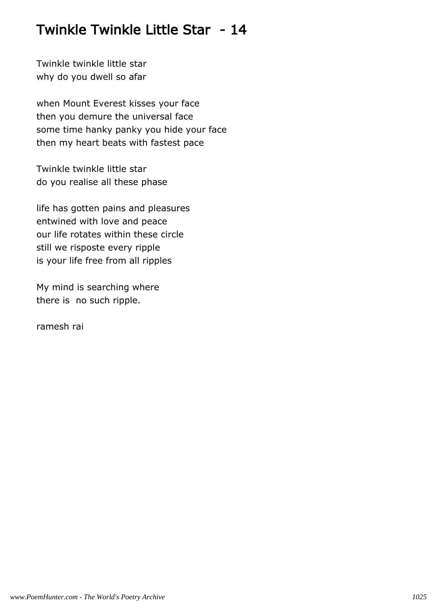Twinkle twinkle little star why do you dwell so afar

when Mount Everest kisses your face then you demure the universal face some time hanky panky you hide your face then my heart beats with fastest pace

Twinkle twinkle little star do you realise all these phase

life has gotten pains and pleasures entwined with love and peace our life rotates within these circle still we risposte every ripple is your life free from all ripples

My mind is searching where there is no such ripple.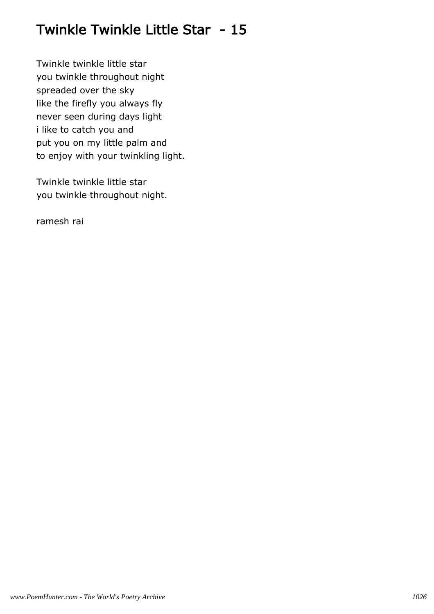Twinkle twinkle little star you twinkle throughout night spreaded over the sky like the firefly you always fly never seen during days light i like to catch you and put you on my little palm and to enjoy with your twinkling light.

Twinkle twinkle little star you twinkle throughout night.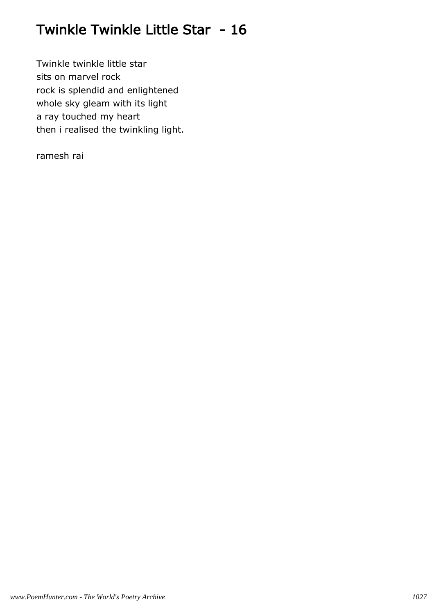Twinkle twinkle little star sits on marvel rock rock is splendid and enlightened whole sky gleam with its light a ray touched my heart then i realised the twinkling light.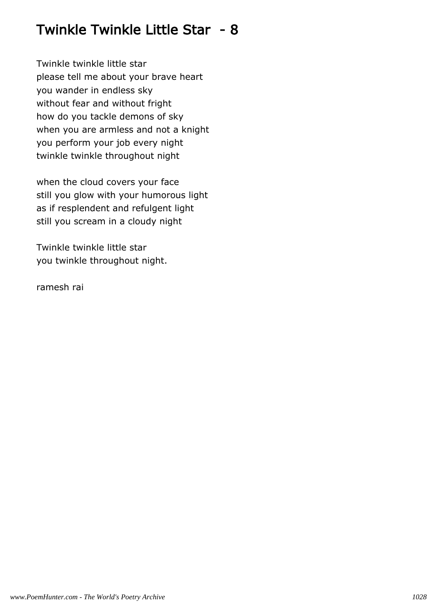Twinkle twinkle little star please tell me about your brave heart you wander in endless sky without fear and without fright how do you tackle demons of sky when you are armless and not a knight you perform your job every night twinkle twinkle throughout night

when the cloud covers your face still you glow with your humorous light as if resplendent and refulgent light still you scream in a cloudy night

Twinkle twinkle little star you twinkle throughout night.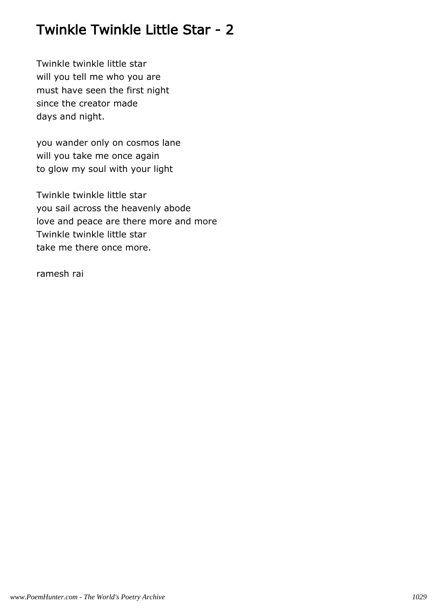Twinkle twinkle little star will you tell me who you are must have seen the first night since the creator made days and night.

you wander only on cosmos lane will you take me once again to glow my soul with your light

Twinkle twinkle little star you sail across the heavenly abode love and peace are there more and more Twinkle twinkle little star take me there once more.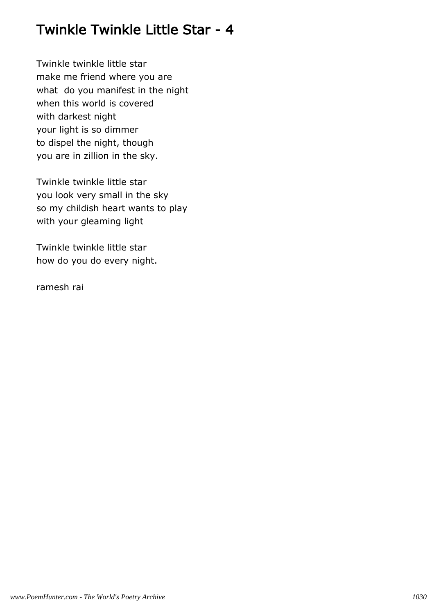Twinkle twinkle little star make me friend where you are what do you manifest in the night when this world is covered with darkest night your light is so dimmer to dispel the night, though you are in zillion in the sky.

Twinkle twinkle little star you look very small in the sky so my childish heart wants to play with your gleaming light

Twinkle twinkle little star how do you do every night.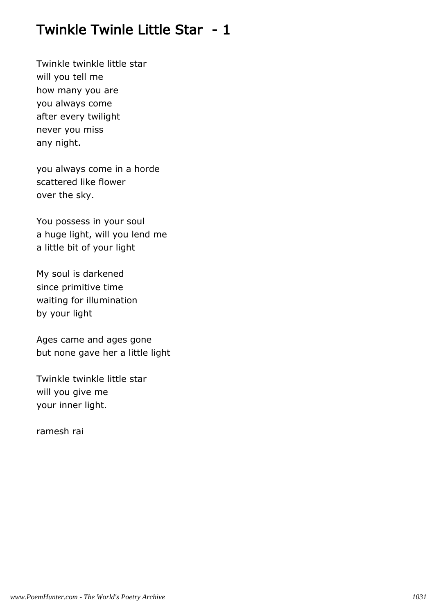Twinkle twinkle little star will you tell me how many you are you always come after every twilight never you miss any night.

you always come in a horde scattered like flower over the sky.

You possess in your soul a huge light, will you lend me a little bit of your light

My soul is darkened since primitive time waiting for illumination by your light

Ages came and ages gone but none gave her a little light

Twinkle twinkle little star will you give me your inner light.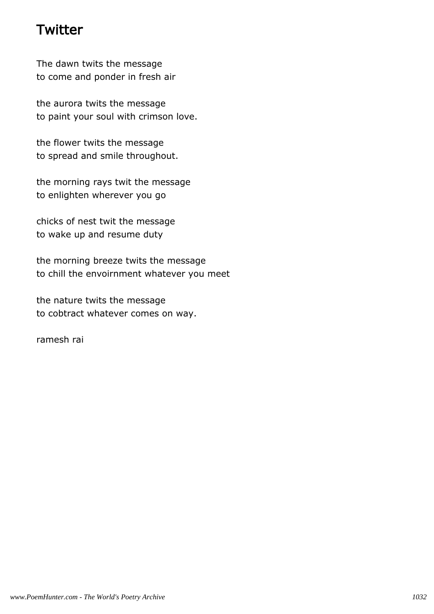#### Twitter

The dawn twits the message to come and ponder in fresh air

the aurora twits the message to paint your soul with crimson love.

the flower twits the message to spread and smile throughout.

the morning rays twit the message to enlighten wherever you go

chicks of nest twit the message to wake up and resume duty

the morning breeze twits the message to chill the envoirnment whatever you meet

the nature twits the message to cobtract whatever comes on way.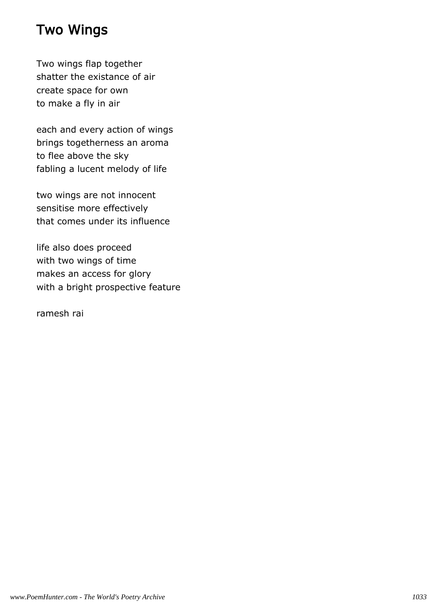### Two Wings

Two wings flap together shatter the existance of air create space for own to make a fly in air

each and every action of wings brings togetherness an aroma to flee above the sky fabling a lucent melody of life

two wings are not innocent sensitise more effectively that comes under its influence

life also does proceed with two wings of time makes an access for glory with a bright prospective feature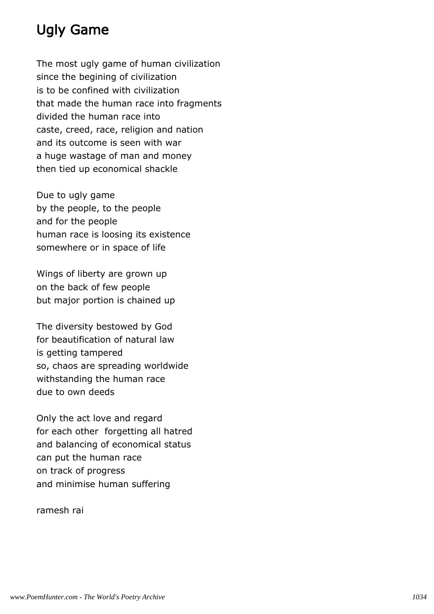# Ugly Game

The most ugly game of human civilization since the begining of civilization is to be confined with civilization that made the human race into fragments divided the human race into caste, creed, race, religion and nation and its outcome is seen with war a huge wastage of man and money then tied up economical shackle

Due to ugly game by the people, to the people and for the people human race is loosing its existence somewhere or in space of life

Wings of liberty are grown up on the back of few people but major portion is chained up

The diversity bestowed by God for beautification of natural law is getting tampered so, chaos are spreading worldwide withstanding the human race due to own deeds

Only the act love and regard for each other forgetting all hatred and balancing of economical status can put the human race on track of progress and minimise human suffering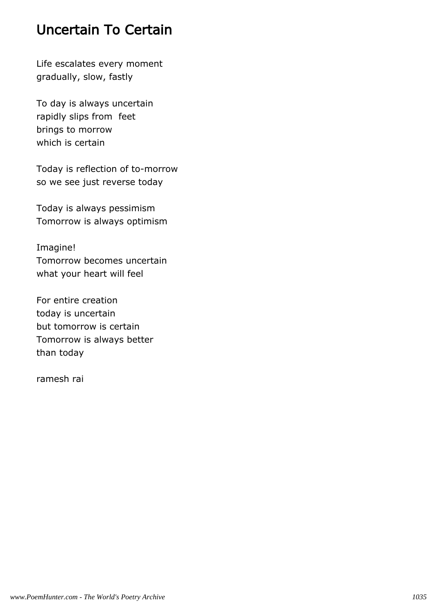### Uncertain To Certain

Life escalates every moment gradually, slow, fastly

To day is always uncertain rapidly slips from feet brings to morrow which is certain

Today is reflection of to-morrow so we see just reverse today

Today is always pessimism Tomorrow is always optimism

Imagine! Tomorrow becomes uncertain what your heart will feel

For entire creation today is uncertain but tomorrow is certain Tomorrow is always better than today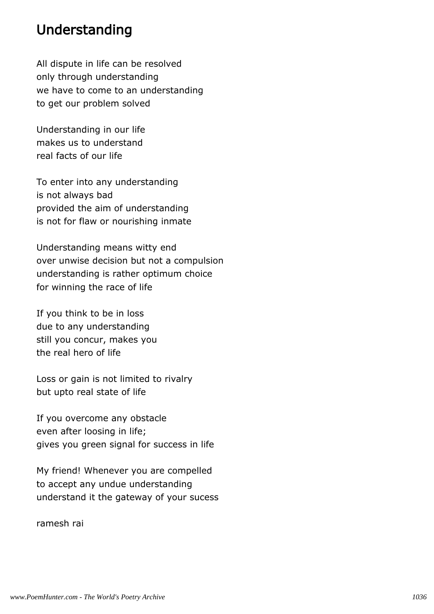### Understanding

All dispute in life can be resolved only through understanding we have to come to an understanding to get our problem solved

Understanding in our life makes us to understand real facts of our life

To enter into any understanding is not always bad provided the aim of understanding is not for flaw or nourishing inmate

Understanding means witty end over unwise decision but not a compulsion understanding is rather optimum choice for winning the race of life

If you think to be in loss due to any understanding still you concur, makes you the real hero of life

Loss or gain is not limited to rivalry but upto real state of life

If you overcome any obstacle even after loosing in life; gives you green signal for success in life

My friend! Whenever you are compelled to accept any undue understanding understand it the gateway of your sucess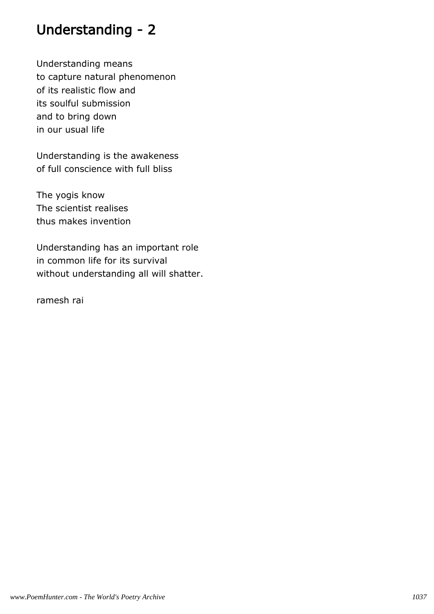## Understanding - 2

Understanding means to capture natural phenomenon of its realistic flow and its soulful submission and to bring down in our usual life

Understanding is the awakeness of full conscience with full bliss

The yogis know The scientist realises thus makes invention

Understanding has an important role in common life for its survival without understanding all will shatter.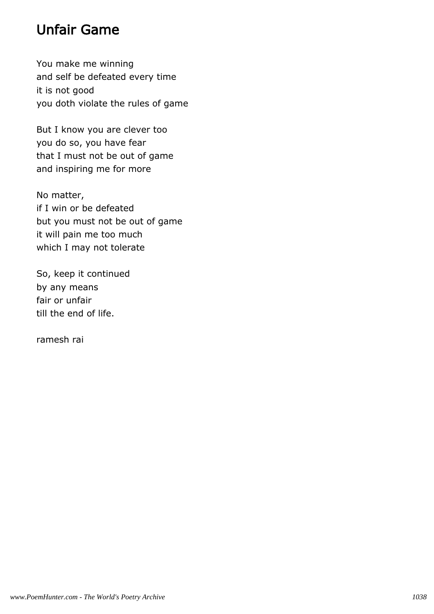### Unfair Game

You make me winning and self be defeated every time it is not good you doth violate the rules of game

But I know you are clever too you do so, you have fear that I must not be out of game and inspiring me for more

No matter, if I win or be defeated but you must not be out of game it will pain me too much which I may not tolerate

So, keep it continued by any means fair or unfair till the end of life.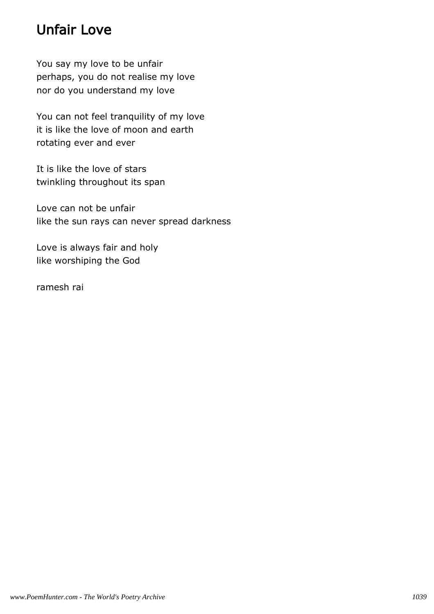## Unfair Love

You say my love to be unfair perhaps, you do not realise my love nor do you understand my love

You can not feel tranquility of my love it is like the love of moon and earth rotating ever and ever

It is like the love of stars twinkling throughout its span

Love can not be unfair like the sun rays can never spread darkness

Love is always fair and holy like worshiping the God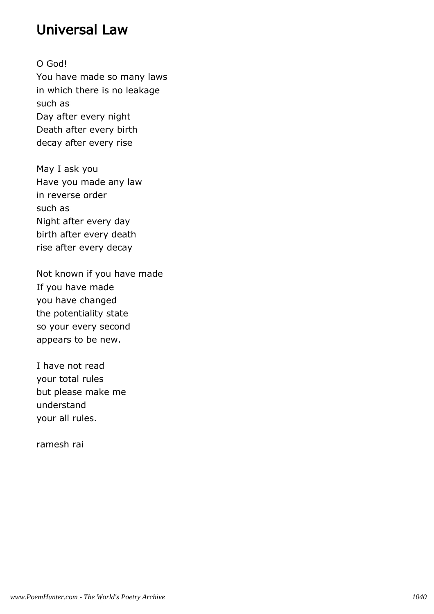#### Universal Law

O God!

You have made so many laws in which there is no leakage such as Day after every night Death after every birth decay after every rise

May I ask you Have you made any law in reverse order such as Night after every day birth after every death rise after every decay

Not known if you have made If you have made you have changed the potentiality state so your every second appears to be new.

I have not read your total rules but please make me understand your all rules.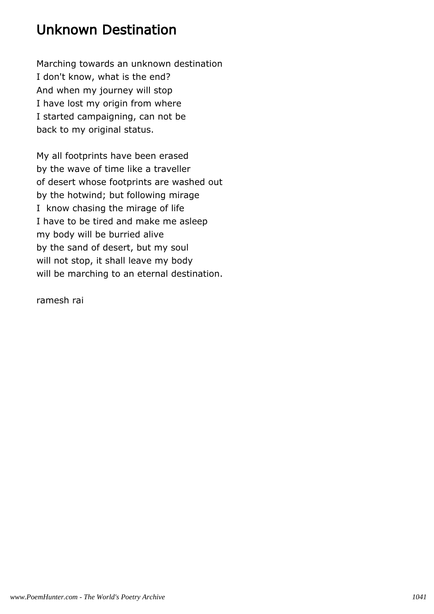### Unknown Destination

Marching towards an unknown destination I don't know, what is the end? And when my journey will stop I have lost my origin from where I started campaigning, can not be back to my original status.

My all footprints have been erased by the wave of time like a traveller of desert whose footprints are washed out by the hotwind; but following mirage I know chasing the mirage of life I have to be tired and make me asleep my body will be burried alive by the sand of desert, but my soul will not stop, it shall leave my body will be marching to an eternal destination.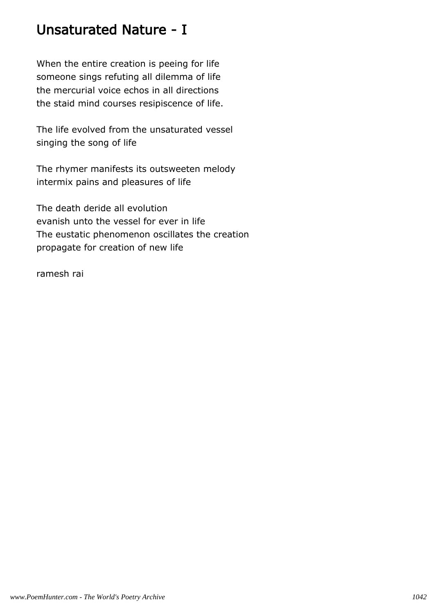## Unsaturated Nature - I

When the entire creation is peeing for life someone sings refuting all dilemma of life the mercurial voice echos in all directions the staid mind courses resipiscence of life.

The life evolved from the unsaturated vessel singing the song of life

The rhymer manifests its outsweeten melody intermix pains and pleasures of life

The death deride all evolution evanish unto the vessel for ever in life The eustatic phenomenon oscillates the creation propagate for creation of new life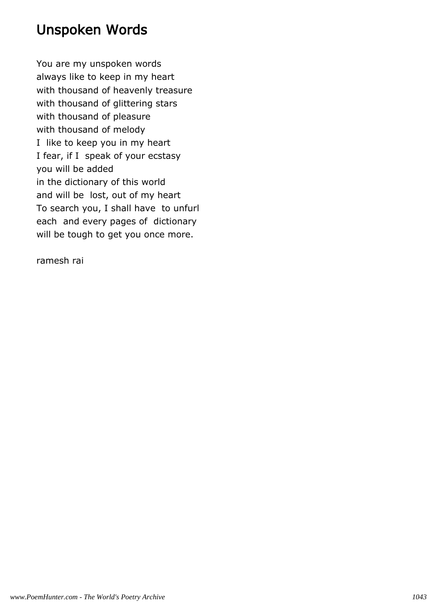### Unspoken Words

You are my unspoken words always like to keep in my heart with thousand of heavenly treasure with thousand of glittering stars with thousand of pleasure with thousand of melody I like to keep you in my heart I fear, if I speak of your ecstasy you will be added in the dictionary of this world and will be lost, out of my heart To search you, I shall have to unfurl each and every pages of dictionary will be tough to get you once more.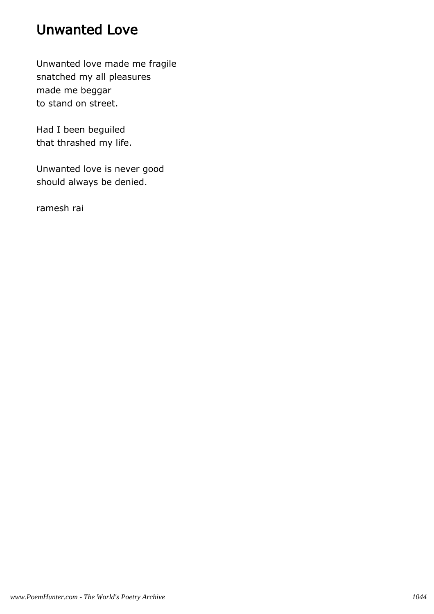## Unwanted Love

Unwanted love made me fragile snatched my all pleasures made me beggar to stand on street.

Had I been beguiled that thrashed my life.

Unwanted love is never good should always be denied.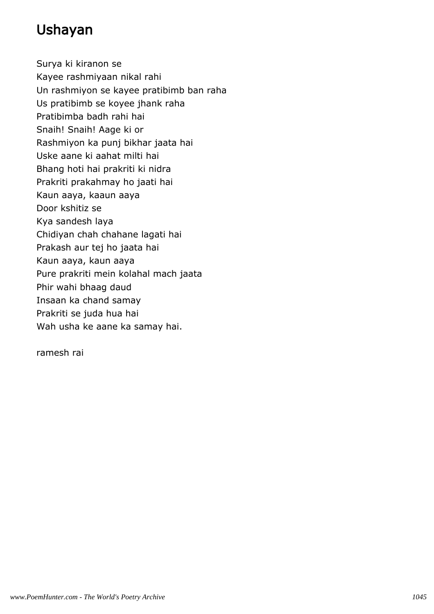# Ushayan

Surya ki kiranon se Kayee rashmiyaan nikal rahi

Un rashmiyon se kayee pratibimb ban raha

Us pratibimb se koyee jhank raha

Pratibimba badh rahi hai

Snaih! Snaih! Aage ki or

Rashmiyon ka punj bikhar jaata hai

Uske aane ki aahat milti hai

Bhang hoti hai prakriti ki nidra

Prakriti prakahmay ho jaati hai

Kaun aaya, kaaun aaya

Door kshitiz se

Kya sandesh laya

Chidiyan chah chahane lagati hai

Prakash aur tej ho jaata hai

Kaun aaya, kaun aaya

Pure prakriti mein kolahal mach jaata

Phir wahi bhaag daud

Insaan ka chand samay

Prakriti se juda hua hai

Wah usha ke aane ka samay hai.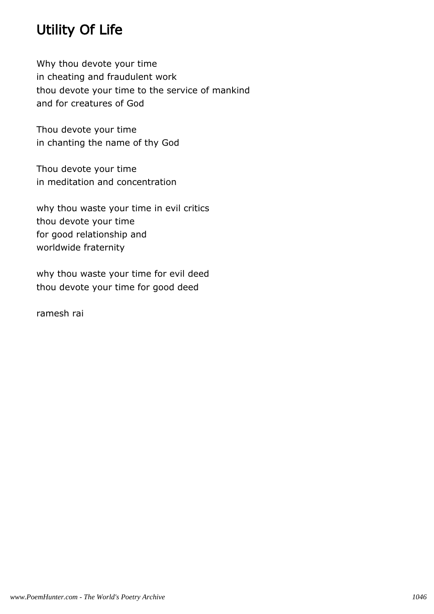# Utility Of Life

Why thou devote your time in cheating and fraudulent work thou devote your time to the service of mankind and for creatures of God

Thou devote your time in chanting the name of thy God

Thou devote your time in meditation and concentration

why thou waste your time in evil critics thou devote your time for good relationship and worldwide fraternity

why thou waste your time for evil deed thou devote your time for good deed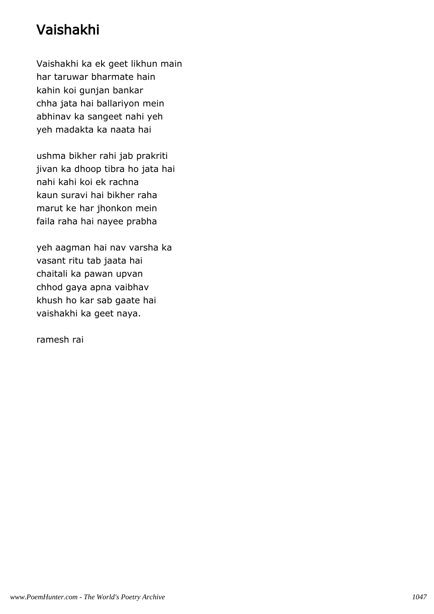# Vaishakhi

Vaishakhi ka ek geet likhun main har taruwar bharmate hain kahin koi gunjan bankar chha jata hai ballariyon mein abhinav ka sangeet nahi yeh yeh madakta ka naata hai

ushma bikher rahi jab prakriti jivan ka dhoop tibra ho jata hai nahi kahi koi ek rachna kaun suravi hai bikher raha marut ke har jhonkon mein faila raha hai nayee prabha

yeh aagman hai nav varsha ka vasant ritu tab jaata hai chaitali ka pawan upvan chhod gaya apna vaibhav khush ho kar sab gaate hai vaishakhi ka geet naya.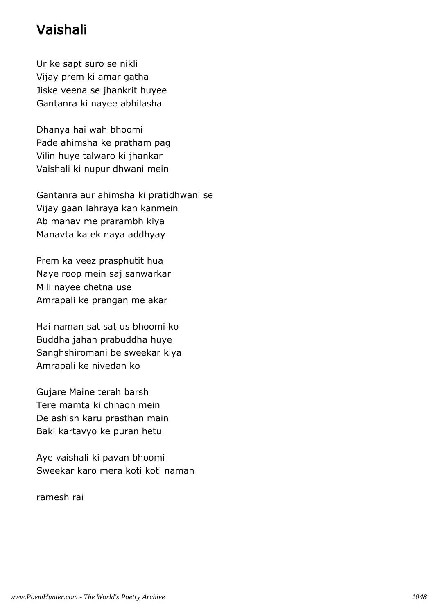## Vaishali

Ur ke sapt suro se nikli Vijay prem ki amar gatha Jiske veena se jhankrit huyee Gantanra ki nayee abhilasha

Dhanya hai wah bhoomi Pade ahimsha ke pratham pag Vilin huye talwaro ki jhankar Vaishali ki nupur dhwani mein

Gantanra aur ahimsha ki pratidhwani se Vijay gaan lahraya kan kanmein Ab manav me prarambh kiya Manavta ka ek naya addhyay

Prem ka veez prasphutit hua Naye roop mein saj sanwarkar Mili nayee chetna use Amrapali ke prangan me akar

Hai naman sat sat us bhoomi ko Buddha jahan prabuddha huye Sanghshiromani be sweekar kiya Amrapali ke nivedan ko

Gujare Maine terah barsh Tere mamta ki chhaon mein De ashish karu prasthan main Baki kartavyo ke puran hetu

Aye vaishali ki pavan bhoomi Sweekar karo mera koti koti naman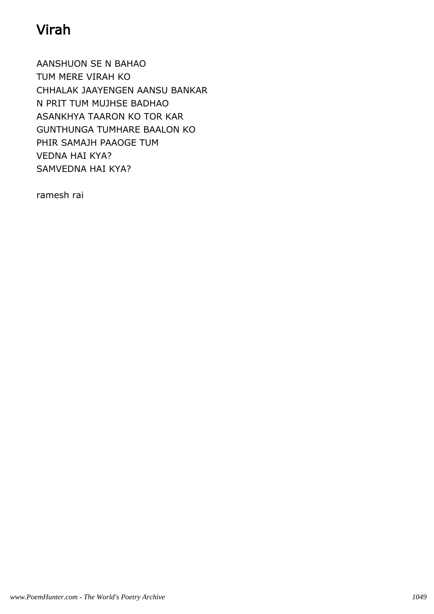# Virah

AANSHUON SE N BAHAO TUM MERE VIRAH KO CHHALAK JAAYENGEN AANSU BANKAR N PRIT TUM MUJHSE BADHAO ASANKHYA TAARON KO TOR KAR GUNTHUNGA TUMHARE BAALON KO PHIR SAMAJH PAAOGE TUM VEDNA HAI KYA? SAMVEDNA HAI KYA?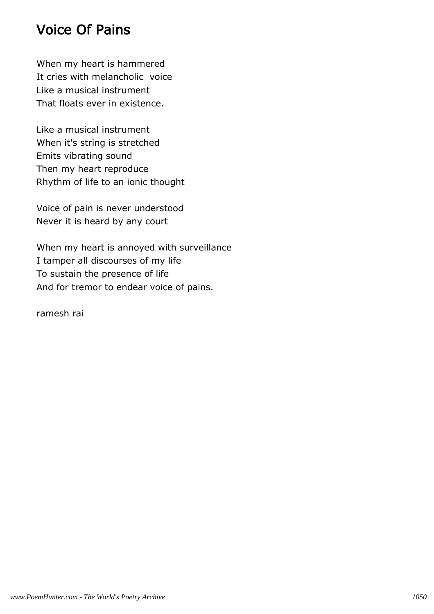### Voice Of Pains

When my heart is hammered It cries with melancholic voice Like a musical instrument That floats ever in existence.

Like a musical instrument When it's string is stretched Emits vibrating sound Then my heart reproduce Rhythm of life to an ionic thought

Voice of pain is never understood Never it is heard by any court

When my heart is annoyed with surveillance I tamper all discourses of my life To sustain the presence of life And for tremor to endear voice of pains.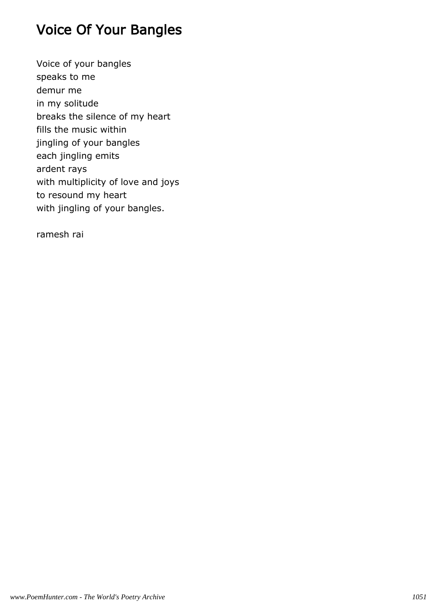# Voice Of Your Bangles

Voice of your bangles speaks to me demur me in my solitude breaks the silence of my heart fills the music within jingling of your bangles each jingling emits ardent rays with multiplicity of love and joys to resound my heart with jingling of your bangles.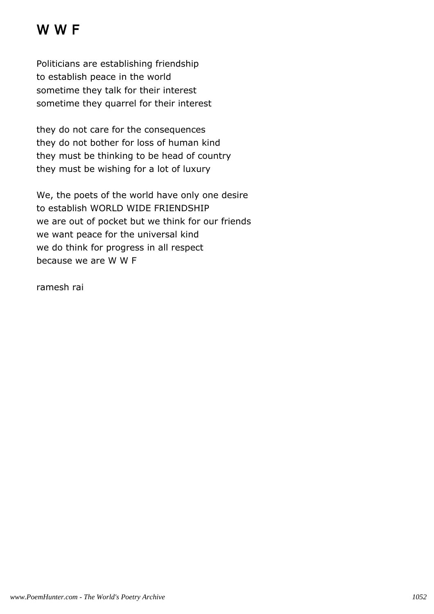# W W F

Politicians are establishing friendship to establish peace in the world sometime they talk for their interest sometime they quarrel for their interest

they do not care for the consequences they do not bother for loss of human kind they must be thinking to be head of country they must be wishing for a lot of luxury

We, the poets of the world have only one desire to establish WORLD WIDE FRIENDSHIP we are out of pocket but we think for our friends we want peace for the universal kind we do think for progress in all respect because we are W W F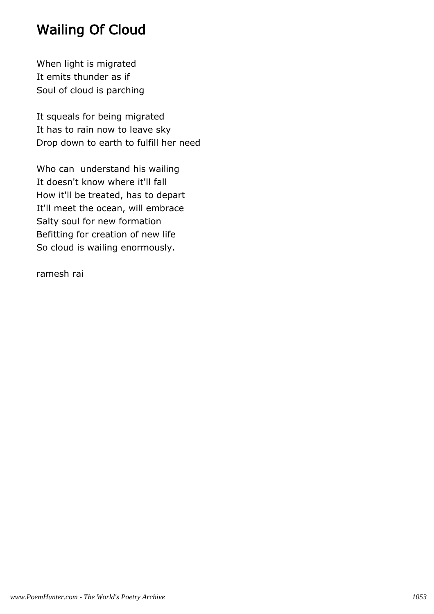# Wailing Of Cloud

When light is migrated It emits thunder as if Soul of cloud is parching

It squeals for being migrated It has to rain now to leave sky Drop down to earth to fulfill her need

Who can understand his wailing It doesn't know where it'll fall How it'll be treated, has to depart It'll meet the ocean, will embrace Salty soul for new formation Befitting for creation of new life So cloud is wailing enormously.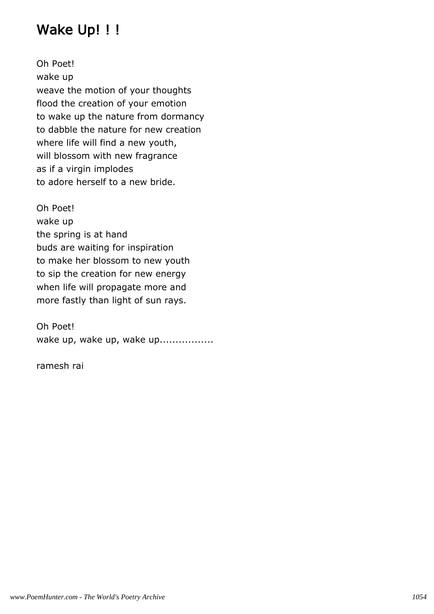## Wake Up! !!

Oh Poet! wake up weave the motion of your thoughts flood the creation of your emotion to wake up the nature from dormancy to dabble the nature for new creation where life will find a new youth, will blossom with new fragrance as if a virgin implodes to adore herself to a new bride.

Oh Poet! wake up the spring is at hand buds are waiting for inspiration to make her blossom to new youth to sip the creation for new energy when life will propagate more and more fastly than light of sun rays.

Oh Poet! wake up, wake up, wake up.................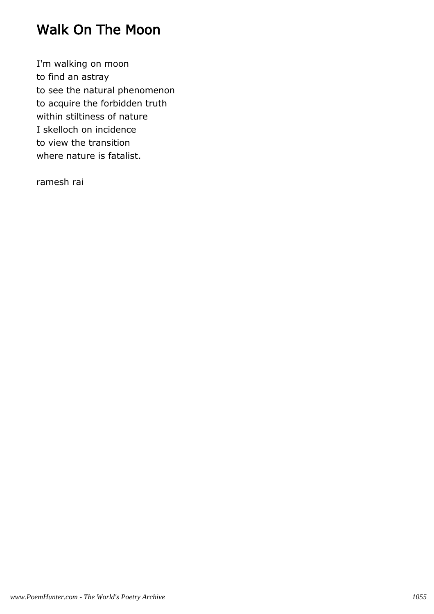### Walk On The Moon

I'm walking on moon to find an astray to see the natural phenomenon to acquire the forbidden truth within stiltiness of nature I skelloch on incidence to view the transition where nature is fatalist.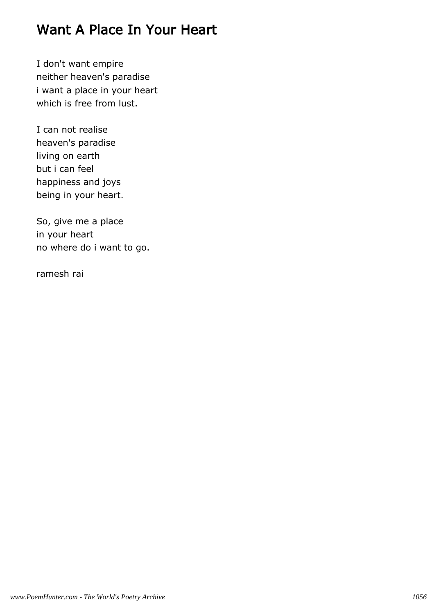## Want A Place In Your Heart

I don't want empire neither heaven's paradise i want a place in your heart which is free from lust.

I can not realise heaven's paradise living on earth but i can feel happiness and joys being in your heart.

So, give me a place in your heart no where do i want to go.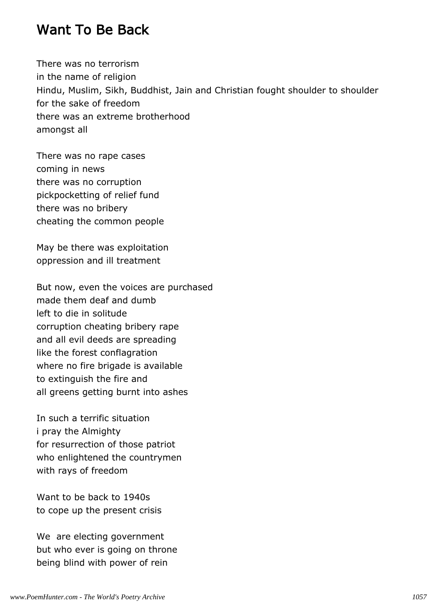#### Want To Be Back

There was no terrorism in the name of religion Hindu, Muslim, Sikh, Buddhist, Jain and Christian fought shoulder to shoulder for the sake of freedom there was an extreme brotherhood amongst all

There was no rape cases coming in news there was no corruption pickpocketting of relief fund there was no bribery cheating the common people

May be there was exploitation oppression and ill treatment

But now, even the voices are purchased made them deaf and dumb left to die in solitude corruption cheating bribery rape and all evil deeds are spreading like the forest conflagration where no fire brigade is available to extinguish the fire and all greens getting burnt into ashes

In such a terrific situation i pray the Almighty for resurrection of those patriot who enlightened the countrymen with rays of freedom

Want to be back to 1940s to cope up the present crisis

We are electing government but who ever is going on throne being blind with power of rein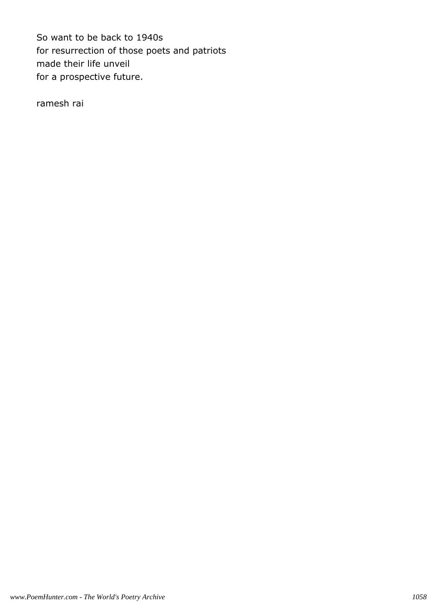So want to be back to 1940s for resurrection of those poets and patriots made their life unveil for a prospective future.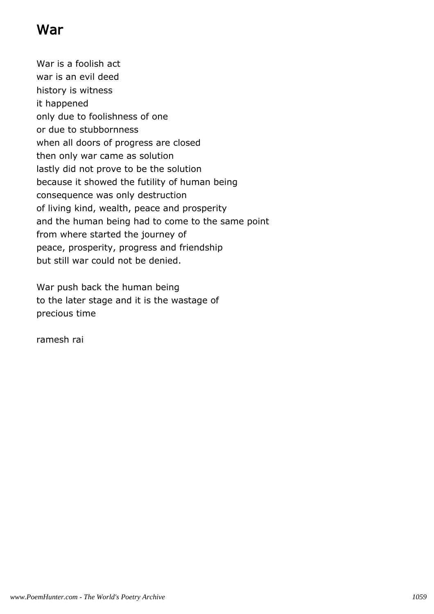## War

War is a foolish act war is an evil deed history is witness it happened only due to foolishness of one or due to stubbornness when all doors of progress are closed then only war came as solution lastly did not prove to be the solution because it showed the futility of human being consequence was only destruction of living kind, wealth, peace and prosperity and the human being had to come to the same point from where started the journey of peace, prosperity, progress and friendship but still war could not be denied.

War push back the human being to the later stage and it is the wastage of precious time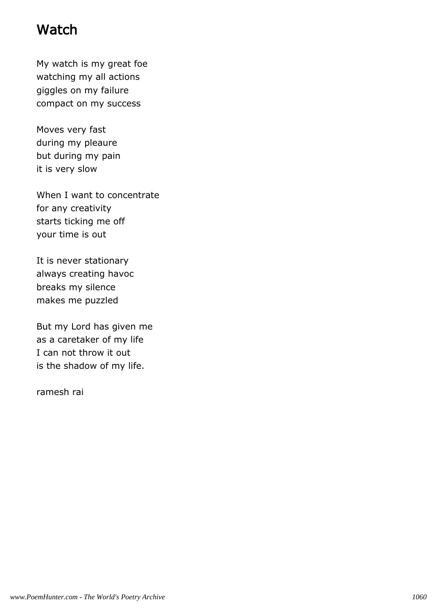#### Watch

My watch is my great foe watching my all actions giggles on my failure compact on my success

Moves very fast during my pleaure but during my pain it is very slow

When I want to concentrate for any creativity starts ticking me off your time is out

It is never stationary always creating havoc breaks my silence makes me puzzled

But my Lord has given me as a caretaker of my life I can not throw it out is the shadow of my life.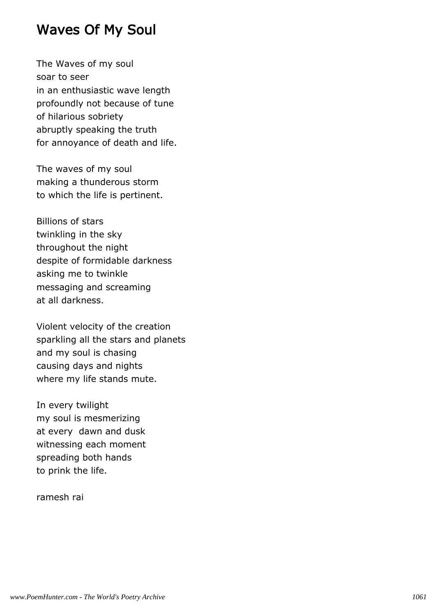#### Waves Of My Soul

The Waves of my soul soar to seer in an enthusiastic wave length profoundly not because of tune of hilarious sobriety abruptly speaking the truth for annoyance of death and life.

The waves of my soul making a thunderous storm to which the life is pertinent.

Billions of stars twinkling in the sky throughout the night despite of formidable darkness asking me to twinkle messaging and screaming at all darkness.

Violent velocity of the creation sparkling all the stars and planets and my soul is chasing causing days and nights where my life stands mute.

In every twilight my soul is mesmerizing at every dawn and dusk witnessing each moment spreading both hands to prink the life.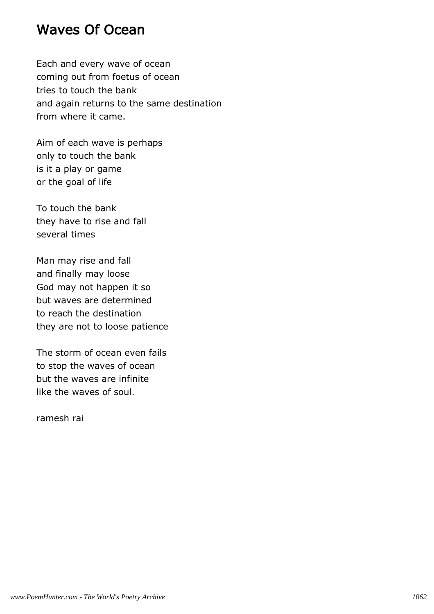#### Waves Of Ocean

Each and every wave of ocean coming out from foetus of ocean tries to touch the bank and again returns to the same destination from where it came.

Aim of each wave is perhaps only to touch the bank is it a play or game or the goal of life

To touch the bank they have to rise and fall several times

Man may rise and fall and finally may loose God may not happen it so but waves are determined to reach the destination they are not to loose patience

The storm of ocean even fails to stop the waves of ocean but the waves are infinite like the waves of soul.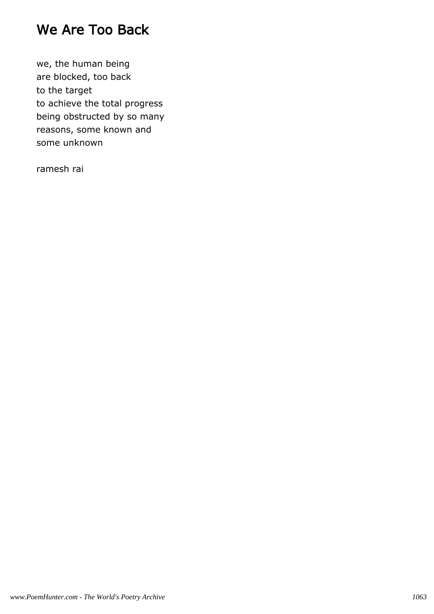### We Are Too Back

we, the human being are blocked, too back to the target to achieve the total progress being obstructed by so many reasons, some known and some unknown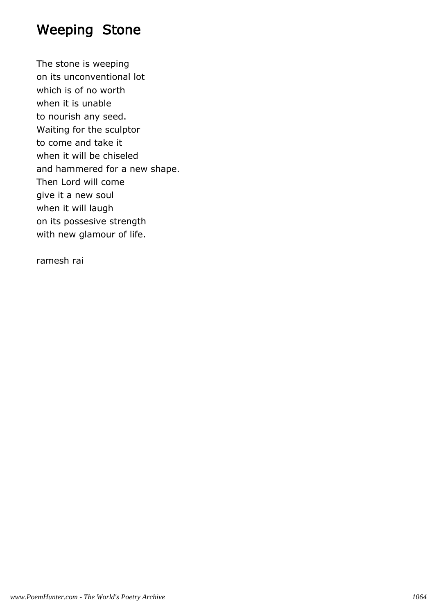### Weeping Stone

The stone is weeping on its unconventional lot which is of no worth when it is unable to nourish any seed. Waiting for the sculptor to come and take it when it will be chiseled and hammered for a new shape. Then Lord will come give it a new soul when it will laugh on its possesive strength with new glamour of life.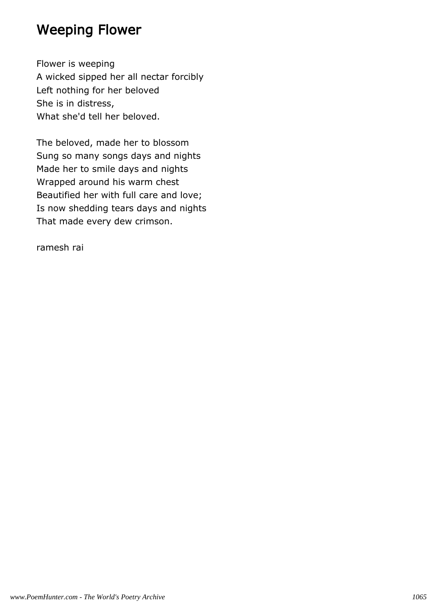### Weeping Flower

Flower is weeping A wicked sipped her all nectar forcibly Left nothing for her beloved She is in distress, What she'd tell her beloved.

The beloved, made her to blossom Sung so many songs days and nights Made her to smile days and nights Wrapped around his warm chest Beautified her with full care and love; Is now shedding tears days and nights That made every dew crimson.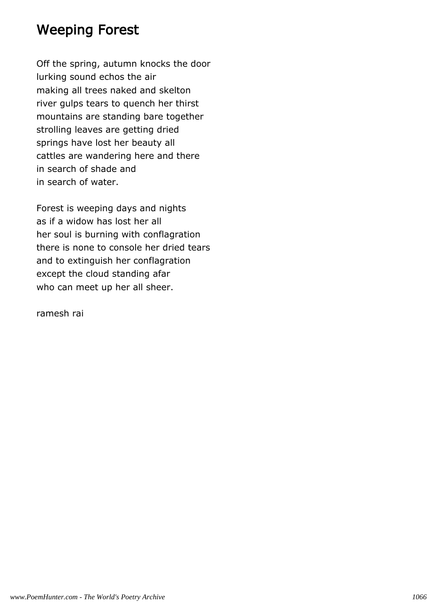### Weeping Forest

Off the spring, autumn knocks the door lurking sound echos the air making all trees naked and skelton river gulps tears to quench her thirst mountains are standing bare together strolling leaves are getting dried springs have lost her beauty all cattles are wandering here and there in search of shade and in search of water.

Forest is weeping days and nights as if a widow has lost her all her soul is burning with conflagration there is none to console her dried tears and to extinguish her conflagration except the cloud standing afar who can meet up her all sheer.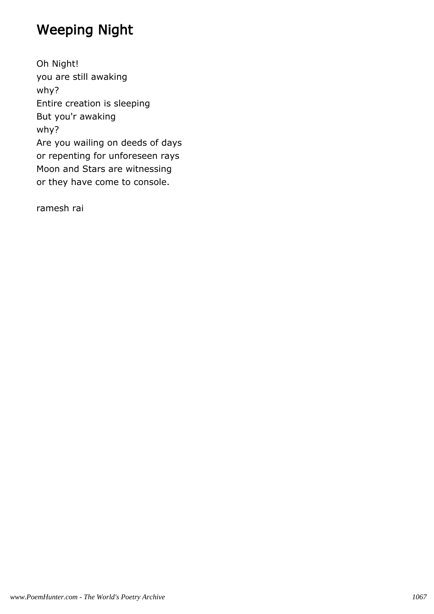# Weeping Night

Oh Night! you are still awaking why? Entire creation is sleeping But you'r awaking why? Are you wailing on deeds of days or repenting for unforeseen rays Moon and Stars are witnessing or they have come to console.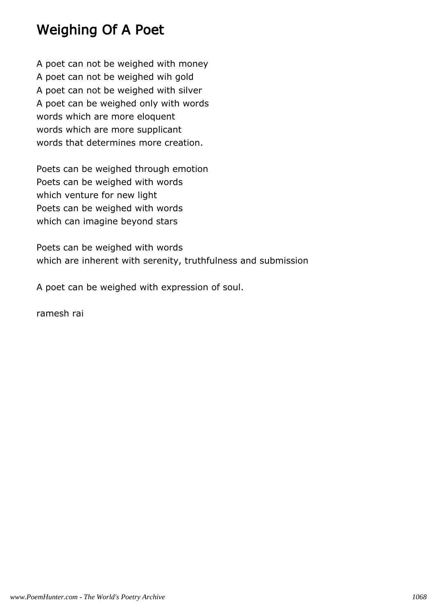## Weighing Of A Poet

A poet can not be weighed with money A poet can not be weighed wih gold A poet can not be weighed with silver A poet can be weighed only with words words which are more eloquent words which are more supplicant words that determines more creation.

Poets can be weighed through emotion Poets can be weighed with words which venture for new light Poets can be weighed with words which can imagine beyond stars

Poets can be weighed with words which are inherent with serenity, truthfulness and submission

A poet can be weighed with expression of soul.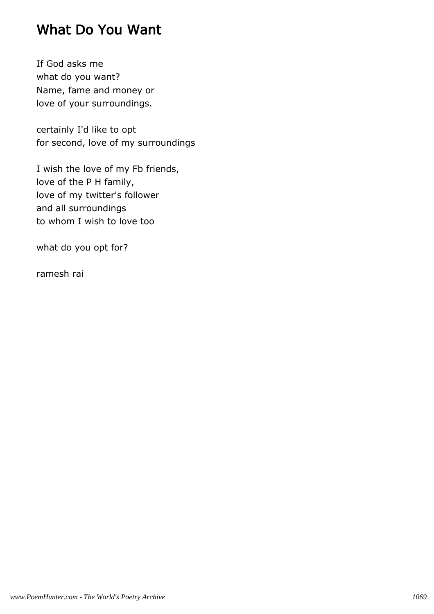### What Do You Want

If God asks me what do you want? Name, fame and money or love of your surroundings.

certainly I'd like to opt for second, love of my surroundings

I wish the love of my Fb friends, love of the P H family, love of my twitter's follower and all surroundings to whom I wish to love too

what do you opt for?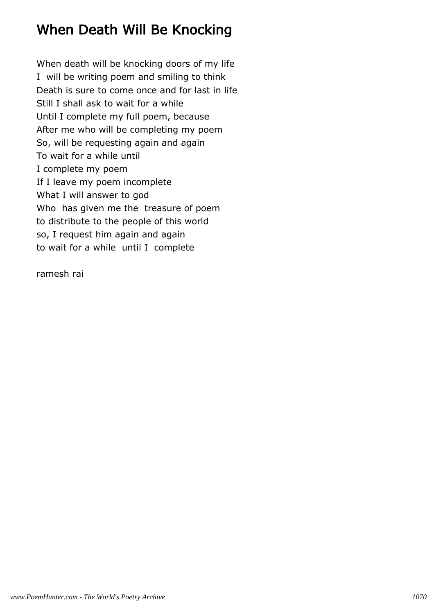# When Death Will Be Knocking

When death will be knocking doors of my life I will be writing poem and smiling to think Death is sure to come once and for last in life Still I shall ask to wait for a while Until I complete my full poem, because After me who will be completing my poem So, will be requesting again and again To wait for a while until I complete my poem If I leave my poem incomplete What I will answer to god Who has given me the treasure of poem to distribute to the people of this world so, I request him again and again to wait for a while until I complete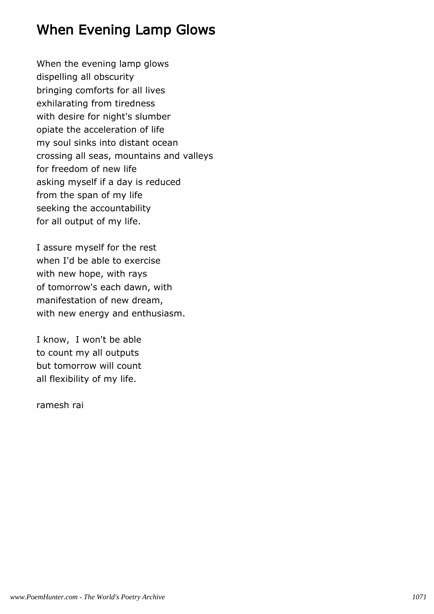## When Evening Lamp Glows

When the evening lamp glows dispelling all obscurity bringing comforts for all lives exhilarating from tiredness with desire for night's slumber opiate the acceleration of life my soul sinks into distant ocean crossing all seas, mountains and valleys for freedom of new life asking myself if a day is reduced from the span of my life seeking the accountability for all output of my life.

I assure myself for the rest when I'd be able to exercise with new hope, with rays of tomorrow's each dawn, with manifestation of new dream, with new energy and enthusiasm.

I know, I won't be able to count my all outputs but tomorrow will count all flexibility of my life.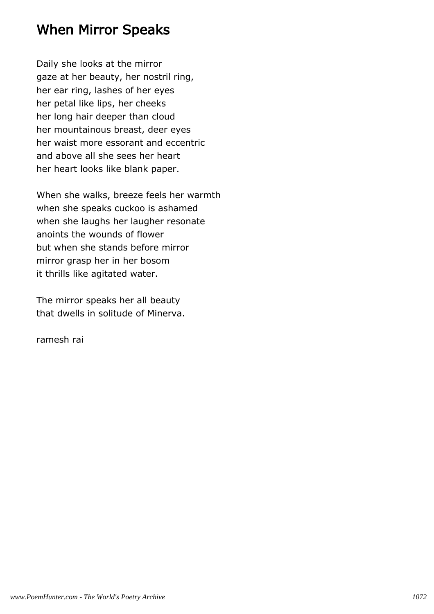### When Mirror Speaks

Daily she looks at the mirror gaze at her beauty, her nostril ring, her ear ring, lashes of her eyes her petal like lips, her cheeks her long hair deeper than cloud her mountainous breast, deer eyes her waist more essorant and eccentric and above all she sees her heart her heart looks like blank paper.

When she walks, breeze feels her warmth when she speaks cuckoo is ashamed when she laughs her laugher resonate anoints the wounds of flower but when she stands before mirror mirror grasp her in her bosom it thrills like agitated water.

The mirror speaks her all beauty that dwells in solitude of Minerva.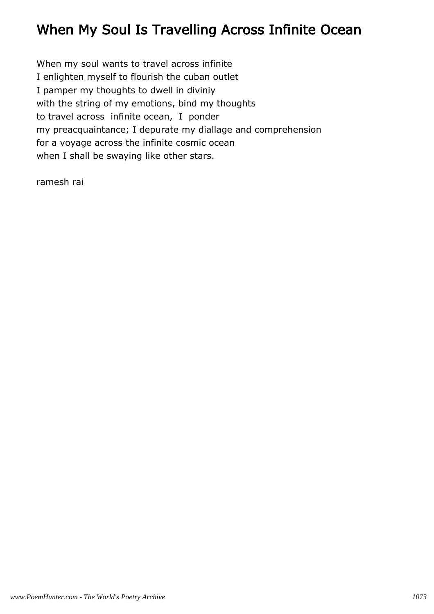## When My Soul Is Travelling Across Infinite Ocean

When my soul wants to travel across infinite I enlighten myself to flourish the cuban outlet I pamper my thoughts to dwell in diviniy with the string of my emotions, bind my thoughts to travel across infinite ocean, I ponder my preacquaintance; I depurate my diallage and comprehension for a voyage across the infinite cosmic ocean when I shall be swaying like other stars.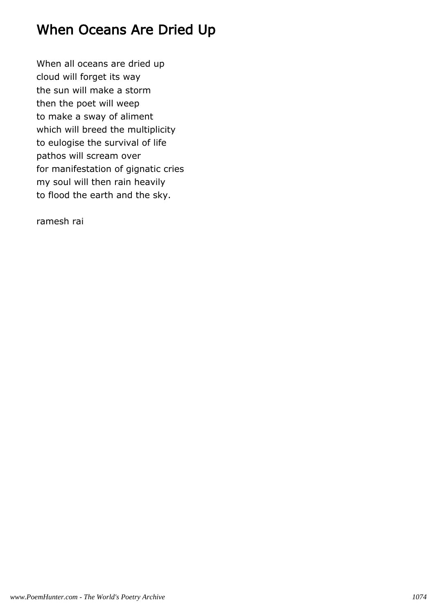## When Oceans Are Dried Up

When all oceans are dried up cloud will forget its way the sun will make a storm then the poet will weep to make a sway of aliment which will breed the multiplicity to eulogise the survival of life pathos will scream over for manifestation of gignatic cries my soul will then rain heavily to flood the earth and the sky.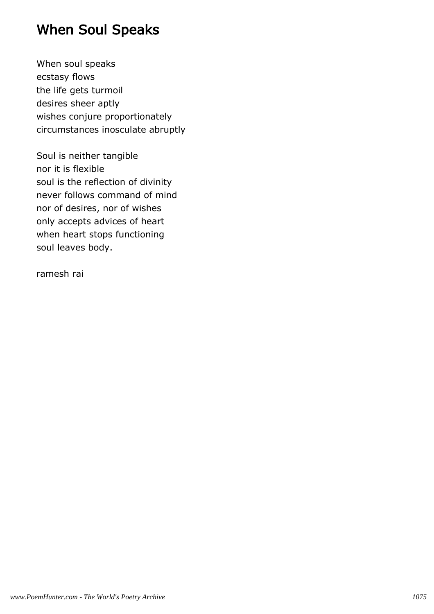## When Soul Speaks

When soul speaks ecstasy flows the life gets turmoil desires sheer aptly wishes conjure proportionately circumstances inosculate abruptly

Soul is neither tangible nor it is flexible soul is the reflection of divinity never follows command of mind nor of desires, nor of wishes only accepts advices of heart when heart stops functioning soul leaves body.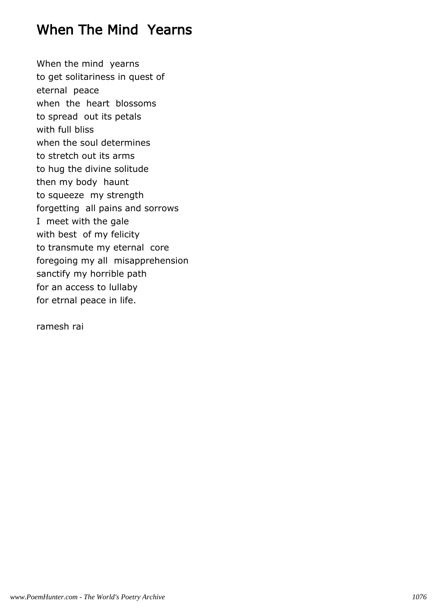### When The Mind Yearns

When the mind yearns to get solitariness in quest of eternal peace when the heart blossoms to spread out its petals with full bliss when the soul determines to stretch out its arms to hug the divine solitude then my body haunt to squeeze my strength forgetting all pains and sorrows I meet with the gale with best of my felicity to transmute my eternal core foregoing my all misapprehension sanctify my horrible path for an access to lullaby for etrnal peace in life.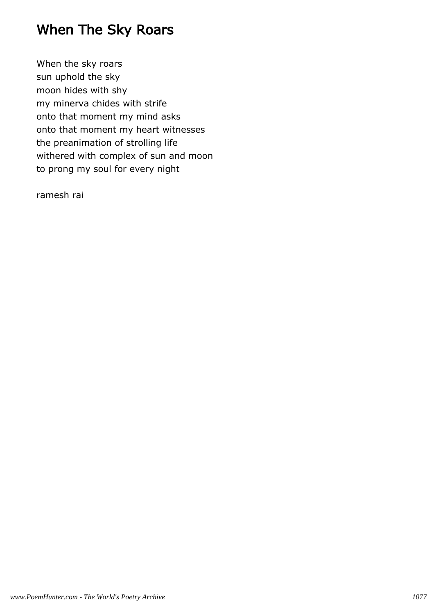## When The Sky Roars

When the sky roars sun uphold the sky moon hides with shy my minerva chides with strife onto that moment my mind asks onto that moment my heart witnesses the preanimation of strolling life withered with complex of sun and moon to prong my soul for every night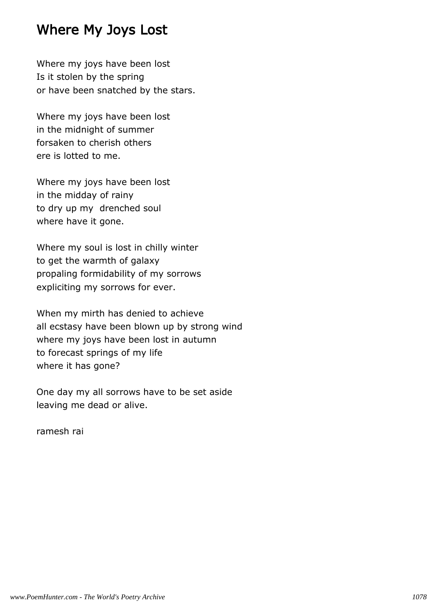#### Where My Joys Lost

Where my joys have been lost Is it stolen by the spring or have been snatched by the stars.

Where my joys have been lost in the midnight of summer forsaken to cherish others ere is lotted to me.

Where my joys have been lost in the midday of rainy to dry up my drenched soul where have it gone.

Where my soul is lost in chilly winter to get the warmth of galaxy propaling formidability of my sorrows expliciting my sorrows for ever.

When my mirth has denied to achieve all ecstasy have been blown up by strong wind where my joys have been lost in autumn to forecast springs of my life where it has gone?

One day my all sorrows have to be set aside leaving me dead or alive.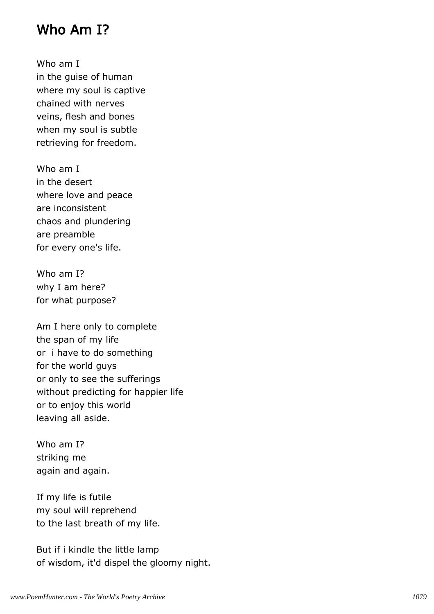#### Who Am I?

Who am I in the guise of human where my soul is captive chained with nerves veins, flesh and bones when my soul is subtle retrieving for freedom.

Who am I in the desert where love and peace are inconsistent chaos and plundering are preamble for every one's life.

Who am I? why I am here? for what purpose?

Am I here only to complete the span of my life or i have to do something for the world guys or only to see the sufferings without predicting for happier life or to enjoy this world leaving all aside.

Who am I? striking me again and again.

If my life is futile my soul will reprehend to the last breath of my life.

But if i kindle the little lamp of wisdom, it'd dispel the gloomy night.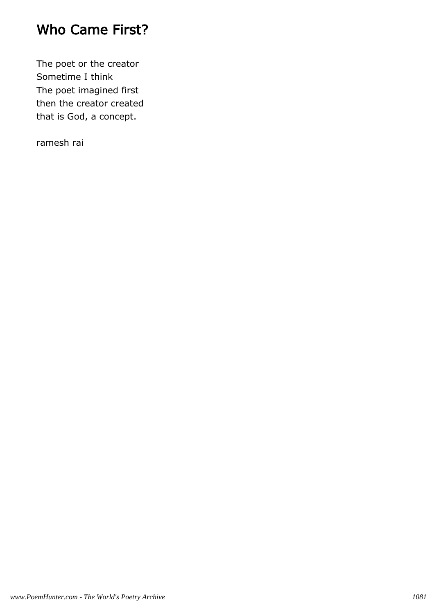# Who Came First?

The poet or the creator Sometime I think The poet imagined first then the creator created that is God, a concept.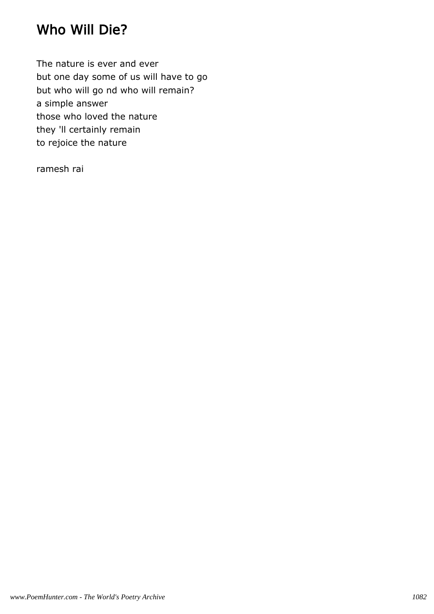# Who Will Die?

The nature is ever and ever but one day some of us will have to go but who will go nd who will remain? a simple answer those who loved the nature they 'll certainly remain to rejoice the nature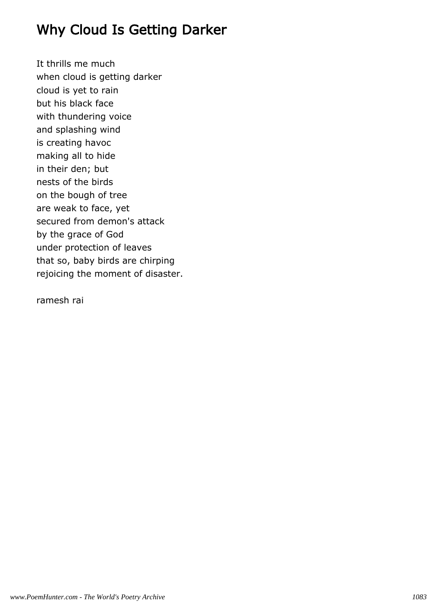# Why Cloud Is Getting Darker

It thrills me much when cloud is getting darker cloud is yet to rain but his black face with thundering voice and splashing wind is creating havoc making all to hide in their den; but nests of the birds on the bough of tree are weak to face, yet secured from demon's attack by the grace of God under protection of leaves that so, baby birds are chirping rejoicing the moment of disaster.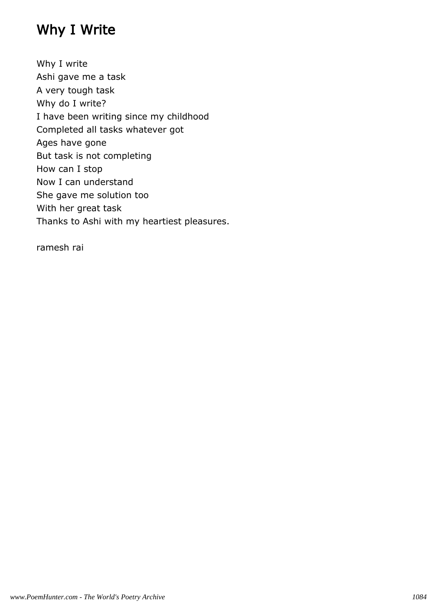## Why I Write

Why I write Ashi gave me a task A very tough task Why do I write? I have been writing since my childhood Completed all tasks whatever got Ages have gone But task is not completing How can I stop Now I can understand She gave me solution too With her great task Thanks to Ashi with my heartiest pleasures.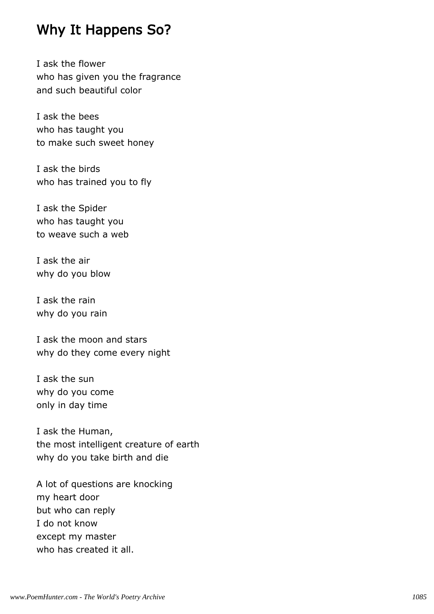## Why It Happens So?

I ask the flower who has given you the fragrance and such beautiful color

I ask the bees who has taught you to make such sweet honey

I ask the birds who has trained you to fly

I ask the Spider who has taught you to weave such a web

I ask the air why do you blow

I ask the rain why do you rain

I ask the moon and stars why do they come every night

I ask the sun why do you come only in day time

I ask the Human, the most intelligent creature of earth why do you take birth and die

A lot of questions are knocking my heart door but who can reply I do not know except my master who has created it all.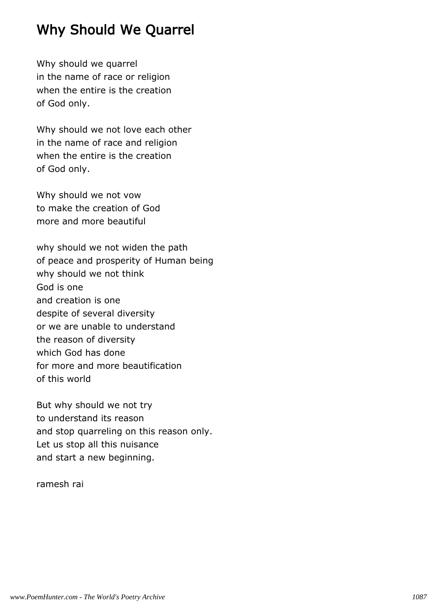# Why Should We Quarrel

Why should we quarrel in the name of race or religion when the entire is the creation of God only.

Why should we not love each other in the name of race and religion when the entire is the creation of God only.

Why should we not vow to make the creation of God more and more beautiful

why should we not widen the path of peace and prosperity of Human being why should we not think God is one and creation is one despite of several diversity or we are unable to understand the reason of diversity which God has done for more and more beautification of this world

But why should we not try to understand its reason and stop quarreling on this reason only. Let us stop all this nuisance and start a new beginning.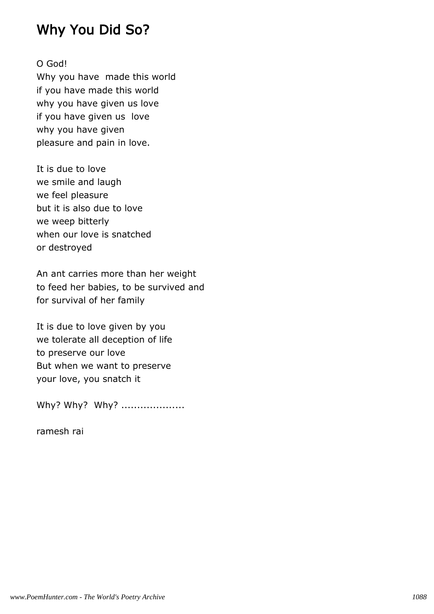## Why You Did So?

#### O God!

Why you have made this world if you have made this world why you have given us love if you have given us love why you have given pleasure and pain in love.

It is due to love we smile and laugh we feel pleasure but it is also due to love we weep bitterly when our love is snatched or destroyed

An ant carries more than her weight to feed her babies, to be survived and for survival of her family

It is due to love given by you we tolerate all deception of life to preserve our love But when we want to preserve your love, you snatch it

Why? Why? Why? ....................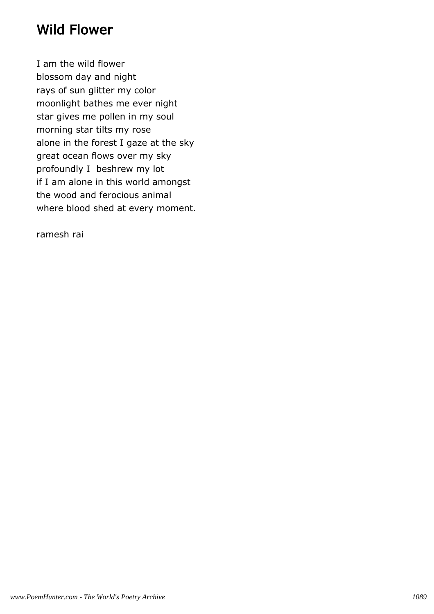## Wild Flower

I am the wild flower blossom day and night rays of sun glitter my color moonlight bathes me ever night star gives me pollen in my soul morning star tilts my rose alone in the forest I gaze at the sky great ocean flows over my sky profoundly I beshrew my lot if I am alone in this world amongst the wood and ferocious animal where blood shed at every moment.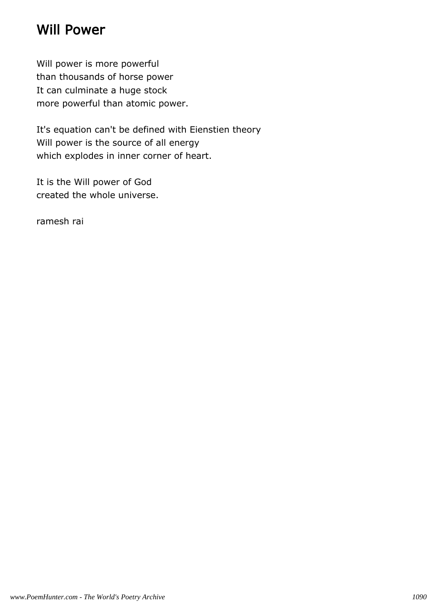## Will Power

Will power is more powerful than thousands of horse power It can culminate a huge stock more powerful than atomic power.

It's equation can't be defined with Eienstien theory Will power is the source of all energy which explodes in inner corner of heart.

It is the Will power of God created the whole universe.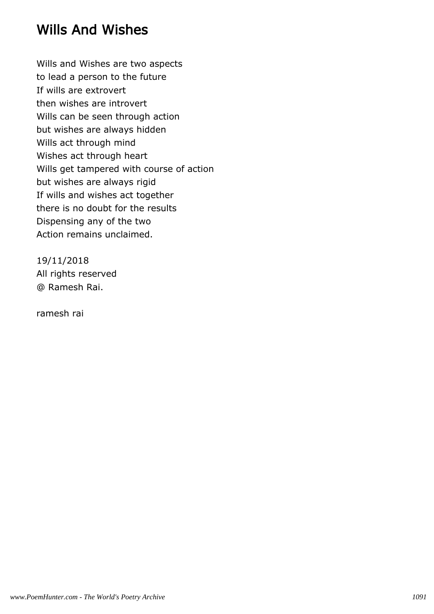## Wills And Wishes

Wills and Wishes are two aspects to lead a person to the future If wills are extrovert then wishes are introvert Wills can be seen through action but wishes are always hidden Wills act through mind Wishes act through heart Wills get tampered with course of action but wishes are always rigid If wills and wishes act together there is no doubt for the results Dispensing any of the two Action remains unclaimed.

19/11/2018 All rights reserved @ Ramesh Rai.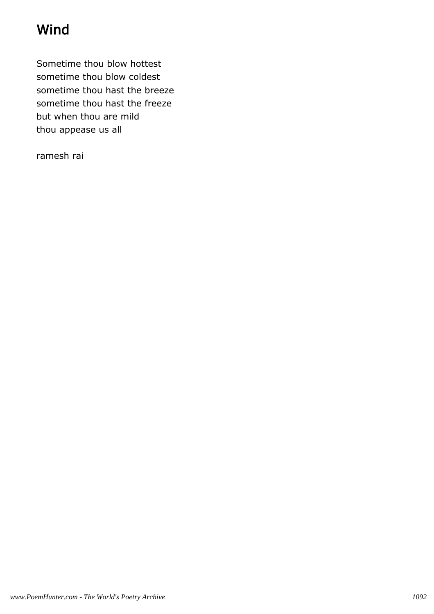# **Wind**

Sometime thou blow hottest sometime thou blow coldest sometime thou hast the breeze sometime thou hast the freeze but when thou are mild thou appease us all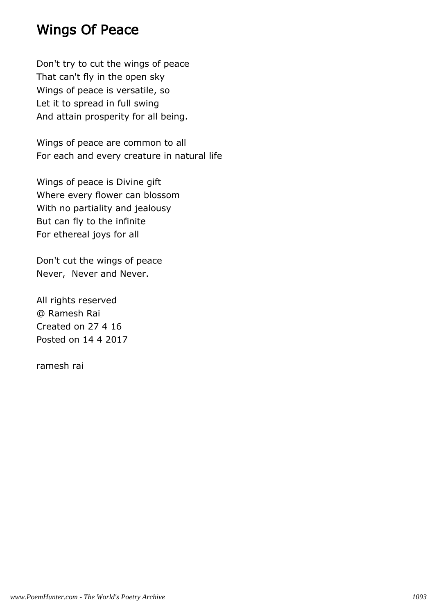## Wings Of Peace

Don't try to cut the wings of peace That can't fly in the open sky Wings of peace is versatile, so Let it to spread in full swing And attain prosperity for all being.

Wings of peace are common to all For each and every creature in natural life

Wings of peace is Divine gift Where every flower can blossom With no partiality and jealousy But can fly to the infinite For ethereal joys for all

Don't cut the wings of peace Never, Never and Never.

All rights reserved @ Ramesh Rai Created on 27 4 16 Posted on 14 4 2017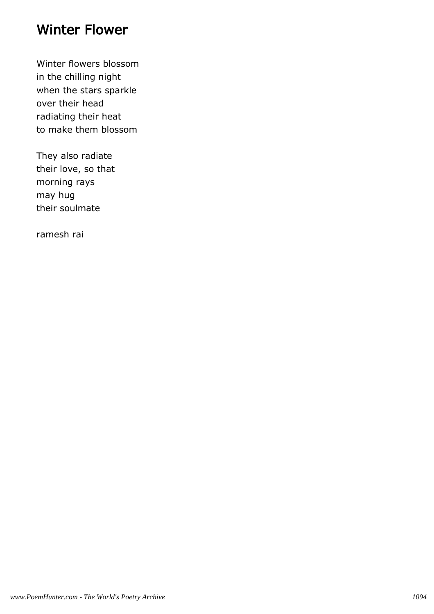## Winter Flower

Winter flowers blossom in the chilling night when the stars sparkle over their head radiating their heat to make them blossom

They also radiate their love, so that morning rays may hug their soulmate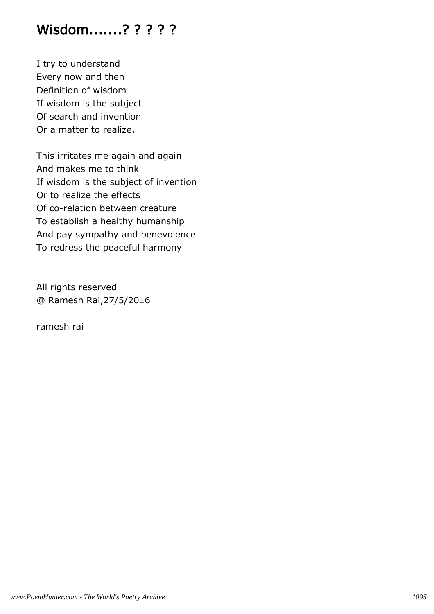## Wisdom.......? ? ? ? ?

I try to understand Every now and then Definition of wisdom If wisdom is the subject Of search and invention Or a matter to realize.

This irritates me again and again And makes me to think If wisdom is the subject of invention Or to realize the effects Of co-relation between creature To establish a healthy humanship And pay sympathy and benevolence To redress the peaceful harmony

All rights reserved @ Ramesh Rai,27/5/2016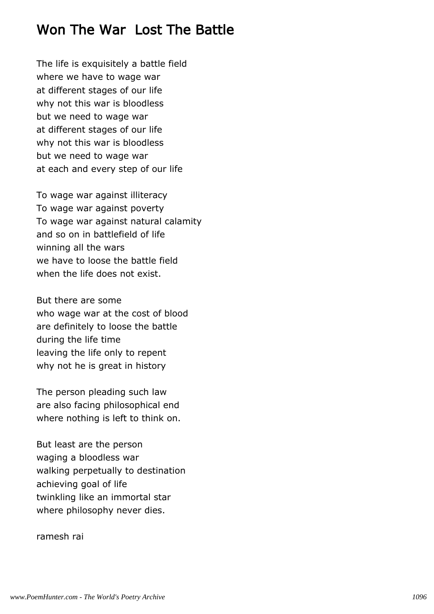## Won The War Lost The Battle

The life is exquisitely a battle field where we have to wage war at different stages of our life why not this war is bloodless but we need to wage war at different stages of our life why not this war is bloodless but we need to wage war at each and every step of our life

To wage war against illiteracy To wage war against poverty To wage war against natural calamity and so on in battlefield of life winning all the wars we have to loose the battle field when the life does not exist.

But there are some who wage war at the cost of blood are definitely to loose the battle during the life time leaving the life only to repent why not he is great in history

The person pleading such law are also facing philosophical end where nothing is left to think on.

But least are the person waging a bloodless war walking perpetually to destination achieving goal of life twinkling like an immortal star where philosophy never dies.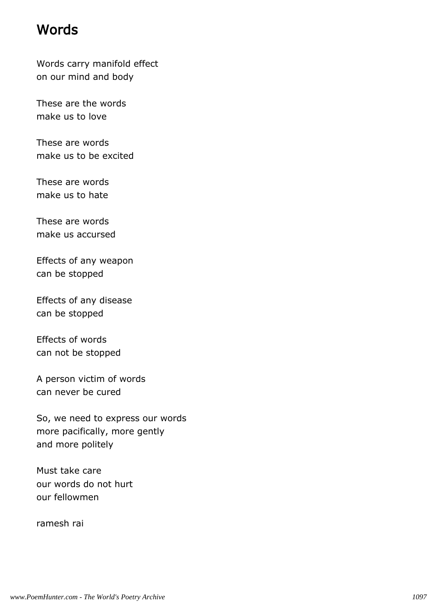## Words

Words carry manifold effect on our mind and body

These are the words make us to love

These are words make us to be excited

These are words make us to hate

These are words make us accursed

Effects of any weapon can be stopped

Effects of any disease can be stopped

Effects of words can not be stopped

A person victim of words can never be cured

So, we need to express our words more pacifically, more gently and more politely

Must take care our words do not hurt our fellowmen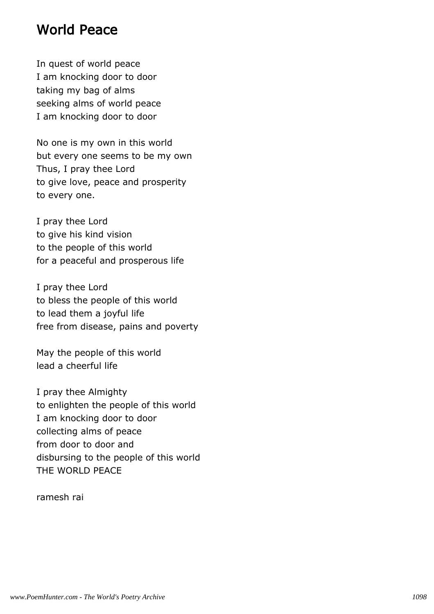## World Peace

In quest of world peace I am knocking door to door taking my bag of alms seeking alms of world peace I am knocking door to door

No one is my own in this world but every one seems to be my own Thus, I pray thee Lord to give love, peace and prosperity to every one.

I pray thee Lord to give his kind vision to the people of this world for a peaceful and prosperous life

I pray thee Lord to bless the people of this world to lead them a joyful life free from disease, pains and poverty

May the people of this world lead a cheerful life

I pray thee Almighty to enlighten the people of this world I am knocking door to door collecting alms of peace from door to door and disbursing to the people of this world THE WORLD PEACE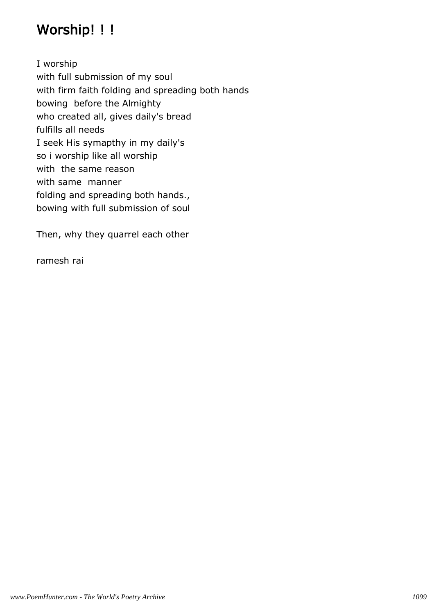# Worship! ! !

I worship with full submission of my soul with firm faith folding and spreading both hands bowing before the Almighty who created all, gives daily's bread fulfills all needs I seek His symapthy in my daily's so i worship like all worship with the same reason with same manner folding and spreading both hands., bowing with full submission of soul

Then, why they quarrel each other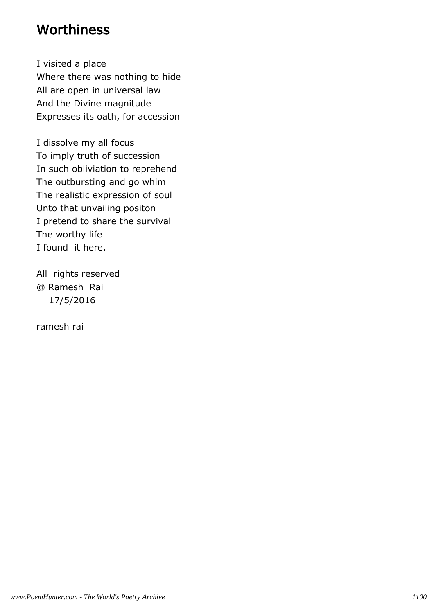## **Worthiness**

I visited a place Where there was nothing to hide All are open in universal law And the Divine magnitude Expresses its oath, for accession

I dissolve my all focus To imply truth of succession In such obliviation to reprehend The outbursting and go whim The realistic expression of soul Unto that unvailing positon I pretend to share the survival The worthy life I found it here.

All rights reserved @ Ramesh Rai 17/5/2016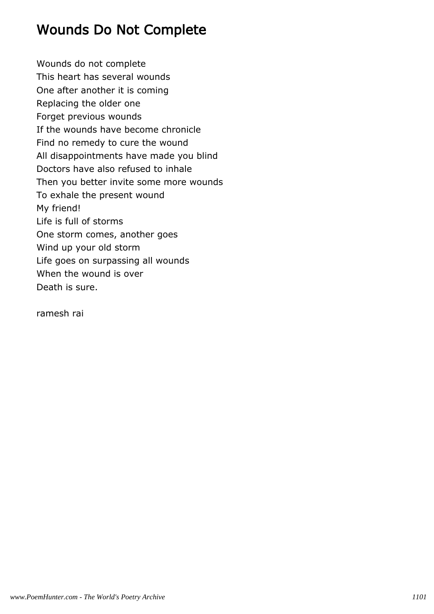# Wounds Do Not Complete

Wounds do not complete This heart has several wounds One after another it is coming Replacing the older one Forget previous wounds If the wounds have become chronicle Find no remedy to cure the wound All disappointments have made you blind Doctors have also refused to inhale Then you better invite some more wounds To exhale the present wound My friend! Life is full of storms One storm comes, another goes Wind up your old storm Life goes on surpassing all wounds When the wound is over Death is sure.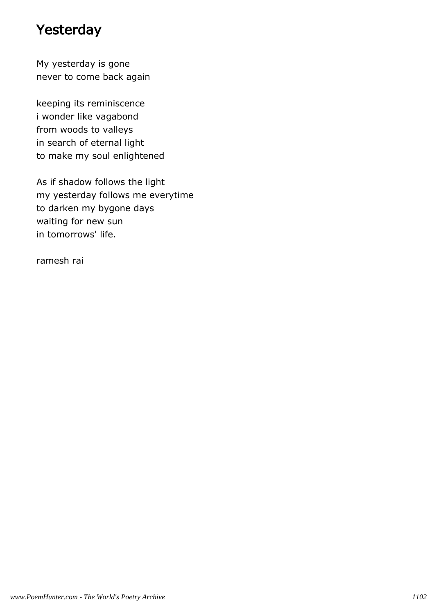## Yesterday

My yesterday is gone never to come back again

keeping its reminiscence i wonder like vagabond from woods to valleys in search of eternal light to make my soul enlightened

As if shadow follows the light my yesterday follows me everytime to darken my bygone days waiting for new sun in tomorrows' life.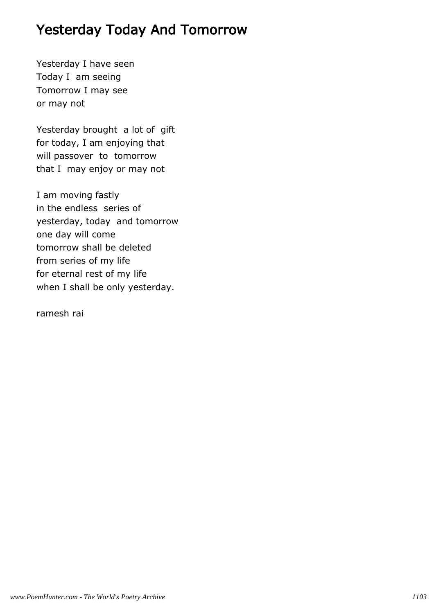## Yesterday Today And Tomorrow

Yesterday I have seen Today I am seeing Tomorrow I may see or may not

Yesterday brought a lot of gift for today, I am enjoying that will passover to tomorrow that I may enjoy or may not

I am moving fastly in the endless series of yesterday, today and tomorrow one day will come tomorrow shall be deleted from series of my life for eternal rest of my life when I shall be only yesterday.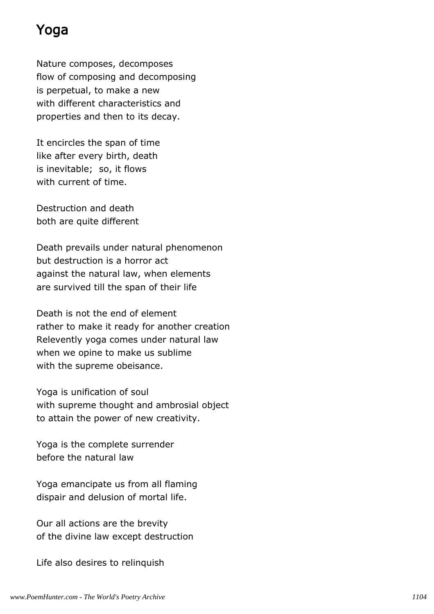# Yoga

Nature composes, decomposes flow of composing and decomposing is perpetual, to make a new with different characteristics and properties and then to its decay.

It encircles the span of time like after every birth, death is inevitable; so, it flows with current of time.

Destruction and death both are quite different

Death prevails under natural phenomenon but destruction is a horror act against the natural law, when elements are survived till the span of their life

Death is not the end of element rather to make it ready for another creation Relevently yoga comes under natural law when we opine to make us sublime with the supreme obeisance.

Yoga is unification of soul with supreme thought and ambrosial object to attain the power of new creativity.

Yoga is the complete surrender before the natural law

Yoga emancipate us from all flaming dispair and delusion of mortal life.

Our all actions are the brevity of the divine law except destruction

Life also desires to relinquish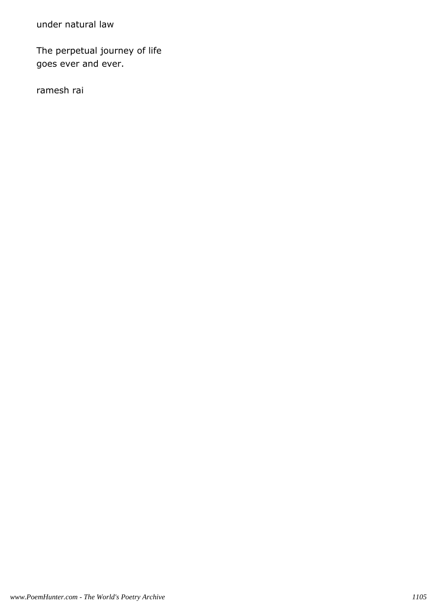under natural law

The perpetual journey of life goes ever and ever.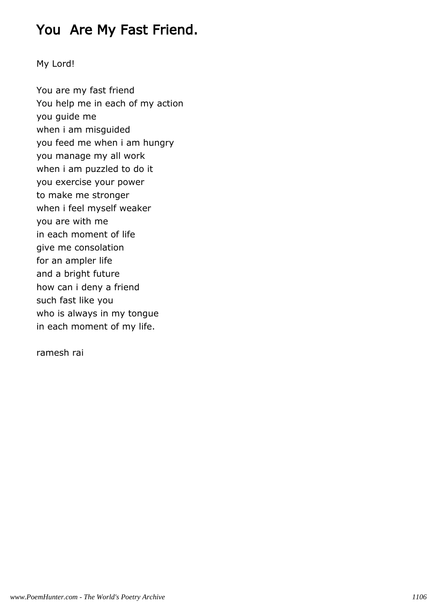## You Are My Fast Friend.

My Lord!

You are my fast friend You help me in each of my action you guide me when i am misguided you feed me when i am hungry you manage my all work when i am puzzled to do it you exercise your power to make me stronger when i feel myself weaker you are with me in each moment of life give me consolation for an ampler life and a bright future how can i deny a friend such fast like you who is always in my tongue in each moment of my life.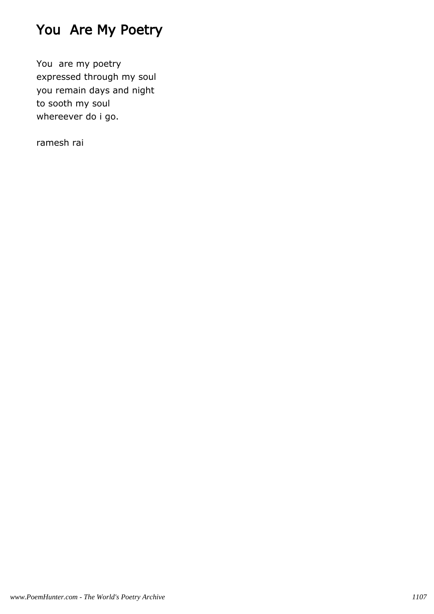# You Are My Poetry

You are my poetry expressed through my soul you remain days and night to sooth my soul whereever do i go.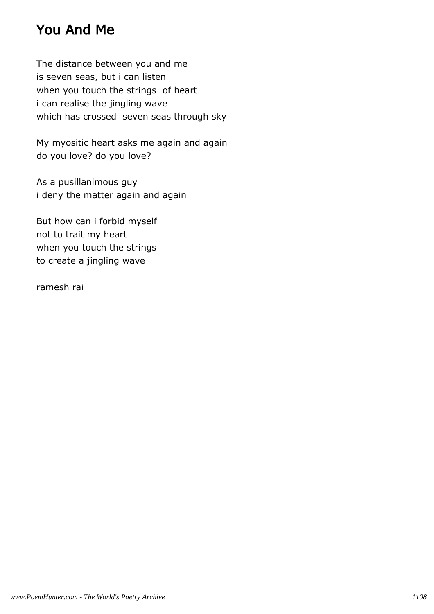# You And Me

The distance between you and me is seven seas, but i can listen when you touch the strings of heart i can realise the jingling wave which has crossed seven seas through sky

My myositic heart asks me again and again do you love? do you love?

As a pusillanimous guy i deny the matter again and again

But how can i forbid myself not to trait my heart when you touch the strings to create a jingling wave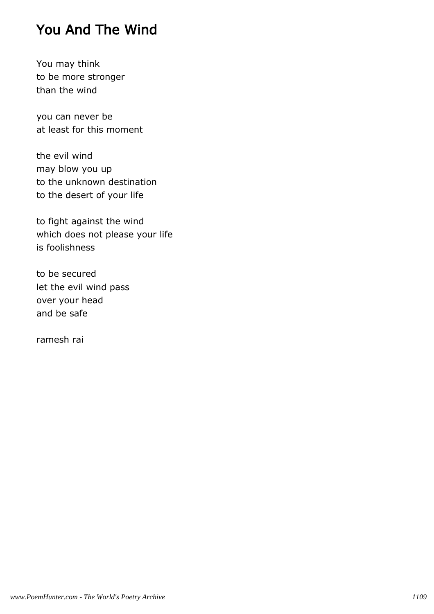# You And The Wind

You may think to be more stronger than the wind

you can never be at least for this moment

the evil wind may blow you up to the unknown destination to the desert of your life

to fight against the wind which does not please your life is foolishness

to be secured let the evil wind pass over your head and be safe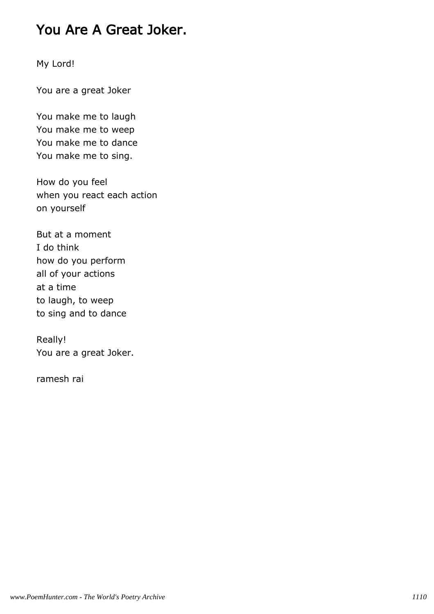### You Are A Great Joker.

#### My Lord!

You are a great Joker

You make me to laugh You make me to weep You make me to dance You make me to sing.

How do you feel when you react each action on yourself

But at a moment I do think how do you perform all of your actions at a time to laugh, to weep to sing and to dance

Really! You are a great Joker.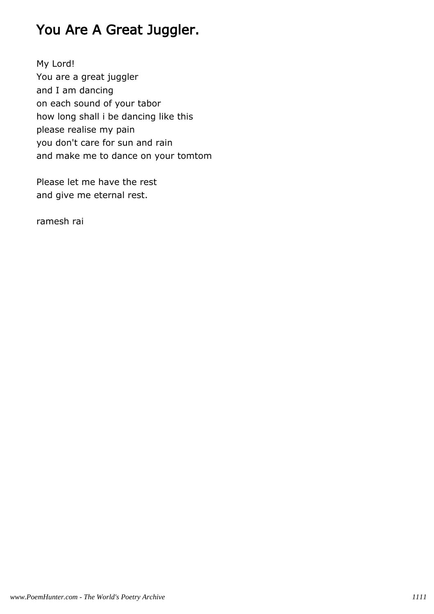# You Are A Great Juggler.

My Lord! You are a great juggler and I am dancing on each sound of your tabor how long shall i be dancing like this please realise my pain you don't care for sun and rain and make me to dance on your tomtom

Please let me have the rest and give me eternal rest.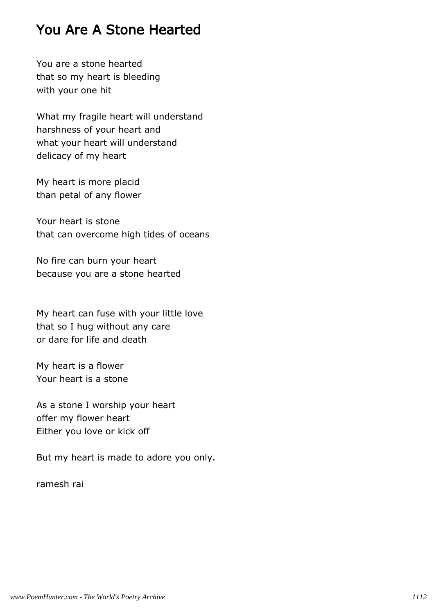## You Are A Stone Hearted

You are a stone hearted that so my heart is bleeding with your one hit

What my fragile heart will understand harshness of your heart and what your heart will understand delicacy of my heart

My heart is more placid than petal of any flower

Your heart is stone that can overcome high tides of oceans

No fire can burn your heart because you are a stone hearted

My heart can fuse with your little love that so I hug without any care or dare for life and death

My heart is a flower Your heart is a stone

As a stone I worship your heart offer my flower heart Either you love or kick off

But my heart is made to adore you only.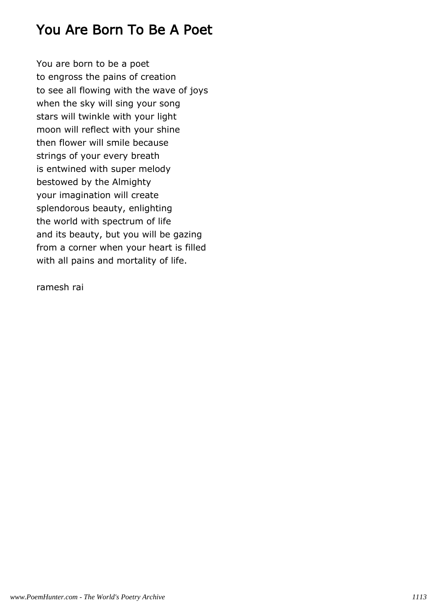## You Are Born To Be A Poet

You are born to be a poet to engross the pains of creation to see all flowing with the wave of joys when the sky will sing your song stars will twinkle with your light moon will reflect with your shine then flower will smile because strings of your every breath is entwined with super melody bestowed by the Almighty your imagination will create splendorous beauty, enlighting the world with spectrum of life and its beauty, but you will be gazing from a corner when your heart is filled with all pains and mortality of life.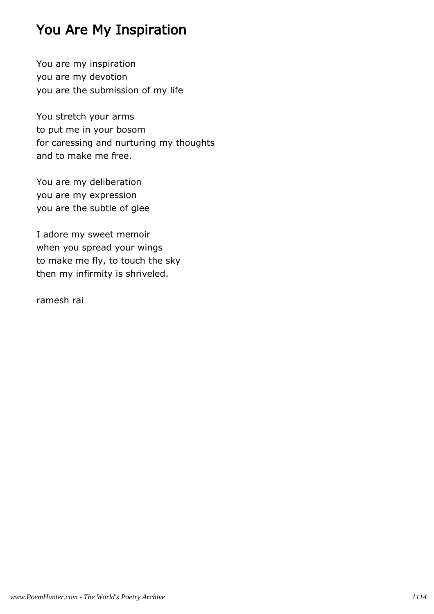# You Are My Inspiration

You are my inspiration you are my devotion you are the submission of my life

You stretch your arms to put me in your bosom for caressing and nurturing my thoughts and to make me free.

You are my deliberation you are my expression you are the subtle of glee

I adore my sweet memoir when you spread your wings to make me fly, to touch the sky then my infirmity is shriveled.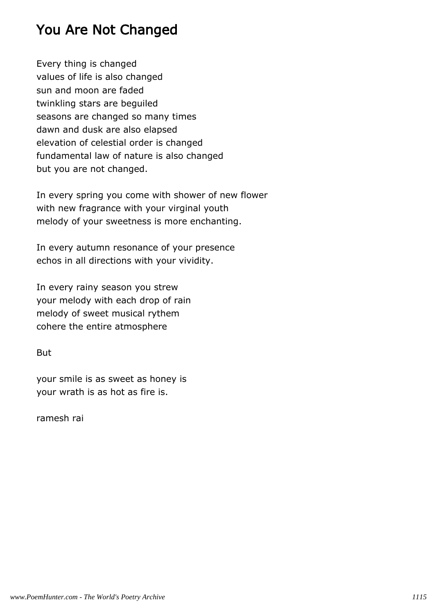# You Are Not Changed

Every thing is changed values of life is also changed sun and moon are faded twinkling stars are beguiled seasons are changed so many times dawn and dusk are also elapsed elevation of celestial order is changed fundamental law of nature is also changed but you are not changed.

In every spring you come with shower of new flower with new fragrance with your virginal youth melody of your sweetness is more enchanting.

In every autumn resonance of your presence echos in all directions with your vividity.

In every rainy season you strew your melody with each drop of rain melody of sweet musical rythem cohere the entire atmosphere

But

your smile is as sweet as honey is your wrath is as hot as fire is.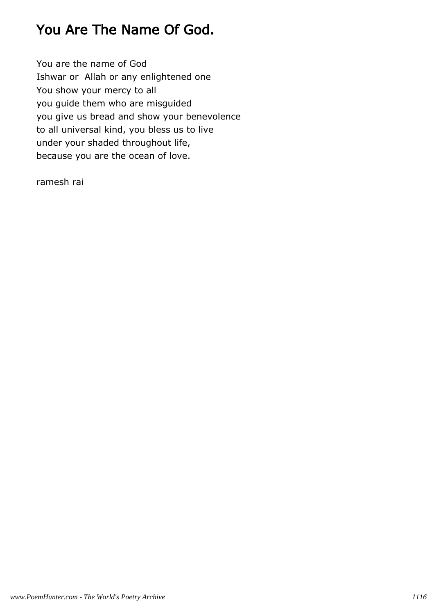# You Are The Name Of God.

You are the name of God Ishwar or Allah or any enlightened one You show your mercy to all you guide them who are misguided you give us bread and show your benevolence to all universal kind, you bless us to live under your shaded throughout life, because you are the ocean of love.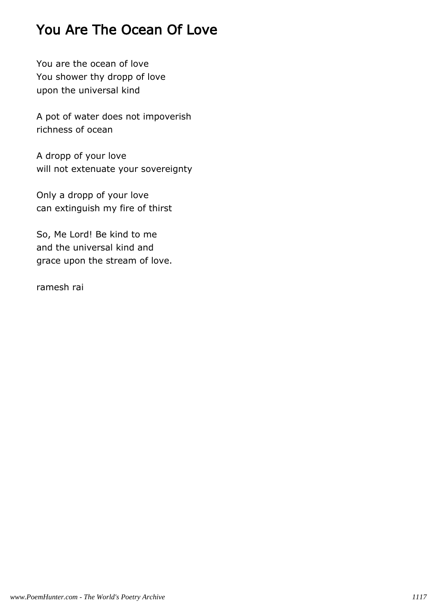## You Are The Ocean Of Love

You are the ocean of love You shower thy dropp of love upon the universal kind

A pot of water does not impoverish richness of ocean

A dropp of your love will not extenuate your sovereignty

Only a dropp of your love can extinguish my fire of thirst

So, Me Lord! Be kind to me and the universal kind and grace upon the stream of love.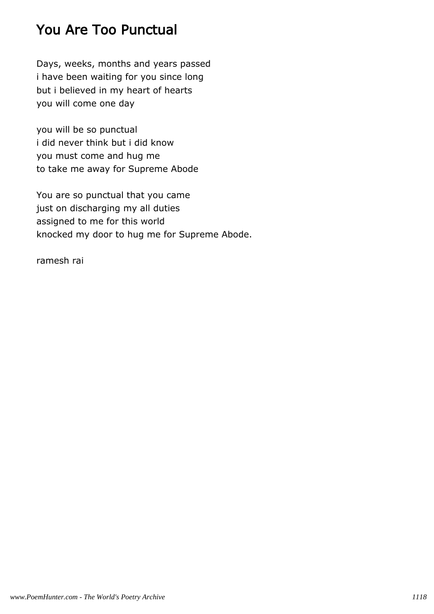#### You Are Too Punctual

Days, weeks, months and years passed i have been waiting for you since long but i believed in my heart of hearts you will come one day

you will be so punctual i did never think but i did know you must come and hug me to take me away for Supreme Abode

You are so punctual that you came just on discharging my all duties assigned to me for this world knocked my door to hug me for Supreme Abode.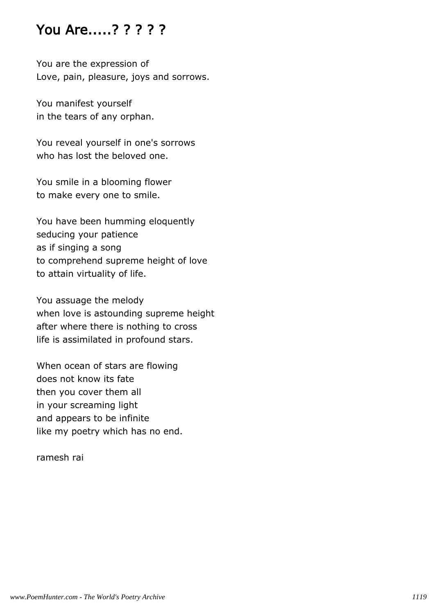#### You Are.....? ? ? ? ?

You are the expression of Love, pain, pleasure, joys and sorrows.

You manifest yourself in the tears of any orphan.

You reveal yourself in one's sorrows who has lost the beloved one.

You smile in a blooming flower to make every one to smile.

You have been humming eloquently seducing your patience as if singing a song to comprehend supreme height of love to attain virtuality of life.

You assuage the melody when love is astounding supreme height after where there is nothing to cross life is assimilated in profound stars.

When ocean of stars are flowing does not know its fate then you cover them all in your screaming light and appears to be infinite like my poetry which has no end.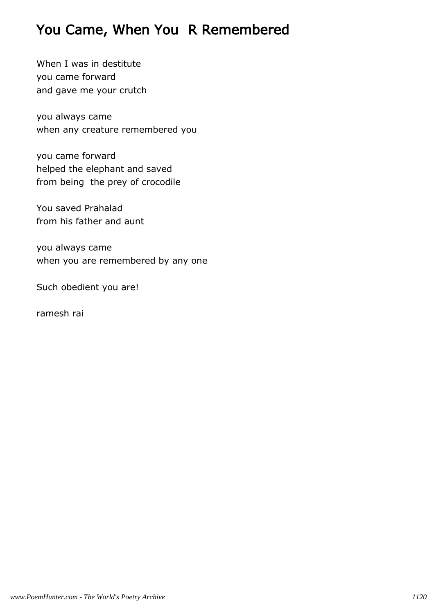#### You Came, When You R Remembered

When I was in destitute you came forward and gave me your crutch

you always came when any creature remembered you

you came forward helped the elephant and saved from being the prey of crocodile

You saved Prahalad from his father and aunt

you always came when you are remembered by any one

Such obedient you are!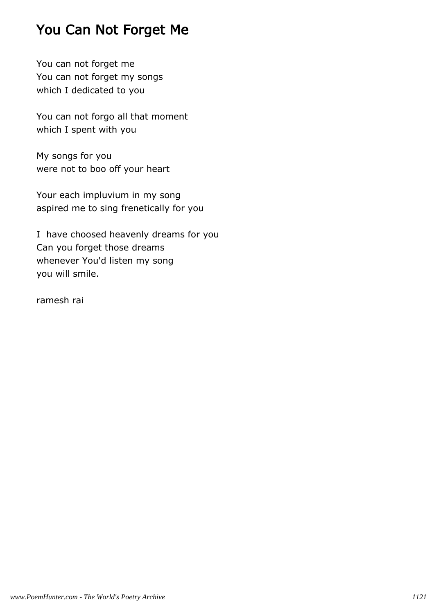## You Can Not Forget Me

You can not forget me You can not forget my songs which I dedicated to you

You can not forgo all that moment which I spent with you

My songs for you were not to boo off your heart

Your each impluvium in my song aspired me to sing frenetically for you

I have choosed heavenly dreams for you Can you forget those dreams whenever You'd listen my song you will smile.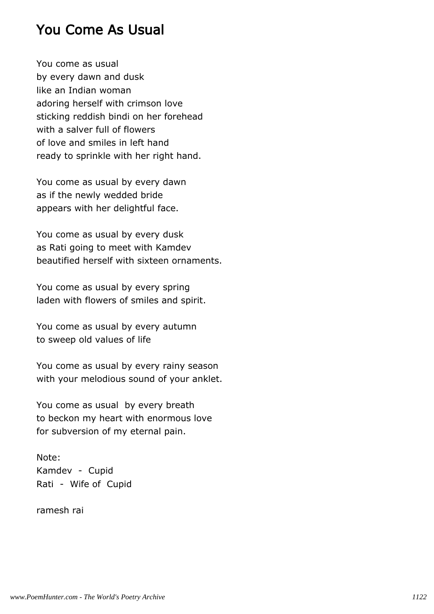#### You Come As Usual

You come as usual by every dawn and dusk like an Indian woman adoring herself with crimson love sticking reddish bindi on her forehead with a salver full of flowers of love and smiles in left hand ready to sprinkle with her right hand.

You come as usual by every dawn as if the newly wedded bride appears with her delightful face.

You come as usual by every dusk as Rati going to meet with Kamdev beautified herself with sixteen ornaments.

You come as usual by every spring laden with flowers of smiles and spirit.

You come as usual by every autumn to sweep old values of life

You come as usual by every rainy season with your melodious sound of your anklet.

You come as usual by every breath to beckon my heart with enormous love for subversion of my eternal pain.

Note: Kamdev - Cupid Rati - Wife of Cupid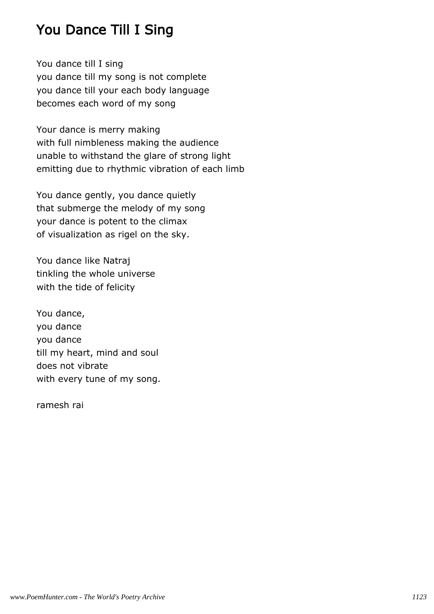## You Dance Till I Sing

You dance till I sing you dance till my song is not complete you dance till your each body language becomes each word of my song

Your dance is merry making with full nimbleness making the audience unable to withstand the glare of strong light emitting due to rhythmic vibration of each limb

You dance gently, you dance quietly that submerge the melody of my song your dance is potent to the climax of visualization as rigel on the sky.

You dance like Natraj tinkling the whole universe with the tide of felicity

You dance, you dance you dance till my heart, mind and soul does not vibrate with every tune of my song.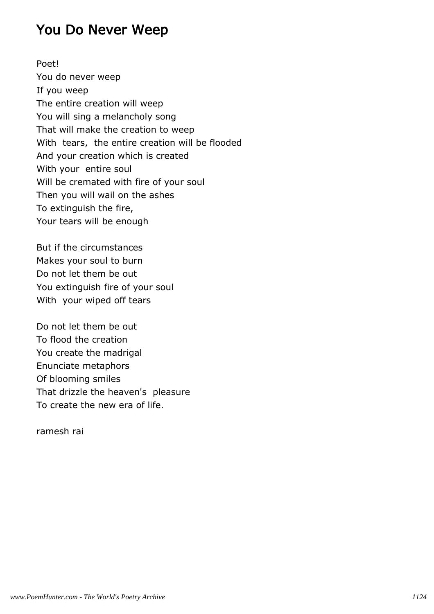#### You Do Never Weep

Poet! You do never weep If you weep The entire creation will weep You will sing a melancholy song That will make the creation to weep With tears, the entire creation will be flooded And your creation which is created With your entire soul Will be cremated with fire of your soul Then you will wail on the ashes To extinguish the fire, Your tears will be enough

But if the circumstances Makes your soul to burn Do not let them be out You extinguish fire of your soul With your wiped off tears

Do not let them be out To flood the creation You create the madrigal Enunciate metaphors Of blooming smiles That drizzle the heaven's pleasure To create the new era of life.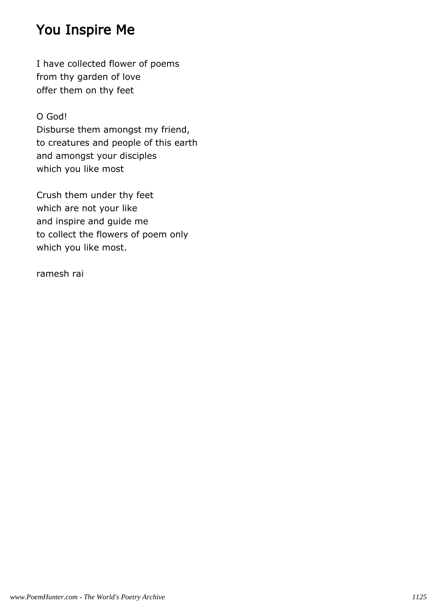#### You Inspire Me

I have collected flower of poems from thy garden of love offer them on thy feet

O God!

Disburse them amongst my friend, to creatures and people of this earth and amongst your disciples which you like most

Crush them under thy feet which are not your like and inspire and guide me to collect the flowers of poem only which you like most.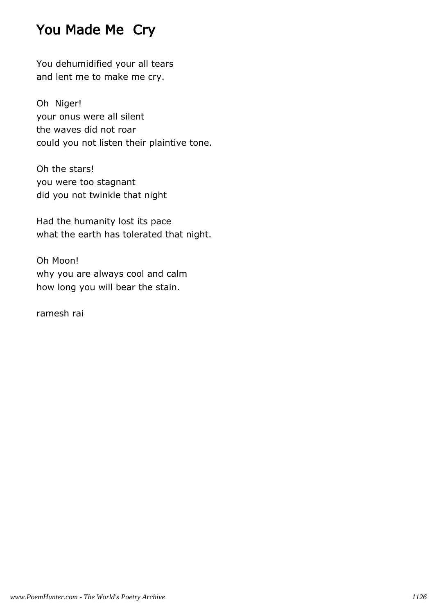## You Made Me Cry

You dehumidified your all tears and lent me to make me cry.

Oh Niger! your onus were all silent the waves did not roar could you not listen their plaintive tone.

Oh the stars! you were too stagnant did you not twinkle that night

Had the humanity lost its pace what the earth has tolerated that night.

Oh Moon! why you are always cool and calm how long you will bear the stain.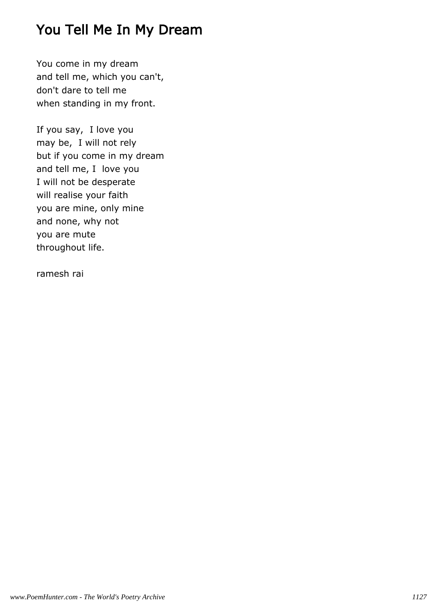# You Tell Me In My Dream

You come in my dream and tell me, which you can't, don't dare to tell me when standing in my front.

If you say, I love you may be, I will not rely but if you come in my dream and tell me, I love you I will not be desperate will realise your faith you are mine, only mine and none, why not you are mute throughout life.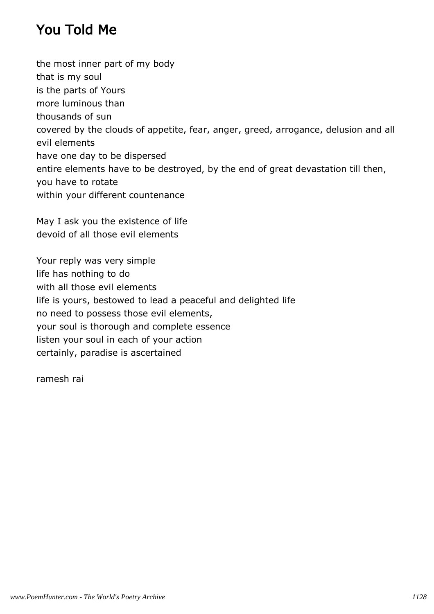# You Told Me

the most inner part of my body that is my soul is the parts of Yours more luminous than thousands of sun covered by the clouds of appetite, fear, anger, greed, arrogance, delusion and all evil elements have one day to be dispersed entire elements have to be destroyed, by the end of great devastation till then, you have to rotate within your different countenance

May I ask you the existence of life devoid of all those evil elements

Your reply was very simple life has nothing to do with all those evil elements life is yours, bestowed to lead a peaceful and delighted life no need to possess those evil elements, your soul is thorough and complete essence listen your soul in each of your action certainly, paradise is ascertained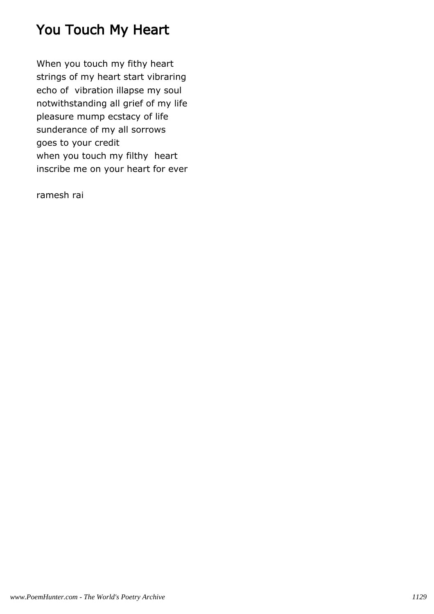# You Touch My Heart

When you touch my fithy heart strings of my heart start vibraring echo of vibration illapse my soul notwithstanding all grief of my life pleasure mump ecstacy of life sunderance of my all sorrows goes to your credit when you touch my filthy heart inscribe me on your heart for ever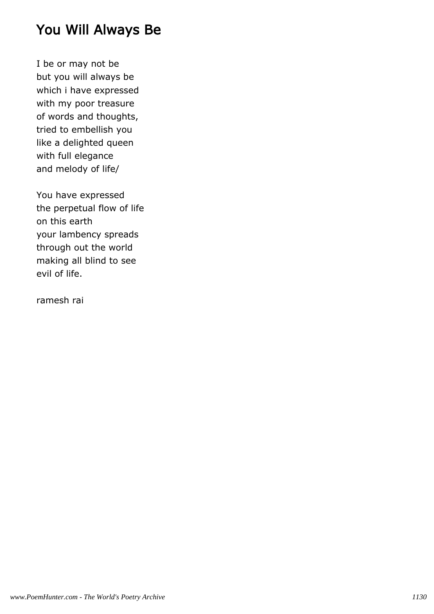#### You Will Always Be

I be or may not be but you will always be which i have expressed with my poor treasure of words and thoughts, tried to embellish you like a delighted queen with full elegance and melody of life/

You have expressed the perpetual flow of life on this earth your lambency spreads through out the world making all blind to see evil of life.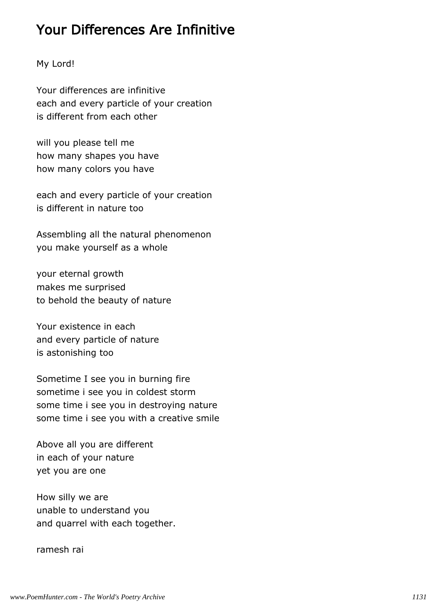## Your Differences Are Infinitive

#### My Lord!

Your differences are infinitive each and every particle of your creation is different from each other

will you please tell me how many shapes you have how many colors you have

each and every particle of your creation is different in nature too

Assembling all the natural phenomenon you make yourself as a whole

your eternal growth makes me surprised to behold the beauty of nature

Your existence in each and every particle of nature is astonishing too

Sometime I see you in burning fire sometime i see you in coldest storm some time i see you in destroying nature some time i see you with a creative smile

Above all you are different in each of your nature yet you are one

How silly we are unable to understand you and quarrel with each together.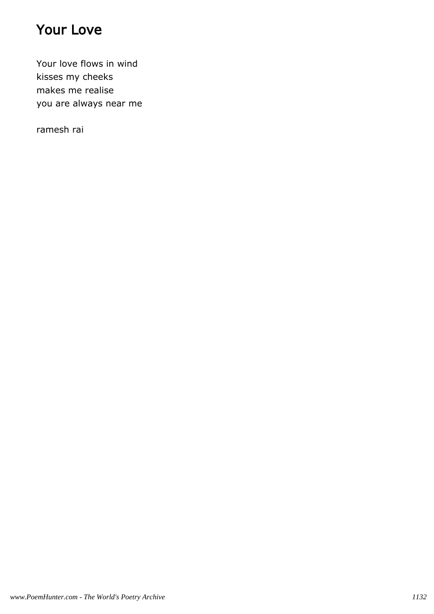#### Your Love

Your love flows in wind kisses my cheeks makes me realise you are always near me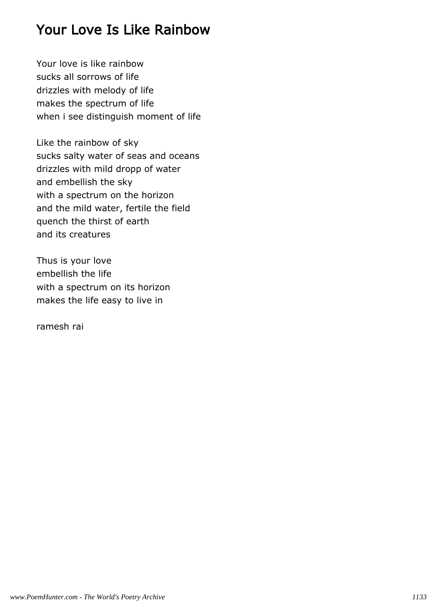# Your Love Is Like Rainbow

Your love is like rainbow sucks all sorrows of life drizzles with melody of life makes the spectrum of life when i see distinguish moment of life

Like the rainbow of sky sucks salty water of seas and oceans drizzles with mild dropp of water and embellish the sky with a spectrum on the horizon and the mild water, fertile the field quench the thirst of earth and its creatures

Thus is your love embellish the life with a spectrum on its horizon makes the life easy to live in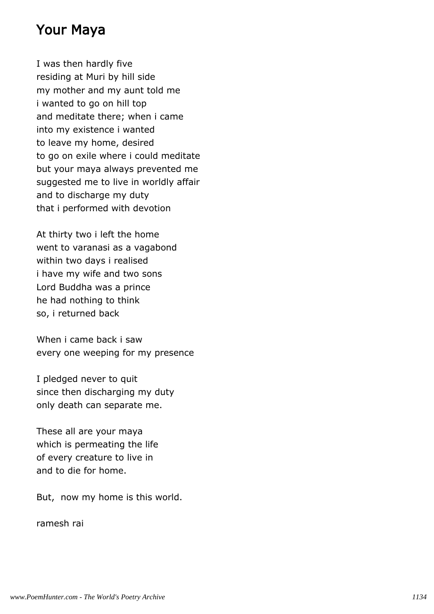#### Your Maya

I was then hardly five residing at Muri by hill side my mother and my aunt told me i wanted to go on hill top and meditate there; when i came into my existence i wanted to leave my home, desired to go on exile where i could meditate but your maya always prevented me suggested me to live in worldly affair and to discharge my duty that i performed with devotion

At thirty two i left the home went to varanasi as a vagabond within two days i realised i have my wife and two sons Lord Buddha was a prince he had nothing to think so, i returned back

When i came back i saw every one weeping for my presence

I pledged never to quit since then discharging my duty only death can separate me.

These all are your maya which is permeating the life of every creature to live in and to die for home.

But, now my home is this world.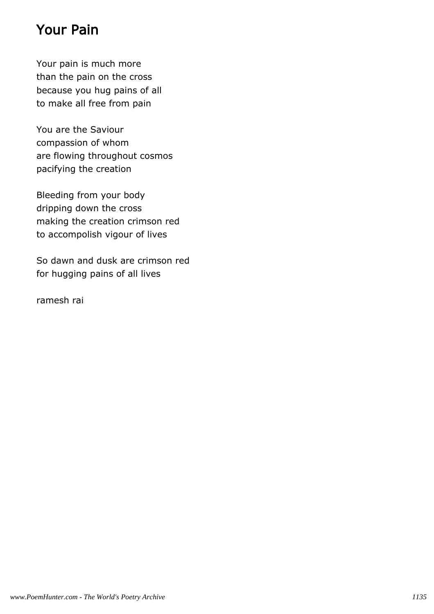## Your Pain

Your pain is much more than the pain on the cross because you hug pains of all to make all free from pain

You are the Saviour compassion of whom are flowing throughout cosmos pacifying the creation

Bleeding from your body dripping down the cross making the creation crimson red to accompolish vigour of lives

So dawn and dusk are crimson red for hugging pains of all lives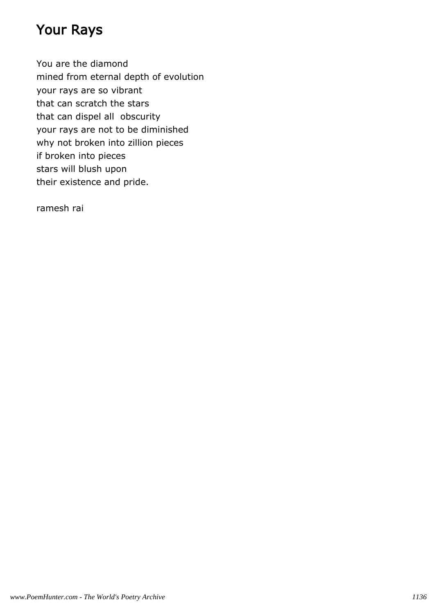### Your Rays

You are the diamond mined from eternal depth of evolution your rays are so vibrant that can scratch the stars that can dispel all obscurity your rays are not to be diminished why not broken into zillion pieces if broken into pieces stars will blush upon their existence and pride.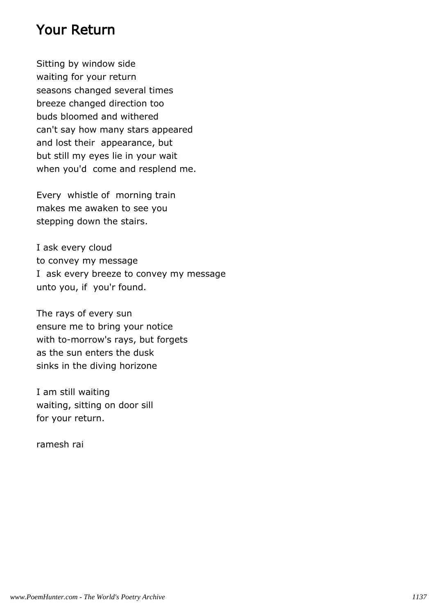#### Your Return

Sitting by window side waiting for your return seasons changed several times breeze changed direction too buds bloomed and withered can't say how many stars appeared and lost their appearance, but but still my eyes lie in your wait when you'd come and resplend me.

Every whistle of morning train makes me awaken to see you stepping down the stairs.

I ask every cloud to convey my message I ask every breeze to convey my message unto you, if you'r found.

The rays of every sun ensure me to bring your notice with to-morrow's rays, but forgets as the sun enters the dusk sinks in the diving horizone

I am still waiting waiting, sitting on door sill for your return.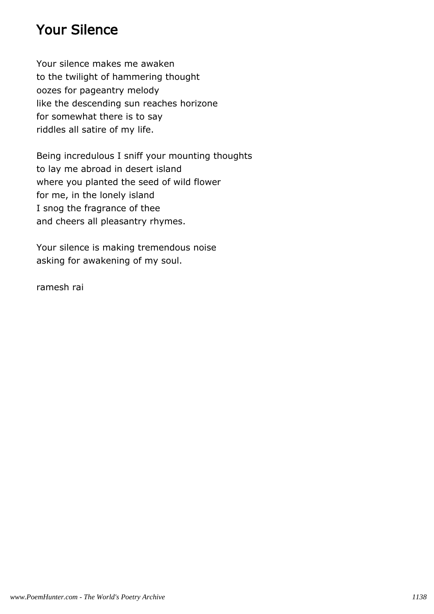## Your Silence

Your silence makes me awaken to the twilight of hammering thought oozes for pageantry melody like the descending sun reaches horizone for somewhat there is to say riddles all satire of my life.

Being incredulous I sniff your mounting thoughts to lay me abroad in desert island where you planted the seed of wild flower for me, in the lonely island I snog the fragrance of thee and cheers all pleasantry rhymes.

Your silence is making tremendous noise asking for awakening of my soul.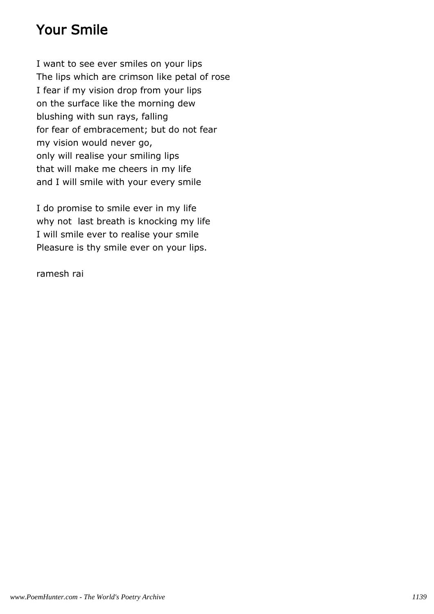#### Your Smile

I want to see ever smiles on your lips The lips which are crimson like petal of rose I fear if my vision drop from your lips on the surface like the morning dew blushing with sun rays, falling for fear of embracement; but do not fear my vision would never go, only will realise your smiling lips that will make me cheers in my life and I will smile with your every smile

I do promise to smile ever in my life why not last breath is knocking my life I will smile ever to realise your smile Pleasure is thy smile ever on your lips.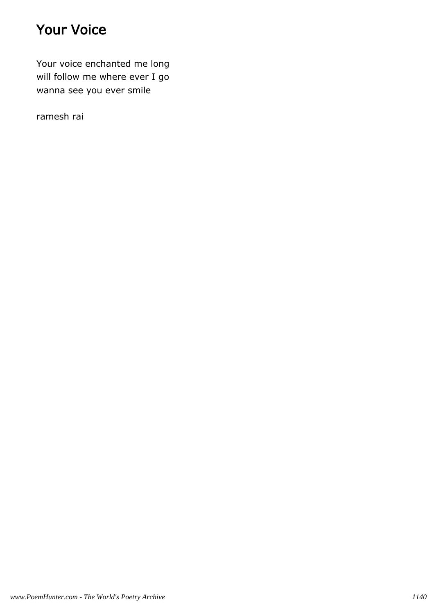## Your Voice

Your voice enchanted me long will follow me where ever I go wanna see you ever smile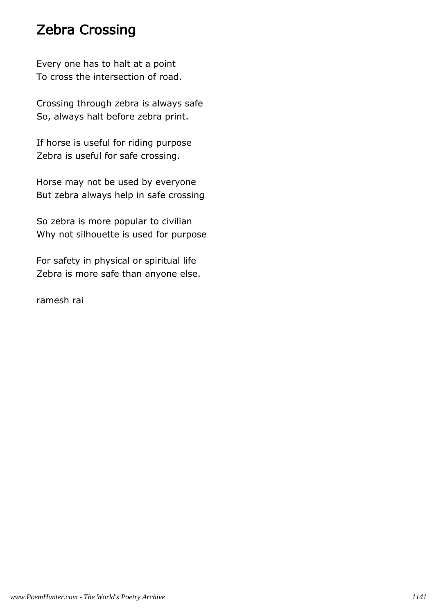## Zebra Crossing

Every one has to halt at a point To cross the intersection of road.

Crossing through zebra is always safe So, always halt before zebra print.

If horse is useful for riding purpose Zebra is useful for safe crossing.

Horse may not be used by everyone But zebra always help in safe crossing

So zebra is more popular to civilian Why not silhouette is used for purpose

For safety in physical or spiritual life Zebra is more safe than anyone else.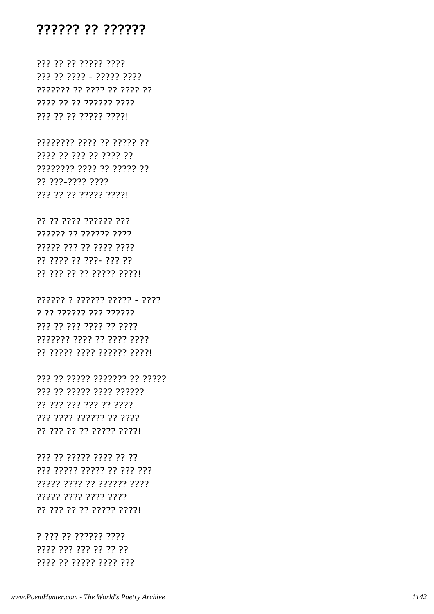#### ?????? ?? ??????

??? ?? ?? ????? ???? ??? ????? - ????? ???? ??????? ?? ???? ?? ???? ?? ???? ?? ?? ?????? ???? ??? ?? ?? ????? ????!

???????? ???? ?? ????? ?? ???? ?? ??? ?? ???? ?? ???????? ???? ?? ????? ?? ?????-???? ???? **1232 ?????????????!** 

?? ?? ???? ????? ??? ?????? ??????? ???? ????? ??? ?? ???? ???? ?? ???? ?? ??? - ??? ?? ?? ??? ?? ?? ????? ????!

?????? ? ?????? ????? - ???? ? ?? ?????? ??? ?????? ??? ?? ??? ???? ?? ???? ??????? ???? ?? ???? ???? ?? ????? ???? ?????? ????!

??? ?? ????? ??????? ?? ????? ??? ?? ????? ???? ?????? ????? ??? ??? ??? ???? ??? ???? ?????? ?? ???? ?? ??? ?? ?? ????? ????!

??? ?? ????? ???? ?? ?? ??? ????? ????? ?? ??? ??? ????? ????? ?? ?????? ???? ????? ???? ???? ???? **77 777 7777 77777 7777** 

? ??? ?? ?????? ???? ???? ??? ??? ?? ?? ?? ???? ?? ????? ???? ???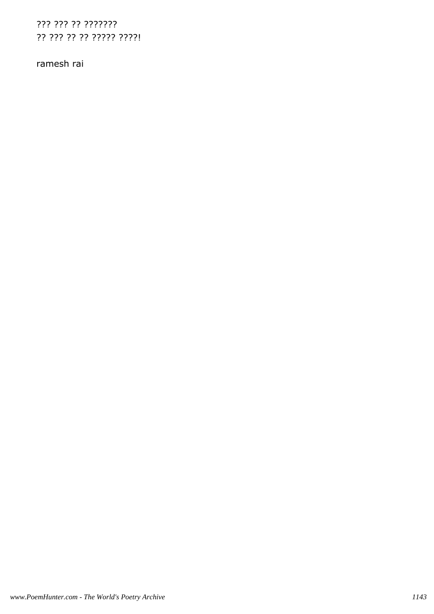??? ??? ?? ??????? ?? ??? ?? ?? ????? ????!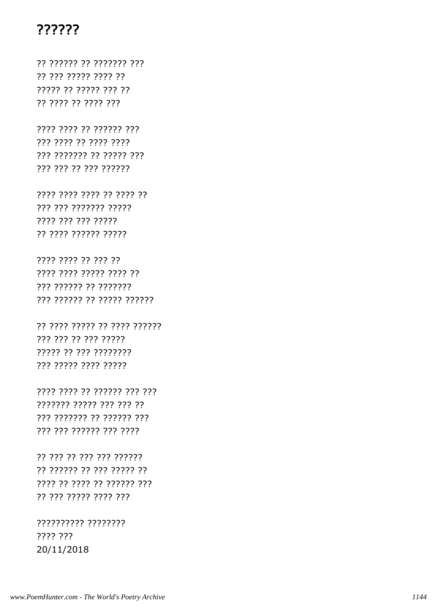#### ??????

?? ?????? ?? ??????? ??? ?? ??? ????? ???? ?? ????? ?? ????? ??? ?? ?? ???? ?? ???? ???

???? ???? ?? ?????? ??? ??? ???? ?? ???? ???? ??? ??????? ?? ????? ??? ??? ??? ?? ??? ??????

???? ???? ???? ?? ???? ?? ??? ??? ??????? ????? ???? ??? ??? ????? ?? ???? ?????? ?????

???? ???? ?? ??? ?? ???? ???? ????? ???? ?? ??? ?????? ?? ??????? ????????????????????????

?????? ????? ?? ???? ?????? ??? ??? ?? ??? ????? ????? ?? ??? ???????? ??? ????? ???? ?????

???? ???? ?????? ??? ??? ??????? ????? ??? ??? ?? ??? ??????? ?? ?????? ??? ??? ??? ?????? ??? ????

?? ??? ??? ??? ??? ?????? ?? ?????? ?? ??? ????? ?? ??? ????? ?? ???????????? ?? ??? ????? ???? ???

?????????? ???????? ???? ??? 20/11/2018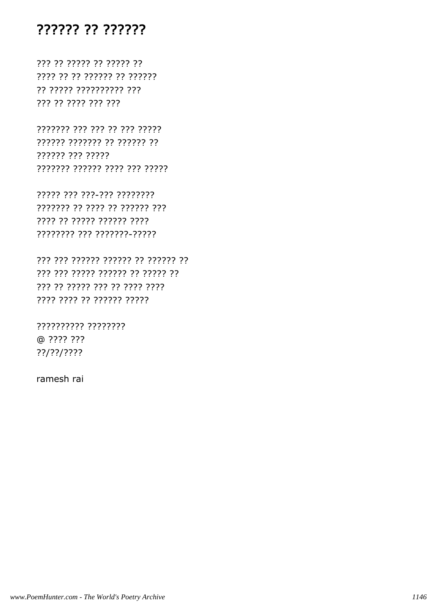#### ?????? ?? ??????

??? ?? ????? ?? ????? ?? ???? ?? ?? ?????? ?? ?????? ????????????????????? ??? ?? ???? ??? ???

??????? ??? ??? ??? ??? ????? ?????? ??????? ?? ?????? ?? ?????? ??? ????? ??????? ?????? ???? ??? ?????

????? ??? ???-??? ???????? ??????? ?? ???? ?? ?????? ??? ???? ?? ????? ?????? ???? ???????? ??? ???????-?????

??? ??? ?????? ?????? ??????? ?? ??? ??? ????? ?????? ?? ????? ?? ??? ?? ????? ??? ?? ???? ???? ???? ???? ?????? ?????

?????????? ????????  $@$  ???? ??? ??/??/????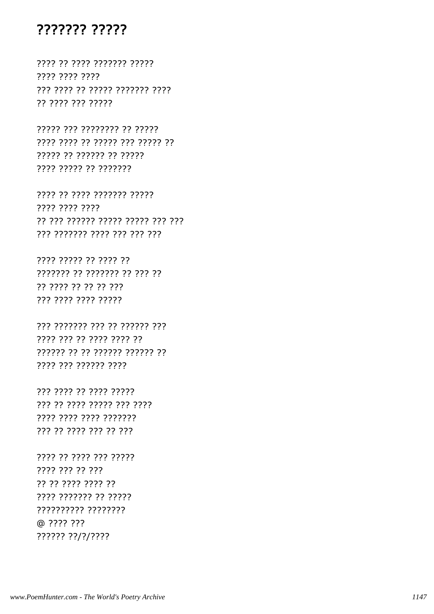#### ??????? ?????

???? ?? ???? ??????? ????? ???? ???? ???? ??? ???? ?? ????? ??????? ???? ?? ???? ??? ?????

????? ??? ???????? ?? ????? ???? ???? ?? ????? ??? ????? ?? ????? ?? ?????? ?? ????? ???? ????? ?? ???????

???? ?? ???? ??????? ????? ???? ???? ???? ??? ??? ?????? ????? ????? ??? ??? ??????? ???? ??? ??? ???

???? ????? ?? ???? ?? ??????? ?? ??????? ?? ??? ?? ?? ???? ?? ?? ?? ??? ??? ???? ???? ?????

??? ??????? ??? ?? ?????? ??? ???? ??? ?? ???? ???? ?? ?????? ?? ?? ?????? ?????? ?? ???? ??? ?????? ????

??? ???? ?? ???? ????? ??? ?? ???? ????? ??? ???? ???? ???? ???? ??????? ??? ?? ???? ??? ?? ???

???? ???? ???? ?????? ???? ??? ??? ??? ?? ?? ???? ???? ?? ???? ??????? ?? ????? ?????????? ????????  $@$  ???? ??? ?????? ??/?/????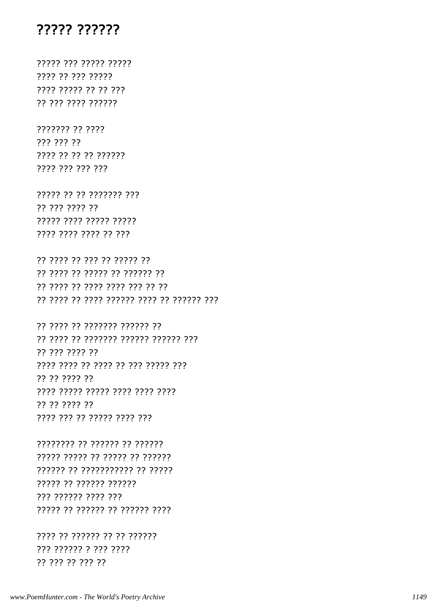#### ????? ??????

????? ??? ????? ????? ???? ??? ??? ????? ???? ????? ?? ?? ??? ?? ??? ???? ??????

??????? ?? ???? ??? ??? ?? ???? ?? ?? ?? ?????? ???? ??? ??? ???

????? ?? ?? ??????? ??? ?? ??? ???? ?? ????? ???? ????? ????? ???? ???? ???? ?? ???

?? ???? ?? ??? ?? ????? ?? ?? ???? ?? ????? ?? ?????? ?? ?? ???? ?? ???? ???? ??? ?? ?? 

?? ????? ???????? ?????? ?? ?????????????????????????????????? ?? ??? ???? ?? ???? ???? ?? ???? ?? ??? ???? ??? ?? ?? ???? ?? ???? ????? ????? ???? ???? ???? ?? ?? ???? ?? ???? ??? ????? ???? ????

???????? ?? ??????? ?? ?????? ????? ????? ?? ????? ?? ?????? ?????? ?? ??????????? ?? ????? ????? ?????? ?????? ??? ?????? ???? ??? ????? ?? ?????? ?? ?????? ????

???? ?? ?????? ?? ?? ?????? ??? ?????? ? ??? ???? ?? ??? ?? ??? ??